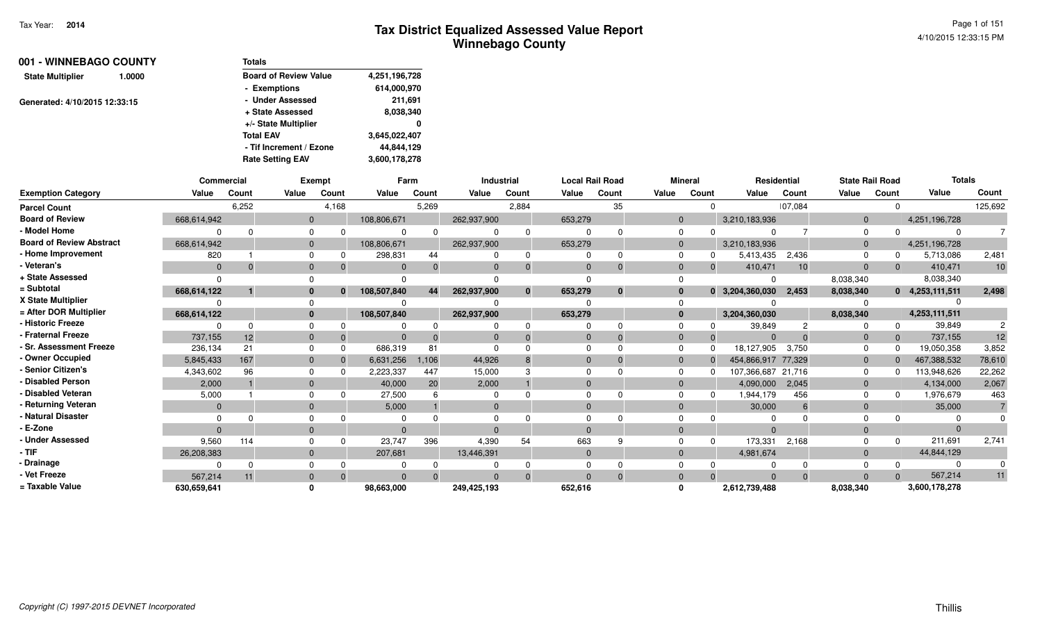| 001 - WINNEBAGO COUNTY            | <b>Totals</b>                |               |
|-----------------------------------|------------------------------|---------------|
| <b>State Multiplier</b><br>1.0000 | <b>Board of Review Value</b> | 4,251,196,728 |
|                                   | - Exemptions                 | 614,000,970   |
| Generated: 4/10/2015 12:33:15     | - Under Assessed             | 211,691       |
|                                   | + State Assessed             | 8,038,340     |
|                                   | +/- State Multiplier         | 0             |
|                                   | <b>Total EAV</b>             | 3,645,022,407 |
|                                   | - Tif Increment / Ezone      | 44,844,129    |
|                                   | <b>Rate Setting EAV</b>      | 3,600,178,278 |

|                                 | <b>Commercial</b> |       |              | Exempt   | Farm        |       | <b>Industrial</b> |                |          | <b>Local Rail Road</b> | <b>Mineral</b> |       | Residential        |          | <b>State Rail Road</b> |       | <b>Totals</b>     |         |
|---------------------------------|-------------------|-------|--------------|----------|-------------|-------|-------------------|----------------|----------|------------------------|----------------|-------|--------------------|----------|------------------------|-------|-------------------|---------|
| <b>Exemption Category</b>       | Value             | Count | Value        | Count    | Value       | Count | Value             | Count          | Value    | Count                  | Value          | Count | Value              | Count    | Value                  | Count | Value             | Count   |
| <b>Parcel Count</b>             |                   | 6,252 |              | 4,168    |             | 5,269 |                   | 2,884          |          | 35                     |                |       |                    | 107,084  |                        |       |                   | 125,692 |
| <b>Board of Review</b>          | 668,614,942       |       | $\Omega$     |          | 108,806,671 |       | 262,937,900       |                | 653,279  |                        | $\Omega$       |       | 3,210,183,936      |          | $\Omega$               |       | 4,251,196,728     |         |
| - Model Home                    |                   |       | $\Omega$     | n        |             |       |                   | $\mathbf 0$    |          |                        | <sup>0</sup>   |       |                    |          |                        |       | $\Omega$          |         |
| <b>Board of Review Abstract</b> | 668,614,942       |       | $\Omega$     |          | 108,806,671 |       | 262,937,900       |                | 653,279  |                        | $\Omega$       |       | 3,210,183,936      |          |                        |       | 4,251,196,728     |         |
| - Home Improvement              | 820               |       | $\Omega$     |          | 298,831     | 44    |                   | 0              |          | $\Omega$               |                |       | 5,413,435          | 2,436    |                        |       | 5,713,086         | 2,481   |
| - Veteran's                     | $\Omega$          |       | $\Omega$     |          |             |       | $\Omega$          | $\mathbf{0}$   | $\Omega$ |                        | $\Omega$       |       | 410,471            | 10       | $\Omega$               |       | 410,471           | 10      |
| + State Assessed                |                   |       |              |          |             |       |                   |                |          |                        |                |       |                    |          | 8,038,340              |       | 8,038,340         |         |
| = Subtotal                      | 668,614,122       |       | $\bf{0}$     | $\bf{0}$ | 108,507,840 | 44    | 262,937,900       | $\mathbf{0}$   | 653,279  | $\bf{0}$               |                |       | 0 3,204,360,030    | 2,453    | 8,038,340              |       | $0$ 4,253,111,511 | 2,498   |
| X State Multiplier              |                   |       | $\Omega$     |          |             |       |                   |                |          |                        |                |       |                    |          |                        |       |                   |         |
| = After DOR Multiplier          | 668,614,122       |       | $\mathbf{0}$ |          | 108,507,840 |       | 262,937,900       |                | 653,279  |                        | $\bf{0}$       |       | 3,204,360,030      |          | 8,038,340              |       | 4,253,111,511     |         |
| - Historic Freeze               |                   |       | $\Omega$     |          |             |       |                   | <sup>n</sup>   |          |                        |                |       | 39,849             |          |                        |       | 39,849            |         |
| - Fraternal Freeze              | 737,155           | 12    | $\Omega$     |          |             |       |                   |                | $\Omega$ |                        | $\Omega$       |       | $\Omega$           |          |                        |       | 737,155           | 12      |
| · Sr. Assessment Freeze         | 236,134           | 21    | $\Omega$     |          | 686,319     | 8     |                   |                |          |                        |                |       | 18,127,905         | 3,750    |                        |       | 19,050,358        | 3,852   |
| - Owner Occupied                | 5,845,433         | 167   | $\Omega$     |          | 6,631,256   | 1,106 | 44,926            | 8              | $\Omega$ |                        | $\Omega$       |       | 454,866,917 77,329 |          | $\Omega$               |       | 467,388,532       | 78,610  |
| - Senior Citizen's              | 4,343,602         | 96    |              |          | 2,223,337   | 447   | 15,000            |                |          |                        | $\Omega$       |       | 107,366,687 21,716 |          |                        |       | 113,948,626       | 22,262  |
| <b>Disabled Person</b>          | 2,000             |       | $\Omega$     |          | 40,000      | 20    | 2,000             |                | $\Omega$ |                        | $\Omega$       |       | 4,090,000          | 2.045    | $\Omega$               |       | 4,134,000         | 2,067   |
| <b>Disabled Veteran</b>         | 5,000             |       | $\Omega$     |          | 27,500      |       |                   |                |          |                        |                |       | 1,944,179          | 456      |                        |       | 1,976,679         | 463     |
| Returning Veteran               | $\Omega$          |       | $\Omega$     |          | 5,000       |       | $\Omega$          |                |          |                        | $\Omega$       |       | 30,000             | 6        |                        |       | 35,000            |         |
| <b>Natural Disaster</b>         |                   |       | $\Omega$     |          |             |       |                   |                |          |                        |                |       |                    |          |                        |       |                   |         |
| - E-Zone                        | $\Omega$          |       | $\Omega$     |          |             |       | $\Omega$          |                | $\Omega$ |                        | $\Omega$       |       | $\Omega$           |          |                        |       | $\Omega$          |         |
| <b>Under Assessed</b>           | 9,560             | 114   | $\Omega$     |          | 23,747      | 396   | 4,390             | 54             | 663      |                        |                |       | 173,331            | 2,168    |                        |       | 211,691           | 2,741   |
| $-$ TIF                         | 26,208,383        |       | $\Omega$     |          | 207,681     |       | 13,446,391        |                | $\Omega$ |                        | $\Omega$       |       | 4,981,674          |          |                        |       | 44,844,129        |         |
| - Drainage                      |                   |       | $\Omega$     |          |             |       |                   | 0              |          |                        |                |       |                    | $\Omega$ |                        |       | $\Omega$          |         |
| - Vet Freeze                    | 567,214           | 11    | $\mathbf{0}$ | $\Omega$ |             |       | $\Omega$          | $\overline{0}$ | $\Omega$ | $\Omega$               | $\Omega$       |       | $\Omega$           | $\Omega$ |                        |       | 567,214           | 11      |
| = Taxable Value                 | 630,659,641       |       | $\Omega$     |          | 98,663,000  |       | 249,425,193       |                | 652,616  |                        | 0              |       | 2,612,739,488      |          | 8,038,340              |       | 3,600,178,278     |         |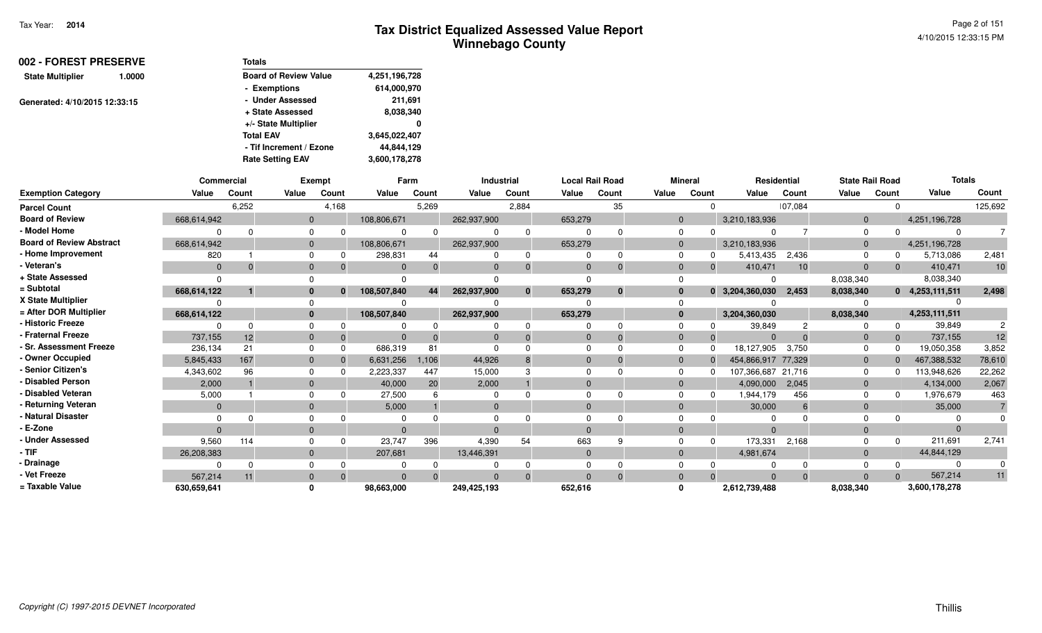|                         | 002 - FOREST PRESERVE<br>1.0000<br>Generated: 4/10/2015 12:33:15 | <b>Totals</b>                |               |
|-------------------------|------------------------------------------------------------------|------------------------------|---------------|
| <b>State Multiplier</b> |                                                                  | <b>Board of Review Value</b> | 4,251,196,728 |
|                         |                                                                  | - Exemptions                 | 614,000,970   |
|                         |                                                                  | - Under Assessed             | 211,691       |
|                         |                                                                  | + State Assessed             | 8,038,340     |
|                         |                                                                  | +/- State Multiplier         | 0             |
|                         |                                                                  | <b>Total EAV</b>             | 3,645,022,407 |
|                         |                                                                  | - Tif Increment / Ezone      | 44,844,129    |
|                         |                                                                  | <b>Rate Setting EAV</b>      | 3,600,178,278 |

|                                 | Commercial  |       |                | Exempt   |             | Farm  |             | <b>Industrial</b> |          | <b>Local Rail Road</b> |              | Mineral | Residential        |          | <b>State Rail Road</b> |       | <b>Totals</b>     |         |
|---------------------------------|-------------|-------|----------------|----------|-------------|-------|-------------|-------------------|----------|------------------------|--------------|---------|--------------------|----------|------------------------|-------|-------------------|---------|
| <b>Exemption Category</b>       | Value       | Count | Value          | Count    | Value       | Count | Value       | Count             | Value    | Count                  | Value        | Count   | Value              | Count    | Value                  | Count | Value             | Count   |
| <b>Parcel Count</b>             |             | 6,252 |                | 4,168    |             | 5,269 |             | 2,884             |          | 35                     |              |         |                    | 107,084  |                        |       |                   | 125,692 |
| <b>Board of Review</b>          | 668,614,942 |       | $\mathbf{0}$   |          | 108,806,671 |       | 262,937,900 |                   | 653,279  |                        | $\mathbf{0}$ |         | 3,210,183,936      |          | $\overline{0}$         |       | 4,251,196,728     |         |
| - Model Home                    |             |       | $\Omega$       |          |             |       |             | $\Omega$          |          |                        | $\Omega$     |         |                    |          |                        |       | $\Omega$          |         |
| <b>Board of Review Abstract</b> | 668,614,942 |       | $\overline{0}$ |          | 108,806,671 |       | 262,937,900 |                   | 653,279  |                        | $\Omega$     |         | 3,210,183,936      |          | $\Omega$               |       | 4,251,196,728     |         |
| - Home Improvement              | 820         |       | $\Omega$       |          | 298,831     | 44    |             | 0                 |          |                        |              |         | 5,413,435          | 2,436    |                        |       | 5,713,086         | 2,481   |
| - Veteran's                     | $\Omega$    |       | $\Omega$       |          |             |       | $\Omega$    | $\Omega$          | $\Omega$ |                        | $\Omega$     |         | 410,471            | 10       | $\Omega$               |       | 410,471           | 10      |
| + State Assessed                |             |       |                |          |             |       |             |                   |          |                        |              |         |                    |          | 8,038,340              |       | 8,038,340         |         |
| = Subtotal                      | 668,614,122 |       | $\bf{0}$       | $\bf{0}$ | 108,507,840 | 44    | 262,937,900 | $\mathbf{0}$      | 653,279  | $\bf{0}$               | $\bf{0}$     |         | $0$ 3,204,360,030  | 2,453    | 8,038,340              |       | $0$ 4,253,111,511 | 2,498   |
| X State Multiplier              |             |       | $\Omega$       |          |             |       |             |                   |          |                        |              |         |                    |          |                        |       |                   |         |
| = After DOR Multiplier          | 668,614,122 |       | $\mathbf{0}$   |          | 108,507,840 |       | 262,937,900 |                   | 653,279  |                        | $\bf{0}$     |         | 3,204,360,030      |          | 8,038,340              |       | 4,253,111,511     |         |
| - Historic Freeze               |             |       | $\Omega$       |          |             |       |             | 0                 |          |                        |              |         | 39,849             |          |                        |       | 39,849            |         |
| - Fraternal Freeze              | 737,155     | 12    | $\mathbf{0}$   |          |             |       |             | $\Omega$          |          |                        | $\mathbf{0}$ |         |                    |          |                        |       | 737,155           | 12      |
| <b>Sr. Assessment Freeze</b>    | 236,134     | 21    | $\Omega$       |          | 686,319     | 81    |             |                   |          |                        |              |         | 18,127,905         | 3,750    |                        |       | 19,050,358        | 3,852   |
| - Owner Occupied                | 5,845,433   | 167   | $\Omega$       |          | 6,631,256   | 1,106 | 44,926      | 8                 | $\Omega$ |                        | $\Omega$     |         | 454,866,917 77,329 |          | $\Omega$               |       | 467,388,532       | 78,610  |
| - Senior Citizen's              | 4,343,602   | 96    |                |          | 2,223,337   | 447   | 15,000      |                   |          |                        | $\Omega$     |         | 107,366,687 21,716 |          |                        |       | 113,948,626       | 22,262  |
| <b>Disabled Person</b>          | 2,000       |       | $\Omega$       |          | 40,000      | 20    | 2,000       |                   | $\Omega$ |                        | $\Omega$     |         | 4,090,000          | 2,045    | $\Omega$               |       | 4,134,000         | 2,067   |
| <b>Disabled Veteran</b>         | 5,000       |       | $\Omega$       |          | 27,500      |       |             |                   |          |                        |              |         | 1,944,179          | 456      |                        |       | 1,976,679         | 463     |
| Returning Veteran               | $\Omega$    |       | $\Omega$       |          | 5,000       |       | $\Omega$    |                   | $\Omega$ |                        | $\Omega$     |         | 30,000             | 6        | $\Omega$               |       | 35,000            |         |
| - Natural Disaster              |             |       |                |          |             |       |             |                   |          |                        |              |         |                    |          |                        |       |                   |         |
| - E-Zone                        | $\Omega$    |       | $\Omega$       |          |             |       | $\Omega$    |                   | $\Omega$ |                        | $\Omega$     |         | $\Omega$           |          |                        |       | $\Omega$          |         |
| <b>Under Assessed</b>           | 9,560       | 114   | $\Omega$       |          | 23,747      | 396   | 4,390       | 54                | 663      |                        |              |         | 173,331            | 2,168    |                        |       | 211,691           | 2,741   |
| $-$ TIF                         | 26,208,383  |       | $\Omega$       |          | 207,681     |       | 13,446,391  |                   | $\Omega$ |                        | $\Omega$     |         | 4,981,674          |          |                        |       | 44,844,129        |         |
| - Drainage                      |             |       | $\Omega$       |          |             |       |             | $\Omega$          |          |                        |              |         |                    | $\Omega$ |                        |       | $\Omega$          |         |
| Vet Freeze                      | 567,214     | 11    | $\mathbf{0}$   | $\Omega$ |             |       | $\Omega$    | $\overline{0}$    | $\Omega$ | $\Omega$               | $\Omega$     |         | $\Omega$           | $\Omega$ |                        |       | 567,214           | 11      |
| = Taxable Value                 | 630,659,641 |       | $\mathbf{0}$   |          | 98,663,000  |       | 249,425,193 |                   | 652,616  |                        | 0            |         | 2,612,739,488      |          | 8,038,340              |       | 3,600,178,278     |         |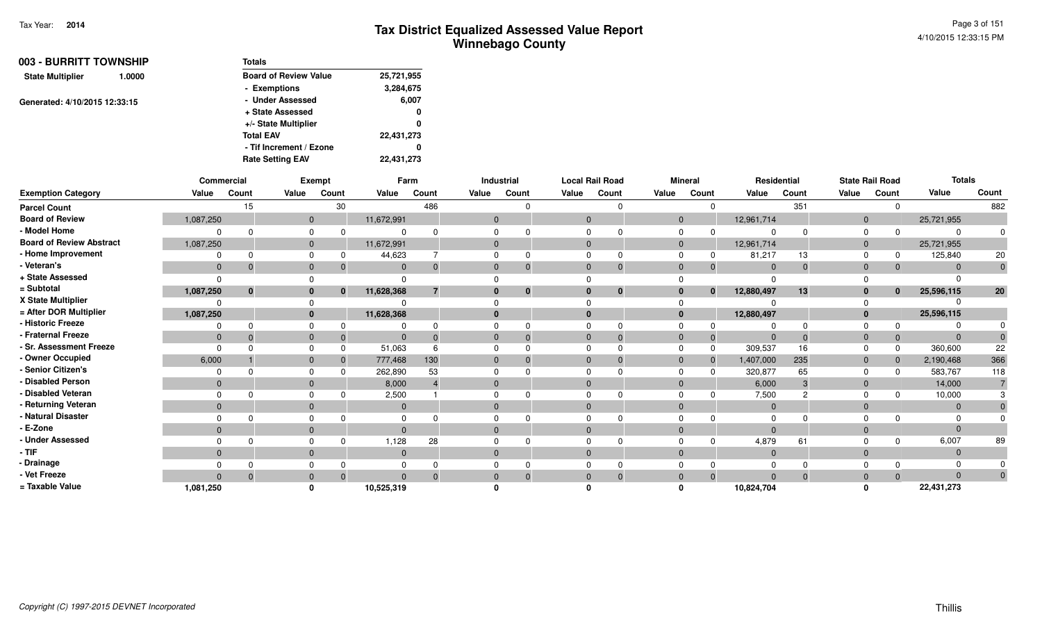Page 3 of 1514/10/2015 12:33:15 PM

| 003 - BURRITT TOWNSHIP        |        | Totals                       |            |
|-------------------------------|--------|------------------------------|------------|
| <b>State Multiplier</b>       | 1.0000 | <b>Board of Review Value</b> | 25,721,955 |
|                               |        | - Exemptions                 | 3,284,675  |
| Generated: 4/10/2015 12:33:15 |        | - Under Assessed             | 6,007      |
|                               |        | + State Assessed             | 0          |
|                               |        | +/- State Multiplier         | 0          |
|                               |        | <b>Total EAV</b>             | 22,431,273 |
|                               |        | - Tif Increment / Ezone      | 0          |
|                               |        | <b>Rate Setting EAV</b>      | 22.431.273 |

|                                 |              | Commercial |              | Exempt   |              | Farm           |              | <b>Industrial</b> |              | <b>Local Rail Road</b> |       | <b>Mineral</b> |                            | Residential |             | <b>State Rail Road</b> |              | <b>Totals</b> |             |
|---------------------------------|--------------|------------|--------------|----------|--------------|----------------|--------------|-------------------|--------------|------------------------|-------|----------------|----------------------------|-------------|-------------|------------------------|--------------|---------------|-------------|
| <b>Exemption Category</b>       | Value        | Count      | Value        | Count    | Value        | Count          | Value        | Count             | Value        | Count                  | Value | Count          | Value                      | Count       | Value       | Count                  |              | Value         | Count       |
| <b>Parcel Count</b>             |              | 15         |              | 30       |              | 486            |              |                   |              |                        |       |                | 0                          | 351         |             |                        | $\Omega$     |               | 882         |
| <b>Board of Review</b>          | 1,087,250    |            | $\mathbf{0}$ |          | 11,672,991   |                | $\mathbf{0}$ |                   | $\mathbf{0}$ |                        |       | $\mathbf{0}$   | 12,961,714                 |             |             | $\mathbf{0}$           |              | 25,721,955    |             |
| - Model Home                    |              |            | $\Omega$     |          |              |                |              |                   |              |                        |       |                |                            |             | $\Omega$    | $\Omega$               | <sup>0</sup> | ∩             | 0           |
| <b>Board of Review Abstract</b> | 1,087,250    |            | $\mathbf 0$  |          | 11,672,991   |                | $\mathbf{0}$ |                   | $\mathbf{0}$ |                        |       | $\mathbf{0}$   | 12,961,714                 |             |             | $\mathbf 0$            |              | 25,721,955    |             |
| <b>Home Improvement</b>         |              |            | $\cap$       |          | 44,623       |                |              |                   |              |                        |       |                | 81,217                     |             | 13          | 0                      | 0            | 125,840       | 20          |
| Veteran's                       | $\mathbf{0}$ |            | $\mathbf 0$  |          | $\Omega$     | $\Omega$       | $\mathbf{0}$ |                   | $\Omega$     | $\Omega$               |       | $\mathbf{0}$   |                            | $\Omega$    | $\mathbf 0$ | $\mathbf{0}$           | $\Omega$     | $\Omega$      | $\mathbf 0$ |
| + State Assessed                |              |            |              |          |              |                |              |                   |              |                        |       |                |                            |             |             |                        |              |               |             |
| = Subtotal                      | 1,087,250    | $\bf{0}$   | $\bf{0}$     | $\bf{0}$ | 11,628,368   | $\overline{7}$ | $\bf{0}$     | $\mathbf 0$       | $\mathbf{0}$ | $\mathbf{0}$           |       | $\mathbf{0}$   | 12,880,497<br>$\mathbf{0}$ |             | 13          | $\mathbf{0}$           | $\mathbf{0}$ | 25,596,115    | 20          |
| X State Multiplier              |              |            |              |          |              |                |              |                   |              |                        |       |                |                            |             |             |                        |              |               |             |
| = After DOR Multiplier          | 1,087,250    |            | $\mathbf{0}$ |          | 11,628,368   |                | $\mathbf{0}$ |                   | $\mathbf{0}$ |                        |       | $\bf{0}$       | 12,880,497                 |             |             | $\mathbf{0}$           |              | 25,596,115    |             |
| <b>Historic Freeze</b>          |              |            |              |          |              |                |              |                   |              |                        |       |                |                            |             | $\Omega$    | 0                      | <sup>0</sup> |               |             |
| <b>Fraternal Freeze</b>         | $\mathbf{0}$ |            | $\mathbf 0$  |          | $\Omega$     |                | $\mathbf 0$  |                   | $\mathbf 0$  |                        |       | $\mathbf{0}$   |                            | $\Omega$    | $\Omega$    | $\mathbf{0}$           | $\Omega$     | $\Omega$      |             |
| <b>Sr. Assessment Freeze</b>    | $\Omega$     |            | $\Omega$     |          | 51,063       |                | $\Omega$     |                   |              |                        |       | $\Omega$       | 309,537                    |             | 16          | $\Omega$               | $\Omega$     | 360,600       | 22          |
| Owner Occupied                  | 6,000        |            | $\mathbf{0}$ |          | 777,468      | 130            | $\mathbf{0}$ |                   | $\Omega$     |                        |       | $\mathbf{0}$   | 1,407,000<br>$\Omega$      | 235         |             | $\mathbf{0}$           | $\Omega$     | 2,190,468     | 366         |
| Senior Citizen's                |              |            |              |          | 262,890      | 53             |              |                   |              |                        |       |                | 320,877                    |             | 65          | 0                      | $\Omega$     | 583,767       | 118         |
| <b>Disabled Person</b>          | $\Omega$     |            | $\mathbf{0}$ |          | 8,000        |                | $\mathbf{0}$ |                   |              |                        |       | $\mathbf{0}$   |                            | 6,000       | 3           | $\mathbf 0$            |              | 14,000        |             |
| Disabled Veteran                |              |            | $\Omega$     |          | 2,500        |                | 0            |                   |              |                        |       |                |                            | 7,500       | c           | $\Omega$               | 0            | 10,000        | 3           |
| Returning Veteran               | $\mathbf{0}$ |            | $\mathbf{0}$ |          | $\mathbf 0$  |                | $\mathbf{0}$ |                   | $\mathbf{0}$ |                        |       | $\mathbf{0}$   |                            | $\mathbf 0$ |             | $\mathbf 0$            |              | $\mathbf{0}$  | $\Omega$    |
| <b>Natural Disaster</b>         |              |            |              |          |              |                |              |                   |              |                        |       |                |                            |             |             |                        |              |               |             |
| E-Zone                          | $\Omega$     |            | $\mathbf{0}$ |          | $\Omega$     |                | $\Omega$     |                   |              |                        |       | $\Omega$       |                            | $\Omega$    |             | $\Omega$               |              | $\Omega$      |             |
| <b>Under Assessed</b>           |              |            | $\Omega$     |          | 1,128        | 28             |              |                   |              |                        |       |                |                            | 4,879<br>61 |             | $\Omega$               | $\Omega$     | 6,007         | 89          |
| - TIF                           | $\mathbf{0}$ |            | $\mathbf 0$  |          | $\mathbf{0}$ |                | $\mathbf{0}$ |                   | $\mathbf 0$  |                        |       | $\mathbf 0$    |                            | $\mathbf 0$ |             | $\mathbf 0$            |              | $\Omega$      |             |
| · Drainage                      |              |            |              |          |              |                |              |                   |              |                        |       |                |                            |             |             |                        |              |               |             |
| Vet Freeze                      | $\Omega$     |            | $\Omega$     |          | $\Omega$     |                | $\Omega$     |                   |              | $\Omega$               |       | $\mathbf{0}$   |                            | $\Omega$    | $\Omega$    | $\mathbf 0$            | $\Omega$     | $\Omega$      | $\Omega$    |
| = Taxable Value                 | 1,081,250    |            |              |          | 10,525,319   |                |              |                   |              |                        |       |                | 10,824,704                 |             |             |                        |              | 22,431,273    |             |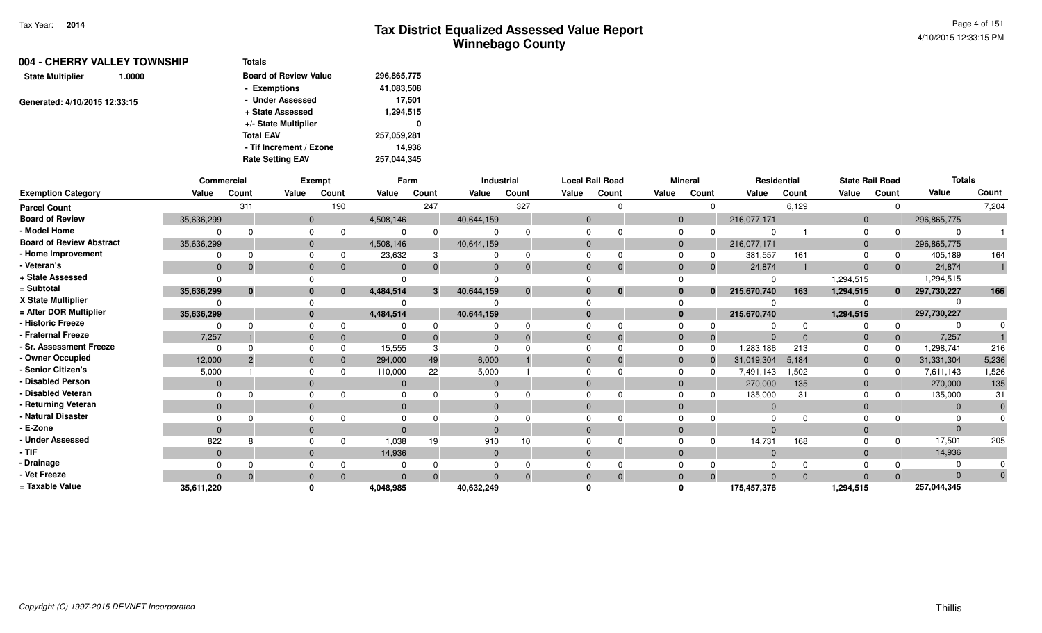| 004 - CHERRY VALLEY TOWNSHIP      |  | <b>Totals</b>                |             |
|-----------------------------------|--|------------------------------|-------------|
| <b>State Multiplier</b><br>1.0000 |  | <b>Board of Review Value</b> | 296,865,775 |
|                                   |  | - Exemptions                 | 41,083,508  |
| Generated: 4/10/2015 12:33:15     |  | - Under Assessed             | 17,501      |
|                                   |  | + State Assessed             | 1,294,515   |
|                                   |  | +/- State Multiplier         | 0           |
|                                   |  | <b>Total EAV</b>             | 257,059,281 |
|                                   |  | - Tif Increment / Ezone      | 14.936      |
|                                   |  | <b>Rate Setting EAV</b>      | 257,044,345 |

|                                 | Commercial     |             |              | <b>Exempt</b> |           | Farm  |              | Industrial   |          | <b>Local Rail Road</b> |              | <b>Mineral</b> | Residential    |          | <b>State Rail Road</b> |              | <b>Totals</b> |       |
|---------------------------------|----------------|-------------|--------------|---------------|-----------|-------|--------------|--------------|----------|------------------------|--------------|----------------|----------------|----------|------------------------|--------------|---------------|-------|
| <b>Exemption Category</b>       | Value          | Count       | Value        | Count         | Value     | Count | Value        | Count        | Value    | Count                  | Value        | Count          | Value          | Count    | Value                  | Count        | Value         | Count |
| <b>Parcel Count</b>             |                | 311         |              | 190           |           | 247   |              | 327          |          |                        |              |                |                | 6,129    |                        |              |               | 7,204 |
| <b>Board of Review</b>          | 35,636,299     |             | $\mathbf{0}$ |               | 4,508,146 |       | 40,644,159   |              | $\Omega$ |                        | $\mathbf{0}$ |                | 216,077,171    |          | $\mathbf{0}$           |              | 296,865,775   |       |
| - Model Home                    |                |             | $\Omega$     |               |           |       |              |              |          |                        |              |                |                |          |                        |              | $\Omega$      |       |
| <b>Board of Review Abstract</b> | 35,636,299     |             | $\mathbf{0}$ |               | 4,508,146 |       | 40,644,159   |              | $\Omega$ |                        | $\mathbf{0}$ |                | 216,077,171    |          | $\mathbf{0}$           |              | 296,865,775   |       |
| - Home Improvement              |                |             | $\Omega$     |               | 23,632    |       |              | 0            |          |                        |              |                | 381,557        | 161      |                        |              | 405,189       | 164   |
| - Veteran's                     | $\overline{0}$ |             | $\mathbf{0}$ |               |           |       |              | $\Omega$     | $\Omega$ | $\Omega$               | $\Omega$     |                | 24,874         |          | $\Omega$               |              | 24,874        |       |
| + State Assessed                |                |             |              |               |           |       |              |              |          |                        |              |                | - 0            |          | 1,294,515              |              | 1,294,515     |       |
| = Subtotal                      | 35,636,299     | $\mathbf 0$ | $\bf{0}$     | $\mathbf{0}$  | 4,484,514 | 3     | 40,644,159   | $\mathbf{0}$ | $\Omega$ | $\bf{0}$               | $\bf{0}$     | $\mathbf{0}$   | 215,670,740    | 163      | 1,294,515              | $\mathbf{0}$ | 297,730,227   | 166   |
| X State Multiplier              |                |             |              |               |           |       |              |              |          |                        |              |                |                |          |                        |              |               |       |
| = After DOR Multiplier          | 35,636,299     |             | $\mathbf{0}$ |               | 4,484,514 |       | 40,644,159   |              | $\Omega$ |                        | $\bf{0}$     |                | 215,670,740    |          | 1,294,515              |              | 297,730,227   |       |
| - Historic Freeze               |                |             | $\Omega$     |               |           |       |              |              |          |                        |              |                |                |          |                        |              |               |       |
| - Fraternal Freeze              | 7,257          |             | $\Omega$     |               |           |       |              | $\Omega$     | $\Omega$ | -0                     | $\Omega$     |                |                | $\Omega$ |                        |              | 7,257         |       |
| - Sr. Assessment Freeze         |                |             | $\Omega$     |               | 15,555    |       |              |              |          |                        |              |                | 1,283,186      | 213      |                        |              | 1,298,741     | 216   |
| - Owner Occupied                | 12,000         |             | $\Omega$     |               | 294,000   | 49    | 6,000        |              | $\Omega$ |                        | $\Omega$     |                | 31,019,304     | 5,184    | $\Omega$               |              | 31,331,304    | 5,236 |
| - Senior Citizen's              | 5,000          |             | $\Omega$     |               | 110,000   | 22    | 5,000        |              |          |                        |              |                | 7,491,143      | 1,502    |                        |              | 7,611,143     | 1,526 |
| - Disabled Person               | $\Omega$       |             | $\Omega$     |               |           |       |              |              | $\Omega$ |                        |              |                | 270,000        | 135      |                        |              | 270,000       | 135   |
| - Disabled Veteran              |                |             | $\Omega$     |               |           |       |              |              |          |                        |              |                | 135,000        | 31       |                        |              | 135,000       | 31    |
| - Returning Veteran             | $\mathbf{0}$   |             | $\Omega$     |               | $\Omega$  |       | $\Omega$     |              | $\Omega$ |                        | $\Omega$     |                | $\overline{0}$ |          | $\Omega$               |              | $\Omega$      |       |
| - Natural Disaster              |                |             |              |               |           |       |              |              |          |                        |              |                | $\Omega$       |          |                        |              |               |       |
| - E-Zone                        | $\Omega$       |             | $\Omega$     |               |           |       |              |              | $\Omega$ |                        |              |                | $\Omega$       |          |                        |              | $\Omega$      |       |
| <b>Under Assessed</b>           | 822            |             | $\Omega$     |               | 1,038     | 19    | 910          | 10           |          |                        |              |                | 14,731         | 168      |                        |              | 17,501        | 205   |
| - TIF-                          | $\mathbf{0}$   |             | $\Omega$     |               | 14,936    |       | $\mathbf{0}$ |              | $\Omega$ |                        | $\Omega$     |                | $\overline{0}$ |          | $\Omega$               |              | 14,936        |       |
| - Drainage                      |                |             |              |               |           |       |              |              |          |                        |              |                | $\Omega$       |          |                        |              |               |       |
| - Vet Freeze                    | $\Omega$       |             | $\Omega$     |               |           |       |              | $\Omega$     | $\Omega$ |                        |              |                | $\Omega$       | $\Omega$ |                        |              | $\Omega$      |       |
| = Taxable Value                 | 35,611,220     |             |              |               | 4,048,985 |       | 40,632,249   |              |          |                        |              |                | 175,457,376    |          | 1,294,515              |              | 257,044,345   |       |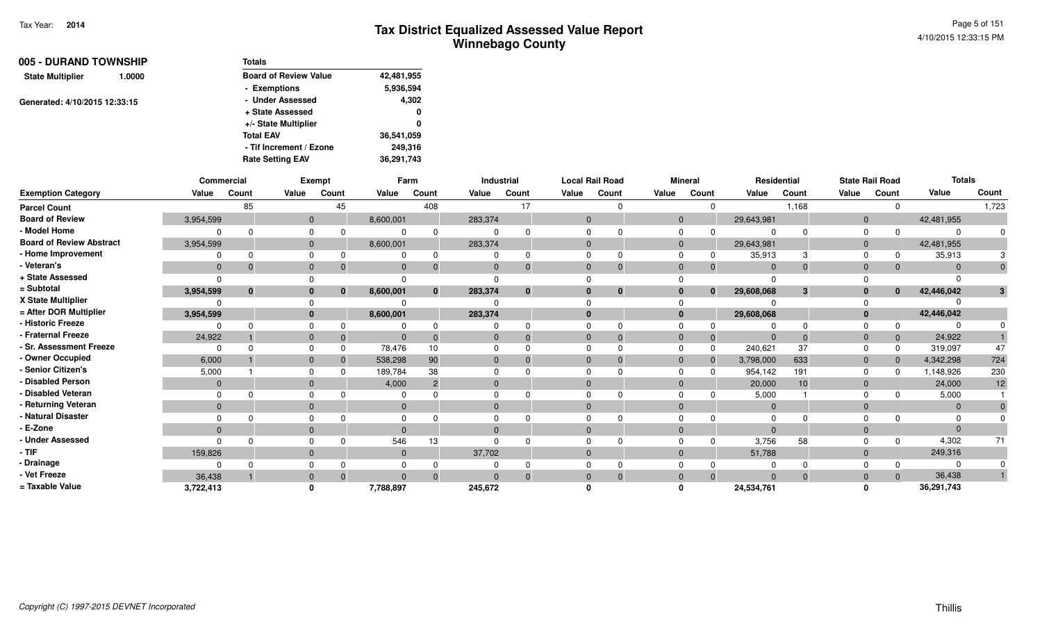| 005 - DURAND TOWNSHIP             | <b>Totals</b>                |            |
|-----------------------------------|------------------------------|------------|
| <b>State Multiplier</b><br>1.0000 | <b>Board of Review Value</b> | 42,481,955 |
|                                   | - Exemptions                 | 5,936,594  |
| Generated: 4/10/2015 12:33:15     | - Under Assessed             | 4,302      |
|                                   | + State Assessed             | 0          |
|                                   | +/- State Multiplier         | 0          |
|                                   | <b>Total EAV</b>             | 36,541,059 |
|                                   | - Tif Increment / Ezone      | 249,316    |
|                                   | <b>Rate Setting EAV</b>      | 36,291,743 |

|                                 | Commercial   |              |              | Exempt   |              | Farm            |          | Industrial   |              | <b>Local Rail Road</b> |              | <b>Mineral</b> |                | Residential |                | <b>State Rail Road</b> | <b>Totals</b> |       |
|---------------------------------|--------------|--------------|--------------|----------|--------------|-----------------|----------|--------------|--------------|------------------------|--------------|----------------|----------------|-------------|----------------|------------------------|---------------|-------|
| <b>Exemption Category</b>       | Value        | Count        | Value        | Count    | Value        | Count           | Value    | Count        | Value        | Count                  | Value        | Count          | Value          | Count       | Value          | Count                  | Value         | Count |
| <b>Parcel Count</b>             |              | 85           |              | 45       |              | 408             |          | 17           |              |                        |              |                |                | 1,168       |                | $\Omega$               |               | 1,723 |
| <b>Board of Review</b>          | 3,954,599    |              | $\mathbf{0}$ |          | 8,600,001    |                 | 283,374  |              | $\Omega$     |                        | $\mathbf{0}$ |                | 29,643,981     |             | $\mathbf{0}$   |                        | 42,481,955    |       |
| - Model Home                    |              |              |              |          |              |                 |          |              |              |                        | $\Omega$     |                |                |             |                |                        |               |       |
| <b>Board of Review Abstract</b> | 3,954,599    |              | $\Omega$     |          | 8,600,001    |                 | 283,374  |              | $\Omega$     |                        | $\mathbf{0}$ |                | 29,643,981     |             | $\mathbf{0}$   |                        | 42,481,955    |       |
| - Home Improvement              |              |              |              |          |              | 0               |          |              |              |                        |              |                | 35,913         |             | $\Omega$       |                        | 35,913        |       |
| - Veteran's                     | $\Omega$     | $\Omega$     |              |          | $\Omega$     | $\Omega$        |          | 0            | $\Omega$     | $\Omega$               | $\Omega$     | 0              | $\Omega$       | $\Omega$    | $\Omega$       | $\mathbf{0}$           |               |       |
| + State Assessed                | $\Omega$     |              |              |          |              |                 |          |              |              |                        |              |                |                |             |                |                        |               |       |
| = Subtotal                      | 3,954,599    | $\mathbf{0}$ |              | $\Omega$ | 8,600,001    | $\mathbf{0}$    | 283,374  | $\mathbf{0}$ | $\mathbf{0}$ | $\mathbf{0}$           | $\bf{0}$     | $\mathbf{0}$   | 29,608,068     | 3           | $\bf{0}$       | $\mathbf{0}$           | 42,446,042    | 3     |
| X State Multiplier              |              |              |              |          |              |                 |          |              |              |                        |              |                |                |             |                |                        |               |       |
| = After DOR Multiplier          | 3,954,599    |              |              |          | 8,600,001    |                 | 283,374  |              | $\mathbf{0}$ |                        | $\bf{0}$     |                | 29,608,068     |             | $\Omega$       |                        | 42,446,042    |       |
| - Historic Freeze               |              |              |              |          |              |                 |          |              |              |                        |              |                |                |             |                | $\Omega$               |               |       |
| - Fraternal Freeze              | 24,922       |              |              |          | $\mathbf{0}$ | $\Omega$        |          | $\Omega$     | $\Omega$     | $\Omega$               | $\Omega$     | -0             | - 0            | $\Omega$    | $\overline{0}$ | $\mathbf 0$            | 24,922        |       |
| <b>Sr. Assessment Freeze</b>    | $\Omega$     |              |              |          | 78,476       | 10 <sup>1</sup> |          |              |              |                        | $\Omega$     | 0              | 240,621        | 37          |                | $\Omega$               | 319,097       | 47    |
| - Owner Occupied                | 6,000        |              |              |          | 538,298      | 90              |          |              | $\Omega$     |                        | $\Omega$     | $\Omega$       | 3,798,000      | 633         | $\Omega$       | $\Omega$               | 4,342,298     | 724   |
| - Senior Citizen's              | 5,000        |              |              |          | 189,784      | 38              |          |              |              |                        |              |                | 954,142        | 191         | $\Omega$       | <sup>0</sup>           | 1,148,926     | 230   |
| <b>Disabled Person</b>          | $\Omega$     |              |              |          | 4,000        | $\overline{2}$  |          |              | $\Omega$     |                        | $\Omega$     |                | 20,000         | 10          | $\Omega$       |                        | 24,000        | 12    |
| - Disabled Veteran              | $\Omega$     |              |              |          |              |                 |          |              |              |                        |              |                | 5,000          |             |                |                        | 5,000         |       |
| - Returning Veteran             | $\mathbf{0}$ |              | $\Omega$     |          | $\mathbf{0}$ |                 | $\Omega$ |              | $\Omega$     |                        | $\Omega$     |                | $\overline{0}$ |             | $\Omega$       |                        | $\Omega$      |       |
| - Natural Disaster              |              |              |              |          |              |                 |          |              |              |                        |              |                |                |             |                |                        |               |       |
| - E-Zone                        | $\Omega$     |              |              |          |              |                 |          |              | $\Omega$     |                        | $\Omega$     |                |                |             | $\Omega$       |                        |               |       |
| <b>Under Assessed</b>           | $\Omega$     | n            |              |          | 546          | 13              |          |              |              |                        |              |                | 3.756          | 58          |                | $\Omega$               | 4,302         | 71    |
| - TIF                           | 159,826      |              |              |          | $\mathbf{0}$ |                 | 37,702   |              | $\Omega$     |                        | $\Omega$     |                | 51,788         |             | $\Omega$       |                        | 249,316       |       |
| - Drainage                      |              |              |              |          |              |                 |          |              |              |                        |              |                |                |             |                | 0                      |               |       |
| - Vet Freeze                    | 36,438       |              |              |          | $\Omega$     | $\Omega$        |          |              | $\Omega$     |                        | $\Omega$     |                |                |             | $\Omega$       | $\Omega$               | 36,438        |       |
| = Taxable Value                 | 3,722,413    |              |              |          | 7,788,897    |                 | 245,672  |              |              |                        |              |                | 24,534,761     |             |                |                        | 36,291,743    |       |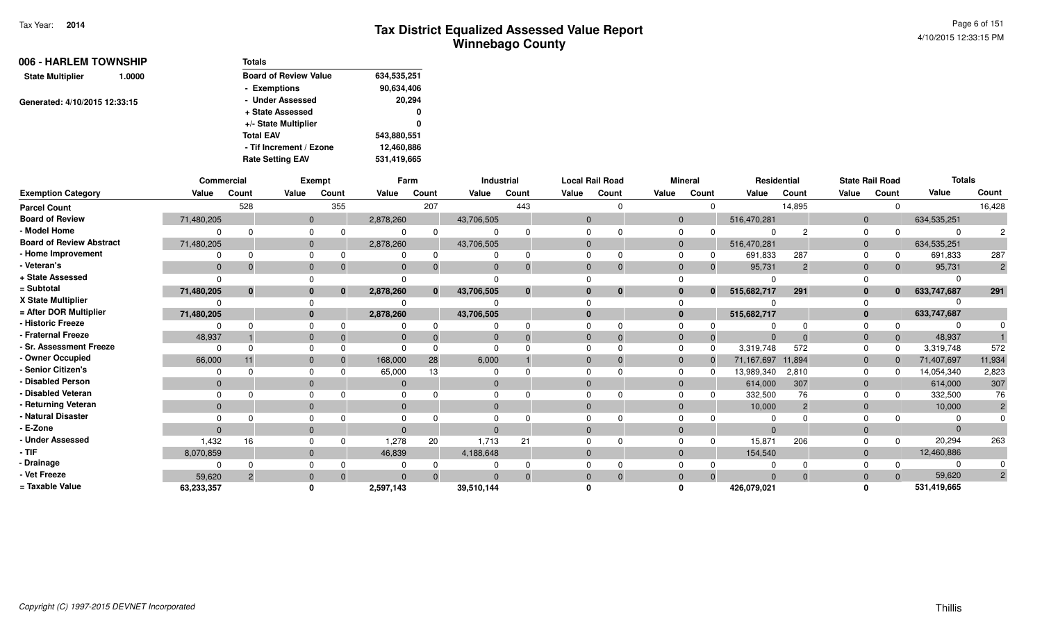| 006 - HARLEM TOWNSHIP             | <b>Totals</b>                |             |
|-----------------------------------|------------------------------|-------------|
| <b>State Multiplier</b><br>1.0000 | <b>Board of Review Value</b> | 634,535,251 |
|                                   | - Exemptions                 | 90,634,406  |
| Generated: 4/10/2015 12:33:15     | - Under Assessed             | 20,294      |
|                                   | + State Assessed             | 0           |
|                                   | +/- State Multiplier         | 0           |
|                                   | <b>Total EAV</b>             | 543,880,551 |
|                                   | - Tif Increment / Ezone      | 12,460,886  |
|                                   | <b>Rate Setting EAV</b>      | 531,419,665 |

|                                 | Commercial     |                |              | Exempt   |              | Farm         |              | Industrial     |          | <b>Local Rail Road</b> |              | Mineral  | Residential |                |                | <b>State Rail Road</b> | <b>Totals</b> |                |
|---------------------------------|----------------|----------------|--------------|----------|--------------|--------------|--------------|----------------|----------|------------------------|--------------|----------|-------------|----------------|----------------|------------------------|---------------|----------------|
| <b>Exemption Category</b>       | Value          | Count          | Value        | Count    | Value        | Count        | Value        | Count          | Value    | Count                  | Value        | Count    | Value       | Count          | Value          | Count                  | Value         | Count          |
| <b>Parcel Count</b>             |                | 528            |              | 355      |              | 207          |              | 443            |          |                        |              | $\Omega$ |             | 14,895         |                |                        |               | 16,428         |
| <b>Board of Review</b>          | 71,480,205     |                | $\mathbf{0}$ |          | 2,878,260    |              | 43,706,505   |                | $\Omega$ |                        | $\mathbf{0}$ |          | 516,470,281 |                | $\overline{0}$ |                        | 634,535,251   |                |
| - Model Home                    |                | $\Omega$       |              |          |              |              |              |                |          |                        | $\Omega$     |          |             |                |                |                        | $\Omega$      |                |
| <b>Board of Review Abstract</b> | 71,480,205     |                | $\mathbf{0}$ |          | 2,878,260    |              | 43,706,505   |                |          |                        | $\Omega$     |          | 516,470,281 |                | $\overline{0}$ |                        | 634,535,251   |                |
| - Home Improvement              |                | $\Omega$       | $\Omega$     |          | $\Omega$     |              |              | $\Omega$       |          |                        |              | 0        | 691,833     | 287            |                |                        | 691,833       | 287            |
| - Veteran's                     | $\overline{0}$ | $\Omega$       | $\mathbf{0}$ |          | $\mathbf{0}$ |              |              | $\Omega$       |          |                        | $\Omega$     | 0        | 95,731      | $\overline{2}$ | $\Omega$       | $\Omega$               | 95,731        | $\overline{2}$ |
| + State Assessed                |                |                |              |          |              |              |              |                |          |                        |              |          |             |                |                |                        | $\Omega$      |                |
| = Subtotal                      | 71,480,205     | $\mathbf{0}$   |              | $\Omega$ | 2,878,260    | $\mathbf{0}$ | 43,706,505   | $\bf{0}$       |          | $\bf{0}$               | $\bf{0}$     | $\bf{0}$ | 515,682,717 | 291            | $\mathbf{0}$   | $\bf{0}$               | 633,747,687   | 291            |
| X State Multiplier              |                |                |              |          |              |              |              |                |          |                        |              |          |             |                |                |                        |               |                |
| = After DOR Multiplier          | 71,480,205     |                | $\bf{0}$     |          | 2,878,260    |              | 43,706,505   |                |          |                        | $\mathbf{0}$ |          | 515,682,717 |                | $\bf{0}$       |                        | 633,747,687   |                |
| - Historic Freeze               |                | $\Omega$       |              |          |              |              |              |                |          |                        |              |          |             |                |                |                        |               |                |
| - Fraternal Freeze              | 48,937         |                | $\mathbf{0}$ |          | $\mathbf{0}$ |              |              |                |          |                        | $\Omega$     | 0        |             |                | $\Omega$       |                        | 48,937        |                |
| - Sr. Assessment Freeze         | $\Omega$       | $\Omega$       | $\Omega$     |          | $\Omega$     |              |              |                |          |                        | $\Omega$     | $\Omega$ | 3,319,748   | 572            |                |                        | 3,319,748     | 572            |
| - Owner Occupied                | 66,000         | 11             | $\Omega$     |          | 168,000      | 28           | 6,000        |                |          |                        | $\Omega$     | $\Omega$ | 71,167,697  | 11,894         | $\Omega$       |                        | 71,407,697    | 11,934         |
| - Senior Citizen's              |                |                |              |          | 65,000       | 13           |              |                |          |                        |              |          | 13,989,340  | 2,810          |                |                        | 14,054,340    | 2,823          |
| - Disabled Person               | $\mathbf{0}$   |                | $\mathbf{0}$ |          | $\Omega$     |              | $\mathbf{0}$ |                |          |                        | $\Omega$     |          | 614,000     | 307            | $\Omega$       |                        | 614,000       | 307            |
| - Disabled Veteran              |                | $\Omega$       |              |          | $\Omega$     |              |              |                |          |                        | $\Omega$     |          | 332,500     | 76             |                |                        | 332,500       | 76             |
| - Returning Veteran             | $\Omega$       |                | $\Omega$     |          | $\Omega$     |              | $\Omega$     |                | $\Omega$ |                        | $\Omega$     |          | 10,000      | $\overline{2}$ | $\Omega$       |                        | 10,000        |                |
| - Natural Disaster              |                |                |              |          |              |              |              |                |          |                        |              |          |             |                |                |                        |               |                |
| - E-Zone                        | $\Omega$       |                | $\Omega$     |          | $\Omega$     |              |              |                |          |                        | $\Omega$     |          | $\sqrt{ }$  |                | $\Omega$       |                        | $\Omega$      |                |
| - Under Assessed                | 1,432          | 16             |              |          | 1,278        | 20           | 1,713        | 2 <sup>1</sup> |          |                        |              |          | 15,871      | 206            |                |                        | 20,294        | 263            |
| $-$ TIF                         | 8,070,859      |                | $\Omega$     |          | 46,839       |              | 4,188,648    |                |          |                        | $\Omega$     |          | 154,540     |                | $\Omega$       |                        | 12,460,886    |                |
| - Drainage                      |                | $\Omega$       |              |          |              |              |              |                |          |                        |              |          |             |                |                |                        |               |                |
| - Vet Freeze                    | 59,620         | $\overline{2}$ | $\mathbf{0}$ |          | $\Omega$     | $\Omega$     |              | $\Omega$       |          | $\Omega$               | $\Omega$     | $\Omega$ | $\Omega$    | $\Omega$       | $\Omega$       | $\Omega$               | 59,620        | $\overline{2}$ |
| = Taxable Value                 | 63,233,357     |                |              |          | 2,597,143    |              | 39,510,144   |                |          |                        |              |          | 426,079,021 |                |                |                        | 531,419,665   |                |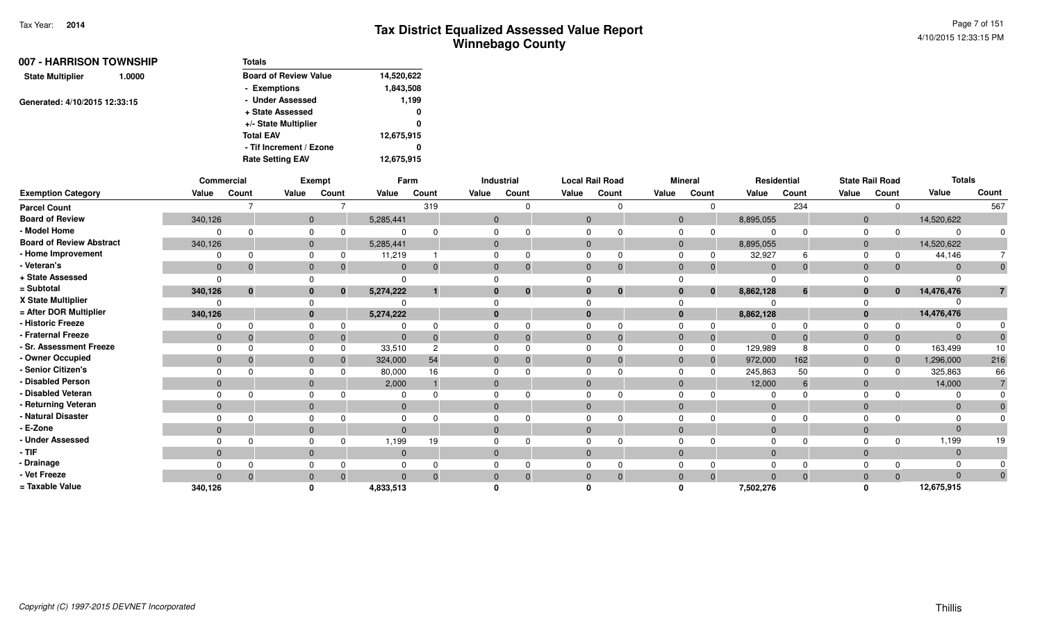| 007 - HARRISON TOWNSHIP           | <b>Totals</b>                |            |
|-----------------------------------|------------------------------|------------|
| <b>State Multiplier</b><br>1.0000 | <b>Board of Review Value</b> | 14,520,622 |
|                                   | - Exemptions                 | 1,843,508  |
| Generated: 4/10/2015 12:33:15     | - Under Assessed             | 1,199      |
|                                   | + State Assessed             | 0          |
|                                   | +/- State Multiplier         | 0          |
|                                   | <b>Total EAV</b>             | 12,675,915 |
|                                   | - Tif Increment / Ezone      | 0          |
|                                   | <b>Rate Setting EAV</b>      | 12,675,915 |

|                                 |              | <b>Commercial</b> |                | Exempt   |              | Farm           |                | Industrial  | <b>Local Rail Road</b> |          |              | <b>Mineral</b> | <b>Residential</b> |       |                | <b>State Rail Road</b> | <b>Totals</b> |       |
|---------------------------------|--------------|-------------------|----------------|----------|--------------|----------------|----------------|-------------|------------------------|----------|--------------|----------------|--------------------|-------|----------------|------------------------|---------------|-------|
| <b>Exemption Category</b>       | Value        | Count             | Value          | Count    | Value        | Count          | Value          | Count       | Value                  | Count    | Value        | Count          | Value              | Count | Value          | Count                  | Value         | Count |
| <b>Parcel Count</b>             |              |                   |                |          |              | 319            |                | $\Omega$    |                        | 0        |              | $\Omega$       |                    | 234   |                | $\Omega$               |               | 567   |
| <b>Board of Review</b>          | 340,126      |                   | $\mathbf{0}$   |          | 5,285,441    |                | $\overline{0}$ |             | $\mathbf{0}$           |          | $\mathbf{0}$ |                | 8,895,055          |       | $\overline{0}$ |                        | 14,520,622    |       |
| - Model Home                    |              |                   | $\Omega$       |          |              |                |                |             |                        |          | $\Omega$     | 0              |                    |       | $\Omega$       |                        |               |       |
| <b>Board of Review Abstract</b> | 340,126      |                   | $\mathbf{0}$   |          | 5,285,441    |                | $\mathbf{0}$   |             | $\mathbf{0}$           |          | $\mathbf{0}$ |                | 8,895,055          |       | $\overline{0}$ |                        | 14,520,622    |       |
| - Home Improvement              |              |                   |                |          | 11,219       |                |                |             |                        |          |              |                | 32,927             |       | $\Omega$       |                        | 44,146        |       |
| - Veteran's                     | $\mathbf 0$  | $\mathbf 0$       | $\mathbf{0}$   |          | $\mathbf{0}$ | 0              |                | $\mathbf 0$ | $\Omega$               | 0        | $\Omega$     | $\mathbf 0$    | $\Omega$           |       | $\Omega$       | $\mathbf{0}$           |               |       |
| + State Assessed                | $\Omega$     |                   |                |          | $\Omega$     |                |                |             |                        |          |              |                | O                  |       |                |                        |               |       |
| = Subtotal                      | 340,126      | $\mathbf{0}$      | $\mathbf{0}$   | $\bf{0}$ | 5,274,222    |                |                | $\bf{0}$    |                        | $\bf{0}$ | $\bf{0}$     | $\mathbf{0}$   | 8,862,128          | 6     | 0              | $\mathbf{0}$           | 14,476,476    |       |
| X State Multiplier              | $\Omega$     |                   |                |          |              |                |                |             |                        |          |              |                |                    |       |                |                        |               |       |
| = After DOR Multiplier          | 340,126      |                   | $\bf{0}$       |          | 5,274,222    |                |                |             |                        |          | $\Omega$     |                | 8,862,128          |       | $\mathbf{0}$   |                        | 14,476,476    |       |
| - Historic Freeze               | $\Omega$     |                   | $\Omega$       |          |              |                |                |             |                        |          |              |                |                    |       | $\Omega$       |                        |               |       |
| - Fraternal Freeze              | $\mathbf{0}$ | $\Omega$          | $\mathbf{0}$   |          | $\mathbf{0}$ |                |                | $\Omega$    | 0                      |          | $\Omega$     | $\overline{0}$ | $\overline{0}$     |       | $\Omega$       | $\mathbf 0$            | $\Omega$      |       |
| - Sr. Assessment Freeze         | $\Omega$     |                   | $\Omega$       |          | 33,510       | $\overline{c}$ |                |             |                        |          |              | $\Omega$       | 129,989            |       |                | 0                      | 163,499       | 10    |
| - Owner Occupied                | $\mathbf{0}$ | $\Omega$          | $\overline{0}$ |          | 324,000      | 54             |                |             |                        |          | $\Omega$     | 0              | 972,000            | 162   | $\Omega$       | $\mathbf{0}$           | 1,296,000     | 216   |
| - Senior Citizen's              | $\Omega$     |                   | $\Omega$       |          | 80,000       | 16             |                |             |                        |          |              | $\Omega$       | 245,863            | 50    | $\Omega$       | $\Omega$               | 325,863       | 66    |
| - Disabled Person               | $\mathbf{0}$ |                   | $\overline{0}$ |          | 2,000        |                |                |             |                        |          | $\Omega$     |                | 12,000             | 6     | $\Omega$       |                        | 14,000        |       |
| - Disabled Veteran              | $\Omega$     | ∩                 | $\Omega$       |          |              |                |                |             |                        |          |              |                |                    |       | $\Omega$       |                        |               |       |
| - Returning Veteran             | $\mathbf{0}$ |                   | $\overline{0}$ |          | $\mathbf{0}$ |                | $\Omega$       |             |                        |          | $\Omega$     |                | $\Omega$           |       | $\Omega$       |                        |               |       |
| - Natural Disaster              | $\Omega$     |                   |                |          |              |                |                |             |                        |          |              |                |                    |       |                |                        |               |       |
| - E-Zone                        | $\mathbf{0}$ |                   | $\Omega$       |          | $\Omega$     |                |                |             |                        |          | $\Omega$     |                |                    |       | $\Omega$       |                        | $\Omega$      |       |
| - Under Assessed                | $\Omega$     |                   | $\Omega$       |          | 1,199        | 19             |                |             |                        |          |              |                |                    |       |                | $\Omega$               | 1,199         | 19    |
| - TIF                           | $\mathbf{0}$ |                   | $\mathbf{0}$   |          | $\mathbf{0}$ |                | $\mathbf{0}$   |             | $\mathbf{0}$           |          | $\Omega$     |                | $\overline{0}$     |       | $\Omega$       |                        | $\Omega$      |       |
| - Drainage                      |              |                   |                |          |              |                |                |             |                        |          |              |                | $\Omega$           |       |                |                        |               |       |
| - Vet Freeze                    | $\Omega$     | $\Omega$          | $\mathbf{0}$   |          | $\Omega$     |                |                |             |                        |          | $\Omega$     | $\Omega$       |                    |       | $\Omega$       | $\Omega$               | $\Omega$      | 0     |
| = Taxable Value                 | 340,126      |                   |                |          | 4,833,513    |                |                |             |                        |          |              |                | 7,502,276          |       |                |                        | 12,675,915    |       |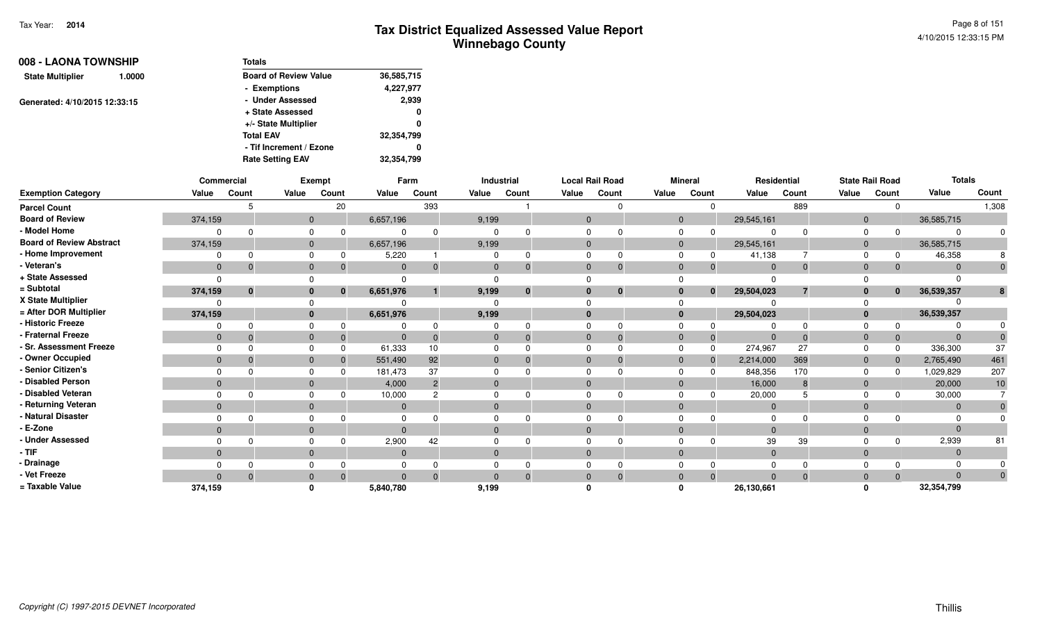Page 8 of 1514/10/2015 12:33:15 PM

| 008 - LAONA TOWNSHIP              | <b>Totals</b>                |            |
|-----------------------------------|------------------------------|------------|
| <b>State Multiplier</b><br>1.0000 | <b>Board of Review Value</b> | 36,585,715 |
|                                   | - Exemptions                 | 4,227,977  |
| Generated: 4/10/2015 12:33:15     | - Under Assessed             | 2,939      |
|                                   | + State Assessed             | 0          |
|                                   | +/- State Multiplier         | 0          |
|                                   | <b>Total EAV</b>             | 32,354,799 |
|                                   | - Tif Increment / Ezone      | 0          |
|                                   | <b>Rate Setting EAV</b>      | 32.354.799 |

|                                 |              | Commercial   |              | Exempt   |              | Farm           |              | Industrial  |                | <b>Local Rail Road</b> |       | <b>Mineral</b> |              | Residential |              | <b>State Rail Road</b> | <b>Totals</b> |          |
|---------------------------------|--------------|--------------|--------------|----------|--------------|----------------|--------------|-------------|----------------|------------------------|-------|----------------|--------------|-------------|--------------|------------------------|---------------|----------|
| <b>Exemption Category</b>       | Value        | Count        | Value        | Count    | Value        | Count          | Value        | Count       | Value          | Count                  | Value | Count          | Value        | Count       | Value        | Count                  | Value         | Count    |
| <b>Parcel Count</b>             |              |              |              | 20       |              | 393            |              |             |                |                        |       | $\Omega$       |              | 889         |              | 0                      |               | 1,308    |
| <b>Board of Review</b>          | 374,159      |              | $\mathbf{0}$ |          | 6,657,196    |                | 9,199        |             | $\Omega$       |                        |       | $\mathbf{0}$   | 29,545,161   |             | $\mathbf{0}$ |                        | 36,585,715    |          |
| - Model Home                    |              |              | $\Omega$     |          |              | $\Omega$       |              |             |                |                        |       |                |              |             |              |                        |               |          |
| <b>Board of Review Abstract</b> | 374,159      |              | $\mathbf{0}$ |          | 6,657,196    |                | 9,199        |             |                |                        |       |                | 29,545,161   |             | 0            |                        | 36,585,715    |          |
| - Home Improvement              | $\Omega$     |              | $\Omega$     |          | 5,220        |                |              | O           |                |                        |       |                | 41,138       |             | $\Omega$     | 0                      | 46,358        |          |
| - Veteran's                     | $\mathbf{0}$ |              | $\mathbf{0}$ |          | $\mathbf{0}$ | $\mathbf{0}$   | $\mathbf{0}$ | $\Omega$    | $\overline{0}$ | $\Omega$               |       |                | $\mathbf{0}$ |             | 0            |                        |               |          |
| + State Assessed                | $\Omega$     |              |              |          | <sup>n</sup> |                |              |             |                |                        |       |                |              |             |              |                        |               |          |
| = Subtotal                      | 374,159      | $\mathbf{0}$ | $\mathbf{0}$ | $\bf{0}$ | 6,651,976    |                | 9,199        | $\mathbf 0$ |                | $\bf{0}$               |       | $\bf{0}$       | 29,504,023   |             |              | $\bf{0}$               | 36,539,357    |          |
| X State Multiplier              |              |              | $\Omega$     |          |              |                |              |             |                |                        |       |                |              |             |              |                        |               |          |
| = After DOR Multiplier          | 374,159      |              | $\mathbf{0}$ |          | 6,651,976    |                | 9,199        |             |                |                        |       |                | 29,504,023   |             |              |                        | 36,539,357    |          |
| - Historic Freeze               |              |              |              |          |              |                |              |             |                |                        |       |                |              |             |              |                        |               |          |
| - Fraternal Freeze              | $\mathbf{0}$ |              | $\mathbf{0}$ |          | $\Omega$     |                | $\Omega$     |             |                |                        |       |                |              |             |              |                        |               |          |
| <b>Sr. Assessment Freeze</b>    |              |              | $\Omega$     |          | 61,333       | 10             |              |             |                |                        |       |                | 274,967      | 27          |              | $\Omega$               | 336,300       | 37       |
| - Owner Occupied                | $\mathbf{0}$ |              | $\Omega$     |          | 551,490      | 92             | $\Omega$     |             | $\Omega$       |                        |       |                | 2,214,000    | 369         | $\mathbf{0}$ | $\Omega$               | 2,765,490     | 461      |
| Senior Citizen's                |              |              |              |          | 181,473      | 37             |              |             |                |                        |       |                | 848,356      | 170         |              |                        | 1,029,829     | 207      |
| <b>Disabled Person</b>          | $\mathbf{0}$ |              | $\Omega$     |          | 4,000        | $\overline{2}$ | $\Omega$     |             |                |                        |       |                | 16,000       |             | $\Omega$     |                        | 20,000        | 10       |
| <b>Disabled Veteran</b>         |              |              | $\Omega$     |          | 10,000       |                |              |             |                |                        |       |                | 20,000       |             |              |                        | 30,000        |          |
| Returning Veteran               | $\mathbf{0}$ |              | $\mathbf{0}$ |          | $\mathbf{0}$ |                | $\Omega$     |             |                |                        |       |                |              |             | 0            |                        |               |          |
| <b>Natural Disaster</b>         |              |              |              |          | 0            |                |              |             |                |                        |       |                |              |             |              |                        |               |          |
| E-Zone                          | $\mathbf{0}$ |              | $\Omega$     |          | $\Omega$     |                | $\Omega$     |             |                |                        |       |                |              |             |              |                        |               |          |
| <b>Under Assessed</b>           |              |              |              |          | 2,900        | 42             |              |             |                |                        |       |                | 39           | 39          |              |                        | 2,939         | 81       |
| - TIF                           | $\Omega$     |              | $\Omega$     |          | $\Omega$     |                | $\Omega$     |             |                |                        |       |                |              |             |              |                        |               |          |
| Drainage                        | $\Omega$     |              | $\Omega$     |          | $\Omega$     |                |              |             |                |                        |       |                |              |             |              |                        |               |          |
| Vet Freeze                      | $\Omega$     | $\Omega$     | $\mathbf{0}$ | $\Omega$ | $\Omega$     | $\Omega$       | $\Omega$     | $\Omega$    | $\Omega$       | $\Omega$               |       | $\Omega$       | $\Omega$     |             | $\Omega$     | $\Omega$               |               | $\Omega$ |
| = Taxable Value                 | 374,159      |              | 0            |          | 5,840,780    |                | 9,199        |             |                |                        |       |                | 26,130,661   |             |              |                        | 32,354,799    |          |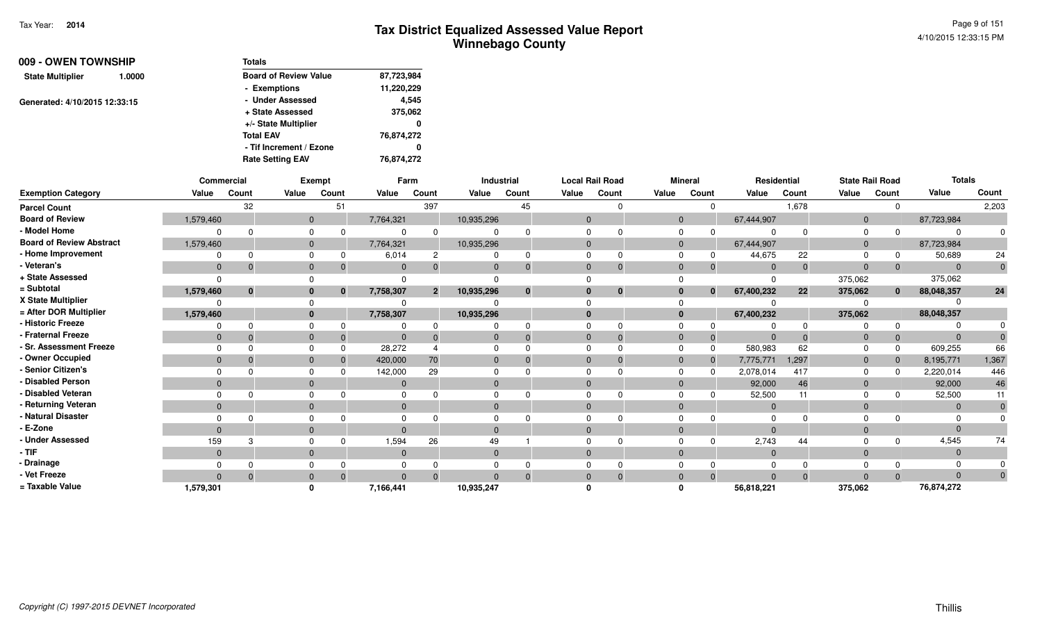| 009 - OWEN TOWNSHIP               | <b>Totals</b>                              |
|-----------------------------------|--------------------------------------------|
| <b>State Multiplier</b><br>1.0000 | <b>Board of Review Value</b><br>87,723,984 |
|                                   | 11,220,229<br>- Exemptions                 |
| Generated: 4/10/2015 12:33:15     | - Under Assessed<br>4,545                  |
|                                   | 375,062<br>+ State Assessed                |
|                                   | +/- State Multiplier<br>0                  |
|                                   | <b>Total EAV</b><br>76,874,272             |
|                                   | - Tif Increment / Ezone<br>0               |
|                                   | 76,874,272<br><b>Rate Setting EAV</b>      |

|                                 |              | <b>Commercial</b> |                | <b>Exempt</b> |              | Farm           |              | Industrial   |                | <b>Local Rail Road</b> |                | <b>Mineral</b>           |                | Residential | <b>State Rail Road</b> |              | <b>Totals</b> |              |
|---------------------------------|--------------|-------------------|----------------|---------------|--------------|----------------|--------------|--------------|----------------|------------------------|----------------|--------------------------|----------------|-------------|------------------------|--------------|---------------|--------------|
| <b>Exemption Category</b>       | Value        | Count             | Value          | Count         | Value        | Count          | Value        | Count        | Value          | Count                  | Value          | Count                    | Value          | Count       | Value                  | Count        | Value         | Count        |
| <b>Parcel Count</b>             |              | 32                |                | 51            |              | 397            |              | 45           |                | $\Omega$               |                | $\mathbf 0$              |                | 1,678       |                        | $\mathbf 0$  |               | 2,203        |
| <b>Board of Review</b>          | 1,579,460    |                   |                | $\mathbf{0}$  | 7,764,321    |                | 10,935,296   |              | $\mathbf{0}$   |                        |                | $\mathbf{0}$             | 67,444,907     |             | $\mathbf 0$            |              | 87,723,984    |              |
| - Model Home                    |              |                   |                | 0             |              |                |              |              | $\Omega$       |                        | $\mathbf 0$    | 0                        | $\Omega$       | $\Omega$    | $\Omega$               | <sup>0</sup> |               |              |
| <b>Board of Review Abstract</b> | 1,579,460    |                   |                | $\mathbf{0}$  | 7,764,321    |                | 10,935,296   |              | $\overline{0}$ |                        |                | $\overline{0}$           | 67,444,907     |             | $\mathbf{0}$           |              | 87,723,984    |              |
| - Home Improvement              |              |                   |                | 0             | 6,014        | 2              |              |              | 0              |                        | $\Omega$       | 0                        | 44,675         | 22          | $\Omega$               | 0            | 50,689        | 24           |
| - Veteran's                     | $\mathbf{0}$ |                   |                | $\mathbf{0}$  | $\Omega$     |                | $\mathbf{0}$ |              | $\mathbf 0$    | $\Omega$               |                | $\mathbf{0}$<br>$\Omega$ | $\overline{0}$ | $\Omega$    | $\mathbf{0}$           | $\Omega$     | $\Omega$      | $\mathbf{0}$ |
| + State Assessed                |              |                   |                |               |              |                |              |              |                |                        |                |                          | $\Omega$       |             | 375,062                |              | 375,062       |              |
| = Subtotal                      | 1,579,460    | $\bf{0}$          |                | $\bf{0}$      | 7,758,307    | $\overline{2}$ | 10,935,296   | $\mathbf{0}$ | $\mathbf{0}$   | $\bf{0}$               |                | $\bf{0}$<br>$\mathbf{0}$ | 67,400,232     | 22          | 375,062                | $\bf{0}$     | 88,048,357    | 24           |
| X State Multiplier              |              |                   |                |               |              |                |              |              |                |                        |                |                          |                |             |                        |              |               |              |
| = After DOR Multiplier          | 1,579,460    |                   |                | $\bf{0}$      | 7,758,307    |                | 10,935,296   |              | $\bf{0}$       |                        |                | $\mathbf{0}$             | 67,400,232     |             | 375,062                |              | 88,048,357    |              |
| - Historic Freeze               |              |                   |                | 0             |              |                |              |              | $\Omega$       |                        | $\mathbf 0$    |                          | 0              | $\Omega$    |                        | $\Omega$     |               |              |
| - Fraternal Freeze              | $\mathbf{0}$ |                   |                | $\mathbf{0}$  | $\mathbf{0}$ |                | $\mathbf{0}$ |              | $\mathbf 0$    | $\Omega$               | $\overline{0}$ | $\Omega$                 | $\overline{0}$ | $\Omega$    | $\mathbf{0}$           | $\Omega$     |               |              |
| - Sr. Assessment Freeze         | $\Omega$     |                   |                | $\Omega$      | 28,272       |                | $\Omega$     |              | $\Omega$       |                        | $\Omega$       | $\Omega$                 | 580,983        | 62          | $\Omega$               | $\Omega$     | 609,255       | 66           |
| - Owner Occupied                | $\Omega$     |                   |                | $\Omega$      | 420,000      | 70             | $\mathbf{0}$ |              | $\Omega$       |                        |                | $\mathbf{0}$<br>$\Omega$ | 7,775,771      | 1,297       | $\mathbf 0$            | $\Omega$     | 8,195,771     | 1,367        |
| - Senior Citizen's              |              |                   |                | 0             | 142,000      | 29             | $\Omega$     |              | $\Omega$       |                        | $\Omega$       | $\Omega$                 | 2,078,014      | 417         | 0                      | $\Omega$     | 2,220,014     | 446          |
| - Disabled Person               | $\Omega$     |                   |                | $\mathbf{0}$  | $\mathbf{0}$ |                | $\mathbf{0}$ |              | $\Omega$       |                        |                | $\mathbf{0}$             | 92,000         | 46          | $\mathbf{0}$           |              | 92,000        | 46           |
| - Disabled Veteran              |              |                   |                | 0             |              |                | $\Omega$     |              | $\Omega$       |                        | $\Omega$       |                          | 52,500         | 11          | $\Omega$               | $\Omega$     | 52,500        | 11           |
| - Returning Veteran             | $\mathbf{0}$ |                   |                | $\mathbf{0}$  | $\mathbf{0}$ |                | $\mathbf 0$  |              | $\mathbf{0}$   |                        |                | $\mathbf{0}$             | $\mathbf{0}$   |             | $\mathbf 0$            |              | $\Omega$      | $\mathbf 0$  |
| - Natural Disaster              |              |                   |                | 0             |              |                | $\Omega$     |              | $\Omega$       |                        | $\Omega$       |                          | $\Omega$       |             |                        |              |               |              |
| - E-Zone                        | $\Omega$     |                   |                | $\Omega$      |              |                | $\Omega$     |              | $\Omega$       |                        | $\Omega$       |                          | $\Omega$       |             | $\Omega$               |              |               |              |
| - Under Assessed                | 159          |                   |                | 0             | 1,594        | 26             | 49           |              | $\Omega$       |                        | $\Omega$       | $\Omega$                 | 2,743          | 44          |                        | $\Omega$     | 4,545         | 74           |
| - TIF                           | $\mathbf{0}$ |                   |                | $\mathbf 0$   | $\mathbf{0}$ |                | $\mathbf 0$  |              | $\mathbf 0$    |                        |                | $\mathbf{0}$             | $\overline{0}$ |             | $\mathbf 0$            |              | $\Omega$      |              |
| - Drainage                      |              |                   |                | 0             |              |                |              |              | 0              |                        |                | $\Omega$                 | $\Omega$       |             |                        |              |               |              |
| - Vet Freeze                    | $\Omega$     |                   | $\overline{0}$ |               | $\Omega$     |                |              |              |                | $\Omega$               | $\mathbf 0$    | $\Omega$                 | $\Omega$       | $\Omega$    | $\Omega$               | $\Omega$     | $\Omega$      |              |
| = Taxable Value                 | 1,579,301    |                   |                |               | 7,166,441    |                | 10,935,247   |              |                |                        | n              |                          | 56,818,221     |             | 375,062                |              | 76,874,272    |              |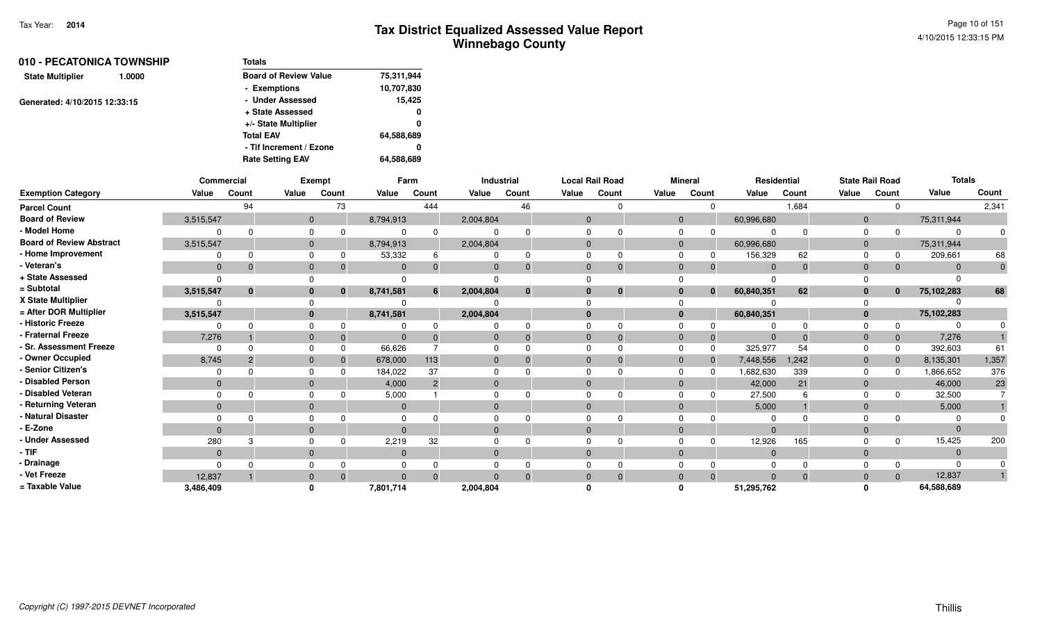| 010 - PECATONICA TOWNSHIP     | <b>Totals</b>                |            |
|-------------------------------|------------------------------|------------|
| 1.0000                        | <b>Board of Review Value</b> | 75,311,944 |
|                               | - Exemptions                 | 10,707,830 |
| Generated: 4/10/2015 12:33:15 | - Under Assessed             | 15,425     |
|                               | + State Assessed             | 0          |
|                               | +/- State Multiplier         | 0          |
|                               | <b>Total EAV</b>             | 64,588,689 |
|                               | - Tif Increment / Ezone      | 0          |
|                               | <b>Rate Setting EAV</b>      | 64,588,689 |
|                               |                              |            |

|                                 |              | <b>Commercial</b> |                | Exempt   |           | Farm           |           | Industrial | <b>Local Rail Road</b> |          |                | <b>Mineral</b> | Residential    |          |                | <b>State Rail Road</b> | <b>Totals</b> |       |
|---------------------------------|--------------|-------------------|----------------|----------|-----------|----------------|-----------|------------|------------------------|----------|----------------|----------------|----------------|----------|----------------|------------------------|---------------|-------|
| <b>Exemption Category</b>       | Value        | Count             | Value          | Count    | Value     | Count          | Value     | Count      | Value                  | Count    | Value          | Count          | Value          | Count    | Value          | Count                  | Value         | Count |
| <b>Parcel Count</b>             |              | 94                |                | 73       |           | 444            |           | 46         |                        |          |                | $\Omega$       |                | 1,684    |                |                        |               | 2,341 |
| <b>Board of Review</b>          | 3,515,547    |                   | $\mathbf{0}$   |          | 8,794,913 |                | 2,004,804 |            | $\Omega$               |          | $\overline{0}$ |                | 60,996,680     |          | $\overline{0}$ |                        | 75,311,944    |       |
| - Model Home                    |              | <sup>n</sup>      | $\Omega$       |          |           |                |           |            |                        |          | <sup>0</sup>   |                |                |          |                |                        | $\Omega$      |       |
| <b>Board of Review Abstract</b> | 3,515,547    |                   | $\mathbf{0}$   |          | 8,794,913 |                | 2,004,804 |            |                        |          | $\mathbf{0}$   |                | 60,996,680     |          | $\overline{0}$ |                        | 75,311,944    |       |
| - Home Improvement              | $\Omega$     | $\Omega$          | $\Omega$       |          | 53,332    | 6              |           | $\Omega$   |                        |          | <sup>0</sup>   |                | 156,329        | 62       |                |                        | 209,661       | 68    |
| - Veteran's                     | $\mathbf 0$  | $\Omega$          | $\mathbf{0}$   |          | $\Omega$  |                |           | $\Omega$   | $\Omega$               |          | $\Omega$       | 0              | $\Omega$       | $\Omega$ | $\Omega$       |                        | $\Omega$      |       |
| + State Assessed                | $\Omega$     |                   |                |          |           |                |           |            |                        |          |                |                |                |          |                |                        |               |       |
| = Subtotal                      | 3,515,547    | $\bf{0}$          | $\bf{0}$       | $\bf{0}$ | 8,741,581 | 6              | 2,004,804 | $\bf{0}$   |                        | $\bf{0}$ | $\bf{0}$       | $\bf{0}$       | 60,840,351     | 62       | $\bf{0}$       | $\mathbf{0}$           | 75,102,283    | 68    |
| X State Multiplier              |              |                   |                |          |           |                |           |            |                        |          |                |                |                |          |                |                        |               |       |
| = After DOR Multiplier          | 3,515,547    |                   | $\bf{0}$       |          | 8,741,581 |                | 2,004,804 |            |                        |          | $\bf{0}$       |                | 60,840,351     |          | $\bf{0}$       |                        | 75,102,283    |       |
| - Historic Freeze               | n            | <sup>n</sup>      |                |          |           |                |           |            |                        |          |                |                |                |          |                |                        |               |       |
| - Fraternal Freeze              | 7,276        |                   | $\mathbf 0$    |          | $\Omega$  |                |           | $\Omega$   |                        |          | $\Omega$       | -0             |                |          | $\Omega$       |                        | 7,276         |       |
| - Sr. Assessment Freeze         | $\Omega$     | $\Omega$          | $\Omega$       |          | 66,626    |                |           |            |                        |          | $\Omega$       | $\Omega$       | 325,977        | 54       |                |                        | 392,603       | 61    |
| - Owner Occupied                | 8,745        | $\overline{2}$    | $\mathbf{0}$   |          | 678,000   | 113            |           | $\Omega$   | $\Omega$               |          | $\Omega$       | $\mathbf{0}$   | 7,448,556      | 1,242    | $\Omega$       |                        | 8,135,301     | 1,357 |
| - Senior Citizen's              | $\Omega$     |                   |                |          | 184,022   | 37             |           |            |                        |          |                |                | 1,682,630      | 339      |                |                        | 1,866,652     | 376   |
| - Disabled Person               | $\mathbf{0}$ |                   | $\mathbf{0}$   |          | 4,000     | $\overline{2}$ | $\Omega$  |            | $\Omega$               |          | $\Omega$       |                | 42,000         | 21       | $\Omega$       |                        | 46,000        | 23    |
| - Disabled Veteran              | $\Omega$     | ∩                 | $\Omega$       |          | 5,000     |                |           |            |                        |          | $\Omega$       |                | 27,500         |          |                |                        | 32,500        |       |
| - Returning Veteran             | $\Omega$     |                   | $\Omega$       |          | $\Omega$  |                | $\Omega$  |            | $\Omega$               |          | $\Omega$       |                | 5,000          |          | $\Omega$       |                        | 5,000         |       |
| - Natural Disaster              |              |                   |                |          |           |                |           |            |                        |          |                |                |                |          |                |                        |               |       |
| - E-Zone                        | $\Omega$     |                   | $\mathbf{0}$   |          | $\Omega$  |                | $\Omega$  |            | $\Omega$               |          | $\Omega$       |                | $\Omega$       |          | $\Omega$       |                        | $\Omega$      |       |
| - Under Assessed                | 280          |                   |                |          | 2,219     | 32             |           |            |                        |          |                |                | 12,926         | 165      |                |                        | 15,425        | 200   |
| $-$ TIF                         | $\mathbf{0}$ |                   | $\overline{0}$ |          | $\Omega$  |                | $\Omega$  |            |                        |          | $\Omega$       |                | $\overline{0}$ |          | $\Omega$       |                        | $\Omega$      |       |
| - Drainage                      | $\Omega$     | $\Omega$          |                |          |           |                |           |            |                        |          |                |                |                |          |                |                        | $\Omega$      |       |
| - Vet Freeze                    | 12,837       |                   | $\mathbf{0}$   |          | $\Omega$  | $\Omega$       | $\Omega$  | $\Omega$   | $\Omega$               |          | $\Omega$       | $\Omega$       | $\Omega$       | $\Omega$ | $\Omega$       | $\Omega$               | 12,837        |       |
| = Taxable Value                 | 3,486,409    |                   | $\Omega$       |          | 7,801,714 |                | 2,004,804 |            |                        |          |                |                | 51,295,762     |          |                |                        | 64,588,689    |       |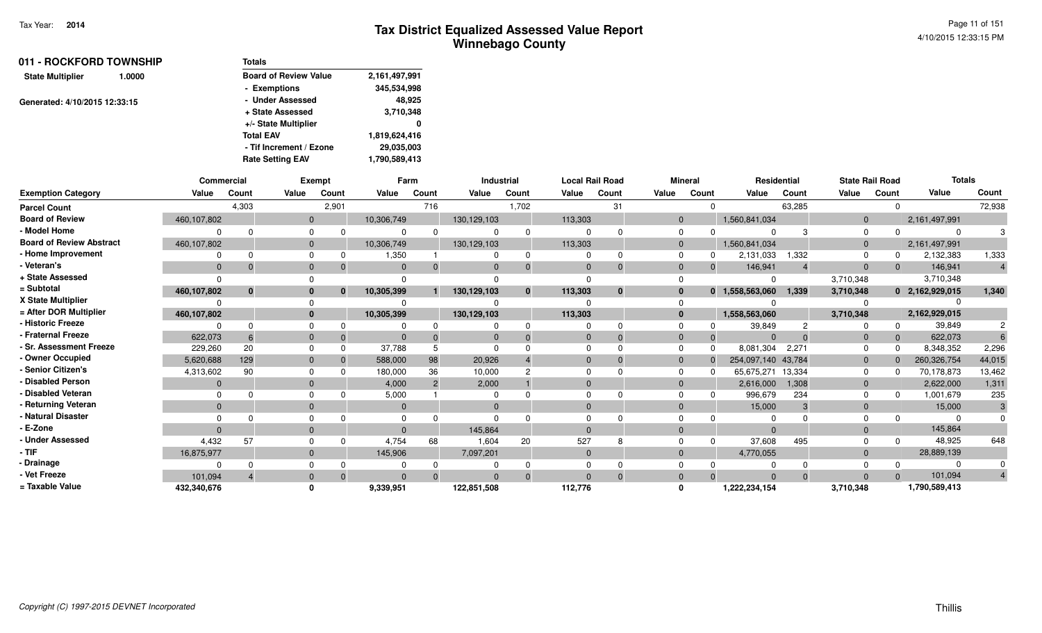| 011 - ROCKFORD TOWNSHIP           | <b>Totals</b>                |               |
|-----------------------------------|------------------------------|---------------|
| <b>State Multiplier</b><br>1.0000 | <b>Board of Review Value</b> | 2,161,497,991 |
|                                   | - Exemptions                 | 345,534,998   |
| Generated: 4/10/2015 12:33:15     | - Under Assessed             | 48,925        |
|                                   | + State Assessed             | 3,710,348     |
|                                   | +/- State Multiplier         | 0             |
|                                   | <b>Total EAV</b>             | 1,819,624,416 |
|                                   | - Tif Increment / Ezone      | 29,035,003    |
|                                   | <b>Rate Setting EAV</b>      | 1,790,589,413 |

|                                 | Commercial  |          |          | Exempt   |              | Farm           |             | <b>Industrial</b> |              | <b>Local Rail Road</b> |              | <b>Mineral</b> | Residential        |          | <b>State Rail Road</b> |       | <b>Totals</b>   |        |
|---------------------------------|-------------|----------|----------|----------|--------------|----------------|-------------|-------------------|--------------|------------------------|--------------|----------------|--------------------|----------|------------------------|-------|-----------------|--------|
| <b>Exemption Category</b>       | Value       | Count    | Value    | Count    | Value        | Count          | Value       | Count             | Value        | Count                  | Value        | Count          | Value              | Count    | Value                  | Count | Value           | Count  |
| <b>Parcel Count</b>             |             | 4,303    |          | 2,901    |              | 716            |             | 1,702             |              | 31                     |              |                |                    | 63,285   |                        |       |                 | 72,938 |
| <b>Board of Review</b>          | 460,107,802 |          | $\Omega$ |          | 10,306,749   |                | 130,129,103 |                   | 113,303      |                        | $\Omega$     |                | 1,560,841,034      |          | $\Omega$               |       | 2,161,497,991   |        |
| - Model Home                    |             |          |          |          |              | $\Omega$       |             | $\Omega$          |              |                        |              |                | $\Omega$           |          | $\Omega$               |       | $\Omega$        |        |
| <b>Board of Review Abstract</b> | 460,107,802 |          |          |          | 10,306,749   |                | 130,129,103 |                   | 113,303      |                        |              |                | 1,560,841,034      |          | $\Omega$               |       | 2,161,497,991   |        |
| - Home Improvement              |             |          |          |          | 1,350        |                |             | 0                 |              | ŋ                      |              |                | 2,131,033          | 1,332    |                        |       | 2,132,383       | 1,333  |
| - Veteran's                     | $\Omega$    |          |          |          | $\Omega$     | $\Omega$       |             |                   | $\Omega$     | $\Omega$               |              | $\Omega$       | 146,941            |          | $\Omega$               |       | 146,941         |        |
| + State Assessed                |             |          |          |          |              |                |             |                   | $\Omega$     |                        |              |                | $\Omega$           |          | 3,710,348              |       | 3,710,348       |        |
| = Subtotal                      | 460,107,802 | $\bf{0}$ |          | $\Omega$ | 10,305,399   |                | 130,129,103 | $\mathbf{0}$      | 113,303      | $\bf{0}$               |              |                | 0 1,558,563,060    | 1,339    | 3,710,348              |       | 0 2,162,929,015 | 1,340  |
| X State Multiplier              |             |          |          |          |              |                |             |                   |              |                        |              |                |                    |          |                        |       |                 |        |
| = After DOR Multiplier          | 460,107,802 |          |          |          | 10,305,399   |                | 130,129,103 |                   | 113,303      |                        | $\mathbf{0}$ |                | 1,558,563,060      |          | 3,710,348              |       | 2,162,929,015   |        |
| - Historic Freeze               |             |          |          |          |              |                |             |                   |              |                        |              |                | 39,849             |          |                        |       | 39,849          |        |
| <b>Fraternal Freeze</b>         | 622,073     |          |          |          |              |                |             |                   | $\Omega$     |                        |              |                | $\Omega$           |          | $\Omega$               |       | 622,073         |        |
| - Sr. Assessment Freeze         | 229,260     | 20       |          |          | 37.788       |                |             |                   | $\Omega$     |                        |              |                | 8,081,304          | 2,271    |                        |       | 8,348,352       | 2,296  |
| - Owner Occupied                | 5,620,688   | 129      |          |          | 588,000      | 98             | 20,926      |                   | $\Omega$     |                        | $\Omega$     |                | 254,097,140 43,784 |          | $\Omega$               |       | 260,326,754     | 44,015 |
| - Senior Citizen's              | 4,313,602   | 90       |          |          | 180,000      | 36             | 10,000      |                   | $\Omega$     |                        |              |                | 65,675,271         | 13,334   | $\Omega$               |       | 70,178,873      | 13,462 |
| <b>Disabled Person</b>          | $\Omega$    |          |          |          | 4,000        | $\overline{2}$ | 2,000       |                   | $\Omega$     |                        |              |                | 2,616,000          | 1,308    | $\Omega$               |       | 2,622,000       | 1,311  |
| <b>Disabled Veteran</b>         |             |          |          |          | 5,000        |                |             |                   | $\Omega$     |                        |              |                | 996,679            | 234      |                        |       | 1,001,679       | 235    |
| - Returning Veteran             | $\Omega$    |          |          |          | $\mathbf{0}$ |                | $\Omega$    |                   | $\Omega$     |                        |              |                | 15,000             | 3        | $\Omega$               |       | 15,000          |        |
| <b>Natural Disaster</b>         |             |          |          |          |              |                |             |                   |              |                        |              |                |                    |          |                        |       |                 |        |
| - E-Zone                        | $\Omega$    |          |          |          | $\Omega$     |                | 145,864     |                   | $\Omega$     |                        |              |                | $\Omega$           |          | $\Omega$               |       | 145,864         |        |
| - Under Assessed                | 4,432       | 57       |          |          | 4,754        | 68             | 1,604       | 20                | 527          |                        |              |                | 37,608             | 495      |                        |       | 48,925          | 648    |
| - TIF                           | 16,875,977  |          |          |          | 145,906      |                | 7,097,201   |                   | $\mathbf{0}$ |                        |              |                | 4,770,055          |          | $\overline{0}$         |       | 28,889,139      |        |
| <b>Drainage</b>                 |             |          |          |          |              |                |             |                   |              |                        |              |                |                    |          |                        |       | 0               |        |
| - Vet Freeze                    | 101.094     |          |          |          | $\Omega$     | $\Omega$       |             |                   | $\Omega$     | $\Omega$               |              |                | $\Omega$           | $\Omega$ | $\Omega$               |       | 101,094         |        |
| = Taxable Value                 | 432,340,676 |          |          |          | 9,339,951    |                | 122,851,508 |                   | 112,776      |                        |              |                | 1,222,234,154      |          | 3,710,348              |       | 1,790,589,413   |        |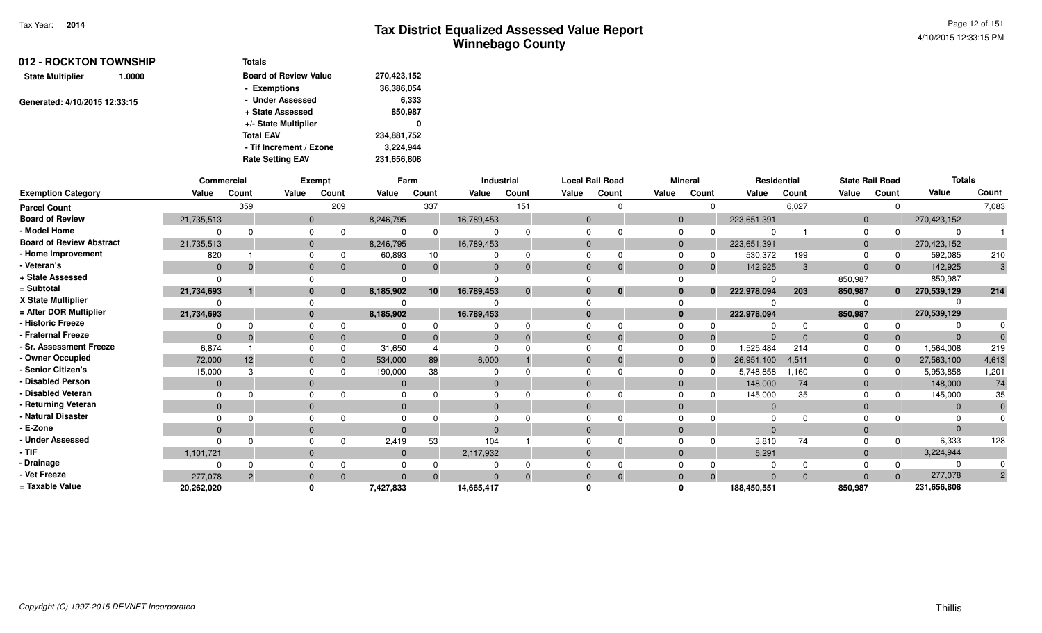| 012 - ROCKTON TOWNSHIP            | <b>Totals</b>                |             |
|-----------------------------------|------------------------------|-------------|
| <b>State Multiplier</b><br>1.0000 | <b>Board of Review Value</b> | 270,423,152 |
|                                   | - Exemptions                 | 36,386,054  |
|                                   | - Under Assessed             | 6,333       |
|                                   | + State Assessed             | 850,987     |
|                                   | +/- State Multiplier         | 0           |
| Generated: 4/10/2015 12:33:15     | <b>Total EAV</b>             | 234,881,752 |
|                                   | - Tif Increment / Ezone      | 3,224,944   |
|                                   | <b>Rate Setting EAV</b>      | 231,656,808 |

|                                 | Commercial   |          |              | Exempt       |              | Farm            |            | Industrial  |              | <b>Local Rail Road</b> |          | <b>Mineral</b> |                | Residential | <b>State Rail Road</b> |              | <b>Totals</b> |                |
|---------------------------------|--------------|----------|--------------|--------------|--------------|-----------------|------------|-------------|--------------|------------------------|----------|----------------|----------------|-------------|------------------------|--------------|---------------|----------------|
| <b>Exemption Category</b>       | Value        | Count    | Value        | Count        | Value        | Count           | Value      | Count       | Value        | Count                  | Value    | Count          | Value          | Count       | Value                  | Count        | Value         | Count          |
| <b>Parcel Count</b>             |              | 359      |              | 209          |              | 337             |            | 151         |              |                        |          | $\Omega$       |                | 6,027       |                        |              |               | 7,083          |
| <b>Board of Review</b>          | 21,735,513   |          | $\mathbf{0}$ |              | 8,246,795    |                 | 16,789,453 |             | $\mathbf{0}$ |                        | $\Omega$ |                | 223,651,391    |             | $\Omega$               |              | 270,423,152   |                |
| - Model Home                    |              |          |              |              |              | 0               |            |             | O            |                        |          |                |                |             | $\Omega$               |              | $\Omega$      |                |
| <b>Board of Review Abstract</b> | 21,735,513   |          |              |              | 8,246,795    |                 | 16,789,453 |             | $\Omega$     |                        |          |                | 223,651,391    |             | $\Omega$               |              | 270,423,152   |                |
| - Home Improvement              | 820          |          |              |              | 60,893       | 10              |            | 0           | 0            |                        |          |                | 530,372        | 199         |                        |              | 592,085       | 210            |
| - Veteran's                     | $\Omega$     |          |              |              | $\Omega$     | $\Omega$        | $\Omega$   | $\mathbf 0$ | $\Omega$     |                        |          | $\Omega$       | 142,925        | 3           | $\Omega$               |              | 142,925       | 3              |
| + State Assessed                |              |          |              |              |              |                 |            |             |              |                        |          |                |                |             | 850,987                |              | 850,987       |                |
| = Subtotal                      | 21,734,693   |          |              | $\mathbf{0}$ | 8,185,902    | 10 <sup>1</sup> | 16,789,453 | $\bf{0}$    | $\bf{0}$     | $\bf{0}$               |          | $\bf{0}$       | 222,978,094    | 203         | 850,987                | $\mathbf{0}$ | 270,539,129   | 214            |
| X State Multiplier              |              |          |              |              |              |                 |            |             |              |                        |          |                |                |             |                        |              |               |                |
| = After DOR Multiplier          | 21,734,693   |          |              |              | 8,185,902    |                 | 16,789,453 |             | $\mathbf{0}$ |                        | $\bf{0}$ |                | 222,978,094    |             | 850,987                |              | 270,539,129   |                |
| <b>Historic Freeze</b>          |              |          |              |              |              |                 |            |             |              |                        |          |                |                |             |                        |              |               |                |
| <b>Fraternal Freeze</b>         |              |          |              | 0            |              | $\Omega$        |            |             | $\Omega$     |                        |          | $\Omega$       | $\Omega$       |             | $\Omega$               |              | $\Omega$      |                |
| · Sr. Assessment Freeze         | 6,874        |          |              |              | 31,650       |                 |            |             |              |                        |          | 0              | 1,525,484      | 214         |                        |              | 1,564,008     | 219            |
| - Owner Occupied                | 72,000       | 12       |              |              | 534,000      | 89              | 6,000      |             | $\Omega$     |                        |          |                | 26,951,100     | 4,511       | $\Omega$               |              | 27,563,100    | 4,613          |
| <b>Senior Citizen's</b>         | 15,000       |          |              |              | 190,000      | 38              |            |             |              |                        |          |                | 5,748,858      | 1,160       |                        |              | 5,953,858     | 1,201          |
| <b>Disabled Person</b>          | $\mathbf{0}$ |          |              |              | $\mathbf{0}$ |                 |            |             | $\Omega$     |                        |          |                | 148,000        | 74          | $\overline{0}$         |              | 148,000       | 74             |
| <b>Disabled Veteran</b>         |              |          |              |              |              |                 |            |             |              |                        |          |                | 145,000        | 35          |                        |              | 145,000       | 35             |
| Returning Veteran               | $\mathbf{0}$ |          | $\mathbf{0}$ |              | $\mathbf{0}$ |                 | $\Omega$   |             | $\Omega$     |                        |          |                | $\overline{0}$ |             | $\Omega$               |              | $\mathbf{0}$  |                |
| Natural Disaster                |              |          |              |              |              |                 |            |             |              |                        |          |                | $\Omega$       |             |                        |              | $\Omega$      |                |
| E-Zone                          | $\Omega$     |          |              |              |              |                 |            |             | $\Omega$     |                        |          |                | $\Omega$       |             |                        |              | $\Omega$      |                |
| <b>Under Assessed</b>           |              |          |              |              | 2,419        | 53              | 104        |             |              |                        |          |                | 3,810          | 74          |                        |              | 6,333         | 128            |
| - TIF                           | 1,101,721    |          | $\Omega$     |              | $\mathbf{0}$ |                 | 2,117,932  |             | $\Omega$     |                        |          |                | 5,291          |             | $\Omega$               |              | 3,224,944     |                |
| · Drainage                      |              |          |              |              |              |                 |            |             | 0            |                        |          |                | $\Omega$       |             |                        |              | $\Omega$      |                |
| - Vet Freeze                    | 277,078      | $\Omega$ |              |              | $\Omega$     | $\Omega$        |            |             | $\Omega$     |                        |          | $\Omega$       | $\Omega$       | $\Omega$    |                        |              | 277,078       | $\overline{2}$ |
| = Taxable Value                 | 20,262,020   |          |              |              | 7,427,833    |                 | 14,665,417 |             |              |                        |          |                | 188,450,551    |             | 850,987                |              | 231,656,808   |                |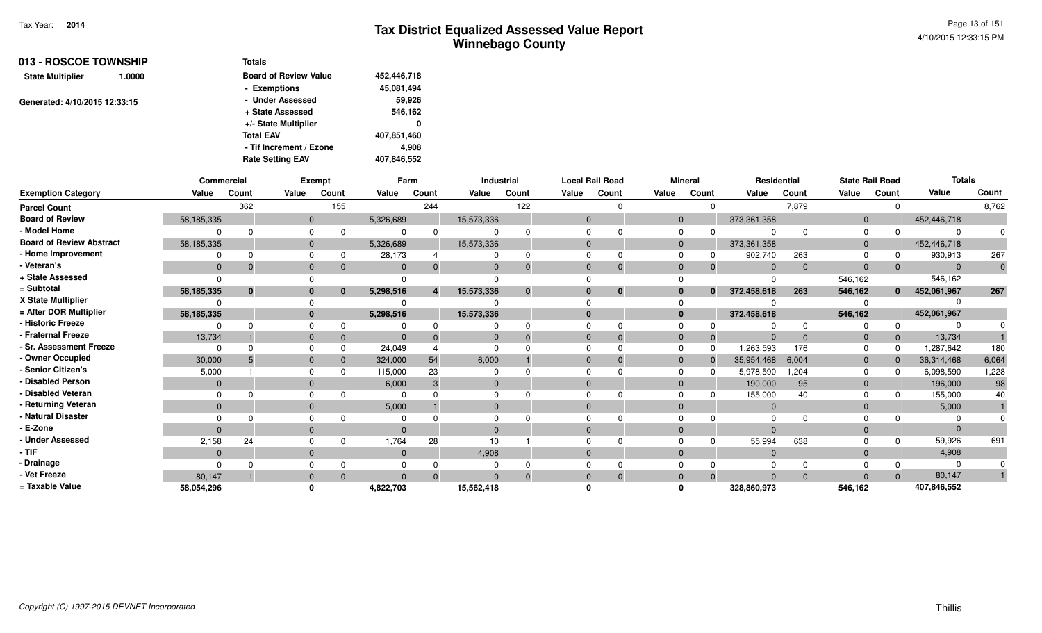| 013 - ROSCOE TOWNSHIP         |        | <b>Totals</b>                |             |
|-------------------------------|--------|------------------------------|-------------|
| <b>State Multiplier</b>       | 1.0000 | <b>Board of Review Value</b> | 452,446,718 |
|                               |        | - Exemptions                 | 45,081,494  |
| Generated: 4/10/2015 12:33:15 |        | - Under Assessed             | 59,926      |
|                               |        | + State Assessed             | 546,162     |
|                               |        | +/- State Multiplier         | 0           |
|                               |        | <b>Total EAV</b>             | 407,851,460 |
|                               |        | - Tif Increment / Ezone      | 4.908       |
|                               |        | <b>Rate Setting EAV</b>      | 407,846,552 |

|                                 | Commercial     |              |              | Exempt   |           | Farm  |                | Industrial   |          | <b>Local Rail Road</b> | <b>Mineral</b> |              | Residential    |          | <b>State Rail Road</b> |              | <b>Totals</b>  |       |
|---------------------------------|----------------|--------------|--------------|----------|-----------|-------|----------------|--------------|----------|------------------------|----------------|--------------|----------------|----------|------------------------|--------------|----------------|-------|
| <b>Exemption Category</b>       | Value          | Count        | Value        | Count    | Value     | Count | Value          | Count        | Value    | Count                  | Value          | Count        | Value          | Count    | Value                  | Count        | Value          | Count |
| <b>Parcel Count</b>             |                | 362          |              | 155      |           | 244   |                | 122          |          |                        |                |              |                | 7,879    |                        |              |                | 8,762 |
| <b>Board of Review</b>          | 58,185,335     |              | $\mathbf{0}$ |          | 5,326,689 |       | 15,573,336     |              | $\Omega$ |                        | $\mathbf{0}$   |              | 373,361,358    |          | $\Omega$               |              | 452,446,718    |       |
| - Model Home                    |                |              | $\Omega$     |          |           |       |                | $\Omega$     |          |                        | <sup>0</sup>   |              |                |          |                        |              | $\Omega$       |       |
| <b>Board of Review Abstract</b> | 58,185,335     |              | $\mathbf{0}$ |          | 5,326,689 |       | 15,573,336     |              |          |                        | $\Omega$       |              | 373,361,358    |          | $\Omega$               |              | 452,446,718    |       |
| - Home Improvement              |                |              | $\Omega$     |          | 28,173    |       |                | $\Omega$     |          |                        |                |              | 902,740        | 263      |                        |              | 930,913        | 267   |
| - Veteran's                     | $\mathbf{0}$   | $\Omega$     | $\mathbf{0}$ |          | $\Omega$  |       | $\Omega$       | $\Omega$     | $\Omega$ |                        | $\Omega$       |              | $\Omega$       | $\Omega$ | $\Omega$               |              | $\overline{0}$ |       |
| + State Assessed                |                |              |              |          |           |       |                |              |          |                        |                |              |                |          | 546,162                |              | 546,162        |       |
| = Subtotal                      | 58,185,335     | $\mathbf{0}$ | $\bf{0}$     | $\bf{0}$ | 5,298,516 |       | 15,573,336     | $\mathbf{0}$ |          | $\bf{0}$               | $\bf{0}$       | $\mathbf{0}$ | 372,458,618    | 263      | 546,162                | $\mathbf{0}$ | 452,061,967    | 267   |
| X State Multiplier              |                |              |              |          |           |       |                |              |          |                        | $\Omega$       |              |                |          |                        |              |                |       |
| = After DOR Multiplier          | 58,185,335     |              | $\mathbf{0}$ |          | 5,298,516 |       | 15,573,336     |              |          |                        | $\mathbf{0}$   |              | 372,458,618    |          | 546,162                |              | 452,061,967    |       |
| - Historic Freeze               |                |              | $\Omega$     |          |           |       |                |              |          |                        |                |              |                |          |                        |              |                |       |
| - Fraternal Freeze              | 13,734         |              | $\Omega$     |          |           |       |                | $\Omega$     |          |                        | $\Omega$       | $\Omega$     |                |          | $\Omega$               |              | 13,734         |       |
| - Sr. Assessment Freeze         | $\Omega$       |              | $\Omega$     |          | 24,049    |       |                |              |          |                        | $\Omega$       |              | 1,263,593      | 176      |                        |              | 1,287,642      | 180   |
| - Owner Occupied                | 30,000         |              | $\mathbf{0}$ |          | 324,000   | 54    | 6,000          |              |          |                        | $\Omega$       |              | 35,954,468     | 6,004    | $\Omega$               |              | 36,314,468     | 6,064 |
| - Senior Citizen's              | 5,000          |              | $\Omega$     |          | 115,000   | 23    |                |              |          |                        | <sup>0</sup>   |              | 5,978,590      | 1,204    |                        |              | 6,098,590      | 1,228 |
| - Disabled Person               | $\mathbf{0}$   |              | $\mathbf{0}$ |          | 6,000     |       | $\overline{0}$ |              |          |                        | $\Omega$       |              | 190,000        | 95       |                        |              | 196,000        | 98    |
| - Disabled Veteran              |                |              | $\Omega$     |          |           |       |                |              |          |                        |                |              | 155,000        | 40       |                        |              | 155,000        | 40    |
| - Returning Veteran             | $\overline{0}$ |              | $\mathbf{0}$ |          | 5,000     |       | $\Omega$       |              | $\Omega$ |                        | $\mathbf{0}$   |              | $\overline{0}$ |          | $\Omega$               |              | 5,000          |       |
| - Natural Disaster              |                |              |              |          |           |       |                |              |          |                        |                |              | $\Omega$       |          |                        |              |                |       |
| - E-Zone                        | $\Omega$       |              | $\Omega$     |          |           |       | $\Omega$       |              |          |                        | $\Omega$       |              | $\Omega$       |          |                        |              | $\Omega$       |       |
| - Under Assessed                | 2,158          | 24           | $\Omega$     |          | 1,764     | 28    | 10             |              |          |                        |                |              | 55,994         | 638      |                        |              | 59,926         | 691   |
| - TIF                           | $\overline{0}$ |              | $\mathbf{0}$ |          | $\Omega$  |       | 4,908          |              | $\Omega$ |                        | $\Omega$       |              | $\Omega$       |          | $\Omega$               |              | 4,908          |       |
| Drainage                        |                |              |              |          |           |       |                |              |          |                        |                |              | $\Omega$       |          |                        |              |                |       |
| - Vet Freeze                    | 80,147         |              | $\Omega$     |          |           |       |                | $\Omega$     |          |                        | $\Omega$       |              | $\Omega$       | $\Omega$ |                        |              | 80,147         |       |
| = Taxable Value                 | 58,054,296     |              | $\Omega$     |          | 4,822,703 |       | 15,562,418     |              |          |                        | 0              |              | 328,860,973    |          | 546,162                |              | 407,846,552    |       |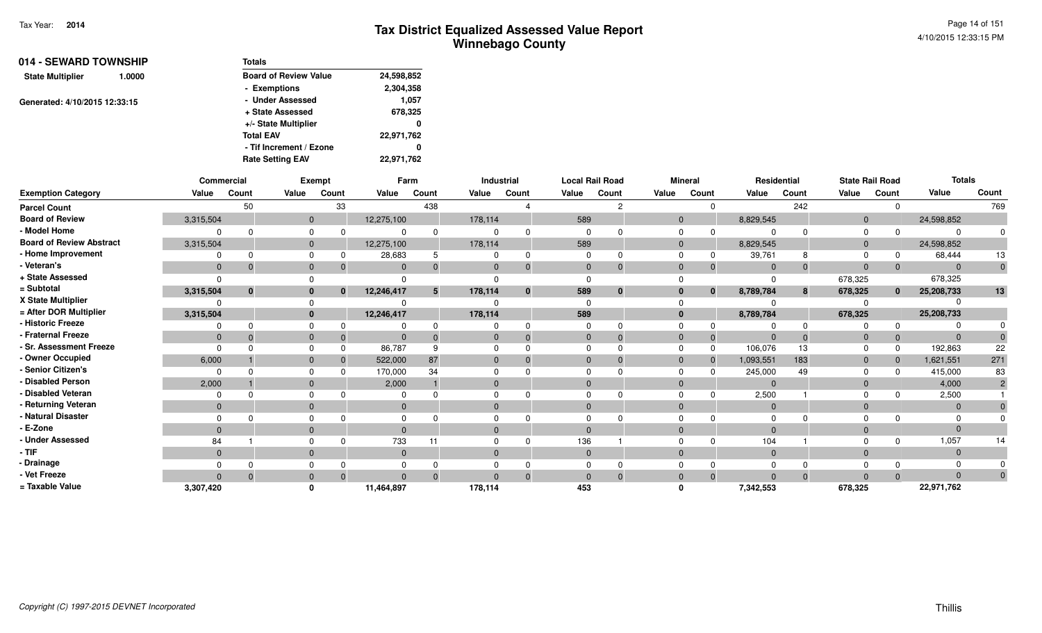Page 14 of 1514/10/2015 12:33:15 PM

| 014 - SEWARD TOWNSHIP         |                  | Totals                       |            |
|-------------------------------|------------------|------------------------------|------------|
| <b>State Multiplier</b>       | 1.0000           | <b>Board of Review Value</b> | 24,598,852 |
|                               |                  | - Exemptions                 | 2,304,358  |
| Generated: 4/10/2015 12:33:15 |                  | - Under Assessed             | 1,057      |
|                               | + State Assessed | 678,325                      |            |
|                               |                  | +/- State Multiplier         | 0          |
|                               |                  | <b>Total EAV</b>             | 22,971,762 |
|                               |                  | - Tif Increment / Ezone      | 0          |
|                               |                  | <b>Rate Setting EAV</b>      | 22,971,762 |

|                                 |              | Commercial  |              | Exempt       |             | Farm     |         | Industrial   |              | <b>Local Rail Road</b> |          | <b>Mineral</b> |              | Residential  |              | <b>State Rail Road</b> | <b>Totals</b> |       |
|---------------------------------|--------------|-------------|--------------|--------------|-------------|----------|---------|--------------|--------------|------------------------|----------|----------------|--------------|--------------|--------------|------------------------|---------------|-------|
| <b>Exemption Category</b>       | Value        | Count       | Value        | Count        | Value       | Count    | Value   | Count        | Value        | Count                  | Value    | Count          | Value        | Count        | Value        | Count                  | Value         | Count |
| <b>Parcel Count</b>             |              | 50          |              | 33           |             | 438      |         |              |              | 2                      |          | $\Omega$       |              | 242          |              | $\Omega$               |               | 769   |
| <b>Board of Review</b>          | 3,315,504    |             | $\mathbf{0}$ |              | 12,275,100  |          | 178,114 |              | 589          |                        |          | $\mathbf{0}$   | 8,829,545    |              | 0            |                        | 24,598,852    |       |
| - Model Home                    |              |             |              | 0            |             |          |         |              |              |                        |          | $\Omega$       |              |              |              | $\Omega$               |               |       |
| <b>Board of Review Abstract</b> | 3,315,504    |             | $\mathbf{0}$ |              | 12,275,100  |          | 178,114 |              | 589          |                        |          |                | 8,829,545    |              |              |                        | 24,598,852    |       |
| <b>Home Improvement</b>         |              | ŋ           |              |              | 28,683      |          |         |              |              |                        |          | 0              | 39,761       | 8            |              | 0                      | 68,444        | 13    |
| · Veteran's                     | $\mathbf{0}$ | $\mathbf 0$ | $\Omega$     | $\mathbf 0$  | $\Omega$    |          |         |              | $\mathbf{0}$ |                        | $\Omega$ | $\Omega$       | $\mathbf{0}$ | $\mathbf{0}$ | $\mathbf{0}$ | $\overline{0}$         |               |       |
| + State Assessed                | <sup>n</sup> |             |              |              |             |          |         |              |              |                        |          |                |              |              | 678,325      |                        | 678,325       |       |
| = Subtotal                      | 3,315,504    | $\bf{0}$    |              | $\mathbf{0}$ | 12,246,417  | 5        | 178,114 | $\mathbf{0}$ | 589          | $\bf{0}$               |          | $\mathbf{0}$   | 8,789,784    | 8            | 678,325      | $\mathbf{0}$           | 25,208,733    | 13    |
| X State Multiplier              |              |             |              |              |             |          |         |              |              |                        |          |                |              |              |              |                        |               |       |
| = After DOR Multiplier          | 3,315,504    |             | $\bf{0}$     |              | 12,246,417  |          | 178,114 |              | 589          |                        |          | 0              | 8,789,784    |              | 678,325      |                        | 25,208,733    |       |
| <b>Historic Freeze</b>          |              |             |              |              |             |          |         |              |              |                        |          |                |              |              |              | $\Omega$               |               |       |
| <b>Fraternal Freeze</b>         | $\mathbf{0}$ |             | $\mathbf{0}$ |              | $\mathbf 0$ |          |         |              | $\mathbf 0$  |                        |          |                | $\mathbf{0}$ |              |              | $\mathbf{0}$           |               |       |
| <b>Sr. Assessment Freeze</b>    | $\Omega$     |             |              |              | 86,787      |          |         |              |              |                        |          | $\Omega$       | 106,076      | 13           |              | 0                      | 192,863       | 22    |
| - Owner Occupied                | 6,000        |             | $\Omega$     |              | 522,000     | 87       |         |              |              |                        |          | $\overline{0}$ | 1,093,551    | 183          | 0            | $\overline{0}$         | 1,621,551     | 271   |
| Senior Citizen's                |              |             |              |              | 170,000     | 34       |         |              |              |                        |          |                | 245,000      | 49           |              | $\Omega$               | 415,000       | 83    |
| <b>Disabled Person</b>          | 2,000        |             | $\Omega$     |              | 2,000       |          |         |              |              |                        | $\Omega$ |                | $\Omega$     |              | $\Omega$     |                        | 4,000         |       |
| <b>Disabled Veteran</b>         | $\Omega$     |             |              |              |             |          |         |              |              |                        |          |                | 2,500        |              |              |                        | 2,500         |       |
| <b>Returning Veteran</b>        | $\Omega$     |             | $\Omega$     |              | $\Omega$    |          |         |              |              |                        | $\Omega$ |                | $\Omega$     |              | $\Omega$     |                        |               |       |
| <b>Natural Disaster</b>         |              |             |              |              |             |          |         |              |              |                        |          |                |              |              |              |                        |               |       |
| E-Zone                          | $\Omega$     |             | $\Omega$     |              | $\Omega$    |          |         |              |              |                        | $\Omega$ |                | $\Omega$     |              |              |                        |               |       |
| <b>Under Assessed</b>           | 84           |             |              |              | 733         |          |         |              | 136          |                        |          |                | 104          |              |              |                        | 1,057         |       |
| - TIF                           | $\Omega$     |             | $\Omega$     |              | $\Omega$    |          |         |              | $\Omega$     |                        |          | 0              | $\Omega$     |              |              |                        |               |       |
| · Drainage                      |              |             |              |              |             |          |         |              |              |                        |          |                |              |              |              |                        |               |       |
| Vet Freeze                      | $\Omega$     | $\Omega$    | $\Omega$     | $\Omega$     | $\Omega$    | $\Omega$ |         |              | $\Omega$     |                        | $\Omega$ | $\Omega$       | $\Omega$     | $\Omega$     | <sup>n</sup> | $\Omega$               |               |       |
| = Taxable Value                 | 3,307,420    |             |              |              | 11,464,897  |          | 178,114 |              | 453          |                        |          |                | 7,342,553    |              | 678,325      |                        | 22,971,762    |       |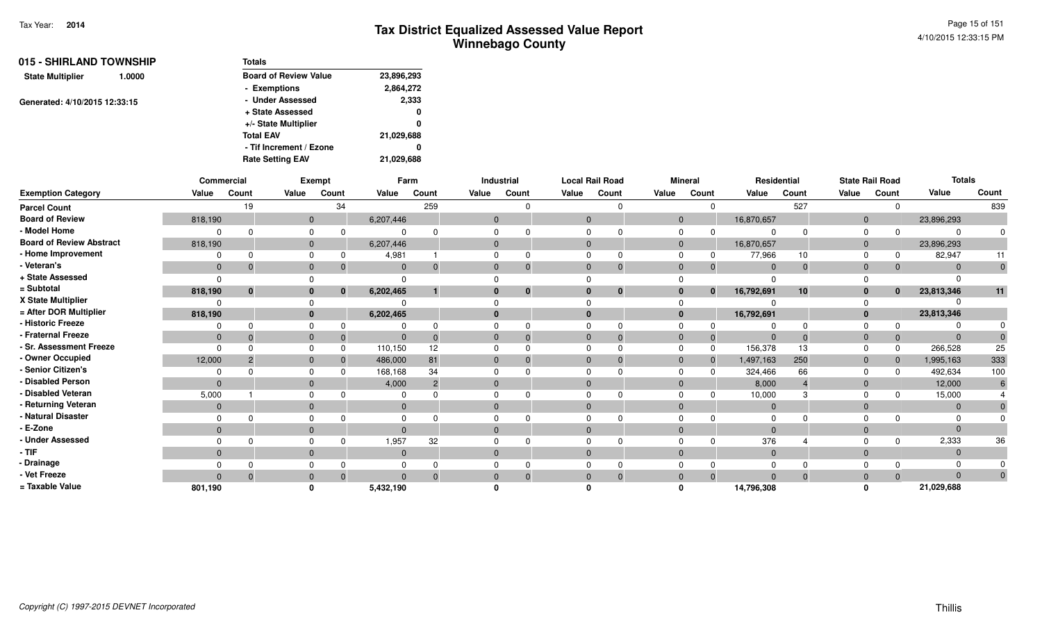| 015 - SHIRLAND TOWNSHIP           | <b>Totals</b>                |            |  |  |
|-----------------------------------|------------------------------|------------|--|--|
| <b>State Multiplier</b><br>1.0000 | <b>Board of Review Value</b> | 23,896,293 |  |  |
|                                   | - Exemptions                 | 2,864,272  |  |  |
| Generated: 4/10/2015 12:33:15     | - Under Assessed             | 2,333      |  |  |
|                                   | + State Assessed             | 0          |  |  |
|                                   | +/- State Multiplier         | 0          |  |  |
|                                   | <b>Total EAV</b>             | 21,029,688 |  |  |
|                                   | - Tif Increment / Ezone      | 0          |  |  |
|                                   | <b>Rate Setting EAV</b>      | 21,029,688 |  |  |

|                                 |              | Commercial   |                | Exempt       |                | Farm            |              | Industrial | <b>Local Rail Road</b> |              |              | <b>Mineral</b> |                | Residential |                | <b>State Rail Road</b> | <b>Totals</b> |          |
|---------------------------------|--------------|--------------|----------------|--------------|----------------|-----------------|--------------|------------|------------------------|--------------|--------------|----------------|----------------|-------------|----------------|------------------------|---------------|----------|
| <b>Exemption Category</b>       | Value        | Count        | Value          | Count        | Value          | Count           | Value        | Count      | Value                  | Count        | Value        | Count          | Value          | Count       | Value          | Count                  | Value         | Count    |
| <b>Parcel Count</b>             |              | 19           |                | 34           |                | 259             |              |            |                        |              |              |                |                | 527         |                |                        |               | 839      |
| <b>Board of Review</b>          | 818,190      |              | $\overline{0}$ |              | 6,207,446      |                 | $\mathbf{0}$ |            | $\overline{0}$         |              | $\mathbf{0}$ |                | 16,870,657     |             | $\mathbf{0}$   |                        | 23,896,293    |          |
| - Model Home                    |              |              |                |              |                |                 |              |            |                        |              | $\Omega$     |                |                |             | $\Omega$       |                        |               |          |
| <b>Board of Review Abstract</b> | 818,190      |              | $\mathbf{0}$   |              | 6,207,446      |                 |              |            | $\Omega$               |              | $\mathbf{0}$ |                | 16,870,657     |             | $\mathbf{0}$   |                        | 23,896,293    |          |
| - Home Improvement              |              | n            |                |              | 4,981          |                 |              |            |                        |              |              |                | 77,966         | 10          | $\Omega$       |                        | 82,947        | 11       |
| - Veteran's                     | $\mathbf{0}$ | $\Omega$     | 0              |              | $\Omega$       | $\Omega$        |              | 0          | $\Omega$               | $\mathbf 0$  | $\Omega$     | 0              | $\Omega$       | $\Omega$    | $\Omega$       | $\mathbf{0}$           |               | $\Omega$ |
| + State Assessed                | $\Omega$     |              |                |              |                |                 |              |            |                        |              |              |                |                |             |                |                        |               |          |
| = Subtotal                      | 818,190      | $\mathbf{0}$ |                | $\mathbf{0}$ | 6,202,465      |                 |              | $\bf{0}$   | $\mathbf{0}$           | $\mathbf{0}$ | $\bf{0}$     | $\mathbf{0}$   | 16,792,691     | 10          | $\bf{0}$       | $\mathbf{0}$           | 23,813,346    | 11       |
| X State Multiplier              |              |              |                |              |                |                 |              |            |                        |              |              |                |                |             |                |                        |               |          |
| = After DOR Multiplier          | 818,190      |              |                |              | 6,202,465      |                 |              |            | $\mathbf{0}$           |              | $\bf{0}$     |                | 16,792,691     |             | $\mathbf{0}$   |                        | 23,813,346    |          |
| - Historic Freeze               |              |              |                |              |                |                 |              |            |                        |              |              |                |                |             |                |                        |               |          |
| - Fraternal Freeze              | $\mathbf{0}$ |              |                |              | $\mathbf{0}$   | $\Omega$        |              | $\Omega$   | $\Omega$               | $\Omega$     | $\mathbf{0}$ | -0             | $\overline{0}$ | $\Omega$    | $\overline{0}$ | $\mathbf 0$            | $\Omega$      |          |
| - Sr. Assessment Freeze         | $\Omega$     |              |                |              | 110,150        | 12 <sup>2</sup> |              |            | $\Omega$               |              | $\Omega$     | 0              | 156,378        | 13          |                | $\Omega$               | 266,528       | 25       |
| - Owner Occupied                | 12,000       |              |                |              | 486,000        | 81              |              |            | $\Omega$               |              | $\Omega$     | $\Omega$       | 1,497,163      | 250         | $\Omega$       | $\mathbf{0}$           | 1,995,163     | 333      |
| - Senior Citizen's              |              |              |                |              | 168,168        | 34              |              |            |                        |              |              |                | 324,466        | 66          |                | $\Omega$               | 492,634       | 100      |
| <b>Disabled Person</b>          | $\Omega$     |              |                |              | 4,000          | $\overline{2}$  |              |            | $\Omega$               |              | $\Omega$     |                | 8,000          |             | $\Omega$       |                        | 12,000        |          |
| - Disabled Veteran              | 5,000        |              |                |              |                |                 |              |            |                        |              |              |                | 10,000         |             |                |                        | 15,000        |          |
| - Returning Veteran             | $\mathbf{0}$ |              | $\Omega$       |              | $\mathbf{0}$   |                 | $\Omega$     |            | $\Omega$               |              | $\Omega$     |                | $\overline{0}$ |             | $\mathbf{0}$   |                        | $\Omega$      |          |
| - Natural Disaster              |              |              |                |              |                |                 |              |            |                        |              |              |                |                |             |                |                        |               |          |
| - E-Zone                        | $\Omega$     |              |                |              | $\Omega$       |                 |              |            | $\Omega$               |              | $\Omega$     |                |                |             | $\Omega$       |                        |               |          |
| - Under Assessed                |              |              |                |              | 1,957          | 32              |              |            |                        |              |              |                | 376            |             |                | $\Omega$               | 2,333         | 36       |
| - TIF                           | $\mathbf{0}$ |              | $\Omega$       |              | $\mathbf{0}$   |                 |              |            | $\Omega$               |              | $\Omega$     |                | $\overline{0}$ |             | $\Omega$       |                        | $\Omega$      |          |
| - Drainage                      |              |              |                |              |                |                 |              |            |                        |              |              |                |                |             |                |                        |               |          |
| - Vet Freeze                    | $\Omega$     | $\Omega$     |                |              | $\overline{0}$ | $\Omega$        |              |            | $\Omega$               |              | $\Omega$     |                |                |             | $\Omega$       | $\Omega$               | $\Omega$      | $\Omega$ |
| = Taxable Value                 | 801,190      |              |                |              | 5,432,190      |                 |              |            |                        |              |              |                | 14,796,308     |             |                |                        | 21,029,688    |          |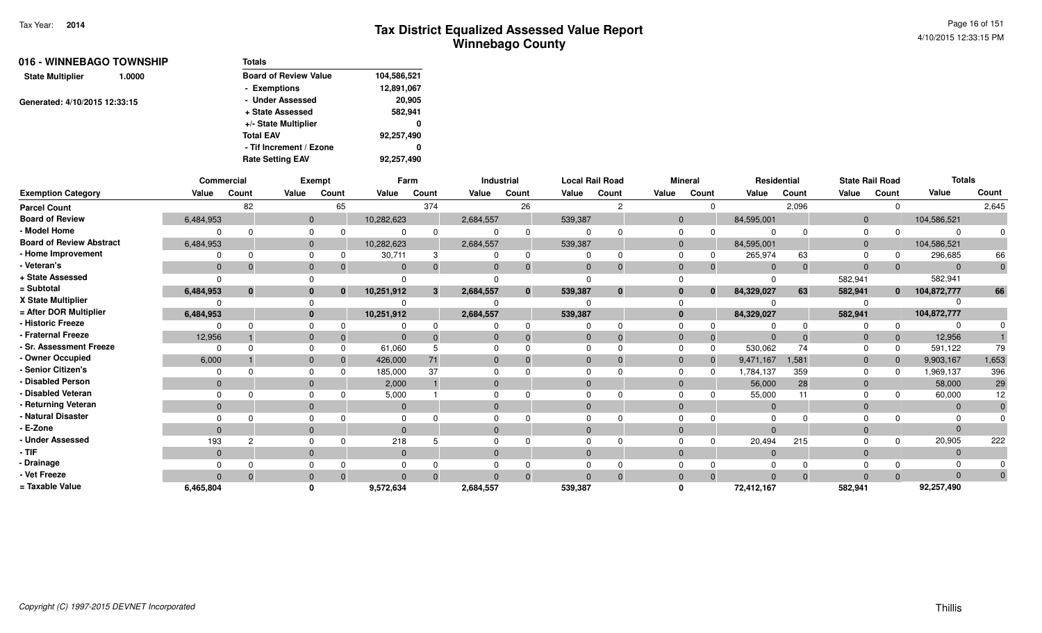| 016 - WINNEBAGO TOWNSHIP          | Totals                       |             |
|-----------------------------------|------------------------------|-------------|
| <b>State Multiplier</b><br>1.0000 | <b>Board of Review Value</b> | 104,586,521 |
|                                   | - Exemptions                 | 12,891,067  |
| Generated: 4/10/2015 12:33:15     | - Under Assessed             | 20,905      |
|                                   | + State Assessed             | 582,941     |
|                                   | +/- State Multiplier         | 0           |
|                                   | <b>Total EAV</b>             | 92,257,490  |
|                                   | - Tif Increment / Ezone      | 0           |
|                                   | <b>Rate Setting EAV</b>      | 92.257.490  |

|                                 |              | Commercial |              | Exempt |            | Farm  |              | Industrial   | <b>Local Rail Road</b> |               |       | <b>Mineral</b> |              | Residential | <b>State Rail Road</b> |              | <b>Totals</b> |       |
|---------------------------------|--------------|------------|--------------|--------|------------|-------|--------------|--------------|------------------------|---------------|-------|----------------|--------------|-------------|------------------------|--------------|---------------|-------|
| <b>Exemption Category</b>       | Value        | Count      | Value        | Count  | Value      | Count | Value        | Count        | Value                  | Count         | Value | Count          | Value        | Count       | Value                  | Count        | Value         | Count |
| <b>Parcel Count</b>             |              | 82         |              | 65     |            | 374   |              | 26           |                        | $\mathcal{P}$ |       | $\Omega$       |              | 2,096       |                        | $\Omega$     |               | 2,645 |
| <b>Board of Review</b>          | 6,484,953    |            | $\mathbf{0}$ |        | 10,282,623 |       | 2,684,557    |              | 539,387                |               |       |                | 84,595,001   |             | $\overline{0}$         |              | 104,586,521   |       |
| - Model Home                    |              |            |              |        |            |       |              | $\Omega$     |                        |               |       |                |              |             |                        |              |               |       |
| <b>Board of Review Abstract</b> | 6,484,953    |            | $\mathbf{0}$ |        | 10,282,623 |       | 2,684,557    |              | 539,387                |               |       |                | 84,595,001   |             | $\Omega$               |              | 104,586,521   |       |
| - Home Improvement              |              |            | $\Omega$     |        | 30,711     | 3     |              | $\Omega$     |                        |               |       |                | 265,974      | 63          |                        | 0            | 296,685       | 66    |
| - Veteran's                     | $\mathbf{0}$ |            | $\mathbf{0}$ |        | $\Omega$   |       | $\Omega$     | $\Omega$     | $\Omega$               |               |       |                | $\Omega$     | $\Omega$    | $\Omega$               | $\mathbf{0}$ | $\Omega$      |       |
| + State Assessed                |              |            |              |        |            |       |              |              |                        |               |       |                |              |             | 582,941                |              | 582,941       |       |
| = Subtotal                      | 6,484,953    | $\bf{0}$   | $\bf{0}$     | 0      | 10,251,912 | 3     | 2,684,557    | $\mathbf{0}$ | 539,387                | $\bf{0}$      |       | $\bf{0}$       | 84,329,027   | 63          | 582,941                | $\mathbf{0}$ | 104,872,777   | 66    |
| X State Multiplier              |              |            |              |        |            |       |              |              |                        |               |       |                |              |             |                        |              |               |       |
| = After DOR Multiplier          | 6,484,953    |            | $\mathbf{0}$ |        | 10,251,912 |       | 2,684,557    |              | 539,387                |               |       |                | 84,329,027   |             | 582,941                |              | 104,872,777   |       |
| - Historic Freeze               |              |            |              |        |            |       |              |              |                        |               |       |                |              |             |                        | $\Omega$     |               |       |
| - Fraternal Freeze              | 12,956       |            | $\Omega$     |        | $\Omega$   |       | $\Omega$     |              | $\Omega$               |               |       |                |              |             | 0                      | $\mathbf 0$  | 12,956        |       |
| - Sr. Assessment Freeze         |              |            | $\Omega$     |        | 61,060     |       |              |              |                        |               |       |                | 530,062      | 74          |                        | 0            | 591,122       | 79    |
| - Owner Occupied                | 6,000        |            | $\mathbf{0}$ |        | 426,000    | 71    | $\Omega$     |              |                        |               |       |                | 9,471,167    | 1,581       | 0                      | $\mathbf{0}$ | 9,903,167     | 1,653 |
| - Senior Citizen's              |              |            |              |        | 185,000    | 37    |              |              |                        |               |       |                | 1,784,137    | 359         |                        | $\Omega$     | 1,969,137     | 396   |
| - Disabled Person               | $\Omega$     |            | $\mathbf{0}$ |        | 2,000      |       | $\Omega$     |              |                        |               |       |                | 56,000       | 28          | $\overline{0}$         |              | 58,000        | 29    |
| - Disabled Veteran              |              |            |              |        | 5,000      |       | $\Omega$     |              |                        |               |       |                | 55,000       | 11          |                        |              | 60,000        | 12    |
| - Returning Veteran             | $\Omega$     |            | $\mathbf{0}$ |        | $\Omega$   |       | $\mathbf{0}$ |              | $\Omega$               |               |       |                | $\mathbf{0}$ |             | $\mathbf{0}$           |              | $\Omega$      |       |
| - Natural Disaster              |              |            |              |        |            |       |              |              |                        |               |       |                |              |             |                        |              |               |       |
| - E-Zone                        |              |            | $\mathbf{0}$ |        | $\Omega$   |       | $\mathbf{0}$ |              |                        |               |       |                |              |             |                        |              |               |       |
| <b>Under Assessed</b>           | 193          | 2          | $\Omega$     |        | 218        |       |              |              |                        |               |       |                | 20,494       | 215         |                        | $\Omega$     | 20,905        | 222   |
| - TIF                           | $\Omega$     |            | $\mathbf{0}$ |        | $\Omega$   |       | $\Omega$     |              |                        |               |       |                | $\Omega$     |             | $\Omega$               |              | $\Omega$      |       |
| · Drainage                      |              |            |              |        |            |       |              |              |                        |               |       |                |              |             |                        |              |               |       |
| - Vet Freeze                    |              |            | $\Omega$     |        | $\Omega$   |       | $\Omega$     |              |                        |               |       |                |              |             |                        | $\Omega$     |               |       |
| = Taxable Value                 | 6,465,804    |            |              |        | 9,572,634  |       | 2,684,557    |              | 539,387                |               |       |                | 72,412,167   |             | 582,941                |              | 92,257,490    |       |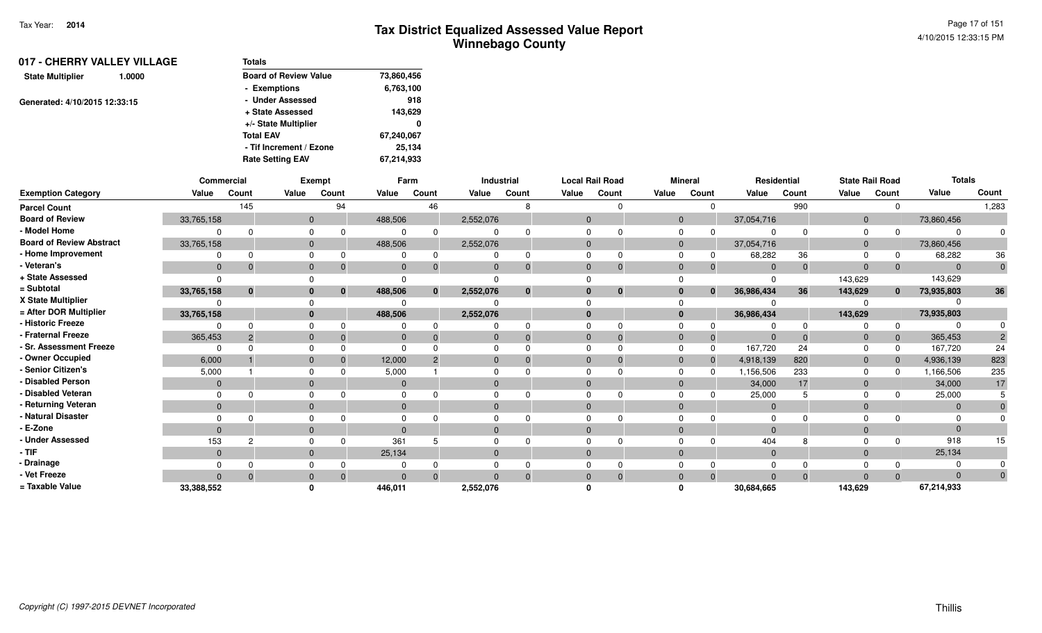| 017 - CHERRY VALLEY VILLAGE   |        | <b>Totals</b>                |            |
|-------------------------------|--------|------------------------------|------------|
| <b>State Multiplier</b>       | 1.0000 | <b>Board of Review Value</b> | 73,860,456 |
|                               |        | - Exemptions                 | 6,763,100  |
| Generated: 4/10/2015 12:33:15 |        | - Under Assessed             | 918        |
|                               |        | + State Assessed             | 143,629    |
|                               |        | +/- State Multiplier         | 0          |
|                               |        | <b>Total EAV</b>             | 67,240,067 |
|                               |        | - Tif Increment / Ezone      | 25,134     |
|                               |        | <b>Rate Setting EAV</b>      | 67,214,933 |
|                               |        |                              |            |

|                                 | Commercial   |              |              | <b>Exempt</b> |          | Farm         |           | Industrial     |              | <b>Local Rail Road</b> |              | <b>Mineral</b> | Residential    |          |                | <b>State Rail Road</b> | <b>Totals</b> |       |
|---------------------------------|--------------|--------------|--------------|---------------|----------|--------------|-----------|----------------|--------------|------------------------|--------------|----------------|----------------|----------|----------------|------------------------|---------------|-------|
| <b>Exemption Category</b>       | Value        | Count        | Value        | Count         | Value    | Count        | Value     | Count          | Value        | Count                  | Value        | Count          | Value          | Count    | Value          | Count                  | Value         | Count |
| <b>Parcel Count</b>             |              | 145          |              | 94            |          | 46           |           | 8              |              |                        |              |                |                | 990      |                |                        |               | 1,283 |
| <b>Board of Review</b>          | 33,765,158   |              | $\mathbf{0}$ |               | 488,506  |              | 2,552,076 |                | $\Omega$     |                        | $\mathbf{0}$ |                | 37,054,716     |          | $\mathbf{0}$   |                        | 73,860,456    |       |
| - Model Home                    |              |              | $\Omega$     |               |          |              |           |                |              |                        |              |                |                |          |                |                        | $\Omega$      |       |
| <b>Board of Review Abstract</b> | 33,765,158   |              | $\mathbf{0}$ |               | 488,506  |              | 2,552,076 |                | $\Omega$     |                        | $\mathbf{0}$ |                | 37,054,716     |          | $\overline{0}$ |                        | 73,860,456    |       |
| - Home Improvement              |              |              | $\Omega$     |               |          |              |           |                |              |                        |              |                | 68,282         | 36       |                |                        | 68,282        | 36    |
| - Veteran's                     | $\mathbf{0}$ |              | $\mathbf{0}$ |               |          |              | 0         | $\Omega$       | $\Omega$     | $\Omega$               | $\Omega$     |                | $\Omega$       | $\Omega$ | $\Omega$       |                        | $\Omega$      |       |
| + State Assessed                |              |              |              |               |          |              |           |                |              |                        |              |                | $\Omega$       |          | 143,629        |                        | 143,629       |       |
| = Subtotal                      | 33,765,158   | $\mathbf{0}$ | $\bf{0}$     | $\mathbf{0}$  | 488,506  | $\mathbf{0}$ | 2,552,076 | $\mathbf{0}$   | $\mathbf{0}$ | $\mathbf{0}$           | $\Omega$     | $\mathbf{0}$   | 36,986,434     | 36       | 143,629        | $\mathbf{0}$           | 73,935,803    | 36    |
| X State Multiplier              |              |              |              |               |          |              |           |                |              |                        |              |                |                |          |                |                        |               |       |
| = After DOR Multiplier          | 33,765,158   |              | $\mathbf{0}$ |               | 488,506  |              | 2,552,076 |                | $\Omega$     |                        | $\bf{0}$     |                | 36,986,434     |          | 143,629        |                        | 73,935,803    |       |
| - Historic Freeze               |              |              | $\Omega$     |               |          |              |           |                |              |                        |              |                |                |          |                |                        |               |       |
| - Fraternal Freeze              | 365,453      |              | $\Omega$     |               | 0        |              |           | $\overline{0}$ | $\Omega$     | -0                     |              | 0              | - 0            | $\Omega$ |                |                        | 365,453       |       |
| - Sr. Assessment Freeze         |              |              | $\Omega$     |               |          |              |           |                |              |                        |              |                | 167,720        | 24       |                |                        | 167,720       | 24    |
| - Owner Occupied                | 6,000        |              | $\Omega$     |               | 12,000   |              |           |                | $\Omega$     |                        | $\Omega$     |                | 4,918,139      | 820      | $\Omega$       |                        | 4,936,139     | 823   |
| - Senior Citizen's              | 5,000        |              |              |               | 5,000    |              |           |                |              |                        |              |                | 1,156,506      | 233      |                |                        | 1,166,506     | 235   |
| - Disabled Person               | $\Omega$     |              | $\Omega$     |               |          |              |           |                | $\Omega$     |                        |              |                | 34,000         | 17       |                |                        | 34,000        | 17    |
| - Disabled Veteran              |              |              | $\Omega$     |               |          |              |           |                |              |                        |              |                | 25,000         |          |                |                        | 25,000        |       |
| - Returning Veteran             | $\mathbf{0}$ |              | $\Omega$     |               | $\Omega$ |              | $\Omega$  |                | $\Omega$     |                        | $\Omega$     |                | $\overline{0}$ |          | $\Omega$       |                        | $\Omega$      |       |
| - Natural Disaster              |              |              |              |               |          |              |           |                |              |                        |              |                | $\Omega$       |          |                |                        |               |       |
| - E-Zone                        | $\Omega$     |              | $\Omega$     |               |          |              |           |                | $\Omega$     |                        |              |                | $\Omega$       |          |                |                        | $\Omega$      |       |
| <b>Under Assessed</b>           | 153          | 2            | $\Omega$     |               | 361      |              |           |                |              |                        |              |                | 404            |          |                |                        | 918           | 15    |
| - TIF-                          | $\mathbf{0}$ |              | $\Omega$     |               | 25,134   |              | $\Omega$  |                | $\Omega$     |                        | $\Omega$     |                | $\overline{0}$ |          | $\Omega$       |                        | 25,134        |       |
| - Drainage                      |              |              |              |               |          |              |           |                |              |                        |              |                | $\Omega$       |          |                |                        |               |       |
| - Vet Freeze                    | $\Omega$     |              | $\Omega$     |               |          |              |           | $\Omega$       | $\Omega$     |                        |              |                | $\Omega$       | $\Omega$ |                |                        | $\Omega$      |       |
| = Taxable Value                 | 33,388,552   |              |              |               | 446,011  |              | 2,552,076 |                |              |                        |              |                | 30,684,665     |          | 143,629        |                        | 67,214,933    |       |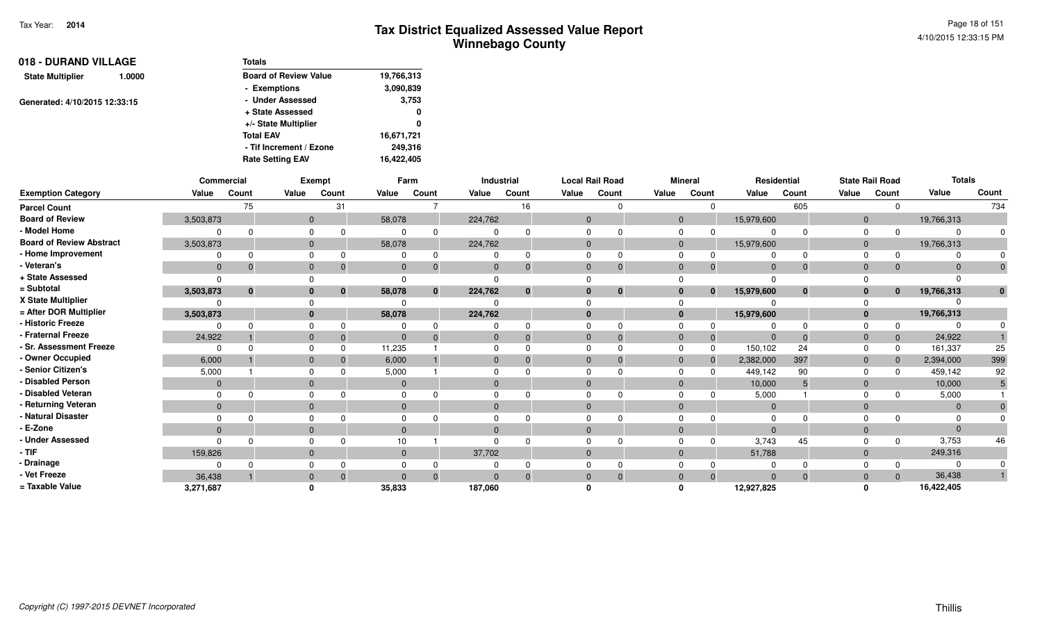| 018 - DURAND VILLAGE          |        | <b>Totals</b>                |            |
|-------------------------------|--------|------------------------------|------------|
| <b>State Multiplier</b>       | 1.0000 | <b>Board of Review Value</b> | 19,766,313 |
|                               |        | - Exemptions                 | 3,090,839  |
| Generated: 4/10/2015 12:33:15 |        | - Under Assessed             | 3,753      |
|                               |        | + State Assessed             | 0          |
|                               |        | +/- State Multiplier         | 0          |
|                               |        | <b>Total EAV</b>             | 16,671,721 |
|                               |        | - Tif Increment / Ezone      | 249,316    |
|                               |        | <b>Rate Setting EAV</b>      | 16,422,405 |

|                                 | Commercial     |             |              | Exempt                       |             | Farm     |              | Industrial   | <b>Local Rail Road</b> |              |              | <b>Mineral</b> | Residential    |          |                | <b>State Rail Road</b> | <b>Totals</b> |       |
|---------------------------------|----------------|-------------|--------------|------------------------------|-------------|----------|--------------|--------------|------------------------|--------------|--------------|----------------|----------------|----------|----------------|------------------------|---------------|-------|
| <b>Exemption Category</b>       | Value          | Count       | Value        | Count                        | Value       | Count    | Value        | Count        | Value                  | Count        | Value        | Count          | Value          | Count    | Value          | Count                  | Value         | Count |
| <b>Parcel Count</b>             |                | 75          |              | 31                           |             |          |              | 16           |                        |              |              |                |                | 605      |                |                        |               | 734   |
| <b>Board of Review</b>          | 3,503,873      |             |              | $\mathbf{0}$                 | 58,078      |          | 224,762      |              | $\mathbf{0}$           |              | $\mathbf{0}$ |                | 15,979,600     |          | $\overline{0}$ |                        | 19,766,313    |       |
| - Model Home                    |                |             | $\Omega$     |                              |             |          |              |              |                        |              |              |                |                |          |                |                        | $\Omega$      |       |
| <b>Board of Review Abstract</b> | 3,503,873      |             | $\Omega$     |                              | 58,078      |          | 224,762      |              | $\Omega$               |              | $\Omega$     |                | 15,979,600     |          | $\Omega$       |                        | 19,766,313    |       |
| - Home Improvement              |                |             | $\Omega$     |                              |             |          |              | <sup>0</sup> |                        |              |              |                |                |          |                |                        |               |       |
| - Veteran's                     | $\mathbf{0}$   |             | $\mathbf{0}$ |                              |             |          | $\Omega$     | $\Omega$     | $\mathbf{0}$           |              | $\Omega$     |                | $\Omega$       | $\Omega$ | $\Omega$       |                        | $\Omega$      |       |
| + State Assessed                |                |             |              |                              |             |          |              |              |                        |              |              |                |                |          |                |                        |               |       |
| = Subtotal                      | 3,503,873      | $\mathbf 0$ |              | $\mathbf{0}$<br>$\mathbf{0}$ | 58,078      | $\Omega$ | 224,762      | $\mathbf{0}$ | $\bf{0}$               | $\mathbf{0}$ | $\bf{0}$     | $\mathbf{0}$   | 15,979,600     | $\bf{0}$ |                | $\mathbf{0}$           | 19,766,313    |       |
| X State Multiplier              |                |             |              |                              |             |          |              |              |                        |              |              |                |                |          |                |                        |               |       |
| = After DOR Multiplier          | 3,503,873      |             |              | $\mathbf{0}$                 | 58,078      |          | 224,762      |              | $\mathbf{0}$           |              | $\mathbf{0}$ |                | 15,979,600     |          |                |                        | 19,766,313    |       |
| - Historic Freeze               |                |             | $\Omega$     |                              |             |          |              | <sup>0</sup> |                        |              |              |                |                |          |                |                        |               |       |
| - Fraternal Freeze              | 24,922         |             | $\mathbf{0}$ |                              |             |          | 0            | $\Omega$     | $\Omega$               | -0           | $\Omega$     | $\Omega$       | $\overline{0}$ | $\Omega$ | $\Omega$       |                        | 24,922        |       |
| - Sr. Assessment Freeze         |                |             | $\Omega$     |                              | 11,235      |          |              | <sup>0</sup> |                        |              | $\Omega$     |                | 150,102        | 24       |                | 0                      | 161,337       | 25    |
| - Owner Occupied                | 6,000          |             |              | $\overline{0}$               | 6,000       |          | $\Omega$     | $\Omega$     | $\Omega$               |              | $\Omega$     | $\Omega$       | 2,382,000      | 397      | $\Omega$       |                        | 2,394,000     | 399   |
| <b>Senior Citizen's</b>         | 5,000          |             |              |                              | 5,000       |          |              |              |                        |              |              |                | 449,142        | 90       |                |                        | 459,142       | 92    |
| - Disabled Person               | $\overline{0}$ |             | $\mathbf{0}$ |                              |             |          |              |              |                        |              | $\Omega$     |                | 10,000         |          |                |                        | 10,000        |       |
| Disabled Veteran                |                |             | $\Omega$     |                              |             |          |              |              |                        |              |              |                | 5,000          |          |                |                        | 5,000         |       |
| - Returning Veteran             | $\mathbf{0}$   |             | $\mathbf{0}$ |                              | $\mathbf 0$ |          | $\mathbf{0}$ |              | $\Omega$               |              | $\Omega$     |                | $\overline{0}$ |          | $\Omega$       |                        | $\mathbf{0}$  |       |
| Natural Disaster                |                |             | $\Omega$     |                              |             |          |              |              |                        |              |              |                | $\Omega$       |          |                |                        | $\Omega$      |       |
| - E-Zone                        | $\Omega$       |             | $\Omega$     |                              |             |          | $\Omega$     |              |                        |              | $\Omega$     |                | $\Omega$       |          |                |                        | $\Omega$      |       |
| <b>Under Assessed</b>           |                |             |              |                              |             |          |              |              |                        |              |              |                | 3,743          | 45       |                |                        | 3,753         | 46    |
| $-$ TIF                         | 159,826        |             | $\Omega$     |                              | $\Omega$    |          | 37,702       |              | $\Omega$               |              | $\Omega$     |                | 51,788         |          | $\Omega$       |                        | 249,316       |       |
| - Drainage                      |                |             |              |                              |             |          |              |              |                        |              |              |                |                |          |                |                        |               |       |
| - Vet Freeze                    | 36,438         |             | $\Omega$     | $\Omega$                     | $\Omega$    |          | $\Omega$     | $\Omega$     | $\Omega$               |              | $\Omega$     | $\Omega$       | $\Omega$       | $\Omega$ | $\Omega$       | $\Omega$               | 36,438        |       |
| = Taxable Value                 | 3,271,687      |             |              |                              | 35,833      |          | 187,060      |              |                        |              |              |                | 12,927,825     |          |                |                        | 16,422,405    |       |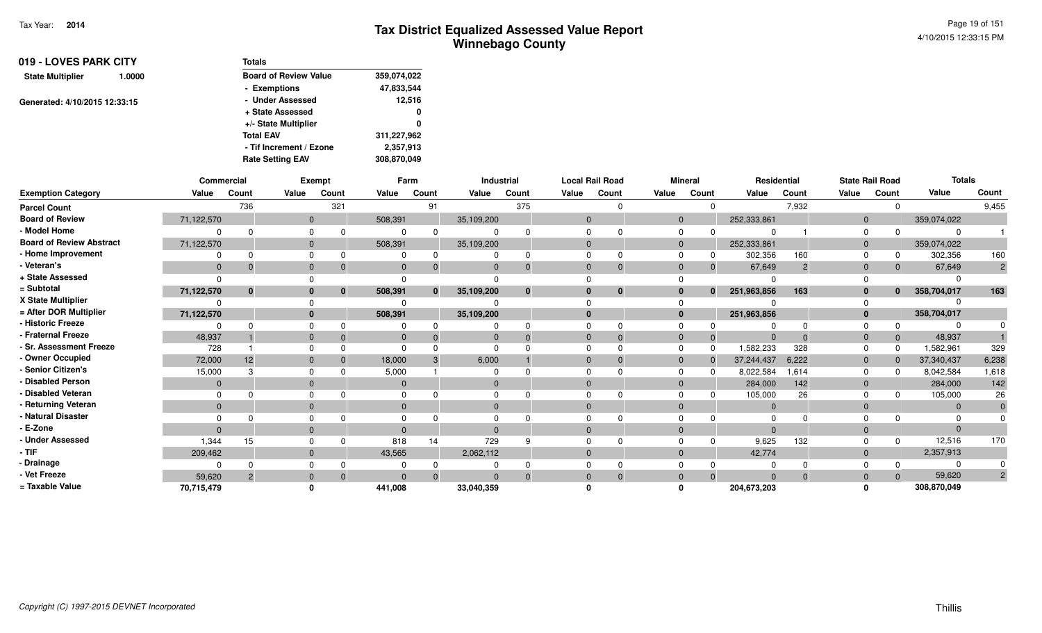Page 19 of 1514/10/2015 12:33:15 PM

| 019 - LOVES PARK CITY             | <b>Totals</b>                |             |
|-----------------------------------|------------------------------|-------------|
| <b>State Multiplier</b><br>1.0000 | <b>Board of Review Value</b> | 359,074,022 |
|                                   | - Exemptions                 | 47,833,544  |
| Generated: 4/10/2015 12:33:15     | - Under Assessed             | 12.516      |
|                                   | + State Assessed             | 0           |
|                                   | +/- State Multiplier         | 0           |
|                                   | <b>Total EAV</b>             | 311,227,962 |
|                                   | - Tif Increment / Ezone      | 2,357,913   |
|                                   | <b>Rate Setting EAV</b>      | 308,870,049 |

|                                 |              | Commercial     |              | Exempt |              | Farm  |              | Industrial |              | <b>Local Rail Road</b> |             | <b>Mineral</b>              |             | Residential    |              | <b>State Rail Road</b> | <b>Totals</b>  |                |
|---------------------------------|--------------|----------------|--------------|--------|--------------|-------|--------------|------------|--------------|------------------------|-------------|-----------------------------|-------------|----------------|--------------|------------------------|----------------|----------------|
| <b>Exemption Category</b>       | Value        | Count          | Value        | Count  | Value        | Count | Value        | Count      | Value        | Count                  | Value       | Count                       | Value       | Count          | Value        | Count                  | Value          | Count          |
| <b>Parcel Count</b>             |              | 736            |              | 321    |              | 91    |              | 375        |              |                        |             | $\Omega$                    |             | 7,932          |              | 0                      |                | 9,455          |
| <b>Board of Review</b>          | 71,122,570   |                | $\mathbf{0}$ |        | 508,391      |       | 35,109,200   |            | $\mathbf 0$  |                        |             | $\mathbf 0$                 | 252,333,861 |                | $\mathbf{0}$ |                        | 359,074,022    |                |
| - Model Home                    | $\Omega$     |                | 0            |        |              |       |              |            |              |                        | $\mathbf 0$ |                             | $\Omega$    |                | $\Omega$     |                        |                |                |
| <b>Board of Review Abstract</b> | 71,122,570   |                | $\mathbf{0}$ |        | 508,391      |       | 35,109,200   |            | $\mathbf{0}$ |                        |             | $\mathbf 0$                 | 252,333,861 |                | $\mathbf{0}$ |                        | 359,074,022    |                |
| - Home Improvement              |              |                | $\Omega$     |        |              |       |              |            |              |                        | $\Omega$    | 0                           | 302,356     | 160            | $\Omega$     | $\Omega$               | 302,356        | 160            |
| - Veteran's                     | $\mathbf{0}$ | 0              | $\mathbf{0}$ |        | $\Omega$     |       | $\Omega$     |            | $\Omega$     | $\Omega$               |             | $\mathbf{0}$<br>$\mathbf 0$ | 67,649      | $\overline{c}$ | $\mathbf{0}$ | $\mathbf{0}$           | 67,649         | $\overline{2}$ |
| + State Assessed                | $\Omega$     |                |              |        | $\Omega$     |       |              |            |              |                        |             |                             | ŋ           |                |              |                        |                |                |
| = Subtotal                      | 71,122,570   | $\mathbf{0}$   | $\mathbf{0}$ | 0      | 508,391      |       | 35,109,200   | $\Omega$   | $\bf{0}$     | $\bf{0}$               |             | $\mathbf 0$<br>$\mathbf{0}$ | 251,963,856 | 163            | $\mathbf{0}$ | $\mathbf{0}$           | 358,704,017    | 163            |
| X State Multiplier              | $\Omega$     |                | $\Omega$     |        |              |       |              |            |              |                        | $\Omega$    |                             |             |                |              |                        |                |                |
| = After DOR Multiplier          | 71,122,570   |                | $\mathbf{0}$ |        | 508,391      |       | 35,109,200   |            | $\bf{0}$     |                        |             | $\mathbf 0$                 | 251,963,856 |                | $\mathbf{0}$ |                        | 358,704,017    |                |
| - Historic Freeze               | $\Omega$     |                | 0            |        |              |       |              |            |              |                        | $\mathbf 0$ |                             | O           | $\Omega$       | $\Omega$     | 0                      |                |                |
| - Fraternal Freeze              | 48,937       |                | $\mathbf{0}$ |        | $\mathbf{0}$ |       | $\mathbf{0}$ |            | $\Omega$     | $\Omega$               | $\mathbf 0$ | $\Omega$                    | $\Omega$    | $\Omega$       | $\mathbf 0$  | $\mathbf{0}$           | 48,937         |                |
| - Sr. Assessment Freeze         | 728          |                | $\Omega$     |        | $\Omega$     |       | $\Omega$     |            | $\Omega$     |                        |             | $\mathbf 0$<br>$\Omega$     | 1,582,233   | 328            | $\Omega$     | $\Omega$               | 1,582,961      | 329            |
| - Owner Occupied                | 72,000       | 12             | $\mathbf{0}$ |        | 18,000       |       | 6,000        |            |              |                        |             | $\mathbf{0}$<br>$\Omega$    | 37,244,437  | 6,222          | $\mathbf{0}$ | $\mathbf 0$            | 37,340,437     | 6,238          |
| - Senior Citizen's              | 15,000       | 3              | 0            |        | 5,000        |       |              |            |              |                        | $\Omega$    | $\Omega$                    | 8,022,584   | .614           | $\Omega$     | $\Omega$               | 8,042,584      | 1,618          |
| - Disabled Person               | $\mathbf{0}$ |                | $\mathbf{0}$ |        | $\mathbf{0}$ |       | $\mathbf 0$  |            |              |                        |             | $\mathbf{0}$                | 284,000     | 142            | $\mathbf 0$  |                        | 284,000        | 142            |
| - Disabled Veteran              | 0            |                | 0            |        | $\Omega$     |       | $\Omega$     |            | $\Omega$     |                        | $\Omega$    |                             | 105,000     | 26             | $\Omega$     |                        | 105,000        | 26             |
| - Returning Veteran             | $\mathbf{0}$ |                | $\mathbf 0$  |        | $\Omega$     |       | $\mathbf{0}$ |            | $\Omega$     |                        |             | $\mathbf 0$                 | $\mathbf 0$ |                | $\mathbf 0$  |                        | $\overline{0}$ | $\mathbf 0$    |
| - Natural Disaster              | $\Omega$     |                | $\Omega$     |        |              |       |              |            |              |                        |             | $\Omega$                    |             |                |              |                        |                |                |
| - E-Zone                        | $\Omega$     |                | $\Omega$     |        | $\Omega$     |       | $\Omega$     |            | $\Omega$     |                        | $\Omega$    |                             | $\Omega$    |                | $\Omega$     |                        |                |                |
| - Under Assessed                | 1,344        | 15             | 0            |        | 818          | 14    | 729          |            |              |                        |             | 0                           | 9,625       | 132            |              | $\Omega$               | 12,516         | 170            |
| - TIF                           | 209,462      |                | $\mathbf 0$  |        | 43,565       |       | 2,062,112    |            | $\mathbf{0}$ |                        |             | $\mathbf{0}$                | 42,774      |                | $\mathbf{0}$ |                        | 2,357,913      |                |
| - Drainage                      | $\Omega$     |                | 0            |        |              |       |              |            |              |                        |             | 0                           |             |                |              | $\Omega$               |                |                |
| - Vet Freeze                    | 59,620       | $\overline{2}$ | $\mathbf{0}$ |        | $\Omega$     |       | $\Omega$     |            | $\Omega$     | $\Omega$               |             | $\mathbf{0}$<br>$\Omega$    | $\Omega$    | $\Omega$       | $\mathbf{0}$ | $\Omega$               | 59,620         | $\overline{2}$ |
| = Taxable Value                 | 70,715,479   |                | $\bf{0}$     |        | 441,008      |       | 33,040,359   |            |              |                        | $\Omega$    |                             | 204,673,203 |                | $\Omega$     |                        | 308,870,049    |                |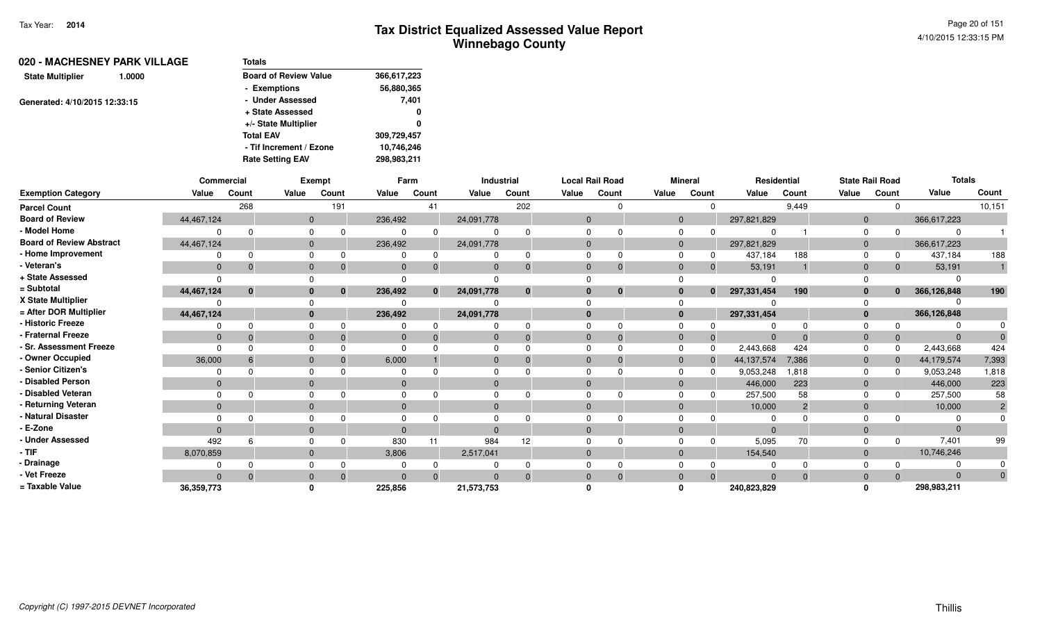| Totals                       |             |
|------------------------------|-------------|
| <b>Board of Review Value</b> | 366,617,223 |
| - Exemptions                 | 56,880,365  |
| - Under Assessed             | 7,401       |
| + State Assessed             | 0           |
| +/- State Multiplier         | 0           |
| <b>Total EAV</b>             | 309,729,457 |
| - Tif Increment / Ezone      | 10,746,246  |
| <b>Rate Setting EAV</b>      | 298,983,211 |
|                              |             |

|                                 |              | Commercial |              | Exempt |              | Farm         |              | Industrial   |                | <b>Local Rail Road</b> |       | <b>Mineral</b>           |                             | Residential    |              | <b>State Rail Road</b> | <b>Totals</b> |                |
|---------------------------------|--------------|------------|--------------|--------|--------------|--------------|--------------|--------------|----------------|------------------------|-------|--------------------------|-----------------------------|----------------|--------------|------------------------|---------------|----------------|
| <b>Exemption Category</b>       | Value        | Count      | Value        | Count  | Value        | Count        | Value        | Count        | Value          | Count                  | Value | Count                    | Value                       | Count          | Value        | Count                  | Value         | Count          |
| <b>Parcel Count</b>             |              | 268        |              | 191    |              | 41           |              | 202          |                |                        |       |                          | $\Omega$                    | 9,449          |              | $\Omega$               |               | 10,151         |
| <b>Board of Review</b>          | 44,467,124   |            | $\mathbf{0}$ |        | 236,492      |              | 24,091,778   |              | $\overline{0}$ |                        |       | $\mathbf 0$              | 297,821,829                 |                | $\mathbf{0}$ |                        | 366,617,223   |                |
| - Model Home                    |              |            | $\Omega$     |        | 0            |              | 0            |              |                |                        |       | 0                        | 0                           |                | $\Omega$     |                        |               |                |
| <b>Board of Review Abstract</b> | 44,467,124   |            | $\mathbf{0}$ |        | 236,492      |              | 24,091,778   |              | $\mathbf{0}$   |                        |       | $\mathbf 0$              | 297,821,829                 |                | $\mathbf{0}$ |                        | 366,617,223   |                |
| - Home Improvement              |              |            | $\Omega$     |        | 0            | $\Omega$     |              |              |                |                        |       |                          | 437,184                     | 188            | $\Omega$     | 0                      | 437,184       | 188            |
| - Veteran's                     | $\mathbf{0}$ |            | $\mathbf 0$  |        | $\mathbf{0}$ | 0            | $\mathbf{0}$ |              | $\Omega$       |                        |       | $\mathbf 0$              | 53,191<br>$\Omega$          |                | $\mathbf{0}$ | $\mathbf{0}$           | 53,191        |                |
| + State Assessed                | $\Omega$     |            | $\Omega$     |        | $\Omega$     |              |              |              |                |                        |       |                          | ∩                           |                |              |                        |               |                |
| = Subtotal                      | 44,467,124   |            | $\mathbf{0}$ |        | 236,492      | $\mathbf{0}$ | 24,091,778   | $\mathbf{0}$ |                | $\Omega$               |       | $\bf{0}$                 | 297,331,454<br>$\mathbf{0}$ | 190            | $\mathbf{0}$ | $\mathbf{0}$           | 366,126,848   | 190            |
| X State Multiplier              |              |            | $\Omega$     |        | 0            |              | 0            |              |                |                        |       |                          |                             |                | $\Omega$     |                        |               |                |
| = After DOR Multiplier          | 44,467,124   |            | $\mathbf{0}$ |        | 236,492      |              | 24,091,778   |              | $\bf{0}$       |                        |       | $\mathbf{0}$             | 297,331,454                 |                | $\mathbf{0}$ |                        | 366,126,848   |                |
| - Historic Freeze               |              |            | $\Omega$     |        | 0            |              | 0            |              |                |                        |       | 0                        | $\Omega$                    |                | $\Omega$     |                        |               |                |
| - Fraternal Freeze              | $\Omega$     |            | $\mathbf{0}$ |        | $\mathbf{0}$ | $\Omega$     | $\mathbf{0}$ |              | $\mathbf{0}$   |                        |       | $\mathbf{0}$             | $\overline{0}$<br>$\Omega$  | $\Omega$       | $\mathbf{0}$ | $\Omega$               | $\Omega$      |                |
| - Sr. Assessment Freeze         | $\Omega$     |            | $\Omega$     |        | $\Omega$     |              | 0            |              |                |                        |       | $\mathbf 0$<br>$\Omega$  | 2,443,668                   | 424            | $\mathbf 0$  | $\Omega$               | 2,443,668     | 424            |
| - Owner Occupied                | 36,000       |            | $\mathbf{0}$ |        | 6,000        |              | $\mathbf{0}$ |              |                |                        |       | $\mathbf 0$              | 44, 137, 574                | 7,386          | $\mathbf{0}$ | $\Omega$               | 44,179,574    | 7,393          |
| - Senior Citizen's              |              |            | $\Omega$     |        | 0            |              | 0            |              |                |                        |       | $\Omega$                 | 9,053,248                   | .818           | $\Omega$     | $\Omega$               | 9,053,248     | 1,818          |
| - Disabled Person               | $\Omega$     |            | $\mathbf{0}$ |        | $\mathbf{0}$ |              | $\mathbf{0}$ |              |                |                        |       | $\mathbf{0}$             | 446,000                     | 223            | $\mathbf{0}$ |                        | 446,000       | 223            |
| - Disabled Veteran              | $\Omega$     |            | $\Omega$     |        | $\Omega$     |              | $\Omega$     |              |                |                        |       | $\Omega$                 | 257,500                     | 58             | $\Omega$     | 0                      | 257,500       | 58             |
| - Returning Veteran             | $\mathbf{0}$ |            | $\mathbf 0$  |        | $\mathbf{0}$ |              | $\mathbf{0}$ |              | $\mathbf{0}$   |                        |       | $\mathbf{0}$             | 10,000                      | $\overline{2}$ | $\mathbf{0}$ |                        | 10,000        | $\overline{2}$ |
| - Natural Disaster              |              |            | $\Omega$     |        | $\Omega$     |              | 0            |              |                |                        |       |                          |                             |                | $\Omega$     |                        |               |                |
| - E-Zone                        | $\Omega$     |            | $\mathbf{0}$ |        | $\Omega$     |              | $\Omega$     |              | $\Omega$       |                        |       | $\Omega$                 | $\Omega$                    |                | $\mathbf{0}$ |                        | $\Omega$      |                |
| - Under Assessed                | 492          |            | $\Omega$     |        | 830          |              | 984          | 12           |                |                        |       |                          | 5,095                       | 70             | 0            | $\Omega$               | 7,401         | 99             |
| $-$ TIF                         | 8,070,859    |            | $\mathbf 0$  |        | 3,806        |              | 2,517,041    |              | $\Omega$       |                        |       | $\Omega$                 | 154,540                     |                | $\mathbf{0}$ |                        | 10,746,246    |                |
| - Drainage                      |              |            | 0            |        | 0            |              | 0            |              |                |                        |       | 0                        |                             |                | 0            | $\Omega$               |               |                |
| - Vet Freeze                    | $\Omega$     |            | $\mathbf{0}$ |        | $\mathbf{0}$ | $\Omega$     | $\Omega$     |              | $\Omega$       |                        |       | $\mathbf{0}$<br>$\Omega$ | $\Omega$                    | $\Omega$       | $\mathbf{0}$ | $\Omega$               | $\Omega$      |                |
| = Taxable Value                 | 36, 359, 773 |            | $\mathbf{0}$ |        | 225,856      |              | 21,573,753   |              |                |                        |       | ŋ                        | 240,823,829                 |                | $\Omega$     |                        | 298,983,211   |                |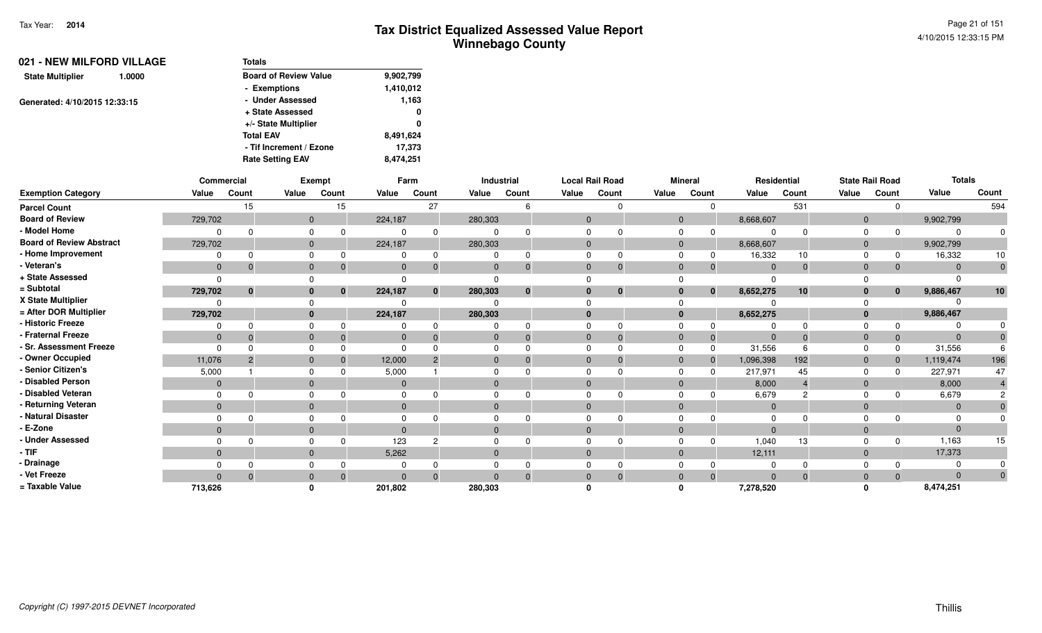| <b>Board of Review Value</b> | 9,902,799 |
|------------------------------|-----------|
| - Exemptions                 | 1,410,012 |
| - Under Assessed             | 1,163     |
| + State Assessed             | 0         |
| +/- State Multiplier         | 0         |
| <b>Total EAV</b>             | 8,491,624 |
| - Tif Increment / Ezone      | 17.373    |
| <b>Rate Setting EAV</b>      | 8,474,251 |
|                              | Totals    |

|                                 |                | Commercial     |              | Exempt   |              | Farm         |         | Industrial | <b>Local Rail Road</b> |              |              | <b>Mineral</b> |                | Residential |                | <b>State Rail Road</b> | <b>Totals</b> |       |
|---------------------------------|----------------|----------------|--------------|----------|--------------|--------------|---------|------------|------------------------|--------------|--------------|----------------|----------------|-------------|----------------|------------------------|---------------|-------|
| <b>Exemption Category</b>       | Value          | Count          | Value        | Count    | Value        | Count        | Value   | Count      | Value                  | Count        | Value        | Count          | Value          | Count       | Value          | Count                  | Value         | Count |
| <b>Parcel Count</b>             |                | 15             |              | 15       |              | 27           |         |            |                        |              |              | $\Omega$       |                | 531         |                | $\Omega$               |               | 594   |
| <b>Board of Review</b>          | 729,702        |                | $\mathbf 0$  |          | 224,187      |              | 280,303 |            | $\mathbf{0}$           |              | $\Omega$     |                | 8,668,607      |             | $\overline{0}$ |                        | 9,902,799     |       |
| - Model Home                    |                | $\Omega$       |              |          | $\Omega$     | 0            |         |            |                        |              |              |                |                |             | $\Omega$       | $\Omega$               |               |       |
| <b>Board of Review Abstract</b> | 729,702        |                | $\mathbf 0$  |          | 224,187      |              | 280,303 |            | $\mathbf{0}$           |              | $\mathbf{0}$ |                | 8,668,607      |             | $\overline{0}$ |                        | 9,902,799     |       |
| - Home Improvement              |                |                |              |          |              |              |         |            |                        |              |              |                | 16,332         | 10          | $\Omega$       |                        | 16,332        | 10    |
| - Veteran's                     | $\mathbf 0$    | $\Omega$       | $\mathbf 0$  |          | $\mathbf{0}$ | $\Omega$     |         |            | $\Omega$               | $\Omega$     | $\Omega$     | -0             | $\Omega$       |             | $\Omega$       | $\mathbf{0}$           |               | 0     |
| + State Assessed                | $\Omega$       |                |              |          |              |              |         |            |                        |              |              |                |                |             |                |                        |               |       |
| = Subtotal                      | 729,702        | $\bf{0}$       | $\bf{0}$     | $\bf{0}$ | 224,187      | $\mathbf{0}$ | 280,303 | $\bf{0}$   |                        | $\mathbf{0}$ |              | $\mathbf{0}$   | 8,652,275      | 10          |                | $\mathbf{0}$           | 9,886,467     | 10    |
| X State Multiplier              | $\Omega$       |                |              |          |              |              |         |            |                        |              |              |                |                |             |                |                        |               |       |
| = After DOR Multiplier          | 729,702        |                | $\bf{0}$     |          | 224,187      |              | 280,303 |            |                        |              | $\mathbf{0}$ |                | 8,652,275      |             |                |                        | 9,886,467     |       |
| - Historic Freeze               | $\Omega$       | $\Omega$       |              |          |              |              |         |            |                        |              |              |                |                |             |                |                        |               |       |
| - Fraternal Freeze              | $\mathbf 0$    | $\mathbf{0}$   | $\Omega$     |          | $\Omega$     |              |         |            | 0                      | $\Omega$     | $\Omega$     | $\overline{0}$ | $\Omega$       |             | $\Omega$       | $\mathbf{0}$           |               |       |
| - Sr. Assessment Freeze         | $\Omega$       |                |              |          | $\Omega$     |              |         |            |                        |              |              | $\Omega$       | 31,556         |             |                | 0                      | 31,556        |       |
| - Owner Occupied                | 11,076         | $\overline{2}$ | $\mathbf{0}$ |          | 12,000       |              |         |            | 0                      |              | $\Omega$     | $\mathbf 0$    | 1,096,398      | 192         | $\Omega$       | $\mathbf{0}$           | 1,119,474     | 196   |
| - Senior Citizen's              | 5,000          |                |              |          | 5,000        |              |         |            |                        |              |              |                | 217,971        | 45          | $\Omega$       | $\Omega$               | 227,971       | 47    |
| - Disabled Person               | $\overline{0}$ |                | $\Omega$     |          | $\Omega$     |              |         |            |                        |              | $\Omega$     |                | 8,000          |             | $\Omega$       |                        | 8,000         |       |
| - Disabled Veteran              | $\Omega$       | $\Omega$       | $\Omega$     |          | $\Omega$     |              |         |            |                        |              |              |                | 6,679          |             | $\Omega$       | <sup>0</sup>           | 6,679         |       |
| - Returning Veteran             | $\overline{0}$ |                | $\mathbf{0}$ |          | $\mathbf{0}$ |              |         |            | $\Omega$               |              | $\Omega$     |                | $\overline{0}$ |             | $\Omega$       |                        |               |       |
| - Natural Disaster              |                |                |              |          | $\Omega$     |              |         |            |                        |              |              |                |                |             |                |                        |               |       |
| - E-Zone                        | $\mathbf{0}$   |                | $\mathbf{0}$ |          | $\Omega$     |              |         |            |                        |              | $\Omega$     |                |                |             | $\Omega$       |                        |               |       |
| - Under Assessed                | $\Omega$       | $\Omega$       | $\Omega$     |          | 123          | 2            |         |            |                        |              |              | $\Omega$       | 1,040          | 13          | $\Omega$       | $\Omega$               | 1,163         | 15    |
| - TIF                           | $\mathbf{0}$   |                | $\mathbf{0}$ |          | 5,262        |              |         |            | $\mathbf{0}$           |              | $\Omega$     |                | 12,111         |             | $\Omega$       |                        | 17,373        |       |
| - Drainage                      |                |                |              |          |              |              |         |            |                        |              |              |                |                |             |                |                        |               |       |
| - Vet Freeze                    | $\Omega$       | $\Omega$       | $\mathbf{0}$ |          | $\Omega$     | $\Omega$     |         |            |                        | $\Omega$     |              | $\Omega$       |                |             |                | $\Omega$               |               | 0     |
| = Taxable Value                 | 713,626        |                |              |          | 201,802      |              | 280,303 |            |                        |              |              |                | 7,278,520      |             |                |                        | 8,474,251     |       |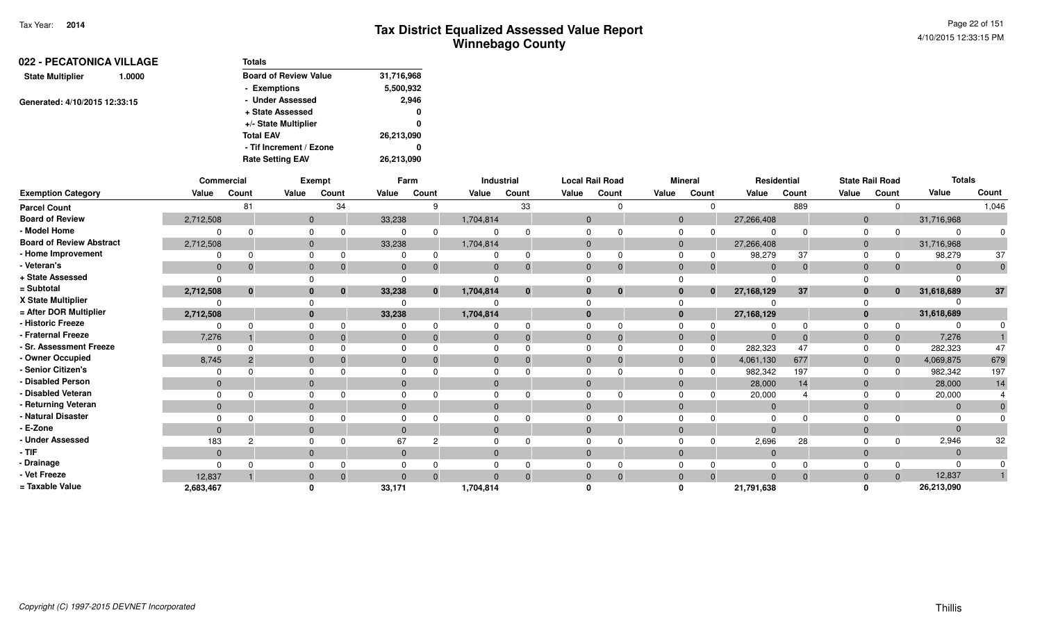| <b>Board of Review Value</b><br>31,716,968<br><b>State Multiplier</b><br>1.0000<br>5,500,932<br>- Exemptions |       |
|--------------------------------------------------------------------------------------------------------------|-------|
|                                                                                                              |       |
|                                                                                                              |       |
| - Under Assessed<br>Generated: 4/10/2015 12:33:15                                                            | 2,946 |
| + State Assessed                                                                                             | 0     |
| +/- State Multiplier                                                                                         | 0     |
| <b>Total EAV</b><br>26,213,090                                                                               |       |
| - Tif Increment / Ezone                                                                                      | 0     |
| 26,213,090<br><b>Rate Setting EAV</b>                                                                        |       |

|                                 | Commercial     |          |              | <b>Exempt</b> |              | Farm         |              | <b>Industrial</b> |                | <b>Local Rail Road</b> |       | <b>Mineral</b>           |                            | Residential |                | <b>State Rail Road</b> | <b>Totals</b> |          |
|---------------------------------|----------------|----------|--------------|---------------|--------------|--------------|--------------|-------------------|----------------|------------------------|-------|--------------------------|----------------------------|-------------|----------------|------------------------|---------------|----------|
| <b>Exemption Category</b>       | Value          | Count    | Value        | Count         | Value        | Count        | Value        | Count             | Value          | Count                  | Value | Count                    | Value                      | Count       | Value          | Count                  | Value         | Count    |
| <b>Parcel Count</b>             |                | 81       |              | 34            |              | 9            |              | 33                |                |                        |       |                          | $\Omega$                   | 889         |                |                        |               | 1,046    |
| <b>Board of Review</b>          | 2,712,508      |          | $\mathbf{0}$ |               | 33,238       |              | 1,704,814    |                   | $\Omega$       |                        |       | $\mathbf{0}$             | 27,266,408                 |             | $\overline{0}$ |                        | 31,716,968    |          |
| - Model Home                    |                |          | $\Omega$     | $\Omega$      | ŋ            | 0            |              |                   |                |                        |       | $\Omega$<br>$\Omega$     |                            |             |                |                        |               |          |
| <b>Board of Review Abstract</b> | 2,712,508      |          | $\mathbf 0$  |               | 33,238       |              | 1,704,814    |                   | $\Omega$       |                        |       | $\mathbf{0}$             | 27,266,408                 |             |                |                        | 31,716,968    |          |
| - Home Improvement              |                |          | $\Omega$     | 0             | O            | 0            | ∩            |                   | $\Omega$       |                        |       | $\Omega$                 | 98,279                     | 37          |                |                        | 98,279        | 37       |
| - Veteran's                     | $\mathbf{0}$   |          | $\mathbf 0$  | $\Omega$      | $\mathbf 0$  | $\Omega$     | $\mathbf{0}$ |                   | $\mathbf{0}$   |                        |       | $\mathbf{0}$             | $\Omega$                   | $\Omega$    | $\overline{0}$ |                        |               | $\Omega$ |
| + State Assessed                |                |          |              |               |              |              |              |                   |                |                        |       |                          |                            |             |                |                        |               |          |
| = Subtotal                      | 2,712,508      | $\bf{0}$ | $\bf{0}$     | $\bf{0}$      | 33,238       | $\mathbf{0}$ | 1,704,814    | $\bf{0}$          | $\bf{0}$       | $\mathbf{0}$           |       | $\mathbf{0}$             | 27,168,129<br>$\mathbf{0}$ | 37          |                | $\bf{0}$               | 31,618,689    | $37\,$   |
| X State Multiplier              |                |          |              |               |              |              |              |                   |                |                        |       |                          |                            |             |                |                        |               |          |
| = After DOR Multiplier          | 2,712,508      |          | $\mathbf{0}$ |               | 33,238       |              | 1,704,814    |                   | $\bf{0}$       |                        |       | $\mathbf{0}$             | 27,168,129                 |             |                |                        | 31,618,689    |          |
| - Historic Freeze               |                |          | $\Omega$     | $\Omega$      |              | <sup>0</sup> |              |                   |                |                        |       | 0                        |                            |             |                |                        |               |          |
| - Fraternal Freeze              | 7,276          |          | $\mathbf 0$  | $\Omega$      | $\mathbf{0}$ |              | $\mathbf{0}$ |                   | $\mathbf{0}$   |                        |       | $\mathbf{0}$             | $\Omega$                   |             | 0              |                        | 7,276         |          |
| - Sr. Assessment Freeze         | $\Omega$       |          | $\Omega$     |               |              |              | $\Omega$     |                   | $\Omega$       |                        |       | 0<br>$\Omega$            | 282,323                    | 47          |                |                        | 282,323       | 47       |
| - Owner Occupied                | 8,745          |          | $\mathbf{0}$ |               | $\Omega$     |              | $\mathbf{0}$ |                   | $\Omega$       |                        |       | $\mathbf{0}$<br>$\Omega$ | 4,061,130                  | 677         |                |                        | 4,069,875     | 679      |
| - Senior Citizen's              |                |          | $\Omega$     |               |              |              |              |                   |                |                        |       | 0                        | 982,342                    | 197         |                |                        | 982,342       | 197      |
| - Disabled Person               | $\mathbf{0}$   |          | $\mathbf{0}$ |               | $\mathbf 0$  |              | $\mathbf{0}$ |                   | $\Omega$       |                        |       | $\overline{0}$           | 28,000                     | 14          |                |                        | 28,000        | 14       |
| - Disabled Veteran              |                |          | $\Omega$     |               |              |              | $\Omega$     |                   | $\Omega$       |                        |       | $\Omega$                 | 20,000                     |             |                |                        | 20,000        |          |
| - Returning Veteran             | $\mathbf{0}$   |          | $\mathbf{0}$ |               | $\mathbf{0}$ |              | $\mathbf{0}$ |                   | $\overline{0}$ |                        |       | $\mathbf{0}$             | $\Omega$                   |             |                |                        | $\Omega$      |          |
| - Natural Disaster              |                |          | $\Omega$     |               |              |              |              |                   |                |                        |       |                          |                            |             |                |                        |               |          |
| - E-Zone                        | $\overline{0}$ |          | $\mathbf{0}$ |               | $\Omega$     |              | $\mathbf{0}$ |                   | $\Omega$       |                        |       | $\mathbf{0}$             |                            |             |                |                        |               |          |
| - Under Assessed                | 183            |          | $\Omega$     |               | 67           | 2            |              |                   |                |                        |       | $\Omega$                 | 2,696                      | 28          |                |                        | 2,946         | 32       |
| $-$ TIF                         | $\mathbf{0}$   |          | $\mathbf{0}$ |               | $\mathbf{0}$ |              | $\mathbf{0}$ |                   | $\Omega$       |                        |       | $\mathbf{0}$             | $\Omega$                   |             |                |                        |               |          |
| - Drainage                      |                |          | 0            |               |              |              |              |                   |                |                        |       |                          |                            |             |                |                        |               |          |
| - Vet Freeze                    | 12,837         |          | $\mathbf 0$  | $\Omega$      | $\mathbf{0}$ | $\Omega$     | $\Omega$     |                   | $\mathbf{0}$   |                        |       | $\mathbf{0}$             | $\Omega$<br>$\Omega$       |             |                |                        | 12,837        |          |
| = Taxable Value                 | 2,683,467      |          |              |               | 33,171       |              | 1,704,814    |                   |                |                        |       | 0                        | 21,791,638                 |             |                |                        | 26,213,090    |          |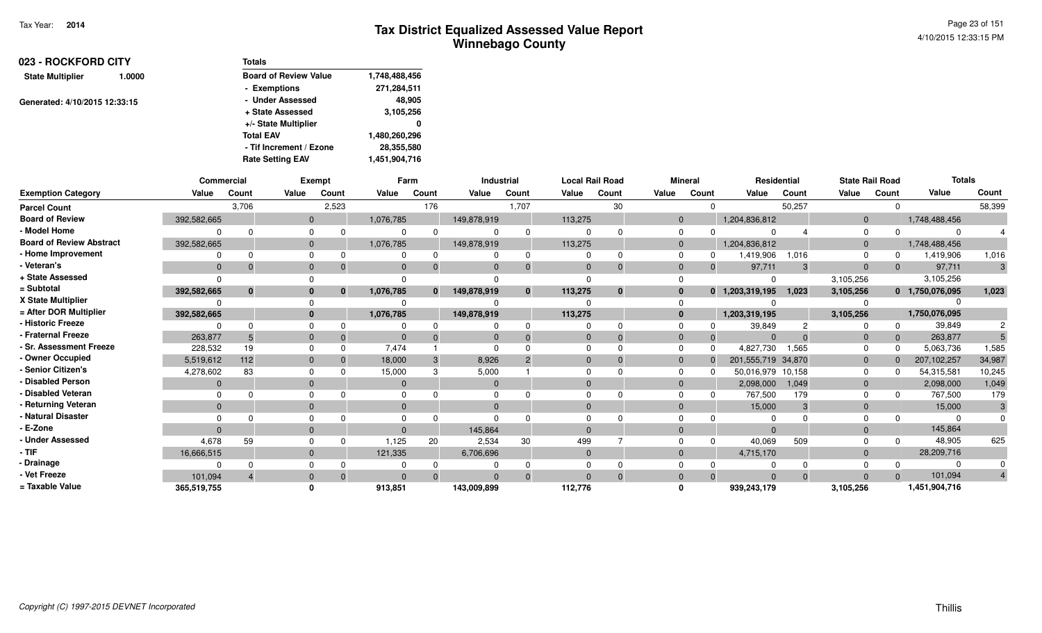| 023 - ROCKFORD CITY               | <b>Totals</b>                |               |
|-----------------------------------|------------------------------|---------------|
| <b>State Multiplier</b><br>1.0000 | <b>Board of Review Value</b> | 1,748,488,456 |
|                                   | - Exemptions                 | 271,284,511   |
| Generated: 4/10/2015 12:33:15     | - Under Assessed             | 48,905        |
|                                   | + State Assessed             | 3,105,256     |
|                                   | +/- State Multiplier         | 0             |
|                                   | <b>Total EAV</b>             | 1,480,260,296 |
|                                   | - Tif Increment / Ezone      | 28,355,580    |
|                                   | <b>Rate Setting EAV</b>      | 1,451,904,716 |

|                                 |              | Commercial |              | <b>Exempt</b> |                | Farm         |                | Industrial |              | <b>Local Rail Road</b> |              | <b>Mineral</b>           |                    | <b>Residential</b> | <b>State Rail Road</b> |              | <b>Totals</b>   |                         |
|---------------------------------|--------------|------------|--------------|---------------|----------------|--------------|----------------|------------|--------------|------------------------|--------------|--------------------------|--------------------|--------------------|------------------------|--------------|-----------------|-------------------------|
| <b>Exemption Category</b>       | Value        | Count      | Value        | Count         | Value          | Count        | Value          | Count      | Value        | Count                  | Value        | Count                    | Value              | Count              | Value                  | Count        | Value           | Count                   |
| <b>Parcel Count</b>             |              | 3,706      |              | 2,523         |                | 176          |                | 1,707      |              | 30                     |              | $\Omega$                 |                    | 50,257             |                        | $\Omega$     |                 | 58,399                  |
| <b>Board of Review</b>          | 392,582,665  |            | $\Omega$     |               | 1,076,785      |              | 149,878,919    |            | 113,275      |                        |              | $\mathbf{0}$             | 1,204,836,812      |                    | $\mathbf 0$            |              | 1,748,488,456   |                         |
| - Model Home                    |              |            |              |               |                |              | $\Omega$       | $\Omega$   | $\Omega$     | $\Omega$               | $\mathbf 0$  | <sup>n</sup>             | $\Omega$           |                    | $\Omega$               | $\Omega$     |                 |                         |
| <b>Board of Review Abstract</b> | 392,582,665  |            | $\mathbf{0}$ |               | 1,076,785      |              | 149,878,919    |            | 113,275      |                        |              | $\mathbf{0}$             | 1,204,836,812      |                    | $\mathbf 0$            |              | 1,748,488,456   |                         |
| - Home Improvement              |              |            | 0            |               | 0              |              | $\Omega$       | $\Omega$   | $\Omega$     | $\Omega$               | $\mathbf 0$  | 0                        | 1,419,906          | 1,016              | $\Omega$               | 0            | 1,419,906       | 1,016                   |
| - Veteran's                     | $\Omega$     |            | $\mathbf{0}$ |               | $\Omega$       |              | $\Omega$       |            | $\Omega$     | $\Omega$               |              | $\mathbf{0}$<br>$\Omega$ | 97,711             | 3                  | $\overline{0}$         | $\Omega$     | 97,711          | 3                       |
| + State Assessed                |              |            |              |               |                |              |                |            | $\Omega$     |                        | $\Omega$     |                          | $\Omega$           |                    | 3,105,256              |              | 3,105,256       |                         |
| = Subtotal                      | 392,582,665  |            | $\bf{0}$     |               | 1,076,785      | $\mathbf{0}$ | 149.878.919    | $\bf{0}$   | 113,275      | $\bf{0}$               |              | $\bf{0}$<br>$\mathbf{0}$ | 1,203,319,195      | 1.023              | 3,105,256              |              | 0 1,750,076,095 | 1,023                   |
| X State Multiplier              |              |            |              |               |                |              |                |            |              |                        | $\Omega$     |                          |                    |                    |                        |              |                 |                         |
| = After DOR Multiplier          | 392,582,665  |            | $\mathbf{0}$ |               | 1,076,785      |              | 149,878,919    |            | 113,275      |                        |              | $\mathbf{0}$             | 1,203,319,195      |                    | 3,105,256              |              | 1,750,076,095   |                         |
| - Historic Freeze               |              |            |              |               |                |              |                |            | $\Omega$     | $\Omega$               | $\mathbf 0$  |                          | 39,849             |                    |                        | $\Omega$     | 39,849          | 2                       |
| - Fraternal Freeze              | 263,877      |            | $\mathbf{0}$ |               | $\Omega$       |              | $\Omega$       |            | $\mathbf{0}$ | $\Omega$               | $\mathbf 0$  | $\Omega$                 | $\Omega$           | $\Omega$           | $\mathbf 0$            | $\Omega$     | 263,877         |                         |
| - Sr. Assessment Freeze         | 228,532      | 19         | $\Omega$     |               | 7.474          |              | $\Omega$       |            | $\Omega$     | $\Omega$               | $\Omega$     | $\Omega$                 | 4,827,730          | 1,565              | $\Omega$               | $\Omega$     | 5,063,736       | 1,585                   |
| - Owner Occupied                | 5,519,612    | 112        | $\Omega$     |               | 18,000         |              | 8,926          |            | $\Omega$     | $\Omega$               |              | $\mathbf{0}$<br>$\Omega$ | 201,555,719 34,870 |                    | $\mathbf 0$            | $\Omega$     | 207,102,257     | 34,987                  |
| - Senior Citizen's              | 4,278,602    | 83         | $\Omega$     |               | 15,000         |              | 5,000          |            | $\Omega$     |                        | $\Omega$     | n                        | 50,016,979 10,158  |                    | $\mathbf{0}$           | <sup>0</sup> | 54,315,581      | 10,245                  |
| <b>Disabled Person</b>          | $\mathbf 0$  |            | $\mathbf{0}$ |               | $\overline{0}$ |              | $\overline{0}$ |            | $\Omega$     |                        |              | $\mathbf{0}$             | 2,098,000          | 1,049              | $\mathbf 0$            |              | 2,098,000       | 1,049                   |
| <b>Disabled Veteran</b>         |              |            |              |               | $\Omega$       |              | $\Omega$       |            | $\Omega$     |                        | $\mathbf 0$  | 0                        | 767,500            | 179                | $\Omega$               | 0            | 767,500         | 179                     |
| - Returning Veteran             | $\mathbf{0}$ |            | $\mathbf{0}$ |               | $\mathbf 0$    |              | $\mathbf{0}$   |            | $\mathbf{0}$ |                        |              | $\mathbf{0}$             | 15,000             | 3                  | $\mathbf 0$            |              | 15,000          | 3                       |
| - Natural Disaster              |              |            |              |               |                |              | $\Omega$       |            | $\Omega$     |                        |              | $\Omega$                 |                    |                    |                        |              |                 |                         |
| - E-Zone                        |              |            | $\mathbf{0}$ |               | $\overline{0}$ |              | 145,864        |            | $\Omega$     |                        |              | $\mathbf{0}$             | $\Omega$           |                    | $\mathbf 0$            |              | 145,864         |                         |
| <b>Under Assessed</b>           | 4,678        | 59         |              |               | 1,125          | 20           | 2,534          | 30         | 499          |                        |              | $\Omega$<br>$\Omega$     | 40,069             | 509                | $\Omega$               | $\Omega$     | 48,905          | 625                     |
| - TIF                           | 16,666,515   |            | $\mathbf{0}$ |               | 121,335        |              | 6,706,696      |            | $\mathbf 0$  |                        |              | $\mathbf{0}$             | 4,715,170          |                    | $\mathbf 0$            |              | 28,209,716      |                         |
| - Drainage                      |              |            |              |               |                |              |                |            | $\Omega$     |                        |              | $\Omega$                 |                    |                    |                        |              |                 |                         |
| - Vet Freeze                    | 101.094      |            |              |               |                |              |                |            | $\Omega$     | $\Omega$               |              | $\Omega$<br>$\Omega$     | $\Omega$           | $\Omega$           | $\Omega$               | $\Omega$     | 101,094         | $\overline{\mathbf{4}}$ |
| = Taxable Value                 | 365,519,755  |            |              |               | 913,851        |              | 143,009,899    |            | 112,776      |                        | $\mathbf{0}$ |                          | 939,243,179        |                    | 3,105,256              |              | 1,451,904,716   |                         |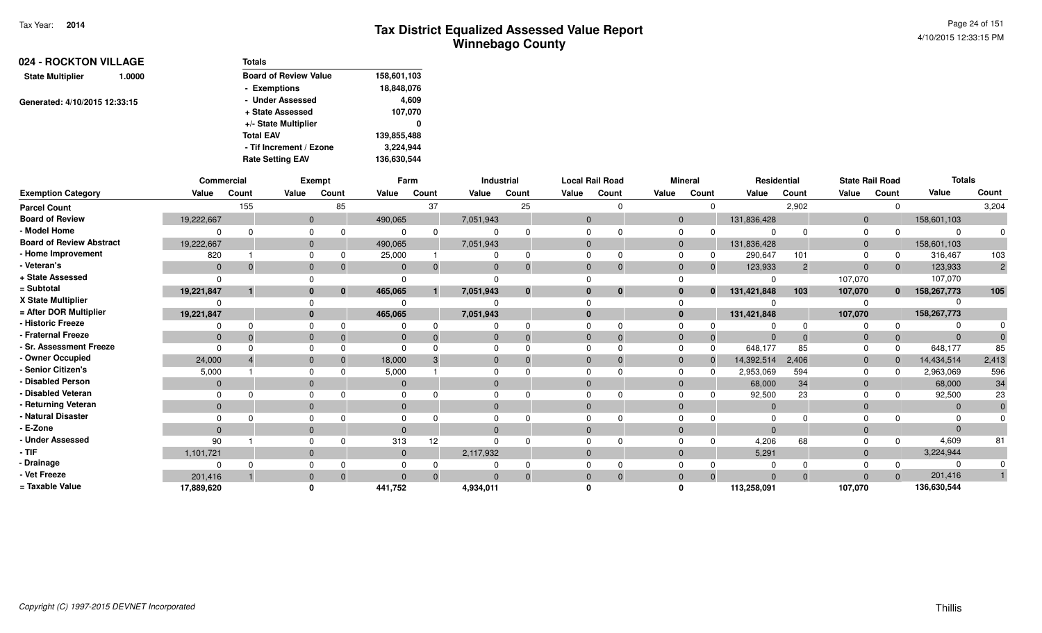Page 24 of 1514/10/2015 12:33:15 PM

| 024 - ROCKTON VILLAGE         |        | <b>Totals</b>                |             |
|-------------------------------|--------|------------------------------|-------------|
| <b>State Multiplier</b>       | 1.0000 | <b>Board of Review Value</b> | 158,601,103 |
|                               |        | - Exemptions                 | 18,848,076  |
| Generated: 4/10/2015 12:33:15 |        | - Under Assessed             | 4,609       |
|                               |        | + State Assessed             | 107,070     |
|                               |        | +/- State Multiplier         | 0           |
|                               |        | <b>Total EAV</b>             | 139,855,488 |
|                               |        | - Tif Increment / Ezone      | 3,224,944   |
|                               |        | <b>Rate Setting EAV</b>      | 136,630,544 |

|                                 |                | Commercial   |              | Exempt |              | Farm     |           | Industrial | <b>Local Rail Road</b> |          |                | <b>Mineral</b> | Residential |                | <b>State Rail Road</b> |              | <b>Totals</b> |                |
|---------------------------------|----------------|--------------|--------------|--------|--------------|----------|-----------|------------|------------------------|----------|----------------|----------------|-------------|----------------|------------------------|--------------|---------------|----------------|
| <b>Exemption Category</b>       | Value          | Count        | Value        | Count  | Value        | Count    | Value     | Count      | Value                  | Count    | Value          | Count          | Value       | Count          | Value                  | Count        | Value         | Count          |
| <b>Parcel Count</b>             |                | 155          |              | 85     |              | 37       |           | 25         |                        |          |                | $\Omega$       |             | 2,902          |                        | $\Omega$     |               | 3,204          |
| <b>Board of Review</b>          | 19,222,667     |              | $\mathbf{0}$ |        | 490,065      |          | 7,051,943 |            | $\Omega$               |          | $\overline{0}$ |                | 131,836,428 |                | $\overline{0}$         |              | 158,601,103   |                |
| - Model Home                    |                | <sup>n</sup> |              |        |              | ŋ        |           |            |                        |          |                |                |             |                | $\Omega$               |              |               |                |
| <b>Board of Review Abstract</b> | 19,222,667     |              | $\mathbf{0}$ |        | 490,065      |          | 7,051,943 |            |                        |          | $\Omega$       |                | 131,836,428 |                | $\overline{0}$         |              | 158,601,103   |                |
| - Home Improvement              | 820            |              | $\Omega$     |        | 25,000       |          |           |            |                        |          | $\Omega$       | 0              | 290,647     | 101            | $\Omega$               | 0            | 316,467       | 103            |
| - Veteran's                     | $\mathbf 0$    | $\Omega$     | $\mathbf{0}$ |        | $\Omega$     | $\Omega$ |           |            | $\Omega$               | $\Omega$ | $\Omega$       | $\mathbf 0$    | 123,933     | $\overline{c}$ | $\Omega$               | $\mathbf{0}$ | 123,933       | $\overline{2}$ |
| + State Assessed                |                |              |              |        | $\Omega$     |          |           |            |                        |          |                |                |             |                | 107,070                |              | 107,070       |                |
| = Subtotal                      | 19,221,847     |              |              | 0      | 465,065      |          | 7,051,943 | $\bf{0}$   |                        | $\bf{0}$ |                | $\mathbf{0}$   | 131,421,848 | 103            | 107,070                | $\mathbf{0}$ | 158,267,773   | 105            |
| X State Multiplier              |                |              |              |        |              |          |           |            |                        |          |                |                |             |                |                        |              |               |                |
| = After DOR Multiplier          | 19,221,847     |              | $\bf{0}$     |        | 465,065      |          | 7,051,943 |            |                        |          | $\mathbf{0}$   |                | 131,421,848 |                | 107,070                |              | 158,267,773   |                |
| - Historic Freeze               |                |              |              |        |              |          |           |            |                        |          |                |                |             |                |                        | $\Omega$     |               |                |
| - Fraternal Freeze              | $\overline{0}$ | $\Omega$     | $\mathbf{0}$ |        | $\mathbf{0}$ |          |           |            | $\mathbf{0}$           |          |                |                |             |                |                        | $\mathbf 0$  | $\Omega$      |                |
| - Sr. Assessment Freeze         | $\Omega$       |              |              |        | $\Omega$     |          |           |            |                        |          | $\Omega$       | $\Omega$       | 648,177     | 85             |                        | 0            | 648,177       | 85             |
| - Owner Occupied                | 24,000         |              | $\Omega$     |        | 18,000       |          |           |            | $\Omega$               | $\Omega$ | $\Omega$       | $\Omega$       | 14,392,514  | 2,406          | $\overline{0}$         | $\Omega$     | 14,434,514    | 2,413          |
| - Senior Citizen's              | 5,000          |              |              |        | 5,000        |          |           |            |                        |          |                |                | 2,953,069   | 594            | $\Omega$               |              | 2,963,069     | 596            |
| - Disabled Person               | $\overline{0}$ |              | $\Omega$     |        | $\Omega$     |          |           |            | $\Omega$               |          | $\Omega$       |                | 68,000      | 34             | $\Omega$               |              | 68,000        | 34             |
| - Disabled Veteran              | $\Omega$       |              |              |        | $\Omega$     |          |           |            |                        |          |                |                | 92,500      | 23             | $\Omega$               |              | 92,500        | 23             |
| - Returning Veteran             | $\overline{0}$ |              | $\mathbf{0}$ |        | $\Omega$     |          |           |            | $\Omega$               |          | $\Omega$       |                |             |                | $\Omega$               |              |               |                |
| - Natural Disaster              |                |              |              |        |              |          |           |            |                        |          |                |                |             |                |                        |              |               |                |
| - E-Zone                        | $\Omega$       |              | $\mathbf{0}$ |        | $\Omega$     |          |           |            | $\Omega$               |          | $\Omega$       |                | $\Omega$    |                | $\Omega$               |              |               |                |
| - Under Assessed                | 90             |              |              |        | 313          | 12       |           |            |                        |          |                |                | 4,206       | 68             |                        | $\Omega$     | 4,609         | 81             |
| $-$ TIF                         | 1,101,721      |              | $\Omega$     |        | $\Omega$     |          | 2,117,932 |            | $\Omega$               |          | $\Omega$       |                | 5,291       |                | $\Omega$               |              | 3,224,944     |                |
| - Drainage                      |                | $\Omega$     |              |        | $\Omega$     |          |           |            |                        |          |                |                |             |                |                        |              |               |                |
| - Vet Freeze                    | 201,416        |              | $\mathbf 0$  |        | $\Omega$     | $\Omega$ |           |            | $\Omega$               | $\Omega$ | $\Omega$       | $\Omega$       | $\Omega$    | $\Omega$       | $\Omega$               | $\Omega$     | 201,416       |                |
| = Taxable Value                 | 17,889,620     |              |              |        | 441,752      |          | 4,934,011 |            |                        |          |                |                | 113,258,091 |                | 107,070                |              | 136,630,544   |                |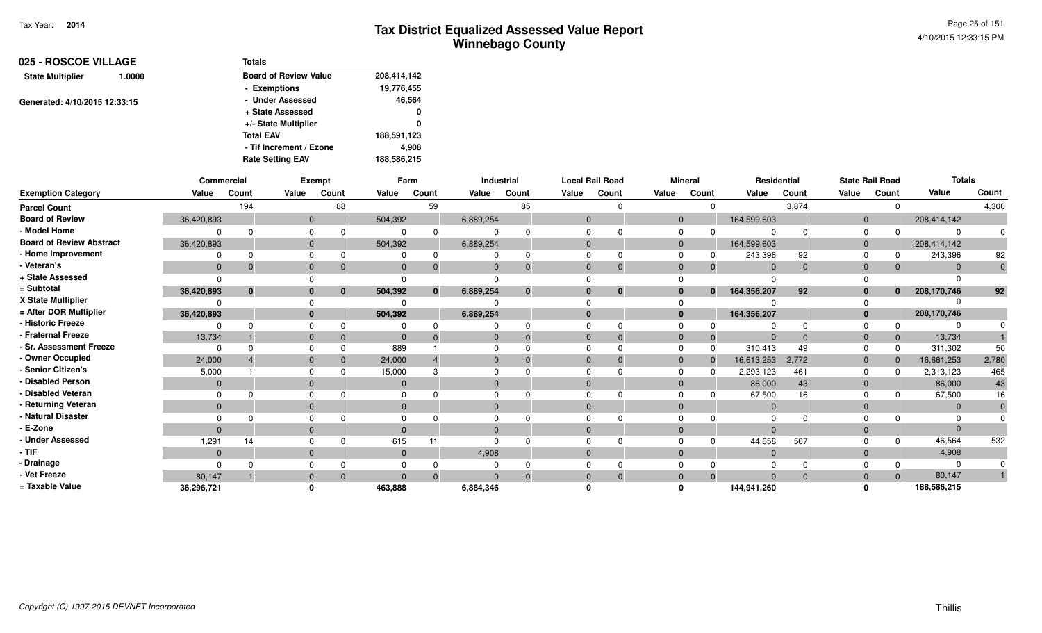| 025 - ROSCOE VILLAGE          |        | <b>Totals</b>                |             |
|-------------------------------|--------|------------------------------|-------------|
| <b>State Multiplier</b>       | 1.0000 | <b>Board of Review Value</b> | 208,414,142 |
|                               |        | - Exemptions                 | 19,776,455  |
| Generated: 4/10/2015 12:33:15 |        | - Under Assessed             | 46,564      |
|                               |        | + State Assessed             | 0           |
|                               |        | +/- State Multiplier         | 0           |
|                               |        | <b>Total EAV</b>             | 188,591,123 |
|                               |        | - Tif Increment / Ezone      | 4,908       |
|                               |        | <b>Rate Setting EAV</b>      | 188,586,215 |

|                                 | Commercial     |              |              | Exempt   |          | Farm  |           | Industrial   |              | <b>Local Rail Road</b> |                | <b>Mineral</b> | Residential    |          |             | <b>State Rail Road</b> | <b>Totals</b> |       |
|---------------------------------|----------------|--------------|--------------|----------|----------|-------|-----------|--------------|--------------|------------------------|----------------|----------------|----------------|----------|-------------|------------------------|---------------|-------|
| <b>Exemption Category</b>       | Value          | Count        | Value        | Count    | Value    | Count | Value     | Count        | Value        | Count                  | Value          | Count          | Value          | Count    | Value       | Count                  | Value         | Count |
| <b>Parcel Count</b>             |                | 194          |              | 88       |          | 59    |           | 85           |              |                        |                | $\Omega$       |                | 3,874    |             |                        |               | 4,300 |
| <b>Board of Review</b>          | 36,420,893     |              | $\mathbf{0}$ |          | 504,392  |       | 6,889,254 |              | $\Omega$     |                        | $\mathbf{0}$   |                | 164,599,603    |          | $\Omega$    |                        | 208,414,142   |       |
| - Model Home                    |                |              | $\Omega$     |          |          |       |           |              |              |                        | <sup>0</sup>   |                |                |          |             |                        | $\Omega$      |       |
| <b>Board of Review Abstract</b> | 36,420,893     |              | $\mathbf{0}$ |          | 504,392  |       | 6,889,254 |              |              |                        | $\Omega$       |                | 164,599,603    |          | $\Omega$    |                        | 208,414,142   |       |
| - Home Improvement              |                |              | $\Omega$     |          |          |       |           | $\Omega$     |              |                        |                |                | 243,396        | 92       |             |                        | 243,396       | 92    |
| - Veteran's                     | $\mathbf{0}$   | $\Omega$     | $\mathbf{0}$ |          | $\Omega$ |       | $\Omega$  | $\Omega$     | $\Omega$     |                        | $\Omega$       |                | $\Omega$       | $\Omega$ | $\Omega$    |                        | $\Omega$      |       |
| + State Assessed                | $\Omega$       |              |              |          |          |       |           |              |              |                        |                |                |                |          |             |                        |               |       |
| = Subtotal                      | 36,420,893     | $\mathbf{0}$ | $\bf{0}$     | $\bf{0}$ | 504,392  |       | 6,889,254 | $\mathbf 0$  |              | $\bf{0}$               | $\bf{0}$       | $\mathbf{0}$   | 164,356,207    | 92       |             | $\mathbf{0}$           | 208,170,746   | 92    |
| X State Multiplier              |                |              |              |          |          |       |           |              |              |                        |                |                |                |          |             |                        |               |       |
| = After DOR Multiplier          | 36,420,893     |              | $\bf{0}$     |          | 504,392  |       | 6,889,254 |              | $\Omega$     |                        | $\bf{0}$       |                | 164,356,207    |          |             |                        | 208,170,746   |       |
| - Historic Freeze               |                |              |              |          |          |       |           | <sup>n</sup> |              |                        |                |                |                |          |             |                        |               |       |
| - Fraternal Freeze              | 13,734         |              | $\mathbf{0}$ |          | $\Omega$ |       | 0         | $\Omega$     | $\mathbf{0}$ |                        | $\Omega$       | 0              | $\overline{0}$ |          | $\mathbf 0$ |                        | 13,734        |       |
| - Sr. Assessment Freeze         | $\Omega$       |              | $\Omega$     |          | 889      |       |           |              |              |                        | $\Omega$       |                | 310,413        | 49       |             |                        | 311,302       | 50    |
| - Owner Occupied                | 24,000         |              | $\mathbf{0}$ |          | 24,000   |       | $\Omega$  | $\Omega$     | $\Omega$     |                        | $\overline{0}$ |                | 16,613,253     | 2,772    | $\Omega$    |                        | 16,661,253    | 2,780 |
| - Senior Citizen's              | 5,000          |              |              |          | 15,000   |       |           |              |              |                        | <sup>0</sup>   |                | 2,293,123      | 461      |             |                        | 2,313,123     | 465   |
| - Disabled Person               | $\mathbf{0}$   |              | $\mathbf{0}$ |          |          |       | $\Omega$  |              |              |                        | $\Omega$       |                | 86,000         | 43       | $\mathbf 0$ |                        | 86,000        | 43    |
| - Disabled Veteran              | $\Omega$       |              | $\Omega$     |          |          |       |           |              |              |                        | $\Omega$       |                | 67,500         | 16       |             |                        | 67,500        | 16    |
| - Returning Veteran             | $\overline{0}$ |              | $\mathbf{0}$ |          | $\Omega$ |       | $\Omega$  |              | $\Omega$     |                        | $\overline{0}$ |                | $\overline{0}$ |          | $\Omega$    |                        | $\mathbf{0}$  |       |
| - Natural Disaster              |                |              |              |          |          |       |           |              |              |                        |                |                | $\Omega$       |          |             |                        |               |       |
| - E-Zone                        | $\Omega$       |              | $\Omega$     |          |          |       | $\Omega$  |              | $\Omega$     |                        | $\Omega$       |                | $\Omega$       |          |             |                        | $\Omega$      |       |
| - Under Assessed                | 1,291          | 14           |              |          | 615      |       |           |              |              |                        |                |                | 44,658         | 507      |             |                        | 46,564        | 532   |
| - TIF                           | $\mathbf{0}$   |              | $\Omega$     |          | $\Omega$ |       | 4,908     |              | $\Omega$     |                        | $\Omega$       |                | $\overline{0}$ |          | $\Omega$    |                        | 4,908         |       |
| - Drainage                      |                |              |              |          |          |       |           |              |              |                        |                |                |                |          |             |                        | 0             |       |
| - Vet Freeze                    | 80,147         |              | $\mathbf{0}$ |          | $\Omega$ |       | $\Omega$  | $\Omega$     | $\Omega$     |                        | $\Omega$       | $\Omega$       | $\Omega$       | $\Omega$ | $\Omega$    | $\Omega$               | 80,147        |       |
| = Taxable Value                 | 36,296,721     |              |              |          | 463,888  |       | 6,884,346 |              |              |                        | ŋ              |                | 144,941,260    |          |             |                        | 188,586,215   |       |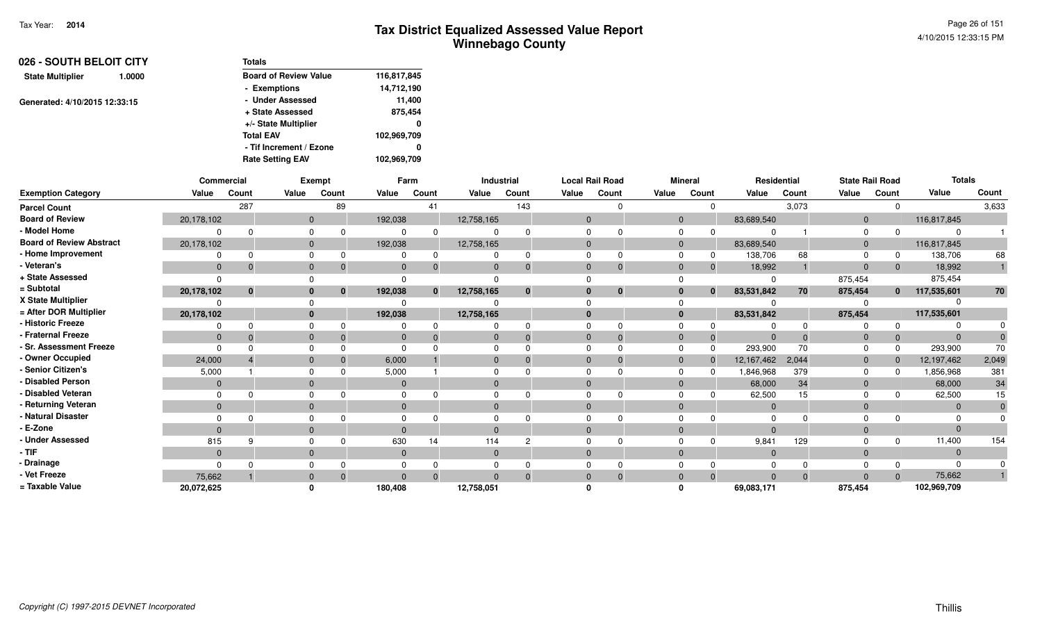Page 26 of 1514/10/2015 12:33:15 PM

| 026 - SOUTH BELOIT CITY           | Totals                       |             |
|-----------------------------------|------------------------------|-------------|
| <b>State Multiplier</b><br>1.0000 | <b>Board of Review Value</b> | 116,817,845 |
|                                   | - Exemptions                 | 14,712,190  |
| Generated: 4/10/2015 12:33:15     | - Under Assessed             | 11,400      |
|                                   | + State Assessed             | 875,454     |
|                                   | +/- State Multiplier         | 0           |
|                                   | <b>Total EAV</b>             | 102,969,709 |
|                                   | - Tif Increment / Ezone      | 0           |
|                                   | <b>Rate Setting EAV</b>      | 102,969,709 |

|                                 | Commercial     |              |                | Exempt   |              | Farm         |              | Industrial |          | <b>Local Rail Road</b> |              | <b>Mineral</b> |                | Residential |             | <b>State Rail Road</b> | <b>Totals</b>  |       |
|---------------------------------|----------------|--------------|----------------|----------|--------------|--------------|--------------|------------|----------|------------------------|--------------|----------------|----------------|-------------|-------------|------------------------|----------------|-------|
| <b>Exemption Category</b>       | Value          | Count        | Value          | Count    | Value        | Count        | Value        | Count      | Value    | Count                  | Value        | Count          | Value          | Count       | Value       | Count                  | Value          | Count |
| <b>Parcel Count</b>             |                | 287          |                | 89       |              | 41           |              | 143        |          |                        |              | $\Omega$       |                | 3,073       |             |                        |                | 3,633 |
| <b>Board of Review</b>          | 20,178,102     |              | $\mathbf{0}$   |          | 192,038      |              | 12,758,165   |            | $\Omega$ |                        | $\mathbf{0}$ |                | 83,689,540     |             | $\mathbf 0$ |                        | 116,817,845    |       |
| - Model Home                    |                | $\Omega$     |                |          |              |              |              |            |          |                        | <sup>0</sup> |                |                |             |             |                        | 0              |       |
| <b>Board of Review Abstract</b> | 20,178,102     |              | $\mathbf{0}$   |          | 192,038      |              | 12,758,165   |            |          |                        | $\Omega$     |                | 83,689,540     |             | $\Omega$    |                        | 116,817,845    |       |
| - Home Improvement              | $\Omega$       | $\Omega$     | $\Omega$       |          |              |              |              | $\Omega$   |          |                        |              |                | 138,706        | 68          |             |                        | 138,706        | 68    |
| - Veteran's                     | $\overline{0}$ | $\Omega$     | $\mathbf{0}$   |          | $\Omega$     |              |              | $\Omega$   | $\Omega$ |                        | $\Omega$     | $\Omega$       | 18,992         |             | $\Omega$    | $\Omega$               | 18,992         |       |
| + State Assessed                | $\Omega$       |              |                |          |              |              |              |            |          |                        |              |                |                |             | 875,454     |                        | 875,454        |       |
| = Subtotal                      | 20,178,102     | $\mathbf{0}$ | $\bf{0}$       | $\bf{0}$ | 192,038      | $\mathbf{0}$ | 12,758,165   | $\bf{0}$   |          | $\bf{0}$               | $\bf{0}$     | $\bf{0}$       | 83,531,842     | 70          | 875,454     | $\mathbf{0}$           | 117,535,601    | 70    |
| X State Multiplier              |                |              |                |          |              |              |              |            |          |                        |              |                |                |             |             |                        |                |       |
| = After DOR Multiplier          | 20,178,102     |              | $\mathbf{0}$   |          | 192,038      |              | 12,758,165   |            | $\Omega$ |                        | $\bf{0}$     |                | 83,531,842     |             | 875,454     |                        | 117,535,601    |       |
| - Historic Freeze               | 0              | $\Omega$     |                |          |              |              |              |            |          |                        |              |                |                |             |             |                        |                |       |
| - Fraternal Freeze              | $\mathbf{0}$   | $\Omega$     | $\overline{0}$ |          | $\mathbf{0}$ |              |              | $\Omega$   |          |                        | $\Omega$     | $\mathbf{0}$   | - 0            | $\Omega$    | $\Omega$    |                        | $\mathbf{0}$   |       |
| - Sr. Assessment Freeze         | $\Omega$       |              | $\Omega$       |          |              |              |              |            |          |                        | $\Omega$     | $\Omega$       | 293,900        | 70          |             |                        | 293,900        | 70    |
| - Owner Occupied                | 24,000         |              | $\Omega$       |          | 6,000        |              |              | $\Omega$   |          |                        | $\Omega$     |                | 12,167,462     | 2,044       | $\Omega$    |                        | 12,197,462     | 2,049 |
| <b>Senior Citizen's</b>         | 5,000          |              |                |          | 5,000        |              |              |            |          |                        | <sup>0</sup> |                | 846,968.       | 379         |             |                        | 1,856,968      | 381   |
| - Disabled Person               | $\overline{0}$ |              | $\overline{0}$ |          | $\Omega$     |              |              |            |          |                        | $\Omega$     |                | 68,000         | 34          | $\Omega$    |                        | 68,000         | 34    |
| - Disabled Veteran              | $\Omega$       |              | $\Omega$       |          |              |              |              |            |          |                        |              |                | 62,500         | 15          |             |                        | 62,500         | 15    |
| - Returning Veteran             | $\overline{0}$ |              | $\overline{0}$ |          | $\mathbf{0}$ |              | $\mathbf{0}$ |            | $\Omega$ |                        | $\mathbf{0}$ |                | $\overline{0}$ |             | $\Omega$    |                        | $\overline{0}$ |       |
| - Natural Disaster              | $\Omega$       |              |                |          |              |              |              |            |          |                        |              |                |                |             |             |                        | $\Omega$       |       |
| - E-Zone                        | $\Omega$       |              | $\Omega$       |          | $\Omega$     |              |              |            |          |                        | $\Omega$     |                |                |             |             |                        | $\Omega$       |       |
| - Under Assessed                | 815            | 9            | $\Omega$       |          | 630          | 14           | 114          | റ          |          |                        |              |                | 9,841          | 129         |             |                        | 11,400         | 154   |
| - TIF                           | $\mathbf{0}$   |              | $\mathbf{0}$   |          | $\mathbf{0}$ |              | $\mathbf{0}$ |            | $\Omega$ |                        | $\Omega$     |                | $\overline{0}$ |             | $\Omega$    |                        | $\overline{0}$ |       |
| - Drainage                      | $\Omega$       |              |                |          |              |              |              |            |          |                        |              |                |                |             |             |                        | $\Omega$       |       |
| - Vet Freeze                    | 75,662         |              | $\overline{0}$ |          | $\Omega$     |              |              | $\Omega$   |          |                        | $\Omega$     |                |                | $\Omega$    |             |                        | 75,662         |       |
| = Taxable Value                 | 20,072,625     |              |                |          | 180,408      |              | 12,758,051   |            |          |                        |              |                | 69,083,171     |             | 875,454     |                        | 102,969,709    |       |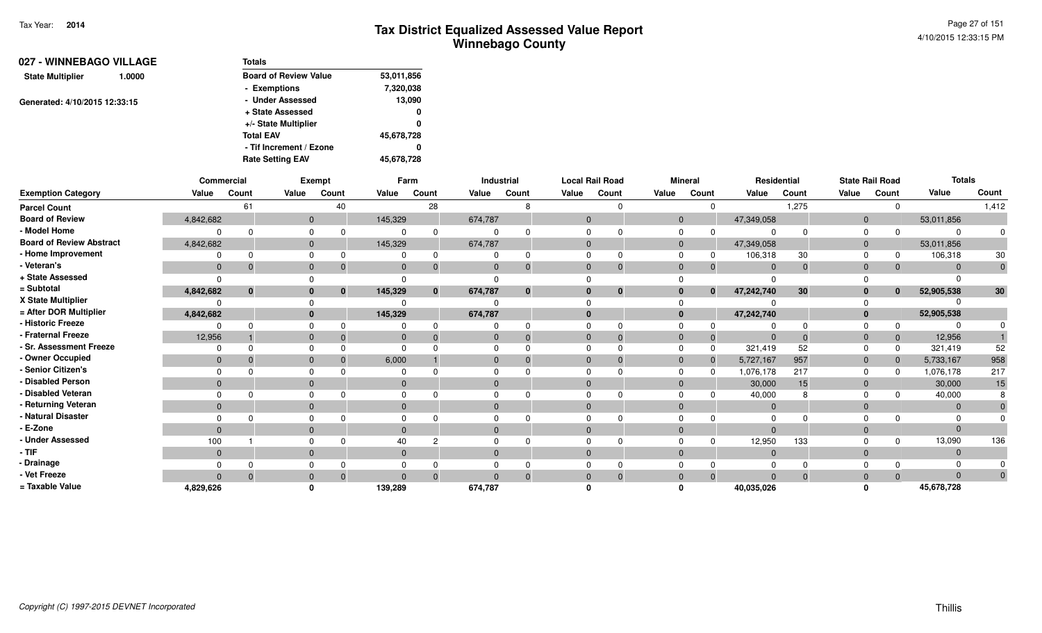| 027 - WINNEBAGO VILLAGE           | Totals                       |            |
|-----------------------------------|------------------------------|------------|
| <b>State Multiplier</b><br>1.0000 | <b>Board of Review Value</b> | 53,011,856 |
|                                   | - Exemptions                 | 7,320,038  |
| Generated: 4/10/2015 12:33:15     | - Under Assessed             | 13,090     |
|                                   | + State Assessed             | 0          |
|                                   | +/- State Multiplier         | 0          |
|                                   | <b>Total EAV</b>             | 45,678,728 |
|                                   | - Tif Increment / Ezone      | 0          |
|                                   | <b>Rate Setting EAV</b>      | 45,678,728 |

|                                 |                | Commercial |              | <b>Exempt</b>            |                | Farm           |              | <b>Industrial</b> |                | <b>Local Rail Road</b> |       | <b>Mineral</b>           |                            | Residential     |                | <b>State Rail Road</b> | <b>Totals</b> |              |
|---------------------------------|----------------|------------|--------------|--------------------------|----------------|----------------|--------------|-------------------|----------------|------------------------|-------|--------------------------|----------------------------|-----------------|----------------|------------------------|---------------|--------------|
| <b>Exemption Category</b>       | Value          | Count      | Value        | Count                    | Value          | Count          | Value        | Count             | Value          | Count                  | Value | Count                    | Value                      | Count           | Value          | Count                  | Value         | Count        |
| <b>Parcel Count</b>             |                | 61         |              | 40                       |                | 28             |              | 8                 |                | $\Omega$               |       |                          | $\mathbf 0$                | 1,275           |                | 0                      |               | 1,412        |
| <b>Board of Review</b>          | 4,842,682      |            |              | $\mathbf{0}$             | 145,329        |                | 674,787      |                   | $\overline{0}$ |                        |       | $\overline{0}$           | 47,349,058                 |                 | $\mathbf 0$    |                        | 53,011,856    |              |
| - Model Home                    |                | $\Omega$   | $\Omega$     | $\Omega$                 | $\Omega$       | $\Omega$       | $\Omega$     |                   | $\Omega$       | $\Omega$               |       | $\Omega$<br>$\Omega$     |                            | $\Omega$        | 0              |                        |               |              |
| <b>Board of Review Abstract</b> | 4,842,682      |            |              | $\mathbf 0$              | 145,329        |                | 674,787      |                   | $\mathbf{0}$   |                        |       | $\mathbf 0$              | 47,349,058                 |                 | $\mathbf 0$    |                        | 53,011,856    |              |
| - Home Improvement              | 0              | $\Omega$   | $\Omega$     |                          | $\Omega$       | $\Omega$       | $\Omega$     | <sup>0</sup>      | $\Omega$       | <sup>0</sup>           |       | $\Omega$<br>0            | 106,318                    | 30              | $\Omega$       | 0                      | 106,318       | 30           |
| - Veteran's                     | $\mathbf 0$    | $\Omega$   | $\mathbf 0$  | $\Omega$                 | $\mathbf 0$    | $\Omega$       | $\mathbf{0}$ | $\Omega$          | $\mathbf{0}$   | $\Omega$               |       | $\mathbf{0}$<br>$\Omega$ | $\mathbf{0}$               | $\Omega$        | $\mathbf{0}$   |                        | $\Omega$      | $\mathbf{0}$ |
| + State Assessed                | $\Omega$       |            |              |                          | $\cap$         |                |              |                   |                |                        |       |                          |                            |                 |                |                        |               |              |
| = Subtotal                      | 4,842,682      | $\bf{0}$   |              | $\bf{0}$<br>$\mathbf{0}$ | 145,329        | $\mathbf{0}$   | 674,787      | $\mathbf{0}$      | $\bf{0}$       | $\bf{0}$               |       | $\mathbf{0}$             | 47,242,740<br>$\mathbf{0}$ | 30 <sup>°</sup> | $\bf{0}$       | $\mathbf{0}$           | 52,905,538    | 30           |
| X State Multiplier              |                |            |              |                          |                |                |              |                   |                |                        |       |                          |                            |                 |                |                        |               |              |
| = After DOR Multiplier          | 4,842,682      |            |              | $\bf{0}$                 | 145,329        |                | 674,787      |                   | $\mathbf{0}$   |                        |       | $\mathbf{0}$             | 47,242,740                 |                 | $\bf{0}$       |                        | 52,905,538    |              |
| - Historic Freeze               | O              |            | $\Omega$     |                          | $\Omega$       | $\Omega$       | 0            |                   |                | $\Omega$               |       | $\Omega$                 |                            | $\Omega$        |                |                        |               |              |
| - Fraternal Freeze              | 12,956         |            | $\mathbf{0}$ | $\Omega$                 | $\mathbf 0$    | $\Omega$       | $\mathbf{0}$ | $\Omega$          | $\mathbf{0}$   | $\Omega$               |       | $\mathbf{0}$<br>0        | $\Omega$                   | $\Omega$        | $\mathbf{0}$   | $\mathbf{0}$           | 12,956        |              |
| - Sr. Assessment Freeze         | $\Omega$       | $\Omega$   | $\Omega$     |                          | $\Omega$       |                | $\Omega$     |                   | $\Omega$       | $\Omega$               |       | $\Omega$<br>$\Omega$     | 321,419                    | 52              | $\Omega$       | 0                      | 321,419       | 52           |
| - Owner Occupied                | $\mathbf{0}$   |            | $\Omega$     |                          | 6,000          |                | $\mathbf{0}$ |                   | $\Omega$       | $\Omega$               |       | $\mathbf 0$<br>$\Omega$  | 5,727,167                  | 957             | $\mathbf{0}$   | $\Omega$               | 5,733,167     | 958          |
| - Senior Citizen's              | $\Omega$       |            | $\Omega$     |                          | $\Omega$       |                | $\Omega$     |                   | $\Omega$       |                        |       | $\Omega$<br>$\Omega$     | 1,076,178                  | 217             | $\Omega$       | $\Omega$               | 1,076,178     | 217          |
| - Disabled Person               | $\mathbf{0}$   |            | $\mathbf{0}$ |                          | $\overline{0}$ |                | $\mathbf{0}$ |                   | $\Omega$       |                        |       | $\mathbf{0}$             | 30,000                     | 15              | $\mathbf{0}$   |                        | 30,000        | 15           |
| - Disabled Veteran              | $\Omega$       | $\Omega$   | $\Omega$     |                          | $\Omega$       | $\Omega$       | $\Omega$     |                   |                | <sup>0</sup>           |       | $\Omega$                 | 40,000                     | 8               | $\Omega$       |                        | 40,000        |              |
| - Returning Veteran             | $\overline{0}$ |            |              | $\mathbf 0$              | $\mathbf{0}$   |                | $\mathbf{0}$ |                   | $\overline{0}$ |                        |       | $\mathbf 0$              | $\mathbf 0$                |                 | $\mathbf{0}$   |                        | $\Omega$      |              |
| - Natural Disaster              |                |            | $\Omega$     |                          | $\Omega$       |                | $\Omega$     |                   |                |                        |       | $\Omega$                 |                            |                 |                |                        |               |              |
| - E-Zone                        | $\Omega$       |            | $\mathbf{0}$ |                          | $\Omega$       |                | $\mathbf{0}$ |                   | $\Omega$       |                        |       | $\Omega$                 | $\Omega$                   |                 |                |                        |               |              |
| <b>Under Assessed</b>           | 100            |            | $\Omega$     |                          | 40             | $\overline{c}$ | $\Omega$     |                   |                | $\Omega$               |       | $\Omega$<br>$\Omega$     | 12,950                     | 133             |                | 0                      | 13,090        | 136          |
| - TIF                           | $\mathbf 0$    |            | $\mathbf 0$  |                          | $\overline{0}$ |                | $\mathbf{0}$ |                   | $\mathbf{0}$   |                        |       | $\mathbf{0}$             | $\mathbf 0$                |                 | $\mathbf 0$    |                        | $\Omega$      |              |
| - Drainage                      |                |            | $\Omega$     |                          | $\Omega$       |                | $\Omega$     |                   |                |                        |       |                          |                            |                 |                |                        |               |              |
| - Vet Freeze                    | $\Omega$       | $\Omega$   | $\Omega$     | $\Omega$                 | $\Omega$       | $\Omega$       | $\Omega$     | $\Omega$          | $\Omega$       | $\mathbf{0}$           |       | $\mathbf{0}$<br>$\Omega$ | $\Omega$                   | $\Omega$        | $\overline{0}$ | $\Omega$               |               |              |
| = Taxable Value                 | 4,829,626      |            |              |                          | 139,289        |                | 674,787      |                   |                |                        |       |                          | 40,035,026                 |                 |                |                        | 45,678,728    |              |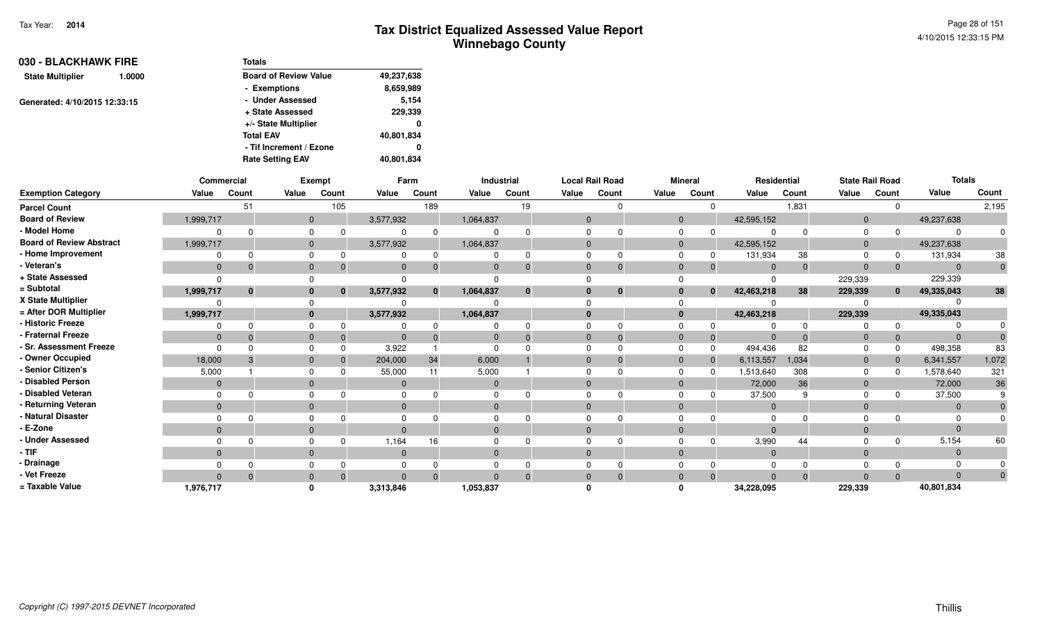| 030 - BLACKHAWK FIRE          |        | Totals                       |            |
|-------------------------------|--------|------------------------------|------------|
| <b>State Multiplier</b>       | 1.0000 | <b>Board of Review Value</b> | 49,237,638 |
|                               |        | - Exemptions                 | 8,659,989  |
| Generated: 4/10/2015 12:33:15 |        | - Under Assessed             | 5,154      |
|                               |        | + State Assessed             | 229,339    |
|                               |        | +/- State Multiplier         | 0          |
|                               |        | <b>Total EAV</b>             | 40,801,834 |
|                               |        | - Tif Increment / Ezone      | 0          |
|                               |        | <b>Rate Setting EAV</b>      | 40,801,834 |

|                                 | Commercial     |              |              | <b>Exempt</b> |              | Farm         |           | Industrial   |              | <b>Local Rail Road</b> |              | <b>Mineral</b> | Residential    |          | <b>State Rail Road</b> |              | <b>Totals</b> |       |
|---------------------------------|----------------|--------------|--------------|---------------|--------------|--------------|-----------|--------------|--------------|------------------------|--------------|----------------|----------------|----------|------------------------|--------------|---------------|-------|
| <b>Exemption Category</b>       | Value          | Count        | Value        | Count         | Value        | Count        | Value     | Count        | Value        | Count                  | Value        | Count          | Value          | Count    | Value                  | Count        | Value         | Count |
| <b>Parcel Count</b>             |                | 51           |              | 105           |              | 189          |           | 19           |              |                        |              |                |                | 1,831    |                        |              |               | 2,195 |
| <b>Board of Review</b>          | 1,999,717      |              |              | $\mathbf{0}$  | 3,577,932    |              | 1,064,837 |              | $\Omega$     |                        | $\mathbf{0}$ |                | 42,595,152     |          | $\mathbf{0}$           |              | 49,237,638    |       |
| - Model Home                    |                |              | $\Omega$     |               |              |              |           |              |              |                        |              |                |                |          |                        |              | ∩             |       |
| <b>Board of Review Abstract</b> | 1,999,717      |              | $\mathbf{0}$ |               | 3,577,932    |              | 1,064,837 |              | $\Omega$     |                        | $\mathbf{0}$ |                | 42,595,152     |          | $\overline{0}$         |              | 49,237,638    |       |
| - Home Improvement              |                |              | $\Omega$     |               |              |              |           |              |              |                        |              |                | 131,934        | 38       |                        |              | 131,934       | 38    |
| - Veteran's                     | $\mathbf{0}$   |              | $\mathbf{0}$ |               |              |              | 0         | $\Omega$     | $\Omega$     | $\Omega$               | $\Omega$     |                | $\Omega$       | $\Omega$ | $\Omega$               |              | $\Omega$      |       |
| + State Assessed                |                |              |              |               |              |              |           |              |              |                        |              |                | - 0            |          | 229,339                |              | 229,339       |       |
| = Subtotal                      | 1,999,717      | $\mathbf{0}$ | $\bf{0}$     | $\mathbf{0}$  | 3,577,932    | $\mathbf{0}$ | 1,064,837 | $\mathbf{0}$ | $\mathbf{0}$ | $\mathbf{0}$           | $\Omega$     | $\bf{0}$       | 42,463,218     | 38       | 229,339                | $\mathbf{0}$ | 49,335,043    | 38    |
| X State Multiplier              |                |              |              |               |              |              |           |              |              |                        |              |                |                |          |                        |              |               |       |
| = After DOR Multiplier          | 1,999,717      |              |              | $\mathbf{0}$  | 3,577,932    |              | 1,064,837 |              | $\Omega$     |                        | $\bf{0}$     |                | 42,463,218     |          | 229,339                |              | 49,335,043    |       |
| - Historic Freeze               |                |              | $\Omega$     |               |              |              |           |              |              |                        |              |                |                |          |                        |              |               |       |
| - Fraternal Freeze              | $\overline{0}$ |              | $\mathbf{0}$ |               |              |              |           | $\Omega$     | $\Omega$     | -0                     |              | 0              | $\Omega$       | $\Omega$ |                        |              | $\Omega$      |       |
| - Sr. Assessment Freeze         |                |              | $\Omega$     |               | 3,922        |              |           |              |              |                        |              |                | 494,436        | 82       |                        |              | 498,358       | 83    |
| - Owner Occupied                | 18,000         |              | $\Omega$     |               | 204,000      | 34           | 6,000     |              | $\Omega$     |                        | $\Omega$     |                | 6,113,557      | 1,034    | $\Omega$               |              | 6,341,557     | 1,072 |
| - Senior Citizen's              | 5,000          |              | $\Omega$     |               | 55,000       | 11           | 5,000     |              |              |                        |              |                | 1,513,640      | 308      |                        |              | 1,578,640     | 321   |
| - Disabled Person               | $\Omega$       |              | $\Omega$     |               |              |              |           |              | $\Omega$     |                        |              |                | 72,000         | 36       |                        |              | 72,000        | 36    |
| - Disabled Veteran              |                |              | $\Omega$     |               |              |              |           |              |              |                        |              |                | 37,500         |          |                        |              | 37,500        |       |
| - Returning Veteran             | $\mathbf{0}$   |              | $\Omega$     |               | $\Omega$     |              | $\Omega$  |              | $\Omega$     |                        | $\Omega$     |                | $\overline{0}$ |          | $\Omega$               |              | $\Omega$      |       |
| - Natural Disaster              |                |              |              |               |              |              |           |              |              |                        |              |                | $\Omega$       |          |                        |              |               |       |
| - E-Zone                        | $\Omega$       |              | $\Omega$     |               |              |              |           |              | $\Omega$     |                        |              |                | $\Omega$       |          |                        |              | $\Omega$      |       |
| <b>Under Assessed</b>           |                |              | $\Omega$     |               | 1,164        | 16           |           |              |              |                        |              |                | 3,990          | 44       |                        |              | 5,154         | 60    |
| - TIF-                          | $\mathbf{0}$   |              | $\mathbf{0}$ |               | $\mathbf{0}$ |              | $\Omega$  |              | $\Omega$     |                        | $\Omega$     |                | $\overline{0}$ |          | $\Omega$               |              | $\Omega$      |       |
| - Drainage                      |                |              |              |               |              |              |           |              |              |                        |              |                | $\Omega$       |          |                        |              |               |       |
| - Vet Freeze                    | $\Omega$       |              | $\Omega$     |               |              |              |           | $\Omega$     | $\Omega$     |                        |              |                | $\Omega$       | $\Omega$ |                        |              | $\Omega$      |       |
| = Taxable Value                 | 1,976,717      |              |              |               | 3,313,846    |              | 1,053,837 |              |              |                        |              |                | 34,228,095     |          | 229,339                |              | 40,801,834    |       |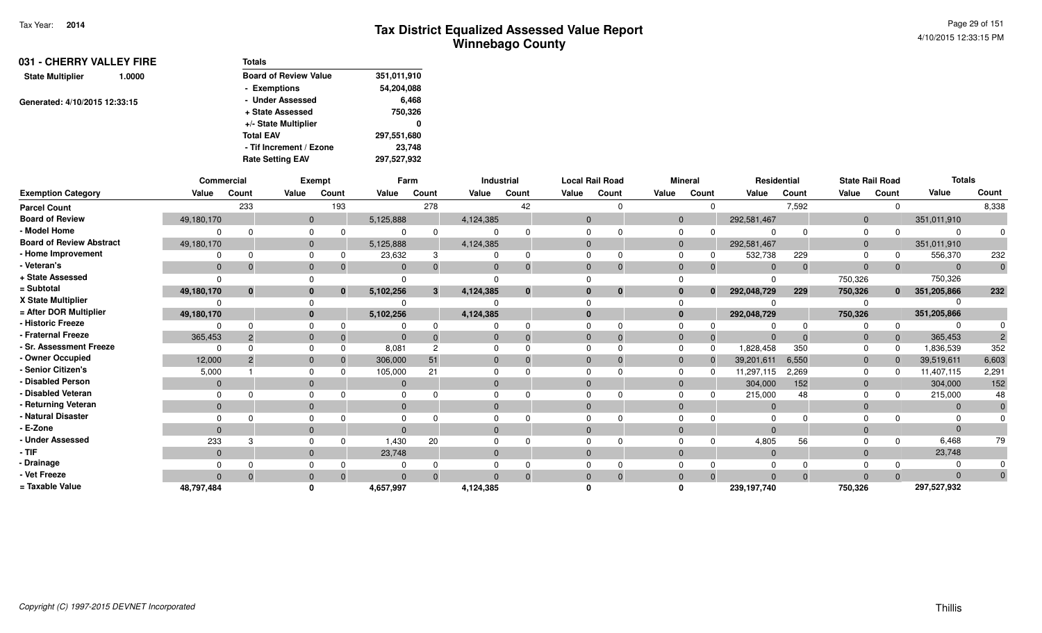| 031 - CHERRY VALLEY FIRE<br>1.0000 | <b>Totals</b>                |             |
|------------------------------------|------------------------------|-------------|
| <b>State Multiplier</b>            | <b>Board of Review Value</b> | 351,011,910 |
|                                    | - Exemptions                 | 54,204,088  |
| Generated: 4/10/2015 12:33:15      | - Under Assessed             | 6,468       |
|                                    | + State Assessed             | 750,326     |
|                                    | +/- State Multiplier         | 0           |
|                                    | <b>Total EAV</b>             | 297,551,680 |
|                                    | - Tif Increment / Ezone      | 23,748      |
|                                    | <b>Rate Setting EAV</b>      | 297,527,932 |

|                                 | Commercial   |          |                | Exempt   |           | Farm  |                | Industrial   |              | <b>Local Rail Road</b> |              | <b>Mineral</b> | Residential    |          |                | <b>State Rail Road</b> | <b>Totals</b>  |       |
|---------------------------------|--------------|----------|----------------|----------|-----------|-------|----------------|--------------|--------------|------------------------|--------------|----------------|----------------|----------|----------------|------------------------|----------------|-------|
| <b>Exemption Category</b>       | Value        | Count    | Value          | Count    | Value     | Count | Value          | Count        | Value        | Count                  | Value        | Count          | Value          | Count    | Value          | Count                  | Value          | Count |
| <b>Parcel Count</b>             |              | 233      |                | 193      |           | 278   |                | 42           |              |                        |              |                |                | 7,592    |                |                        |                | 8,338 |
| <b>Board of Review</b>          | 49,180,170   |          | $\overline{0}$ |          | 5,125,888 |       | 4,124,385      |              | $\Omega$     |                        | $\mathbf{0}$ |                | 292,581,467    |          | $\Omega$       |                        | 351,011,910    |       |
| - Model Home                    |              |          | $\Omega$       |          |           |       |                |              |              |                        | $\Omega$     |                |                |          |                |                        | $\Omega$       |       |
| <b>Board of Review Abstract</b> | 49,180,170   |          | $\Omega$       |          | 5,125,888 |       | 4,124,385      |              | $\Omega$     |                        | $\Omega$     |                | 292,581,467    |          | $\Omega$       |                        | 351,011,910    |       |
| - Home Improvement              |              |          | $\Omega$       |          | 23,632    | 3     |                | 0            |              |                        | $\Omega$     |                | 532,738        | 229      |                |                        | 556,370        | 232   |
| - Veteran's                     | $\mathbf{0}$ |          | $\mathbf{0}$   |          | $\Omega$  |       | $\Omega$       | $\mathbf{0}$ | $\Omega$     |                        | $\Omega$     |                | $\Omega$       | $\Omega$ | $\Omega$       |                        | $\overline{0}$ |       |
| + State Assessed                |              |          |                |          |           |       |                |              |              |                        |              |                |                |          | 750,326        |                        | 750,326        |       |
| = Subtotal                      | 49,180,170   | $\bf{0}$ | $\bf{0}$       | $\bf{0}$ | 5,102,256 | 3     | 4,124,385      | $\mathbf{0}$ |              | $\bf{0}$               | $\bf{0}$     | $\mathbf{0}$   | 292,048,729    | 229      | 750,326        | $\mathbf{0}$           | 351,205,866    | 232   |
| X State Multiplier              |              |          |                |          |           |       |                |              |              |                        |              |                |                |          |                |                        |                |       |
| = After DOR Multiplier          | 49,180,170   |          | $\mathbf{0}$   |          | 5,102,256 |       | 4,124,385      |              | $\mathbf{0}$ |                        | $\bf{0}$     |                | 292,048,729    |          | 750,326        |                        | 351,205,866    |       |
| - Historic Freeze               |              |          | $\Omega$       |          |           |       |                |              |              |                        |              |                |                |          |                |                        |                |       |
| - Fraternal Freeze              | 365,453      |          | $\mathbf{0}$   |          |           |       | $\overline{0}$ |              | $\Omega$     |                        | $\Omega$     |                | $\Omega$       |          |                |                        | 365,453        |       |
| <b>Sr. Assessment Freeze</b>    |              |          | $\Omega$       |          | 8,081     |       |                |              |              |                        |              |                | 1,828,458      | 350      |                |                        | 1,836,539      | 352   |
| - Owner Occupied                | 12,000       | 2        | $\Omega$       |          | 306,000   | 51    | $\Omega$       | $\Omega$     | $\Omega$     |                        | $\Omega$     |                | 39,201,611     | 6,550    | $\overline{0}$ |                        | 39,519,611     | 6,603 |
| - Senior Citizen's              | 5,000        |          |                |          | 105,000   | 21    |                |              |              |                        |              |                | 11,297,115     | 2,269    |                |                        | 11,407,115     | 2,291 |
| <b>Disabled Person</b>          | $\Omega$     |          | $\Omega$       |          | $\Omega$  |       | $\Omega$       |              | $\Omega$     |                        | $\Omega$     |                | 304,000        | 152      | $\Omega$       |                        | 304,000        | 152   |
| Disabled Veteran                |              |          | $\Omega$       |          |           |       |                |              |              |                        |              |                | 215,000        | 48       |                |                        | 215,000        | 48    |
| - Returning Veteran             | $\mathbf{0}$ |          | $\Omega$       |          |           |       | $\Omega$       |              |              |                        | $\Omega$     |                | $\overline{0}$ |          |                |                        | $\Omega$       |       |
| - Natural Disaster              |              |          | $\Omega$       |          |           |       |                |              |              |                        |              |                | $\Omega$       |          |                |                        |                |       |
| - E-Zone                        | $\Omega$     |          | $\Omega$       |          |           |       | $\Omega$       |              | $\Omega$     |                        | $\Omega$     |                | $\Omega$       |          | $\Omega$       |                        | $\Omega$       |       |
| <b>Under Assessed</b>           | 233          |          | $\Omega$       |          | 1,430     | 20    |                |              |              |                        |              |                | 4,805          | 56       |                |                        | 6,468          | 79    |
| $-$ TIF                         | $\Omega$     |          | $\Omega$       |          | 23,748    |       | $\Omega$       |              |              |                        | $\Omega$     |                | $\Omega$       |          |                |                        | 23,748         |       |
| - Drainage                      |              |          | $\Omega$       |          |           |       |                | $\Omega$     |              |                        |              |                | $\Omega$       |          |                |                        | $\Omega$       |       |
| - Vet Freeze                    | $\Omega$     |          | $\mathbf{0}$   | $\Omega$ |           |       | $\Omega$       | $\Omega$     | $\Omega$     | $\Omega$               | $\Omega$     | $\Omega$       | $\Omega$       | $\Omega$ | $\Omega$       |                        | $\Omega$       |       |
| = Taxable Value                 | 48,797,484   |          | $\mathbf{0}$   |          | 4,657,997 |       | 4,124,385      |              |              |                        | ŋ            |                | 239,197,740    |          | 750,326        |                        | 297,527,932    |       |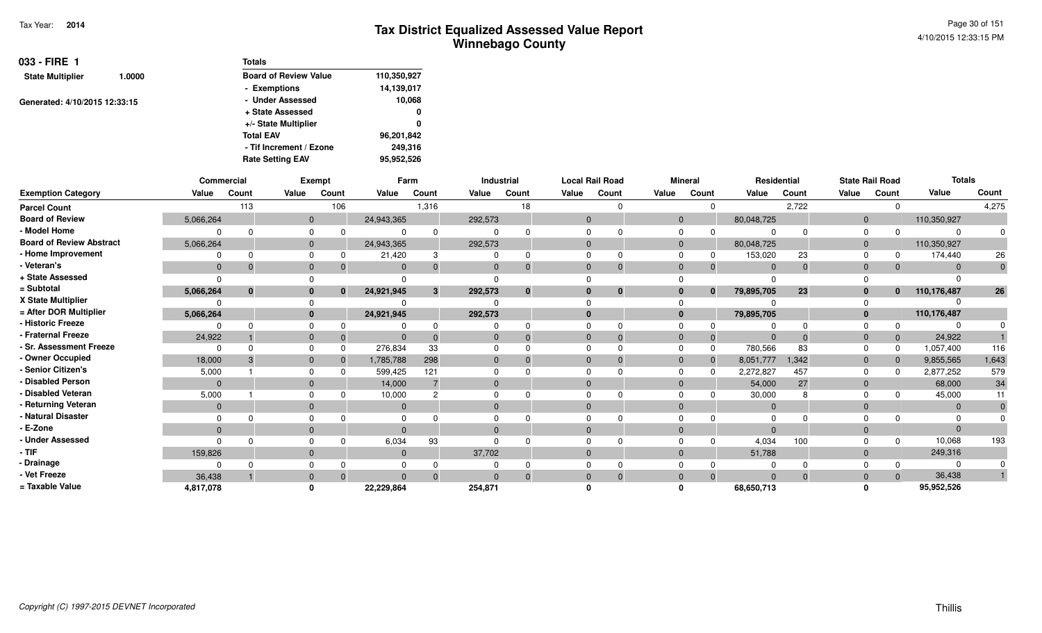Page 30 of 1514/10/2015 12:33:15 PM

| $033 -$ FIRE 1                |        | <b>Totals</b>                |             |
|-------------------------------|--------|------------------------------|-------------|
| <b>State Multiplier</b>       | 1.0000 | <b>Board of Review Value</b> | 110,350,927 |
|                               |        | - Exemptions                 | 14,139,017  |
| Generated: 4/10/2015 12:33:15 |        | - Under Assessed             | 10,068      |
|                               |        | + State Assessed             | 0           |
|                               |        | +/- State Multiplier         | 0           |
|                               |        | <b>Total EAV</b>             | 96,201,842  |
|                               |        | - Tif Increment / Ezone      | 249.316     |
|                               |        | <b>Rate Setting EAV</b>      | 95,952,526  |

|                                 |              | Commercial |                | Exempt   |                | Farm         |          | Industrial |              | <b>Local Rail Road</b> |             | <b>Mineral</b> | Residential    |          |                | <b>State Rail Road</b> | <b>Totals</b> |       |
|---------------------------------|--------------|------------|----------------|----------|----------------|--------------|----------|------------|--------------|------------------------|-------------|----------------|----------------|----------|----------------|------------------------|---------------|-------|
| <b>Exemption Category</b>       | Value        | Count      | Value          | Count    | Value          | Count        | Value    | Count      | Value        | Count                  | Value       | Count          | Value          | Count    | Value          | Count                  | Value         | Count |
| <b>Parcel Count</b>             |              | 113        |                | 106      |                | 1,316        |          | 18         |              | $\Omega$               |             |                |                | 2,722    |                | 0                      |               | 4,275 |
| <b>Board of Review</b>          | 5,066,264    |            | $\mathbf{0}$   |          | 24,943,365     |              | 292,573  |            | $\mathbf{0}$ |                        | $\Omega$    |                | 80,048,725     |          | $\mathbf{0}$   |                        | 110,350,927   |       |
| - Model Home                    |              |            |                |          |                | $\Omega$     |          |            | <sup>0</sup> |                        |             |                |                |          | $\Omega$       |                        |               |       |
| <b>Board of Review Abstract</b> | 5,066,264    |            | $\overline{0}$ |          | 24,943,365     |              | 292,573  |            | $\Omega$     |                        | $\mathbf 0$ |                | 80,048,725     |          | $\overline{0}$ |                        | 110,350,927   |       |
| - Home Improvement              |              |            |                |          | 21,420         | 3            |          |            | $\Omega$     |                        |             |                | 153,020        | 23       |                |                        | 174,440       | 26    |
| Veteran's                       | $\mathbf 0$  |            |                |          | $\mathbf 0$    | $\Omega$     | $\Omega$ |            | $\Omega$     | $\Omega$               |             |                | $\Omega$       | $\Omega$ | $\Omega$       | $\Omega$               |               |       |
| + State Assessed                |              |            |                |          |                |              |          |            |              |                        |             |                |                |          |                |                        |               |       |
| = Subtotal                      | 5,066,264    | $\bf{0}$   |                | $\bf{0}$ | 24,921,945     | $\mathbf{3}$ | 292,573  | $\bf{0}$   | $\bf{0}$     | $\bf{0}$               |             | $\mathbf{0}$   | 79,895,705     | 23       | $\bf{0}$       | $\mathbf{0}$           | 110,176,487   | 26    |
| X State Multiplier              |              |            |                |          |                |              |          |            |              |                        |             |                |                |          |                |                        |               |       |
| = After DOR Multiplier          | 5,066,264    |            | $\bf{0}$       |          | 24,921,945     |              | 292,573  |            | $\Omega$     |                        | 0           |                | 79,895,705     |          | $\mathbf{0}$   |                        | 110,176,487   |       |
| - Historic Freeze               |              |            |                |          |                |              |          |            |              |                        |             |                |                |          |                |                        |               |       |
| <b>Fraternal Freeze</b>         | 24,922       |            |                | $\Omega$ |                | $\Omega$     |          |            | $\Omega$     | $\Omega$               |             | 0              | $\Omega$       | $\Omega$ | $\Omega$       | $\mathbf{0}$           | 24,922        |       |
| <b>Sr. Assessment Freeze</b>    |              |            |                | $\Omega$ | 276,834        | 33           |          |            | $\Omega$     |                        |             |                | 780,566        | 83       |                | 0                      | 1,057,400     | 116   |
| - Owner Occupied                | 18,000       |            |                |          | 1,785,788      | 298          |          |            | $\Omega$     |                        |             |                | 8,051,777      | 1,342    | $\Omega$       | $\mathbf{0}$           | 9,855,565     | 1,643 |
| Senior Citizen's                | 5,000        |            |                |          | 599,425        | 121          |          |            | $\Omega$     |                        |             |                | 2,272,827      | 457      |                |                        | 2,877,252     | 579   |
| <b>Disabled Person</b>          |              |            |                |          | 14,000         |              |          |            | $\Omega$     |                        |             |                | 54,000         | 27       | $\Omega$       |                        | 68,000        | 34    |
| <b>Disabled Veteran</b>         | 5,000        |            |                |          | 10,000         | C            |          |            |              |                        |             |                | 30,000         |          |                |                        | 45,000        |       |
| Returning Veteran               | $\mathbf{0}$ |            | $\mathbf{0}$   |          | $\mathbf{0}$   |              | $\Omega$ |            | $\Omega$     |                        |             |                | $\overline{0}$ |          | $\Omega$       |                        | $\Omega$      |       |
| <b>Natural Disaster</b>         |              |            |                |          |                |              |          |            |              |                        |             |                | $\Omega$       |          |                |                        |               |       |
| E-Zone                          |              |            |                |          | $\Omega$       |              |          |            | $\Omega$     |                        |             |                | $\Omega$       |          |                |                        |               |       |
| <b>Under Assessed</b>           |              |            |                |          | 6,034          | 93           |          |            |              |                        |             |                | 4,034          | 100      |                | <sup>0</sup>           | 10,068        | 193   |
| · TIF                           | 159,826      |            |                |          | $\mathbf{0}$   |              | 37,702   |            | $\mathbf{0}$ |                        |             |                | 51,788         |          | $\Omega$       |                        | 249,316       |       |
| Drainage                        |              |            |                |          |                |              |          |            |              |                        |             |                |                |          |                |                        |               |       |
| Vet Freeze                      | 36,438       |            |                |          | $\overline{0}$ | $\Omega$     |          |            | $\Omega$     |                        |             |                |                |          |                | $\Omega$               | 36,438        |       |
| = Taxable Value                 | 4,817,078    |            |                |          | 22,229,864     |              | 254,871  |            |              |                        |             |                | 68,650,713     |          |                |                        | 95,952,526    |       |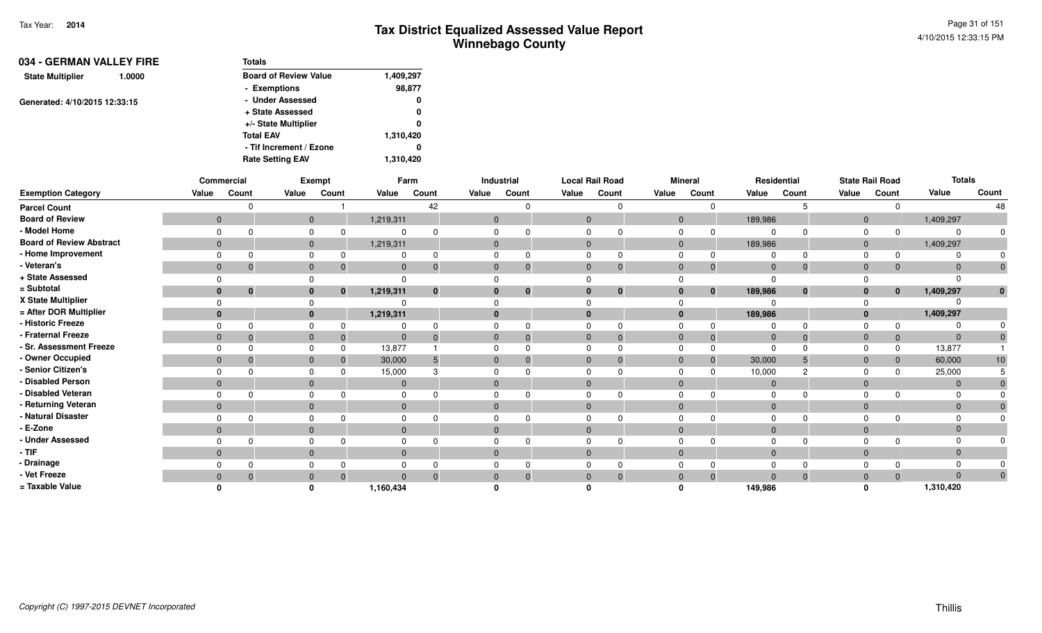| 034 - GERMAN VALLEY FIRE          | <b>Totals</b>                |           |
|-----------------------------------|------------------------------|-----------|
| <b>State Multiplier</b><br>1.0000 | <b>Board of Review Value</b> | 1,409,297 |
|                                   | - Exemptions                 | 98,877    |
| Generated: 4/10/2015 12:33:15     | - Under Assessed             | 0         |
|                                   | + State Assessed             | 0         |
|                                   | +/- State Multiplier         | 0         |
|                                   | <b>Total EAV</b>             | 1,310,420 |
|                                   | - Tif Increment / Ezone      | 0         |
|                                   | <b>Rate Setting EAV</b>      | 1,310,420 |

|                                 |                | Commercial   |              | Exempt   |                | Farm         |                | Industrial   | <b>Local Rail Road</b> |              |              | <b>Mineral</b> |              | Residential |                | <b>State Rail Road</b> | <b>Totals</b> |                 |
|---------------------------------|----------------|--------------|--------------|----------|----------------|--------------|----------------|--------------|------------------------|--------------|--------------|----------------|--------------|-------------|----------------|------------------------|---------------|-----------------|
| <b>Exemption Category</b>       | Value          | Count        | Value        | Count    | Value          | Count        | Value          | Count        | Value                  | Count        | Value        | Count          | Value        | Count       | Value          | Count                  | Value         | Count           |
| <b>Parcel Count</b>             |                | $\Omega$     |              |          |                | 42           |                | <sup>n</sup> |                        | 0            |              | $\Omega$       |              |             |                | $\Omega$               |               | 48              |
| <b>Board of Review</b>          | $\overline{0}$ |              | $\mathbf 0$  |          | 1,219,311      |              | $\mathbf{0}$   |              | $\mathbf{0}$           |              | $\mathbf{0}$ |                | 189,986      |             | $\overline{0}$ |                        | 1,409,297     |                 |
| - Model Home                    | $\Omega$       | $\Omega$     | 0            |          | $\Omega$       |              |                |              |                        |              |              | 0              |              |             | $\Omega$       |                        |               |                 |
| <b>Board of Review Abstract</b> | $\mathbf{0}$   |              | $\mathbf{0}$ |          | 1,219,311      |              | $\overline{0}$ |              | $\mathbf{0}$           |              | $\mathbf{0}$ |                | 189,986      |             | $\overline{0}$ |                        | 1,409,297     |                 |
| - Home Improvement              |                | $\Omega$     |              |          |                | 0            |                |              |                        |              |              |                |              |             | $\Omega$       | $\Omega$               |               |                 |
| - Veteran's                     | $\mathbf 0$    | $\mathbf{0}$ | $\mathbf 0$  |          | $\mathbf 0$    | 0            |                |              | $\mathbf{0}$           | $\mathbf 0$  | $\Omega$     | $\mathbf 0$    | $\Omega$     |             | $\Omega$       | $\mathbf 0$            | $\Omega$      |                 |
| + State Assessed                |                |              |              |          | $\Omega$       |              |                |              |                        |              |              |                | $\Omega$     |             |                |                        |               |                 |
| = Subtotal                      |                | $\mathbf{0}$ | $\mathbf{0}$ | $\bf{0}$ | 1,219,311      | $\mathbf{0}$ |                | $\mathbf{0}$ | $\bf{0}$               | $\mathbf{0}$ | $\bf{0}$     | $\mathbf{0}$   | 189,986      | $\bf{0}$    | $\bf{0}$       | $\mathbf{0}$           | 1,409,297     |                 |
| X State Multiplier              |                |              |              |          | $\Omega$       |              |                |              |                        |              |              |                |              |             |                |                        |               |                 |
| = After DOR Multiplier          | $\mathbf{0}$   |              | $\bf{0}$     |          | 1,219,311      |              |                |              | $\Omega$               |              | $\mathbf{0}$ |                | 189,986      |             |                |                        | 1,409,297     |                 |
| - Historic Freeze               | $\Omega$       | $\Omega$     | 0            |          | $\Omega$       | ŋ            |                |              |                        |              |              |                |              |             | $\Omega$       |                        |               |                 |
| - Fraternal Freeze              | $\mathbf 0$    | $\Omega$     | $\mathbf{0}$ |          | $\mathbf{0}$   | $\Omega$     |                |              | $\mathbf{0}$           | $\Omega$     | $\Omega$     | $\overline{0}$ | $\mathbf{0}$ |             | $\Omega$       | $\mathbf 0$            | $\Omega$      |                 |
| - Sr. Assessment Freeze         | $\Omega$       | $\Omega$     |              |          | 13,877         |              |                |              |                        |              |              |                | $\Omega$     |             |                | $\Omega$               | 13,877        |                 |
| - Owner Occupied                | $\mathbf 0$    | $\Omega$     | $\mathbf{0}$ |          | 30,000         |              |                |              | $\Omega$               |              | $\Omega$     | -0             | 30,000       |             | $\Omega$       | $\mathbf{0}$           | 60,000        | 10 <sup>1</sup> |
| - Senior Citizen's              | $\Omega$       |              | $\Omega$     |          | 15,000         |              |                |              |                        |              |              |                | 10,000       |             |                | $\Omega$               | 25,000        |                 |
| - Disabled Person               | $\mathbf 0$    |              | $\mathbf{0}$ |          | $\mathbf{0}$   |              |                |              | $\Omega$               |              | $\Omega$     |                | $\mathbf 0$  |             | $\Omega$       |                        |               |                 |
| - Disabled Veteran              | $\Omega$       | $\Omega$     | $\Omega$     |          | $\Omega$       |              |                |              |                        |              |              |                |              |             | $\Omega$       |                        |               |                 |
| - Returning Veteran             | $\mathbf{0}$   |              | $\mathbf{0}$ |          | $\overline{0}$ |              |                |              | $\Omega$               |              | $\Omega$     |                | $\Omega$     |             | $\Omega$       |                        | $\Omega$      |                 |
| - Natural Disaster              | $\Omega$       | <sup>n</sup> |              |          | $\Omega$       |              |                |              |                        |              |              |                |              |             |                |                        |               |                 |
| - E-Zone                        | $\mathbf{0}$   |              | $\mathbf 0$  |          | $\Omega$       |              |                |              |                        |              | $\Omega$     |                |              |             | $\Omega$       |                        | $\Omega$      |                 |
| - Under Assessed                | $\Omega$       | $\Omega$     | $\Omega$     |          | $\Omega$       |              |                |              |                        |              |              |                |              |             |                |                        |               |                 |
| - TIF                           | $\mathbf 0$    |              | $\mathbf{0}$ |          | $\mathbf{0}$   |              |                |              | $\mathbf{0}$           |              | $\Omega$     |                | $\mathbf 0$  |             | $\Omega$       |                        | $\Omega$      |                 |
| - Drainage                      |                |              |              |          | $\Omega$       |              |                |              |                        |              |              |                | $\Omega$     |             |                |                        |               |                 |
| - Vet Freeze                    | $\mathbf 0$    | $\mathbf{0}$ | $\mathbf{0}$ |          | $\Omega$       | $\Omega$     |                |              | 0                      | $\Omega$     | $\Omega$     | $\overline{0}$ | $\Omega$     |             | $\Omega$       | $\Omega$               | $\Omega$      | 0               |
| = Taxable Value                 |                |              |              |          | 1,160,434      |              |                |              |                        |              |              |                | 149,986      |             |                |                        | 1,310,420     |                 |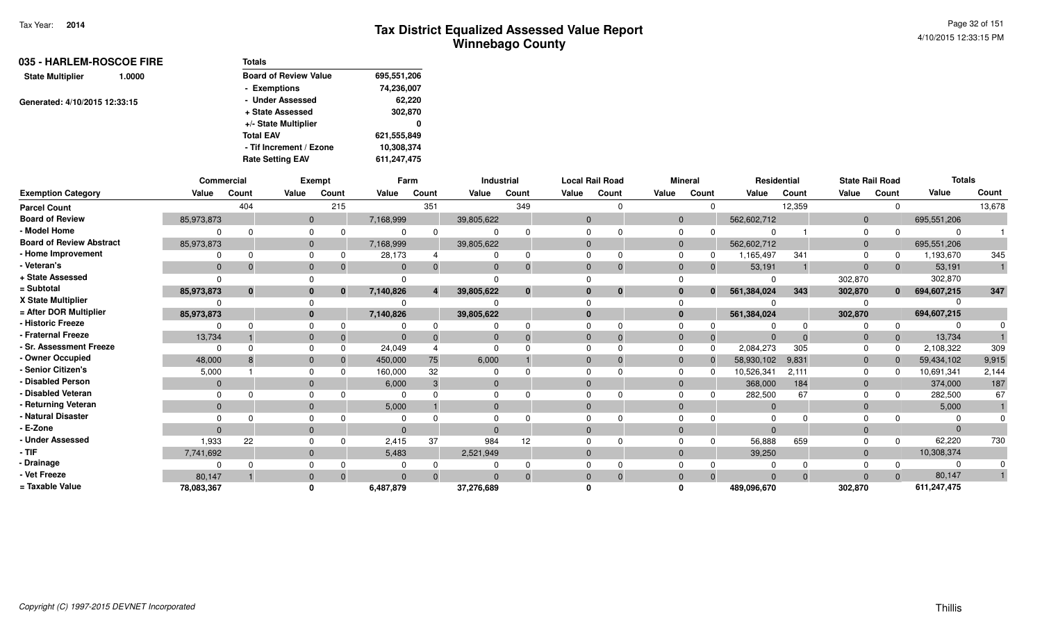| 035 - HARLEM-ROSCOE FIRE      |                         | <b>Totals</b>                |             |
|-------------------------------|-------------------------|------------------------------|-------------|
| <b>State Multiplier</b>       | 1.0000                  | <b>Board of Review Value</b> | 695,551,206 |
|                               |                         | - Exemptions                 | 74,236,007  |
| Generated: 4/10/2015 12:33:15 |                         | - Under Assessed             | 62,220      |
|                               |                         | + State Assessed             | 302,870     |
|                               |                         | +/- State Multiplier         | 0           |
|                               |                         | <b>Total EAV</b>             | 621,555,849 |
|                               | - Tif Increment / Ezone | 10,308,374                   |             |
|                               |                         | <b>Rate Setting EAV</b>      | 611,247,475 |

|                                 | <b>Commercial</b> |              |          | Exempt   |           | Farm     |            | <b>Industrial</b> |              | <b>Local Rail Road</b> |            | <b>Mineral</b> | <b>Residential</b> |          | <b>State Rail Road</b> |          | <b>Totals</b> |        |
|---------------------------------|-------------------|--------------|----------|----------|-----------|----------|------------|-------------------|--------------|------------------------|------------|----------------|--------------------|----------|------------------------|----------|---------------|--------|
| <b>Exemption Category</b>       | Value             | Count        | Value    | Count    | Value     | Count    | Value      | Count             | Value        | Count                  | Value      | Count          | Value              | Count    | Value                  | Count    | Value         | Count  |
| <b>Parcel Count</b>             |                   | 404          |          | 215      |           | 351      |            | 349               |              | ∩                      |            | <sup>n</sup>   |                    | 12,359   |                        |          |               | 13,678 |
| <b>Board of Review</b>          | 85,973,873        |              | $\Omega$ |          | 7,168,999 |          | 39,805,622 |                   | $\Omega$     |                        | $\Omega$   |                | 562,602,712        |          | $\Omega$               |          | 695,551,206   |        |
| - Model Home                    |                   |              |          |          |           | $\Omega$ |            |                   | <sup>0</sup> |                        |            |                |                    |          |                        |          | $\Omega$      |        |
| <b>Board of Review Abstract</b> | 85,973,873        |              |          |          | 7,168,999 |          | 39,805,622 |                   | $\Omega$     |                        |            |                | 562,602,712        |          | $\Omega$               |          | 695,551,206   |        |
| - Home Improvement              |                   |              |          |          | 28,173    |          |            |                   | $\Omega$     |                        |            |                | 1,165,497          | 341      | $\Omega$               |          | 1,193,670     | 345    |
| - Veteran's                     | $\Omega$          |              |          |          | $\Omega$  | $\Omega$ |            |                   | $\Omega$     | $\Omega$               |            |                | 53,191             |          | $\Omega$               |          | 53,191        |        |
| + State Assessed                |                   |              |          |          |           |          |            |                   |              |                        |            |                |                    |          | 302,870                |          | 302,870       |        |
| = Subtotal                      | 85,973,873        | $\mathbf{0}$ |          | $\bf{0}$ | 7,140,826 |          | 39,805,622 | $\bf{0}$          | $\bf{0}$     | $\bf{0}$               |            | $\bf{0}$       | 561,384,024        | 343      | 302,870                | $\bf{0}$ | 694,607,215   | 347    |
| X State Multiplier              |                   |              |          |          |           |          |            |                   | $\Omega$     |                        |            |                |                    |          |                        |          |               |        |
| = After DOR Multiplier          | 85,973,873        |              |          |          | 7,140,826 |          | 39,805,622 |                   | $\bf{0}$     |                        | $\bf{0}$   |                | 561,384,024        |          | 302,870                |          | 694,607,215   |        |
| - Historic Freeze               |                   |              |          |          |           |          |            |                   |              |                        |            |                |                    |          |                        |          |               |        |
| - Fraternal Freeze              | 13,734            |              |          |          | $\Omega$  |          |            |                   | $\Omega$     | $\Omega$               |            |                | $\Omega$           |          | $\Omega$               |          | 13,734        |        |
| · Sr. Assessment Freeze         | $\Omega$          |              |          |          | 24,049    |          |            |                   | $\Omega$     |                        |            |                | 2,084,273          | 305      |                        |          | 2,108,322     | 309    |
| - Owner Occupied                | 48,000            |              |          |          | 450,000   | 75       | 6,000      |                   | $\Omega$     | $\Omega$               | $\Omega$   |                | 58,930,102         | 9,831    | $\Omega$               |          | 59,434,102    | 9,915  |
| - Senior Citizen's              | 5,000             |              |          |          | 160,000   | 32       |            |                   | $\Omega$     |                        |            |                | 10,526,341         | 2,111    |                        |          | 10,691,341    | 2,144  |
| <b>Disabled Person</b>          | $\mathbf{0}$      |              |          |          | 6,000     | 3        | $\Omega$   |                   | $\Omega$     |                        |            |                | 368,000            | 184      | $\Omega$               |          | 374,000       | 187    |
| - Disabled Veteran              | $\Omega$          |              |          |          |           |          |            |                   | $\Omega$     |                        |            |                | 282,500            | 67       |                        |          | 282,500       | 67     |
| - Returning Veteran             | $\mathbf{0}$      |              |          |          | 5,000     |          | $\Omega$   |                   | $\mathbf{0}$ |                        |            |                | $\overline{0}$     |          | $\Omega$               |          | 5,000         |        |
| <b>Natural Disaster</b>         |                   |              |          |          |           |          |            |                   |              |                        |            |                | $\Omega$           |          |                        |          |               |        |
| - E-Zone                        | $\Omega$          |              |          |          | $\Omega$  |          |            |                   | $\Omega$     |                        |            |                | $\Omega$           |          |                        |          | $\Omega$      |        |
| - Under Assessed                | 1,933             | 22           |          |          | 2,415     | 37       | 984        | 12                |              |                        |            |                | 56,888             | 659      |                        |          | 62,220        | 730    |
| - TIF                           | 7,741,692         |              |          |          | 5,483     |          | 2,521,949  |                   | $\mathbf{0}$ |                        |            |                | 39,250             |          | $\overline{0}$         |          | 10,308,374    |        |
| · Drainage                      |                   |              |          |          |           |          |            |                   |              |                        |            |                |                    |          |                        |          | $\Omega$      |        |
| Vet Freeze                      | 80.147            |              |          |          | $\Omega$  | $\Omega$ |            |                   | $\Omega$     | $\Omega$               | $\sqrt{ }$ |                | $\Omega$           | $\Omega$ | $\Omega$               |          | 80,147        |        |
| = Taxable Value                 | 78,083,367        |              |          |          | 6,487,879 |          | 37,276,689 |                   |              |                        |            |                | 489,096,670        |          | 302,870                |          | 611,247,475   |        |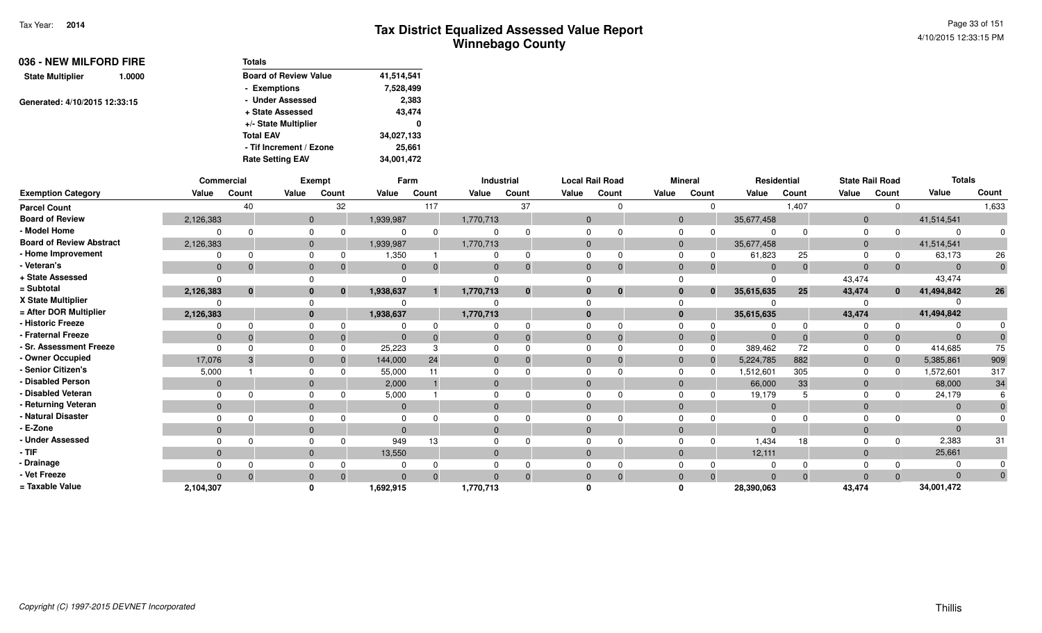| 036 - NEW MILFORD FIRE        |        | <b>Totals</b>                |            |
|-------------------------------|--------|------------------------------|------------|
| <b>State Multiplier</b>       | 1.0000 | <b>Board of Review Value</b> | 41,514,541 |
|                               |        | - Exemptions                 | 7,528,499  |
| Generated: 4/10/2015 12:33:15 |        | - Under Assessed             | 2,383      |
|                               |        | + State Assessed             | 43,474     |
|                               |        | +/- State Multiplier         | 0          |
|                               |        | <b>Total EAV</b>             | 34,027,133 |
|                               |        | - Tif Increment / Ezone      | 25,661     |
|                               |        | <b>Rate Setting EAV</b>      | 34,001,472 |

|                                 |                | <b>Commercial</b> |                | Exempt |              | Farm  |              | <b>Industrial</b> |              | <b>Local Rail Road</b> |                | <b>Mineral</b> |              | Residential | <b>State Rail Road</b> |              | <b>Totals</b> |              |
|---------------------------------|----------------|-------------------|----------------|--------|--------------|-------|--------------|-------------------|--------------|------------------------|----------------|----------------|--------------|-------------|------------------------|--------------|---------------|--------------|
| <b>Exemption Category</b>       | Value          | Count             | Value          | Count  | Value        | Count | Value        | Count             | Value        | Count                  | Value          | Count          | Value        | Count       | Value                  | Count        | Value         | Count        |
| <b>Parcel Count</b>             |                | 40                |                | 32     |              | 117   |              | 37                |              |                        |                | 0              |              | 1,407       |                        | 0            |               | 1,633        |
| <b>Board of Review</b>          | 2,126,383      |                   | $\overline{0}$ |        | 1,939,987    |       | 1,770,713    |                   | $\mathbf{0}$ |                        | $\mathbf{0}$   |                | 35,677,458   |             | $\mathbf{0}$           |              | 41,514,541    |              |
| - Model Home                    | $\Omega$       |                   | $\Omega$       |        | 0            |       | 0            |                   |              |                        | 0              |                | $\Omega$     | $\Omega$    | $\Omega$               | $\Omega$     |               |              |
| <b>Board of Review Abstract</b> | 2,126,383      |                   | $\mathbf{0}$   |        | 1,939,987    |       | 1,770,713    |                   | $\mathbf{0}$ |                        | $\overline{0}$ |                | 35,677,458   |             | $\mathbf{0}$           |              | 41,514,541    |              |
| - Home Improvement              | $\Omega$       |                   | 0              |        | 1,350        |       |              |                   |              |                        | $\Omega$       | 0              | 61,823       | 25          | $\Omega$               | 0            | 63,173        | 26           |
| - Veteran's                     | $\Omega$       | -0                | $\mathbf{0}$   |        | $\mathbf{0}$ |       | $\mathbf{0}$ |                   | $\mathbf{0}$ |                        | $\mathbf 0$    |                | $\Omega$     | $\Omega$    | $\mathbf 0$            | $\Omega$     | $\Omega$      | $\mathbf{0}$ |
| + State Assessed                | $\Omega$       |                   | $\Omega$       |        | 0            |       |              |                   |              |                        |                |                | $\Omega$     |             | 43,474                 |              | 43,474        |              |
| = Subtotal                      | 2,126,383      | $\mathbf{0}$      | $\mathbf{0}$   |        | 1,938,637    |       | 1,770,713    |                   |              | $\bf{0}$               | $\bf{0}$       | $\mathbf{0}$   | 35,615,635   | 25          | 43,474                 | $\mathbf{0}$ | 41,494,842    | 26           |
| X State Multiplier              |                |                   | $\Omega$       |        | 0            |       |              |                   |              |                        |                |                |              |             |                        |              |               |              |
| = After DOR Multiplier          | 2,126,383      |                   | $\mathbf{0}$   |        | 1,938,637    |       | 1,770,713    |                   | $\bf{0}$     |                        | $\bf{0}$       |                | 35,615,635   |             | 43,474                 |              | 41,494,842    |              |
| - Historic Freeze               | $\Omega$       |                   | 0              |        | 0            |       | 0            |                   |              |                        | 0              |                | 0            | $\Omega$    | 0                      | $\Omega$     |               |              |
| - Fraternal Freeze              | $\mathbf{0}$   | -0                | $\mathbf{0}$   | -0     | $\mathbf{0}$ |       | $\mathbf{0}$ |                   | $\mathbf{0}$ |                        | $\mathbf{0}$   | $\Omega$       | $\mathbf{0}$ | $\Omega$    | $\mathbf{0}$           | $\Omega$     | $\Omega$      |              |
| - Sr. Assessment Freeze         | $\Omega$       |                   | $\mathbf 0$    |        | 25,223       | 3     | 0            |                   | $\Omega$     |                        | $\mathbf 0$    | $\Omega$       | 389,462      | 72          | $\Omega$               | $\Omega$     | 414,685       | 75           |
| - Owner Occupied                | 17,076         |                   | $\mathbf{0}$   |        | 144,000      | 24    | $\mathbf{0}$ |                   |              |                        | $\mathbf{0}$   |                | 5,224,785    | 882         | $\mathbf{0}$           | $\Omega$     | 5,385,861     | 909          |
| - Senior Citizen's              | 5,000          |                   | 0              |        | 55,000       |       | 0            |                   |              |                        | $\Omega$       |                | 1,512,601    | 305         | $\Omega$               | $\Omega$     | 1,572,601     | 317          |
| - Disabled Person               | $\Omega$       |                   | $\mathbf{0}$   |        | 2,000        |       | $\mathbf{0}$ |                   | $\Omega$     |                        | $\mathbf{0}$   |                | 66,000       | 33          | $\mathbf 0$            |              | 68,000        | 34           |
| - Disabled Veteran              | $\Omega$       |                   | $\Omega$       |        | 5,000        |       | 0            |                   |              |                        | $\Omega$       |                | 19,179       |             | $\Omega$               | 0            | 24,179        |              |
| - Returning Veteran             | $\overline{0}$ |                   | $\mathbf{0}$   |        | $\mathbf{0}$ |       | $\mathbf{0}$ |                   | $\Omega$     |                        | $\mathbf{0}$   |                | $\mathbf 0$  |             | $\mathbf{0}$           |              | $\Omega$      |              |
| - Natural Disaster              | $\Omega$       |                   | $\Omega$       |        | $\Omega$     |       | 0            |                   |              |                        | $\Omega$       |                | $\Omega$     |             | $\Omega$               |              |               |              |
| - E-Zone                        | $\Omega$       |                   | $\mathbf{0}$   |        | $\Omega$     |       | $\mathbf{0}$ |                   |              |                        | $\Omega$       |                | $\Omega$     |             | $\Omega$               |              |               |              |
| - Under Assessed                | $\Omega$       |                   | $\Omega$       |        | 949          | 13    | 0            |                   |              |                        | $\Omega$       |                | 1,434        | 18          | $\Omega$               | $\Omega$     | 2,383         | 31           |
| - TIF-                          | $\overline{0}$ |                   | $\mathbf{0}$   |        | 13,550       |       | $\mathbf 0$  |                   | $\mathbf{0}$ |                        | $\mathbf{0}$   |                | 12,111       |             | $\mathbf{0}$           |              | 25,661        |              |
| - Drainage                      | $\Omega$       |                   | $\Omega$       |        | 0            |       | 0            |                   |              |                        | $\Omega$       |                |              |             | $\Omega$               |              |               |              |
| - Vet Freeze                    | $\Omega$       |                   | $\mathbf{0}$   |        | $\Omega$     |       | $\Omega$     |                   |              |                        | $\mathbf 0$    | $\Omega$       | $\Omega$     | $\Omega$    | $\Omega$               | $\Omega$     | $\Omega$      |              |
| = Taxable Value                 | 2,104,307      |                   | $\mathbf{0}$   |        | 1,692,915    |       | 1,770,713    |                   |              |                        |                |                | 28,390,063   |             | 43,474                 |              | 34,001,472    |              |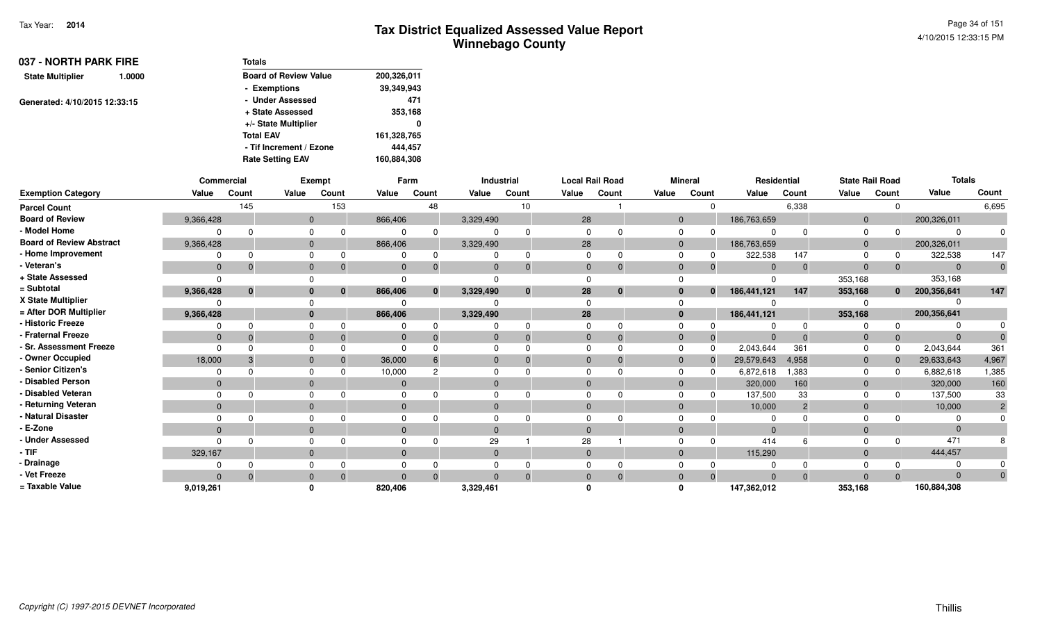| 037 - NORTH PARK FIRE         |                  | <b>Totals</b>                |             |
|-------------------------------|------------------|------------------------------|-------------|
| <b>State Multiplier</b>       | 1.0000           | <b>Board of Review Value</b> | 200,326,011 |
|                               |                  | - Exemptions                 | 39,349,943  |
| Generated: 4/10/2015 12:33:15 |                  | - Under Assessed             | 471         |
|                               | + State Assessed | 353,168                      |             |
|                               |                  | +/- State Multiplier         | 0           |
|                               |                  | <b>Total EAV</b>             | 161,328,765 |
|                               |                  | - Tif Increment / Ezone      | 444.457     |
|                               |                  | <b>Rate Setting EAV</b>      | 160,884,308 |

|                                 | Commercial   |          |              | Exempt   |          | Farm         |              | Industrial   | <b>Local Rail Road</b> |          |              | <b>Mineral</b> | Residential |                |                | <b>State Rail Road</b> | <b>Totals</b> |              |
|---------------------------------|--------------|----------|--------------|----------|----------|--------------|--------------|--------------|------------------------|----------|--------------|----------------|-------------|----------------|----------------|------------------------|---------------|--------------|
| <b>Exemption Category</b>       | Value        | Count    | Value        | Count    | Value    | Count        | Value        | Count        | Value                  | Count    | Value        | Count          | Value       | Count          | Value          | Count                  | Value         | Count        |
| <b>Parcel Count</b>             |              | 145      |              | 153      |          | 48           |              | 10           |                        |          |              | <sup>0</sup>   |             | 6,338          |                | $\Omega$               |               | 6,695        |
| <b>Board of Review</b>          | 9,366,428    |          | $\mathbf{0}$ |          | 866,406  |              | 3,329,490    |              | 28                     |          | $\mathbf{0}$ |                | 186,763,659 |                | $\overline{0}$ |                        | 200,326,011   |              |
| - Model Home                    |              |          |              |          |          |              |              |              |                        |          |              |                |             |                | $\Omega$       |                        |               |              |
| <b>Board of Review Abstract</b> | 9,366,428    |          | $\mathbf{0}$ |          | 866,406  |              | 3,329,490    |              | 28                     |          | $\Omega$     |                | 186,763,659 |                | $\overline{0}$ |                        | 200,326,011   |              |
| - Home Improvement              |              |          |              |          |          |              |              | $\Omega$     |                        |          |              |                | 322,538     | 147            | $\Omega$       |                        | 322,538       | 147          |
| - Veteran's                     | $\mathbf{0}$ |          | $\mathbf{0}$ |          | $\Omega$ |              |              | $\Omega$     | $\Omega$               |          | $\Omega$     | $\mathbf 0$    | $\Omega$    |                | $\Omega$       | $\mathbf 0$            |               | $\mathbf{0}$ |
| + State Assessed                |              |          |              |          |          |              |              |              |                        |          |              |                |             |                | 353,168        |                        | 353,168       |              |
| = Subtotal                      | 9,366,428    | $\bf{0}$ | $\bf{0}$     | $\bf{0}$ | 866,406  | $\mathbf{0}$ | 3,329,490    | $\mathbf{0}$ | 28                     | $\bf{0}$ | $\bf{0}$     | $\mathbf{0}$   | 186,441,121 | 147            | 353,168        | $\mathbf{0}$           | 200,356,641   | 147          |
| X State Multiplier              |              |          |              |          |          |              |              |              |                        |          |              |                |             |                |                |                        |               |              |
| = After DOR Multiplier          | 9,366,428    |          | $\mathbf{0}$ |          | 866,406  |              | 3,329,490    |              | 28                     |          | $\mathbf{0}$ |                | 186,441,121 |                | 353,168        |                        | 200,356,641   |              |
| - Historic Freeze               |              |          |              |          |          |              |              |              |                        |          |              |                |             |                |                | $\Omega$               |               |              |
| - Fraternal Freeze              | $\mathbf{0}$ |          | $\mathbf{0}$ |          | $\Omega$ |              |              | $\Omega$     |                        |          | $\Omega$     | $\overline{0}$ | $\Omega$    |                | $\mathbf 0$    | $\mathbf{0}$           |               |              |
| <b>Sr. Assessment Freeze</b>    |              |          | $\Omega$     |          |          |              |              |              |                        |          | $\Omega$     | $\Omega$       | 2,043,644   | 361            | $\Omega$       | $\Omega$               | 2,043,644     | 361          |
| - Owner Occupied                | 18,000       |          | $\mathbf{0}$ |          | 36,000   |              |              | $\Omega$     |                        |          | $\Omega$     | $\mathbf 0$    | 29,579,643  | 4,958          | $\Omega$       | $\Omega$               | 29,633,643    | 4,967        |
| <b>Senior Citizen's</b>         |              |          |              |          | 10,000   |              |              |              |                        |          | $\Omega$     | $\Omega$       | 6,872,618   | 1,383          | $\Omega$       | <sup>0</sup>           | 6,882,618     | 1,385        |
| - Disabled Person               | $\Omega$     |          | $\Omega$     |          |          |              |              |              |                        |          | $\Omega$     |                | 320,000     | 160            | $\overline{0}$ |                        | 320,000       | 160          |
| Disabled Veteran                |              |          | $\Omega$     |          |          |              |              |              |                        |          | $\Omega$     | $\Omega$       | 137,500     | 33             | $\Omega$       | 0                      | 137,500       | 33           |
| - Returning Veteran             | $\mathbf{0}$ |          | $\mathbf{0}$ |          | $\Omega$ |              | $\mathbf{0}$ |              | $\Omega$               |          | $\Omega$     |                | 10,000      | $\overline{2}$ | $\Omega$       |                        | 10,000        |              |
| Natural Disaster                |              |          |              |          |          |              |              |              |                        |          |              |                |             |                |                |                        |               |              |
| - E-Zone                        | $\Omega$     |          | $\Omega$     |          |          |              |              |              |                        |          | $\Omega$     |                |             |                | $\Omega$       |                        |               |              |
| <b>Under Assessed</b>           |              |          |              |          |          |              | 29           |              | 28                     |          |              |                | 414         |                |                |                        | 471           |              |
| - TIF                           | 329,167      |          | $\Omega$     |          | $\Omega$ |              | $\Omega$     |              | $\Omega$               |          | $\Omega$     |                | 115,290     |                | $\Omega$       |                        | 444,457       |              |
| - Drainage                      |              |          |              |          |          |              |              |              |                        |          |              |                |             |                |                |                        |               |              |
| - Vet Freeze                    | $\Omega$     |          | $\Omega$     |          | $\Omega$ |              | $\Omega$     | $\Omega$     | $\Omega$               |          | $\Omega$     | $\Omega$       | $\Omega$    |                | $\Omega$       | $\Omega$               | $\Omega$      |              |
| = Taxable Value                 | 9,019,261    |          |              |          | 820,406  |              | 3,329,461    |              |                        |          |              |                | 147,362,012 |                | 353,168        |                        | 160,884,308   |              |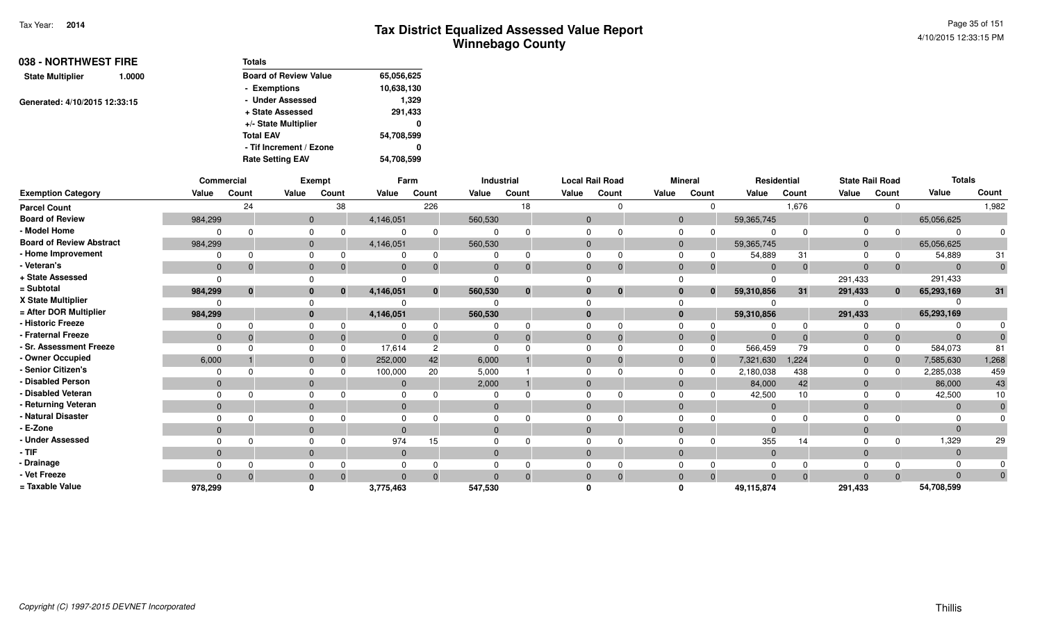| 038 - NORTHWEST FIRE          |                  | <b>Totals</b>                |            |
|-------------------------------|------------------|------------------------------|------------|
| <b>State Multiplier</b>       | 1.0000           | <b>Board of Review Value</b> | 65,056,625 |
|                               |                  | - Exemptions                 | 10,638,130 |
| Generated: 4/10/2015 12:33:15 |                  | - Under Assessed             | 1,329      |
|                               | + State Assessed | 291,433                      |            |
|                               |                  | +/- State Multiplier         | 0          |
|                               |                  | <b>Total EAV</b>             | 54,708,599 |
|                               |                  | - Tif Increment / Ezone      | 0          |
|                               |                  | <b>Rate Setting EAV</b>      | 54,708,599 |

|                                 | Commercial     |              |              | Exempt       |           | Farm           |                | Industrial   |          | <b>Local Rail Road</b> |              | <b>Mineral</b> |                | Residential | <b>State Rail Road</b> |              | <b>Totals</b>  |       |
|---------------------------------|----------------|--------------|--------------|--------------|-----------|----------------|----------------|--------------|----------|------------------------|--------------|----------------|----------------|-------------|------------------------|--------------|----------------|-------|
| <b>Exemption Category</b>       | Value          | Count        | Value        | Count        | Value     | Count          | Value          | Count        | Value    | Count                  | Value        | Count          | Value          | Count       | Value                  | Count        | Value          | Count |
| <b>Parcel Count</b>             |                | 24           |              | 38           |           | 226            |                | 18           |          |                        |              |                |                | 1,676       |                        |              |                | 1,982 |
| <b>Board of Review</b>          | 984,299        |              | $\mathbf{0}$ |              | 4,146,051 |                | 560,530        |              | $\Omega$ |                        | $\mathbf{0}$ |                | 59,365,745     |             | $\Omega$               |              | 65,056,625     |       |
| - Model Home                    |                |              | $\Omega$     |              |           |                |                |              |          |                        |              |                |                |             |                        |              | $\Omega$       |       |
| <b>Board of Review Abstract</b> | 984,299        |              | $\mathbf{0}$ |              | 4,146,051 |                | 560,530        |              |          |                        | $\Omega$     |                | 59,365,745     |             | $\Omega$               |              | 65,056,625     |       |
| - Home Improvement              |                |              | $\Omega$     |              |           |                |                | $\Omega$     |          |                        | <sup>0</sup> |                | 54,889         | 31          |                        |              | 54,889         | 31    |
| - Veteran's                     | $\mathbf{0}$   | $\Omega$     | $\mathbf{0}$ |              | $\Omega$  |                | $\Omega$       | $\Omega$     | $\Omega$ |                        | $\Omega$     |                | $\Omega$       | $\Omega$    | $\Omega$               |              | $\overline{0}$ |       |
| + State Assessed                |                |              |              |              |           |                |                |              |          |                        |              |                |                |             | 291,433                |              | 291,433        |       |
| = Subtotal                      | 984,299        | $\mathbf{0}$ | $\bf{0}$     | $\mathbf{0}$ | 4,146,051 | $\bf{0}$       | 560,530        | $\mathbf{0}$ |          | $\bf{0}$               | $\bf{0}$     | $\bf{0}$       | 59,310,856     | 31          | 291,433                | $\mathbf{0}$ | 65,293,169     | 31    |
| X State Multiplier              |                |              |              |              |           |                |                |              |          |                        |              |                |                |             |                        |              |                |       |
| = After DOR Multiplier          | 984,299        |              | $\bf{0}$     |              | 4,146,051 |                | 560,530        |              | $\Omega$ |                        | $\bf{0}$     |                | 59,310,856     |             | 291,433                |              | 65,293,169     |       |
| - Historic Freeze               |                |              |              |              |           |                |                |              |          |                        |              |                |                |             |                        |              |                |       |
| - Fraternal Freeze              | $\mathbf{0}$   |              | $\mathbf{0}$ |              |           |                |                | $\Omega$     |          |                        | $\Omega$     | 0              |                |             |                        |              | $\Omega$       |       |
| - Sr. Assessment Freeze         |                |              | $\Omega$     |              | 17,614    | $\overline{c}$ |                |              |          |                        | $\Omega$     |                | 566,459        | 79          |                        |              | 584,073        | 81    |
| - Owner Occupied                | 6,000          |              | $\mathbf{0}$ |              | 252,000   | 42             | 6,000          |              | $\Omega$ |                        | $\Omega$     | $\mathbf{0}$   | 7,321,630      | 1,224       | $\overline{0}$         |              | 7,585,630      | 1,268 |
| - Senior Citizen's              |                |              |              |              | 100,000   | 20             | 5,000          |              |          |                        |              |                | 2,180,038      | 438         |                        |              | 2,285,038      | 459   |
| - Disabled Person               | $\Omega$       |              | $\mathbf{0}$ |              |           |                | 2,000          |              |          |                        | $\Omega$     |                | 84,000         | 42          |                        |              | 86,000         | 43    |
| - Disabled Veteran              |                |              | $\Omega$     |              |           |                |                |              |          |                        | $\Omega$     |                | 42,500         | 10          |                        |              | 42,500         | 10    |
| - Returning Veteran             | $\overline{0}$ |              | $\mathbf{0}$ |              | $\Omega$  |                | $\overline{0}$ |              | $\Omega$ |                        | $\Omega$     |                | $\overline{0}$ |             | $\Omega$               |              | $\mathbf{0}$   |       |
| - Natural Disaster              |                |              |              |              |           |                |                |              |          |                        |              |                |                |             |                        |              |                |       |
| - E-Zone                        | $\Omega$       |              | $\Omega$     |              |           |                | $\Omega$       |              |          |                        | $\Omega$     |                | $\Omega$       |             |                        |              | $\Omega$       |       |
| - Under Assessed                |                |              | $\Omega$     |              | 974       | 15             |                |              |          |                        |              |                | 355            | 14          |                        |              | 1,329          | 29    |
| - TIF                           | $\mathbf{0}$   |              | $\Omega$     |              | $\Omega$  |                | $\Omega$       |              | $\Omega$ |                        | $\Omega$     |                | $\Omega$       |             | $\Omega$               |              | $\Omega$       |       |
| · Drainage                      |                |              |              |              |           |                |                |              |          |                        |              |                |                |             |                        |              |                |       |
| - Vet Freeze                    | $\Omega$       |              | $\Omega$     |              | $\Omega$  |                |                | $\Omega$     |          |                        | $\Omega$     | $\Omega$       | $\Omega$       | $\Omega$    |                        |              | $\Omega$       |       |
| = Taxable Value                 | 978,299        |              | $\Omega$     |              | 3,775,463 |                | 547,530        |              |          |                        |              |                | 49,115,874     |             | 291,433                |              | 54,708,599     |       |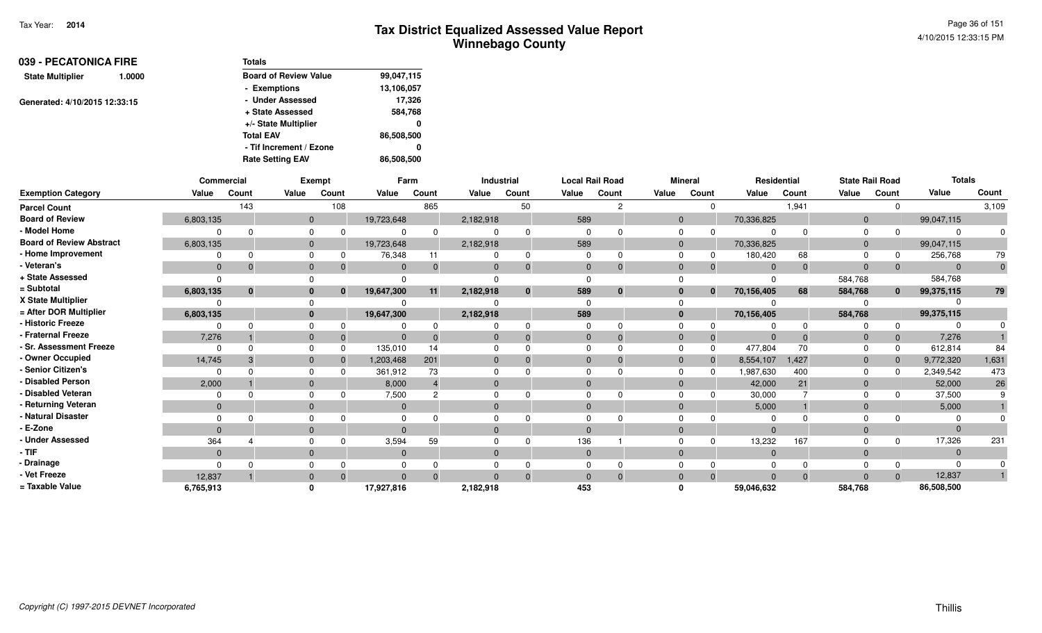| 039 - PECATONICA FIRE         |                  | <b>Totals</b>                |            |
|-------------------------------|------------------|------------------------------|------------|
| <b>State Multiplier</b>       | 1.0000           | <b>Board of Review Value</b> | 99,047,115 |
|                               |                  | - Exemptions                 | 13,106,057 |
| Generated: 4/10/2015 12:33:15 |                  | - Under Assessed             | 17,326     |
|                               | + State Assessed | 584,768                      |            |
|                               |                  | +/- State Multiplier         | 0          |
|                               |                  | <b>Total EAV</b>             | 86,508,500 |
|                               |                  | - Tif Increment / Ezone      | 0          |
|                               |                  | <b>Rate Setting EAV</b>      | 86,508,500 |

|                                 |              | <b>Commercial</b> |              | <b>Exempt</b>  |              | Farm     |              | Industrial | <b>Local Rail Road</b> |               |              | <b>Mineral</b> |                | Residential | <b>State Rail Road</b> |              | <b>Totals</b> |              |
|---------------------------------|--------------|-------------------|--------------|----------------|--------------|----------|--------------|------------|------------------------|---------------|--------------|----------------|----------------|-------------|------------------------|--------------|---------------|--------------|
| <b>Exemption Category</b>       | Value        | Count             | Value        | Count          | Value        | Count    | Value        | Count      | Value                  | Count         | Value        | Count          | Value          | Count       | Value                  | Count        | Value         | Count        |
| <b>Parcel Count</b>             |              | 143               |              | 108            |              | 865      |              | 50         |                        | $\mathcal{P}$ |              | $\Omega$       |                | 1,941       |                        | $\Omega$     |               | 3,109        |
| <b>Board of Review</b>          | 6,803,135    |                   |              | $\overline{0}$ | 19,723,648   |          | 2,182,918    |            | 589                    |               | $\mathbf{0}$ |                | 70,336,825     |             | $\mathbf{0}$           |              | 99,047,115    |              |
| - Model Home                    | $\Omega$     | $\cap$            | $\mathbf 0$  |                | 0            | $\Omega$ |              |            | $\Omega$               |               | 0            | $\Omega$       | $\Omega$       | $\Omega$    | 0                      | $\Omega$     |               |              |
| <b>Board of Review Abstract</b> | 6,803,135    |                   | $\mathbf{0}$ |                | 19,723,648   |          | 2,182,918    |            | 589                    |               | $\mathbf{0}$ |                | 70,336,825     |             | $\mathbf{0}$           |              | 99,047,115    |              |
| - Home Improvement              | $\Omega$     | $\Omega$          | $\mathbf 0$  |                | 76,348       | 11       | 0            |            | $\Omega$               |               | $\Omega$     | $\Omega$       | 180,420        | 68          | $\Omega$               | 0            | 256,768       | 79           |
| - Veteran's                     | $\Omega$     |                   | $\mathbf{0}$ |                | $\Omega$     |          | $\mathbf{0}$ |            | $\mathbf{0}$           |               | $\mathbf 0$  |                | $\overline{0}$ | $\Omega$    | $\mathbf 0$            | $\Omega$     | $\Omega$      | $\mathbf{0}$ |
| + State Assessed                | $\Omega$     |                   | $\Omega$     |                | $\Omega$     |          | $\Omega$     |            |                        |               |              |                | $\Omega$       |             | 584,768                |              | 584,768       |              |
| = Subtotal                      | 6,803,135    | $\bf{0}$          |              | $\bf{0}$<br>n  | 19,647,300   | 11       | 2,182,918    |            | 589                    | $\bf{0}$      | 0            | $\bf{0}$       | 70,156,405     | 68          | 584,768                | $\bf{0}$     | 99,375,115    | 79           |
| X State Multiplier              |              |                   | 0            |                |              |          |              |            |                        |               |              |                |                |             |                        |              |               |              |
| = After DOR Multiplier          | 6,803,135    |                   |              | $\mathbf{0}$   | 19,647,300   |          | 2,182,918    |            | 589                    |               | $\mathbf{0}$ |                | 70,156,405     |             | 584,768                |              | 99,375,115    |              |
| - Historic Freeze               | $\Omega$     |                   | $\Omega$     |                | 0            |          |              |            |                        |               | $\Omega$     |                | ŋ              | $\Omega$    | O                      | $\Omega$     |               |              |
| - Fraternal Freeze              | 7,276        |                   | $\mathbf{0}$ | $\Omega$       | $\mathbf{0}$ |          | $\mathbf 0$  |            | $\mathbf{0}$           |               | $\mathbf 0$  | $\Omega$       | $\mathbf{0}$   | $\Omega$    | $\mathbf 0$            | $\mathbf{0}$ | 7,276         |              |
| - Sr. Assessment Freeze         | $\Omega$     | $\cap$            | $\mathbf 0$  |                | 135,010      | 14       | 0            |            | $\Omega$               |               | $\mathbf 0$  | $\Omega$       | 477,804        | 70          | $\Omega$               | $\Omega$     | 612,814       | 84           |
| - Owner Occupied                | 14,745       |                   | $\mathbf{0}$ |                | 1,203,468    | 201      | $\mathbf{0}$ |            |                        |               | $\mathbf{0}$ | $\Omega$       | 8,554,107      | 1,427       | $\mathbf{0}$           | $\mathbf 0$  | 9,772,320     | 1,631        |
| - Senior Citizen's              | $\Omega$     |                   | $\mathbf 0$  |                | 361,912      | 73       | 0            |            |                        |               | $\Omega$     |                | 1,987,630      | 400         | $\Omega$               | $\Omega$     | 2,349,542     | 473          |
| - Disabled Person               | 2,000        |                   | $\mathbf{0}$ |                | 8,000        |          | $\mathbf{0}$ |            |                        |               | $\mathbf{0}$ |                | 42,000         | 21          | $\mathbf{0}$           |              | 52,000        | 26           |
| - Disabled Veteran              | $\Omega$     |                   | $\Omega$     |                | 7,500        |          | 0            |            | $\Omega$               |               | $\Omega$     |                | 30,000         |             | $\Omega$               | $\Omega$     | 37,500        |              |
| - Returning Veteran             | $\mathbf{0}$ |                   | $\mathbf{0}$ |                | $\mathbf{0}$ |          | $\mathbf 0$  |            | $\mathbf{0}$           |               | $\mathbf{0}$ |                | 5,000          |             | $\mathbf{0}$           |              | 5,000         |              |
| - Natural Disaster              | $\Omega$     |                   | $\Omega$     |                | $\Omega$     |          | 0            |            |                        |               | $\Omega$     |                |                |             | $\Omega$               |              |               |              |
| - E-Zone                        | $\Omega$     |                   | $\mathbf{0}$ |                | $\Omega$     |          | $\mathbf{0}$ |            |                        |               | $\Omega$     |                | $\Omega$       |             | $\mathbf{0}$           |              | $\Omega$      |              |
| - Under Assessed                | 364          |                   | $\Omega$     |                | 3,594        | 59       | 0            |            | 136                    |               | $\Omega$     |                | 13,232         | 167         | $\Omega$               | $\Omega$     | 17,326        | 231          |
| - TIF                           | $\mathbf{0}$ |                   | $\mathbf{0}$ |                | $\Omega$     |          | $\mathbf{0}$ |            | $\mathbf{0}$           |               | $\mathbf{0}$ |                | $\overline{0}$ |             | $\mathbf{0}$           |              | $\Omega$      |              |
| - Drainage                      | $\Omega$     |                   | 0            |                | 0            |          | 0            |            |                        |               | 0            |                | 0              |             | 0                      |              |               |              |
| - Vet Freeze                    | 12,837       |                   | $\mathbf{0}$ |                | $\Omega$     |          | $\Omega$     |            |                        |               | $\mathbf 0$  | $\Omega$       | $\Omega$       | $\Omega$    | $\Omega$               | $\Omega$     | 12,837        |              |
| = Taxable Value                 | 6,765,913    |                   | $\mathbf{0}$ |                | 17,927,816   |          | 2,182,918    |            | 453                    |               | ŋ            |                | 59,046,632     |             | 584,768                |              | 86,508,500    |              |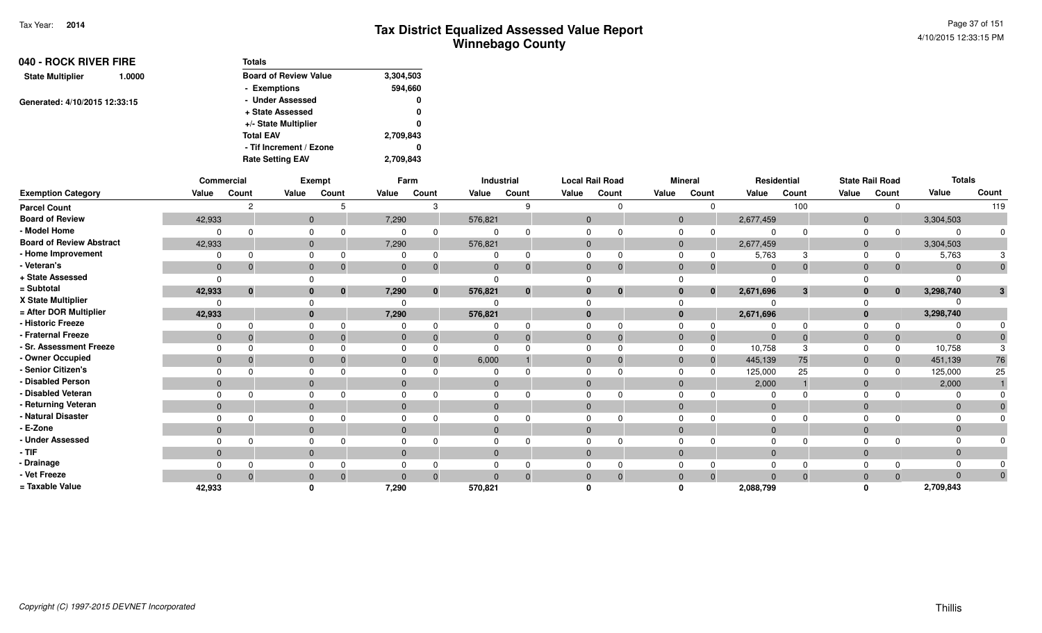Page 37 of 1514/10/2015 12:33:15 PM

| 040 - ROCK RIVER FIRE             | <b>Totals</b>                |           |
|-----------------------------------|------------------------------|-----------|
| <b>State Multiplier</b><br>1.0000 | <b>Board of Review Value</b> | 3,304,503 |
|                                   | - Exemptions                 | 594,660   |
| Generated: 4/10/2015 12:33:15     | - Under Assessed             | 0         |
|                                   | + State Assessed             | 0         |
|                                   | +/- State Multiplier         | 0         |
|                                   | <b>Total EAV</b>             | 2,709,843 |
|                                   | - Tif Increment / Ezone      | 0         |
|                                   | <b>Rate Setting EAV</b>      | 2.709.843 |

|                                 |              | Commercial |          | Exempt                   |              | Farm         |              | Industrial |              | <b>Local Rail Road</b> |          | <b>Mineral</b> |                           | Residential                 |                | <b>State Rail Road</b> | <b>Totals</b> |              |
|---------------------------------|--------------|------------|----------|--------------------------|--------------|--------------|--------------|------------|--------------|------------------------|----------|----------------|---------------------------|-----------------------------|----------------|------------------------|---------------|--------------|
| <b>Exemption Category</b>       | Value        | Count      | Value    | Count                    | Value        | Count        | Value        | Count      | Value        | Count                  | Value    | Count          | Value                     | Count                       | Value          | Count                  | Value         | Count        |
| <b>Parcel Count</b>             |              | 2          |          | 5                        |              | 3            |              | 9          |              | <sup>0</sup>           |          | $\Omega$       |                           | 100                         |                | $\Omega$               |               | 119          |
| <b>Board of Review</b>          | 42,933       |            |          | $\mathbf{0}$             | 7,290        |              | 576,821      |            | $\Omega$     |                        |          | $\overline{0}$ | 2,677,459                 |                             | $\overline{0}$ |                        | 3,304,503     |              |
| - Model Home                    |              |            |          |                          |              | 0            |              |            |              |                        |          | 0<br>0         |                           | $\Omega$                    | 0              | $\Omega$               | $\Omega$      | $\Omega$     |
| <b>Board of Review Abstract</b> | 42,933       |            |          | $\mathbf{0}$             | 7,290        |              | 576,821      |            | $\mathbf{0}$ |                        |          | $\overline{0}$ | 2,677,459                 |                             | $\mathbf{0}$   |                        | 3,304,503     |              |
| - Home Improvement              |              |            |          |                          |              |              |              |            |              |                        |          |                | 5,763                     | 3                           |                | 0                      | 5,763         | 3            |
| Veteran's                       | $\mathbf{0}$ | $\Omega$   |          | $\mathbf{0}$<br>$\Omega$ | $\mathbf{0}$ | $\Omega$     | $\mathbf{0}$ | $\Omega$   | $\mathbf{0}$ | $\mathbf 0$            |          | $\mathbf{0}$   | $\Omega$                  | $\mathbf{0}$<br>$\mathbf 0$ | $\mathbf{0}$   | $\Omega$               | $\Omega$      | $\Omega$     |
| + State Assessed                |              |            |          |                          |              |              |              |            |              |                        |          |                |                           |                             |                |                        |               |              |
| = Subtotal                      | 42,933       | $\bf{0}$   |          | $\mathbf{0}$             | 7,290        | $\mathbf{0}$ | 576,821      | $\bf{0}$   |              | $\bf{0}$               |          | $\mathbf{0}$   | 2,671,696<br>$\mathbf{0}$ | $\mathbf{3}$                | $\mathbf{0}$   | $\mathbf{0}$           | 3,298,740     | 3            |
| X State Multiplier              |              |            |          |                          |              |              |              |            |              |                        |          |                |                           |                             |                |                        |               |              |
| = After DOR Multiplier          | 42,933       |            |          |                          | 7,290        |              | 576,821      |            |              |                        |          | $\bf{0}$       | 2,671,696                 |                             | $\bf{0}$       |                        | 3,298,740     |              |
| - Historic Freeze               |              |            |          |                          |              |              |              |            |              |                        |          |                |                           | $\Omega$                    |                |                        |               |              |
| <b>Fraternal Freeze</b>         | $\Omega$     |            | $\Omega$ |                          | $\Omega$     |              | $\Omega$     |            | $\Omega$     | $\Omega$               |          | $\mathbf{0}$   | 0                         | $\mathbf{0}$<br>$\Omega$    | $\mathbf{0}$   | $\mathbf 0$            | $\Omega$      |              |
| - Sr. Assessment Freeze         |              |            |          |                          |              |              |              |            |              |                        |          |                | 10,758                    | 3                           | 0              | $\Omega$               | 10,758        |              |
| - Owner Occupied                | $\mathbf 0$  |            | $\Omega$ |                          |              |              | 6,000        |            | $\Omega$     | $\Omega$               |          | $\Omega$       | 445,139<br>$\Omega$       | 75                          | $\mathbf{0}$   | $\Omega$               | 451,139       | 76           |
| Senior Citizen's                |              |            |          |                          |              |              |              |            |              |                        | $\Omega$ |                | 125,000                   | 25                          | $\Omega$       | n                      | 125,000       | 25           |
| <b>Disabled Person</b>          | $\Omega$     |            |          | $\Omega$                 | $\Omega$     |              | $\mathbf{0}$ |            | $\Omega$     |                        |          | $\mathbf{0}$   | 2,000                     |                             | $\mathbf 0$    |                        | 2,000         |              |
| - Disabled Veteran              |              |            |          |                          |              |              |              |            |              | $\Omega$               |          | 0              |                           | ∩                           | $\Omega$       |                        |               |              |
| - Returning Veteran             | $\Omega$     |            |          | $\Omega$                 | $\Omega$     |              | $\mathbf{0}$ |            | $\Omega$     |                        |          | $\mathbf{0}$   |                           | $\mathbf{0}$                | $\mathbf 0$    |                        | $\Omega$      |              |
| <b>Natural Disaster</b>         |              |            |          |                          |              |              |              |            |              |                        |          | 0              |                           | <sup>n</sup>                | $\Omega$       |                        |               |              |
| E-Zone                          | $\mathbf 0$  |            |          | $\mathbf{0}$             |              |              | $\mathbf{0}$ |            |              |                        |          | $\mathbf{0}$   |                           | $\Omega$                    | $\mathbf 0$    |                        |               |              |
| - Under Assessed                |              |            |          |                          |              |              |              |            |              | n                      |          |                |                           | $\Omega$                    | $\Omega$       |                        |               | 0            |
| - TIF                           | $\Omega$     |            |          | $\Omega$                 | $\Omega$     |              | $\Omega$     |            | $\Omega$     |                        |          | $\mathbf{0}$   |                           | $\Omega$                    | $\mathbf 0$    |                        | $\Omega$      |              |
| · Drainage                      |              |            |          |                          |              |              |              |            |              |                        |          |                |                           |                             | $\Omega$       |                        |               |              |
| Vet Freeze                      |              |            |          | $\mathbf{0}$<br>$\Omega$ |              | $\Omega$     |              |            |              | $\mathbf{0}$           |          | $\mathbf{0}$   | $\Omega$                  | $\Omega$<br>$\mathbf{0}$    | $\mathbf 0$    | $\Omega$               | $\Omega$      | $\mathbf{0}$ |
| = Taxable Value                 | 42,933       |            |          |                          | 7,290        |              | 570,821      |            |              |                        |          |                | 2,088,799                 |                             |                |                        | 2,709,843     |              |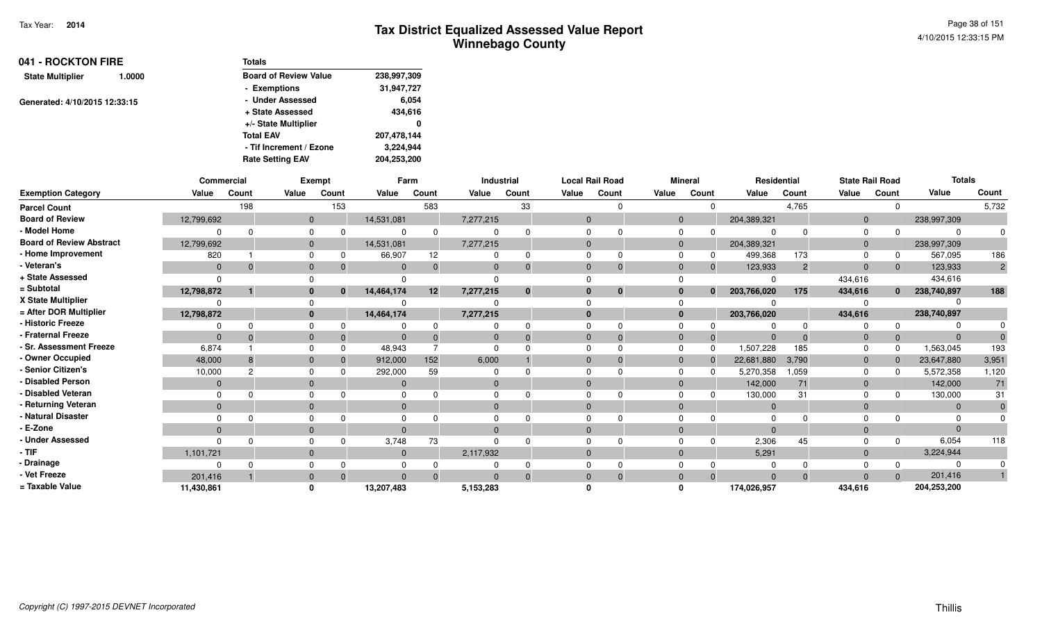Page 38 of 1514/10/2015 12:33:15 PM

| 041 - ROCKTON FIRE            |        | <b>Totals</b>                |             |
|-------------------------------|--------|------------------------------|-------------|
| <b>State Multiplier</b>       | 1.0000 | <b>Board of Review Value</b> | 238,997,309 |
|                               |        | - Exemptions                 | 31,947,727  |
| Generated: 4/10/2015 12:33:15 |        | - Under Assessed             | 6,054       |
|                               |        | + State Assessed             | 434,616     |
|                               |        | +/- State Multiplier         | 0           |
|                               |        | <b>Total EAV</b>             | 207,478,144 |
|                               |        | - Tif Increment / Ezone      | 3,224,944   |
|                               |        | <b>Rate Setting EAV</b>      | 204,253,200 |

|                                 | Commercial     |                |              | Exempt   |            | Farm  |           | Industrial  |          | <b>Local Rail Road</b> |              | <b>Mineral</b> | Residential    |                |                | <b>State Rail Road</b> | <b>Totals</b> |                |
|---------------------------------|----------------|----------------|--------------|----------|------------|-------|-----------|-------------|----------|------------------------|--------------|----------------|----------------|----------------|----------------|------------------------|---------------|----------------|
| <b>Exemption Category</b>       | Value          | Count          | Value        | Count    | Value      | Count | Value     | Count       | Value    | Count                  | Value        | Count          | Value          | Count          | Value          | Count                  | Value         | Count          |
| <b>Parcel Count</b>             |                | 198            |              | 153      |            | 583   |           | 33          |          |                        |              | $\Omega$       |                | 4,765          |                |                        |               | 5,732          |
| <b>Board of Review</b>          | 12,799,692     |                | $\mathbf{0}$ |          | 14,531,081 |       | 7,277,215 |             | $\Omega$ |                        | $\mathbf{0}$ |                | 204,389,321    |                | $\Omega$       |                        | 238,997,309   |                |
| - Model Home                    |                |                | $\Omega$     |          |            |       |           |             |          |                        | <sup>0</sup> |                |                |                |                |                        | $\Omega$      |                |
| <b>Board of Review Abstract</b> | 12,799,692     |                | $\mathbf{0}$ |          | 14,531,081 |       | 7,277,215 |             |          |                        | $\Omega$     |                | 204,389,321    |                | $\Omega$       |                        | 238,997,309   |                |
| - Home Improvement              | 820            |                | $\Omega$     |          | 66,907     | 12    |           | $\Omega$    |          |                        |              |                | 499,368        | 173            |                |                        | 567,095       | 186            |
| - Veteran's                     | $\mathbf{0}$   | $\Omega$       | $\mathbf{0}$ |          | $\Omega$   |       | $\Omega$  | $\Omega$    | $\Omega$ |                        | $\Omega$     | $\Omega$       | 123,933        | $\overline{2}$ | $\Omega$       |                        | 123,933       | $\overline{2}$ |
| + State Assessed                | $\Omega$       |                |              |          |            |       |           |             |          |                        |              |                |                |                | 434,616        |                        | 434,616       |                |
| = Subtotal                      | 12,798,872     |                | $\bf{0}$     | $\bf{0}$ | 14,464,174 | 12    | 7,277,215 | $\mathbf 0$ |          | $\bf{0}$               | $\bf{0}$     | $\mathbf{0}$   | 203,766,020    | 175            | 434,616        | $\mathbf{0}$           | 238,740,897   | 188            |
| X State Multiplier              |                |                |              |          |            |       |           |             |          |                        |              |                |                |                |                |                        |               |                |
| = After DOR Multiplier          | 12,798,872     |                | $\mathbf{0}$ |          | 14,464,174 |       | 7,277,215 |             |          |                        | $\bf{0}$     |                | 203,766,020    |                | 434,616        |                        | 238,740,897   |                |
| - Historic Freeze               |                |                | $\Omega$     |          |            |       |           |             |          |                        |              |                |                |                |                |                        |               |                |
| - Fraternal Freeze              | $\mathbf{0}$   |                | $\mathbf{0}$ |          |            |       |           | $\Omega$    |          |                        | $\Omega$     |                |                |                | $\mathbf 0$    |                        | $\Omega$      |                |
| - Sr. Assessment Freeze         | 6,874          |                | $\Omega$     |          | 48,943     |       |           |             |          |                        | $\Omega$     |                | 1,507,228      | 185            |                |                        | 1,563,045     | 193            |
| - Owner Occupied                | 48,000         | 8              | $\mathbf{0}$ |          | 912,000    | 152   | 6,000     |             |          |                        | $\Omega$     |                | 22,681,880     | 3,790          | $\Omega$       |                        | 23,647,880    | 3,951          |
| - Senior Citizen's              | 10,000         | $\overline{c}$ | $\Omega$     |          | 292,000    | 59    |           |             |          |                        | <sup>0</sup> |                | 5,270,358      | 1,059          |                |                        | 5,572,358     | 1,120          |
| - Disabled Person               | $\mathbf{0}$   |                | $\mathbf{0}$ |          |            |       | $\Omega$  |             |          |                        | $\Omega$     |                | 142,000        | 71             | $\mathbf 0$    |                        | 142,000       | 71             |
| - Disabled Veteran              |                |                | $\Omega$     |          |            |       |           |             |          |                        | $\Omega$     |                | 130,000        | 31             |                |                        | 130,000       | 31             |
| - Returning Veteran             | $\overline{0}$ |                | $\mathbf{0}$ |          | $\Omega$   |       | $\Omega$  |             | $\Omega$ |                        | $\Omega$     |                | $\overline{0}$ |                | $\Omega$       |                        | $\mathbf{0}$  |                |
| - Natural Disaster              |                |                |              |          |            |       |           |             |          |                        |              |                |                |                |                |                        |               |                |
| - E-Zone                        | $\Omega$       |                | $\Omega$     |          |            |       | $\Omega$  |             |          |                        | $\Omega$     |                | $\Omega$       |                |                |                        | $\Omega$      |                |
| - Under Assessed                |                |                |              |          | 3,748      | 73    |           |             |          |                        |              |                | 2,306          | 45             |                |                        | 6,054         | 118            |
| - TIF                           | 1,101,721      |                | $\Omega$     |          | $\Omega$   |       | 2,117,932 |             | $\Omega$ |                        | $\Omega$     |                | 5,291          |                | $\overline{0}$ |                        | 3,224,944     |                |
| - Drainage                      |                |                |              |          |            |       |           |             |          |                        |              |                |                |                |                |                        | 0             |                |
| - Vet Freeze                    | 201,416        |                | $\Omega$     |          | $\Omega$   |       | $\Omega$  | $\Omega$    | $\Omega$ |                        | $\Omega$     | $\Omega$       | $\Omega$       | $\Omega$       | $\Omega$       |                        | 201,416       |                |
| = Taxable Value                 | 11,430,861     |                |              |          | 13,207,483 |       | 5,153,283 |             |          |                        |              |                | 174,026,957    |                | 434,616        |                        | 204,253,200   |                |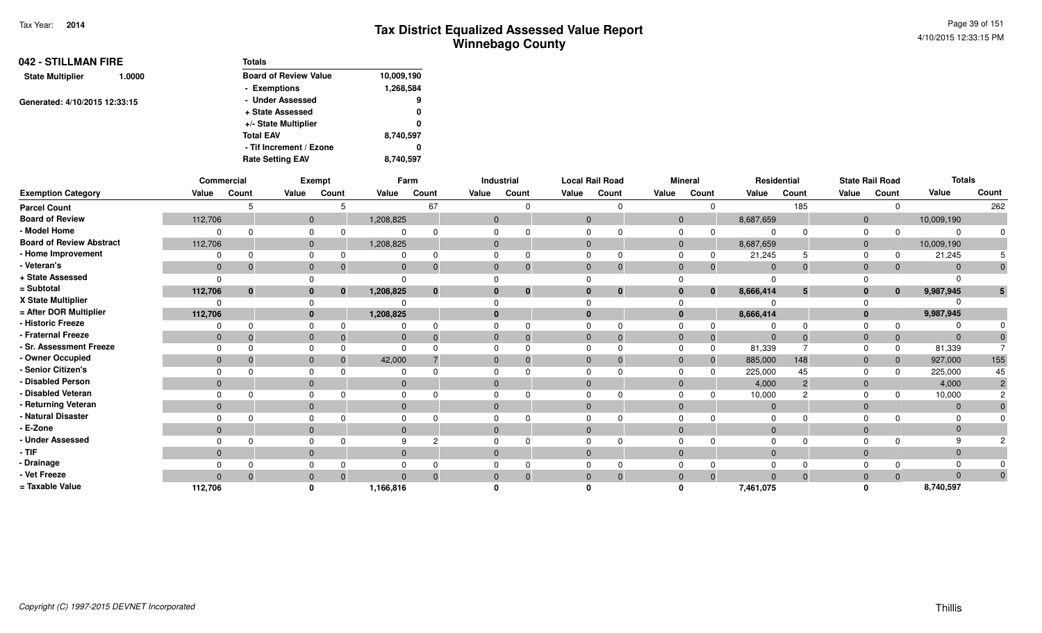| 042 - STILLMAN FIRE     |                               | <b>Totals</b>                |            |
|-------------------------|-------------------------------|------------------------------|------------|
| <b>State Multiplier</b> | 1.0000                        | <b>Board of Review Value</b> | 10,009,190 |
|                         |                               | - Exemptions                 | 1,268,584  |
|                         |                               | - Under Assessed             | 9          |
|                         | Generated: 4/10/2015 12:33:15 | + State Assessed             | 0          |
|                         |                               | +/- State Multiplier         | 0          |
|                         |                               | <b>Total EAV</b>             | 8,740,597  |
|                         |                               | - Tif Increment / Ezone      | 0          |
|                         |                               | <b>Rate Setting EAV</b>      | 8.740.597  |

|                                 |              | Commercial |              | Exempt      |              | Farm     |              | Industrial  |              | <b>Local Rail Road</b> |              | <b>Mineral</b> |             | Residential |              | <b>State Rail Road</b> | <b>Totals</b> |          |
|---------------------------------|--------------|------------|--------------|-------------|--------------|----------|--------------|-------------|--------------|------------------------|--------------|----------------|-------------|-------------|--------------|------------------------|---------------|----------|
| <b>Exemption Category</b>       | Value        | Count      | Value        | Count       | Value        | Count    | Value        | Count       | Value        | Count                  | Value        | Count          | Value       | Count       | Value        | Count                  | Value         | Count    |
| <b>Parcel Count</b>             |              |            |              |             |              | 67       |              |             |              |                        |              |                |             | 185         |              | $\Omega$               |               | 262      |
| <b>Board of Review</b>          | 112,706      |            | $\mathbf{0}$ |             | 1,208,825    |          | $\mathbf{0}$ |             | $\Omega$     |                        |              | $\overline{0}$ | 8,687,659   |             | $\mathbf{0}$ |                        | 10,009,190    |          |
| - Model Home                    |              |            | $\Omega$     |             |              |          |              |             |              |                        |              |                |             |             |              |                        |               |          |
| <b>Board of Review Abstract</b> | 112,706      |            | $\mathbf{0}$ |             | 1,208,825    |          | $\Omega$     |             | $\Omega$     |                        | $\Omega$     |                | 8,687,659   |             | $\mathbf{0}$ |                        | 10,009,190    |          |
| - Home Improvement              | $\Omega$     |            | $\Omega$     |             | $\Omega$     | n        | $\Omega$     |             |              |                        |              |                | 21,245      |             |              | 0                      | 21,245        |          |
| - Veteran's                     | $\mathbf{0}$ |            | $\mathbf{0}$ |             | $\mathbf{0}$ |          | $\mathbf{0}$ |             | $\Omega$     | $\Omega$               | $\mathbf{0}$ |                | $\mathbf 0$ |             | $\mathbf{0}$ |                        |               |          |
| + State Assessed                |              |            |              |             | $\Omega$     |          |              |             |              |                        |              |                |             |             |              |                        |               |          |
| = Subtotal                      | 112,706      | $\bf{0}$   | $\bf{0}$     | $\mathbf 0$ | 1,208,825    | $\bf{0}$ | $\bf{0}$     | $\mathbf 0$ |              | $\bf{0}$               |              | $\bf{0}$       | 8,666,414   | 5           | 0            | $\mathbf{0}$           | 9,987,945     |          |
| X State Multiplier              |              |            |              |             |              |          |              |             |              |                        |              |                |             |             |              |                        |               |          |
| = After DOR Multiplier          | 112,706      |            | $\mathbf{0}$ |             | 1,208,825    |          | $\bf{0}$     |             |              |                        |              |                | 8,666,414   |             | 0            |                        | 9,987,945     |          |
| <b>Historic Freeze</b>          |              |            | $\Omega$     |             |              |          |              |             |              |                        |              |                |             |             |              |                        |               |          |
| Fraternal Freeze                | $\mathbf{0}$ |            | $\mathbf{0}$ |             | $\mathbf{0}$ |          | $\mathbf{0}$ |             | $\mathbf{0}$ |                        | 0            |                |             |             |              |                        |               |          |
| · Sr. Assessment Freeze         |              |            | $\Omega$     |             | $\Omega$     |          |              |             |              |                        |              |                | 81,339      |             |              | $\Omega$               | 81,339        |          |
| - Owner Occupied                | $\mathbf{0}$ |            | $\mathbf{0}$ |             | 42,000       |          | $\mathbf{0}$ |             | $\mathbf{0}$ |                        |              |                | 885,000     | 148         | 0            |                        | 927,000       | 155      |
| <b>Senior Citizen's</b>         |              |            |              |             |              |          |              |             |              |                        |              |                | 225,000     | 45          |              |                        | 225,000       | 45       |
| <b>Disabled Person</b>          | $\mathbf{0}$ |            | $\mathbf{0}$ |             | $\mathbf{0}$ |          | $\mathbf{0}$ |             |              |                        |              |                | 4,000       |             | $\mathbf{0}$ |                        | 4,000         |          |
| <b>Disabled Veteran</b>         |              |            | $\Omega$     |             | $\Omega$     |          | $\Omega$     |             |              |                        |              |                | 10,000      |             |              |                        | 10,000        |          |
| Returning Veteran               | $\mathbf{0}$ |            | $\mathbf{0}$ |             | $\mathbf{0}$ |          | $\mathbf{0}$ |             | $\Omega$     |                        | $\Omega$     |                | $\mathbf 0$ |             | $\Omega$     |                        | $\Omega$      |          |
| Natural Disaster                |              |            |              |             |              |          |              |             |              |                        |              |                |             |             |              |                        |               |          |
| E-Zone                          | $\mathbf{0}$ |            | $\mathbf{0}$ |             | $\Omega$     |          | $\mathbf{0}$ |             | $\Omega$     |                        |              |                |             |             |              |                        |               |          |
| <b>Under Assessed</b>           |              |            | $\Omega$     |             | 9            |          |              |             |              |                        |              |                |             |             |              |                        |               |          |
| - TIF                           | $\mathbf{0}$ |            | $\mathbf{0}$ |             | $\Omega$     |          | $\Omega$     |             | $\Omega$     |                        | $\Omega$     |                |             |             |              |                        |               |          |
| - Drainage                      |              |            |              |             |              |          |              |             |              |                        |              |                |             |             |              |                        |               |          |
| - Vet Freeze                    | $\Omega$     |            | $\mathbf{0}$ |             | $\Omega$     | $\Omega$ | $\mathbf{0}$ | $\Omega$    | $\mathbf{0}$ | $\mathbf 0$            | $\Omega$     |                | $\Omega$    |             | 0            | $\Omega$               |               | $\Omega$ |
| = Taxable Value                 | 112,706      |            |              |             | 1,166,816    |          |              |             |              |                        |              |                | 7,461,075   |             |              |                        | 8,740,597     |          |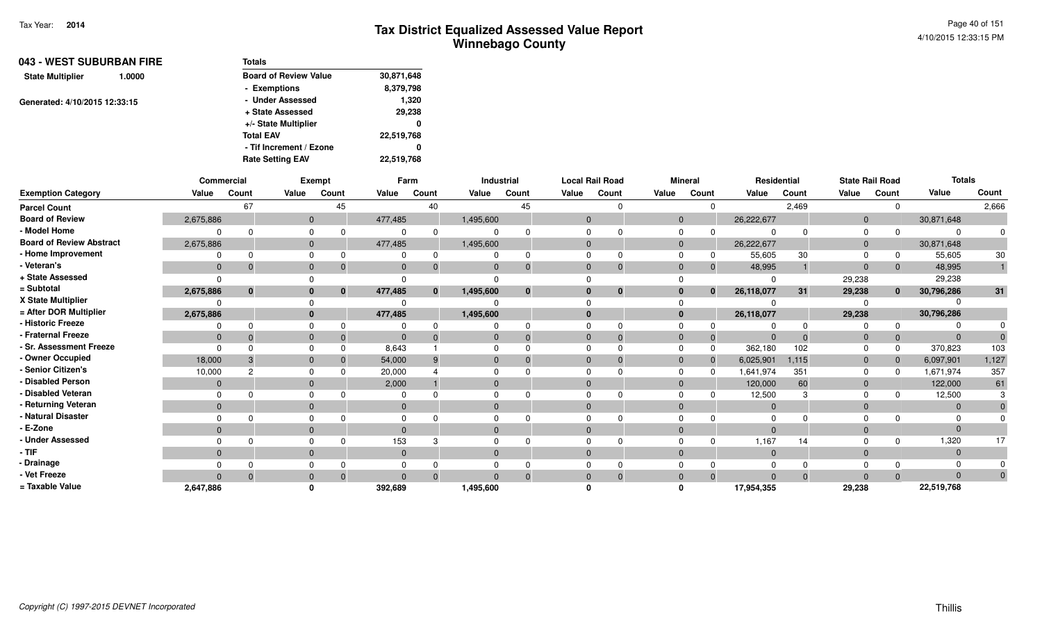| 043 - WEST SUBURBAN FIRE          | Totals                       |            |
|-----------------------------------|------------------------------|------------|
| <b>State Multiplier</b><br>1.0000 | <b>Board of Review Value</b> | 30,871,648 |
|                                   | - Exemptions                 | 8,379,798  |
| Generated: 4/10/2015 12:33:15     | - Under Assessed             | 1,320      |
|                                   | + State Assessed             | 29,238     |
|                                   | +/- State Multiplier         | 0          |
|                                   | <b>Total EAV</b>             | 22,519,768 |
|                                   | - Tif Increment / Ezone      | 0          |
|                                   | <b>Rate Setting EAV</b>      | 22,519,768 |

|                                 |              | Commercial  |              | <b>Exempt</b>            |                | Farm         |              | Industrial |              | <b>Local Rail Road</b> |       | <b>Mineral</b> |              | Residential  |          | <b>State Rail Road</b> |              | <b>Totals</b> |          |
|---------------------------------|--------------|-------------|--------------|--------------------------|----------------|--------------|--------------|------------|--------------|------------------------|-------|----------------|--------------|--------------|----------|------------------------|--------------|---------------|----------|
| <b>Exemption Category</b>       | Value        | Count       | Value        | Count                    | Value          | Count        | Value        | Count      | Value        | Count                  | Value | Count          |              | Value        | Count    | Value                  | Count        | Value         | Count    |
| <b>Parcel Count</b>             |              | 67          |              | 45                       |                | 40           |              | 45         |              | $\cap$                 |       |                | $\Omega$     |              | 2,469    |                        | 0            |               | 2,666    |
| <b>Board of Review</b>          | 2,675,886    |             |              | $\overline{0}$           | 477,485        |              | 1,495,600    |            | $\mathbf{0}$ |                        |       | $\mathbf{0}$   |              | 26,222,677   |          | $\mathbf{0}$           |              | 30,871,648    |          |
| - Model Home                    | $\Omega$     | $\cap$      | 0            |                          | 0              |              | 0            |            |              |                        |       | 0              | $\Omega$     | $\Omega$     | $\Omega$ | 0                      | $\Omega$     |               |          |
| <b>Board of Review Abstract</b> | 2,675,886    |             | $\mathbf{0}$ |                          | 477,485        |              | 1,495,600    |            | $\mathbf{0}$ |                        |       | $\overline{0}$ |              | 26,222,677   |          | $\mathbf{0}$           |              | 30,871,648    |          |
| - Home Improvement              | $\Omega$     | $\Omega$    | $\Omega$     |                          | $\Omega$       |              | 0            |            |              |                        |       | $\Omega$       | 0            | 55,605       | 30       | $\Omega$               | 0            | 55,605        | 30       |
| - Veteran's                     | $\Omega$     |             | $\mathbf{0}$ |                          | $\mathbf{0}$   |              | $\mathbf 0$  |            | $\mathbf{0}$ |                        |       | $\mathbf 0$    | $\Omega$     | 48,995       |          | $\mathbf{0}$           | $\Omega$     | 48,995        |          |
| + State Assessed                | $\Omega$     |             | $\Omega$     |                          | 0              |              |              |            |              |                        |       |                |              | $\Omega$     |          | 29,238                 |              | 29,238        |          |
| = Subtotal                      | 2,675,886    | $\mathbf 0$ |              | $\bf{0}$<br>$\mathbf{0}$ | 477,485        | $\mathbf{0}$ | 1,495,600    |            | $\bf{0}$     | $\bf{0}$               |       | 0              | $\mathbf{0}$ | 26,118,077   | 31       | 29,238                 | $\bf{0}$     | 30,796,286    | 31       |
| X State Multiplier              | $\Omega$     |             | $\Omega$     |                          | 0              |              |              |            |              |                        |       |                |              |              |          |                        |              |               |          |
| = After DOR Multiplier          | 2,675,886    |             |              | $\mathbf{0}$             | 477,485        |              | 1,495,600    |            | $\bf{0}$     |                        |       | $\mathbf{0}$   |              | 26,118,077   |          | 29,238                 |              | 30,796,286    |          |
| - Historic Freeze               | 0            |             | $\Omega$     |                          | 0              |              |              |            |              |                        |       | $\Omega$       |              | ŋ            | $\Omega$ | $\Omega$               | $\Omega$     |               |          |
| - Fraternal Freeze              | $\mathbf{0}$ | $\Omega$    | $\mathbf{0}$ | -0                       | $\overline{0}$ |              | $\mathbf 0$  |            | $\mathbf{0}$ |                        |       | $\mathbf 0$    | $\Omega$     | $\mathbf{0}$ | $\Omega$ | $\mathbf 0$            | $\Omega$     |               |          |
| - Sr. Assessment Freeze         | $\Omega$     | $\Omega$    | $\Omega$     |                          | 8,643          |              | 0            |            | $\Omega$     |                        |       | $\mathbf 0$    | $\Omega$     | 362,180      | 102      | $\Omega$               | $\Omega$     | 370,823       | 103      |
| - Owner Occupied                | 18,000       | -3          | $\mathbf{0}$ |                          | 54,000         |              | $\mathbf{0}$ |            | $\Omega$     |                        |       | $\mathbf{0}$   | $\Omega$     | 6,025,901    | 1,115    | $\mathbf{0}$           | $\mathbf 0$  | 6,097,901     | 1,127    |
| - Senior Citizen's              | 10,000       | 2           | 0            |                          | 20,000         |              | 0            |            |              |                        |       | $\Omega$       |              | 1,641,974    | 351      | $\Omega$               | $\Omega$     | 1,671,974     | 357      |
| - Disabled Person               | $\mathbf{0}$ |             | $\mathbf{0}$ |                          | 2,000          |              | $\mathbf{0}$ |            | $\Omega$     |                        |       | $\mathbf{0}$   |              | 120,000      | 60       | $\mathbf{0}$           |              | 122,000       | 61       |
| - Disabled Veteran              | $\Omega$     |             | $\Omega$     |                          | 0              |              | 0            |            |              |                        |       | $\Omega$       |              | 12,500       |          | $\Omega$               |              | 12,500        |          |
| - Returning Veteran             | $\mathbf{0}$ |             | $\mathbf{0}$ |                          | $\mathbf{0}$   |              | $\mathbf{0}$ |            | $\Omega$     |                        |       | $\mathbf{0}$   |              | $\mathbf 0$  |          | $\mathbf 0$            |              | $\Omega$      |          |
| - Natural Disaster              | $\Omega$     |             | 0            |                          | 0              |              |              |            |              |                        |       |                |              | 0            |          |                        |              |               |          |
| - E-Zone                        | $\Omega$     |             | $\mathbf{0}$ |                          | $\Omega$       |              | $\mathbf{0}$ |            | $\Omega$     |                        |       | $\mathbf{0}$   |              | $\Omega$     |          | $\mathbf 0$            |              |               |          |
| - Under Assessed                |              |             | $\Omega$     |                          | 153            |              |              |            |              |                        |       |                |              | 1,167        | 14       | 0                      | <sup>0</sup> | 1,320         | 17       |
| $-$ TIF                         | $\Omega$     |             | $\mathbf{0}$ |                          | $\overline{0}$ |              | $\mathbf{0}$ |            | $\mathbf{0}$ |                        |       | $\mathbf{0}$   |              | $\mathbf 0$  |          | $\mathbf 0$            |              | $\Omega$      |          |
| - Drainage                      | $\Omega$     |             | 0            |                          | 0              |              | 0            |            |              |                        |       | $\mathbf 0$    |              | $\Omega$     | $\Omega$ |                        |              |               |          |
| - Vet Freeze                    | $\Omega$     | $\Omega$    | $\mathbf{0}$ | $\Omega$                 | $\Omega$       | $\Omega$     | $\Omega$     |            | $\Omega$     |                        |       | $\mathbf{0}$   | $\Omega$     | $\mathbf{0}$ | $\Omega$ | $\Omega$               | $\Omega$     | $\Omega$      | $\Omega$ |
| = Taxable Value                 | 2,647,886    |             | $\mathbf{0}$ |                          | 392,689        |              | 1,495,600    |            |              |                        |       | $\Omega$       |              | 17,954,355   |          | 29,238                 |              | 22,519,768    |          |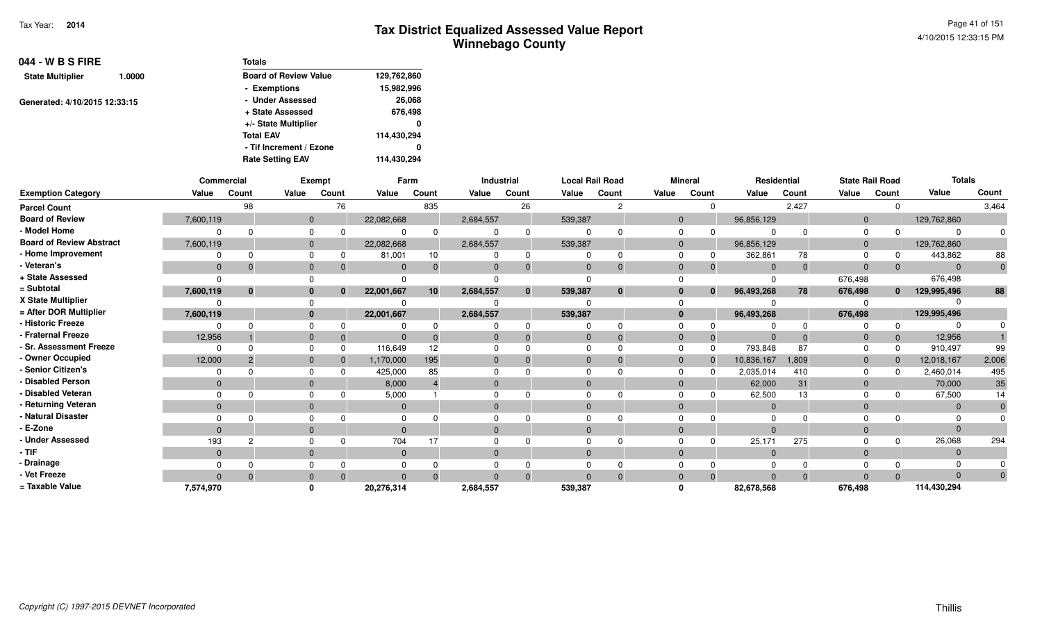Page 41 of 1514/10/2015 12:33:15 PM

| 044 - W B S FIRE              |        | <b>Totals</b>                |             |
|-------------------------------|--------|------------------------------|-------------|
| <b>State Multiplier</b>       | 1.0000 | <b>Board of Review Value</b> | 129,762,860 |
|                               |        | - Exemptions                 | 15,982,996  |
| Generated: 4/10/2015 12:33:15 |        | - Under Assessed             | 26,068      |
|                               |        | + State Assessed             | 676,498     |
|                               |        | +/- State Multiplier         | 0           |
|                               |        | <b>Total EAV</b>             | 114,430,294 |
|                               |        | - Tif Increment / Ezone      | 0           |
|                               |        | <b>Rate Setting EAV</b>      | 114,430,294 |

|                                 | Commercial   |              |                | Exempt |              | Farm     |           | Industrial   |          | <b>Local Rail Road</b> |          | <b>Mineral</b> |            | Residential |                | <b>State Rail Road</b> | <b>Totals</b> |          |
|---------------------------------|--------------|--------------|----------------|--------|--------------|----------|-----------|--------------|----------|------------------------|----------|----------------|------------|-------------|----------------|------------------------|---------------|----------|
| <b>Exemption Category</b>       | Value        | Count        | Value          | Count  | Value        | Count    | Value     | Count        | Value    | Count                  | Value    | Count          | Value      | Count       | Value          | Count                  | Value         | Count    |
| <b>Parcel Count</b>             |              | 98           |                | 76     |              | 835      |           | 26           |          | $\mathcal{P}$          |          | $\Omega$       |            | 2,427       |                | $\Omega$               |               | 3,464    |
| <b>Board of Review</b>          | 7,600,119    |              | $\mathbf{0}$   |        | 22,082,668   |          | 2,684,557 |              | 539,387  |                        | $\Omega$ |                | 96,856,129 |             | $\overline{0}$ |                        | 129,762,860   |          |
| - Model Home                    |              | $\Omega$     |                |        |              |          |           | $\Omega$     |          |                        |          |                |            |             | $\Omega$       |                        |               |          |
| <b>Board of Review Abstract</b> | 7,600,119    |              | $\mathbf{0}$   |        | 22,082,668   |          | 2,684,557 |              | 539,387  |                        | $\Omega$ |                | 96,856,129 |             | $\Omega$       |                        | 129,762,860   |          |
| - Home Improvement              | $\Omega$     | $\Omega$     | $\Omega$       |        | 81,001       | 10       |           | 0            |          |                        |          | 0              | 362,861    | 78          | $\Omega$       |                        | 443,862       | 88       |
| - Veteran's                     | $\mathbf{0}$ | $\Omega$     | $\mathbf{0}$   |        | $\Omega$     |          |           | $\Omega$     |          |                        | $\Omega$ | 0              | $\Omega$   |             | $\Omega$       | $\mathbf{0}$           |               | $\Omega$ |
| + State Assessed                | $\Omega$     |              |                |        |              |          |           |              |          |                        |          |                |            |             | 676,498        |                        | 676,498       |          |
| = Subtotal                      | 7,600,119    | $\mathbf{0}$ | $\bf{0}$       | 0      | 22,001,667   | 10       | 2,684,557 | $\mathbf{0}$ | 539,387  | $\mathbf{0}$           | $\Omega$ | $\bf{0}$       | 96,493,268 | 78          | 676,498        | $\mathbf{0}$           | 129,995,496   | 88       |
| X State Multiplier              |              |              |                |        |              |          |           |              |          |                        |          |                |            |             |                |                        |               |          |
| = After DOR Multiplier          | 7,600,119    |              | $\bf{0}$       |        | 22,001,667   |          | 2,684,557 |              | 539,387  |                        | $\bf{0}$ |                | 96,493,268 |             | 676,498        |                        | 129,995,496   |          |
| - Historic Freeze               | ŋ            |              |                |        |              |          |           |              |          |                        |          |                |            |             |                | $\Omega$               |               |          |
| - Fraternal Freeze              | 12,956       |              | $\mathbf{0}$   |        | $\Omega$     |          |           |              | 0        |                        |          | $\mathbf 0$    |            |             | 0              | $\mathbf{0}$           | 12,956        |          |
| - Sr. Assessment Freeze         | $\Omega$     | $\Omega$     | $\Omega$       |        | 116,649      | 12       |           |              |          |                        | $\Omega$ | $\Omega$       | 793,848    | 87          | $\Omega$       | $\Omega$               | 910,497       | 99       |
| - Owner Occupied                | 12,000       | 2            | $\mathbf{0}$   |        | 1,170,000    | 195      |           |              |          |                        | $\Omega$ | $\mathbf 0$    | 10,836,167 | 1,809       | $\Omega$       | $\Omega$               | 12,018,167    | 2,006    |
| - Senior Citizen's              | $\Omega$     |              |                |        | 425,000      | 85       |           |              |          |                        |          | - ೧            | 2,035,014  | 410         | $\Omega$       | <sup>0</sup>           | 2,460,014     | 495      |
| - Disabled Person               | $\mathbf{0}$ |              | $\overline{0}$ |        | 8,000        |          |           |              |          |                        | $\Omega$ |                | 62,000     | 31          | $\overline{0}$ |                        | 70,000        | 35       |
| - Disabled Veteran              | $\Omega$     |              | $\Omega$       |        | 5,000        |          |           |              |          |                        | $\Omega$ |                | 62,500     | 13          | $\Omega$       |                        | 67,500        | 14       |
| - Returning Veteran             | $\mathbf{0}$ |              | $\mathbf{0}$   |        | $\mathbf{0}$ |          | 0         |              | $\Omega$ |                        | $\Omega$ |                | $\Omega$   |             | $\Omega$       |                        | $\Omega$      |          |
| - Natural Disaster              |              |              |                |        |              |          |           |              |          |                        |          |                |            |             |                |                        |               |          |
| - E-Zone                        | $\Omega$     |              | $\Omega$       |        | $\Omega$     |          |           |              |          |                        | $\Omega$ |                | $\Omega$   |             |                |                        |               |          |
| - Under Assessed                | 193          |              |                |        | 704          |          |           |              |          |                        |          |                | 25,171     | 275         |                | $\Omega$               | 26,068        | 294      |
| - TIF                           | $\mathbf{0}$ |              | $\Omega$       |        | $\mathbf{0}$ |          |           |              |          |                        | $\Omega$ |                | $\Omega$   |             | $\Omega$       |                        |               |          |
| - Drainage                      |              |              |                |        |              |          |           |              |          |                        |          |                |            |             |                |                        |               |          |
| - Vet Freeze                    | $\Omega$     | $\Omega$     | $\Omega$       |        | $\Omega$     | $\Omega$ | $\Omega$  | $\Omega$     |          |                        | $\Omega$ | $\Omega$       | $\Omega$   |             | $\Omega$       | $\Omega$               |               | $\Omega$ |
| = Taxable Value                 | 7,574,970    |              |                |        | 20,276,314   |          | 2,684,557 |              | 539,387  |                        |          |                | 82,678,568 |             | 676,498        |                        | 114,430,294   |          |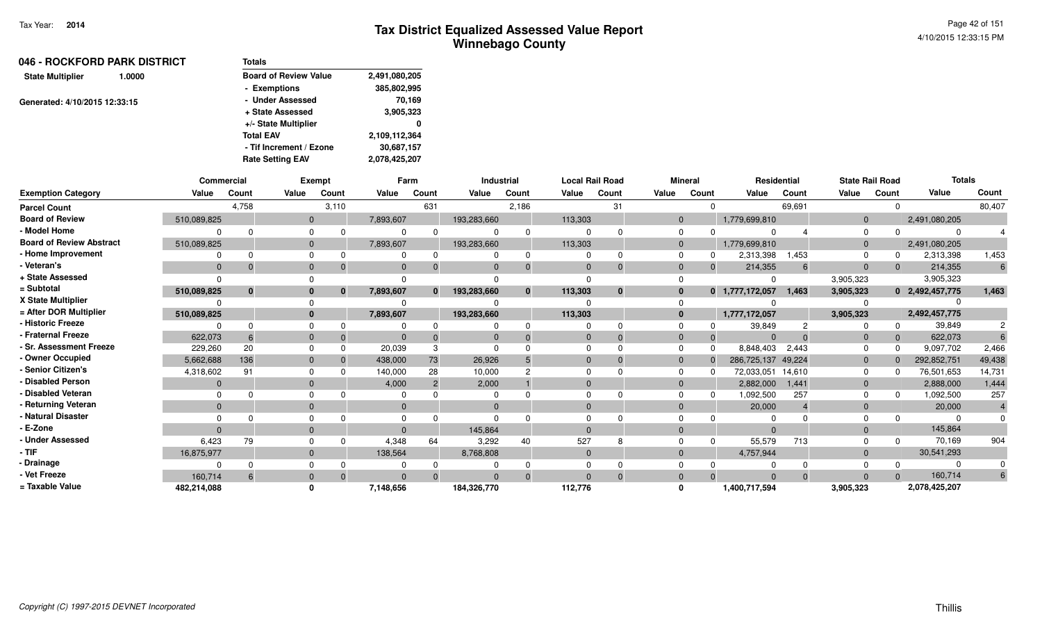| 046 - ROCKFORD PARK DISTRICT      | <b>Totals</b>                |               |
|-----------------------------------|------------------------------|---------------|
| <b>State Multiplier</b><br>1.0000 | <b>Board of Review Value</b> | 2,491,080,205 |
|                                   | - Exemptions                 | 385,802,995   |
| Generated: 4/10/2015 12:33:15     | - Under Assessed             | 70,169        |
|                                   | + State Assessed             | 3,905,323     |
|                                   | +/- State Multiplier         | $\mathbf{0}$  |
|                                   | <b>Total EAV</b>             | 2,109,112,364 |
|                                   | - Tif Increment / Ezone      | 30,687,157    |
|                                   | <b>Rate Setting EAV</b>      | 2,078,425,207 |

|                                 |             | <b>Commercial</b> |              | <b>Exempt</b> |                | Farm     |              | <b>Industrial</b> |              | <b>Local Rail Road</b> |                | <b>Mineral</b> |                    | Residential | <b>State Rail Road</b> |          | <b>Totals</b>   |                |
|---------------------------------|-------------|-------------------|--------------|---------------|----------------|----------|--------------|-------------------|--------------|------------------------|----------------|----------------|--------------------|-------------|------------------------|----------|-----------------|----------------|
| <b>Exemption Category</b>       | Value       | Count             | Value        | Count         | Value          | Count    | Value        | Count             | Value        | Count                  | Value          | Count          | Value              | Count       | Value                  | Count    | Value           | Count          |
| <b>Parcel Count</b>             |             | 4,758             |              | 3,110         |                | 631      |              | 2,186             |              | 31                     |                | $\Omega$       |                    | 69,691      |                        | $\Omega$ |                 | 80,407         |
| <b>Board of Review</b>          | 510,089,825 |                   |              | $\mathbf{0}$  | 7,893,607      |          | 193,283,660  |                   | 113,303      |                        | $\mathbf{0}$   |                | 1,779,699,810      |             | $\overline{0}$         |          | 2,491,080,205   |                |
| - Model Home                    |             |                   |              |               |                |          | $\Omega$     | $\Omega$          | $\Omega$     | $\Omega$               | $\mathbf 0$    | $\Omega$       | $\Omega$           |             | $\Omega$               | $\Omega$ |                 |                |
| <b>Board of Review Abstract</b> | 510,089,825 |                   |              | $\mathbf{0}$  | 7,893,607      |          | 193,283,660  |                   | 113,303      |                        | $\overline{0}$ |                | 1,779,699,810      |             | $\mathbf{0}$           |          | 2,491,080,205   |                |
| - Home Improvement              |             |                   |              |               | $\Omega$       |          | $\Omega$     | $\Omega$          | $\Omega$     | $\Omega$               | $\mathbf 0$    | 0              | 2,313,398          | <b>453.</b> |                        | 0        | 2,313,398       | 1,453          |
| - Veteran's                     | $\Omega$    |                   | $\mathbf{0}$ |               | $\Omega$       |          | $\Omega$     | 0                 | $\Omega$     | $\Omega$               | $\mathbf{0}$   | $\Omega$       | 214,355            | 6           | $\mathbf 0$            | $\Omega$ | 214,355         | 6              |
| + State Assessed                |             |                   |              |               |                |          |              |                   | $\Omega$     |                        | $\Omega$       |                | n                  |             | 3,905,323              |          | 3,905,323       |                |
| = Subtotal                      | 510,089,825 |                   |              | $\bf{0}$      | 7,893,607      | $\Omega$ | 193,283,660  | $\bf{0}$          | 113,303      | $\bf{0}$               | $\mathbf{0}$   | $\mathbf{0}$   | 1,777,172,057      | 1,463       | 3,905,323              |          | 0 2,492,457,775 | 1,463          |
| X State Multiplier              |             |                   |              |               |                |          |              |                   |              |                        | $\Omega$       |                |                    |             |                        |          |                 |                |
| = After DOR Multiplier          | 510,089,825 |                   |              | $\bf{0}$      | 7,893,607      |          | 193,283,660  |                   | 113,303      |                        | $\mathbf{0}$   |                | 1,777,172,057      |             | 3,905,323              |          | 2,492,457,775   |                |
| - Historic Freeze               |             |                   |              |               |                |          | 0            |                   | $\Omega$     | $\Omega$               | $\Omega$       |                | 39,849             |             |                        | $\Omega$ | 39,849          |                |
| - Fraternal Freeze              | 622,073     |                   | $\mathbf 0$  |               | $\overline{0}$ |          | $\mathbf{0}$ |                   | $\mathbf 0$  | $\Omega$               | $\overline{0}$ | $\Omega$       | $\Omega$           | $\Omega$    | $\mathbf{0}$           | $\Omega$ | 622,073         |                |
| - Sr. Assessment Freeze         | 229,260     | 20                |              | $\Omega$      | 20,039         | 3        | $\Omega$     |                   | $\Omega$     | $\Omega$               | $\Omega$       | $\Omega$       | 8,848,403          | 2,443       | $\Omega$               | $\Omega$ | 9,097,702       | 2,466          |
| - Owner Occupied                | 5,662,688   | 136               | $\Omega$     |               | 438,000        | 73       | 26,926       |                   | $\Omega$     | $\Omega$               | $\mathbf{0}$   | $\Omega$       | 286,725,137 49,224 |             | $\mathbf 0$            | $\Omega$ | 292,852,751     | 49,438         |
| <b>Senior Citizen's</b>         | 4,318,602   | 91                |              | $\Omega$      | 140,000        | 28       | 10,000       |                   | $\Omega$     |                        | $\Omega$       | $\Omega$       | 72,033,051         | 14,610      | 0                      | $\Omega$ | 76,501,653      | 14,731         |
| <b>Disabled Person</b>          | $\Omega$    |                   | $\Omega$     |               | 4,000          |          | 2,000        |                   | $\Omega$     |                        | $\mathbf{0}$   |                | 2,882,000          | 1,441       | $\mathbf 0$            |          | 2,888,000       | 1,444          |
| Disabled Veteran                |             |                   |              |               |                |          | $\Omega$     |                   | $\Omega$     |                        | $\Omega$       | 0              | 1,092,500          | 257         | $\Omega$               | 0        | 1,092,500       | 257            |
| - Returning Veteran             | $\Omega$    |                   |              | $\mathbf{0}$  | $\mathbf{0}$   |          | $\mathbf 0$  |                   | $\mathbf{0}$ |                        | $\mathbf{0}$   |                | 20,000             |             | $\mathbf 0$            |          | 20,000          | $\overline{4}$ |
| - Natural Disaster              |             |                   |              |               |                |          | $\Omega$     |                   | $\Omega$     |                        | $\Omega$       |                | <sup>0</sup>       |             |                        |          |                 |                |
| - E-Zone                        |             |                   | $\Omega$     |               | $\Omega$       |          | 145,864      |                   | $\Omega$     |                        | $\Omega$       |                | $\Omega$           |             | $\Omega$               |          | 145,864         |                |
| <b>Under Assessed</b>           | 6,423       | 79                |              |               | 4,348          | 64       | 3,292        | 40                | 527          | 8                      | $\Omega$       | $\Omega$       | 55,579             | 713         | $\Omega$               | $\Omega$ | 70,169          | 904            |
| - TIF-                          | 16,875,977  |                   |              | $\mathbf{0}$  | 138,564        |          | 8,768,808    |                   | $\mathbf 0$  |                        | $\mathbf{0}$   |                | 4,757,944          |             | $\mathbf{0}$           |          | 30,541,293      |                |
| - Drainage                      |             |                   |              |               |                |          |              |                   | $\Omega$     |                        | $\Omega$       |                |                    |             |                        |          |                 |                |
| - Vet Freeze                    | 160,714     |                   |              |               |                |          |              |                   | $\Omega$     | $\Omega$               | $\Omega$       |                | $\Omega$           | $\Omega$    | $\Omega$               |          | 160,714         | 6              |
| = Taxable Value                 | 482,214,088 |                   |              |               | 7.148.656      |          | 184,326,770  |                   | 112,776      |                        | 0              |                | 1,400,717,594      |             | 3,905,323              |          | 2,078,425,207   |                |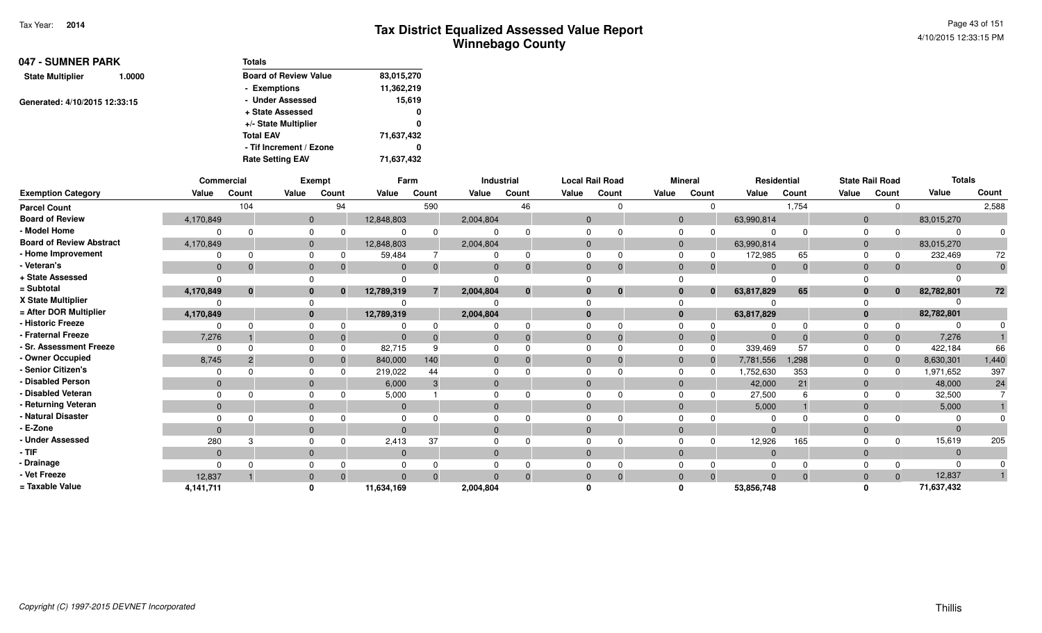Page 43 of 1514/10/2015 12:33:15 PM

| 047 - SUMNER PARK       |                               | <b>Totals</b>                |            |
|-------------------------|-------------------------------|------------------------------|------------|
| <b>State Multiplier</b> | 1.0000                        | <b>Board of Review Value</b> | 83,015,270 |
|                         |                               | - Exemptions                 | 11,362,219 |
|                         |                               | - Under Assessed             | 15,619     |
|                         | Generated: 4/10/2015 12:33:15 | + State Assessed             | 0          |
|                         |                               | +/- State Multiplier         | 0          |
|                         |                               | <b>Total EAV</b>             | 71,637,432 |
|                         |                               | - Tif Increment / Ezone      | 0          |
|                         |                               | <b>Rate Setting EAV</b>      | 71,637,432 |

|                                 |                | Commercial   |              | Exempt       |            | Farm     |           | Industrial   |              | <b>Local Rail Road</b> |              | <b>Mineral</b> | Residential |          |                | <b>State Rail Road</b> | <b>Totals</b> |       |
|---------------------------------|----------------|--------------|--------------|--------------|------------|----------|-----------|--------------|--------------|------------------------|--------------|----------------|-------------|----------|----------------|------------------------|---------------|-------|
| <b>Exemption Category</b>       | Value          | Count        | Value        | Count        | Value      | Count    | Value     | Count        | Value        | Count                  | Value        | Count          | Value       | Count    | Value          | Count                  | Value         | Count |
| <b>Parcel Count</b>             |                | 104          |              | 94           |            | 590      |           | 46           |              | <sup>n</sup>           |              |                |             | 1,754    |                | $\Omega$               |               | 2,588 |
| <b>Board of Review</b>          | 4,170,849      |              | $\mathbf{0}$ |              | 12,848,803 |          | 2,004,804 |              | $\mathbf{0}$ |                        | $\Omega$     |                | 63,990,814  |          | $\Omega$       |                        | 83,015,270    |       |
| - Model Home                    |                |              | $\Omega$     |              |            |          |           |              |              |                        |              |                |             |          | $\Omega$       | $\Omega$               |               |       |
| <b>Board of Review Abstract</b> | 4,170,849      |              | $\mathbf{0}$ |              | 12,848,803 |          | 2,004,804 |              | $\mathbf{0}$ |                        | $\Omega$     |                | 63,990,814  |          | $\overline{0}$ |                        | 83,015,270    |       |
| - Home Improvement              |                |              | $\Omega$     |              | 59,484     |          |           |              |              |                        |              |                | 172,985     | 65       | $\Omega$       |                        | 232,469       | 72    |
| - Veteran's                     | $\mathbf 0$    |              | $\mathbf 0$  | $\Omega$     | $\Omega$   |          |           |              | $\Omega$     | $\Omega$               | $\Omega$     |                | $\Omega$    | $\Omega$ | $\Omega$       | $\mathbf{0}$           |               |       |
| + State Assessed                |                |              |              |              |            |          |           |              |              |                        |              |                |             |          |                |                        |               |       |
| = Subtotal                      | 4,170,849      | $\mathbf{0}$ | $\mathbf{0}$ | $\mathbf{0}$ | 12,789,319 | 7        | 2,004,804 | $\mathbf{0}$ | $\Omega$     | $\mathbf 0$            |              | $\mathbf{0}$   | 63,817,829  | 65       |                | $\mathbf{0}$           | 82,782,801    | 72    |
| X State Multiplier              |                |              | $\Omega$     |              |            |          |           |              |              |                        |              |                |             |          |                |                        |               |       |
| = After DOR Multiplier          | 4,170,849      |              | $\mathbf{0}$ |              | 12,789,319 |          | 2,004,804 |              | $\mathbf{0}$ |                        | $\mathbf{0}$ |                | 63,817,829  |          | $\Omega$       |                        | 82,782,801    |       |
| - Historic Freeze               |                |              | $\Omega$     |              |            |          |           |              |              |                        |              |                |             |          |                | $\Omega$               |               |       |
| - Fraternal Freeze              | 7,276          |              | $\mathbf{0}$ | $\mathbf 0$  | $\Omega$   |          |           |              | $\mathbf{0}$ | $\Omega$               |              | -0             | $\Omega$    |          | -0             | $\mathbf{0}$           | 7,276         |       |
| - Sr. Assessment Freeze         | 0              |              | $\Omega$     |              | 82,715     | 9        |           |              |              |                        |              | 0              | 339,469     | 57       |                | 0                      | 422,184       | 66    |
| - Owner Occupied                | 8,745          |              | $\mathbf{0}$ |              | 840,000    | 140      |           |              | $\mathbf{0}$ | $\Omega$               | $\Omega$     | $\overline{0}$ | 7,781,556   | 1,298    | $\Omega$       | $\mathbf{0}$           | 8,630,301     | 1,440 |
| - Senior Citizen's              |                |              | $\Omega$     |              | 219,022    | 44       |           |              |              |                        |              |                | ,752,630    | 353      | $\Omega$       | <sup>n</sup>           | 1,971,652     | 397   |
| - Disabled Person               | $\mathbf{0}$   |              | $\mathbf{0}$ |              | 6,000      | 3        | $\Omega$  |              | $\Omega$     |                        | $\Omega$     |                | 42,000      | 21       | $\Omega$       |                        | 48,000        | 24    |
| - Disabled Veteran              |                |              | $\Omega$     |              | 5,000      |          |           |              |              |                        |              |                | 27,500      |          | $\Omega$       |                        | 32,500        |       |
| - Returning Veteran             | $\Omega$       |              | $\Omega$     |              | $\Omega$   |          | $\Omega$  |              | $\Omega$     |                        | $\Omega$     |                | 5,000       |          | $\Omega$       |                        | 5,000         |       |
| - Natural Disaster              |                |              |              |              |            |          |           |              |              |                        |              |                |             |          |                |                        |               |       |
| - E-Zone                        | $\Omega$       |              | $\mathbf{0}$ |              | $\Omega$   |          | $\Omega$  |              | $\Omega$     |                        | $\Omega$     |                | $\Omega$    |          | $\Omega$       |                        |               |       |
| - Under Assessed                | 280            |              |              |              | 2,413      | 37       |           |              |              |                        |              |                | 12,926      | 165      |                | $\Omega$               | 15,619        | 205   |
| $-$ TIF                         | $\overline{0}$ |              | $\mathbf{0}$ |              | $\Omega$   |          | $\Omega$  |              | $\Omega$     |                        |              |                | $\Omega$    |          | $\Omega$       |                        |               |       |
| - Drainage                      |                |              | $\Omega$     |              |            |          |           |              |              |                        |              |                |             |          |                |                        |               |       |
| - Vet Freeze                    | 12,837         |              | $\mathbf{0}$ | $\Omega$     | $\Omega$   | $\Omega$ | $\Omega$  |              | $\mathbf{0}$ | $\Omega$               | $\Omega$     | $\Omega$       | $\Omega$    | $\Omega$ | $\Omega$       | $\Omega$               | 12,837        |       |
| = Taxable Value                 | 4,141,711      |              | $\mathbf{0}$ |              | 11,634,169 |          | 2,004,804 |              |              |                        |              |                | 53,856,748  |          |                |                        | 71,637,432    |       |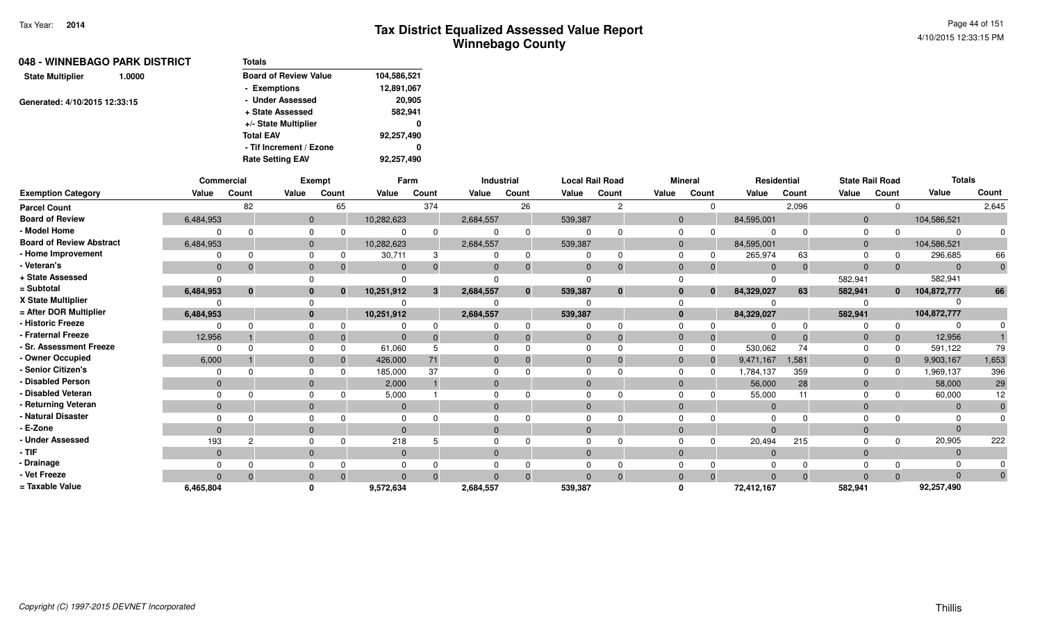| Totals                       |             |
|------------------------------|-------------|
| <b>Board of Review Value</b> | 104,586,521 |
| - Exemptions                 | 12,891,067  |
| - Under Assessed             | 20,905      |
| + State Assessed             | 582,941     |
| +/- State Multiplier         | 0           |
| <b>Total EAV</b>             | 92,257,490  |
| - Tif Increment / Ezone      | 0           |
| <b>Rate Setting EAV</b>      | 92,257,490  |
|                              |             |

|                                 |                | Commercial   |              | Exempt   |              | Farm  |              | Industrial   |              | <b>Local Rail Road</b> |              | <b>Mineral</b> |                | Residential |                | <b>State Rail Road</b> | <b>Totals</b> |          |
|---------------------------------|----------------|--------------|--------------|----------|--------------|-------|--------------|--------------|--------------|------------------------|--------------|----------------|----------------|-------------|----------------|------------------------|---------------|----------|
| <b>Exemption Category</b>       | Value          | Count        | Value        | Count    | Value        | Count | Value        | Count        | Value        | Count                  | Value        | Count          | Value          | Count       | Value          | Count                  | Value         | Count    |
| <b>Parcel Count</b>             |                | 82           |              | 65       |              | 374   |              | 26           |              | 2                      |              | $\Omega$       |                | 2,096       |                | $\Omega$               |               | 2,645    |
| <b>Board of Review</b>          | 6,484,953      |              | $\Omega$     |          | 10,282,623   |       | 2,684,557    |              | 539,387      |                        | $\Omega$     |                | 84,595,001     |             | $\overline{0}$ |                        | 104,586,521   |          |
| - Model Home                    |                |              |              |          |              |       |              | $\Omega$     |              |                        |              |                |                |             |                |                        |               |          |
| <b>Board of Review Abstract</b> | 6,484,953      |              | $\mathbf{0}$ |          | 10,282,623   |       | 2,684,557    |              | 539,387      |                        | $\Omega$     |                | 84,595,001     |             |                |                        | 104,586,521   |          |
| - Home Improvement              |                |              | $\Omega$     |          | 30,711       | 3     |              | -0           | $\Omega$     | 0                      |              |                | 265,974        | 63          |                |                        | 296,685       | 66       |
| - Veteran's                     | $\mathbf{0}$   | $\Omega$     | $\mathbf{0}$ |          | $\Omega$     |       | $\Omega$     |              | $\Omega$     | $\Omega$               | $\Omega$     |                | $\Omega$       |             | $\Omega$       |                        |               |          |
| + State Assessed                |                |              |              |          |              |       |              |              |              |                        |              |                |                |             | 582,941        |                        | 582,941       |          |
| = Subtotal                      | 6,484,953      | $\mathbf{0}$ |              | $\bf{0}$ | 10,251,912   | 3     | 2,684,557    | $\mathbf{0}$ | 539,387      | $\mathbf{0}$           |              | $\mathbf{0}$   | 84,329,027     | 63          | 582,941        | $\bf{0}$               | 104,872,777   | 66       |
| X State Multiplier              |                |              |              |          |              |       |              |              |              |                        |              |                |                |             |                |                        |               |          |
| = After DOR Multiplier          | 6,484,953      |              | $\mathbf{0}$ |          | 10,251,912   |       | 2,684,557    |              | 539,387      |                        | 0            |                | 84,329,027     |             | 582,941        |                        | 104,872,777   |          |
| - Historic Freeze               |                |              |              |          |              |       |              |              |              |                        |              |                |                |             |                |                        |               |          |
| - Fraternal Freeze              | 12,956         |              | $\mathbf{0}$ |          | $\Omega$     |       | $\mathbf{0}$ |              | $\mathbf{0}$ |                        | $\mathbf{0}$ |                |                |             |                |                        | 12,956        |          |
| - Sr. Assessment Freeze         |                |              | $\Omega$     |          | 61,060       |       |              |              | $\Omega$     |                        |              |                | 530,062        | 74          |                |                        | 591,122       | 79       |
| - Owner Occupied                | 6,000          |              | $\Omega$     |          | 426,000      | 71    | $\Omega$     |              | $\mathbf{0}$ |                        | $\mathbf{0}$ |                | 9,471,167      | 1,581       |                |                        | 9,903,167     | 1,653    |
| - Senior Citizen's              |                |              |              |          | 185,000      | 37    |              |              |              |                        |              |                | 1,784,137      | 359         |                |                        | 1,969,137     | 396      |
| <b>Disabled Person</b>          | $\Omega$       |              | $\mathbf{0}$ |          | 2,000        |       | $\Omega$     |              | $\Omega$     |                        | $\Omega$     |                | 56,000         | 28          |                |                        | 58,000        | 29       |
| Disabled Veteran                |                |              |              |          | 5,000        |       | $\Omega$     |              | $\Omega$     |                        |              |                | 55,000         | 11          |                |                        | 60,000        | 12       |
| - Returning Veteran             | $\overline{0}$ |              | $\mathbf{0}$ |          | $\mathbf{0}$ |       | $\mathbf{0}$ |              | $\mathbf{0}$ |                        | $\mathbf{0}$ |                | $\overline{0}$ |             | 0              |                        | $\Omega$      |          |
| - Natural Disaster              |                |              |              |          |              |       |              |              |              |                        |              |                |                |             |                |                        |               |          |
| - E-Zone                        | $\Omega$       |              | $\Omega$     |          | $\Omega$     |       | $\Omega$     |              | $\Omega$     |                        |              |                |                |             |                |                        |               |          |
| <b>Under Assessed</b>           | 193            | 2            |              |          | 218          |       |              |              |              |                        |              |                | 20,494         | 215         |                |                        | 20,905        | 222      |
| - TIF-                          | $\Omega$       |              | $\mathbf{0}$ |          | $\mathbf{0}$ |       | $\Omega$     |              | $\Omega$     |                        | $\Omega$     |                | $\Omega$       |             |                |                        |               |          |
| - Drainage                      |                |              |              |          |              |       |              |              |              |                        |              |                |                |             |                |                        |               |          |
| - Vet Freeze                    | $\Omega$       | $\Omega$     |              |          | $\Omega$     |       | $\Omega$     |              | $\Omega$     |                        |              |                |                |             |                |                        |               | $\Omega$ |
| = Taxable Value                 | 6,465,804      |              |              |          | 9,572,634    |       | 2,684,557    |              | 539,387      |                        |              |                | 72,412,167     |             | 582,941        |                        | 92,257,490    |          |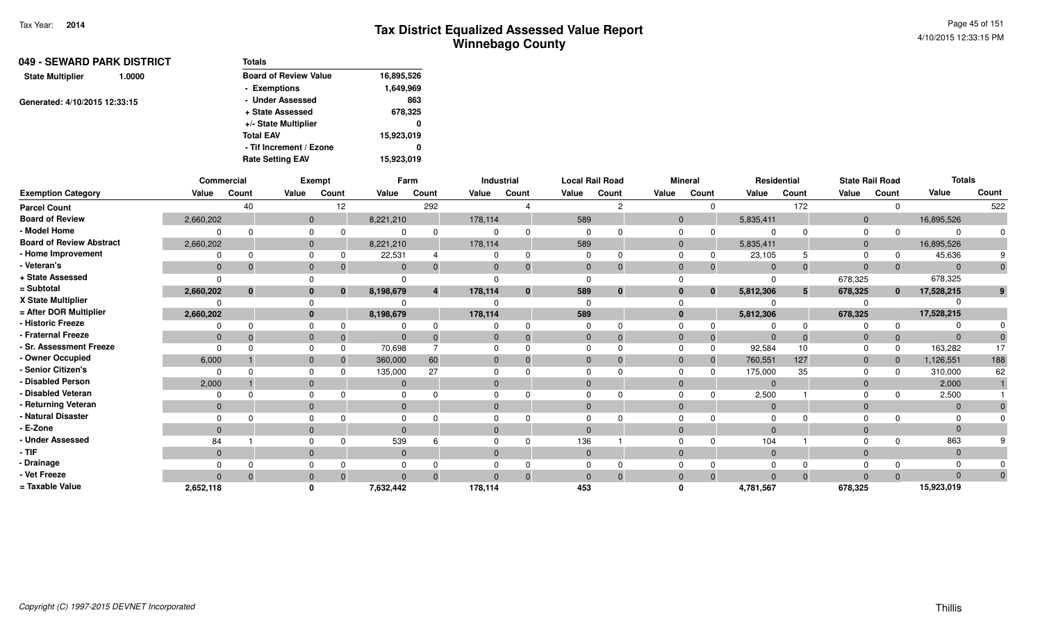| 049 - SEWARD PARK DISTRICT        | <b>Totals</b>                |            |
|-----------------------------------|------------------------------|------------|
| <b>State Multiplier</b><br>1.0000 | <b>Board of Review Value</b> | 16,895,526 |
|                                   | - Exemptions                 | 1,649,969  |
| Generated: 4/10/2015 12:33:15     | - Under Assessed             | 863        |
|                                   | + State Assessed             | 678,325    |
|                                   | +/- State Multiplier         | 0          |
|                                   | <b>Total EAV</b>             | 15,923,019 |
|                                   | - Tif Increment / Ezone      | 0          |
|                                   | <b>Rate Setting EAV</b>      | 15,923,019 |

|                                 |                | Commercial   |              | Exempt |                | Farm  |              | Industrial   | <b>Local Rail Road</b> |               |       | <b>Mineral</b> |              | Residential | <b>State Rail Road</b> |              | <b>Totals</b> |       |
|---------------------------------|----------------|--------------|--------------|--------|----------------|-------|--------------|--------------|------------------------|---------------|-------|----------------|--------------|-------------|------------------------|--------------|---------------|-------|
| <b>Exemption Category</b>       | Value          | Count        | Value        | Count  | Value          | Count | Value        | Count        | Value                  | Count         | Value | Count          | Value        | Count       | Value                  | Count        | Value         | Count |
| <b>Parcel Count</b>             |                | 40           |              | 12     |                | 292   |              |              |                        | $\mathcal{P}$ |       | $\Omega$       |              | 172         |                        | $\Omega$     |               | 522   |
| <b>Board of Review</b>          | 2,660,202      |              | $\mathbf{0}$ |        | 8,221,210      |       | 178,114      |              | 589                    |               |       |                | 5,835,411    |             | $\overline{0}$         |              | 16,895,526    |       |
| - Model Home                    |                |              |              |        |                |       |              |              |                        |               |       |                |              |             |                        | $\Omega$     |               |       |
| <b>Board of Review Abstract</b> | 2,660,202      |              | $\mathbf{0}$ |        | 8,221,210      |       | 178,114      |              | 589                    |               |       |                | 5,835,411    |             | 0                      |              | 16,895,526    |       |
| - Home Improvement              |                |              | $\Omega$     |        | 22,531         |       | $\Omega$     | $\Omega$     |                        |               |       |                | 23,105       |             |                        | 0            | 45,636        |       |
| - Veteran's                     | $\mathbf{0}$   | $\Omega$     | $\mathbf{0}$ |        | $\Omega$       |       | $\Omega$     |              | $\Omega$               |               |       |                | $\Omega$     | $\Omega$    | $\Omega$               | $\mathbf{0}$ | $\Omega$      |       |
| + State Assessed                |                |              |              |        |                |       |              |              |                        |               |       |                |              |             | 678,325                |              | 678,325       |       |
| = Subtotal                      | 2,660,202      | $\mathbf{0}$ | $\bf{0}$     | 0      | 8,198,679      | 4     | 178,114      | $\mathbf{0}$ | 589                    | $\bf{0}$      |       | $\bf{0}$       | 5,812,306    | 5           | 678,325                | $\mathbf{0}$ | 17,528,215    |       |
| X State Multiplier              |                |              |              |        |                |       |              |              |                        |               |       |                |              |             |                        |              |               |       |
| = After DOR Multiplier          | 2,660,202      |              | $\mathbf{0}$ |        | 8,198,679      |       | 178,114      |              | 589                    |               |       |                | 5,812,306    |             | 678,325                |              | 17,528,215    |       |
| - Historic Freeze               |                |              |              |        |                |       |              |              |                        |               |       |                |              |             |                        | $\Omega$     |               |       |
| - Fraternal Freeze              | $\overline{0}$ |              | $\mathbf{0}$ |        | $\Omega$       |       | $\Omega$     |              | 0                      |               |       |                |              |             |                        | $\mathbf 0$  |               |       |
| - Sr. Assessment Freeze         |                |              | $\Omega$     |        | 70,698         |       | $\Omega$     |              |                        |               |       |                | 92,584       | 10          | 0                      | 0            | 163,282       | 17    |
| - Owner Occupied                | 6,000          |              | $\mathbf{0}$ |        | 360,000        | 60    | $\mathbf{0}$ |              |                        |               |       |                | 760,551      | 127         | 0                      | $\mathbf{0}$ | 1,126,551     | 188   |
| - Senior Citizen's              |                |              |              |        | 135,000        | 27    |              |              |                        |               |       |                | 175,000      | 35          |                        | $\Omega$     | 310,000       | 62    |
| - Disabled Person               | 2,000          |              | $\mathbf{0}$ |        | $\Omega$       |       | $\Omega$     |              |                        |               |       |                |              |             | $\overline{0}$         |              | 2,000         |       |
| - Disabled Veteran              |                |              | $\Omega$     |        | $\Omega$       |       | $\Omega$     |              |                        |               |       |                | 2,500        |             |                        | <sup>n</sup> | 2,500         |       |
| - Returning Veteran             | $\mathbf{0}$   |              | $\mathbf{0}$ |        | $\overline{0}$ |       | $\mathbf{0}$ |              | $\Omega$               |               |       |                | $\mathbf{0}$ |             | $\mathbf{0}$           |              | $\Omega$      |       |
| - Natural Disaster              |                |              |              |        |                |       |              |              |                        |               |       |                |              |             |                        |              |               |       |
| - E-Zone                        |                |              | $\mathbf{0}$ |        | $\Omega$       |       | $\mathbf{0}$ |              |                        |               |       |                |              |             | $\Omega$               |              |               |       |
| - Under Assessed                | 84             |              | $\Omega$     |        | 539            |       | $\Omega$     |              | 136                    |               |       |                | 104          |             |                        | <sup>n</sup> | 863           |       |
| - TIF                           | $\Omega$       |              | $\mathbf{0}$ |        | $\Omega$       |       | $\mathbf{0}$ |              | $\Omega$               |               |       |                | $\Omega$     |             | $\Omega$               |              | $\Omega$      |       |
| · Drainage                      |                |              |              |        |                |       |              |              |                        |               |       |                |              |             |                        |              |               |       |
| - Vet Freeze                    |                |              | $\mathbf{0}$ |        | $\Omega$       |       | $\Omega$     |              |                        |               |       |                |              |             |                        | $\Omega$     |               |       |
| = Taxable Value                 | 2,652,118      |              |              |        | 7,632,442      |       | 178,114      |              | 453                    |               |       |                | 4,781,567    |             | 678,325                |              | 15,923,019    |       |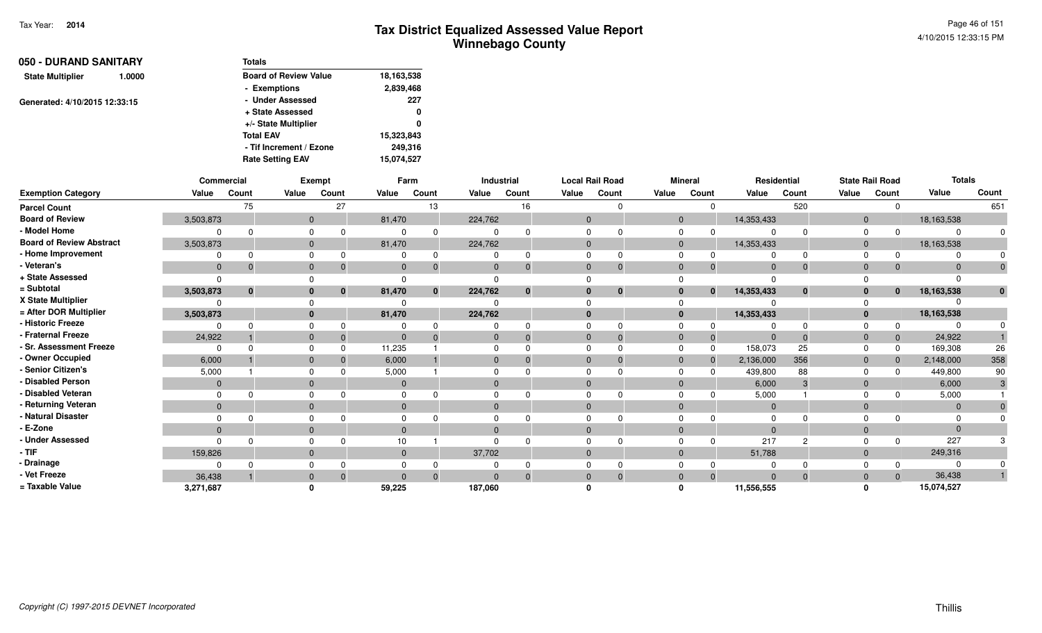| 050 - DURAND SANITARY         |        | <b>Totals</b>                |            |
|-------------------------------|--------|------------------------------|------------|
| <b>State Multiplier</b>       | 1.0000 | <b>Board of Review Value</b> | 18,163,538 |
|                               |        | - Exemptions                 | 2,839,468  |
| Generated: 4/10/2015 12:33:15 |        | - Under Assessed             | 227        |
|                               |        | + State Assessed             | 0          |
|                               |        | +/- State Multiplier         | 0          |
|                               |        | <b>Total EAV</b>             | 15,323,843 |
|                               |        | - Tif Increment / Ezone      | 249,316    |
|                               |        | <b>Rate Setting EAV</b>      | 15,074,527 |

|                                 |              | Commercial   |              | <b>Exempt</b> |                | Farm         |          | Industrial   |              | <b>Local Rail Road</b> |                | <b>Mineral</b> |                | Residential |                | <b>State Rail Road</b> | <b>Totals</b> |              |
|---------------------------------|--------------|--------------|--------------|---------------|----------------|--------------|----------|--------------|--------------|------------------------|----------------|----------------|----------------|-------------|----------------|------------------------|---------------|--------------|
| <b>Exemption Category</b>       | Value        | Count        | Value        | Count         | Value          | Count        | Value    | Count        | Value        | Count                  | Value          | Count          | Value          | Count       | Value          | Count                  | Value         | Count        |
| <b>Parcel Count</b>             |              | 75           |              | 27            |                | 13           |          | 16           |              |                        |                |                |                | 520         |                |                        |               | 651          |
| <b>Board of Review</b>          | 3,503,873    |              | $\mathbf{0}$ |               | 81,470         |              | 224,762  |              | $\mathbf{0}$ |                        | $\overline{0}$ |                | 14,353,433     |             | $\overline{0}$ |                        | 18,163,538    |              |
| - Model Home                    |              |              |              |               |                | $\Omega$     |          |              |              |                        |                |                |                |             |                |                        | $\Omega$      |              |
| <b>Board of Review Abstract</b> | 3,503,873    |              |              |               | 81,470         |              | 224,762  |              | $\mathbf{0}$ |                        | $\mathbf 0$    |                | 14,353,433     |             | $\Omega$       |                        | 18,163,538    |              |
| - Home Improvement              |              |              |              |               |                | 0            |          |              |              |                        |                |                |                |             |                |                        |               |              |
| - Veteran's                     | $\mathbf{0}$ |              |              |               | $\Omega$       | $\Omega$     |          |              | $\mathbf{0}$ | $\mathbf 0$            | $\Omega$       | 0              | $\overline{0}$ | $\Omega$    | $\Omega$       |                        | $\Omega$      |              |
| + State Assessed                | $\Omega$     |              |              |               |                |              |          |              |              |                        |                |                |                |             |                |                        |               |              |
| = Subtotal                      | 3,503,873    | $\mathbf{0}$ |              | $\bf{0}$      | 81,470         | $\mathbf{0}$ | 224,762  | $\mathbf{0}$ | $\mathbf{0}$ | $\mathbf{0}$           |                | $\mathbf{0}$   | 14,353,433     | $\bf{0}$    | $\bf{0}$       | $\mathbf{0}$           | 18,163,538    | $\mathbf{0}$ |
| X State Multiplier              |              |              |              |               |                |              |          |              |              |                        |                |                |                |             |                |                        |               |              |
| = After DOR Multiplier          | 3,503,873    |              |              |               | 81,470         |              | 224,762  |              | $\bf{0}$     |                        | $\bf{0}$       |                | 14,353,433     |             | $\mathbf{0}$   |                        | 18,163,538    |              |
| - Historic Freeze               |              |              |              |               |                |              |          |              |              |                        |                |                |                |             |                |                        |               |              |
| - Fraternal Freeze              | 24,922       |              |              |               | $\overline{0}$ | $\Omega$     |          |              | $\mathbf 0$  | $\Omega$               |                | $\mathbf 0$    | $\overline{0}$ | $\Omega$    | $\mathbf{0}$   |                        | 24,922        |              |
| - Sr. Assessment Freeze         | $\Omega$     |              |              |               | 11,235         |              |          |              | $\Omega$     |                        |                | $\Omega$       | 158,073        | 25          |                |                        | 169,308       | 26           |
| - Owner Occupied                | 6,000        |              |              |               | 6,000          |              |          |              | $\Omega$     | $\Omega$               |                | $\Omega$       | 2,136,000      | 356         | $\Omega$       |                        | 2,148,000     | 358          |
| - Senior Citizen's              | 5,000        |              |              |               | 5,000          |              |          |              | $\Omega$     |                        |                |                | 439,800        | 88          |                |                        | 449,800       | 90           |
| - Disabled Person               | $\Omega$     |              |              |               | 0              |              |          |              | $\Omega$     |                        |                |                | 6,000          | 3           | $\Omega$       |                        | 6,000         |              |
| - Disabled Veteran              | $\Omega$     |              |              |               |                |              |          |              | $\Omega$     |                        |                |                | 5,000          |             |                |                        | 5,000         |              |
| - Returning Veteran             | $\mathbf{0}$ |              |              |               | $\mathbf{0}$   |              | $\Omega$ |              | $\mathbf{0}$ |                        |                |                | $\overline{0}$ |             | $\Omega$       |                        | $\mathbf{0}$  |              |
| - Natural Disaster              |              |              |              |               |                |              |          |              | $\Omega$     |                        |                |                | $\Omega$       |             |                |                        | $\Omega$      |              |
| - E-Zone                        | $\Omega$     |              |              |               | $\Omega$       |              |          |              | $\Omega$     |                        |                |                | $\Omega$       |             | $\Omega$       |                        | $\Omega$      |              |
| <b>Under Assessed</b>           | <sup>n</sup> |              |              |               | 10             |              |          |              |              |                        |                |                | 217            | റ           |                |                        | 227           |              |
| - TIF                           | 159,826      |              |              |               | $\mathbf{0}$   |              | 37,702   |              | $\mathbf{0}$ |                        |                |                | 51,788         |             | $\Omega$       |                        | 249,316       |              |
| · Drainage                      |              |              |              |               |                |              |          |              | 0            |                        |                |                |                |             |                |                        |               |              |
| - Vet Freeze                    | 36,438       |              |              |               | $\overline{0}$ | $\Omega$     |          |              | $\Omega$     | $\Omega$               |                | $\Omega$       | $\Omega$       | $\Omega$    |                |                        | 36,438        |              |
| = Taxable Value                 | 3,271,687    |              |              |               | 59,225         |              | 187,060  |              |              |                        |                |                | 11,556,555     |             |                |                        | 15,074,527    |              |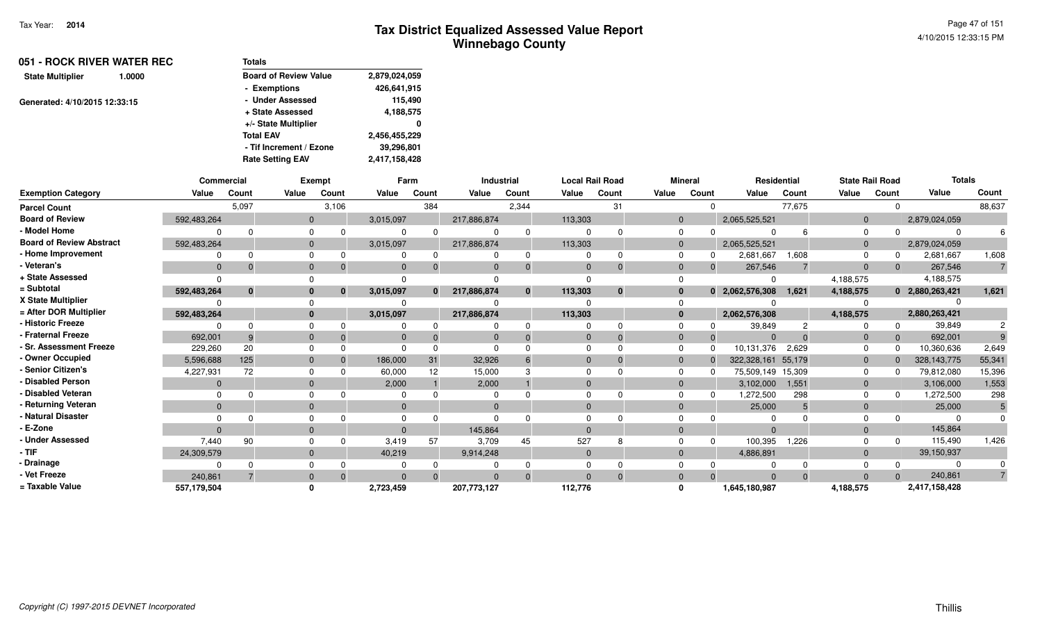| 051 - ROCK RIVER WATER REC        | Totals                       |               |
|-----------------------------------|------------------------------|---------------|
| <b>State Multiplier</b><br>1.0000 | <b>Board of Review Value</b> | 2,879,024,059 |
|                                   | - Exemptions                 | 426,641,915   |
| Generated: 4/10/2015 12:33:15     | - Under Assessed             | 115.490       |
|                                   | + State Assessed             | 4,188,575     |
|                                   | +/- State Multiplier         | 0             |
|                                   | <b>Total EAV</b>             | 2,456,455,229 |
|                                   | - Tif Increment / Ezone      | 39,296,801    |
|                                   | <b>Rate Setting EAV</b>      | 2,417,158,428 |

|                                 |              | <b>Commercial</b> |              | Exempt       |              | Farm  |             | Industrial   |              | <b>Local Rail Road</b> |                | <b>Mineral</b> |               | <b>Residential</b> | <b>State Rail Road</b> |          | <b>Totals</b>   |                |
|---------------------------------|--------------|-------------------|--------------|--------------|--------------|-------|-------------|--------------|--------------|------------------------|----------------|----------------|---------------|--------------------|------------------------|----------|-----------------|----------------|
| <b>Exemption Category</b>       | Value        | Count             | Value        | Count        | Value        | Count | Value       | Count        | Value        | Count                  | Value          | Count          | Value         | Count              | Value                  | Count    | Value           | Count          |
| <b>Parcel Count</b>             |              | 5,097             |              | 3,106        |              | 384   |             | 2,344        |              | 31                     |                | $\Omega$       |               | 77,675             |                        | $\Omega$ |                 | 88,637         |
| <b>Board of Review</b>          | 592,483,264  |                   | $\mathbf{0}$ |              | 3,015,097    |       | 217,886,874 |              | 113,303      |                        | $\mathbf{0}$   |                | 2,065,525,521 |                    | $\overline{0}$         |          | 2,879,024,059   |                |
| - Model Home                    |              |                   |              | 0            |              |       |             |              | $\Omega$     |                        | $\mathbf 0$    |                | $\Omega$      | 6                  | $\Omega$               | $\Omega$ |                 |                |
| <b>Board of Review Abstract</b> | 592,483,264  |                   |              | $\mathbf{0}$ | 3,015,097    |       | 217,886,874 |              | 113,303      |                        | $\overline{0}$ |                | 2,065,525,521 |                    | $\mathbf{0}$           |          | 2,879,024,059   |                |
| - Home Improvement              |              |                   |              | 0            |              |       |             |              | $\Omega$     |                        | $\mathbf 0$    | 0              | 2,681,667     | 1,608              | 0                      | 0        | 2,681,667       | 1,608          |
| - Veteran's                     | $\Omega$     |                   | $\mathbf{0}$ |              | $\Omega$     |       | $\Omega$    |              | $\Omega$     | $\Omega$               | $\mathbf{0}$   | $\Omega$       | 267,546       |                    | $\mathbf 0$            | $\Omega$ | 267,546         | $\overline{7}$ |
| + State Assessed                |              |                   |              |              |              |       |             |              |              |                        | $\Omega$       |                | $\Omega$      |                    | 4,188,575              |          | 4,188,575       |                |
| = Subtotal                      | 592,483,264  | $\bf{0}$          | $\bf{0}$     |              | 3,015,097    |       | 217,886,874 | $\mathbf{0}$ | 113,303      | $\bf{0}$               | $\mathbf{0}$   | $\bf{0}$       | 2,062,576,308 | 1.621              | 4,188,575              |          | 0 2,880,263,421 | 1,621          |
| X State Multiplier              |              |                   |              |              |              |       |             |              |              |                        | $\Omega$       |                |               |                    |                        |          |                 |                |
| = After DOR Multiplier          | 592,483,264  |                   | $\bf{0}$     |              | 3,015,097    |       | 217,886,874 |              | 113,303      |                        | $\bf{0}$       |                | 2,062,576,308 |                    | 4,188,575              |          | 2,880,263,421   |                |
| - Historic Freeze               |              |                   | 0            |              |              |       |             |              | $\Omega$     |                        | $\Omega$       |                | 39,849        |                    |                        | $\Omega$ | 39,849          |                |
| - Fraternal Freeze              | 692,001      | 9                 | $\mathbf{0}$ |              | $\mathbf{0}$ |       | $\mathbf 0$ |              | $\mathbf 0$  | $\Omega$               | $\overline{0}$ | $\Omega$       | $\mathbf 0$   | $\Omega$           | $\mathbf{0}$           | $\Omega$ | 692,001         |                |
| - Sr. Assessment Freeze         | 229,260      | 20                |              | 0            | O            |       | $\Omega$    |              | $\Omega$     |                        | $\Omega$       | $\Omega$       | 10,131,376    | 2,629              | $\Omega$               | $\Omega$ | 10,360,636      | 2,649          |
| - Owner Occupied                | 5,596,688    | 125               | $\Omega$     |              | 186,000      | 31    | 32,926      |              | $\Omega$     |                        | $\mathbf{0}$   | $\Omega$       | 322,328,161   | 55,179             | $\mathbf 0$            | $\Omega$ | 328, 143, 775   | 55,341         |
| - Senior Citizen's              | 4,227,931    | 72                |              | 0            | 60,000       | 12    | 15,000      |              | $\Omega$     |                        | 0              | $\Omega$       | 75,509,149    | 15,309             | $\Omega$               | n        | 79,812,080      | 15,396         |
| - Disabled Person               | $\Omega$     |                   | $\Omega$     |              | 2,000        |       | 2,000       |              | $\Omega$     |                        | $\mathbf{0}$   |                | 3,102,000     | 1,551              | $\mathbf 0$            |          | 3,106,000       | 1,553          |
| - Disabled Veteran              |              |                   | 0            |              |              |       | 0           |              | $\Omega$     |                        | $\Omega$       | 0              | 1,272,500     | 298                | $\Omega$               | 0        | 1,272,500       | 298            |
| - Returning Veteran             | $\mathbf{0}$ |                   | $\mathbf{0}$ |              | $\mathbf{0}$ |       | $\mathbf 0$ |              | $\mathbf{0}$ |                        | $\mathbf{0}$   |                | 25,000        | 5                  | $\mathbf 0$            |          | 25,000          | 5              |
| - Natural Disaster              |              |                   |              | 0            |              |       | $\Omega$    |              | $\Omega$     |                        | $\Omega$       |                | $\Omega$      |                    |                        |          |                 |                |
| - E-Zone                        | $\Omega$     |                   | $\Omega$     |              |              |       | 145,864     |              | $\Omega$     |                        | $\Omega$       |                | $\Omega$      |                    | $\Omega$               |          | 145,864         |                |
| - Under Assessed                | 7,440        | 90                |              | 0            | 3,419        | 57    | 3,709       | 45           | 527          |                        | $\Omega$       | $\Omega$       | 100,395       | 1.226              | $\Omega$               | $\Omega$ | 115,490         | 1,426          |
| - TIF                           | 24,309,579   |                   | $\mathbf{0}$ |              | 40,219       |       | 9,914,248   |              | $\mathbf{0}$ |                        | $\mathbf{0}$   |                | 4,886,891     |                    | $\mathbf{0}$           |          | 39,150,937      |                |
| - Drainage                      |              |                   |              | 0            |              |       |             |              | $\Omega$     |                        | $\Omega$       |                |               |                    |                        |          |                 |                |
| - Vet Freeze                    | 240,861      |                   |              |              |              |       |             |              | $\Omega$     | $\Omega$               | $\Omega$       |                | $\Omega$      | $\Omega$           | $\Omega$               | $\Omega$ | 240,861         |                |
| = Taxable Value                 | 557,179,504  |                   | 0            |              | 2,723,459    |       | 207,773,127 |              | 112,776      |                        | 0              |                | 1,645,180,987 |                    | 4,188,575              |          | 2,417,158,428   |                |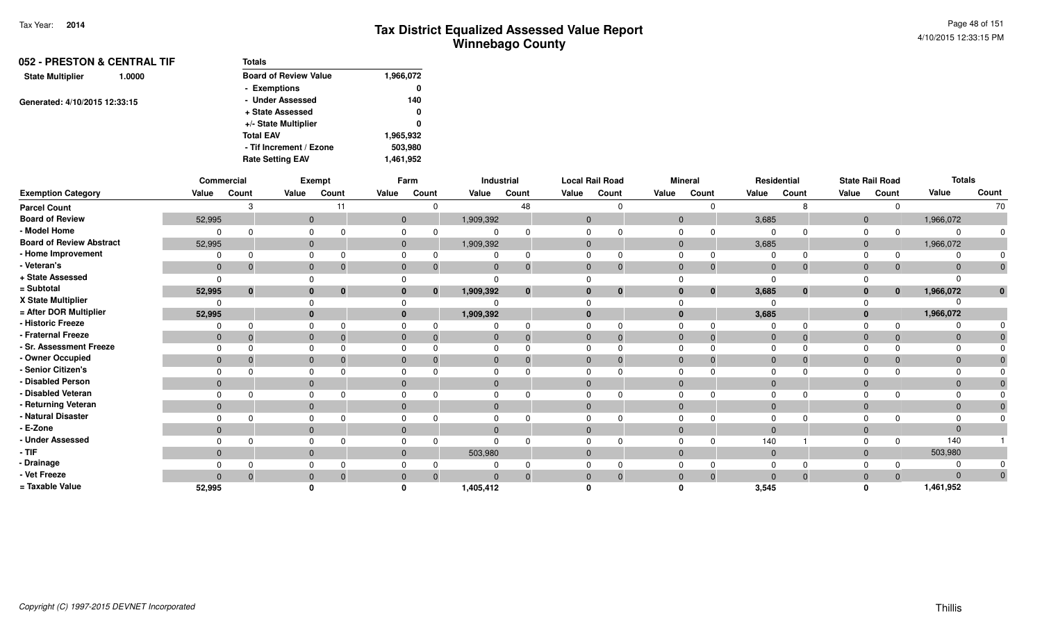| 052 - PRESTON & CENTRAL TIF       | <b>Totals</b>                |           |
|-----------------------------------|------------------------------|-----------|
| <b>State Multiplier</b><br>1.0000 | <b>Board of Review Value</b> | 1,966,072 |
|                                   | - Exemptions                 | 0         |
| Generated: 4/10/2015 12:33:15     | - Under Assessed             | 140       |
|                                   | + State Assessed             | 0         |
|                                   | +/- State Multiplier         | 0         |
|                                   | <b>Total EAV</b>             | 1,965,932 |
|                                   | - Tif Increment / Ezone      | 503,980   |
|                                   | <b>Rate Setting EAV</b>      | 1,461,952 |

|                                 |              | Commercial   |              | Exempt       |       | Farm                     |           | Industrial   |                | <b>Local Rail Road</b> |          | <b>Mineral</b> |                | Residential  |              | <b>State Rail Road</b> | <b>Totals</b> |       |
|---------------------------------|--------------|--------------|--------------|--------------|-------|--------------------------|-----------|--------------|----------------|------------------------|----------|----------------|----------------|--------------|--------------|------------------------|---------------|-------|
| <b>Exemption Category</b>       | Value        | Count        | Value        | Count        | Value | Count                    | Value     | Count        | Value          | Count                  | Value    | Count          | Value          | Count        | Value        | Count                  | Value         | Count |
| <b>Parcel Count</b>             |              |              |              |              |       |                          |           | 48           |                |                        |          |                |                |              |              |                        |               | 70    |
| <b>Board of Review</b>          | 52,995       |              | $\mathbf{0}$ |              |       | $\mathbf{0}$             | 1,909,392 |              | $\overline{0}$ |                        | $\Omega$ |                | 3,685          |              | $\mathbf 0$  |                        | 1,966,072     |       |
| - Model Home                    |              |              |              |              |       |                          |           |              |                |                        |          |                | - 0            |              |              |                        | $\Omega$      |       |
| <b>Board of Review Abstract</b> | 52,995       |              | $\mathbf{0}$ |              |       | $\mathbf{0}$             | 1,909,392 |              | $\mathbf{0}$   |                        | $\Omega$ |                | 3,685          |              | $\mathbf 0$  |                        | 1,966,072     |       |
| - Home Improvement              |              |              |              |              |       |                          |           |              |                |                        |          |                | $\Omega$       |              |              |                        | $\Omega$      |       |
| - Veteran's                     | $\mathbf 0$  | 0            | $\Omega$     |              |       | $\mathbf{0}$<br>$\Omega$ |           | 0            | $\Omega$       | 0                      | $\Omega$ |                | $\overline{0}$ | $\mathbf{0}$ | $\Omega$     |                        | $\Omega$      |       |
| + State Assessed                | $\Omega$     |              |              |              |       |                          |           |              |                |                        |          |                | $\Omega$       |              |              |                        | $\Omega$      |       |
| = Subtotal                      | 52,995       | $\mathbf{0}$ | $\bf{0}$     | $\mathbf{0}$ |       | $\mathbf{0}$             | 1,909,392 | $\mathbf{0}$ | $\bf{0}$       | $\bf{0}$               |          | $\mathbf{0}$   | 3,685          | $\mathbf{0}$ | $\mathbf{0}$ | $\mathbf{0}$           | 1,966,072     |       |
| X State Multiplier              |              |              |              |              |       |                          |           |              |                |                        |          |                |                |              |              |                        |               |       |
| = After DOR Multiplier          | 52,995       |              | $\bf{0}$     |              |       |                          | 1,909,392 |              | $\Omega$       |                        |          |                | 3,685          |              |              |                        | 1,966,072     |       |
| - Historic Freeze               |              |              |              |              |       |                          |           |              | $\Omega$       |                        |          |                | $\Omega$       |              |              |                        | $\Omega$      |       |
| - Fraternal Freeze              | $\mathbf 0$  |              | $\Omega$     |              |       | $\Omega$                 |           |              | $\Omega$       | $\Omega$               | 0        |                | $\overline{0}$ | $\Omega$     | $\Omega$     |                        | $\Omega$      |       |
| - Sr. Assessment Freeze         |              |              |              |              |       |                          |           |              |                |                        |          |                | $\Omega$       |              |              |                        | $\Omega$      |       |
| - Owner Occupied                | $\mathbf{0}$ |              | $\Omega$     |              |       |                          |           |              | $\Omega$       |                        |          |                | $\Omega$       | $\Omega$     |              |                        | $\mathbf{0}$  |       |
| - Senior Citizen's              |              |              |              |              |       |                          |           |              |                |                        |          |                |                |              |              |                        |               |       |
| - Disabled Person               | $\mathbf{0}$ |              | $\Omega$     |              |       | $\Omega$                 |           |              | $\Omega$       |                        | $\Omega$ |                | $\Omega$       |              | $\Omega$     |                        | $\mathbf{0}$  |       |
| - Disabled Veteran              |              |              |              |              |       |                          |           |              |                |                        |          |                | $\Omega$       |              |              |                        | $\mathbf 0$   |       |
| - Returning Veteran             | $\mathbf{0}$ |              | $\Omega$     |              |       | $\mathbf{0}$             | $\Omega$  |              | $\Omega$       |                        | $\Omega$ |                | $\overline{0}$ |              | $\Omega$     |                        | $\mathbf{0}$  |       |
| - Natural Disaster              |              |              |              |              |       |                          |           |              |                |                        |          |                | $\Omega$       |              |              |                        | $\Omega$      |       |
| - E-Zone                        | $\mathbf{0}$ |              | $\Omega$     |              |       | $\Omega$                 |           |              | $\Omega$       |                        | $\Omega$ |                | $\Omega$       |              | $\Omega$     |                        | $\mathbf{0}$  |       |
| - Under Assessed                |              |              |              |              |       | $\Omega$                 |           |              |                |                        |          |                | 140            |              |              |                        | 140           |       |
| - TIF                           | $\mathbf{0}$ |              | $\Omega$     |              |       | $\mathbf{0}$             | 503,980   |              | $\Omega$       |                        | $\Omega$ |                | $\overline{0}$ |              | $\Omega$     |                        | 503,980       |       |
| - Drainage                      |              |              |              |              |       |                          |           |              |                |                        |          |                |                |              |              |                        | $\Omega$      |       |
| - Vet Freeze                    | $\Omega$     |              | $\Omega$     |              |       | $\Omega$                 |           | $\Omega$     | $\Omega$       | $\Omega$               |          | $\Omega$       | $\Omega$       | $\Omega$     |              |                        | $\Omega$      |       |
| = Taxable Value                 | 52.995       |              |              |              |       |                          | 1,405,412 |              |                |                        |          |                | 3,545          |              |              |                        | 1,461,952     |       |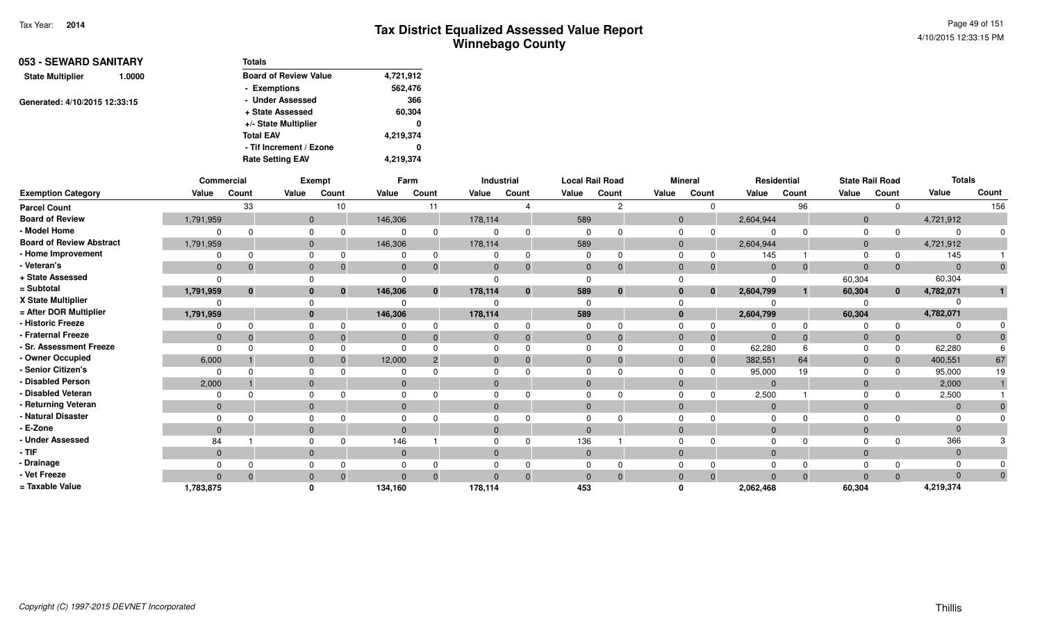Page 49 of 1514/10/2015 12:33:15 PM

| 053 - SEWARD SANITARY         |                         | <b>Totals</b>                |           |
|-------------------------------|-------------------------|------------------------------|-----------|
| <b>State Multiplier</b>       | 1.0000                  | <b>Board of Review Value</b> | 4,721,912 |
|                               |                         | - Exemptions                 | 562,476   |
| Generated: 4/10/2015 12:33:15 |                         | - Under Assessed             | 366       |
|                               |                         | + State Assessed             | 60,304    |
|                               |                         | +/- State Multiplier         | 0         |
|                               |                         | <b>Total EAV</b>             | 4,219,374 |
|                               |                         | - Tif Increment / Ezone      | 0         |
|                               | <b>Rate Setting EAV</b> | 4,219,374                    |           |

|                                 | Commercial     |              |              | Exempt       |              | Farm         |          | Industrial | <b>Local Rail Road</b> |          |                | <b>Mineral</b> |           | Residential |                | <b>State Rail Road</b> | <b>Totals</b> |       |
|---------------------------------|----------------|--------------|--------------|--------------|--------------|--------------|----------|------------|------------------------|----------|----------------|----------------|-----------|-------------|----------------|------------------------|---------------|-------|
| <b>Exemption Category</b>       | Value          | Count        | Value        | Count        | Value        | Count        | Value    | Count      | Value                  | Count    | Value          | Count          | Value     | Count       | Value          | Count                  | Value         | Count |
| <b>Parcel Count</b>             |                | 33           |              | 10           |              | 11           |          |            |                        | c        |                | ∩              |           | 96          |                |                        |               | 156   |
| <b>Board of Review</b>          | 1,791,959      |              | $\mathbf{0}$ |              | 146,306      |              | 178,114  |            | 589                    |          | $\overline{0}$ |                | 2,604,944 |             | $\overline{0}$ |                        | 4,721,912     |       |
| - Model Home                    |                |              | $\Omega$     |              |              |              |          |            |                        |          | $\Omega$       |                |           |             | $\Omega$       | <sup>0</sup>           |               |       |
| <b>Board of Review Abstract</b> | 1,791,959      |              | $\mathbf{0}$ |              | 146,306      |              | 178,114  |            | 589                    |          | $\mathbf{0}$   |                | 2,604,944 |             | $\overline{0}$ |                        | 4,721,912     |       |
| - Home Improvement              |                |              | $\Omega$     |              |              |              |          | $\Omega$   |                        |          | $\Omega$       | 0              | 145       |             | $\Omega$       |                        | 145           |       |
| - Veteran's                     | $\mathbf 0$    | $\Omega$     | $\mathbf{0}$ |              | $\mathbf{0}$ |              | $\Omega$ | $\Omega$   | $\mathbf{0}$           |          | $\Omega$       | $\mathbf 0$    | $\Omega$  |             | $\Omega$       | $\mathbf{0}$           | $\Omega$      |       |
| + State Assessed                |                |              |              |              |              |              |          |            |                        |          |                |                |           |             | 60,304         |                        | 60,304        |       |
| = Subtotal                      | 1,791,959      | $\mathbf{0}$ | $\bf{0}$     | $\mathbf{0}$ | 146,306      | $\mathbf{0}$ | 178,114  | $\bf{0}$   | 589                    | $\bf{0}$ | $\bf{0}$       | $\bf{0}$       | 2,604,799 |             | 60,304         | $\mathbf{0}$           | 4,782,071     |       |
| X State Multiplier              |                |              |              |              |              |              |          |            |                        |          |                |                |           |             |                |                        |               |       |
| = After DOR Multiplier          | 1,791,959      |              | $\mathbf{0}$ |              | 146,306      |              | 178,114  |            | 589                    |          | $\mathbf{0}$   |                | 2,604,799 |             | 60,304         |                        | 4,782,071     |       |
| - Historic Freeze               |                |              |              |              |              |              |          |            |                        |          |                |                |           |             |                | $\Omega$               |               |       |
| - Fraternal Freeze              | $\mathbf{0}$   |              | $\mathbf{0}$ |              | $\mathbf{0}$ |              |          | 0          | $\overline{0}$         |          | $\Omega$       | $\overline{0}$ | $\Omega$  |             | $\Omega$       | $\mathbf{0}$           |               |       |
| - Sr. Assessment Freeze         |                |              | $\Omega$     |              |              |              |          |            |                        |          |                | $\mathbf 0$    | 62,280    |             |                | 0                      | 62,280        |       |
| - Owner Occupied                | 6,000          |              | $\mathbf{0}$ |              | 12,000       |              |          | $\Omega$   | $\Omega$               |          | $\Omega$       | $\overline{0}$ | 382,551   | 64          | $\Omega$       | $\mathbf 0$            | 400,551       | 67    |
| - Senior Citizen's              |                |              |              |              |              |              |          |            |                        |          |                |                | 95,000    | 19          |                | $\Omega$               | 95,000        | 19    |
| - Disabled Person               | 2,000          |              | $\mathbf{0}$ |              | $\Omega$     |              | $\Omega$ |            | $\Omega$               |          | $\Omega$       |                | $\Omega$  |             | $\Omega$       |                        | 2,000         |       |
| Disabled Veteran                |                |              | $\Omega$     |              |              |              |          |            |                        |          | $\Omega$       |                | 2,500     |             | $\Omega$       |                        | 2,500         |       |
| - Returning Veteran             | $\overline{0}$ |              | $\Omega$     |              | $\Omega$     |              | $\Omega$ |            | $\Omega$               |          | $\Omega$       |                | $\Omega$  |             | $\Omega$       |                        |               |       |
| - Natural Disaster              |                |              |              |              |              |              |          |            |                        |          |                |                |           |             |                |                        |               |       |
| - E-Zone                        | $\overline{0}$ |              | $\mathbf{0}$ |              | $\Omega$     |              | $\Omega$ |            |                        |          | $\Omega$       |                | $\Omega$  |             | $\Omega$       |                        |               |       |
| <b>Under Assessed</b>           | 84             |              |              |              | 146          |              |          |            | 136                    |          |                |                |           |             |                |                        | 366           |       |
| $-$ TIF                         | $\overline{0}$ |              | $\mathbf{0}$ |              | $\Omega$     |              | $\Omega$ |            | $\Omega$               |          | $\Omega$       |                | $\Omega$  |             | $\Omega$       |                        |               |       |
| - Drainage                      |                |              |              |              |              |              |          |            |                        |          |                |                |           |             |                |                        |               |       |
| - Vet Freeze                    | $\Omega$       | $\Omega$     | $\mathbf{0}$ | $\Omega$     | $\Omega$     | $\Omega$     | $\Omega$ | $\Omega$   | $\Omega$               | $\Omega$ | $\Omega$       | $\overline{0}$ | $\Omega$  | $\Omega$    | $\Omega$       | $\Omega$               | $\Omega$      |       |
| = Taxable Value                 | 1,783,875      |              |              |              | 134,160      |              | 178,114  |            | 453                    |          |                |                | 2,062,468 |             | 60,304         |                        | 4,219,374     |       |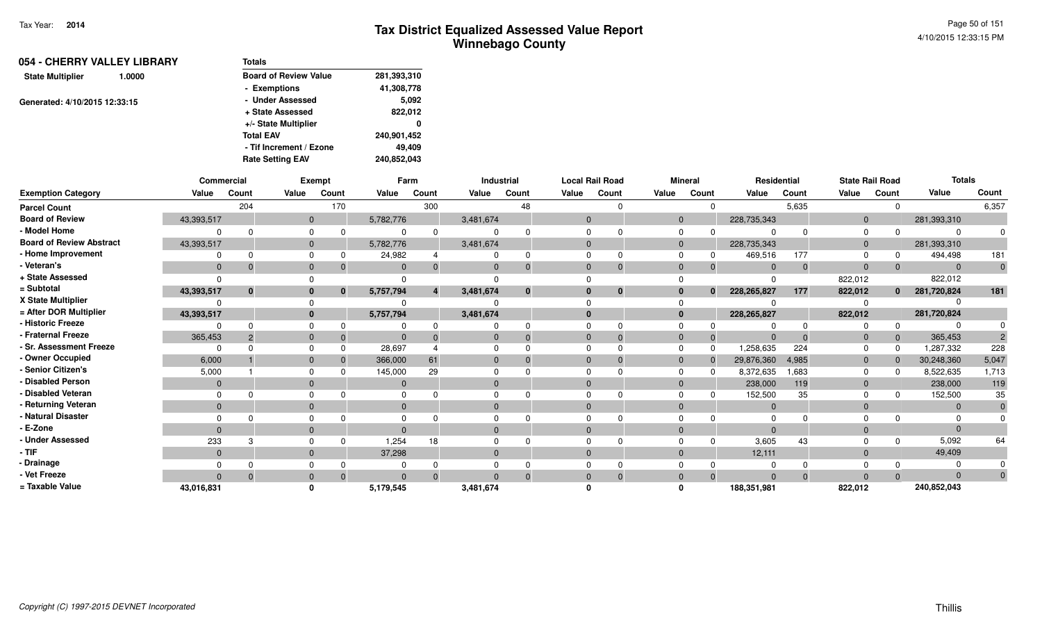| 054 - CHERRY VALLEY LIBRARY<br>1.0000 | <b>Totals</b>                |              |
|---------------------------------------|------------------------------|--------------|
| <b>State Multiplier</b>               | <b>Board of Review Value</b> | 281,393,310  |
|                                       | - Exemptions                 | 41,308,778   |
| Generated: 4/10/2015 12:33:15         | - Under Assessed             | 5.092        |
|                                       | + State Assessed             | 822,012      |
|                                       | +/- State Multiplier         | $\mathbf{0}$ |
|                                       | <b>Total EAV</b>             | 240,901,452  |
|                                       | - Tif Increment / Ezone      | 49.409       |
|                                       | <b>Rate Setting EAV</b>      | 240,852,043  |

|                                 | Commercial   |              |          | Exempt |              | Farm                  |           | Industrial |              | <b>Local Rail Road</b> |          | <b>Mineral</b> | Residential    |              | <b>State Rail Road</b> |             | <b>Totals</b> |       |
|---------------------------------|--------------|--------------|----------|--------|--------------|-----------------------|-----------|------------|--------------|------------------------|----------|----------------|----------------|--------------|------------------------|-------------|---------------|-------|
| <b>Exemption Category</b>       | Value        | Count        | Value    | Count  | Value        | Count                 | Value     | Count      | Value        | Count                  | Value    | Count          | Value          | Count        | Value                  | Count       | Value         | Count |
| <b>Parcel Count</b>             |              | 204          |          | 170    |              | 300                   |           | 48         |              | $\Omega$               |          |                |                | 5,635        |                        |             |               | 6,357 |
| <b>Board of Review</b>          | 43,393,517   |              | $\Omega$ |        | 5,782,776    |                       | 3,481,674 |            | $\Omega$     |                        | $\Omega$ |                | 228,735,343    |              | $\Omega$               |             | 281,393,310   |       |
| - Model Home                    |              |              |          |        |              | $\Omega$              |           |            | <sup>0</sup> |                        |          |                | $\Omega$       |              |                        |             | $\Omega$      |       |
| <b>Board of Review Abstract</b> | 43,393,517   |              | 0        |        | 5,782,776    |                       | 3,481,674 |            | $\Omega$     |                        | $\Omega$ |                | 228,735,343    |              | $\Omega$               |             | 281,393,310   |       |
| - Home Improvement              |              | O            |          |        | 24,982       |                       |           |            |              | 0                      |          |                | 469,516        | 177          |                        |             | 494,498       | 181   |
| - Veteran's                     | $\Omega$     |              |          |        | $\Omega$     |                       |           |            | $\Omega$     | $\mathbf 0$            |          |                | $\Omega$       | $\mathbf{0}$ | $\Omega$               |             | $\mathbf{0}$  |       |
| + State Assessed                |              |              |          |        |              |                       |           |            |              |                        |          |                | $\Omega$       |              | 822,012                |             | 822,012       |       |
| = Subtotal                      | 43,393,517   | $\mathbf{0}$ |          |        | 5,757,794    | $\boldsymbol{\Delta}$ | 3,481,674 | $\bf{0}$   | $\mathbf{0}$ | $\bf{0}$               |          | $\mathbf{0}$   | 228, 265, 827  | 177          | 822,012                | $\mathbf 0$ | 281,720,824   | 181   |
| X State Multiplier              |              |              |          |        |              |                       |           |            |              |                        |          |                |                |              |                        |             |               |       |
| = After DOR Multiplier          | 43,393,517   |              |          |        | 5,757,794    |                       | 3,481,674 |            | $\mathbf{0}$ |                        | $\Omega$ |                | 228, 265, 827  |              | 822,012                |             | 281,720,824   |       |
| - Historic Freeze               |              |              |          |        |              |                       |           |            |              |                        |          |                |                |              |                        |             |               |       |
| - Fraternal Freeze              | 365,453      |              |          |        |              |                       |           |            | $\Omega$     | $\Omega$               | $\Omega$ |                | $\Omega$       |              | $\Omega$               |             | 365,453       |       |
| - Sr. Assessment Freeze         |              |              |          |        | 28,697       |                       |           |            | <sup>n</sup> |                        |          |                | 1,258,635      | 224          |                        |             | 1,287,332     | 228   |
| - Owner Occupied                | 6,000        |              |          |        | 366,000      | 61                    |           |            | $\Omega$     |                        |          |                | 29,876,360     | 4,985        | $\Omega$               |             | 30,248,360    | 5,047 |
| - Senior Citizen's              | 5,000        |              |          |        | 145,000      | 29                    |           |            |              |                        |          |                | 8,372,635      | 1,683        |                        |             | 8,522,635     | 1,713 |
| - Disabled Person               | $\Omega$     |              |          |        | $\mathbf 0$  |                       |           |            | $\Omega$     |                        |          |                | 238,000        | 119          | $\overline{0}$         |             | 238,000       | 119   |
| - Disabled Veteran              |              |              |          |        |              |                       |           |            | $\Omega$     |                        |          |                | 152,500        | 35           |                        |             | 152,500       | 35    |
| - Returning Veteran             | $\mathbf{0}$ |              | $\Omega$ |        | $\mathbf{0}$ |                       | $\Omega$  |            | $\Omega$     |                        |          |                | $\overline{0}$ |              | $\Omega$               |             | $\mathbf{0}$  |       |
| - Natural Disaster              |              |              |          |        |              |                       |           |            |              |                        |          |                | $\Omega$       |              |                        |             |               |       |
| - E-Zone                        | $\Omega$     |              |          |        | $\Omega$     |                       |           |            | $\Omega$     |                        |          |                | $\Omega$       |              |                        |             | $\Omega$      |       |
| <b>Under Assessed</b>           | 233          |              |          |        | 1,254        | 18                    |           |            |              |                        |          |                | 3,605          | 43           |                        |             | 5,092         | 64    |
| - TIF-                          | $\Omega$     |              | $\Omega$ |        | 37,298       |                       | $\Omega$  |            | $\Omega$     |                        | $\Omega$ |                | 12,111         |              | $\Omega$               |             | 49,409        |       |
| - Drainage                      |              |              |          |        |              |                       |           |            |              |                        |          |                |                |              |                        |             |               |       |
| - Vet Freeze                    | $\Omega$     |              |          |        | $\Omega$     | $\Omega$              |           |            | $\Omega$     | $\Omega$               |          |                | $\Omega$       | $\Omega$     |                        |             | $\Omega$      |       |
| = Taxable Value                 | 43,016,831   |              |          |        | 5,179,545    |                       | 3,481,674 |            |              |                        |          |                | 188,351,981    |              | 822,012                |             | 240,852,043   |       |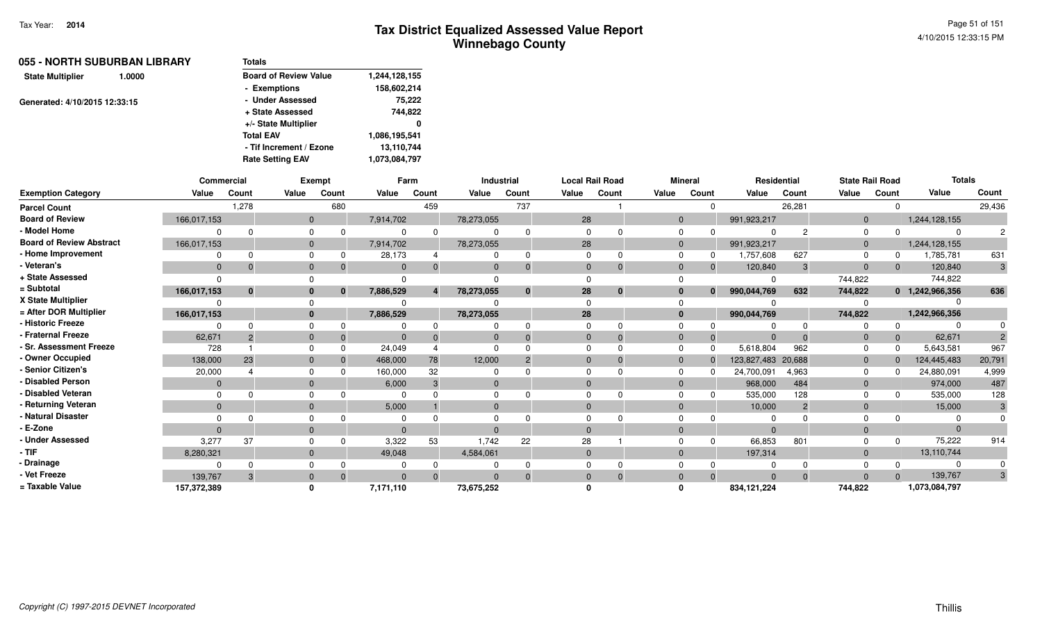|                               | 055 - NORTH SUBURBAN LIBRARY | <b>Totals</b>                |               |
|-------------------------------|------------------------------|------------------------------|---------------|
| <b>State Multiplier</b>       | 1.0000                       | <b>Board of Review Value</b> | 1,244,128,155 |
|                               |                              | - Exemptions                 | 158,602,214   |
| Generated: 4/10/2015 12:33:15 |                              | - Under Assessed             | 75,222        |
|                               |                              | + State Assessed             | 744,822       |
|                               |                              | +/- State Multiplier         | 0             |
|                               |                              | <b>Total EAV</b>             | 1,086,195,541 |
|                               |                              | - Tif Increment / Ezone      | 13,110,744    |
|                               |                              | <b>Rate Setting EAV</b>      | 1,073,084,797 |
|                               |                              |                              |               |

|                                 |              | Commercial   |                | <b>Exempt</b> |           | Farm  |              | Industrial |              | <b>Local Rail Road</b> |       | <b>Mineral</b> |              | <b>Residential</b> |                | <b>State Rail Road</b> |          | <b>Totals</b>   |        |
|---------------------------------|--------------|--------------|----------------|---------------|-----------|-------|--------------|------------|--------------|------------------------|-------|----------------|--------------|--------------------|----------------|------------------------|----------|-----------------|--------|
| <b>Exemption Category</b>       | Value        | Count        | Value          | Count         | Value     | Count | Value        | Count      | Value        | Count                  | Value | Count          |              | Value              | Count          | Value                  | Count    | Value           | Count  |
| <b>Parcel Count</b>             |              | 1,278        |                | 680           |           | 459   |              | 737        |              |                        |       |                | $\Omega$     |                    | 26,281         |                        | $\Omega$ |                 | 29,436 |
| <b>Board of Review</b>          | 166,017,153  |              | $\overline{0}$ |               | 7,914,702 |       | 78,273,055   |            | 28           |                        |       | $\mathbf{0}$   |              | 991,923,217        |                | $\mathbf{0}$           |          | 1,244,128,155   |        |
| - Model Home                    | $\Omega$     |              | 0              |               | 0         |       |              |            |              |                        |       | $\mathbf 0$    |              | 0                  | 2              | $\mathbf 0$            | $\Omega$ |                 |        |
| <b>Board of Review Abstract</b> | 166,017,153  |              | $\mathbf{0}$   |               | 7,914,702 |       | 78,273,055   |            | 28           |                        |       | $\overline{0}$ |              | 991,923,217        |                | $\mathbf{0}$           |          | 1,244,128,155   |        |
| - Home Improvement              |              |              | $\Omega$       |               | 28,173    |       |              |            | $\Omega$     |                        |       | $\Omega$       | 0            | 1,757,608          | 627            | $\Omega$               | $\Omega$ | 1,785,781       | 631    |
| - Veteran's                     | $\Omega$     | -0           | $\mathbf{0}$   |               | $\Omega$  |       | $\mathbf{0}$ |            | $\mathbf{0}$ |                        |       | $\mathbf{0}$   | $\Omega$     | 120,840            | 3              | $\mathbf{0}$           | $\Omega$ | 120,840         | 3      |
| + State Assessed                | $\Omega$     |              | $\Omega$       |               | 0         |       |              |            |              |                        |       |                |              | $\Omega$           |                | 744,822                |          | 744,822         |        |
| = Subtotal                      | 166,017,153  | $\mathbf{0}$ | $\mathbf{0}$   |               | 7,886,529 |       | 78,273,055   |            | 28           | $\bf{0}$               |       | $\mathbf{0}$   | $\mathbf{0}$ | 990,044,769        | 632            | 744,822                |          | 0 1,242,966,356 | 636    |
| X State Multiplier              | $\Omega$     |              | $\Omega$       |               | 0         |       |              |            |              |                        |       | $\Omega$       |              |                    |                |                        |          |                 |        |
| = After DOR Multiplier          | 166,017,153  |              | $\mathbf{0}$   |               | 7,886,529 |       | 78,273,055   |            | 28           |                        |       | $\bf{0}$       |              | 990,044,769        |                | 744,822                |          | 1,242,966,356   |        |
| - Historic Freeze               | $\Omega$     |              | 0              |               |           |       |              |            |              |                        |       | $\mathbf 0$    |              | O                  | $\Omega$       |                        | $\Omega$ |                 |        |
| - Fraternal Freeze              | 62,671       | -2           | $\mathbf{0}$   | $\Omega$      | $\Omega$  |       | $\mathbf{0}$ |            | $\Omega$     |                        |       | $\mathbf{0}$   | $\Omega$     | $\Omega$           | $\Omega$       | $\mathbf 0$            | $\Omega$ | 62,671          |        |
| - Sr. Assessment Freeze         | 728          |              | $\mathbf 0$    |               | 24,049    |       | $\Omega$     |            |              |                        |       | $\mathbf 0$    | $\Omega$     | 5,618,804          | 962            | $\Omega$               | $\Omega$ | 5,643,581       | 967    |
| - Owner Occupied                | 138,000      | 23           | $\mathbf{0}$   |               | 468,000   | 78    | 12,000       |            |              |                        |       | $\mathbf{0}$   |              | 123,827,483 20,688 |                | $\mathbf{0}$           | $\Omega$ | 124,445,483     | 20,791 |
| - Senior Citizen's              | 20,000       |              | 0              |               | 160,000   | 32    | 0            |            |              |                        |       | $\Omega$       |              | 24,700,091         | 4,963          | $\Omega$               | $\Omega$ | 24,880,091      | 4,999  |
| - Disabled Person               | $\mathbf{0}$ |              | $\mathbf{0}$   |               | 6,000     | 3     | $\mathbf 0$  |            |              |                        |       | $\mathbf{0}$   |              | 968,000            | 484            | $\mathbf 0$            |          | 974,000         | 487    |
| - Disabled Veteran              | $\Omega$     |              | $\Omega$       |               | $\Omega$  |       | 0            |            |              |                        |       | $\Omega$       |              | 535,000            | 128            | $\Omega$               |          | 535,000         | 128    |
| - Returning Veteran             | $\Omega$     |              | $\mathbf{0}$   |               | 5,000     |       | $\mathbf{0}$ |            | $\Omega$     |                        |       | $\mathbf{0}$   |              | 10,000             | $\overline{2}$ | $\mathbf 0$            |          | 15,000          | 3      |
| - Natural Disaster              |              |              | $\Omega$       |               | 0         |       |              |            |              |                        |       |                |              |                    |                |                        |          |                 |        |
| - E-Zone                        | $\Omega$     |              | $\mathbf{0}$   |               | $\Omega$  |       | $\Omega$     |            | $\Omega$     |                        |       | $\Omega$       |              | $\Omega$           |                | $\Omega$               |          | $\Omega$        |        |
| - Under Assessed                | 3,277        | 37           | $\Omega$       |               | 3,322     | 53    | 1,742        | 22         | 28           |                        |       | 0              |              | 66,853             | 801            | 0                      | $\Omega$ | 75,222          | 914    |
| - TIF                           | 8,280,321    |              | $\mathbf{0}$   |               | 49,048    |       | 4,584,061    |            | $\mathbf{0}$ |                        |       | $\mathbf{0}$   |              | 197,314            |                | $\mathbf{0}$           |          | 13,110,744      |        |
| - Drainage                      | $\Omega$     |              | 0              |               | 0         |       |              |            |              |                        |       | 0              |              | 0                  | $\Omega$       | 0                      | $\Omega$ |                 |        |
| - Vet Freeze                    | 139.767      | 3            | $\mathbf{0}$   |               | $\Omega$  |       | $\Omega$     |            | $\Omega$     |                        |       | $\mathbf{0}$   | $\Omega$     | $\Omega$           | $\Omega$       | $\mathbf{0}$           | $\Omega$ | 139,767         | 3      |
| = Taxable Value                 | 157,372,389  |              | 0              |               | 7,171,110 |       | 73,675,252   |            |              |                        |       | $\Omega$       |              | 834,121,224        |                | 744,822                |          | 1,073,084,797   |        |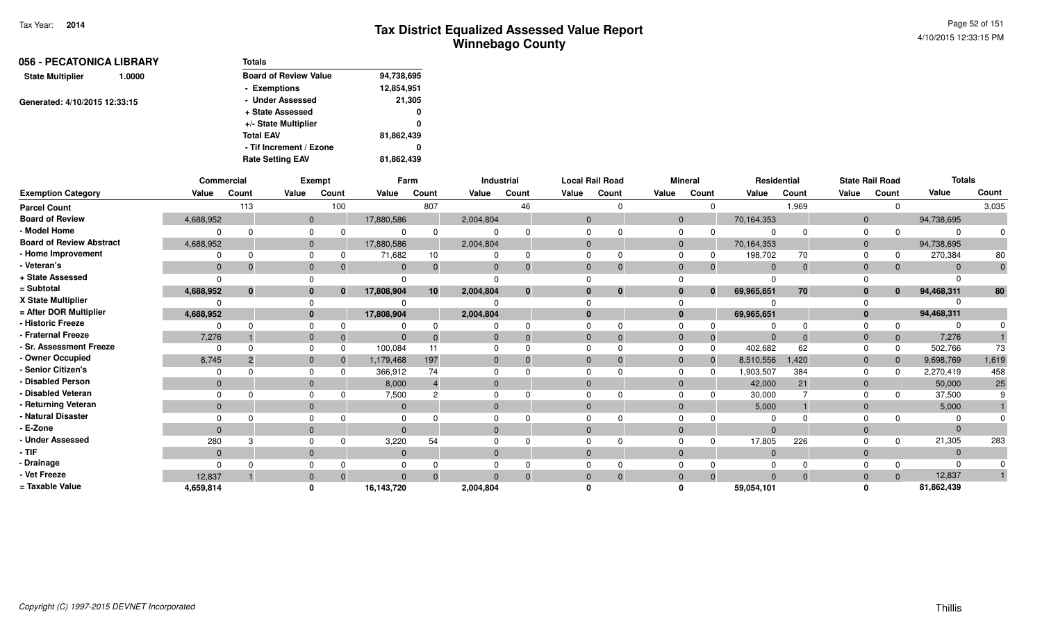| Totals                       |            |
|------------------------------|------------|
| <b>Board of Review Value</b> | 94,738,695 |
| - Exemptions                 | 12,854,951 |
| - Under Assessed             | 21,305     |
| + State Assessed             | 0          |
| +/- State Multiplier         | 0          |
| <b>Total EAV</b>             | 81,862,439 |
| - Tif Increment / Ezone      | 0          |
| <b>Rate Setting EAV</b>      | 81,862,439 |
|                              |            |

|                                 | Commercial     |                |              | Exempt   |              | Farm  |           | Industrial |          | <b>Local Rail Road</b> |              | <b>Mineral</b> | Residential |       |                | <b>State Rail Road</b> | <b>Totals</b> |              |
|---------------------------------|----------------|----------------|--------------|----------|--------------|-------|-----------|------------|----------|------------------------|--------------|----------------|-------------|-------|----------------|------------------------|---------------|--------------|
| <b>Exemption Category</b>       | Value          | Count          | Value        | Count    | Value        | Count | Value     | Count      | Value    | Count                  | Value        | Count          | Value       | Count | Value          | Count                  | Value         | Count        |
| <b>Parcel Count</b>             |                | 113            |              | 100      |              | 807   |           | 46         |          |                        |              | $\Omega$       |             | 1,969 |                | $\Omega$               |               | 3,035        |
| <b>Board of Review</b>          | 4,688,952      |                | $\mathbf{0}$ |          | 17,880,586   |       | 2,004,804 |            | $\Omega$ |                        | $\mathbf{0}$ |                | 70,164,353  |       | $\overline{0}$ |                        | 94,738,695    |              |
| - Model Home                    |                | $\Omega$       | $\Omega$     |          |              |       |           |            |          |                        |              |                |             |       | $\Omega$       |                        |               |              |
| <b>Board of Review Abstract</b> | 4,688,952      |                | $\mathbf{0}$ |          | 17,880,586   |       | 2,004,804 |            |          |                        | $\Omega$     |                | 70,164,353  |       | $\overline{0}$ |                        | 94,738,695    |              |
| - Home Improvement              | 0              | <sup>0</sup>   | $\Omega$     |          | 71,682       | 10    |           | $\Omega$   |          |                        |              |                | 198,702     | 70    | $\Omega$       |                        | 270,384       | 80           |
| - Veteran's                     | $\mathbf{0}$   | $\Omega$       | $\mathbf{0}$ |          | $\Omega$     |       |           | $\Omega$   |          |                        | $\Omega$     | 0              | $\Omega$    |       | $\Omega$       | $\mathbf{0}$           |               | $\mathbf{0}$ |
| + State Assessed                |                |                |              |          |              |       |           |            |          |                        |              |                |             |       |                |                        |               |              |
| = Subtotal                      | 4,688,952      | $\mathbf{0}$   | $\bf{0}$     | $\bf{0}$ | 17,808,904   | 10    | 2,004,804 | $\bf{0}$   |          | $\bf{0}$               | $\bf{0}$     | $\mathbf{0}$   | 69,965,651  | 70    | $\mathbf{0}$   | $\mathbf{0}$           | 94,468,311    | 80           |
| X State Multiplier              |                |                |              |          |              |       |           |            |          |                        |              |                |             |       |                |                        |               |              |
| = After DOR Multiplier          | 4,688,952      |                | $\mathbf{0}$ |          | 17,808,904   |       | 2,004,804 |            |          |                        | $\mathbf{0}$ |                | 69,965,651  |       | $\mathbf{0}$   |                        | 94,468,311    |              |
| - Historic Freeze               | ŋ              |                |              |          |              |       |           |            |          |                        |              |                |             |       |                | $\Omega$               |               |              |
| - Fraternal Freeze              | 7,276          |                | $\mathbf{0}$ |          | $\Omega$     |       |           | $\Omega$   |          |                        |              | $\overline{0}$ | $\Omega$    |       | $\Omega$       | $\mathbf 0$            | 7,276         |              |
| - Sr. Assessment Freeze         | $\Omega$       |                | $\Omega$     |          | 100,084      |       |           |            |          |                        | $\Omega$     | $\mathbf 0$    | 402,682     | 62    | $\Omega$       | 0                      | 502,766       | 73           |
| - Owner Occupied                | 8,745          | $\overline{2}$ | $\mathbf{0}$ |          | 1,179,468    | 197   |           |            |          |                        | $\Omega$     | $\mathbf 0$    | 8,510,556   | 1,420 | $\Omega$       | $\mathbf{0}$           | 9,698,769     | 1,619        |
| - Senior Citizen's              | $\Omega$       |                |              |          | 366,912      | 74    |           |            |          |                        |              | $\Omega$       | 1,903,507   | 384   | $\Omega$       | $\Omega$               | 2,270,419     | 458          |
| - Disabled Person               | $\Omega$       |                | $\mathbf{0}$ |          | 8,000        |       |           |            |          |                        | $\Omega$     |                | 42,000      | 21    | $\Omega$       |                        | 50,000        | 25           |
| - Disabled Veteran              | $\Omega$       |                | $\Omega$     |          | 7,500        |       |           |            |          |                        |              |                | 30,000      |       | $\Omega$       | 0                      | 37,500        |              |
| - Returning Veteran             | $\mathbf{0}$   |                | $\mathbf{0}$ |          | $\mathbf{0}$ |       | $\Omega$  |            | $\Omega$ |                        | $\Omega$     |                | 5,000       |       | $\Omega$       |                        | 5,000         |              |
| - Natural Disaster              |                |                |              |          |              |       |           |            |          |                        |              |                |             |       |                |                        |               |              |
| - E-Zone                        | $\Omega$       |                | $\Omega$     |          | $\Omega$     |       |           |            |          |                        | $\Omega$     |                |             |       | $\Omega$       |                        |               |              |
| - Under Assessed                | 280            | 3              | $\Omega$     |          | 3,220        | 54    |           |            |          |                        |              | $\Omega$       | 17,805      | 226   |                | $\Omega$               | 21,305        | 283          |
| - TIF                           | $\overline{0}$ |                | $\mathbf{0}$ |          | $\mathbf{0}$ |       | $\Omega$  |            | $\Omega$ |                        | $\Omega$     |                | $\Omega$    |       | $\Omega$       |                        |               |              |
| Drainage                        | $\Omega$       |                |              |          |              |       |           |            |          |                        |              |                |             |       |                |                        |               |              |
| - Vet Freeze                    | 12,837         |                | $\Omega$     |          | $\Omega$     |       |           |            |          |                        | $\Omega$     | $\Omega$       |             |       | $\Omega$       | $\Omega$               | 12,837        |              |
| = Taxable Value                 | 4,659,814      |                | <sup>0</sup> |          | 16,143,720   |       | 2,004,804 |            |          |                        |              |                | 59.054,101  |       |                |                        | 81,862,439    |              |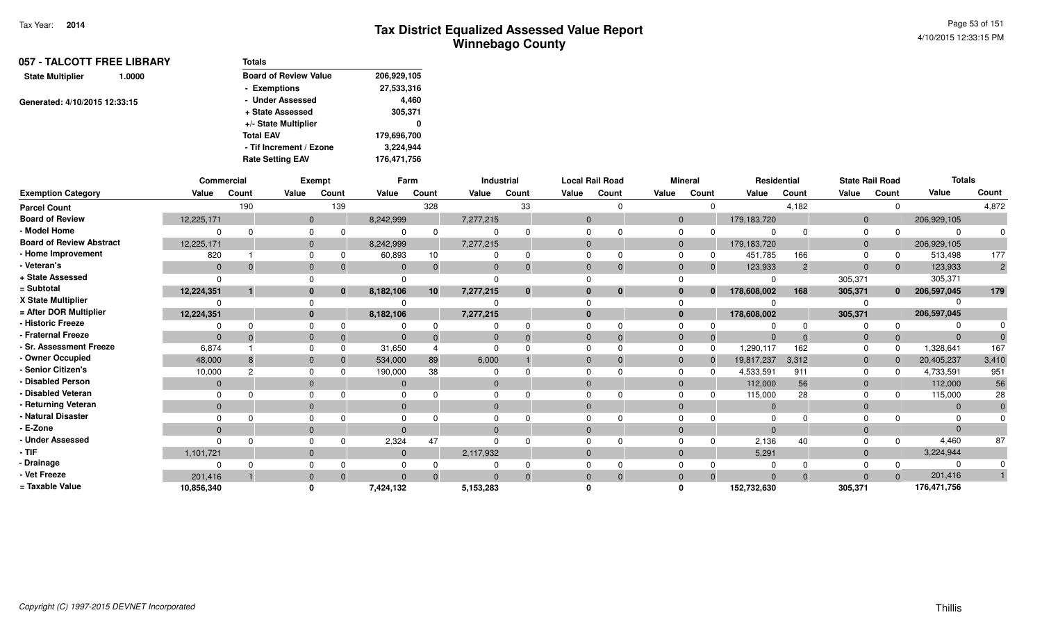| 057 - TALCOTT FREE LIBRARY<br>1.0000 | Totals                       |             |
|--------------------------------------|------------------------------|-------------|
| <b>State Multiplier</b>              | <b>Board of Review Value</b> | 206,929,105 |
|                                      | - Exemptions                 | 27,533,316  |
| Generated: 4/10/2015 12:33:15        | - Under Assessed             | 4.460       |
|                                      | + State Assessed             | 305,371     |
|                                      | +/- State Multiplier         | 0           |
|                                      | <b>Total EAV</b>             | 179,696,700 |
|                                      | - Tif Increment / Ezone      | 3.224.944   |
|                                      | <b>Rate Setting EAV</b>      | 176.471.756 |

|                                 | Commercial   |       |              | Exempt       |              | Farm     |           | Industrial |              | <b>Local Rail Road</b> |          | <b>Mineral</b> | Residential    |                | <b>State Rail Road</b> |              | <b>Totals</b> |                |
|---------------------------------|--------------|-------|--------------|--------------|--------------|----------|-----------|------------|--------------|------------------------|----------|----------------|----------------|----------------|------------------------|--------------|---------------|----------------|
| <b>Exemption Category</b>       | Value        | Count | Value        | Count        | Value        | Count    | Value     | Count      | Value        | Count                  | Value    | Count          | Value          | Count          | Value                  | Count        | Value         | Count          |
| <b>Parcel Count</b>             |              | 190   |              | 139          |              | 328      |           | 33         |              | $\Omega$               |          |                |                | 4,182          |                        |              |               | 4,872          |
| <b>Board of Review</b>          | 12,225,171   |       | $\Omega$     |              | 8,242,999    |          | 7,277,215 |            | $\Omega$     |                        | $\Omega$ |                | 179,183,720    |                | $\Omega$               |              | 206,929,105   |                |
| - Model Home                    |              |       |              |              |              | $\Omega$ |           |            |              |                        |          |                | റ              |                |                        |              | $\Omega$      |                |
| <b>Board of Review Abstract</b> | 12,225,171   |       | $\Omega$     |              | 8,242,999    |          | 7,277,215 |            | $\Omega$     |                        | 0        |                | 179,183,720    |                | $\Omega$               |              | 206,929,105   |                |
| - Home Improvement              | 820          |       |              |              | 60,893       | 10       |           | 0          | $\Omega$     | 0                      |          |                | 451,785        | 166            |                        |              | 513,498       | 177            |
| - Veteran's                     | $\mathbf{0}$ |       | $\Omega$     |              | $\Omega$     |          |           |            | $\Omega$     | $\Omega$               |          |                | 123,933        | $\overline{2}$ | $\Omega$               |              | 123,933       | $\overline{2}$ |
| + State Assessed                |              |       |              |              |              |          |           |            |              |                        |          |                |                |                | 305,371                |              | 305,371       |                |
| = Subtotal                      | 12,224,351   |       | 0            | $\mathbf{0}$ | 8,182,106    | 10       | 7,277,215 | $\bf{0}$   | $\mathbf{0}$ | $\bf{0}$               |          | $\mathbf{0}$   | 178,608,002    | 168            | 305,371                | $\mathbf{0}$ | 206,597,045   | 179            |
| X State Multiplier              |              |       |              |              |              |          |           |            |              |                        |          |                |                |                |                        |              |               |                |
| = After DOR Multiplier          | 12,224,351   |       | $\bf{0}$     |              | 8,182,106    |          | 7,277,215 |            | $\mathbf{0}$ |                        | $\bf{0}$ |                | 178,608,002    |                | 305,371                |              | 206,597,045   |                |
| - Historic Freeze               |              |       |              |              |              |          |           |            |              |                        |          |                |                |                |                        |              |               |                |
| - Fraternal Freeze              | $\Omega$     |       | $\mathbf{0}$ |              |              |          |           |            | $\Omega$     | $\Omega$               | $\Omega$ |                | $\Omega$       |                |                        |              | $\Omega$      |                |
| - Sr. Assessment Freeze         | 6,874        |       |              |              | 31,650       |          |           |            |              |                        |          |                | 1,290,117      | 162            |                        |              | 1,328,641     | 167            |
| - Owner Occupied                | 48,000       |       | $\Omega$     |              | 534,000      | 89       | 6,000     |            | $\Omega$     |                        |          |                | 19,817,237     | 3,312          | $\Omega$               |              | 20,405,237    | 3,410          |
| - Senior Citizen's              | 10,000       | 2     |              |              | 190,000      | 38       |           |            |              |                        |          |                | 4,533,591      | 911            |                        |              | 4,733,591     | 951            |
| - Disabled Person               | $\Omega$     |       | $\Omega$     |              |              |          |           |            | $\Omega$     |                        |          |                | 112,000        | 56             | $\Omega$               |              | 112,000       | 56             |
| - Disabled Veteran              |              |       |              |              |              |          |           |            | $\Omega$     | ∩                      |          |                | 115,000        | 28             |                        |              | 115,000       | 28             |
| - Returning Veteran             | $\mathbf{0}$ |       | $\Omega$     |              | $\mathbf{0}$ |          | $\Omega$  |            | $\Omega$     |                        | $\Omega$ |                | $\overline{0}$ |                | $\Omega$               |              | $\Omega$      |                |
| - Natural Disaster              |              |       |              |              |              |          |           |            |              |                        |          |                | $\Omega$       |                |                        |              |               |                |
| - E-Zone                        | $\Omega$     |       | $\Omega$     |              |              |          |           |            | $\Omega$     |                        |          |                | $\Omega$       |                |                        |              | $\Omega$      |                |
| - Under Assessed                |              |       |              |              | 2,324        | 47       |           |            |              |                        |          |                | 2,136          | 40             |                        |              | 4,460         | 87             |
| · TIF                           | 1,101,721    |       | $\Omega$     |              | $\Omega$     |          | 2,117,932 |            | $\Omega$     |                        | $\Omega$ |                | 5,291          |                | $\Omega$               |              | 3,224,944     |                |
| - Drainage                      |              |       |              |              |              |          |           |            |              |                        |          |                |                |                |                        |              |               |                |
| - Vet Freeze                    | 201,416      |       |              |              |              | $\Omega$ |           |            | $\Omega$     |                        |          |                | $\Omega$       | $\Omega$       |                        |              | 201,416       |                |
| = Taxable Value                 | 10,856,340   |       |              |              | 7,424,132    |          | 5,153,283 |            |              |                        |          |                | 152,732,630    |                | 305,371                |              | 176,471,756   |                |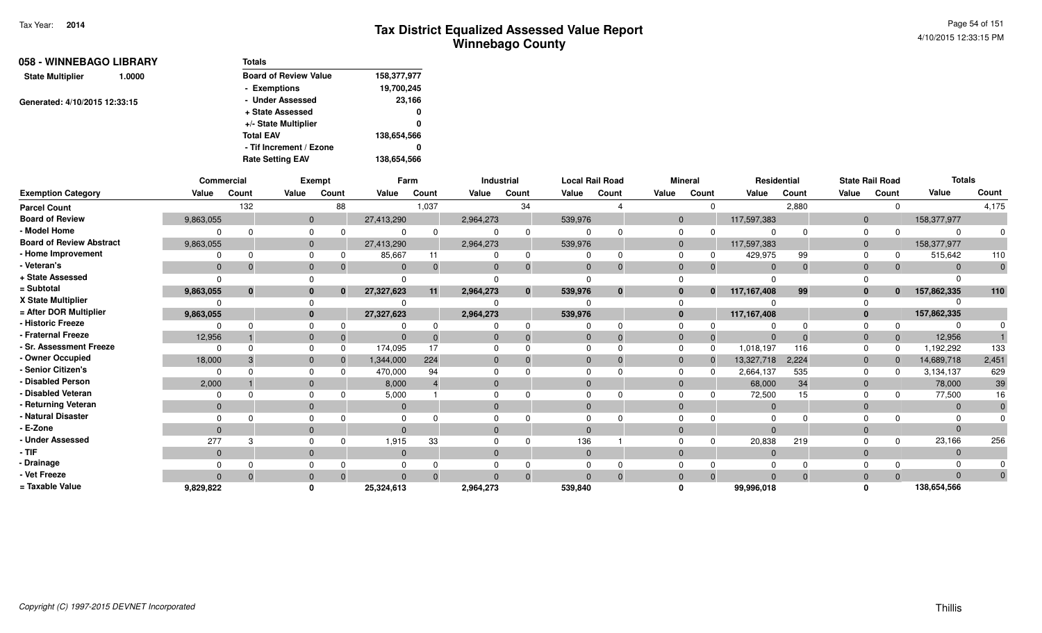| 058 - WINNEBAGO LIBRARY       | <b>Totals</b>                |             |
|-------------------------------|------------------------------|-------------|
| 1.0000                        | <b>Board of Review Value</b> | 158,377,977 |
|                               | - Exemptions                 | 19,700,245  |
| Generated: 4/10/2015 12:33:15 | - Under Assessed             | 23,166      |
|                               | + State Assessed             | 0           |
|                               | +/- State Multiplier         | 0           |
|                               | <b>Total EAV</b>             | 138,654,566 |
|                               | - Tif Increment / Ezone      | 0           |
|                               | <b>Rate Setting EAV</b>      | 138,654,566 |
|                               |                              |             |

|                                 |                | Commercial   |                | Exempt   |              | Farm     |              | Industrial |              | <b>Local Rail Road</b> |             | <b>Mineral</b>           |                | Residential |              | <b>State Rail Road</b> | <b>Totals</b> |             |
|---------------------------------|----------------|--------------|----------------|----------|--------------|----------|--------------|------------|--------------|------------------------|-------------|--------------------------|----------------|-------------|--------------|------------------------|---------------|-------------|
| <b>Exemption Category</b>       | Value          | Count        | Value          | Count    | Value        | Count    | Value        | Count      | Value        | Count                  | Value       | Count                    | Value          | Count       | Value        | Count                  | Value         | Count       |
| <b>Parcel Count</b>             |                | 132          |                | 88       |              | 1,037    |              | 34         |              |                        |             | $\Omega$                 |                | 2,880       |              | 0                      |               | 4,175       |
| <b>Board of Review</b>          | 9,863,055      |              | $\overline{0}$ |          | 27,413,290   |          | 2,964,273    |            | 539,976      |                        |             | $\mathbf{0}$             | 117,597,383    |             | $\mathbf{0}$ |                        | 158,377,977   |             |
| - Model Home                    | $\Omega$       |              | 0              |          |              |          |              |            |              |                        | $\mathbf 0$ |                          | $\Omega$       | $\Omega$    | $\mathbf 0$  | $\Omega$               |               |             |
| <b>Board of Review Abstract</b> | 9,863,055      |              | $\mathbf{0}$   |          | 27,413,290   |          | 2,964,273    |            | 539,976      |                        |             | $\overline{0}$           | 117,597,383    |             | $\mathbf{0}$ |                        | 158,377,977   |             |
| - Home Improvement              | $\Omega$       |              | $\Omega$       |          | 85,667       | 11       |              |            |              |                        | $\Omega$    |                          | 429,975        | 99          | $\Omega$     | $\Omega$               | 515,642       | 110         |
| - Veteran's                     | $\Omega$       | -0           | $\mathbf{0}$   |          | $\Omega$     |          | $\mathbf{0}$ |            | $\mathbf{0}$ |                        |             | $\mathbf 0$              | $\mathbf{0}$   | $\Omega$    | $\mathbf 0$  |                        | $\Omega$      | $\mathbf 0$ |
| + State Assessed                | $\Omega$       |              | $\Omega$       |          | 0            |          |              |            |              |                        |             |                          | ∩              |             |              |                        |               |             |
| = Subtotal                      | 9,863,055      | $\mathbf{0}$ | $\bf{0}$       |          | 27,327,623   | 11       | 2,964,273    |            | 539,976      | $\bf{0}$               |             | $\mathbf{0}$<br>$\bf{0}$ | 117, 167, 408  | 99          | $\mathbf{0}$ | $\mathbf{0}$           | 157,862,335   | 110         |
| X State Multiplier              |                |              | $\Omega$       |          |              |          |              |            |              |                        |             |                          |                |             |              |                        |               |             |
| = After DOR Multiplier          | 9,863,055      |              | $\mathbf{0}$   |          | 27,327,623   |          | 2,964,273    |            | 539,976      |                        |             | $\bf{0}$                 | 117,167,408    |             | $\mathbf{0}$ |                        | 157,862,335   |             |
| - Historic Freeze               | $\Omega$       |              | 0              |          |              |          |              |            |              |                        | $\mathbf 0$ |                          | O              |             | $\Omega$     |                        |               |             |
| - Fraternal Freeze              | 12,956         |              | $\mathbf{0}$   | $\Omega$ | $\Omega$     |          | $\mathbf{0}$ |            | $\mathbf{0}$ |                        |             | $\mathbf{0}$<br>$\Omega$ | $\Omega$       | $\Omega$    | $\mathbf 0$  | $\mathbf{0}$           | 12,956        |             |
| - Sr. Assessment Freeze         | $\Omega$       | $\Omega$     | $\mathbf 0$    |          | 174,095      | 17       | 0            |            |              |                        |             | $\mathbf 0$<br>$\Omega$  | 1,018,197      | 116         | $\Omega$     | $\Omega$               | 1,192,292     | 133         |
| - Owner Occupied                | 18,000         |              | $\mathbf{0}$   |          | 1,344,000    | 224      | $\mathbf{0}$ |            |              |                        |             | $\mathbf{0}$<br>$\Omega$ | 13,327,718     | 2,224       | $\mathbf{0}$ | $\mathbf{0}$           | 14,689,718    | 2,451       |
| - Senior Citizen's              | $\Omega$       |              | 0              |          | 470,000      | 94       | 0            |            |              |                        |             | $\Omega$                 | 2,664,137      | 535         | $\Omega$     | $\Omega$               | 3,134,137     | 629         |
| - Disabled Person               | 2,000          |              | $\mathbf{0}$   |          | 8,000        |          | $\mathbf 0$  |            |              |                        |             | $\mathbf{0}$             | 68,000         | 34          | $\mathbf{0}$ |                        | 78,000        | 39          |
| - Disabled Veteran              | $\Omega$       |              | $\Omega$       |          | 5,000        |          | 0            |            |              |                        | $\Omega$    |                          | 72,500         | 15          | $\Omega$     |                        | 77,500        | 16          |
| - Returning Veteran             | $\overline{0}$ |              | $\mathbf{0}$   |          | $\mathbf{0}$ |          | $\mathbf{0}$ |            | $\Omega$     |                        |             | $\mathbf{0}$             | $\overline{0}$ |             | $\mathbf{0}$ |                        | $\Omega$      | $\mathbf 0$ |
| - Natural Disaster              | $\Omega$       |              | $\Omega$       |          | 0            |          |              |            |              |                        |             |                          | $\Omega$       |             |              |                        |               |             |
| - E-Zone                        | $\Omega$       |              | $\mathbf{0}$   |          | $\Omega$     |          | $\Omega$     |            | $\Omega$     |                        | $\Omega$    |                          | $\Omega$       |             | $\Omega$     |                        | $\Omega$      |             |
| - Under Assessed                | 277            |              | $\Omega$       |          | 1,915        | 33       | 0            |            | 136          |                        |             |                          | 20,838         | 219         | 0            | <sup>0</sup>           | 23,166        | 256         |
| $-$ TIF                         | $\mathbf{0}$   |              | $\mathbf{0}$   |          | $\mathbf{0}$ |          | $\mathbf{0}$ |            | $\mathbf{0}$ |                        |             | $\mathbf{0}$             | $\overline{0}$ |             | $\mathbf{0}$ |                        | $\Omega$      |             |
| - Drainage                      | $\Omega$       |              | 0              |          | 0            |          | 0            |            |              |                        |             | 0                        | $\Omega$       | $\Omega$    | 0            |                        |               |             |
| - Vet Freeze                    | $\Omega$       | $\Omega$     | $\mathbf{0}$   |          | $\Omega$     | $\Omega$ | $\Omega$     |            | $\Omega$     |                        |             | $\mathbf{0}$<br>$\Omega$ | $\mathbf{0}$   | $\Omega$    | $\mathbf{0}$ | $\Omega$               | $\Omega$      |             |
| = Taxable Value                 | 9,829,822      |              | 0              |          | 25,324,613   |          | 2,964,273    |            | 539,840      |                        | $\Omega$    |                          | 99,996,018     |             | $\Omega$     |                        | 138,654,566   |             |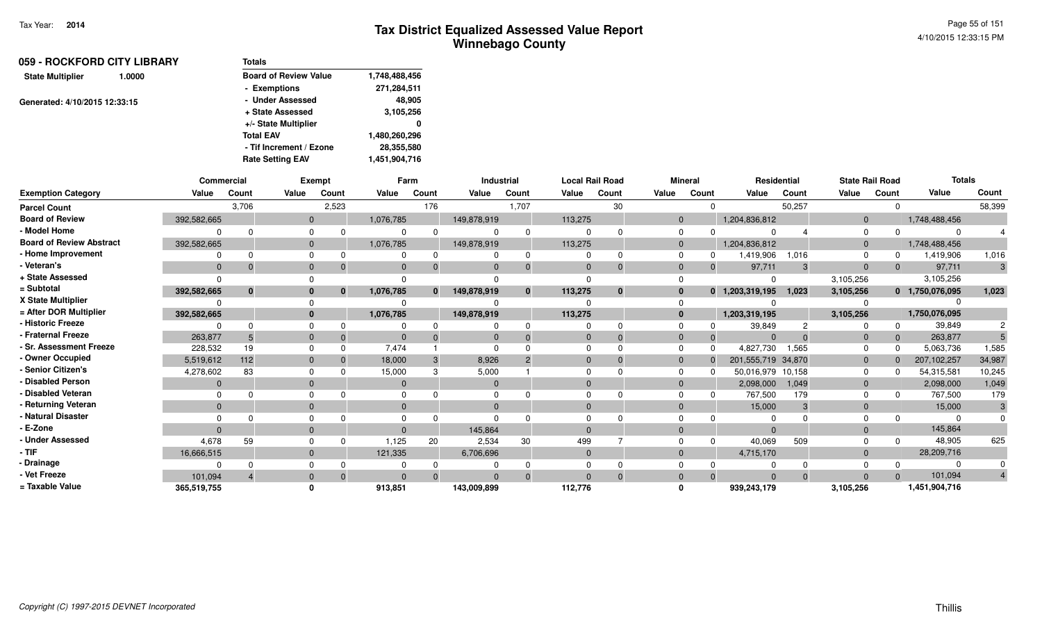| 059 - ROCKFORD CITY LIBRARY<br>1.0000 | <b>Totals</b>                |               |
|---------------------------------------|------------------------------|---------------|
| <b>State Multiplier</b>               | <b>Board of Review Value</b> | 1,748,488,456 |
|                                       | - Exemptions                 | 271,284,511   |
| Generated: 4/10/2015 12:33:15         | - Under Assessed             | 48.905        |
|                                       | + State Assessed             | 3,105,256     |
|                                       | +/- State Multiplier         | 0             |
|                                       | <b>Total EAV</b>             | 1,480,260,296 |
|                                       | - Tif Increment / Ezone      | 28,355,580    |
|                                       | <b>Rate Setting EAV</b>      | 1,451,904,716 |

|                                 |                | <b>Commercial</b> |              | <b>Exempt</b> |                | Farm         |                | Industrial   |                | <b>Local Rail Road</b> |       | <b>Mineral</b>   |                                | Residential | <b>State Rail Road</b> |             | <b>Totals</b>   |                |
|---------------------------------|----------------|-------------------|--------------|---------------|----------------|--------------|----------------|--------------|----------------|------------------------|-------|------------------|--------------------------------|-------------|------------------------|-------------|-----------------|----------------|
| <b>Exemption Category</b>       | Value          | Count             | Value        | Count         | Value          | Count        | Value          | Count        | Value          | Count                  | Value | Count            | Value                          | Count       | Value                  | Count       | Value           | Count          |
| <b>Parcel Count</b>             |                | 3,706             |              | 2,523         |                | 176          |                | 1,707        |                | 30                     |       |                  | $\Omega$                       | 50,257      |                        | $\Omega$    |                 | 58,399         |
| <b>Board of Review</b>          | 392,582,665    |                   | $\Omega$     |               | 1,076,785      |              | 149,878,919    |              | 113,275        |                        |       | $\mathbf 0$      | 1,204,836,812                  |             | $\mathbf 0$            |             | 1,748,488,456   |                |
| - Model Home                    |                |                   | $\Omega$     |               | $\Omega$       | $\Omega$     | $\Omega$       | $\Omega$     | $\Omega$       | $\Omega$               |       | $\mathbf 0$      | $\Omega$                       |             | $\Omega$               | $\Omega$    |                 |                |
| <b>Board of Review Abstract</b> | 392,582,665    |                   | $\mathbf 0$  |               | 1,076,785      |              | 149,878,919    |              | 113,275        |                        |       | $\mathbf 0$      | 1,204,836,812                  |             | $\mathbf 0$            |             | 1,748,488,456   |                |
| - Home Improvement              |                |                   | $\Omega$     |               | $\Omega$       | $\Omega$     | $\Omega$       | $\Omega$     | $\Omega$       | $\Omega$               |       | $\Omega$         | 1,419,906<br>0                 | 1,016       | $\Omega$               | $\Omega$    | 1,419,906       | 1,016          |
| - Veteran's                     | $\overline{0}$ |                   | $\mathbf{0}$ |               | $\overline{0}$ |              | $\overline{0}$ | $\Omega$     | $\overline{0}$ | $\Omega$               |       | $\mathbf 0$      | 97,711<br>$\Omega$             | 3           | $\mathbf 0$            | $\Omega$    | 97,711          | 3              |
| + State Assessed                |                |                   |              |               | $\Omega$       |              |                |              | $\Omega$       |                        |       | $\Omega$         |                                |             | 3,105,256              |             | 3,105,256       |                |
| = Subtotal                      | 392,582,665    | $\mathbf{0}$      | $\bf{0}$     | $\bf{0}$      | 1,076,785      | $\mathbf{0}$ | 149,878,919    | $\mathbf{0}$ | 113,275        | $\bf{0}$               |       | $\bf{0}$         | 1,203,319,195<br>$\mathbf{0}$  | 1,023       | 3,105,256              |             | 0 1,750,076,095 | 1,023          |
| X State Multiplier              |                |                   |              |               |                |              | $\Omega$       |              |                |                        |       | $\Omega$         |                                |             |                        |             |                 |                |
| = After DOR Multiplier          | 392,582,665    |                   | $\bf{0}$     |               | 1,076,785      |              | 149,878,919    |              | 113,275        |                        |       | $\bf{0}$         | 1,203,319,195                  |             | 3,105,256              |             | 1,750,076,095   |                |
| - Historic Freeze               |                |                   |              |               |                |              | 0              | $\Omega$     | $\Omega$       | $\Omega$               |       | $\Omega$         | 39,849                         |             |                        | $\Omega$    | 39,849          | $\overline{c}$ |
| - Fraternal Freeze              | 263,877        |                   | $\mathbf{0}$ | 0             | $\Omega$       | $\Omega$     | $\overline{0}$ | $\Omega$     | $\mathbf{0}$   | $\Omega$               |       | $\mathbf 0$      | $\Omega$<br>$\Omega$           |             | $\mathbf{0}$           | $\mathbf 0$ | 263,877         |                |
| - Sr. Assessment Freeze         | 228,532        | 19                | $\Omega$     |               | 7.474          |              | $\Omega$       |              | $\Omega$       | $\Omega$               |       | $\Omega$         | 4,827,730<br>$\Omega$          | 1,565       | $\Omega$               | $\Omega$    | 5,063,736       | 1,585          |
| - Owner Occupied                | 5,519,612      | 112               | $\Omega$     |               | 18,000         | 3            | 8,926          |              | $\mathbf{0}$   | $\Omega$               |       | $\mathbf{0}$     | 201,555,719 34,870<br>$\Omega$ |             | $\mathbf 0$            | $\Omega$    | 207,102,257     | 34,987         |
| - Senior Citizen's              | 4,278,602      | 83                | $\Omega$     |               | 15,000         | 3            | 5,000          |              | $\Omega$       |                        |       | $\mathbf 0$<br>n | 50,016,979 10,158              |             | 0                      | $\Omega$    | 54,315,581      | 10,245         |
| - Disabled Person               | $\overline{0}$ |                   | $\mathbf{0}$ |               | $\mathbf{0}$   |              | $\overline{0}$ |              | $\Omega$       |                        |       | $\mathbf 0$      | 2,098,000                      | 1,049       | $\mathbf{0}$           |             | 2,098,000       | 1,049          |
| - Disabled Veteran              |                |                   | $\Omega$     |               | $\Omega$       |              | $\Omega$       |              | $\Omega$       | $\Omega$               |       | $\Omega$         | 767,500                        | 179         | $\Omega$               |             | 767,500         | 179            |
| - Returning Veteran             | $\Omega$       |                   | $\Omega$     |               | $\Omega$       |              | $\mathbf{0}$   |              | $\Omega$       |                        |       | $\mathbf 0$      | 15,000                         | 3           | $\Omega$               |             | 15,000          | 3              |
| - Natural Disaster              |                |                   |              |               | 0              |              | O              |              |                |                        |       | 0                |                                |             |                        |             |                 |                |
| - E-Zone                        | $\Omega$       |                   | $\Omega$     |               | $\Omega$       |              | 145.864        |              | $\Omega$       |                        |       | $\mathbf{0}$     | $\Omega$                       |             | $\Omega$               |             | 145,864         |                |
| - Under Assessed                | 4,678          | 59                |              |               | 1,125          | 20           | 2,534          | 30           | 499            |                        |       | $\Omega$         | 40,069<br>$\Omega$             | 509         |                        |             | 48,905          | 625            |
| - TIF                           | 16,666,515     |                   | $\mathbf{0}$ |               | 121,335        |              | 6,706,696      |              | $\overline{0}$ |                        |       | $\mathbf{0}$     | 4,715,170                      |             | $\mathbf{0}$           |             | 28,209,716      |                |
| - Drainage                      |                |                   | $\Omega$     |               |                |              |                | $\Omega$     | $\Omega$       | $\Omega$               |       | $\mathbf 0$      | $\Omega$                       | $\Omega$    |                        |             |                 |                |
| - Vet Freeze                    | 101.094        |                   | $\Omega$     | $\Omega$      | $\Omega$       | $\Omega$     | $\Omega$       | $\Omega$     | $\Omega$       | $\Omega$               |       | $\mathbf{0}$     | $\Omega$<br>$\Omega$           | $\Omega$    | $\Omega$               | $\Omega$    | 101,094         | 4              |
| = Taxable Value                 | 365,519,755    |                   |              |               | 913,851        |              | 143,009,899    |              | 112,776        |                        |       | $\mathbf{0}$     | 939,243,179                    |             | 3,105,256              |             | 1,451,904,716   |                |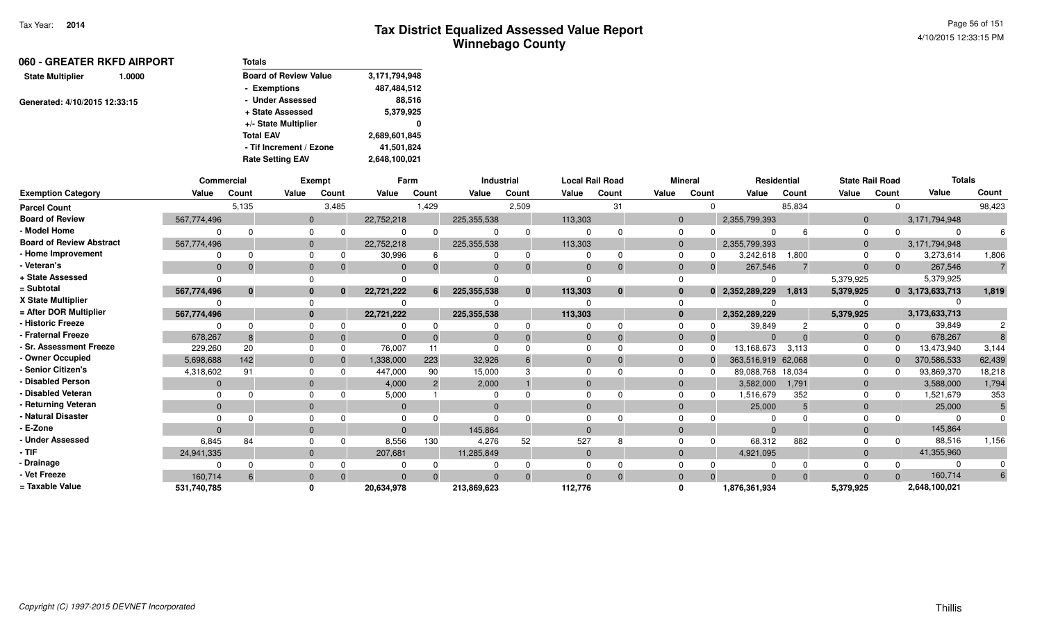| 060 - GREATER RKFD AIRPORT<br>1.0000 |  | Totals                       |               |
|--------------------------------------|--|------------------------------|---------------|
| <b>State Multiplier</b>              |  | <b>Board of Review Value</b> | 3,171,794,948 |
|                                      |  | - Exemptions                 | 487,484,512   |
| Generated: 4/10/2015 12:33:15        |  | - Under Assessed             | 88.516        |
|                                      |  | + State Assessed             | 5,379,925     |
|                                      |  | +/- State Multiplier         | 0             |
|                                      |  | <b>Total EAV</b>             | 2,689,601,845 |
|                                      |  | - Tif Increment / Ezone      | 41,501,824    |
|                                      |  | <b>Rate Setting EAV</b>      | 2,648,100,021 |

|                                 |                | <b>Commercial</b> |              | Exempt |              | Farm           |                | <b>Industrial</b> |                | <b>Local Rail Road</b> |              | <b>Mineral</b> |                    | <b>Residential</b> | <b>State Rail Road</b> |          | <b>Totals</b>   |                |
|---------------------------------|----------------|-------------------|--------------|--------|--------------|----------------|----------------|-------------------|----------------|------------------------|--------------|----------------|--------------------|--------------------|------------------------|----------|-----------------|----------------|
| <b>Exemption Category</b>       | Value          | Count             | Value        | Count  | Value        | Count          | Value          | Count             | Value          | Count                  | Value        | Count          | Value              | Count              | Value                  | Count    | Value           | Count          |
| <b>Parcel Count</b>             |                | 5,135             |              | 3,485  |              | 1,429          |                | 2,509             |                | 31                     |              | $\Omega$       |                    | 85,834             |                        | $\Omega$ |                 | 98,423         |
| <b>Board of Review</b>          | 567,774,496    |                   | $\mathbf{0}$ |        | 22,752,218   |                | 225,355,538    |                   | 113,303        |                        | $\mathbf 0$  |                | 2,355,799,393      |                    | $\mathbf{0}$           |          | 3,171,794,948   |                |
| - Model Home                    |                |                   | $\Omega$     |        | 0            | $\Omega$       | $\Omega$       | $\Omega$          | $\Omega$       | $\Omega$               | 0            | $\Omega$       |                    |                    | $\Omega$               | $\Omega$ |                 |                |
| <b>Board of Review Abstract</b> | 567,774,496    |                   | $\mathbf 0$  |        | 22,752,218   |                | 225,355,538    |                   | 113,303        |                        | $\mathbf 0$  |                | 2,355,799,393      |                    | $\mathbf{0}$           |          | 3,171,794,948   |                |
| - Home Improvement              |                |                   | $\Omega$     |        | 30,996       | 6              | $\Omega$       | $\Omega$          | $\Omega$       | $\Omega$               | $\Omega$     | 0              | 3,242,618          | 1,800              | $\Omega$               | 0        | 3,273,614       | 1,806          |
| - Veteran's                     | $\Omega$       |                   | $\mathbf{0}$ |        | $\Omega$     |                | $\Omega$       | $\Omega$          | $\Omega$       | $\Omega$               | $\mathbf 0$  | $\Omega$       | 267,546            |                    | $\mathbf{0}$           | $\Omega$ | 267,546         | $\overline{7}$ |
| + State Assessed                |                |                   |              |        |              |                |                |                   | $\Omega$       |                        | $\Omega$     |                |                    |                    | 5,379,925              |          | 5,379,925       |                |
| = Subtotal                      | 567,774,496    | $\mathbf{0}$      | $\bf{0}$     | n      | 22,721,222   | 6              | 225,355,538    | $\bf{0}$          | 113,303        | $\bf{0}$               | $\mathbf{0}$ | $\mathbf{0}$   | 2,352,289,229      | 1,813              | 5,379,925              |          | 0 3,173,633,713 | 1,819          |
| X State Multiplier              |                |                   |              |        |              |                |                |                   |                |                        | $\Omega$     |                |                    |                    |                        |          |                 |                |
| = After DOR Multiplier          | 567,774,496    |                   | $\bf{0}$     |        | 22,721,222   |                | 225,355,538    |                   | 113,303        |                        | $\mathbf{0}$ |                | 2,352,289,229      |                    | 5,379,925              |          | 3,173,633,713   |                |
| - Historic Freeze               |                |                   | $\Omega$     |        |              |                | $\Omega$       | $\Omega$          | $\Omega$       | $\Omega$               | $\Omega$     |                | 39,849             | 2                  |                        | $\Omega$ | 39,849          | $\overline{c}$ |
| - Fraternal Freeze              | 678,267        |                   | $\mathbf{0}$ |        | $\Omega$     |                | $\overline{0}$ |                   | $\mathbf{0}$   | $\Omega$               | $\mathbf{0}$ | $\Omega$       | $\Omega$           | $\Omega$           | $\mathbf{0}$           | $\Omega$ | 678,267         |                |
| - Sr. Assessment Freeze         | 229,260        | 20                | $\Omega$     |        | 76,007       | 11             | $\Omega$       |                   | $\Omega$       | $\Omega$               | $\Omega$     | $\Omega$       | 13,168,673         | 3,113              | $\Omega$               | $\Omega$ | 13,473,940      | 3,144          |
| - Owner Occupied                | 5,698,688      | 142               | $\mathbf{0}$ |        | 1,338,000    | 223            | 32,926         | 6                 | $\Omega$       | $\Omega$               | $\mathbf{0}$ | $\Omega$       | 363,516,919 62,068 |                    | $\mathbf{0}$           | $\Omega$ | 370,586,533     | 62,439         |
| - Senior Citizen's              | 4,318,602      | 91                | $\Omega$     |        | 447,000      | 90             | 15,000         |                   | $\Omega$       |                        | $\Omega$     | n              | 89,088,768         | 18,034             | $\Omega$               | n        | 93,869,370      | 18,218         |
| - Disabled Person               | $\overline{0}$ |                   | $\mathbf{0}$ |        | 4,000        | $\overline{2}$ | 2,000          |                   | $\Omega$       |                        | $\mathbf{0}$ |                | 3,582,000          | 1.791              | $\mathbf{0}$           |          | 3,588,000       | 1,794          |
| - Disabled Veteran              |                |                   | $\Omega$     |        | 5,000        |                | $\mathbf 0$    |                   | $\Omega$       | $\Omega$               | $\Omega$     | 0              | 1,516,679          | 352                | $\Omega$               | 0        | 1,521,679       | 353            |
| - Returning Veteran             | $\overline{0}$ |                   | $\mathbf{0}$ |        | $\mathbf{0}$ |                | $\mathbf{0}$   |                   | $\mathbf{0}$   |                        | $\mathbf 0$  |                | 25,000             | 5                  | $\mathbf{0}$           |          | 25,000          | 5              |
| - Natural Disaster              |                |                   |              |        | $\Omega$     |                | $\Omega$       |                   |                |                        | 0            |                |                    |                    |                        |          |                 |                |
| - E-Zone                        | $\Omega$       |                   | $\Omega$     |        | $\Omega$     |                | 145,864        |                   | $\Omega$       |                        | $\mathbf{0}$ |                | $\Omega$           |                    | $\Omega$               |          | 145,864         |                |
| - Under Assessed                | 6,845          | 84                | $\Omega$     |        | 8,556        | 130            | 4,276          | 52                | 527            | 8                      | $\Omega$     | $\Omega$       | 68,312             | 882                |                        | $\Omega$ | 88,516          | 1,156          |
| - TIF -                         | 24,941,335     |                   | $\mathbf{0}$ |        | 207,681      |                | 11,285,849     |                   | $\overline{0}$ |                        | $\mathbf{0}$ |                | 4,921,095          |                    | $\mathbf{0}$           |          | 41,355,960      |                |
| - Drainage                      |                |                   | $\Omega$     |        |              |                |                |                   | $\Omega$       |                        | $\Omega$     |                |                    |                    |                        |          |                 |                |
| - Vet Freeze                    | 160.714        |                   | $\mathbf{0}$ |        | $\Omega$     | $\Omega$       | $\Omega$       | $\Omega$          | $\Omega$       | $\Omega$               | $\mathbf{0}$ | $\Omega$       | $\Omega$           | $\Omega$           | $\Omega$               | $\Omega$ | 160,714         | 6              |
| = Taxable Value                 | 531,740,785    |                   |              |        | 20,634,978   |                | 213,869,623    |                   | 112,776        |                        | $\Omega$     |                | 1,876,361,934      |                    | 5,379,925              |          | 2,648,100,021   |                |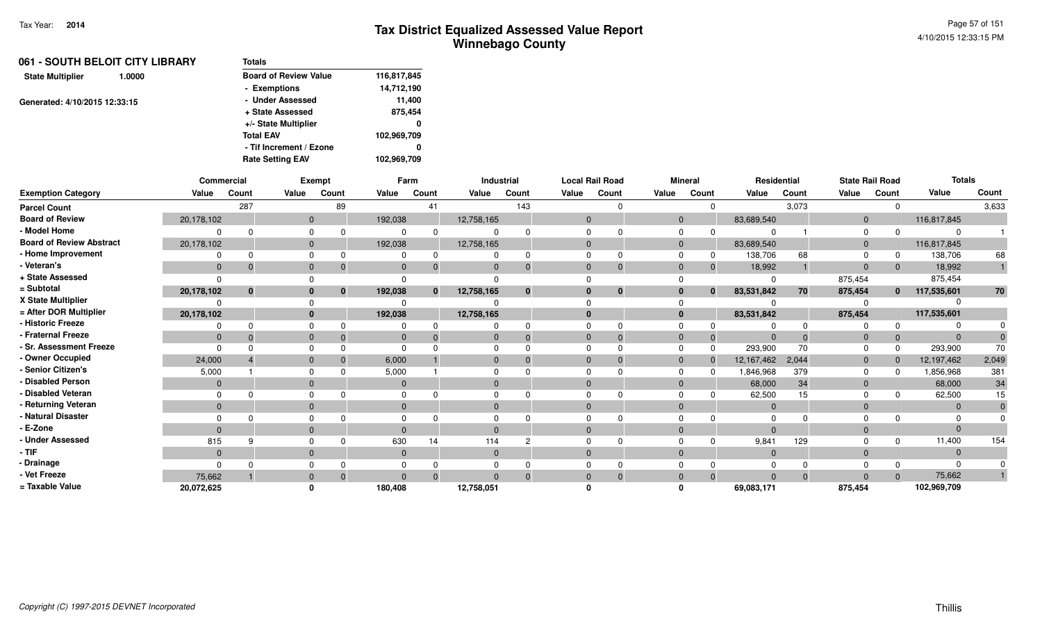| 061 - SOUTH BELOIT CITY LIBRARY   | <b>Totals</b>                |             |
|-----------------------------------|------------------------------|-------------|
| <b>State Multiplier</b><br>1.0000 | <b>Board of Review Value</b> | 116,817,845 |
|                                   | - Exemptions                 | 14,712,190  |
| Generated: 4/10/2015 12:33:15     | - Under Assessed             | 11.400      |
|                                   | + State Assessed             | 875,454     |
|                                   | +/- State Multiplier         | 0           |
|                                   | <b>Total EAV</b>             | 102,969,709 |
|                                   | - Tif Increment / Ezone      | 0           |
|                                   | <b>Rate Setting EAV</b>      | 102,969,709 |

|                                 | Commercial   |          |                | Exempt       |                | Farm         |              | Industrial   |              | <b>Local Rail Road</b> |              | <b>Mineral</b> | Residential    |          | <b>State Rail Road</b> |       | <b>Totals</b>  |       |
|---------------------------------|--------------|----------|----------------|--------------|----------------|--------------|--------------|--------------|--------------|------------------------|--------------|----------------|----------------|----------|------------------------|-------|----------------|-------|
| <b>Exemption Category</b>       | Value        | Count    | Value          | Count        | Value          | Count        | Value        | Count        | Value        | Count                  | Value        | Count          | Value          | Count    | Value                  | Count | Value          | Count |
| <b>Parcel Count</b>             |              | 287      |                | 89           |                | 41           |              | 143          |              |                        |              |                |                | 3,073    |                        |       |                | 3,633 |
| <b>Board of Review</b>          | 20,178,102   |          | $\overline{0}$ |              | 192,038        |              | 12,758,165   |              | $\Omega$     |                        | $\mathbf 0$  |                | 83,689,540     |          | $\mathbf 0$            |       | 116,817,845    |       |
| - Model Home                    |              |          | $\Omega$       | ∩            |                |              |              | <sup>n</sup> |              |                        |              |                |                |          |                        |       | $\Omega$       |       |
| <b>Board of Review Abstract</b> | 20,178,102   |          | $\overline{0}$ |              | 192,038        |              | 12,758,165   |              |              |                        | $\mathbf{0}$ |                | 83,689,540     |          | $\Omega$               |       | 116,817,845    |       |
| - Home Improvement              |              |          | $\Omega$       |              |                |              |              | 0            |              |                        |              |                | 138,706        | 68       |                        |       | 138,706        | 68    |
| - Veteran's                     | $\mathbf{0}$ |          | $\mathbf{0}$   |              |                |              | $\Omega$     | $\Omega$     | $\Omega$     |                        | $\Omega$     | 0              | 18,992         |          | $\Omega$               |       | 18,992         |       |
| + State Assessed                |              |          |                |              |                |              |              |              |              |                        |              |                | $\Omega$       |          | 875,454                |       | 875,454        |       |
| = Subtotal                      | 20,178,102   | $\bf{0}$ | $\bf{0}$       | $\mathbf{0}$ | 192,038        | $\mathbf{0}$ | 12,758,165   | $\mathbf{0}$ |              | $\mathbf{0}$           | $\bf{0}$     | $\bf{0}$       | 83,531,842     | 70       | 875,454                | 0     | 117,535,601    | 70    |
| X State Multiplier              |              |          |                |              |                |              |              |              |              |                        |              |                |                |          |                        |       |                |       |
| = After DOR Multiplier          | 20,178,102   |          | $\mathbf{0}$   |              | 192,038        |              | 12,758,165   |              | $\mathbf{0}$ |                        | $\mathbf{0}$ |                | 83,531,842     |          | 875,454                |       | 117,535,601    |       |
| - Historic Freeze               |              |          | $\Omega$       |              |                |              |              |              |              |                        |              |                |                |          |                        |       |                |       |
| - Fraternal Freeze              | $\mathbf{0}$ |          | $\mathbf{0}$   |              |                |              | 0            | $\Omega$     | $\Omega$     | -0                     | $\Omega$     | 0              | -0             | $\Omega$ |                        |       | $\mathbf{0}$   |       |
| - Sr. Assessment Freeze         |              |          | $\Omega$       |              |                |              |              |              |              |                        | 0            |                | 293,900        | 70       |                        |       | 293,900        | 70    |
| - Owner Occupied                | 24,000       |          | $\Omega$       |              | 6,000          |              | $\Omega$     | $\Omega$     | $\Omega$     |                        | $\Omega$     |                | 12,167,462     | 2,044    | $\Omega$               |       | 12,197,462     | 2,049 |
| <b>Senior Citizen's</b>         | 5,000        |          | <sup>n</sup>   |              | 5,000          |              |              |              |              |                        |              |                | 1,846,968      | 379      |                        |       | 1,856,968      | 381   |
| <b>Disabled Person</b>          | $\mathbf 0$  |          | $\Omega$       |              |                |              |              |              |              |                        | $\Omega$     |                | 68,000         | 34       |                        |       | 68,000         | 34    |
| Disabled Veteran                |              |          | $\Omega$       |              |                |              |              |              |              |                        |              |                | 62,500         | 15       |                        |       | 62,500         | 15    |
| - Returning Veteran             | $\mathbf{0}$ |          | $\mathbf{0}$   |              |                |              | $\mathbf{0}$ |              | $\mathbf{0}$ |                        | $\mathbf{0}$ |                | $\overline{0}$ |          | $\Omega$               |       | $\overline{0}$ |       |
| Natural Disaster                |              |          | $\Omega$       |              |                |              |              |              |              |                        |              |                | $\Omega$       |          |                        |       | $\Omega$       |       |
| - E-Zone                        | $\Omega$     |          | $\Omega$       |              |                |              | $\Omega$     |              | $\Omega$     |                        | $\Omega$     |                | $\Omega$       |          |                        |       | $\Omega$       |       |
| <b>Under Assessed</b>           | 815          | O        | $\Omega$       |              | 630            | 14           | 114          | C            |              |                        |              |                | 9,841          | 129      |                        |       | 11,400         | 154   |
| $-$ TIF                         | $\mathbf{0}$ |          | $\mathbf{0}$   |              | $\overline{0}$ |              | $\mathbf{0}$ |              | $\mathbf{0}$ |                        | $\Omega$     |                | $\overline{0}$ |          | $\Omega$               |       | $\overline{0}$ |       |
| - Drainage                      |              |          |                |              |                |              |              |              |              |                        |              |                |                |          |                        |       | $\Omega$       |       |
| - Vet Freeze                    | 75,662       |          | $\mathbf{0}$   |              |                |              |              | $\Omega$     |              |                        |              |                |                | $\Omega$ |                        |       | 75,662         |       |
| = Taxable Value                 | 20,072,625   |          |                |              | 180,408        |              | 12,758,051   |              |              |                        |              |                | 69,083,171     |          | 875,454                |       | 102,969,709    |       |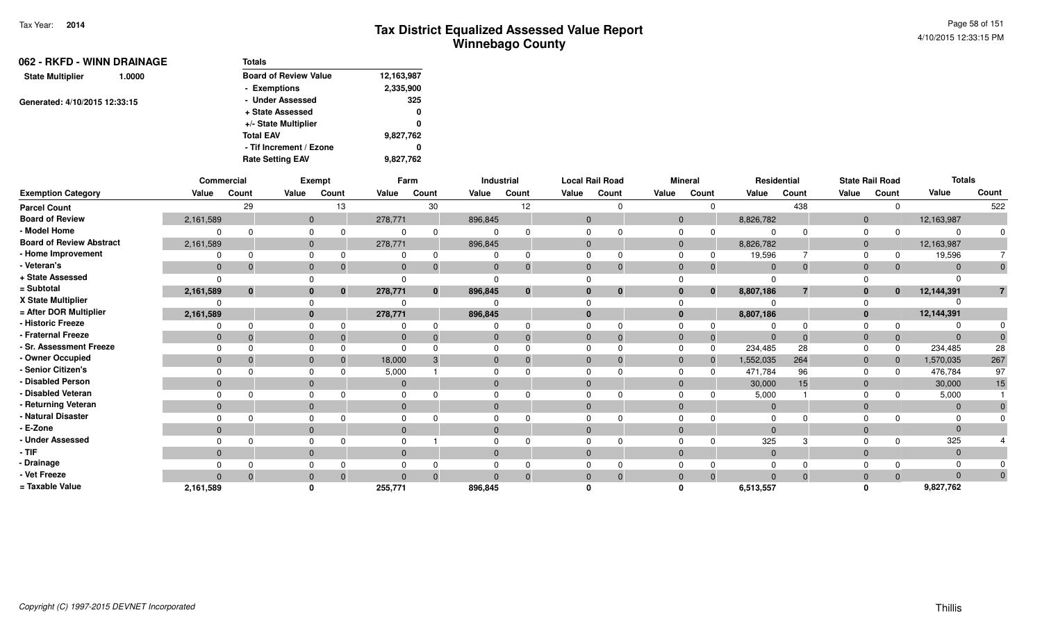| 062 - RKFD - WINN DRAINAGE        | <b>Totals</b>                |            |  |  |  |  |  |  |  |  |
|-----------------------------------|------------------------------|------------|--|--|--|--|--|--|--|--|
| <b>State Multiplier</b><br>1.0000 | <b>Board of Review Value</b> | 12,163,987 |  |  |  |  |  |  |  |  |
|                                   | - Exemptions                 | 2,335,900  |  |  |  |  |  |  |  |  |
| Generated: 4/10/2015 12:33:15     | - Under Assessed             | 325        |  |  |  |  |  |  |  |  |
|                                   | + State Assessed             | 0          |  |  |  |  |  |  |  |  |
|                                   | +/- State Multiplier         | 0          |  |  |  |  |  |  |  |  |
|                                   | <b>Total EAV</b>             | 9,827,762  |  |  |  |  |  |  |  |  |
|                                   | - Tif Increment / Ezone      | 0          |  |  |  |  |  |  |  |  |
|                                   | <b>Rate Setting EAV</b>      | 9,827,762  |  |  |  |  |  |  |  |  |

|                                 |                | Commercial |              | <b>Exempt</b> |                | Farm         |              | <b>Industrial</b> |                | <b>Local Rail Road</b> |       | <b>Mineral</b> |                           | Residential              |                | <b>State Rail Road</b> | <b>Totals</b> |              |
|---------------------------------|----------------|------------|--------------|---------------|----------------|--------------|--------------|-------------------|----------------|------------------------|-------|----------------|---------------------------|--------------------------|----------------|------------------------|---------------|--------------|
| <b>Exemption Category</b>       | Value          | Count      | Value        | Count         | Value          | Count        | Value        | Count             | Value          | Count                  | Value | Count          | Value                     | Count                    | Value          | Count                  | Value         | Count        |
| <b>Parcel Count</b>             |                | 29         |              | 13            |                | 30           |              | 12                |                | 0                      |       |                | $\mathbf 0$               | 438                      |                | $\Omega$               |               | 522          |
| <b>Board of Review</b>          | 2,161,589      |            | $\mathbf 0$  |               | 278,771        |              | 896,845      |                   | $\overline{0}$ |                        |       | $\overline{0}$ | 8,826,782                 |                          | $\mathbf 0$    |                        | 12,163,987    |              |
| - Model Home                    |                | $\Omega$   | $\Omega$     | $\Omega$      | $\Omega$       | $\Omega$     | $\Omega$     | $\Omega$          | $\Omega$       | $\Omega$               |       | $\Omega$       | $\Omega$                  | $\Omega$                 | 0              |                        |               |              |
| <b>Board of Review Abstract</b> | 2,161,589      |            | $\mathbf 0$  |               | 278,771        |              | 896,845      |                   | $\mathbf{0}$   |                        |       | $\mathbf 0$    | 8,826,782                 |                          | $\mathbf 0$    |                        | 12,163,987    |              |
| - Home Improvement              |                | $\Omega$   | $\Omega$     | 0             | 0              | $\Omega$     | $\Omega$     | <sup>0</sup>      | $\Omega$       | 0                      |       | $\Omega$       | 19,596<br>0               |                          | $\Omega$       | 0                      | 19,596        |              |
| - Veteran's                     | $\mathbf 0$    | $\Omega$   | $\mathbf 0$  | $\Omega$      | $\mathbf{0}$   | $\Omega$     | $\mathbf{0}$ | $\Omega$          | $\mathbf{0}$   | $\Omega$               |       | $\mathbf 0$    | $\Omega$                  | $\mathbf{0}$<br>$\Omega$ | $\mathbf{0}$   | $\Omega$               | $\Omega$      | $\mathbf{0}$ |
| + State Assessed                | $\Omega$       |            |              |               | $\Omega$       |              |              |                   |                |                        |       |                |                           |                          |                |                        |               |              |
| = Subtotal                      | 2,161,589      | $\bf{0}$   | $\mathbf{0}$ | $\bf{0}$      | 278,771        | $\mathbf{0}$ | 896,845      | $\mathbf{0}$      | $\mathbf{0}$   | $\bf{0}$               |       | $\mathbf{0}$   | 8,807,186<br>$\mathbf{0}$ | $\overline{7}$           | $\mathbf{0}$   | $\bf{0}$               | 12,144,391    |              |
| X State Multiplier              |                |            |              |               |                |              |              |                   |                |                        |       |                |                           |                          |                |                        |               |              |
| = After DOR Multiplier          | 2,161,589      |            | $\bf{0}$     |               | 278,771        |              | 896,845      |                   | $\mathbf{0}$   |                        |       | $\mathbf{0}$   | 8,807,186                 |                          | $\bf{0}$       |                        | 12,144,391    |              |
| - Historic Freeze               |                |            | $\Omega$     |               | 0              | $\Omega$     | $\Omega$     |                   |                | $\Omega$               |       | 0              |                           | $\Omega$                 |                |                        |               |              |
| - Fraternal Freeze              | $\mathbf 0$    | $\Omega$   | $\mathbf 0$  | $\Omega$      | $\mathbf 0$    | $\Omega$     | $\mathbf{0}$ | $\Omega$          | $\mathbf{0}$   | $\Omega$               |       | $\mathbf{0}$   | 0                         | $\Omega$<br>$\Omega$     | $\mathbf{0}$   | 0                      |               |              |
| - Sr. Assessment Freeze         | $\Omega$       |            | $\Omega$     |               | $\Omega$       |              | $\Omega$     |                   | $\Omega$       | $\Omega$               |       | $\Omega$       | 234,485<br>$\Omega$       | 28                       | $\Omega$       | 0                      | 234,485       | 28           |
| - Owner Occupied                | $\mathbf{0}$   | $\Omega$   | $\Omega$     |               | 18,000         | 3            | $\mathbf 0$  |                   | $\Omega$       | $\Omega$               |       | $\mathbf 0$    | 1,552,035<br>$\Omega$     | 264                      | $\mathbf{0}$   | $\Omega$               | 1,570,035     | 267          |
| - Senior Citizen's              | $\Omega$       |            | $\Omega$     |               | 5,000          |              | $\Omega$     |                   | $\Omega$       |                        |       | $\Omega$       | 471,784<br><sup>0</sup>   | 96                       | $\Omega$       |                        | 476,784       | 97           |
| - Disabled Person               | $\mathbf{0}$   |            | $\mathbf 0$  |               | $\overline{0}$ |              | $\mathbf{0}$ |                   | $\Omega$       |                        |       | $\mathbf{0}$   | 30,000                    | 15                       | $\mathbf{0}$   |                        | 30,000        | 15           |
| - Disabled Veteran              | $\Omega$       | $\Omega$   | $\Omega$     |               | $\Omega$       | $\Omega$     | $\Omega$     |                   | O              | <sup>0</sup>           |       | $\Omega$       | 5,000                     |                          | $\Omega$       |                        | 5,000         |              |
| - Returning Veteran             | $\overline{0}$ |            | $\mathbf 0$  |               | $\overline{0}$ |              | $\mathbf 0$  |                   | $\overline{0}$ |                        |       | $\mathbf 0$    |                           | $\mathbf 0$              | $\mathbf{0}$   |                        | $\Omega$      |              |
| - Natural Disaster              |                |            | $\Omega$     |               | $\Omega$       |              | $\Omega$     |                   |                |                        |       | $\Omega$       |                           |                          |                |                        |               |              |
| - E-Zone                        | $\mathbf{0}$   |            | $\mathbf{0}$ |               | $\Omega$       |              | $\mathbf{0}$ |                   | $\Omega$       |                        |       | $\mathbf{0}$   |                           | $\Omega$                 | $\Omega$       |                        |               |              |
| <b>Under Assessed</b>           |                |            | $\Omega$     |               |                |              | $\Omega$     |                   |                | $\Omega$               |       | $\Omega$       |                           | 325<br>3                 |                |                        | 325           |              |
| - TIF                           | $\mathbf 0$    |            | $\mathbf{0}$ |               | $\mathbf{0}$   |              | $\mathbf{0}$ |                   | $\mathbf{0}$   |                        |       | $\mathbf{0}$   |                           | $\mathbf{0}$             | $\mathbf 0$    |                        | $\Omega$      |              |
| - Drainage                      |                |            | $\Omega$     |               | $\Omega$       |              | $\Omega$     |                   |                |                        |       |                |                           |                          |                |                        |               |              |
| - Vet Freeze                    | $\Omega$       | $\Omega$   | $\Omega$     | $\Omega$      | $\Omega$       | $\Omega$     | $\Omega$     | $\Omega$          | $\Omega$       | $\mathbf{0}$           |       | $\mathbf{0}$   | $\Omega$                  | $\Omega$<br>$\Omega$     | $\overline{0}$ | $\Omega$               | $\Omega$      |              |
| = Taxable Value                 | 2,161,589      |            |              |               | 255,771        |              | 896,845      |                   |                |                        |       |                | 6,513,557                 |                          |                |                        | 9,827,762     |              |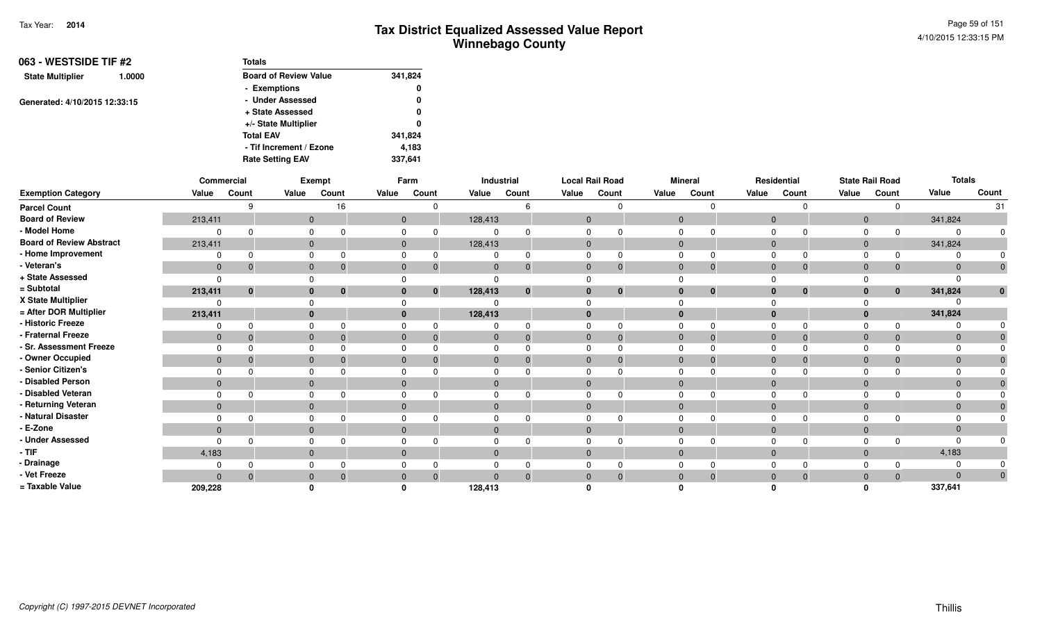| 063 - WESTSIDE TIF #2         |        | <b>Totals</b>                |         |
|-------------------------------|--------|------------------------------|---------|
| <b>State Multiplier</b>       | 1.0000 | <b>Board of Review Value</b> | 341,824 |
|                               |        | - Exemptions                 | 0       |
| Generated: 4/10/2015 12:33:15 |        | - Under Assessed             | 0       |
|                               |        | + State Assessed             | 0       |
|                               |        | +/- State Multiplier         | 0       |
|                               |        | <b>Total EAV</b>             | 341,824 |
|                               |        | - Tif Increment / Ezone      | 4,183   |
|                               |        | <b>Rate Setting EAV</b>      | 337,641 |

|                                 |              | Commercial |                | <b>Exempt</b> |                | Farm                     |              | Industrial |                | <b>Local Rail Road</b> |              | <b>Mineral</b> |                | Residential  |              | <b>State Rail Road</b> | <b>Totals</b> |              |
|---------------------------------|--------------|------------|----------------|---------------|----------------|--------------------------|--------------|------------|----------------|------------------------|--------------|----------------|----------------|--------------|--------------|------------------------|---------------|--------------|
| <b>Exemption Category</b>       | Value        | Count      | Value          | Count         | Value          | Count                    | Value        | Count      | Value          | Count                  | Value        | Count          | Value          | Count        | Value        | Count                  | Value         | Count        |
| <b>Parcel Count</b>             |              |            |                | 16            |                |                          |              |            |                | $\Omega$               |              | $\Omega$       |                | $\Omega$     |              |                        |               | 31           |
| <b>Board of Review</b>          | 213,411      |            | $\mathbf{0}$   |               |                | $\mathbf{0}$             | 128,413      |            | $\overline{0}$ |                        | $\mathbf{0}$ |                | $\overline{0}$ |              | $\mathbf 0$  |                        | 341,824       |              |
| - Model Home                    |              |            |                |               |                |                          | 0            |            | $\Omega$       | $\Omega$               | $\mathbf 0$  |                |                |              |              |                        |               | $\Omega$     |
| <b>Board of Review Abstract</b> | 213,411      |            |                | $\mathbf 0$   |                | $\mathbf{0}$             | 128,413      |            | $\overline{0}$ |                        | $\mathbf{0}$ |                | $\mathbf 0$    |              | $\mathbf 0$  |                        | 341,824       |              |
| - Home Improvement              | $\Omega$     |            | 0              |               |                |                          | 0            |            | $\Omega$       | $\Omega$               | $\mathbf 0$  |                |                |              |              |                        |               | $\Omega$     |
| - Veteran's                     | $\mathbf 0$  |            | $\mathbf 0$    |               | $\mathbf 0$    |                          | $\mathbf 0$  | $\Omega$   | $\mathbf 0$    | $\mathbf{0}$           | $\mathbf 0$  | 0              | $\mathbf{0}$   | $\mathbf{0}$ | $\mathbf 0$  |                        |               | $\mathbf 0$  |
| + State Assessed                | $\Omega$     |            |                |               |                |                          |              |            |                |                        |              |                |                |              |              |                        |               |              |
| = Subtotal                      | 213,411      | $\bf{0}$   | $\bf{0}$       |               |                | $\mathbf{0}$<br>$\bf{0}$ | 128,413      | $\bf{0}$   | $\mathbf{0}$   | $\bf{0}$               | $\mathbf 0$  | $\bf{0}$       | $\mathbf{0}$   | $\bf{0}$     | $\mathbf{0}$ | $\mathbf{0}$           | 341,824       | $\mathbf{0}$ |
| X State Multiplier              |              |            |                |               |                |                          |              |            |                |                        |              |                |                |              |              |                        |               |              |
| = After DOR Multiplier          | 213,411      |            |                | $\mathbf{0}$  |                | $\mathbf{0}$             | 128,413      |            | $\mathbf{0}$   |                        | $\mathbf{0}$ |                | $\bf{0}$       |              | $\mathbf{0}$ |                        | 341,824       |              |
| - Historic Freeze               | 0            |            |                |               |                |                          | 0            |            | $\Omega$       | $\Omega$               | 0            | $\Omega$       |                | $\Omega$     |              |                        |               |              |
| - Fraternal Freeze              | $\mathbf{0}$ | $\Omega$   | $\mathbf{0}$   |               |                | $\mathbf{0}$<br>$\Omega$ | $\mathbf 0$  | $\Omega$   | $\mathbf 0$    | $\Omega$               | $\mathbf 0$  | $\Omega$       | $\mathbf{0}$   | $\Omega$     | $\mathbf{0}$ |                        |               | $\mathbf{0}$ |
| - Sr. Assessment Freeze         | $\Omega$     |            | $\Omega$       |               | $\Omega$       |                          | $\Omega$     |            | $\Omega$       | $\Omega$               | $\Omega$     |                |                |              | $\Omega$     |                        |               | $\Omega$     |
| - Owner Occupied                | $\Omega$     |            | $\mathbf{0}$   |               | $\Omega$       |                          | $\mathbf 0$  |            | $\mathbf{0}$   | $\Omega$               | $\mathbf 0$  |                | $\Omega$       | $\Omega$     | $\mathbf{0}$ |                        |               |              |
| - Senior Citizen's              |              |            |                |               |                |                          | $\Omega$     |            | $\Omega$       |                        | $\Omega$     |                |                |              |              |                        |               |              |
| - Disabled Person               | $\Omega$     |            | $\mathbf{0}$   |               | $\mathbf 0$    |                          | $\mathbf{0}$ |            | $\mathbf{0}$   |                        | $\mathbf{0}$ |                | $\Omega$       |              | $\mathbf{0}$ |                        |               | $\mathbf{0}$ |
| - Disabled Veteran              | $\Omega$     |            | 0              |               | $\Omega$       |                          | $\Omega$     |            | $\Omega$       | $\Omega$               | $\Omega$     |                |                | <sup>0</sup> | $\Omega$     |                        |               | $\Omega$     |
| - Returning Veteran             | $\mathbf{0}$ |            | $\mathbf 0$    |               |                | $\mathbf{0}$             | $\mathbf{0}$ |            | $\mathbf{0}$   |                        | $\mathbf{0}$ |                | $\mathbf 0$    |              | $\mathbf 0$  |                        | $\Omega$      | $\mathbf 0$  |
| - Natural Disaster              |              |            |                | 0             | $\Omega$       |                          | $\Omega$     |            | $\Omega$       |                        | $\Omega$     |                |                |              |              |                        |               | $\Omega$     |
| - E-Zone                        | $\Omega$     |            | $\mathbf{0}$   |               | $\Omega$       |                          | $\mathbf{0}$ |            | $\mathbf{0}$   |                        | $\mathbf 0$  |                | $\Omega$       |              | $\Omega$     |                        |               |              |
| - Under Assessed                | $\Omega$     |            |                |               |                |                          | $\Omega$     |            | $\Omega$       | $\Omega$               | $\mathbf 0$  |                |                | $\Omega$     |              |                        |               | $\Omega$     |
| - TIF                           | 4,183        |            | $\mathbf 0$    |               | $\mathbf 0$    |                          | $\mathbf{0}$ |            | $\mathbf 0$    |                        | $\mathbf{0}$ |                | $\mathbf{0}$   |              | $\mathbf{0}$ |                        | 4,183         |              |
| - Drainage                      | 0            |            |                | 0             |                |                          | $\Omega$     |            | $\Omega$       |                        | $\Omega$     |                |                |              |              |                        |               | 0            |
| - Vet Freeze                    | $\Omega$     |            | $\overline{0}$ |               | $\overline{0}$ | $\Omega$                 | $\Omega$     | $\Omega$   | $\overline{0}$ | $\mathbf{0}$           | $\mathbf 0$  | $\Omega$       | $\mathbf{0}$   | $\mathbf 0$  | $\mathbf{0}$ |                        | $\Omega$      | $\mathbf 0$  |
| = Taxable Value                 | 209,228      |            |                |               |                |                          | 128,413      |            |                |                        |              |                |                |              |              |                        | 337,641       |              |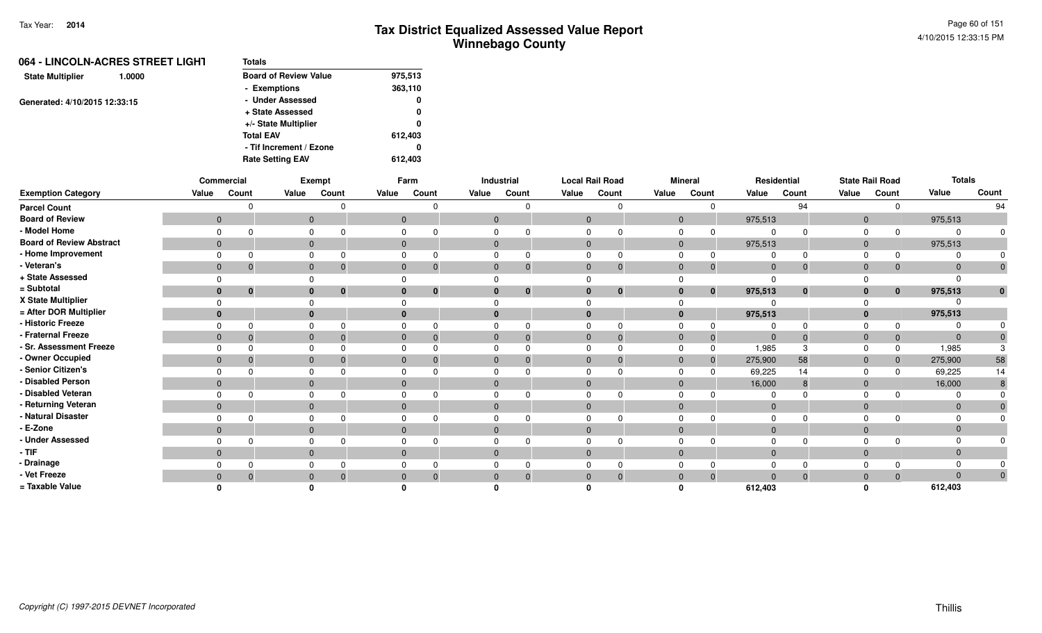| <b>Totals</b>                |         |
|------------------------------|---------|
| <b>Board of Review Value</b> | 975,513 |
| - Exemptions                 | 363,110 |
| - Under Assessed             | 0       |
| + State Assessed             | 0       |
| +/- State Multiplier         | 0       |
| <b>Total EAV</b>             | 612.403 |
| - Tif Increment / Ezone      |         |
| <b>Rate Setting EAV</b>      | 612,403 |
|                              |         |

|                                 |              | Commercial |       | Exempt                   |          | Farm                         |                | Industrial  |             | <b>Local Rail Road</b> |             | <b>Mineral</b> |             | Residential |                | <b>State Rail Road</b> | <b>Totals</b> |                |
|---------------------------------|--------------|------------|-------|--------------------------|----------|------------------------------|----------------|-------------|-------------|------------------------|-------------|----------------|-------------|-------------|----------------|------------------------|---------------|----------------|
| <b>Exemption Category</b>       | Value        | Count      | Value | Count                    | Value    | Count                        | Value          | Count       | Value       | Count                  | Value       | Count          | Value       | Count       | Value          | Count                  | Value         | Count          |
| <b>Parcel Count</b>             |              |            |       |                          |          | n                            |                | O           |             | n                      |             |                |             | 94          |                | $\Omega$               |               | 94             |
| <b>Board of Review</b>          | $\mathbf{0}$ |            |       | $\overline{0}$           |          | $\mathbf{0}$                 | $\overline{0}$ |             | $\Omega$    |                        |             | $\mathbf{0}$   | 975,513     |             | $\mathbf{0}$   |                        | 975,513       |                |
| - Model Home                    |              |            |       | $\Omega$                 |          | $\Omega$                     | $\Omega$       |             |             |                        |             |                |             |             |                |                        |               |                |
| <b>Board of Review Abstract</b> | $\mathbf{0}$ |            |       | $\mathbf{0}$             |          | $\mathbf{0}$                 | $\mathbf 0$    |             | $\mathbf 0$ |                        |             | $\mathbf{0}$   | 975,513     |             | $\mathbf{0}$   |                        | 975,513       |                |
| - Home Improvement              |              |            |       |                          |          |                              |                |             |             |                        |             |                |             |             |                |                        |               |                |
| - Veteran's                     | $\mathbf{0}$ |            |       | $\mathbf{0}$             |          | $\mathbf{0}$<br>$\mathbf 0$  | $\mathbf 0$    | 0           | $\mathbf 0$ | $\boldsymbol{0}$       |             | $\mathbf 0$    | $\mathbf 0$ |             | $\overline{0}$ |                        |               |                |
| + State Assessed                |              |            |       |                          | $\Omega$ |                              |                |             |             |                        |             |                |             |             |                |                        |               |                |
| = Subtotal                      | $\bf{0}$     | $\bf{0}$   |       | $\mathbf{0}$<br>$\bf{0}$ |          | $\mathbf{0}$<br>$\mathbf{0}$ | $\bf{0}$       | $\mathbf 0$ | $\bf{0}$    | $\bf{0}$               |             | $\bf{0}$       | 975,513     | $\bf{0}$    | 0              | $\mathbf{0}$           | 975,513       |                |
| X State Multiplier              |              |            |       |                          |          | $\Omega$                     |                |             |             |                        |             |                |             |             |                |                        |               |                |
| = After DOR Multiplier          | $\bf{0}$     |            |       | $\mathbf{0}$             |          | $\mathbf{0}$                 | $\bf{0}$       |             |             |                        |             |                | 975,513     |             |                |                        | 975,513       |                |
| - Historic Freeze               |              |            |       |                          |          | $\Omega$                     |                |             |             |                        |             |                |             |             |                |                        |               |                |
| - Fraternal Freeze              | $\mathbf{0}$ |            |       | $\Omega$                 |          | $\Omega$                     | $\mathbf{0}$   |             | $\Omega$    |                        |             |                | $\Omega$    |             |                |                        |               |                |
| - Sr. Assessment Freeze         |              |            |       |                          |          |                              |                |             |             |                        |             |                | 1,985       |             |                |                        | 1,985         |                |
| - Owner Occupied                | $\mathbf 0$  |            |       | $\mathbf{0}$             |          | $\mathbf{0}$                 | $\mathbf{0}$   |             | $\Omega$    |                        | $\mathbf 0$ |                | 275,900     | 58          | 0              |                        | 275,900       | 58             |
| Senior Citizen's                |              |            |       |                          | $\Omega$ |                              |                |             |             |                        |             |                | 69,225      | 14          |                |                        | 69,225        | 14             |
| Disabled Person                 | $\mathbf{0}$ |            |       | $\mathbf{0}$             |          | $\mathbf{0}$                 | $\mathbf{0}$   |             | $\Omega$    |                        |             | $\Omega$       | 16,000      |             | $\mathbf{0}$   |                        | 16,000        |                |
| Disabled Veteran                |              |            |       |                          |          |                              |                |             |             |                        |             |                |             |             |                |                        |               |                |
| Returning Veteran               | $\mathbf{0}$ |            |       | $\mathbf{0}$             |          | $\mathbf{0}$                 | $\mathbf 0$    |             | $\Omega$    |                        |             | $\Omega$       | $\Omega$    |             | $\Omega$       |                        |               |                |
| Natural Disaster                |              |            |       | $\Omega$                 |          | $\Omega$                     | $\Omega$       |             |             |                        |             |                |             |             |                |                        |               |                |
| E-Zone                          | $\mathbf{0}$ |            |       | $\mathbf{0}$             |          | $\Omega$                     | $\mathbf{0}$   |             | $\Omega$    |                        | $\Omega$    |                |             |             | 0              |                        |               |                |
| <b>Under Assessed</b>           |              |            |       | $\Omega$                 | $\Omega$ |                              |                |             |             |                        |             |                |             |             |                |                        |               |                |
| - TIF                           | $\mathbf{0}$ |            |       | $\mathbf{0}$             |          | $\mathbf{0}$                 | $\mathbf{0}$   |             | $\Omega$    |                        | $\Omega$    |                |             |             |                |                        |               |                |
| Drainage                        |              |            |       |                          |          | 0                            |                |             |             |                        |             |                |             |             |                |                        |               |                |
| - Vet Freeze                    | $\mathbf{0}$ |            |       | $\mathbf{0}$             |          | $\mathbf{0}$<br>$\mathbf 0$  | $\mathbf{0}$   | $\Omega$    | $\Omega$    | $\mathbf 0$            |             |                |             |             |                |                        |               | $\overline{0}$ |
| = Taxable Value                 |              |            |       |                          |          |                              |                |             |             |                        |             |                | 612,403     |             |                |                        | 612,403       |                |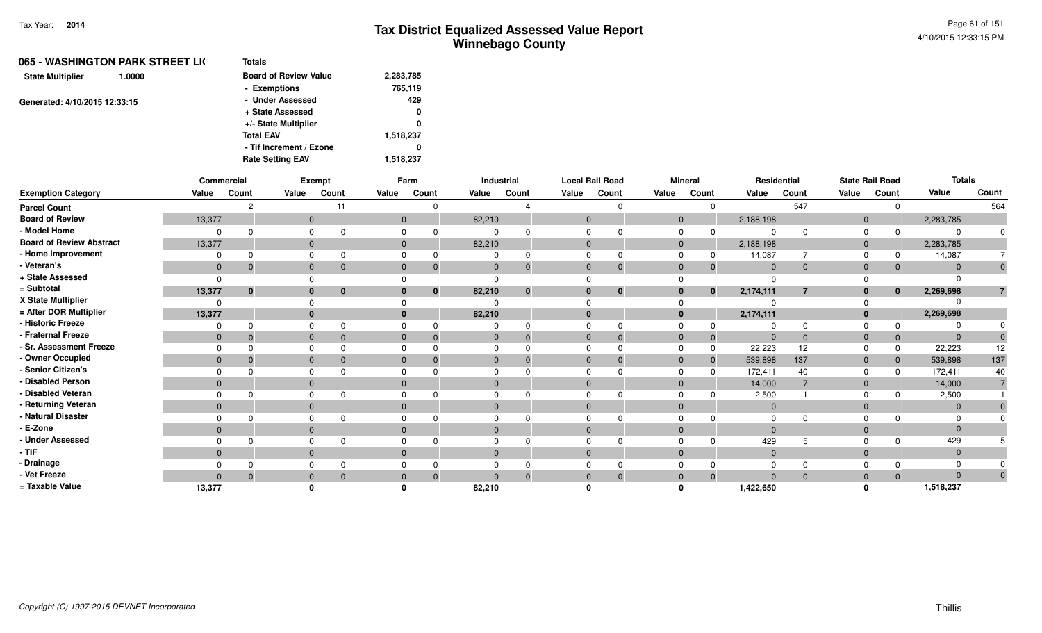|                               | 065 - WASHINGTON PARK STREET LI( | <b>Totals</b>                |           |
|-------------------------------|----------------------------------|------------------------------|-----------|
| <b>State Multiplier</b>       | 1.0000                           | <b>Board of Review Value</b> | 2,283,785 |
|                               |                                  | - Exemptions                 | 765,119   |
| Generated: 4/10/2015 12:33:15 |                                  | - Under Assessed             | 429       |
|                               |                                  | + State Assessed             | 0         |
|                               |                                  | +/- State Multiplier         | 0         |
|                               |                                  | <b>Total EAV</b>             | 1,518,237 |
|                               |                                  | - Tif Increment / Ezone      | 0         |
|                               |                                  | <b>Rate Setting EAV</b>      | 1,518,237 |
|                               |                                  |                              |           |

|                                 |              | Commercial   |              | Exempt               |                | Farm                     |                | Industrial |              | <b>Local Rail Road</b> |                | <b>Mineral</b> |              | Residential  |                | <b>State Rail Road</b> | <b>Totals</b>  |                |
|---------------------------------|--------------|--------------|--------------|----------------------|----------------|--------------------------|----------------|------------|--------------|------------------------|----------------|----------------|--------------|--------------|----------------|------------------------|----------------|----------------|
| <b>Exemption Category</b>       | Value        | Count        | Value        | Count                | Value          | Count                    | Value          | Count      | Value        | Count                  | Value          | Count          | Value        | Count        | Value          | Count                  | Value          | Count          |
| <b>Parcel Count</b>             |              |              |              | 11                   |                |                          |                |            |              | $\Omega$               |                | $\Omega$       |              | 547          |                | $\Omega$               |                | 564            |
| <b>Board of Review</b>          | 13,377       |              | $\mathbf{0}$ |                      |                | $\mathbf{0}$             | 82,210         |            | $\mathbf 0$  |                        | $\mathbf{0}$   |                | 2,188,198    |              | $\mathbf{0}$   |                        | 2,283,785      |                |
| - Model Home                    |              |              |              |                      | $\Omega$       |                          | 0              |            | $\Omega$     |                        | $\mathbf 0$    | $\Omega$       | $\Omega$     | $\Omega$     | $\mathbf 0$    | $\Omega$               | $\Omega$       | $\Omega$       |
| <b>Board of Review Abstract</b> | 13,377       |              |              | $\mathbf{0}$         |                | $\overline{0}$           | 82,210         |            | $\mathbf{0}$ |                        | $\overline{0}$ |                | 2,188,198    |              | $\mathbf{0}$   |                        | 2,283,785      |                |
| - Home Improvement              |              |              |              |                      | $\Omega$       |                          |                |            | $\Omega$     | $\Omega$               | $\mathbf 0$    | $\Omega$       | 14,087       |              | 0              | $\Omega$               | 14,087         | $\overline{7}$ |
| - Veteran's                     | $\mathbf{0}$ |              | $\mathbf{0}$ |                      | $\Omega$       | $\Omega$                 | $\mathbf 0$    | $\Omega$   | $\mathbf{0}$ | $\mathbf{0}$           | $\mathbf{0}$   | $\mathbf 0$    | $\mathbf{0}$ | $\mathbf{0}$ | $\mathbf{0}$   | $\Omega$               | $\Omega$       | $\mathbf{0}$   |
| + State Assessed                | $\Omega$     |              |              |                      |                |                          | $\Omega$       |            |              |                        | $\Omega$       |                | $\Omega$     |              |                |                        |                |                |
| = Subtotal                      | 13,377       | $\mathbf{0}$ |              | $\bf{0}$<br>$\bf{0}$ |                | $\mathbf{0}$<br>$\bf{0}$ | 82,210         | $\bf{0}$   | $\mathbf{0}$ | $\mathbf 0$            | $\mathbf{0}$   | $\mathbf{0}$   | 2,174,111    | 7            | $\bf{0}$       | $\mathbf{0}$           | 2,269,698      |                |
| X State Multiplier              |              |              |              |                      |                |                          | $\Omega$       |            | $\Omega$     |                        | $\Omega$       |                |              |              | $\Omega$       |                        |                |                |
| = After DOR Multiplier          | 13,377       |              |              | $\mathbf{0}$         | $\mathbf{0}$   |                          | 82,210         |            | $\bf{0}$     |                        | $\mathbf{0}$   |                | 2,174,111    |              | $\mathbf{0}$   |                        | 2,269,698      |                |
| - Historic Freeze               |              |              |              |                      |                |                          | 0              |            | $\Omega$     | $\Omega$               | $\Omega$       |                | $\Omega$     | $\Omega$     | $\Omega$       |                        |                |                |
| - Fraternal Freeze              | $\mathbf 0$  | 0            | $\mathbf{0}$ |                      | $\overline{0}$ | $\Omega$                 | $\mathbf 0$    | $\Omega$   | $\mathbf{0}$ | $\Omega$               | $\mathbf{0}$   | $\Omega$       | $\mathbf{0}$ | $\Omega$     | $\overline{0}$ | $\Omega$               | $\Omega$       |                |
| - Sr. Assessment Freeze         |              |              | $\Omega$     |                      | $\Omega$       |                          | $\Omega$       |            | $\Omega$     | $\Omega$               | $\mathbf 0$    | $\Omega$       | 22,223       | 12           | $\mathbf 0$    | $\Omega$               | 22,223         | 12             |
| - Owner Occupied                | $\mathbf 0$  |              | $\mathbf{0}$ |                      | $\overline{0}$ |                          | $\overline{0}$ |            | $\mathbf{0}$ | $\Omega$               | $\overline{0}$ | $\Omega$       | 539,898      | 137          | $\mathbf 0$    | $\Omega$               | 539,898        | 137            |
| - Senior Citizen's              |              |              | 0            |                      | $\Omega$       |                          | $\Omega$       |            | $\Omega$     |                        | $\Omega$       | $\Omega$       | 172,411      | 40           | $\Omega$       | <sup>0</sup>           | 172,411        | 40             |
| - Disabled Person               | $\mathbf{0}$ |              | $\mathbf{0}$ |                      | $\mathbf{0}$   |                          | $\mathbf{0}$   |            | $\mathbf{0}$ |                        | $\mathbf{0}$   |                | 14,000       |              | $\mathbf{0}$   |                        | 14,000         |                |
| - Disabled Veteran              |              |              | $\Omega$     |                      | $\Omega$       |                          | $\Omega$       |            | $\Omega$     | $\Omega$               | $\mathbf 0$    | $\Omega$       | 2,500        |              | $\mathbf 0$    | $\Omega$               | 2,500          |                |
| - Returning Veteran             | $\mathbf{0}$ |              |              | $\mathbf{0}$         | $\mathbf{0}$   |                          | $\mathbf{0}$   |            | $\mathbf{0}$ |                        | $\mathbf{0}$   |                | $\mathbf{0}$ |              | $\mathbf{0}$   |                        | $\overline{0}$ | $\Omega$       |
| - Natural Disaster              |              |              | $\Omega$     |                      | $\Omega$       |                          | $\Omega$       |            | $\Omega$     |                        | $\Omega$       |                | $\Omega$     |              | $\Omega$       |                        |                |                |
| - E-Zone                        | $\mathbf{0}$ |              | $\mathbf{0}$ |                      | $\Omega$       |                          | $\mathbf{0}$   |            | $\Omega$     |                        | $\mathbf{0}$   |                | $\Omega$     |              | $\overline{0}$ |                        |                |                |
| - Under Assessed                |              |              |              |                      |                |                          | $\Omega$       |            | $\Omega$     | $\Omega$               | $\mathbf 0$    |                | 429          |              | $\Omega$       |                        | 429            |                |
| - TIF-                          | $\mathbf{0}$ |              |              | $\mathbf{0}$         | $\mathbf{0}$   |                          | $\mathbf{0}$   |            | $\mathbf{0}$ |                        | $\mathbf{0}$   |                | $\mathbf 0$  |              | $\mathbf{0}$   |                        | $\Omega$       |                |
| - Drainage                      |              |              | $\Omega$     |                      |                |                          | $\Omega$       |            | $\Omega$     |                        | $\Omega$       |                | $\Omega$     |              | $\Omega$       |                        |                |                |
| - Vet Freeze                    |              |              |              |                      |                | $\Omega$                 | $\Omega$       |            | $\Omega$     | $\Omega$               | $\overline{0}$ | $\Omega$       | $\Omega$     | $\Omega$     | $\mathbf 0$    | $\Omega$               | $\Omega$       | $\Omega$       |
| = Taxable Value                 | 13,377       |              |              |                      |                |                          | 82,210         |            |              |                        | n              |                | 1,422,650    |              | $\Omega$       |                        | 1,518,237      |                |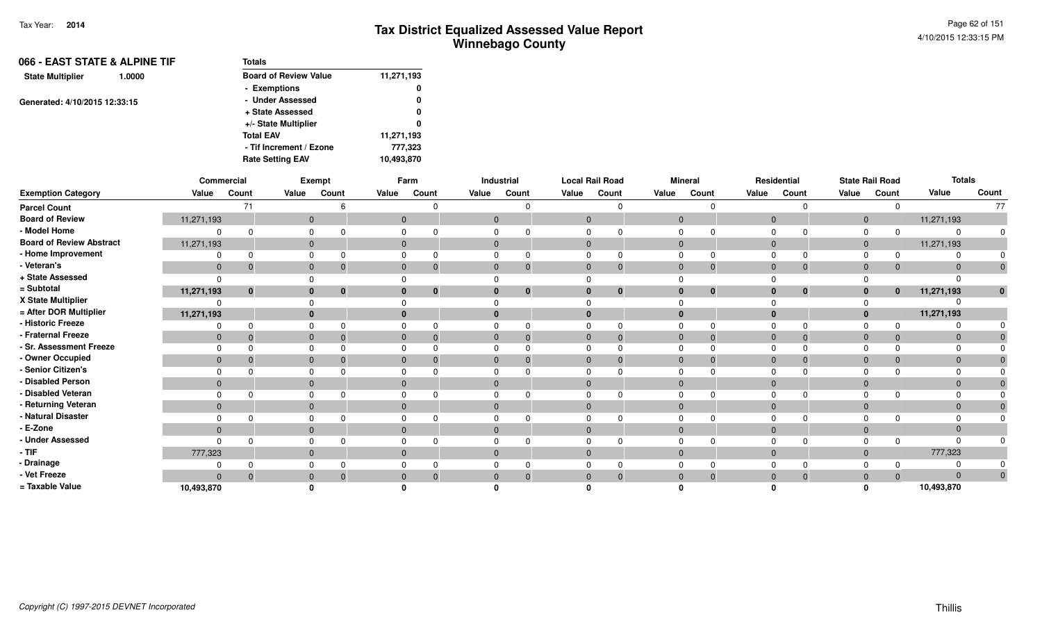| 066 - EAST STATE & ALPINE TIF     | Totals                       |            |  |  |
|-----------------------------------|------------------------------|------------|--|--|
| <b>State Multiplier</b><br>1.0000 | <b>Board of Review Value</b> | 11,271,193 |  |  |
|                                   | - Exemptions                 | 0          |  |  |
| Generated: 4/10/2015 12:33:15     | - Under Assessed             | 0          |  |  |
|                                   | + State Assessed             | 0          |  |  |
|                                   | +/- State Multiplier         | 0          |  |  |
|                                   | <b>Total EAV</b>             | 11,271,193 |  |  |
|                                   | - Tif Increment / Ezone      | 777,323    |  |  |
|                                   | <b>Rate Setting EAV</b>      | 10,493,870 |  |  |

|                                 |              | Commercial     |          | Exempt                       |              | Farm         |              | Industrial   |              | <b>Local Rail Road</b> |                | <b>Mineral</b> |          | Residential                    |                | <b>State Rail Road</b> | <b>Totals</b> |              |
|---------------------------------|--------------|----------------|----------|------------------------------|--------------|--------------|--------------|--------------|--------------|------------------------|----------------|----------------|----------|--------------------------------|----------------|------------------------|---------------|--------------|
| <b>Exemption Category</b>       | Value        | Count          | Value    | Count                        | Value        | Count        | Value        | Count        | Value        | Count                  | Value          | Count          | Value    | Count                          | Value          | Count                  | Value         | Count        |
| <b>Parcel Count</b>             |              | 71             |          |                              |              |              |              |              |              |                        |                | $\Omega$       |          | $\Omega$                       |                | 0                      |               | 77           |
| <b>Board of Review</b>          | 11,271,193   |                |          | $\mathbf{0}$                 | $\mathbf{0}$ |              | $\mathbf 0$  |              | $\mathbf 0$  |                        | $\overline{0}$ |                |          | $\overline{0}$                 | $\mathbf{0}$   |                        | 11,271,193    |              |
| - Model Home                    | $\Omega$     |                | 0        |                              | 0            |              |              |              |              |                        | 0              |                |          | $\Omega$<br>$\Omega$           | $\mathbf 0$    | $\Omega$               |               | 0            |
| <b>Board of Review Abstract</b> | 11,271,193   |                |          | $\mathbf{0}$                 |              | $\mathbf 0$  | $\mathbf 0$  |              | $\mathbf 0$  |                        | $\mathbf{0}$   |                |          | $\overline{0}$                 | $\mathbf{0}$   |                        | 11,271,193    |              |
| - Home Improvement              | $\Omega$     |                |          | 0                            | $\Omega$     |              |              |              |              |                        | $\Omega$       |                | $\Omega$ | $\Omega$                       | $\Omega$       | $\Omega$               |               |              |
| - Veteran's                     | $\mathbf 0$  | -0             |          | $\mathbf{0}$<br>- 0          | $\mathbf{0}$ | 0            | $\mathbf 0$  |              | $\mathbf{0}$ | $\Omega$               | $\mathbf{0}$   | $\Omega$       |          | $\overline{0}$<br>$\mathbf 0$  | $\overline{0}$ | $\Omega$               | $\Omega$      | $\mathbf 0$  |
| + State Assessed                | $\Omega$     |                | 0        |                              |              |              |              |              |              |                        |                |                |          |                                |                |                        |               |              |
| = Subtotal                      | 11,271,193   | $\mathbf{0}$   |          | $\mathbf{0}$<br>$\mathbf{0}$ | $\bf{0}$     | $\mathbf{0}$ | $\bf{0}$     | $\mathbf{0}$ | $\bf{0}$     | $\mathbf{0}$           | $\bf{0}$       | $\mathbf{0}$   |          | $\bf{0}$<br>$\mathbf{0}$       | $\mathbf{0}$   | $\bf{0}$               | 11,271,193    | $\mathbf{0}$ |
| X State Multiplier              | 0            |                |          | $\Omega$                     |              |              |              |              |              |                        |                |                |          |                                |                |                        |               |              |
| = After DOR Multiplier          | 11,271,193   |                |          | $\mathbf{0}$                 | $\bf{0}$     |              | $\mathbf{0}$ |              | $\bf{0}$     |                        | $\bf{0}$       |                |          | $\mathbf{0}$                   | $\mathbf{0}$   |                        | 11,271,193    |              |
| - Historic Freeze               | 0            |                | 0        |                              | 0            |              |              |              | $\Omega$     |                        | $\Omega$       | 0              | $\Omega$ | $\Omega$                       | 0              |                        |               |              |
| - Fraternal Freeze              | $\mathbf 0$  | $\overline{0}$ |          | $\mathbf{0}$<br>- 0          | $\mathbf{0}$ | $\Omega$     | $\mathbf{0}$ |              | $\mathbf 0$  | $\Omega$               | $\mathbf 0$    | $\Omega$       |          | $\overline{0}$<br>$\mathbf{0}$ | $\mathbf 0$    | $\mathbf{0}$           | $\Omega$      |              |
| - Sr. Assessment Freeze         | $\Omega$     |                |          | $\mathbf 0$                  |              | 0            | $\mathbf 0$  |              | $\Omega$     |                        | $\mathbf 0$    |                | $\Omega$ | $\Omega$                       | $\Omega$       |                        |               |              |
| - Owner Occupied                | $\mathbf 0$  | 0              |          | $\mathbf{0}$                 | $\mathbf 0$  |              | $\mathbf 0$  |              | $\mathbf 0$  |                        | $\mathbf 0$    |                |          | $\mathbf 0$<br>$\Omega$        | $\mathbf 0$    | $\Omega$               |               |              |
| - Senior Citizen's              | $\Omega$     |                |          | $\mathbf 0$                  | 0            |              | 0            |              | $\Omega$     |                        | $\mathbf 0$    |                |          | $\Omega$                       | $\Omega$       |                        |               |              |
| - Disabled Person               | $\mathbf{0}$ |                |          | $\mathbf{0}$                 | $\Omega$     |              | $\mathbf{0}$ |              | $\Omega$     |                        | $\mathbf 0$    |                | $\Omega$ |                                | $\mathbf 0$    |                        |               |              |
| - Disabled Veteran              | $\Omega$     |                | $\Omega$ |                              | 0            |              | $\Omega$     |              | $\Omega$     |                        | $\Omega$       |                |          | $\Omega$<br>$\Omega$           | $\Omega$       | n                      |               |              |
| - Returning Veteran             | $\mathbf{0}$ |                |          | $\mathbf{0}$                 | $\mathbf{0}$ |              | $\mathbf{0}$ |              | $\mathbf{0}$ |                        | $\mathbf{0}$   |                |          | $\mathbf 0$                    | $\mathbf{0}$   |                        | $\mathbf 0$   |              |
| - Natural Disaster              | $\Omega$     |                |          | 0                            |              | 0            | 0            |              | $\Omega$     |                        | $\mathbf 0$    |                |          | $\Omega$<br>$\Omega$           | $\Omega$       |                        |               |              |
| - E-Zone                        | $\mathbf{0}$ |                |          | $\mathbf{0}$                 | $\mathbf{0}$ |              | $\mathbf{0}$ |              |              |                        | $\mathbf{0}$   |                | $\Omega$ |                                | $\mathbf 0$    |                        | $\Omega$      |              |
| - Under Assessed                | $\Omega$     | $\Omega$       | 0        |                              |              |              | 0            |              | $\Omega$     |                        | $\Omega$       |                | $\Omega$ | $\Omega$                       | $\Omega$       | $\Omega$               |               |              |
| - TIF                           | 777,323      |                |          | $\mathbf{0}$                 | $\mathbf{0}$ |              | $\mathbf 0$  |              | $\mathbf{0}$ |                        | $\overline{0}$ |                |          | $\overline{0}$                 | $\overline{0}$ |                        | 777,323       |              |
| - Drainage                      | $\Omega$     |                |          | $\mathbf 0$                  |              | 0            | $\Omega$     |              | $\Omega$     |                        | $\Omega$       |                |          | $\Omega$<br>$\Omega$           | $\Omega$       |                        |               |              |
| - Vet Freeze                    | $\mathbf{0}$ | $\Omega$       |          | $\mathbf{0}$<br>- 0          | $\mathbf{0}$ | 0            | $\mathbf{0}$ |              | $\mathbf{0}$ | $\Omega$               | $\mathbf 0$    | $\Omega$       |          | $\mathbf 0$<br>$\mathbf{0}$    | $\mathbf{0}$   | $\Omega$               | $\Omega$      | $\mathbf{0}$ |
| = Taxable Value                 | 10,493,870   |                |          |                              |              |              |              |              |              |                        |                |                |          |                                | O              |                        | 10,493,870    |              |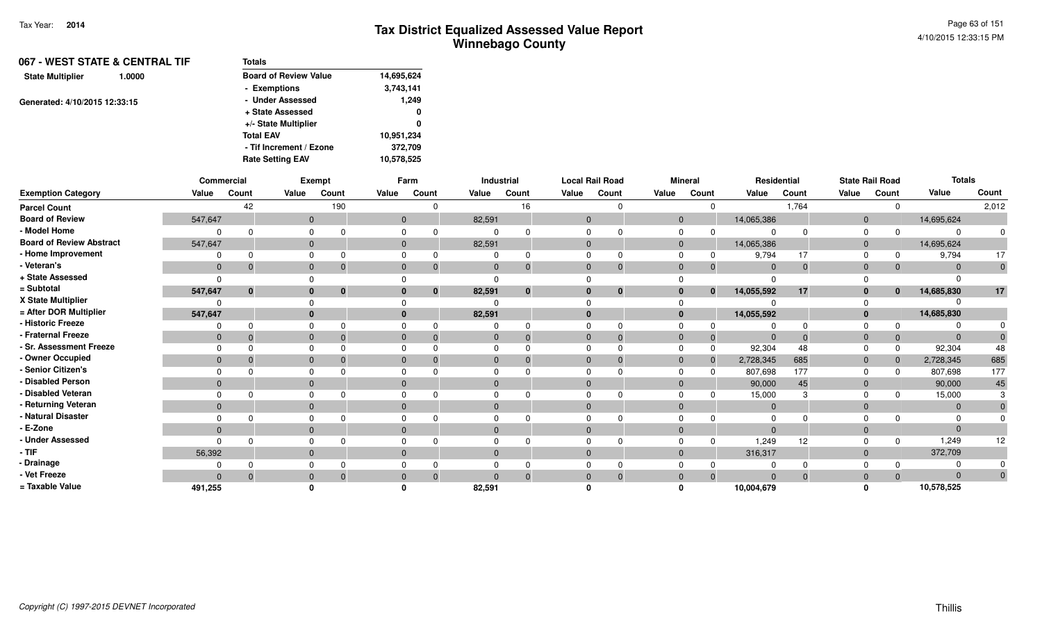| 067 - WEST STATE & CENTRAL TIF    | Totals                       |            |
|-----------------------------------|------------------------------|------------|
| <b>State Multiplier</b><br>1.0000 | <b>Board of Review Value</b> | 14,695,624 |
|                                   | - Exemptions                 | 3,743,141  |
| Generated: 4/10/2015 12:33:15     | - Under Assessed             | 1,249      |
|                                   | + State Assessed             | 0          |
|                                   | +/- State Multiplier         | 0          |
|                                   | <b>Total EAV</b>             | 10,951,234 |
|                                   | - Tif Increment / Ezone      | 372,709    |
|                                   | <b>Rate Setting EAV</b>      | 10,578,525 |

|                                 |                | Commercial   |              | Exempt      |              | Farm     |                | Industrial | <b>Local Rail Road</b> |              |                | <b>Mineral</b> |                | Residential     |                | <b>State Rail Road</b> | <b>Totals</b> |       |
|---------------------------------|----------------|--------------|--------------|-------------|--------------|----------|----------------|------------|------------------------|--------------|----------------|----------------|----------------|-----------------|----------------|------------------------|---------------|-------|
| <b>Exemption Category</b>       | Value          | Count        | Value        | Count       | Value        | Count    | Value          | Count      | Value                  | Count        | Value          | Count          | Value          | Count           | Value          | Count                  | Value         | Count |
| <b>Parcel Count</b>             |                | 42           |              | 190         |              |          |                | 16         |                        |              |                |                |                | 1,764           |                |                        |               | 2,012 |
| <b>Board of Review</b>          | 547,647        |              | $\mathbf{0}$ |             | $\mathbf{0}$ |          | 82,591         |            | $\mathbf{0}$           |              | $\mathbf{0}$   |                | 14,065,386     |                 | $\overline{0}$ |                        | 14,695,624    |       |
| - Model Home                    |                |              |              |             |              |          |                |            |                        |              |                |                |                |                 |                |                        | 0             |       |
| <b>Board of Review Abstract</b> | 547,647        |              | $\mathbf{0}$ |             | $\Omega$     |          | 82,591         |            | $\Omega$               |              | $\mathbf{0}$   |                | 14,065,386     |                 | $\Omega$       |                        | 14,695,624    |       |
| - Home Improvement              |                |              |              |             |              |          |                | $\Omega$   |                        |              |                |                | 9,794          | 17              |                |                        | 9,794         | 17    |
| - Veteran's                     | $\overline{0}$ | $\Omega$     | $\mathbf{0}$ |             | $\Omega$     |          | $\Omega$       | $\Omega$   | $\Omega$               |              | $\overline{0}$ | $\Omega$       | $\mathbf 0$    | $\Omega$        | $\Omega$       |                        | $\Omega$      |       |
| + State Assessed                | $\Omega$       |              |              |             |              |          |                |            |                        |              |                |                |                |                 |                |                        |               |       |
| = Subtotal                      | 547,647        | $\mathbf{0}$ | $\mathbf{0}$ | $\mathbf 0$ |              | $\bf{0}$ | 82,591         | $\bf{0}$   |                        | $\mathbf{0}$ | $\bf{0}$       | $\mathbf{0}$   | 14,055,592     | 17              |                | $\mathbf{0}$           | 14,685,830    | 17    |
| X State Multiplier              |                |              |              |             |              |          |                |            |                        |              |                |                |                |                 |                |                        |               |       |
| = After DOR Multiplier          | 547,647        |              | $\mathbf{0}$ |             |              |          | 82,591         |            | $\Omega$               |              | $\mathbf{0}$   |                | 14,055,592     |                 |                |                        | 14,685,830    |       |
| - Historic Freeze               |                |              |              |             |              |          |                | $\Omega$   |                        |              |                |                |                |                 |                |                        |               |       |
| - Fraternal Freeze              | $\mathbf{0}$   |              | $\mathbf{0}$ |             | $\mathbf{0}$ |          | $\mathbf{0}$   | $\Omega$   | $\Omega$               |              | $\Omega$       | $\Omega$       | $\overline{0}$ | $\Omega$        | $\Omega$       |                        | $\mathbf{0}$  |       |
| - Sr. Assessment Freeze         | $\Omega$       |              | $\Omega$     |             |              |          |                | $\Omega$   |                        |              | $\Omega$       |                | 92,304         | 48              |                |                        | 92,304        | 48    |
| - Owner Occupied                | $\overline{0}$ |              | $\mathbf{0}$ |             | $\Omega$     |          | $\Omega$       | $\Omega$   | $\Omega$               |              | $\Omega$       | $\mathbf 0$    | 2,728,345      | 685             | $\Omega$       |                        | 2,728,345     | 685   |
| - Senior Citizen's              |                |              |              |             |              |          |                |            |                        |              |                |                | 807,698        | 177             |                |                        | 807,698       | 177   |
| - Disabled Person               | $\mathbf{0}$   |              | $\mathbf{0}$ |             |              |          |                |            |                        |              | $\Omega$       |                | 90,000         | 45              | $\mathbf{0}$   |                        | 90,000        | 45    |
| - Disabled Veteran              |                |              | $\Omega$     |             |              |          |                |            |                        |              | $\Omega$       |                | 15,000         |                 |                |                        | 15,000        |       |
| - Returning Veteran             | $\overline{0}$ |              | $\mathbf{0}$ |             | $\mathbf 0$  |          | $\overline{0}$ |            | $\Omega$               |              | $\mathbf{0}$   |                | $\overline{0}$ |                 | $\Omega$       |                        | $\mathbf{0}$  |       |
| - Natural Disaster              |                |              | $\Omega$     |             |              |          |                |            |                        |              | <sup>0</sup>   |                | $\Omega$       |                 |                |                        | $\Omega$      |       |
| - E-Zone                        | $\Omega$       |              | $\Omega$     |             |              |          | $\Omega$       |            | $\Omega$               |              | $\Omega$       |                | $\Omega$       |                 |                |                        | $\Omega$      |       |
| - Under Assessed                |                |              |              |             |              |          |                |            |                        |              |                |                | 1,249          | 12 <sup>2</sup> |                |                        | 1,249         | 12    |
| - TIF                           | 56,392         |              | $\mathbf{0}$ |             | $\Omega$     |          | $\Omega$       |            | $\Omega$               |              | $\mathbf{0}$   |                | 316,317        |                 | $\Omega$       |                        | 372,709       |       |
| - Drainage                      |                |              |              |             |              |          |                |            |                        |              |                |                |                |                 |                |                        |               |       |
| - Vet Freeze                    | $\Omega$       | $\Omega$     | $\Omega$     |             | $\Omega$     |          | $\Omega$       | $\Omega$   | $\Omega$               |              | $\Omega$       | $\Omega$       | $\Omega$       | $\Omega$        | $\Omega$       |                        | $\Omega$      |       |
| = Taxable Value                 | 491,255        |              |              |             |              |          | 82,591         |            |                        |              |                |                | 10,004,679     |                 |                |                        | 10,578,525    |       |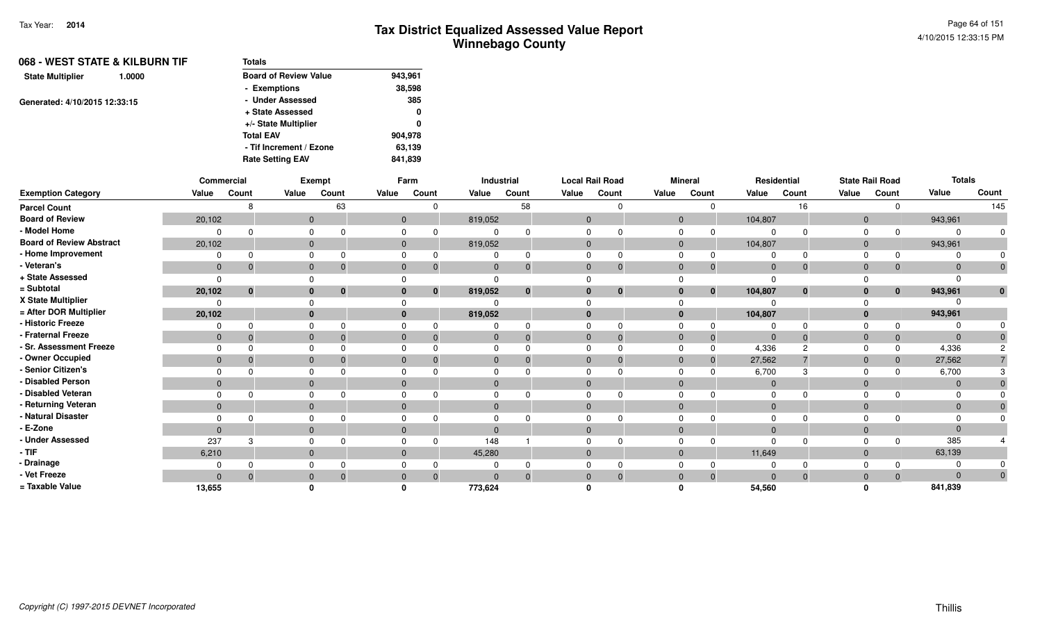| 068 - WEST STATE & KILBURN TIF    | <b>Totals</b>                |         |
|-----------------------------------|------------------------------|---------|
| <b>State Multiplier</b><br>1.0000 | <b>Board of Review Value</b> | 943,961 |
|                                   | - Exemptions                 | 38,598  |
| Generated: 4/10/2015 12:33:15     | - Under Assessed             | 385     |
|                                   | + State Assessed             | 0       |
|                                   | +/- State Multiplier         | 0       |
|                                   | <b>Total EAV</b>             | 904,978 |
|                                   | - Tif Increment / Ezone      | 63,139  |
|                                   | <b>Rate Setting EAV</b>      | 841.839 |

|                                 |                | Commercial |       | Exempt       |          | Farm         |                         | Industrial     |              | <b>Local Rail Road</b>   |              | <b>Mineral</b> | Residential    |              |          | <b>State Rail Road</b> | <b>Totals</b>  |          |
|---------------------------------|----------------|------------|-------|--------------|----------|--------------|-------------------------|----------------|--------------|--------------------------|--------------|----------------|----------------|--------------|----------|------------------------|----------------|----------|
| <b>Exemption Category</b>       | Value          | Count      | Value | Count        | Value    | Count        | Value                   | Count          | Value        | Count                    | Value        | Count          | Value          | Count        | Value    | Count                  | Value          | Count    |
| <b>Parcel Count</b>             |                |            |       | 63           |          |              |                         | 58             |              |                          |              |                |                | 16           |          |                        |                | 145      |
| <b>Board of Review</b>          | 20,102         |            |       | $\mathbf{0}$ |          | $\Omega$     | 819,052                 |                |              | $\Omega$                 | $\Omega$     |                | 104,807        |              | $\Omega$ |                        | 943,961        |          |
| - Model Home                    |                |            |       | $\Omega$     |          |              |                         |                |              |                          |              |                | $\Omega$       |              |          |                        | $\Omega$       |          |
| <b>Board of Review Abstract</b> | 20,102         |            |       | $\mathbf{0}$ |          | $\mathbf{0}$ | 819,052                 |                |              | $\Omega$                 | $\mathbf{0}$ |                | 104,807        |              | $\Omega$ |                        | 943,961        |          |
| - Home Improvement              |                |            |       | $\Omega$     |          |              |                         |                |              |                          |              |                |                |              |          |                        |                |          |
| - Veteran's                     | $\mathbf 0$    |            |       | $\mathbf{0}$ | 0        | $\mathbf 0$  | $\overline{0}$          | $\mathbf{0}$   |              | $\mathbf{0}$<br>0        | $\Omega$     | 0              | $\Omega$       | $\Omega$     | $\Omega$ | 0                      | $\mathbf{0}$   |          |
| + State Assessed                |                |            |       |              |          |              |                         |                |              |                          |              |                | $\Omega$       |              |          |                        | $\Omega$       |          |
| = Subtotal                      | 20,102         | $\bf{0}$   |       | $\mathbf{0}$ | $\bf{0}$ |              | 819,052<br>$\mathbf{0}$ | $\mathbf 0$    |              | $\mathbf{0}$<br>$\bf{0}$ | $\bf{0}$     | $\mathbf{0}$   | 104,807        | $\mathbf{0}$ |          | $\mathbf{0}$           | 943,961        | $\bf{0}$ |
| X State Multiplier              |                |            |       |              |          |              |                         |                |              |                          |              |                |                |              |          |                        |                |          |
| = After DOR Multiplier          | 20,102         |            |       | $\mathbf{0}$ |          |              | 819,052                 |                | $\mathbf{0}$ |                          | $\mathbf{0}$ |                | 104,807        |              |          |                        | 943,961        |          |
| - Historic Freeze               |                |            |       | $\Omega$     |          |              |                         |                |              |                          |              |                |                |              |          |                        | $\Omega$       |          |
| - Fraternal Freeze              | $\mathbf{0}$   |            |       | $\Omega$     |          | $\Omega$     | 0                       | $\overline{0}$ |              | $\Omega$                 | $\Omega$     | $\overline{0}$ | $\overline{0}$ | $\Omega$     | $\Omega$ | $\mathbf{0}$           | $\overline{0}$ |          |
| - Sr. Assessment Freeze         |                |            |       | $\Omega$     |          |              |                         |                |              |                          |              |                | 4,336          |              |          |                        | 4,336          |          |
| - Owner Occupied                | $\mathbf 0$    |            |       | $\Omega$     |          |              | $\Omega$                | $\Omega$       | $\Omega$     |                          | $\Omega$     |                | 27,562         |              |          |                        | 27,562         |          |
| - Senior Citizen's              |                |            |       |              |          |              |                         |                |              |                          |              |                | 6,700          |              |          |                        | 6,700          |          |
| - Disabled Person               | $\Omega$       |            |       | $\mathbf{0}$ |          |              | $\Omega$                |                | $\Omega$     |                          | $\Omega$     |                | $\overline{0}$ |              |          |                        | $\Omega$       |          |
| - Disabled Veteran              |                |            |       | $\Omega$     |          |              |                         |                |              |                          |              |                | $\Omega$       |              |          |                        | $\Omega$       |          |
| - Returning Veteran             | $\mathbf{0}$   |            |       | $\mathbf{0}$ |          |              | $\mathbf{0}$            |                |              | $\Omega$                 | $\Omega$     |                | $\overline{0}$ |              | $\Omega$ |                        | $\overline{0}$ |          |
| - Natural Disaster              |                |            |       |              |          |              |                         |                |              |                          |              |                | $\Omega$       |              |          |                        | $\Omega$       |          |
| - E-Zone                        | $\overline{0}$ |            |       | $\mathbf{0}$ |          |              | $\Omega$                |                | $\Omega$     |                          | $\Omega$     |                | $\Omega$       |              | $\Omega$ |                        | $\Omega$       |          |
| - Under Assessed                | 237            | З          |       | $\Omega$     |          |              | 148                     |                |              |                          |              |                | $\Omega$       | $\Omega$     |          |                        | 385            |          |
| $-$ TIF                         | 6,210          |            |       | $\mathbf{0}$ |          | $\mathbf 0$  | 45,280                  |                |              | $\mathbf{0}$             | $\Omega$     |                | 11,649         |              | $\Omega$ |                        | 63,139         |          |
| - Drainage                      |                |            |       |              |          |              |                         | $\Omega$       |              |                          |              |                |                |              |          |                        | $\Omega$       |          |
| - Vet Freeze                    | $\Omega$       |            |       | $\mathbf{0}$ |          |              | $\Omega$                | $\Omega$       | $\Omega$     |                          | $\Omega$     | $\Omega$       | $\Omega$       | $\Omega$     |          |                        | $\Omega$       |          |
| = Taxable Value                 | 13,655         |            |       |              |          |              | 773,624                 |                |              |                          |              |                | 54,560         |              |          |                        | 841,839        |          |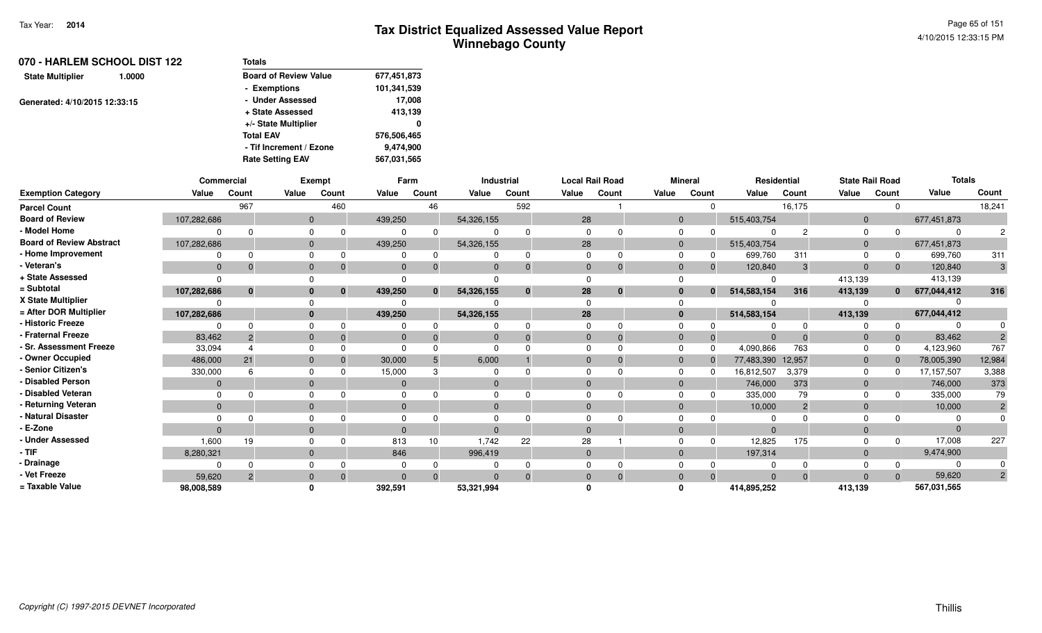| 070 - HARLEM SCHOOL DIST 122<br>1.0000 | <b>Totals</b>                |             |  |  |  |
|----------------------------------------|------------------------------|-------------|--|--|--|
| <b>State Multiplier</b>                | <b>Board of Review Value</b> | 677,451,873 |  |  |  |
|                                        | - Exemptions                 | 101,341,539 |  |  |  |
| Generated: 4/10/2015 12:33:15          | - Under Assessed             | 17,008      |  |  |  |
|                                        | + State Assessed             | 413,139     |  |  |  |
|                                        | +/- State Multiplier         | 0           |  |  |  |
|                                        | <b>Total EAV</b>             | 576,506,465 |  |  |  |
|                                        | - Tif Increment / Ezone      | 9,474,900   |  |  |  |
|                                        | <b>Rate Setting EAV</b>      | 567,031,565 |  |  |  |

|                                 | <b>Commercial</b> |               |       | <b>Exempt</b> |                | Farm         |            | <b>Industrial</b> | <b>Local Rail Road</b> |             |          | <b>Mineral</b> |             | Residential    | <b>State Rail Road</b> |              | <b>Totals</b> |                |
|---------------------------------|-------------------|---------------|-------|---------------|----------------|--------------|------------|-------------------|------------------------|-------------|----------|----------------|-------------|----------------|------------------------|--------------|---------------|----------------|
| <b>Exemption Category</b>       | Value             | Count         | Value | Count         | Value          | Count        | Value      | Count             | Value                  | Count       | Value    | Count          | Value       | Count          | Value                  | Count        | Value         | Count          |
| <b>Parcel Count</b>             |                   | 967           |       | 460           |                | 46           |            | 592               |                        |             |          |                |             | 16,175         |                        |              |               | 18,241         |
| <b>Board of Review</b>          | 107,282,686       |               |       |               | 439,250        |              | 54,326,155 |                   | 28                     |             | $\Omega$ |                | 515,403,754 |                | $\Omega$               |              | 677,451,873   |                |
| - Model Home                    |                   |               |       |               |                | $\Omega$     |            |                   | $\Omega$               |             |          |                |             |                |                        |              | $\Omega$      |                |
| <b>Board of Review Abstract</b> | 107,282,686       |               |       |               | 439,250        |              | 54,326,155 |                   | 28                     |             |          |                | 515,403,754 |                | $\Omega$               |              | 677,451,873   |                |
| - Home Improvement              |                   | 0             |       |               |                | 0            |            |                   | $\Omega$               |             |          |                | 699,760     | 311            |                        |              | 699,760       | 311            |
| - Veteran's                     | $\Omega$          |               |       |               | $\Omega$       | $\Omega$     |            |                   | $\Omega$               | $\Omega$    |          | $\Omega$       | 120,840     | 3              | $\Omega$               |              | 120,840       |                |
| + State Assessed                | <sup>n</sup>      |               |       |               |                |              |            |                   |                        |             |          |                |             |                | 413,139                |              | 413,139       |                |
| = Subtotal                      | 107,282,686       | $\mathbf{0}$  |       | $\bf{0}$      | 439,250        | $\mathbf{0}$ | 54,326,155 | $\bf{0}$          | 28                     | $\mathbf 0$ |          | $\bf{0}$       | 514,583,154 | 316            | 413,139                | $\mathbf{0}$ | 677,044,412   | 316            |
| X State Multiplier              |                   |               |       |               |                |              |            |                   |                        |             |          |                |             |                |                        |              |               |                |
| = After DOR Multiplier          | 107,282,686       |               |       |               | 439,250        |              | 54,326,155 |                   | 28                     |             | $\bf{0}$ |                | 514,583,154 |                | 413,139                |              | 677,044,412   |                |
| - Historic Freeze               |                   |               |       |               |                |              |            |                   | <sup>0</sup>           |             |          |                |             |                |                        |              |               |                |
| - Fraternal Freeze              | 83,462            |               |       |               | $\overline{0}$ |              |            |                   | $\mathbf{0}$           | $\Omega$    |          |                | $\Omega$    |                | $\mathbf{0}$           |              | 83,462        |                |
| - Sr. Assessment Freeze         | 33,094            |               |       |               |                |              |            |                   | $\Omega$               |             |          |                | 4,090,866   | 763            |                        |              | 4,123,960     | 767            |
| - Owner Occupied                | 486,000           | 21            |       |               | 30,000         |              | 6,000      |                   | $\Omega$               | $\Omega$    |          |                | 77,483,390  | 12,957         | $\overline{0}$         |              | 78,005,390    | 12,984         |
| - Senior Citizen's              | 330,000           |               |       |               | 15,000         |              |            |                   | $\Omega$               |             |          |                | 16,812,507  | 3,379          | $\Omega$               |              | 17,157,507    | 3,388          |
| <b>Disabled Person</b>          | $\Omega$          |               |       |               | $\overline{0}$ |              |            |                   | $\Omega$               |             |          |                | 746,000     | 373            | $\Omega$               |              | 746,000       | 373            |
| - Disabled Veteran              | $\Omega$          |               |       |               |                |              |            |                   | $\Omega$               |             |          |                | 335,000     | 79             |                        |              | 335,000       | 79             |
| - Returning Veteran             | $\Omega$          |               |       |               | $\overline{0}$ |              | $\Omega$   |                   | $\mathbf{0}$           |             |          |                | 10,000      | $\overline{2}$ | $\Omega$               |              | 10,000        |                |
| - Natural Disaster              |                   |               |       |               |                |              |            |                   |                        |             |          |                | 0           |                |                        |              |               |                |
| - E-Zone                        | $\Omega$          |               |       |               | $\Omega$       |              |            |                   | $\Omega$               |             |          |                | $\Omega$    |                |                        |              | $\Omega$      |                |
| <b>Under Assessed</b>           | 1,600             | 19            |       |               | 813            | 10           | 1.742      | 22                | 28                     |             |          |                | 12,825      | 175            |                        |              | 17,008        | 227            |
| - TIF                           | 8,280,321         |               |       |               | 846            |              | 996,419    |                   | $\mathbf{0}$           |             |          |                | 197,314     |                | $\Omega$               |              | 9,474,900     |                |
| <b>Drainage</b>                 |                   |               |       |               |                |              |            |                   | $\Omega$               |             |          |                |             |                |                        |              |               |                |
| - Vet Freeze                    | 59,620            | $\mathcal{P}$ |       |               | $\Omega$       | $\Omega$     |            |                   | $\Omega$               |             |          |                | $\Omega$    | $\Omega$       |                        |              | 59,620        | $\overline{2}$ |
| = Taxable Value                 | 98,008,589        |               |       |               | 392,591        |              | 53,321,994 |                   |                        |             |          |                | 414,895,252 |                | 413,139                |              | 567,031,565   |                |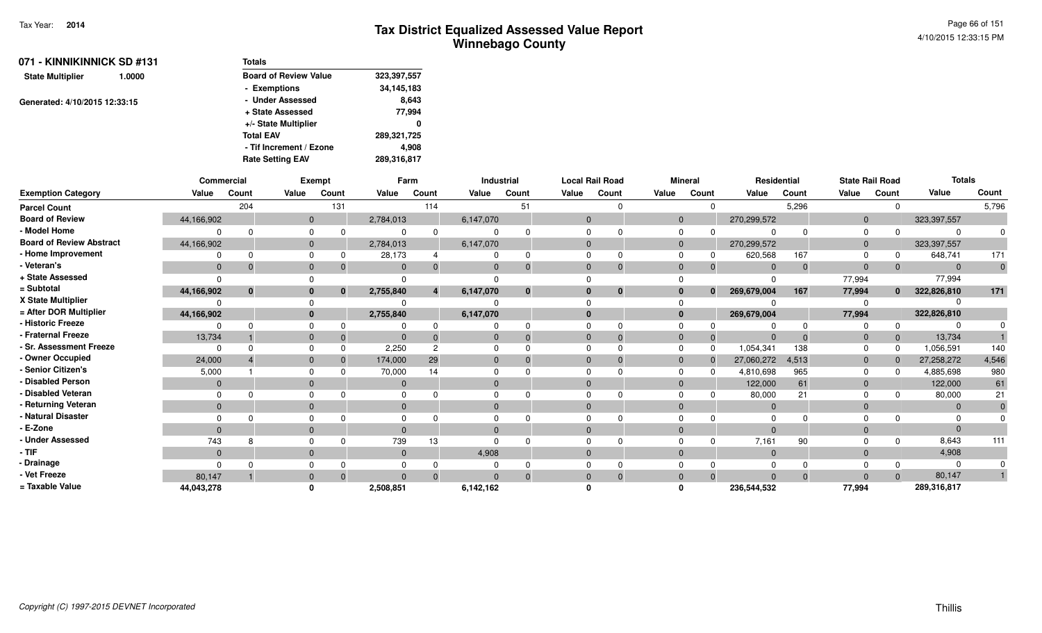Page 66 of 1514/10/2015 12:33:15 PM

| 071 - KINNIKINNICK SD #131    |        | Totals                       |             |  |  |  |
|-------------------------------|--------|------------------------------|-------------|--|--|--|
| <b>State Multiplier</b>       | 1.0000 | <b>Board of Review Value</b> | 323,397,557 |  |  |  |
|                               |        | - Exemptions                 | 34,145,183  |  |  |  |
| Generated: 4/10/2015 12:33:15 |        | - Under Assessed             | 8,643       |  |  |  |
|                               |        | + State Assessed             | 77.994      |  |  |  |
|                               |        | +/- State Multiplier         | 0           |  |  |  |
|                               |        | <b>Total EAV</b>             | 289,321,725 |  |  |  |
|                               |        | - Tif Increment / Ezone      | 4.908       |  |  |  |
|                               |        | <b>Rate Setting EAV</b>      | 289,316,817 |  |  |  |

|                                 |              | Commercial |              | Exempt       |              | Farm     |              | Industrial   |              | <b>Local Rail Road</b> |       | <b>Mineral</b> |                             | Residential                |                | <b>State Rail Road</b> | <b>Totals</b>  |              |
|---------------------------------|--------------|------------|--------------|--------------|--------------|----------|--------------|--------------|--------------|------------------------|-------|----------------|-----------------------------|----------------------------|----------------|------------------------|----------------|--------------|
| <b>Exemption Category</b>       | Value        | Count      | Value        | Count        | Value        | Count    | Value        | Count        | Value        | Count                  | Value | Count          | Value                       | Count                      | Value          | Count                  | Value          | Count        |
| <b>Parcel Count</b>             |              | 204        |              | 131          |              | 114      |              | 51           |              |                        |       |                | $\Omega$                    | 5,296                      |                | 0                      |                | 5,796        |
| <b>Board of Review</b>          | 44,166,902   |            | $\mathbf 0$  |              | 2,784,013    |          | 6,147,070    |              | $\mathbf{0}$ |                        |       | $\mathbf{0}$   | 270,299,572                 |                            | $\mathbf{0}$   |                        | 323, 397, 557  |              |
| - Model Home                    |              |            | 0            |              | 0            | $\Omega$ | 0            |              |              |                        |       | 0              |                             | $\Omega$<br>$\Omega$       | $\mathbf 0$    | $\Omega$               |                |              |
| <b>Board of Review Abstract</b> | 44,166,902   |            | $\mathbf 0$  |              | 2,784,013    |          | 6,147,070    |              | $\mathbf{0}$ |                        |       | $\mathbf 0$    | 270,299,572                 |                            | $\mathbf{0}$   |                        | 323, 397, 557  |              |
| - Home Improvement              |              |            | $\Omega$     |              | 28,173       |          | $\Omega$     |              |              |                        |       | $\Omega$       | 620,568                     | 167                        | $\Omega$       | 0                      | 648,741        | 171          |
| - Veteran's                     | $\Omega$     |            | $\mathbf 0$  |              | $\mathbf{0}$ | $\Omega$ | $\mathbf{0}$ |              | $\mathbf{0}$ |                        |       | $\mathbf 0$    |                             | $\Omega$<br>$\overline{0}$ | $\overline{0}$ | $\Omega$               | $\overline{0}$ | $\mathbf{0}$ |
| + State Assessed                | $\Omega$     |            | $\Omega$     |              | $\Omega$     |          | $\Omega$     |              |              |                        |       |                |                             | ∩                          | 77,994         |                        | 77,994         |              |
| = Subtotal                      | 44,166,902   | $\bf{0}$   |              | $\mathbf{0}$ | 2,755,840    |          | 6,147,070    | $\mathbf{0}$ | $\mathbf{0}$ | $\Omega$               |       | $\bf{0}$       | 269,679,004<br>$\mathbf{0}$ | 167                        | 77,994         | $\bf{0}$               | 322,826,810    | 171          |
| X State Multiplier              |              |            | $\Omega$     |              | 0            |          | 0            |              |              |                        |       |                |                             |                            |                |                        |                |              |
| = After DOR Multiplier          | 44,166,902   |            |              | $\mathbf{0}$ | 2,755,840    |          | 6,147,070    |              | $\bf{0}$     |                        |       | $\bf{0}$       | 269,679,004                 |                            | 77,994         |                        | 322,826,810    |              |
| - Historic Freeze               |              |            | $\Omega$     |              | 0            | $\Omega$ | 0            |              |              |                        |       | 0              |                             | $\Omega$<br>U              | 0              | $\Omega$               |                |              |
| - Fraternal Freeze              | 13,734       |            | $\mathbf 0$  | -0           | $\mathbf{0}$ | $\Omega$ | $\mathbf 0$  |              | $\mathbf{0}$ |                        |       | $\mathbf 0$    |                             | $\mathbf 0$<br>$\Omega$    | $\mathbf{0}$   | $\mathbf{0}$           | 13,734         |              |
| - Sr. Assessment Freeze         | $\Omega$     |            | $\Omega$     |              | 2,250        | 2        | $\Omega$     |              |              |                        |       | $\mathbf 0$    | 1,054,341<br>$\Omega$       | 138                        | $\Omega$       | $\Omega$               | 1,056,591      | 140          |
| - Owner Occupied                | 24,000       |            |              | $\mathbf{0}$ | 174,000      | 29       | $\mathbf{0}$ |              | $\Omega$     |                        |       | $\mathbf{0}$   | 27,060,272                  | 4,513                      | $\mathbf{0}$   | $\Omega$               | 27,258,272     | 4,546        |
| - Senior Citizen's              | 5,000        |            | 0            |              | 70,000       | 14       | 0            |              |              |                        |       | $\Omega$       | 4,810,698                   | 965                        | $\mathbf 0$    | $\Omega$               | 4,885,698      | 980          |
| - Disabled Person               | $\Omega$     |            | $\mathbf{0}$ |              | $\mathbf{0}$ |          | $\mathbf{0}$ |              | $\Omega$     |                        |       | $\mathbf{0}$   | 122,000                     | 61                         | $\mathbf{0}$   |                        | 122,000        | 61           |
| - Disabled Veteran              | $\Omega$     |            | $\Omega$     |              | $\Omega$     |          | $\Omega$     |              |              |                        |       | $\Omega$       | 80,000                      | 21                         | $\Omega$       |                        | 80,000         | 21           |
| - Returning Veteran             | $\Omega$     |            | $\mathbf 0$  |              | $\mathbf{0}$ |          | $\mathbf{0}$ |              | $\Omega$     |                        |       | $\mathbf{0}$   |                             | $\mathbf 0$                | $\mathbf 0$    |                        | $\Omega$       | $\mathbf{0}$ |
| - Natural Disaster              |              |            | 0            |              | 0            |          | 0            |              |              |                        |       |                |                             |                            | 0              |                        |                |              |
| - E-Zone                        | $\Omega$     |            |              | $\mathbf{0}$ | $\Omega$     |          | $\mathbf{0}$ |              | $\Omega$     |                        |       | $\mathbf{0}$   |                             | $\Omega$                   | $\mathbf 0$    |                        |                |              |
| - Under Assessed                | 743          |            | $\Omega$     |              | 739          | 13       | $\Omega$     |              |              |                        |       |                |                             | 7,161<br>90                | $\Omega$       | <sup>0</sup>           | 8,643          | 111          |
| $-$ TIF                         | $\mathbf{0}$ |            | $\mathbf 0$  |              | $\mathbf{0}$ |          | 4,908        |              | $\mathbf{0}$ |                        |       | $\mathbf{0}$   |                             | $\overline{0}$             | $\mathbf{0}$   |                        | 4,908          |              |
| - Drainage                      | $\Omega$     |            | 0            |              | 0            |          | 0            |              |              |                        |       | $\mathbf 0$    |                             | $\Omega$<br>$\Omega$       | 0              | $\Omega$               |                |              |
| - Vet Freeze                    | 80,147       |            | $\mathbf{0}$ |              | $\Omega$     | - 0      | $\Omega$     |              | $\Omega$     |                        |       | $\mathbf{0}$   | $\Omega$                    | $\mathbf{0}$<br>$\Omega$   | $\Omega$       | $\Omega$               | 80,147         |              |
| = Taxable Value                 | 44,043,278   |            | $\bf{0}$     |              | 2,508,851    |          | 6,142,162    |              |              |                        |       | $\mathbf{0}$   | 236,544,532                 |                            | 77,994         |                        | 289,316,817    |              |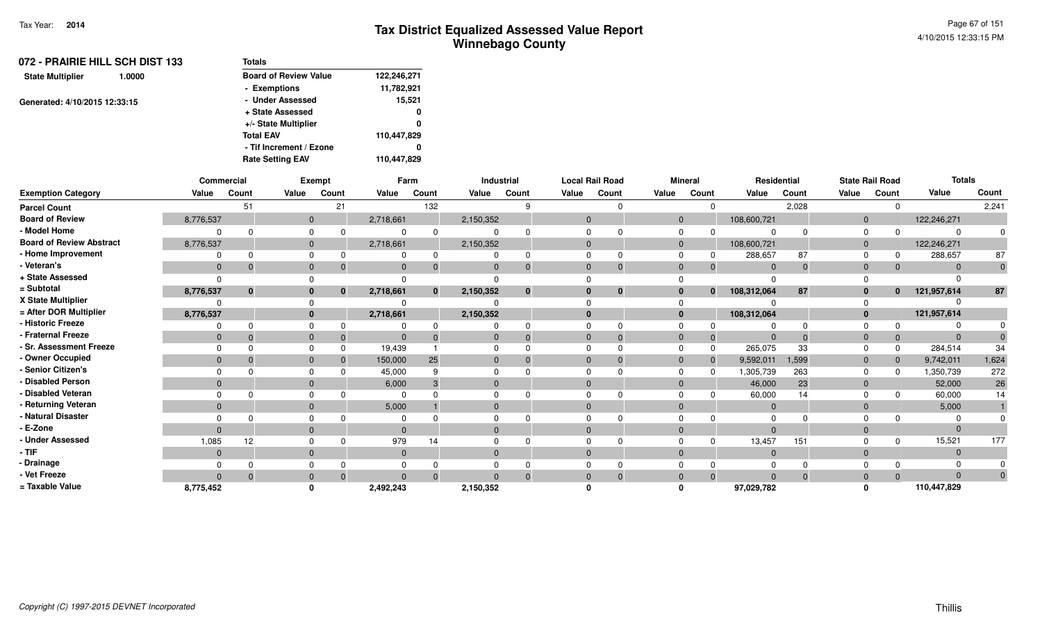| 072 - PRAIRIE HILL SCH DIST 133   | <b>Totals</b>                |             |
|-----------------------------------|------------------------------|-------------|
| <b>State Multiplier</b><br>1.0000 | <b>Board of Review Value</b> | 122,246,271 |
|                                   | - Exemptions                 | 11,782,921  |
| Generated: 4/10/2015 12:33:15     | - Under Assessed             | 15,521      |
|                                   | + State Assessed             | 0           |
|                                   | +/- State Multiplier         | 0           |
|                                   | <b>Total EAV</b>             | 110,447,829 |
|                                   | - Tif Increment / Ezone      | 0           |
|                                   | <b>Rate Setting EAV</b>      | 110,447,829 |
|                                   |                              |             |

|                                 |                | Commercial   |              | <b>Exempt</b> |                | Farm         |                | Industrial |                | <b>Local Rail Road</b> |       | <b>Mineral</b>              |                | Residential |              | <b>State Rail Road</b> | <b>Totals</b> |             |
|---------------------------------|----------------|--------------|--------------|---------------|----------------|--------------|----------------|------------|----------------|------------------------|-------|-----------------------------|----------------|-------------|--------------|------------------------|---------------|-------------|
| <b>Exemption Category</b>       | Value          | Count        | Value        | Count         | Value          | Count        | Value          | Count      | Value          | Count                  | Value | Count                       | Value          | Count       | Value        | Count                  | Value         | Count       |
| <b>Parcel Count</b>             |                | 51           |              | 21            |                | 132          |                | q          |                | $\Omega$               |       | $\Omega$                    |                | 2,028       |              | $\Omega$               |               | 2,241       |
| <b>Board of Review</b>          | 8,776,537      |              | $\mathbf{0}$ |               | 2,718,661      |              | 2,150,352      |            | $\mathbf{0}$   |                        |       | $\mathbf{0}$                | 108,600,721    |             | $\mathbf 0$  |                        | 122,246,271   |             |
| - Model Home                    |                |              |              |               |                | $\Omega$     | $\Omega$       |            | $\Omega$       |                        |       | $\mathbf 0$<br>$\Omega$     | $\Omega$       | $\Omega$    | $\Omega$     | $\Omega$               |               |             |
| <b>Board of Review Abstract</b> | 8,776,537      |              | $\mathbf{0}$ |               | 2,718,661      |              | 2,150,352      |            | $\mathbf 0$    |                        |       | $\mathbf{0}$                | 108,600,721    |             | $\mathbf 0$  |                        | 122,246,271   |             |
| - Home Improvement              |                |              | 0            |               | 0              | $\Omega$     | 0              | $\Omega$   | $\Omega$       | 0                      |       | $\mathbf 0$<br>0            | 288,657        | 87          | $\mathbf 0$  | 0                      | 288,657       | 87          |
| - Veteran's                     | $\mathbf{0}$   |              | $\mathbf{0}$ |               | $\mathbf{0}$   |              | $\mathbf{0}$   |            | $\mathbf 0$    | $\mathbf 0$            |       | $\mathbf{0}$<br>$\Omega$    | $\overline{0}$ | $\mathbf 0$ | $\mathbf{0}$ | $\Omega$               | $\Omega$      | $\mathbf 0$ |
| + State Assessed                |                |              |              |               |                |              |                |            |                |                        |       |                             |                |             |              |                        |               |             |
| = Subtotal                      | 8,776,537      | $\mathbf{0}$ | $\bf{0}$     |               | 2,718,661      | $\mathbf{0}$ | 2,150,352      | $\bf{0}$   | $\mathbf{0}$   | $\mathbf{0}$           |       | $\bf{0}$<br>$\bf{0}$        | 108,312,064    | 87          | $\bf{0}$     | $\mathbf{0}$           | 121,957,614   | 87          |
| X State Multiplier              |                |              |              |               |                |              |                |            |                |                        |       | $\Omega$                    |                |             |              |                        |               |             |
| = After DOR Multiplier          | 8,776,537      |              | $\mathbf{0}$ |               | 2,718,661      |              | 2,150,352      |            | $\bf{0}$       |                        |       | $\bf{0}$                    | 108,312,064    |             | $\mathbf{0}$ |                        | 121,957,614   |             |
| - Historic Freeze               |                |              |              |               |                |              |                |            | $\Omega$       | $\Omega$               |       | $\mathbf 0$<br>0            |                | $\Omega$    | $\Omega$     |                        |               |             |
| - Fraternal Freeze              | $\mathbf{0}$   |              | $\mathbf{0}$ |               | $\Omega$       |              | $\overline{0}$ | $\Omega$   | $\overline{0}$ | $\Omega$               |       | $\mathbf 0$<br>$\mathbf{0}$ | $\Omega$       | $\Omega$    | $\mathbf 0$  | $\Omega$               |               |             |
| - Sr. Assessment Freeze         |                |              | $\Omega$     |               | 19,439         |              | $\Omega$       |            | $\Omega$       | $\Omega$               |       | $\Omega$<br>$\Omega$        | 265,075        | 33          | $\Omega$     | $\Omega$               | 284,514       | 34          |
| - Owner Occupied                | $\Omega$       |              | $\Omega$     |               | 150,000        | 25           | $\mathbf{0}$   |            | $\mathbf{0}$   | $\Omega$               |       | $\mathbf{0}$<br>$\Omega$    | 9,592,011      | 1,599       | $\mathbf 0$  | $\Omega$               | 9,742,011     | 1,624       |
| - Senior Citizen's              |                |              |              |               | 45,000         |              | $\Omega$       |            | $\Omega$       |                        |       | $\Omega$<br><sup>0</sup>    | 1,305,739      | 263         | 0            | <sup>0</sup>           | 1,350,739     | 272         |
| <b>Disabled Person</b>          | $\Omega$       |              | $\mathbf{0}$ |               | 6,000          |              | $\mathbf{0}$   |            | $\Omega$       |                        |       | $\mathbf{0}$                | 46,000         | 23          | $\mathbf{0}$ |                        | 52,000        | 26          |
| - Disabled Veteran              |                |              |              |               | $\Omega$       |              | $\Omega$       |            | $\Omega$       | $\Omega$               |       | $\mathbf 0$                 | 60,000         | 14          | $\Omega$     | <sup>0</sup>           | 60,000        | 14          |
| - Returning Veteran             | $\mathbf{0}$   |              | $\mathbf{0}$ |               | 5,000          |              | $\mathbf 0$    |            | $\mathbf{0}$   |                        |       | $\mathbf{0}$                | $\overline{0}$ |             | $\mathbf 0$  |                        | 5,000         |             |
| - Natural Disaster              |                |              |              |               | $\Omega$       |              | $\Omega$       |            | $\Omega$       |                        |       | $\Omega$                    |                |             |              |                        |               |             |
| - E-Zone                        | $\overline{0}$ |              | $\mathbf{0}$ |               | $\overline{0}$ |              | $\mathbf 0$    |            | $\Omega$       |                        |       | $\overline{0}$              | $\Omega$       |             | $\mathbf{0}$ |                        |               |             |
| <b>Under Assessed</b>           | 1,085          | 12           |              |               | 979            | 14           | $\Omega$       |            | $\Omega$       | $\Omega$               |       | $\Omega$<br>$\Omega$        | 13,457         | 151         |              | $\Omega$               | 15,521        | 177         |
| - TIF-                          | $\mathbf{0}$   |              | $\mathbf{0}$ |               | $\mathbf{0}$   |              | $\mathbf 0$    |            | $\mathbf 0$    |                        |       | $\mathbf{0}$                | $\overline{0}$ |             | $\mathbf 0$  |                        | $\Omega$      |             |
| - Drainage                      |                |              |              |               |                |              |                |            | $\Omega$       |                        |       | $\Omega$                    |                |             |              |                        |               |             |
| - Vet Freeze                    |                |              |              |               | $\Omega$       |              | $\Omega$       |            | $\Omega$       | $\Omega$               |       | $\mathbf{0}$<br>$\Omega$    | $\Omega$       | $\Omega$    | $\mathbf{0}$ | $\Omega$               | $\Omega$      |             |
| = Taxable Value                 | 8,775,452      |              |              |               | 2,492,243      |              | 2,150,352      |            |                |                        |       | O                           | 97,029,782     |             |              |                        | 110,447,829   |             |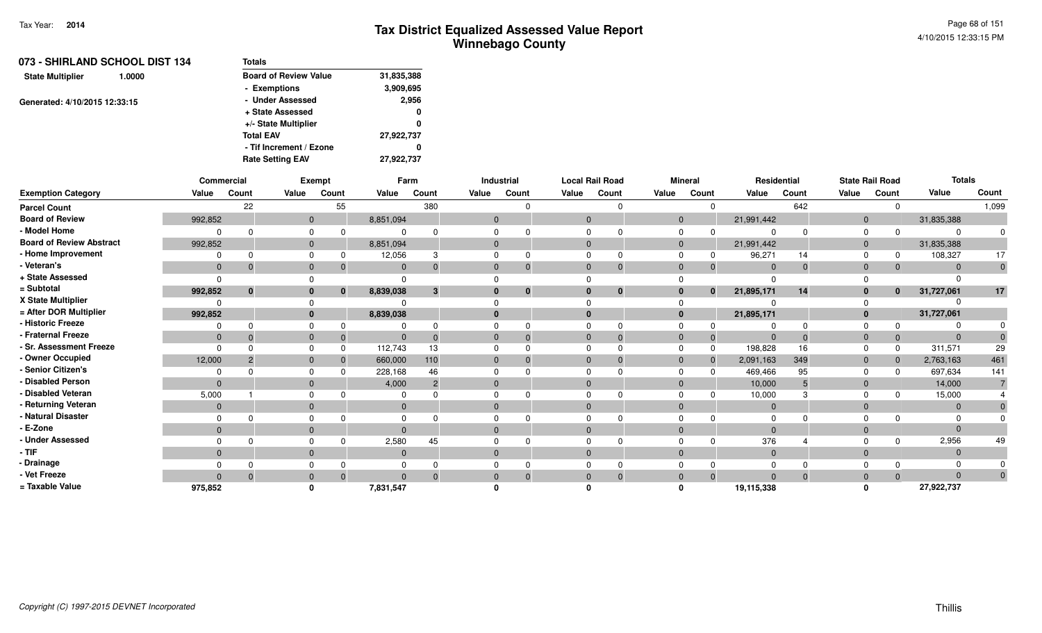| 073 - SHIRLAND SCHOOL DIST 134<br><b>Totals</b> |            |  |  |
|-------------------------------------------------|------------|--|--|
| <b>Board of Review Value</b>                    | 31,835,388 |  |  |
| - Exemptions                                    | 3,909,695  |  |  |
| - Under Assessed                                | 2,956      |  |  |
| + State Assessed                                | 0          |  |  |
| +/- State Multiplier                            | 0          |  |  |
| <b>Total EAV</b>                                | 27,922,737 |  |  |
| - Tif Increment / Ezone                         | 0          |  |  |
| <b>Rate Setting EAV</b>                         | 27,922,737 |  |  |
|                                                 |            |  |  |

|                                 |                | <b>Commercial</b> |              | <b>Exempt</b> |                | Farm           |              | <b>Industrial</b> | <b>Local Rail Road</b> |              |                | <b>Mineral</b> |                | Residential  |              | <b>State Rail Road</b> | <b>Totals</b> |                |
|---------------------------------|----------------|-------------------|--------------|---------------|----------------|----------------|--------------|-------------------|------------------------|--------------|----------------|----------------|----------------|--------------|--------------|------------------------|---------------|----------------|
| <b>Exemption Category</b>       | Value          | Count             | Value        | Count         | Value          | Count          | Value        | Count             | Value                  | Count        | Value          | Count          | Value          | Count        | Value        | Count                  | Value         | Count          |
| <b>Parcel Count</b>             |                | 22                |              | 55            |                | 380            |              | $\Omega$          |                        | $\Omega$     |                | $\Omega$       |                | 642          |              | $\Omega$               |               | 1,099          |
| <b>Board of Review</b>          | 992,852        |                   |              | $\mathbf{0}$  | 8,851,094      |                | $\mathbf 0$  |                   | $\mathbf{0}$           |              | $\mathbf{0}$   |                | 21,991,442     |              | $\mathbf 0$  |                        | 31,835,388    |                |
| - Model Home                    |                |                   |              | 0             | $\Omega$       |                | $\Omega$     |                   | $\Omega$               |              | 0              | $\Omega$       | $\Omega$       | $\Omega$     | 0            | $\Omega$               | O             |                |
| <b>Board of Review Abstract</b> | 992,852        |                   |              | $\mathbf{0}$  | 8,851,094      |                | $\mathbf 0$  |                   | $\mathbf 0$            |              | $\mathbf{0}$   |                | 21,991,442     |              | $\mathbf 0$  |                        | 31,835,388    |                |
| - Home Improvement              |                |                   |              | $\Omega$      | 12,056         |                | $\Omega$     |                   | $\Omega$               | $\Omega$     | $\mathbf 0$    | 0              | 96,271         | 14           | $\Omega$     | 0                      | 108,327       | 17             |
| - Veteran's                     | $\mathbf{0}$   |                   |              | $\mathbf{0}$  | $\mathbf{0}$   |                | $\mathbf 0$  |                   | $\mathbf 0$            | $\mathbf{0}$ | $\mathbf{0}$   | $\Omega$       | $\mathbf{0}$   | $\mathbf{0}$ | $\mathbf 0$  | $\Omega$               | $\Omega$      | $\mathbf 0$    |
| + State Assessed                | $\Omega$       |                   |              |               | $\Omega$       |                |              |                   | ∩                      |              | $\Omega$       |                | $\Omega$       |              |              |                        |               |                |
| = Subtotal                      | 992,852        | $\mathbf{0}$      |              | $\bf{0}$      | 8,839,038      | 3              | $\bf{0}$     | $\bf{0}$          | $\bf{0}$               | $\bf{0}$     | $\mathbf{0}$   | $\bf{0}$       | 21,895,171     | 14           | $\bf{0}$     | $\mathbf 0$            | 31,727,061    | 17             |
| X State Multiplier              |                |                   |              |               |                |                |              |                   |                        |              | $\Omega$       |                |                |              |              |                        |               |                |
| = After DOR Multiplier          | 992,852        |                   |              | $\mathbf{0}$  | 8,839,038      |                | $\bf{0}$     |                   | $\bf{0}$               |              | $\bf{0}$       |                | 21,895,171     |              | $\mathbf{0}$ |                        | 31,727,061    |                |
| - Historic Freeze               |                |                   |              |               |                |                | $\Omega$     |                   | $\Omega$               | $\Omega$     | $\mathbf 0$    | $\Omega$       | ∩              | $\Omega$     | $\Omega$     |                        |               |                |
| - Fraternal Freeze              | $\mathbf{0}$   |                   |              | $\mathbf{0}$  | $\Omega$       |                | $\mathbf 0$  | 0                 | $\mathbf 0$            | $\mathbf{0}$ | $\mathbf{0}$   | $\mathbf 0$    | $\Omega$       | $\mathbf 0$  | $\mathbf 0$  | 0                      |               |                |
| - Sr. Assessment Freeze         | $\Omega$       |                   |              | $\Omega$      | 112,743        | 13             | $\Omega$     |                   | $\Omega$               | $\Omega$     | $\mathbf 0$    | $\Omega$       | 198,828        | 16           | $\Omega$     | $\Omega$               | 311,571       | 29             |
| - Owner Occupied                | 12,000         |                   |              | $\mathbf{0}$  | 660,000        | 110            | $\mathbf{0}$ |                   | $\mathbf{0}$           | $\mathbf 0$  | $\mathbf{0}$   | $\Omega$       | 2,091,163      | 349          | $\mathbf 0$  | $\overline{0}$         | 2,763,163     | 461            |
| - Senior Citizen's              |                |                   |              | $\Omega$      | 228,168        | 46             | $\mathbf 0$  |                   | $\Omega$               |              | $\mathbf 0$    |                | 469,466        | 95           | $\Omega$     | $\Omega$               | 697,634       | 141            |
| - Disabled Person               | $\overline{0}$ |                   | $\mathbf{0}$ |               | 4,000          | $\overline{2}$ | $\mathbf 0$  |                   | $\mathbf{0}$           |              | $\mathbf{0}$   |                | 10,000         | 5            | $\mathbf{0}$ |                        | 14,000        | $\overline{7}$ |
| - Disabled Veteran              | 5,000          |                   | $\Omega$     |               | $\Omega$       |                | $\Omega$     |                   | $\Omega$               | $\Omega$     | $\Omega$       |                | 10,000         | 3            | $\Omega$     |                        | 15,000        |                |
| - Returning Veteran             | $\mathbf{0}$   |                   |              | $\mathbf{0}$  | $\mathbf{0}$   |                | $\mathbf{0}$ |                   | $\mathbf{0}$           |              | $\mathbf{0}$   |                | $\overline{0}$ |              | $\mathbf{0}$ |                        | $\Omega$      |                |
| - Natural Disaster              |                |                   |              |               | $\Omega$       |                | $\Omega$     |                   | $\Omega$               |              | $\Omega$       |                |                |              |              |                        |               |                |
| - E-Zone                        | $\mathbf{0}$   |                   | $\mathbf{0}$ |               | $\overline{0}$ |                | $\Omega$     |                   | $\mathbf{0}$           |              | $\mathbf{0}$   |                | $\Omega$       |              | $\mathbf{0}$ |                        |               |                |
| <b>Under Assessed</b>           |                |                   |              |               | 2,580          | 45             | $\Omega$     |                   | $\Omega$               | $\Omega$     | $\Omega$       | $\Omega$       | 376            |              |              | $\Omega$               | 2,956         | 49             |
| - TIF                           | $\Omega$       |                   |              | $\mathbf{0}$  | $\mathbf{0}$   |                | $\mathbf 0$  |                   | $\mathbf 0$            |              | $\mathbf{0}$   |                | $\mathbf{0}$   |              | $\mathbf 0$  |                        | $\Omega$      |                |
| - Drainage                      |                |                   |              |               |                |                | $\Omega$     |                   | $\Omega$               |              | $\mathbf 0$    |                |                |              |              |                        |               |                |
| - Vet Freeze                    |                |                   | $\Omega$     |               | $\Omega$       |                | $\Omega$     | $\Omega$          | $\Omega$               | $\Omega$     | $\overline{0}$ | $\Omega$       | $\Omega$       | $\Omega$     | $\mathbf{0}$ | $\Omega$               | $\Omega$      |                |
| = Taxable Value                 | 975,852        |                   |              |               | 7,831,547      |                |              |                   |                        |              | O              |                | 19,115,338     |              |              |                        | 27,922,737    |                |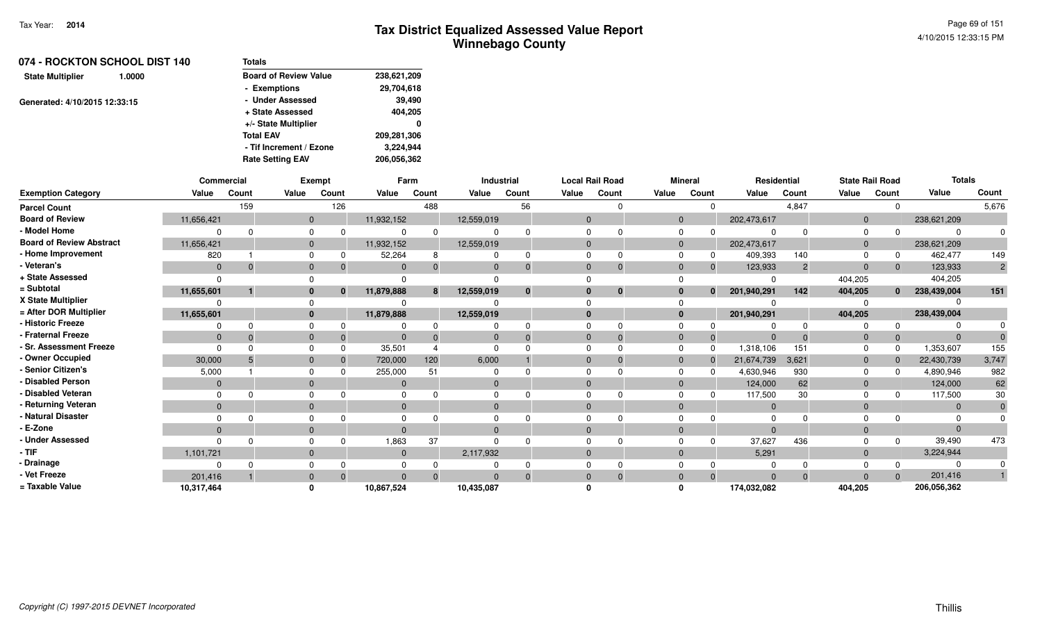| 074 - ROCKTON SCHOOL DIST 140     | <b>Totals</b>                |             |
|-----------------------------------|------------------------------|-------------|
| <b>State Multiplier</b><br>1.0000 | <b>Board of Review Value</b> | 238,621,209 |
|                                   | - Exemptions                 | 29,704,618  |
| Generated: 4/10/2015 12:33:15     | - Under Assessed             | 39,490      |
|                                   | + State Assessed             | 404,205     |
|                                   | +/- State Multiplier         | 0           |
|                                   | <b>Total EAV</b>             | 209,281,306 |
|                                   | - Tif Increment / Ezone      | 3,224,944   |
|                                   | <b>Rate Setting EAV</b>      | 206.056.362 |

|                                 | <b>Commercial</b> |       |              | Exempt       |            | Farm  |            | <b>Industrial</b> |          | <b>Local Rail Road</b> |              | <b>Mineral</b> | <b>Residential</b> |                | <b>State Rail Road</b> |              | <b>Totals</b> |       |
|---------------------------------|-------------------|-------|--------------|--------------|------------|-------|------------|-------------------|----------|------------------------|--------------|----------------|--------------------|----------------|------------------------|--------------|---------------|-------|
| <b>Exemption Category</b>       | Value             | Count | Value        | Count        | Value      | Count | Value      | Count             | Value    | Count                  | Value        | Count          | Value              | Count          | Value                  | Count        | Value         | Count |
| <b>Parcel Count</b>             |                   | 159   |              | 126          |            | 488   |            | 56                |          |                        |              | $\Omega$       |                    | 4,847          |                        | $\Omega$     |               | 5,676 |
| <b>Board of Review</b>          | 11,656,421        |       | $\Omega$     |              | 11,932,152 |       | 12,559,019 |                   | $\Omega$ |                        | $\Omega$     |                | 202,473,617        |                | $\overline{0}$         |              | 238,621,209   |       |
| - Model Home                    |                   |       | 0            |              |            |       |            |                   |          |                        |              |                |                    |                | $\Omega$               |              |               |       |
| <b>Board of Review Abstract</b> | 11,656,421        |       | $\Omega$     |              | 11,932,152 |       | 12,559,019 |                   |          |                        | $\Omega$     |                | 202,473,617        |                | $\Omega$               |              | 238,621,209   |       |
| - Home Improvement              | 820               |       | $\Omega$     |              | 52,264     |       |            | 0                 |          |                        | <sup>n</sup> | 0              | 409,393            | 140            | $\Omega$               | 0            | 462,477       | 149   |
| - Veteran's                     | $\mathbf{0}$      |       | $\Omega$     |              | $\Omega$   |       | $\Omega$   | $\mathbf{0}$      | $\Omega$ |                        | $\Omega$     | $\mathbf{0}$   | 123,933            | $\overline{2}$ | $\Omega$               | $\mathbf{0}$ | 123,933       |       |
| + State Assessed                |                   |       |              |              |            |       |            |                   |          |                        |              |                |                    |                | 404,205                |              | 404,205       |       |
| = Subtotal                      | 11,655,601        |       | $\bf{0}$     | $\mathbf{0}$ | 11,879,888 | 8     | 12,559,019 | $\mathbf{0}$      |          | $\bf{0}$               | $\bf{0}$     | $\bf{0}$       | 201,940,291        | 142            | 404,205                | $\mathbf{0}$ | 238,439,004   | 151   |
| X State Multiplier              |                   |       |              |              |            |       |            |                   |          |                        |              |                |                    |                |                        |              |               |       |
| = After DOR Multiplier          | 11,655,601        |       | $\mathbf{0}$ |              | 11,879,888 |       | 12,559,019 |                   | $\Omega$ |                        | $\bf{0}$     |                | 201,940,291        |                | 404,205                |              | 238,439,004   |       |
| - Historic Freeze               |                   |       | <sup>n</sup> |              |            |       |            |                   |          |                        |              |                |                    |                |                        | <sup>0</sup> |               |       |
| - Fraternal Freeze              | $\mathbf{0}$      |       | $\mathbf{0}$ |              |            |       |            | $\Omega$          |          |                        | $\Omega$     | 0              |                    |                | $\mathbf 0$            | $\mathbf{0}$ |               |       |
| - Sr. Assessment Freeze         |                   |       | $\Omega$     |              | 35,501     |       |            |                   |          |                        | $\Omega$     | $\Omega$       | 1,318,106          | 151            |                        | $\Omega$     | 1,353,607     | 155   |
| - Owner Occupied                | 30,000            |       | $\mathbf{0}$ |              | 720,000    | 120   | 6,000      |                   |          |                        | $\Omega$     |                | 21,674,739         | 3,621          | $\overline{0}$         | $\mathbf{0}$ | 22,430,739    | 3,747 |
| - Senior Citizen's              | 5,000             |       |              |              | 255,000    | 51    |            |                   |          |                        |              |                | 4,630,946          | 930            | $\Omega$               | <sup>0</sup> | 4,890,946     | 982   |
| - Disabled Person               | $\Omega$          |       | $\Omega$     |              |            |       | $\Omega$   |                   |          |                        | $\Omega$     |                | 124,000            | 62             | $\Omega$               |              | 124,000       | 62    |
| - Disabled Veteran              |                   |       | $\Omega$     |              |            |       |            |                   |          |                        | $\Omega$     |                | 117,500            | 30             | $\Omega$               |              | 117,500       | 30    |
| - Returning Veteran             | $\Omega$          |       | $\Omega$     |              | $\Omega$   |       | $\Omega$   |                   | $\Omega$ |                        | $\Omega$     |                | $\overline{0}$     |                | $\Omega$               |              | $\Omega$      |       |
| - Natural Disaster              |                   |       |              |              |            |       |            |                   |          |                        |              |                |                    |                |                        |              |               |       |
| - E-Zone                        | $\Omega$          |       | $\Omega$     |              |            |       | $\Omega$   |                   |          |                        | $\Omega$     |                |                    |                | $\Omega$               |              |               |       |
| - Under Assessed                |                   |       | $\Omega$     |              | 1,863      | 37    |            |                   |          |                        |              |                | 37,627             | 436            |                        | $\Omega$     | 39,490        | 473   |
| · TIF                           | 1,101,721         |       | $\Omega$     |              | $\Omega$   |       | 2,117,932  |                   | $\Omega$ |                        | $\Omega$     |                | 5,291              |                | $\overline{0}$         |              | 3,224,944     |       |
| - Drainage                      |                   |       |              |              |            |       |            |                   |          |                        |              |                |                    |                |                        |              |               |       |
| - Vet Freeze                    | 201,416           |       | $\Omega$     |              |            |       |            | $\Omega$          |          |                        | $\Omega$     | $\Omega$       |                    |                | $\Omega$               | $\Omega$     | 201,416       |       |
| = Taxable Value                 | 10,317,464        |       |              |              | 10,867,524 |       | 10,435,087 |                   |          |                        |              |                | 174,032,082        |                | 404,205                |              | 206,056,362   |       |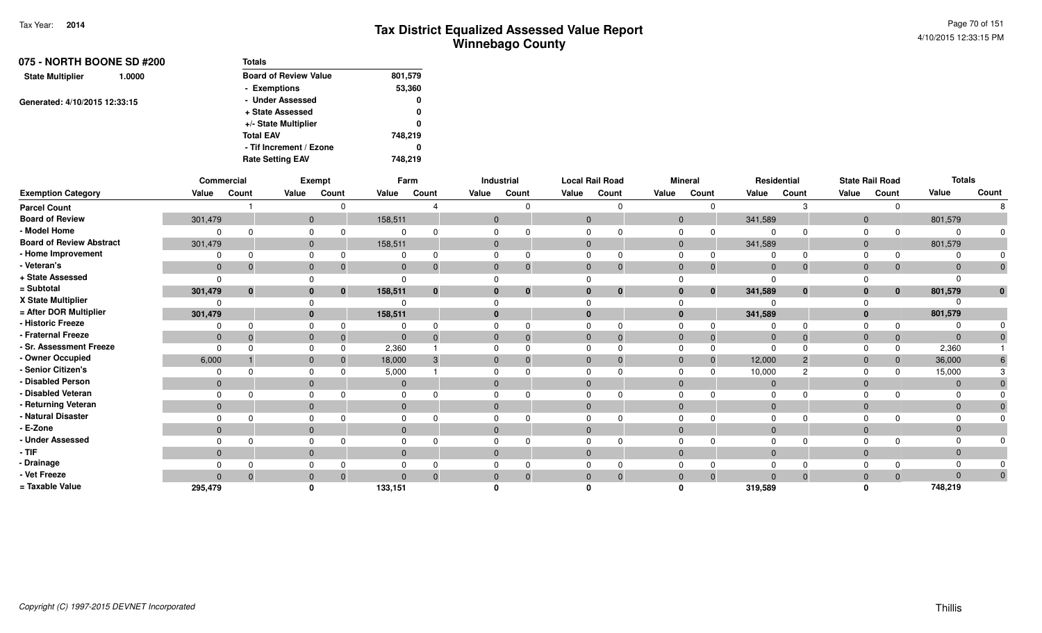| 075 - NORTH BOONE SD #200         | Totals                       |         |
|-----------------------------------|------------------------------|---------|
| <b>State Multiplier</b><br>1.0000 | <b>Board of Review Value</b> | 801,579 |
|                                   | - Exemptions                 | 53,360  |
| Generated: 4/10/2015 12:33:15     | - Under Assessed             | 0       |
|                                   | + State Assessed             | 0       |
|                                   | +/- State Multiplier         | 0       |
|                                   | <b>Total EAV</b>             | 748.219 |
|                                   | - Tif Increment / Ezone      | 0       |
|                                   | <b>Rate Setting EAV</b>      | 748.219 |

|                                 |              | Commercial   |              | <b>Exempt</b> |              | Farm         |              | Industrial |                | <b>Local Rail Road</b> |             | <b>Mineral</b> |                | Residential    |                | <b>State Rail Road</b> | <b>Totals</b> |       |
|---------------------------------|--------------|--------------|--------------|---------------|--------------|--------------|--------------|------------|----------------|------------------------|-------------|----------------|----------------|----------------|----------------|------------------------|---------------|-------|
| <b>Exemption Category</b>       | Value        | Count        | Value        | Count         | Value        | Count        | Value        | Count      | Value          | Count                  | Value       | Count          | Value          | Count          | Value          | Count                  | Value         | Count |
| <b>Parcel Count</b>             |              |              |              |               |              |              |              |            |                |                        |             |                |                |                |                |                        |               |       |
| <b>Board of Review</b>          | 301,479      |              | $\mathbf{0}$ |               | 158,511      |              | $\mathbf{0}$ |            | $\overline{0}$ |                        | $\Omega$    |                | 341,589        |                | $\mathbf{0}$   |                        | 801,579       |       |
| - Model Home                    |              |              |              |               |              | $\Omega$     |              |            | $\Omega$       |                        |             |                |                |                | $\Omega$       | $\Omega$               |               |       |
| <b>Board of Review Abstract</b> | 301,479      |              |              |               | 158,511      |              |              |            | $\Omega$       |                        | $\mathbf 0$ |                | 341,589        |                | $\overline{0}$ |                        | 801,579       |       |
| - Home Improvement              |              |              |              |               |              | $\Omega$     |              |            |                | 0                      |             |                |                | $\Omega$       |                | 0                      |               |       |
| - Veteran's                     | $\mathbf 0$  | $\Omega$     |              |               | $\mathbf{0}$ | $\Omega$     | $\Omega$     | 0          | $\Omega$       | $\mathbf{0}$           | $\Omega$    | 0              | $\overline{0}$ | $\Omega$       | $\mathbf{0}$   | $\mathbf{0}$           |               |       |
| + State Assessed                |              |              |              |               |              |              |              |            |                |                        |             |                |                |                |                |                        |               |       |
| = Subtotal                      | 301,479      | $\mathbf{0}$ |              | $\bf{0}$      | 158,511      | $\bf{0}$     |              | $\bf{0}$   | $\bf{0}$       | $\mathbf 0$            | $\bf{0}$    | $\bf{0}$       | 341,589        | $\bf{0}$       | $\bf{0}$       | $\mathbf{0}$           | 801,579       |       |
| X State Multiplier              |              |              |              |               |              |              |              |            |                |                        |             |                |                |                |                |                        |               |       |
| = After DOR Multiplier          | 301,479      |              |              |               | 158,511      |              |              |            | $\mathbf{0}$   |                        | $\bf{0}$    |                | 341,589        |                | $\Omega$       |                        | 801,579       |       |
| - Historic Freeze               |              |              |              |               |              | <sup>0</sup> |              |            |                |                        |             |                |                |                |                | $\Omega$               |               |       |
| Fraternal Freeze                | $\mathbf 0$  |              |              |               | $\mathbf{0}$ | $\Omega$     |              | 0          | $\mathbf{0}$   | $\Omega$               | $\mathbf 0$ | 0              | $\overline{0}$ | $\Omega$       | $\overline{0}$ | $\mathbf{0}$           | $\Omega$      |       |
| Sr. Assessment Freeze           | $\Omega$     |              |              |               | 2,360        |              |              |            | $\Omega$       |                        |             |                | $\Omega$       |                |                | 0                      | 2,360         |       |
| - Owner Occupied                | 6,000        |              |              |               | 18,000       | 3            |              |            | $\Omega$       | $\Omega$               | $\Omega$    | $\mathbf{0}$   | 12,000         | $\overline{2}$ | $\Omega$       | $\mathbf 0$            | 36,000        |       |
| - Senior Citizen's              |              |              |              |               | 5,000        |              |              |            | $\Omega$       |                        |             |                | 10,000         |                |                |                        | 15,000        |       |
| <b>Disabled Person</b>          | $\mathbf{0}$ |              |              |               | $\mathbf{0}$ |              | $\Omega$     |            | $\Omega$       |                        | $\Omega$    |                | $\overline{0}$ |                | $\Omega$       |                        | $\Omega$      |       |
| <b>Disabled Veteran</b>         | $\Omega$     |              |              |               | $\Omega$     |              |              |            | $\Omega$       | n                      |             |                | 0              |                |                |                        |               |       |
| Returning Veteran               | $\mathbf{0}$ |              |              |               | $\mathbf{0}$ |              | $\Omega$     |            | $\Omega$       |                        | $\Omega$    |                | $\Omega$       |                | $\Omega$       |                        | $\Omega$      |       |
| Natural Disaster                |              |              |              |               |              |              |              |            |                |                        |             |                |                |                |                |                        |               |       |
| E-Zone                          | $\mathbf{0}$ |              |              |               | $\Omega$     |              | $\Omega$     |            | $\Omega$       |                        | $\Omega$    |                | $\Omega$       |                | $\Omega$       |                        |               |       |
| <b>Under Assessed</b>           |              |              |              |               |              |              |              |            |                |                        |             |                |                |                |                |                        |               |       |
| - TIF                           | $\mathbf{0}$ |              |              |               | $\mathbf{0}$ |              |              |            | $\overline{0}$ |                        | $\Omega$    |                | $\mathbf 0$    |                | $\overline{0}$ |                        |               |       |
| - Drainage                      |              |              |              |               |              |              |              |            |                |                        |             |                | 0              |                |                |                        |               |       |
| - Vet Freeze                    | $\Omega$     | $\Omega$     | $\Omega$     | $\Omega$      | $\mathbf{0}$ | $\Omega$     | $\Omega$     | $\Omega$   | $\mathbf{0}$   | $\overline{0}$         | $\Omega$    | $\overline{0}$ | $\Omega$       | $\Omega$       | $\mathbf{0}$   | $\overline{0}$         | $\Omega$      | 0     |
| = Taxable Value                 | 295,479      |              |              |               | 133,151      |              |              |            |                |                        |             |                | 319,589        |                |                |                        | 748,219       |       |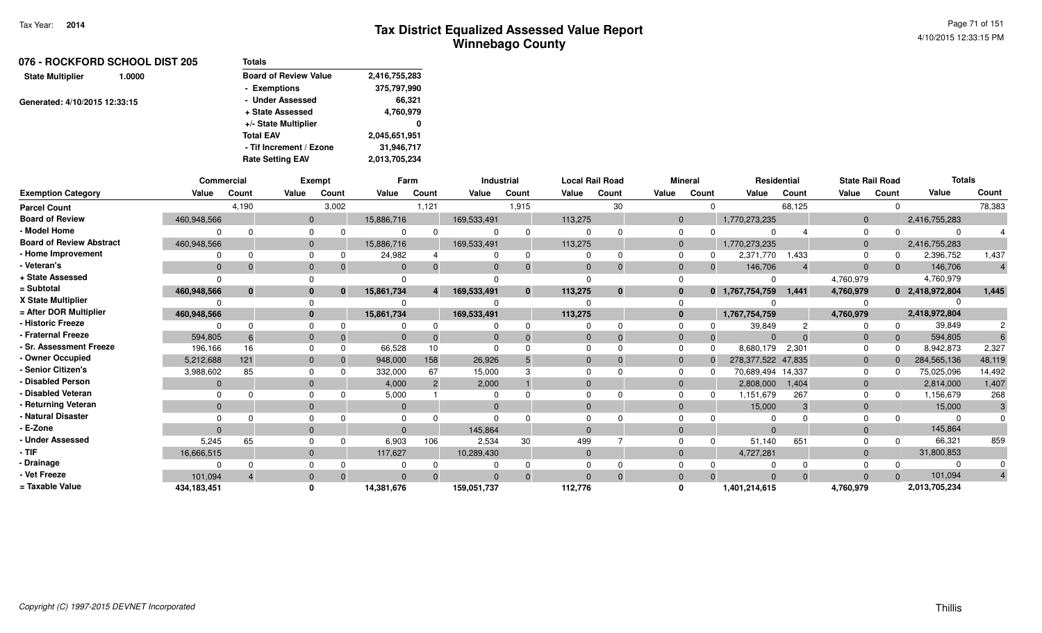| 076 - ROCKFORD SCHOOL DIST 205    | <b>Totals</b>                |               |
|-----------------------------------|------------------------------|---------------|
| <b>State Multiplier</b><br>1.0000 | <b>Board of Review Value</b> | 2,416,755,283 |
|                                   | - Exemptions                 | 375,797,990   |
| Generated: 4/10/2015 12:33:15     | - Under Assessed             | 66,321        |
|                                   | + State Assessed             | 4,760,979     |
|                                   | +/- State Multiplier         | 0             |
|                                   | <b>Total EAV</b>             | 2,045,651,951 |
|                                   | - Tif Increment / Ezone      | 31,946,717    |
|                                   | <b>Rate Setting EAV</b>      | 2,013,705,234 |

|                                 |              | <b>Commercial</b> |              | <b>Exempt</b> |              | Farm           |                | <b>Industrial</b> | <b>Local Rail Road</b> |              |                | <b>Mineral</b> |                    | Residential | <b>State Rail Road</b> |          | <b>Totals</b>   |                |
|---------------------------------|--------------|-------------------|--------------|---------------|--------------|----------------|----------------|-------------------|------------------------|--------------|----------------|----------------|--------------------|-------------|------------------------|----------|-----------------|----------------|
| <b>Exemption Category</b>       | Value        | Count             | Value        | Count         | Value        | Count          | Value          | Count             | Value                  | Count        | Value          | Count          | Value              | Count       | Value                  | Count    | Value           | Count          |
| <b>Parcel Count</b>             |              | 4,190             |              | 3,002         |              | 1,121          |                | 1,915             |                        | 30           |                | $\Omega$       |                    | 68,125      |                        | $\Omega$ |                 | 78,383         |
| <b>Board of Review</b>          | 460,948,566  |                   | $\mathbf{0}$ |               | 15,886,716   |                | 169,533,491    |                   | 113,275                |              | $\mathbf{0}$   |                | 1,770,273,235      |             | $\overline{0}$         |          | 2,416,755,283   |                |
| - Model Home                    |              |                   | $\Omega$     |               | $\Omega$     | $\Omega$       | $\Omega$       | $\Omega$          | $\Omega$               | $\Omega$     | $\Omega$       | $\Omega$       |                    |             | $\Omega$               |          |                 |                |
| <b>Board of Review Abstract</b> | 460,948,566  |                   | $\mathbf{0}$ |               | 15,886,716   |                | 169,533,491    |                   | 113,275                |              | $\mathbf 0$    |                | 1,770,273,235      |             | $\mathbf 0$            |          | 2,416,755,283   |                |
| - Home Improvement              |              |                   | $\Omega$     |               | 24,982       |                | $\Omega$       | $\Omega$          | $\Omega$               | $\Omega$     | $\mathbf 0$    | 0              | 2,371,770          | 1,433       | $\Omega$               | 0        | 2,396,752       | 1,437          |
| - Veteran's                     | $\mathbf{0}$ |                   | $\mathbf{0}$ |               | $\Omega$     |                | $\Omega$       | $\Omega$          | $\Omega$               | $\Omega$     | $\mathbf 0$    | $\Omega$       | 146,706            |             | $\mathbf{0}$           | $\Omega$ | 146,706         | $\overline{4}$ |
| + State Assessed                |              |                   |              |               |              |                |                |                   | $\Omega$               |              | $\Omega$       |                |                    |             | 4,760,979              |          | 4,760,979       |                |
| = Subtotal                      | 460,948,566  | $\mathbf{0}$      | $\bf{0}$     | $\bf{0}$      | 15,861,734   |                | 169,533,491    | $\bf{0}$          | 113,275                | $\mathbf{0}$ | $\mathbf 0$    | $\mathbf{0}$   | 1,767,754,759      | 1.441       | 4,760,979              |          | 0 2,418,972,804 | 1,445          |
| X State Multiplier              |              |                   |              |               |              |                | $\Omega$       |                   |                        |              | $\Omega$       |                |                    |             |                        |          |                 |                |
| = After DOR Multiplier          | 460.948.566  |                   | $\bf{0}$     |               | 15,861,734   |                | 169,533,491    |                   | 113,275                |              | $\mathbf{0}$   |                | 1,767,754,759      |             | 4,760,979              |          | 2,418,972,804   |                |
| - Historic Freeze               |              |                   | $\Omega$     |               |              |                | 0              |                   | $\Omega$               | $\Omega$     | $\Omega$       |                | 39,849             |             |                        | $\Omega$ | 39,849          |                |
| - Fraternal Freeze              | 594,805      |                   | $\mathbf{0}$ | $\Omega$      | $\Omega$     | $\Omega$       | $\overline{0}$ | $\Omega$          | $\mathbf 0$            | $\Omega$     | $\mathbf{0}$   | $\Omega$       | $\Omega$           | $\Omega$    | $\mathbf{0}$           | $\Omega$ | 594,805         |                |
| - Sr. Assessment Freeze         | 196,166      | 16                | $\Omega$     |               | 66,528       | 10             | $\Omega$       |                   | $\Omega$               | $\Omega$     | $\Omega$       | $\Omega$       | 8,680,179          | 2,301       | $\Omega$               | $\Omega$ | 8,942,873       | 2,327          |
| - Owner Occupied                | 5,212,688    | 121               | $\Omega$     |               | 948,000      | 158            | 26,926         |                   | $\Omega$               | $\Omega$     | $\mathbf 0$    | $\Omega$       | 278,377,522 47,835 |             | $\mathbf 0$            | $\Omega$ | 284,565,136     | 48,119         |
| - Senior Citizen's              | 3,988,602    | 85                | $\Omega$     |               | 332,000      | 67             | 15,000         |                   | $\Omega$               | $\Omega$     | $\Omega$       | $\Omega$       | 70,689,494 14,337  |             | 0                      | n        | 75,025,096      | 14,492         |
| <b>Disabled Person</b>          | $\Omega$     |                   | $\Omega$     |               | 4,000        | $\overline{2}$ | 2,000          |                   | $\Omega$               |              | $\mathbf 0$    |                | 2,808,000          | 1,404       | $\mathbf{0}$           |          | 2,814,000       | 1,407          |
| - Disabled Veteran              |              |                   | $\Omega$     |               | 5,000        |                | $\Omega$       |                   | $\Omega$               | $\Omega$     | $\Omega$       | 0              | 1,151,679          | 267         | $\Omega$               | 0        | 1,156,679       | 268            |
| - Returning Veteran             | $\mathbf{0}$ |                   | $\mathbf{0}$ |               | $\mathbf{0}$ |                | $\mathbf{0}$   |                   | $\mathbf{0}$           |              | $\mathbf 0$    |                | 15,000             | 3           | $\mathbf{0}$           |          | 15,000          | 3              |
| - Natural Disaster              |              |                   | $\Omega$     |               | $\Omega$     |                | $\Omega$       |                   | $\Omega$               |              | $\Omega$       |                |                    |             |                        |          |                 |                |
| - E-Zone                        |              |                   | $\Omega$     |               | $\mathbf{0}$ |                | 145,864        |                   | $\Omega$               |              | $\Omega$       |                | $\Omega$           |             | $\Omega$               |          | 145,864         |                |
| - Under Assessed                | 5,245        | 65                | $\Omega$     |               | 6,903        | 106            | 2,534          | 30                | 499                    |              | $\Omega$       | $\Omega$       | 51,140             | 651         | $\Omega$               | $\Omega$ | 66,321          | 859            |
| - TIF -                         | 16,666,515   |                   | $\mathbf{0}$ |               | 117,627      |                | 10,289,430     |                   | $\overline{0}$         |              | $\overline{0}$ |                | 4,727,281          |             | $\mathbf 0$            |          | 31,800,853      |                |
| - Drainage                      |              |                   | $\Omega$     |               |              |                |                |                   | $\Omega$               |              | $\Omega$       |                |                    |             |                        |          |                 |                |
| - Vet Freeze                    | 101.094      |                   |              |               | $\Omega$     |                | $\Omega$       | $\Omega$          | $\Omega$               | $\Omega$     | $\mathbf{0}$   |                | $\Omega$           | $\Omega$    | $\Omega$               |          | 101,094         | 4              |
| = Taxable Value                 | 434.183.451  |                   |              |               | 14.381.676   |                | 159,051,737    |                   | 112,776                |              | $\mathbf{0}$   |                | 1,401,214,615      |             | 4,760,979              |          | 2,013,705,234   |                |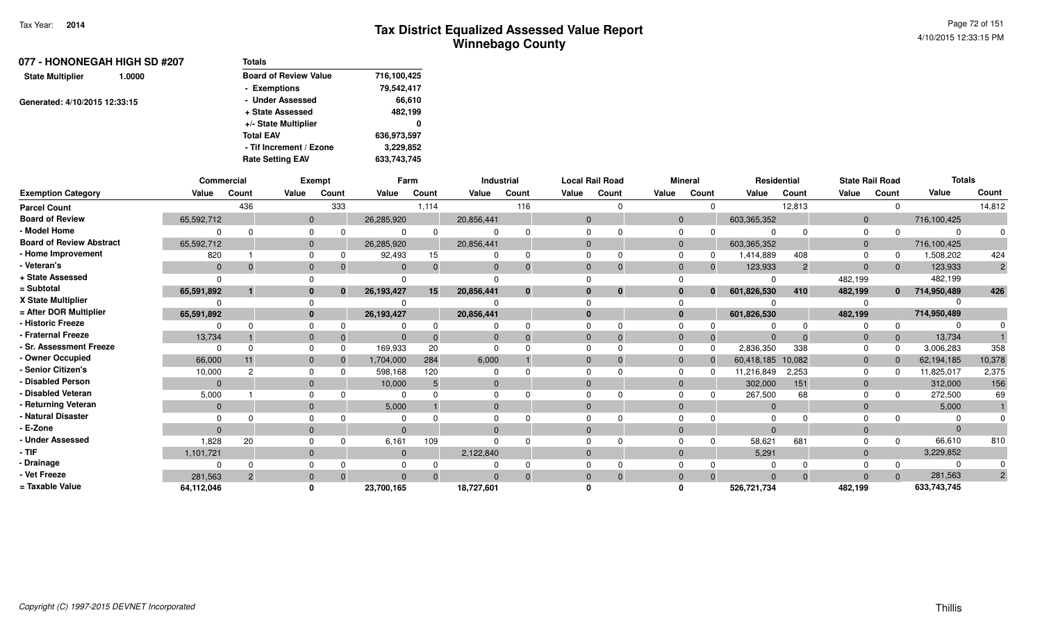| 077 - HONONEGAH HIGH SD #207  |        | <b>Totals</b>                |             |
|-------------------------------|--------|------------------------------|-------------|
| <b>State Multiplier</b>       | 1.0000 | <b>Board of Review Value</b> | 716,100,425 |
|                               |        | - Exemptions                 | 79,542,417  |
| Generated: 4/10/2015 12:33:15 |        | - Under Assessed             | 66,610      |
|                               |        | + State Assessed             | 482,199     |
|                               |        | +/- State Multiplier         | 0           |
|                               |        | <b>Total EAV</b>             | 636,973,597 |
|                               |        | - Tif Increment / Ezone      | 3,229,852   |
|                               |        | <b>Rate Setting EAV</b>      | 633,743,745 |

|                                 |              | <b>Commercial</b> |              | <b>Exempt</b> |                | Farm     |              | <b>Industrial</b> |                | <b>Local Rail Road</b> |       | <b>Mineral</b>           |                   | Residential  | <b>State Rail Road</b> |              | <b>Totals</b> |                |
|---------------------------------|--------------|-------------------|--------------|---------------|----------------|----------|--------------|-------------------|----------------|------------------------|-------|--------------------------|-------------------|--------------|------------------------|--------------|---------------|----------------|
| <b>Exemption Category</b>       | Value        | Count             | Value        | Count         | Value          | Count    | Value        | Count             | Value          | Count                  | Value | Count                    | Value             | Count        | Value                  | Count        | Value         | Count          |
| <b>Parcel Count</b>             |              | 436               |              | 333           |                | 1,114    |              | 116               |                | $\Omega$               |       | 0                        |                   | 12,813       |                        | $\mathbf 0$  |               | 14,812         |
| <b>Board of Review</b>          | 65,592,712   |                   | $\mathbf{0}$ |               | 26,285,920     |          | 20,856,441   |                   | $\overline{0}$ |                        |       | $\mathbf 0$              | 603,365,352       |              | $\overline{0}$         |              | 716,100,425   |                |
| - Model Home                    |              | $\Omega$          | $\Omega$     | $\Omega$      | $\Omega$       | $\Omega$ | $\Omega$     | $\Omega$          |                | $\Omega$               |       | $\Omega$<br><sup>0</sup> |                   | $\Omega$     | $\Omega$               |              |               |                |
| <b>Board of Review Abstract</b> | 65,592,712   |                   | $\mathbf 0$  |               | 26,285,920     |          | 20,856,441   |                   | $\mathbf{0}$   |                        |       | $\mathbf 0$              | 603,365,352       |              | $\mathbf 0$            |              | 716,100,425   |                |
| - Home Improvement              | 820          |                   | $\Omega$     | 0             | 92,493         | 15       | $\Omega$     | <sup>0</sup>      |                | <sup>0</sup>           |       | $\Omega$<br>0            | 1,414,889         | 408          | $\Omega$               | 0            | 1,508,202     | 424            |
| - Veteran's                     | $\mathbf 0$  | $\Omega$          | $\mathbf 0$  |               | $\Omega$       | $\Omega$ | $\mathbf{0}$ | $\Omega$          | $\mathbf{0}$   | $\Omega$               |       | $\mathbf 0$<br>$\Omega$  | 123,933           | 2            | $\mathbf{0}$           | $\Omega$     | 123,933       | $\overline{2}$ |
| + State Assessed                | $\Omega$     |                   |              |               |                |          |              |                   |                |                        |       |                          |                   |              | 482,199                |              | 482,199       |                |
| = Subtotal                      | 65,591,892   |                   | $\mathbf{0}$ | $\Omega$      | 26, 193, 427   | 15       | 20,856,441   | $\mathbf{0}$      | $\mathbf{0}$   | $\mathbf{0}$           |       | $\mathbf{0}$<br>$\bf{0}$ | 601,826,530       | 410          | 482,199                | $\bf{0}$     | 714,950,489   | 426            |
| X State Multiplier              |              |                   | $\Omega$     |               |                |          |              |                   |                |                        |       |                          |                   |              |                        |              |               |                |
| = After DOR Multiplier          | 65,591,892   |                   | $\bf{0}$     |               | 26, 193, 427   |          | 20,856,441   |                   | $\mathbf{0}$   |                        |       | $\bf{0}$                 | 601,826,530       |              | 482,199                |              | 714,950,489   |                |
| - Historic Freeze               |              |                   | $\Omega$     |               | 0              |          | 0            |                   |                | $\Omega$               |       | $\Omega$                 |                   | <sup>0</sup> |                        |              |               |                |
| - Fraternal Freeze              | 13,734       |                   | $\mathbf 0$  | $\mathbf 0$   | $\overline{0}$ | $\Omega$ | $\mathbf{0}$ | $\Omega$          | $\mathbf{0}$   | $\Omega$               |       | $\mathbf{0}$<br>0        | $\Omega$          | $\Omega$     | $\mathbf{0}$           | $\mathbf{0}$ | 13,734        |                |
| - Sr. Assessment Freeze         | $\Omega$     | $\Omega$          | $\Omega$     | $\Omega$      | 169,933        | 20       | $\Omega$     |                   |                | $\Omega$               |       | $\Omega$<br>$\Omega$     | 2,836,350         | 338          | $\Omega$               | 0            | 3,006,283     | 358            |
| - Owner Occupied                | 66,000       | 11                | $\mathbf{0}$ | $\Omega$      | 1,704,000      | 284      | 6,000        |                   | $\Omega$       | $\Omega$               |       | $\mathbf 0$<br>$\Omega$  | 60,418,185 10,082 |              | $\mathbf{0}$           | $\Omega$     | 62,194,185    | 10,378         |
| <b>Senior Citizen's</b>         | 10,000       | 2                 | $\Omega$     | $\Omega$      | 598,168        | 120      | $\Omega$     |                   | $\Omega$       |                        |       | $\Omega$<br><sup>0</sup> | 11,216,849        | 2,253        | 0                      | O            | 11,825,017    | 2,375          |
| - Disabled Person               | $\Omega$     |                   | $\mathbf 0$  |               | 10,000         | 5        | $\mathbf{0}$ |                   | $\Omega$       |                        |       | $\mathbf{0}$             | 302,000           | 151          | $\mathbf{0}$           |              | 312,000       | 156            |
| - Disabled Veteran              | 5,000        |                   | $\Omega$     |               | $\Omega$       |          | $\Omega$     |                   |                | <sup>0</sup>           |       | $\Omega$                 | 267,500           | 68           | $\Omega$               |              | 272,500       | 69             |
| - Returning Veteran             | $\mathbf{0}$ |                   | $\mathbf{0}$ |               | 5,000          |          | $\mathbf 0$  |                   | $\mathbf{0}$   |                        |       | $\mathbf 0$              | $\mathbf 0$       |              | $\mathbf{0}$           |              | 5,000         |                |
| - Natural Disaster              |              |                   | $\Omega$     |               | 0              |          | $\Omega$     |                   |                |                        |       | $\Omega$                 |                   |              |                        |              |               |                |
| - E-Zone                        | $\Omega$     |                   | $\mathbf{0}$ |               | $\Omega$       |          | $\Omega$     |                   | $\Omega$       |                        |       | $\Omega$                 | $\Omega$          |              |                        |              |               |                |
| <b>Under Assessed</b>           | 1,828        | 20                | $\Omega$     |               | 6,161          | 109      | $\Omega$     |                   |                | $\Omega$               |       | $\Omega$                 | 58,621            | 681          |                        | 0            | 66,610        | 810            |
| - TIF                           | 1,101,721    |                   | $\mathbf 0$  |               | $\mathbf 0$    |          | 2,122,840    |                   | $\mathbf{0}$   |                        |       | $\mathbf 0$              | 5,291             |              | $\mathbf{0}$           |              | 3,229,852     |                |
| - Drainage                      |              |                   | $\Omega$     |               | $\Omega$       |          |              |                   |                |                        |       |                          |                   |              |                        |              |               |                |
| - Vet Freeze                    | 281,563      | $\overline{2}$    | $\mathbf{0}$ | $\Omega$      | $\Omega$       | $\Omega$ | $\Omega$     | $\Omega$          | $\Omega$       | $\Omega$               |       | $\mathbf{0}$<br>$\Omega$ | $\Omega$          | $\Omega$     | $\Omega$               | $\Omega$     | 281,563       | $\overline{2}$ |
| = Taxable Value                 | 64,112,046   |                   | ŋ            |               | 23,700,165     |          | 18,727,601   |                   |                |                        |       |                          | 526,721,734       |              | 482,199                |              | 633,743,745   |                |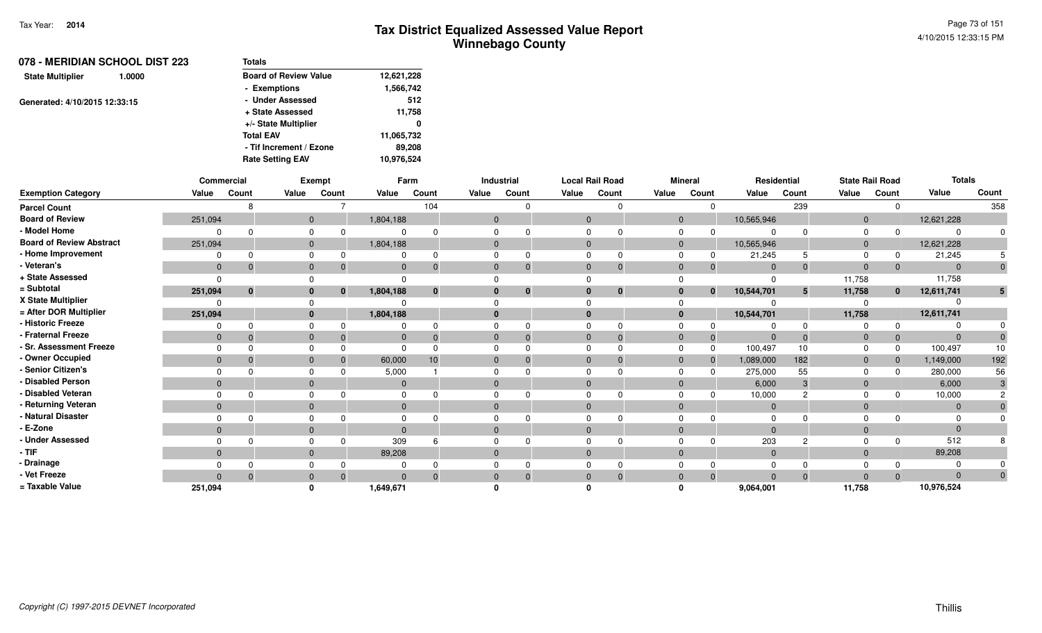|                               | 078 - MERIDIAN SCHOOL DIST 223 | <b>Totals</b>                |            |
|-------------------------------|--------------------------------|------------------------------|------------|
| <b>State Multiplier</b>       | 1.0000                         | <b>Board of Review Value</b> | 12,621,228 |
|                               |                                | - Exemptions                 | 1,566,742  |
| Generated: 4/10/2015 12:33:15 |                                | - Under Assessed             | 512        |
|                               |                                | + State Assessed             | 11,758     |
|                               |                                | +/- State Multiplier         | 0          |
|                               |                                | <b>Total EAV</b>             | 11,065,732 |
|                               |                                | - Tif Increment / Ezone      | 89.208     |
|                               | <b>Rate Setting EAV</b>        | 10,976,524                   |            |

|                                 |                | Commercial   |              | Exempt   |              | Farm         |                | Industrial               |              | <b>Local Rail Road</b> |       | <b>Mineral</b> |              | Residential      | <b>State Rail Road</b> |              | <b>Totals</b> |       |
|---------------------------------|----------------|--------------|--------------|----------|--------------|--------------|----------------|--------------------------|--------------|------------------------|-------|----------------|--------------|------------------|------------------------|--------------|---------------|-------|
| <b>Exemption Category</b>       | Value          | Count        | Value        | Count    | Value        | Count        | Value          | Count                    | Value        | Count                  | Value | Count          | Value        | Count            | Value                  | Count        | Value         | Count |
| <b>Parcel Count</b>             |                | 8            |              |          |              | 104          |                |                          |              |                        |       |                |              | 239              |                        | $\Omega$     |               | 358   |
| <b>Board of Review</b>          | 251,094        |              | $\mathbf{0}$ |          | 1,804,188    |              | $\overline{0}$ |                          | $\mathbf{0}$ |                        |       | $\overline{0}$ | 10,565,946   |                  | $\mathbf{0}$           |              | 12,621,228    |       |
| - Model Home                    |                | <sup>n</sup> |              |          |              |              | $\Omega$       |                          |              |                        |       |                |              |                  | 0                      |              |               |       |
| <b>Board of Review Abstract</b> | 251,094        |              | $\mathbf{0}$ |          | 1,804,188    |              | $\Omega$       |                          | $\Omega$     |                        |       | $\mathbf{0}$   | 10,565,946   |                  | 0                      |              | 12,621,228    |       |
| - Home Improvement              |                | $\Omega$     |              |          |              |              | $\Omega$       |                          |              |                        |       |                | 21,245       |                  |                        | 0            | 21,245        |       |
| - Veteran's                     | $\mathbf{0}$   | $\Omega$     | $\mathbf{0}$ |          | $\mathbf 0$  |              | $\mathbf{0}$   |                          | $\Omega$     |                        |       |                | $\Omega$     |                  | $\Omega$               | $\Omega$     | $\Omega$      |       |
| + State Assessed                |                |              |              |          | $\Omega$     |              |                |                          |              |                        |       |                |              |                  | 11,758                 |              | 11,758        |       |
| = Subtotal                      | 251,094        | $\bf{0}$     | $\mathbf{0}$ | $\bf{0}$ | 1,804,188    | $\mathbf{0}$ |                | $\bf{0}$<br>$\mathbf{0}$ | $\bf{0}$     | $\mathbf 0$            |       | $\bf{0}$       | 10,544,701   | 5                | 11,758                 | $\mathbf{0}$ | 12,611,741    |       |
| X State Multiplier              |                |              |              |          |              |              |                |                          |              |                        |       |                |              |                  |                        |              |               |       |
| = After DOR Multiplier          | 251,094        |              | $\mathbf{0}$ |          | 1,804,188    |              |                | $\mathbf{0}$             | $\bf{0}$     |                        |       |                | 10,544,701   |                  | 11,758                 |              | 12,611,741    |       |
| - Historic Freeze               |                | <sup>0</sup> |              |          |              |              | $\Omega$       |                          |              |                        |       |                |              |                  |                        | 0            |               |       |
| - Fraternal Freeze              | $\overline{0}$ | $\Omega$     | $\mathbf 0$  |          | $\mathbf{0}$ |              | $\Omega$       |                          | $\Omega$     |                        |       |                | $\Omega$     |                  | 0                      | $\mathbf 0$  |               |       |
| - Sr. Assessment Freeze         | $\Omega$       |              |              |          | $\Omega$     |              | $\Omega$       |                          |              |                        |       |                | 100,497      | 10 <sup>10</sup> | 0                      | $\Omega$     | 100,497       | 10    |
| - Owner Occupied                | $\mathbf{0}$   | $\mathbf 0$  | $\mathbf{0}$ |          | 60,000       | 10           | $\mathbf{0}$   |                          | $\Omega$     |                        |       |                | 1,089,000    | 182              | 0                      | $\mathbf 0$  | 1,149,000     | 192   |
| - Senior Citizen's              | $\Omega$       |              |              |          | 5,000        |              | 0              |                          |              |                        |       |                | 275,000      | 55               |                        | $\Omega$     | 280,000       | 56    |
| - Disabled Person               | $\Omega$       |              | $\mathbf{0}$ |          | $\Omega$     |              | $\Omega$       |                          |              |                        |       |                | 6,000        | 3                | $\overline{0}$         |              | 6,000         |       |
| - Disabled Veteran              | $\Omega$       | $\Omega$     | $\Omega$     |          | $\Omega$     |              | $\Omega$       |                          |              |                        |       |                | 10,000       | $\Omega$         | 0                      | $\Omega$     | 10,000        |       |
| - Returning Veteran             | $\overline{0}$ |              | $\Omega$     |          | $\mathbf{0}$ |              |                | $\mathbf{0}$             | $\Omega$     |                        |       |                | $\Omega$     |                  | $\Omega$               |              | $\Omega$      |       |
| - Natural Disaster              |                |              |              |          |              |              | <sup>0</sup>   |                          |              |                        |       |                |              |                  |                        |              |               |       |
| - E-Zone                        | $\mathbf{0}$   |              | $\mathbf{0}$ |          | $\Omega$     |              | $\Omega$       |                          |              |                        |       |                |              |                  | $\Omega$               |              |               |       |
| - Under Assessed                |                | ∩            |              |          | 309          |              | 0              |                          |              |                        |       |                | 203          | റ                |                        | $\Omega$     | 512           |       |
| - TIF-                          | $\mathbf{0}$   |              | $\mathbf{0}$ |          | 89,208       |              | $\mathbf{0}$   |                          | $\mathbf{0}$ |                        |       |                | $\mathbf{0}$ |                  | $\overline{0}$         |              | 89,208        |       |
| - Drainage                      |                |              |              |          |              |              |                |                          |              |                        |       |                |              |                  |                        |              |               |       |
| - Vet Freeze                    | $\Omega$       | $\mathbf 0$  | $\mathbf{0}$ |          | $\Omega$     |              | $\mathbf{0}$   |                          |              |                        |       |                |              |                  | $\Omega$               | $\Omega$     |               |       |
| = Taxable Value                 | 251,094        |              |              |          | 1,649,671    |              |                |                          |              |                        |       |                | 9,064,001    |                  | 11,758                 |              | 10,976,524    |       |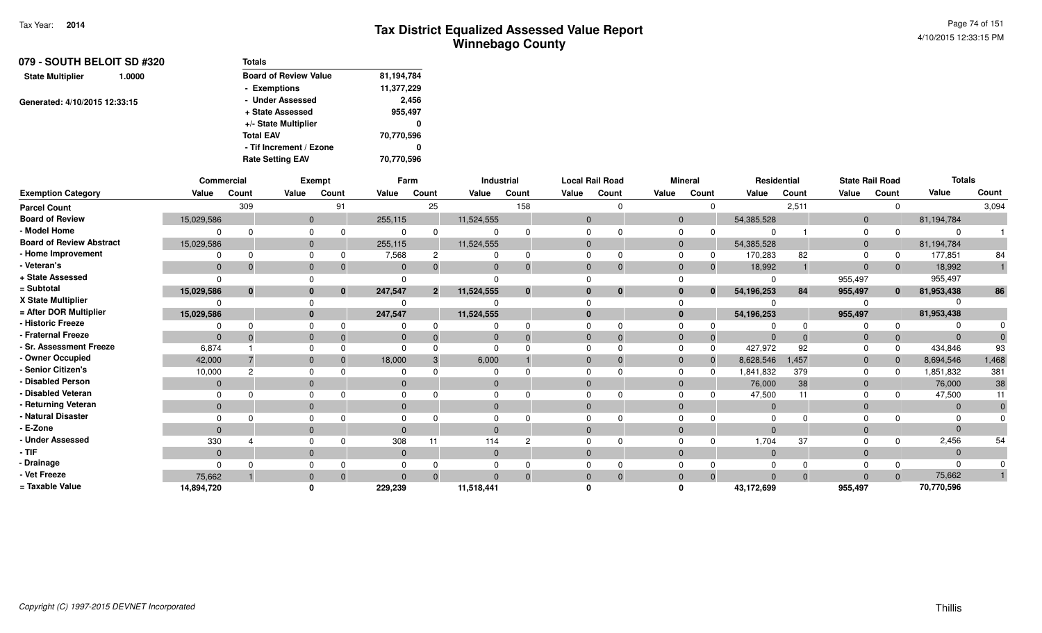| 079 - SOUTH BELOIT SD #320<br><b>State Multiplier</b><br>1.0000 | <b>Totals</b>                |            |
|-----------------------------------------------------------------|------------------------------|------------|
|                                                                 | <b>Board of Review Value</b> | 81,194,784 |
|                                                                 | - Exemptions                 | 11,377,229 |
| Generated: 4/10/2015 12:33:15                                   | - Under Assessed             | 2,456      |
|                                                                 | + State Assessed             | 955,497    |
|                                                                 | +/- State Multiplier         | 0          |
|                                                                 | <b>Total EAV</b>             | 70,770,596 |
|                                                                 | - Tif Increment / Ezone      | 0          |
|                                                                 | <b>Rate Setting EAV</b>      | 70,770,596 |

|                                 | Commercial   |          |              | Exempt       |             | Farm           |              | Industrial |          | <b>Local Rail Road</b> |                | <b>Mineral</b> |                | Residential |                | <b>State Rail Road</b> | <b>Totals</b> |       |
|---------------------------------|--------------|----------|--------------|--------------|-------------|----------------|--------------|------------|----------|------------------------|----------------|----------------|----------------|-------------|----------------|------------------------|---------------|-------|
| <b>Exemption Category</b>       | Value        | Count    | Value        | Count        | Value       | Count          | Value        | Count      | Value    | Count                  | Value          | Count          | Value          | Count       | Value          | Count                  | Value         | Count |
| <b>Parcel Count</b>             |              | 309      |              | 91           |             | 25             |              | 158        |          |                        |                | $\Omega$       |                | 2,511       |                | $\Omega$               |               | 3,094 |
| <b>Board of Review</b>          | 15,029,586   |          |              | $\mathbf{0}$ | 255,115     |                | 11,524,555   |            | $\Omega$ |                        | $\overline{0}$ |                | 54,385,528     |             | $\overline{0}$ |                        | 81,194,784    |       |
| - Model Home                    |              |          | $\Omega$     |              |             |                |              |            |          |                        | $\Omega$       |                |                |             | $\Omega$       |                        |               |       |
| <b>Board of Review Abstract</b> | 15,029,586   |          | $\Omega$     |              | 255,115     |                | 11,524,555   |            |          |                        | $\Omega$       |                | 54,385,528     |             | $\overline{0}$ |                        | 81,194,784    |       |
| - Home Improvement              |              |          | $\Omega$     |              | 7,568       |                |              | $\Omega$   |          |                        |                | 0              | 170,283        | 82          | $\Omega$       | 0                      | 177,851       | 84    |
| - Veteran's                     | $\mathbf{0}$ |          | $\mathbf{0}$ |              |             |                | $\Omega$     | $\Omega$   | $\Omega$ |                        | $\Omega$       | $\mathbf 0$    | 18,992         |             | $\Omega$       | $\mathbf{0}$           | 18,992        |       |
| + State Assessed                |              |          |              |              |             |                |              |            |          |                        |                |                |                |             | 955,497        |                        | 955,497       |       |
| = Subtotal                      | 15,029,586   | $\bf{0}$ | $\bf{0}$     | $\mathbf{0}$ | 247,547     | $\overline{2}$ | 11,524,555   | $\bf{0}$   |          | $\bf{0}$               | $\bf{0}$       | $\mathbf{0}$   | 54, 196, 253   | 84          | 955,497        | $\mathbf{0}$           | 81,953,438    | 86    |
| X State Multiplier              |              |          |              |              |             |                |              |            |          |                        |                |                |                |             |                |                        |               |       |
| = After DOR Multiplier          | 15,029,586   |          |              | $\mathbf{0}$ | 247,547     |                | 11,524,555   |            | $\Omega$ |                        | $\mathbf{0}$   |                | 54, 196, 253   |             | 955,497        |                        | 81,953,438    |       |
| - Historic Freeze               |              |          | $\Omega$     |              |             |                |              |            |          |                        |                |                |                |             |                | $\Omega$               |               |       |
| - Fraternal Freeze              | $\Omega$     |          | $\Omega$     |              |             |                |              | $\Omega$   |          |                        | $\Omega$       | $\overline{0}$ |                |             | - 0            | $\mathbf 0$            |               |       |
| - Sr. Assessment Freeze         | 6,874        |          | $\Omega$     |              |             |                |              |            |          |                        | $\Omega$       | $\Omega$       | 427,972        | 92          |                | $\Omega$               | 434,846       | 93    |
| - Owner Occupied                | 42,000       |          | $\Omega$     |              | 18,000      |                | 6,000        |            |          |                        | $\Omega$       | $\Omega$       | 8,628,546      | 1,457       | $\Omega$       | $\Omega$               | 8,694,546     | 1,468 |
| - Senior Citizen's              | 10,000       | 2        | $\Omega$     |              |             |                |              |            |          |                        |                | $\Omega$       | 1,841,832      | 379         | $\Omega$       | $\Omega$               | 1,851,832     | 381   |
| - Disabled Person               | $\mathbf{0}$ |          | $\Omega$     |              |             |                |              |            |          |                        | $\Omega$       |                | 76,000         | 38          | $\Omega$       |                        | 76,000        | 38    |
| - Disabled Veteran              |              |          | $\Omega$     |              |             |                |              |            |          |                        |                |                | 47,500         | 11          | $\Omega$       |                        | 47,500        | 11    |
| - Returning Veteran             | $\mathbf{0}$ |          | $\Omega$     |              | $\Omega$    |                | $\Omega$     |            | $\Omega$ |                        | $\Omega$       |                | $\overline{0}$ |             | $\Omega$       |                        | $\Omega$      |       |
| - Natural Disaster              |              |          |              |              |             |                |              |            |          |                        |                |                |                |             |                |                        |               |       |
| - E-Zone                        | $\Omega$     |          | $\Omega$     |              |             |                | $\Omega$     |            |          |                        | $\Omega$       |                |                |             | $\Omega$       |                        |               |       |
| <b>Under Assessed</b>           | 330          |          | $\Omega$     |              | 308         | 11             | 114          | റ          |          |                        |                | ŋ              | 1,704          | 37          |                | $\Omega$               | 2,456         | 54    |
| - TIF-                          | $\Omega$     |          | $\Omega$     |              | $\mathbf 0$ |                | $\mathbf{0}$ |            | $\Omega$ |                        | $\Omega$       |                | $\overline{0}$ |             | $\overline{0}$ |                        |               |       |
| - Drainage                      |              |          |              |              |             |                |              |            |          |                        |                |                |                |             |                |                        |               |       |
| - Vet Freeze                    | 75,662       |          | $\Omega$     |              |             |                |              | $\Omega$   |          |                        | $\Omega$       | $\Omega$       |                |             | $\Omega$       | $\Omega$               | 75,662        |       |
| = Taxable Value                 | 14,894,720   |          |              |              | 229,239     |                | 11,518,441   |            |          |                        |                |                | 43,172,699     |             | 955,497        |                        | 70,770,596    |       |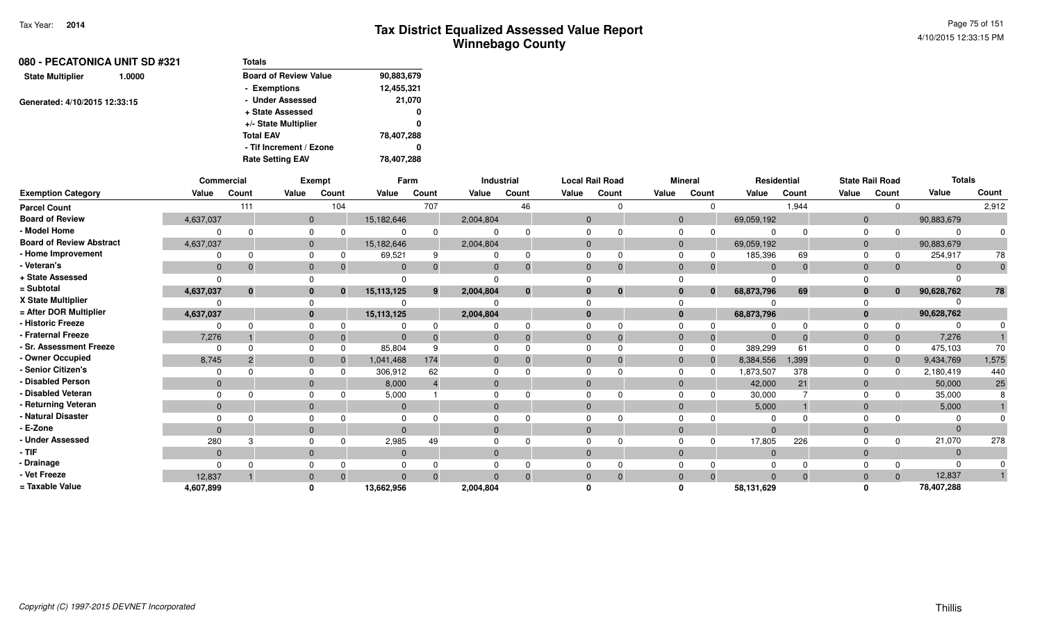| 080 - PECATONICA UNIT SD #321     |  | <b>Totals</b>                |            |  |  |  |
|-----------------------------------|--|------------------------------|------------|--|--|--|
| <b>State Multiplier</b><br>1.0000 |  | <b>Board of Review Value</b> | 90,883,679 |  |  |  |
|                                   |  | - Exemptions                 | 12,455,321 |  |  |  |
| Generated: 4/10/2015 12:33:15     |  | - Under Assessed             | 21,070     |  |  |  |
|                                   |  | + State Assessed             | 0          |  |  |  |
|                                   |  | +/- State Multiplier         | 0          |  |  |  |
|                                   |  | <b>Total EAV</b>             | 78,407,288 |  |  |  |
|                                   |  | - Tif Increment / Ezone      | 0          |  |  |  |
|                                   |  | <b>Rate Setting EAV</b>      | 78,407,288 |  |  |  |
|                                   |  |                              |            |  |  |  |

|                                 |              | <b>Commercial</b> |              | Exempt       |              | Farm  |           | Industrial   |              | <b>Local Rail Road</b> |          | <b>Mineral</b> | Residential    |          |              | <b>State Rail Road</b> | <b>Totals</b> |       |
|---------------------------------|--------------|-------------------|--------------|--------------|--------------|-------|-----------|--------------|--------------|------------------------|----------|----------------|----------------|----------|--------------|------------------------|---------------|-------|
| <b>Exemption Category</b>       | Value        | Count             | Value        | Count        | Value        | Count | Value     | Count        | Value        | Count                  | Value    | Count          | Value          | Count    | Value        | Count                  | Value         | Count |
| <b>Parcel Count</b>             |              | 111               |              | 104          |              | 707   |           | 46           |              | $\Omega$               |          |                |                | 1,944    |              |                        |               | 2,912 |
| <b>Board of Review</b>          | 4,637,037    |                   | $\mathbf{0}$ |              | 15,182,646   |       | 2,004,804 |              | $\Omega$     |                        | $\Omega$ |                | 69,059,192     |          | $\Omega$     |                        | 90,883,679    |       |
| - Model Home                    |              |                   | <sup>n</sup> |              |              |       |           |              |              |                        |          |                |                |          |              |                        | $\Omega$      |       |
| <b>Board of Review Abstract</b> | 4,637,037    |                   | $\mathbf{0}$ |              | 15,182,646   |       | 2,004,804 |              | $\Omega$     |                        | $\Omega$ |                | 69,059,192     |          | $\Omega$     |                        | 90,883,679    |       |
| - Home Improvement              |              |                   | $\Omega$     |              | 69,521       | 9     |           | 0            | $\Omega$     |                        |          |                | 185,396        | 69       |              |                        | 254,917       | 78    |
| - Veteran's                     | $\mathbf{0}$ |                   | $\mathbf{0}$ |              | $\mathbf 0$  |       |           | $\Omega$     | $\Omega$     |                        | $\Omega$ |                | $\overline{0}$ | $\Omega$ | $\Omega$     |                        | $\Omega$      |       |
| + State Assessed                |              |                   |              |              |              |       |           |              |              |                        |          |                |                |          |              |                        |               |       |
| = Subtotal                      | 4,637,037    | $\bf{0}$          | $\bf{0}$     | $\mathbf{0}$ | 15, 113, 125 | 9     | 2,004,804 | $\mathbf{0}$ | $\Omega$     | $\bf{0}$               | 0        | $\Omega$       | 68,873,796     | 69       |              | $\bf{0}$               | 90,628,762    | 78    |
| X State Multiplier              |              |                   |              |              |              |       |           |              |              |                        |          |                |                |          |              |                        |               |       |
| = After DOR Multiplier          | 4,637,037    |                   | $\mathbf{0}$ |              | 15,113,125   |       | 2,004,804 |              | $\mathbf{0}$ |                        | $\bf{0}$ |                | 68,873,796     |          | $\mathbf{0}$ |                        | 90,628,762    |       |
| - Historic Freeze               |              |                   | $\Omega$     |              |              |       |           |              |              |                        |          |                |                |          |              |                        |               |       |
| - Fraternal Freeze              | 7,276        |                   | $\Omega$     |              |              |       |           | $\Omega$     | $\Omega$     | $\Omega$               |          |                |                | $\Omega$ |              |                        | 7,276         |       |
| - Sr. Assessment Freeze         | n            |                   | $\Omega$     |              | 85,804       |       |           |              | $\Omega$     |                        |          |                | 389,299        | 61       |              |                        | 475,103       | 70    |
| - Owner Occupied                | 8,745        |                   | $\mathbf{0}$ |              | 1,041,468    | 174   | 0         | $\Omega$     | $\Omega$     |                        | $\Omega$ |                | 8,384,556      | 1,399    | $\Omega$     |                        | 9,434,769     | 1,575 |
| - Senior Citizen's              |              |                   | $\Omega$     |              | 306,912      | 62    |           |              |              |                        |          |                | 1,873,507      | 378      |              |                        | 2,180,419     | 440   |
| - Disabled Person               | $\Omega$     |                   | $\Omega$     |              | 8,000        |       |           |              | $\Omega$     |                        |          |                | 42,000         | 21       |              |                        | 50,000        | 25    |
| - Disabled Veteran              |              |                   | $\Omega$     |              | 5,000        |       |           |              |              |                        |          |                | 30,000         |          |              |                        | 35,000        |       |
| - Returning Veteran             | $\mathbf{0}$ |                   | $\mathbf{0}$ |              | $\mathbf 0$  |       | $\Omega$  |              | $\Omega$     |                        | $\Omega$ |                | 5,000          |          | $\Omega$     |                        | 5,000         |       |
| - Natural Disaster              |              |                   |              |              |              |       |           |              |              |                        |          |                |                |          |              |                        |               |       |
| - E-Zone                        | $\Omega$     |                   | $\Omega$     |              |              |       |           |              | $\Omega$     |                        |          |                | $\Omega$       |          |              |                        | $\Omega$      |       |
| - Under Assessed                | 280          |                   | $\Omega$     |              | 2,985        | 49    |           |              |              |                        |          |                | 17,805         | 226      |              |                        | 21,070        | 278   |
| - TIF-                          | $\mathbf{0}$ |                   | $\mathbf{0}$ |              | $\mathbf{0}$ |       | $\Omega$  |              | $\Omega$     |                        | $\Omega$ |                | $\overline{0}$ |          | $\Omega$     |                        | $\Omega$      |       |
| - Drainage                      |              |                   |              |              |              |       |           |              |              |                        |          |                |                |          |              |                        | $\Omega$      |       |
| - Vet Freeze                    | 12,837       |                   | $\Omega$     |              |              |       |           |              | $\Omega$     |                        |          |                | $\Omega$       |          |              |                        | 12,837        |       |
| = Taxable Value                 | 4,607,899    |                   |              |              | 13,662,956   |       | 2,004,804 |              |              |                        |          |                | 58,131,629     |          |              |                        | 78,407,288    |       |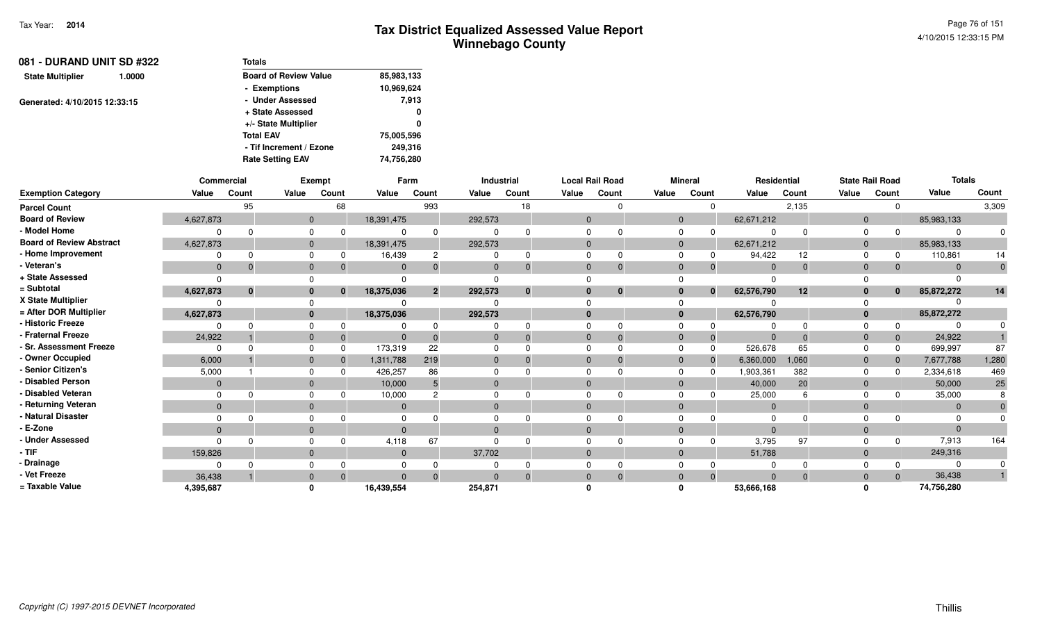| 081 - DURAND UNIT SD #322     | Totals                       |            |
|-------------------------------|------------------------------|------------|
| 1.0000                        | <b>Board of Review Value</b> | 85,983,133 |
|                               | - Exemptions                 | 10,969,624 |
|                               | - Under Assessed             | 7.913      |
| Generated: 4/10/2015 12:33:15 | + State Assessed             | 0          |
|                               | +/- State Multiplier         | 0          |
|                               | <b>Total EAV</b>             | 75,005,596 |
|                               | - Tif Increment / Ezone      | 249.316    |
|                               | <b>Rate Setting EAV</b>      | 74,756,280 |
|                               |                              |            |

|                                 |                | <b>Commercial</b> |              | Exempt   |              | Farm           |          | Industrial   | <b>Local Rail Road</b> |          |              | <b>Mineral</b> | Residential |          |                | <b>State Rail Road</b> | <b>Totals</b> |       |
|---------------------------------|----------------|-------------------|--------------|----------|--------------|----------------|----------|--------------|------------------------|----------|--------------|----------------|-------------|----------|----------------|------------------------|---------------|-------|
| <b>Exemption Category</b>       | Value          | Count             | Value        | Count    | Value        | Count          | Value    | Count        | Value                  | Count    | Value        | Count          | Value       | Count    | Value          | Count                  | Value         | Count |
| <b>Parcel Count</b>             |                | 95                |              | 68       |              | 993            |          | 18           |                        |          |              | $\Omega$       |             | 2,135    |                |                        |               | 3,309 |
| <b>Board of Review</b>          | 4,627,873      |                   | $\mathbf{0}$ |          | 18,391,475   |                | 292,573  |              | $\Omega$               |          | $\mathbf{0}$ |                | 62,671,212  |          | $\Omega$       |                        | 85,983,133    |       |
| - Model Home                    |                | $\Omega$          | $\Omega$     |          |              |                |          |              |                        |          | <sup>0</sup> |                |             |          |                |                        | $\Omega$      |       |
| <b>Board of Review Abstract</b> | 4,627,873      |                   | $\mathbf{0}$ |          | 18,391,475   |                | 292,573  |              |                        |          | $\mathbf{0}$ |                | 62,671,212  |          | $\overline{0}$ |                        | 85,983,133    |       |
| - Home Improvement              | $\Omega$       | $\Omega$          | $\Omega$     |          | 16,439       | 2              |          | $\Omega$     |                        |          | <sup>0</sup> |                | 94,422      | 12       |                |                        | 110,861       | 14    |
| - Veteran's                     | $\overline{0}$ | $\Omega$          | $\mathbf{0}$ |          | $\mathbf{0}$ |                |          | $\Omega$     | $\Omega$               |          | $\Omega$     | 0              | $\Omega$    | $\Omega$ | $\Omega$       |                        | $\Omega$      |       |
| + State Assessed                | $\Omega$       |                   |              |          |              |                |          |              |                        |          |              |                |             |          |                |                        | $\Omega$      |       |
| = Subtotal                      | 4,627,873      | $\bf{0}$          | $\bf{0}$     | $\bf{0}$ | 18,375,036   | $\overline{2}$ | 292,573  | $\mathbf{0}$ |                        | $\bf{0}$ | $\bf{0}$     | $\bf{0}$       | 62,576,790  | 12       | $\bf{0}$       | $\mathbf{0}$           | 85,872,272    | 14    |
| X State Multiplier              |                |                   |              |          |              |                |          |              |                        |          |              |                |             |          |                |                        |               |       |
| = After DOR Multiplier          | 4,627,873      |                   | $\bf{0}$     |          | 18,375,036   |                | 292,573  |              |                        |          | $\bf{0}$     |                | 62,576,790  |          |                |                        | 85,872,272    |       |
| - Historic Freeze               |                | <sup>n</sup>      |              |          |              |                |          |              |                        |          |              |                |             |          |                |                        |               |       |
| - Fraternal Freeze              | 24,922         |                   | $\mathbf 0$  |          | $\Omega$     |                |          | $\Omega$     |                        |          | $\Omega$     | -0             |             |          | $\Omega$       |                        | 24,922        |       |
| - Sr. Assessment Freeze         | $\Omega$       | ∩                 | $\Omega$     |          | 173,319      | 22             |          |              |                        |          | $\Omega$     | $\Omega$       | 526,678     | 65       |                |                        | 699,997       | 87    |
| - Owner Occupied                | 6,000          |                   | $\mathbf{0}$ |          | 1,311,788    | 219            |          | $\Omega$     | $\Omega$               |          | $\Omega$     | $\overline{0}$ | 6,360,000   | 1,060    | $\Omega$       |                        | 7,677,788     | 1,280 |
| - Senior Citizen's              | 5,000          |                   |              |          | 426,257      | 86             |          |              |                        |          |              |                | 1,903,361   | 382      |                |                        | 2,334,618     | 469   |
| - Disabled Person               | $\overline{0}$ |                   | $\mathbf{0}$ |          | 10,000       |                | $\Omega$ |              | $\Omega$               |          | $\Omega$     |                | 40,000      | 20       | $\Omega$       |                        | 50,000        | 25    |
| - Disabled Veteran              | $\Omega$       | ∩                 | $\Omega$     |          | 10,000       |                |          |              |                        |          | $\Omega$     |                | 25,000      |          |                |                        | 35,000        |       |
| - Returning Veteran             | $\Omega$       |                   | $\Omega$     |          | $\Omega$     |                | $\Omega$ |              | $\Omega$               |          | $\Omega$     |                | $\Omega$    |          | $\Omega$       |                        | $\Omega$      |       |
| - Natural Disaster              |                |                   |              |          |              |                |          |              |                        |          |              |                |             |          |                |                        |               |       |
| - E-Zone                        | $\Omega$       |                   | $\mathbf{0}$ |          | $\Omega$     |                | $\Omega$ |              | $\Omega$               |          | $\Omega$     |                | $\Omega$    |          |                |                        | $\Omega$      |       |
| - Under Assessed                | $\Omega$       | $\Omega$          |              |          | 4,118        | 67             |          |              |                        |          |              |                | 3,795       | 97       |                |                        | 7,913         | 164   |
| $-$ TIF                         | 159,826        |                   | $\Omega$     |          | $\Omega$     |                | 37,702   |              |                        |          | $\Omega$     |                | 51,788      |          | $\Omega$       |                        | 249,316       |       |
| - Drainage                      |                | <sup>n</sup>      |              |          |              |                |          |              |                        |          |              |                |             |          |                |                        | $\Omega$      |       |
| - Vet Freeze                    | 36,438         |                   | $\mathbf{0}$ |          | $\Omega$     | $\Omega$       | $\Omega$ | $\Omega$     | $\Omega$               |          | $\Omega$     | $\Omega$       | $\Omega$    | $\Omega$ | $\Omega$       | $\Omega$               | 36,438        |       |
| = Taxable Value                 | 4,395,687      |                   | $\Omega$     |          | 16,439,554   |                | 254,871  |              |                        |          |              |                | 53,666,168  |          |                |                        | 74,756,280    |       |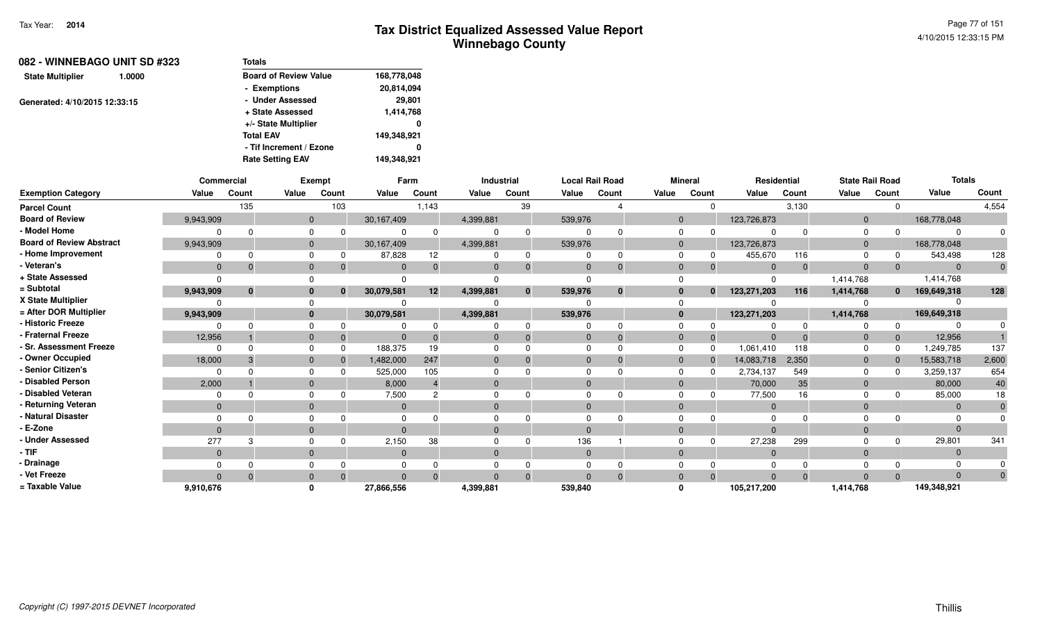| 082 - WINNEBAGO UNIT SD #323      | Totals                       |             |
|-----------------------------------|------------------------------|-------------|
| <b>State Multiplier</b><br>1.0000 | <b>Board of Review Value</b> | 168,778,048 |
|                                   | - Exemptions                 | 20,814,094  |
| Generated: 4/10/2015 12:33:15     | - Under Assessed             | 29,801      |
|                                   | + State Assessed             | 1,414,768   |
|                                   | +/- State Multiplier         | 0           |
|                                   | <b>Total EAV</b>             | 149,348,921 |
|                                   | - Tif Increment / Ezone      | 0           |
|                                   | <b>Rate Setting EAV</b>      | 149,348,921 |
|                                   |                              |             |

|                                 | Commercial   |              |              | <b>Exempt</b> |              | Farm  |           | <b>Industrial</b> |              | <b>Local Rail Road</b> |              | <b>Mineral</b> | <b>Residential</b> |          |                | <b>State Rail Road</b> | <b>Totals</b> |          |
|---------------------------------|--------------|--------------|--------------|---------------|--------------|-------|-----------|-------------------|--------------|------------------------|--------------|----------------|--------------------|----------|----------------|------------------------|---------------|----------|
| <b>Exemption Category</b>       | Value        | Count        | Value        | Count         | Value        | Count | Value     | Count             | Value        | Count                  | Value        | Count          | Value              | Count    | Value          | Count                  | Value         | Count    |
| <b>Parcel Count</b>             |              | 135          |              | 103           |              | 1,143 |           | 39                |              |                        |              | $\Omega$       |                    | 3,130    |                | $\Omega$               |               | 4,554    |
| <b>Board of Review</b>          | 9,943,909    |              | $\Omega$     |               | 30,167,409   |       | 4,399,881 |                   | 539,976      |                        | $\Omega$     |                | 123,726,873        |          | $\overline{0}$ |                        | 168,778,048   |          |
| - Model Home                    |              |              | $\Omega$     |               |              |       |           | $\mathbf 0$       |              |                        |              |                |                    |          | O              |                        |               |          |
| <b>Board of Review Abstract</b> | 9,943,909    |              | $\Omega$     |               | 30,167,409   |       | 4,399,881 |                   | 539,976      |                        | $\Omega$     |                | 123,726,873        |          | $\Omega$       |                        | 168,778,048   |          |
| - Home Improvement              |              |              | $\Omega$     |               | 87,828       | 12    |           | 0                 |              |                        | $\Omega$     |                | 455,670            | 116      | $\Omega$       |                        | 543,498       | 128      |
| - Veteran's                     | $\mathbf{0}$ |              | $\Omega$     |               | $\Omega$     |       | $\Omega$  | $\mathbf{0}$      | $\Omega$     |                        | $\Omega$     | $\mathbf{0}$   | $\Omega$           | $\Omega$ | $\Omega$       | $\mathbf{0}$           | $\Omega$      |          |
| + State Assessed                |              |              |              |               |              |       |           |                   |              |                        |              |                |                    |          | 1,414,768      |                        | 1,414,768     |          |
| = Subtotal                      | 9,943,909    | $\mathbf{0}$ | $\bf{0}$     | $\mathbf{0}$  | 30,079,581   | 12    | 4,399,881 | $\mathbf{0}$      | 539,976      | $\bf{0}$               | $\bf{0}$     | $\mathbf{0}$   | 123,271,203        | 116      | 1,414,768      | $\mathbf{0}$           | 169,649,318   | 128      |
| X State Multiplier              |              |              |              |               |              |       |           |                   |              |                        |              |                |                    |          |                |                        |               |          |
| = After DOR Multiplier          | 9,943,909    |              | $\mathbf{0}$ |               | 30,079,581   |       | 4,399,881 |                   | 539,976      |                        | $\bf{0}$     |                | 123,271,203        |          | 1,414,768      |                        | 169,649,318   |          |
| - Historic Freeze               |              |              | $\Omega$     |               |              |       |           | 0                 |              |                        |              |                |                    |          |                | $\Omega$               |               |          |
| - Fraternal Freeze              | 12,956       |              | $\mathbf{0}$ |               |              |       | 0         | $\Omega$          | $\mathbf{0}$ |                        | $\Omega$     | 0              |                    |          | $\mathbf 0$    | $\mathbf{0}$           | 12,956        |          |
| - Sr. Assessment Freeze         |              |              | $\Omega$     | $\Omega$      | 188,375      | 19    |           |                   |              |                        | $\Omega$     |                | 1,061,410          | 118      |                | $\Omega$               | 1,249,785     | 137      |
| - Owner Occupied                | 18,000       |              | $\mathbf{0}$ |               | 1,482,000    | 247   | $\Omega$  | $\Omega$          | $\Omega$     |                        | $\Omega$     | $\mathbf{0}$   | 14,083,718         | 2,350    | $\overline{0}$ | $\mathbf{0}$           | 15,583,718    | 2,600    |
| - Senior Citizen's              |              |              |              |               | 525,000      | 105   |           |                   |              |                        |              | $\Omega$       | 2,734,137          | 549      | $\Omega$       | n                      | 3,259,137     | 654      |
| - Disabled Person               | 2,000        |              | $\Omega$     |               | 8,000        |       | $\Omega$  |                   |              |                        | $\Omega$     |                | 70,000             | 35       | $\Omega$       |                        | 80,000        | 40       |
| - Disabled Veteran              |              |              | $\Omega$     |               | 7,500        |       |           |                   |              |                        | <sup>0</sup> |                | 77,500             | 16       | $\Omega$       |                        | 85,000        | 18       |
| - Returning Veteran             | $\mathbf{0}$ |              | $\Omega$     |               | $\mathbf{0}$ |       | $\Omega$  |                   | $\Omega$     |                        | $\Omega$     |                | $\overline{0}$     |          | $\Omega$       |                        | $\Omega$      |          |
| - Natural Disaster              |              |              |              |               |              |       |           |                   |              |                        |              |                |                    |          |                |                        |               |          |
| - E-Zone                        | $\Omega$     |              | $\Omega$     |               |              |       | $\Omega$  |                   |              |                        | $\Omega$     |                |                    |          | $\Omega$       |                        |               |          |
| - Under Assessed                | 277          |              | $\Omega$     |               | 2,150        | 38    |           | <sup>n</sup>      | 136          |                        |              |                | 27,238             | 299      |                | $\Omega$               | 29,801        | 341      |
| · TIF                           | $\Omega$     |              | $\Omega$     |               | $\Omega$     |       | $\Omega$  |                   | $\Omega$     |                        | $\Omega$     |                | $\Omega$           |          | $\Omega$       |                        |               |          |
| - Drainage                      |              |              |              |               |              |       |           |                   |              |                        |              |                |                    |          |                |                        |               |          |
| - Vet Freeze                    | $\Omega$     |              | $\Omega$     |               |              |       |           | $\Omega$          | $\Omega$     |                        | $\Omega$     |                |                    |          |                | $\Omega$               |               | $\Omega$ |
| = Taxable Value                 | 9,910,676    |              |              |               | 27,866,556   |       | 4,399,881 |                   | 539,840      |                        |              |                | 105,217,200        |          | 1,414,768      |                        | 149,348,921   |          |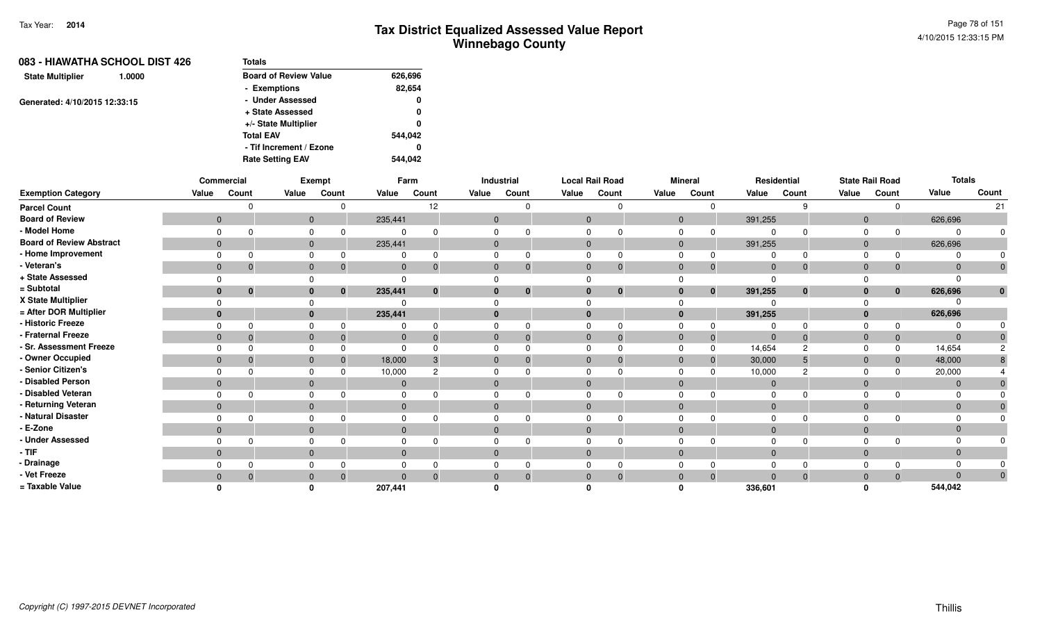| 083 - HIAWATHA SCHOOL DIST 426    | <b>Totals</b>                |         |
|-----------------------------------|------------------------------|---------|
| <b>State Multiplier</b><br>1.0000 | <b>Board of Review Value</b> | 626,696 |
|                                   | - Exemptions                 | 82,654  |
| Generated: 4/10/2015 12:33:15     | - Under Assessed             | 0       |
|                                   | + State Assessed             | 0       |
|                                   | +/- State Multiplier         | 0       |
|                                   | <b>Total EAV</b>             | 544.042 |
|                                   | - Tif Increment / Ezone      | 0       |
|                                   | <b>Rate Setting EAV</b>      | 544.042 |

|                                 |                | Commercial |              | Exempt                   |              | Farm     |              | Industrial |              | <b>Local Rail Road</b> |              | <b>Mineral</b> |              | Residential    |              | <b>State Rail Road</b> | <b>Totals</b> |              |
|---------------------------------|----------------|------------|--------------|--------------------------|--------------|----------|--------------|------------|--------------|------------------------|--------------|----------------|--------------|----------------|--------------|------------------------|---------------|--------------|
| <b>Exemption Category</b>       | Value          | Count      | Value        | Count                    | Value        | Count    | Value        | Count      | Value        | Count                  | Value        | Count          | Value        | Count          | Value        | Count                  | Value         | Count        |
| <b>Parcel Count</b>             |                |            |              |                          |              | 12       |              |            |              |                        |              |                |              | 9              |              | $\Omega$               |               | 21           |
| <b>Board of Review</b>          | $\overline{0}$ |            |              | $\mathbf 0$              | 235,441      |          | $\mathbf 0$  |            | $\mathbf{0}$ |                        | $\mathbf{0}$ |                | 391,255      |                | $\mathbf 0$  |                        | 626,696       |              |
| - Model Home                    | $\Omega$       |            | $\Omega$     |                          |              |          | $\Omega$     |            |              |                        |              |                |              | <sup>0</sup>   |              | $\Omega$               | ∩             | 0            |
| <b>Board of Review Abstract</b> | $\mathbf{0}$   |            |              | $\mathbf 0$              | 235,441      |          | $\mathbf 0$  |            | $\mathbf{0}$ |                        | $\mathbf{0}$ |                | 391,255      |                | $\mathbf 0$  |                        | 626,696       |              |
| - Home Improvement              |                |            |              |                          |              |          |              |            |              |                        |              |                |              |                |              |                        |               |              |
| Veteran's                       | $\mathbf{0}$   |            |              | $\mathbf{0}$             | $\mathbf{0}$ |          | $\mathbf{0}$ |            | $\mathbf{0}$ | $\Omega$               | $\mathbf{0}$ |                | $\mathbf{0}$ | $\mathbf 0$    | $\mathbf 0$  | $\Omega$               | $\Omega$      | $\mathbf{0}$ |
| + State Assessed                | $\Omega$       |            |              |                          | $\Omega$     |          |              |            |              |                        |              |                |              |                |              |                        |               |              |
| = Subtotal                      | $\bf{0}$       | $\bf{0}$   |              | $\mathbf{0}$<br>$\bf{0}$ | 235,441      | $\bf{0}$ | $\bf{0}$     | $\bf{0}$   | $\bf{0}$     | $\bf{0}$               | $\bf{0}$     | $\bf{0}$       | 391,255      | $\mathbf{0}$   | $\bf{0}$     | $\bf{0}$               | 626,696       | $\mathbf{0}$ |
| X State Multiplier              |                |            |              |                          |              |          |              |            |              |                        |              |                |              |                |              |                        |               |              |
| = After DOR Multiplier          | $\bf{0}$       |            |              | $\mathbf{0}$             | 235,441      |          | $\bf{0}$     |            | $\Omega$     |                        | $\bf{0}$     |                | 391,255      |                | $\bf{0}$     |                        | 626,696       |              |
| - Historic Freeze               |                |            | $\Omega$     |                          |              |          | $\Omega$     |            |              |                        |              |                |              |                |              |                        |               |              |
| - Fraternal Freeze              | $\mathbf{0}$   |            |              | $\mathbf{0}$             | $\mathbf{0}$ |          | $\Omega$     |            | $\mathbf{0}$ |                        | $\Omega$     |                | $\Omega$     | $\Omega$       | $\mathbf{0}$ | $\mathbf{0}$           | $\Omega$      |              |
| <b>Sr. Assessment Freeze</b>    |                |            | $\Omega$     |                          | $\Omega$     |          |              |            |              |                        |              |                | 14,654       | $\overline{c}$ |              | $\Omega$               | 14,654        |              |
| - Owner Occupied                | $\mathbf{0}$   |            |              | $\mathbf{0}$             | 18,000       |          | $\mathbf{0}$ |            | $\Omega$     |                        | $\Omega$     |                | 30,000       |                | $\mathbf{0}$ | $\Omega$               | 48,000        |              |
| Senior Citizen's                |                |            | $\Omega$     |                          | 10,000       |          | $\Omega$     |            |              |                        |              |                | 10,000       | റ              | $\Omega$     | n                      | 20,000        |              |
| <b>Disabled Person</b>          | $\mathbf{0}$   |            |              | $\mathbf{0}$             | $\mathbf{0}$ |          | $\mathbf{0}$ |            | $\Omega$     |                        | $\mathbf{0}$ |                | $\Omega$     |                | $\mathbf{0}$ |                        | $\Omega$      |              |
| - Disabled Veteran              | $\Omega$       |            | $\Omega$     |                          | $\Omega$     |          | $\Omega$     |            |              |                        | 0            |                |              | <sup>0</sup>   | 0            |                        |               |              |
| - Returning Veteran             | $\mathbf{0}$   |            |              | $\mathbf{0}$             | $\mathbf{0}$ |          | $\mathbf{0}$ |            | $\mathbf{0}$ |                        | $\mathbf{0}$ |                | $\Omega$     |                | $\mathbf{0}$ |                        | $\Omega$      | $\Omega$     |
| - Natural Disaster              |                |            | $\Omega$     |                          |              |          |              |            |              |                        |              |                |              |                |              |                        |               |              |
| ⋅ E-Zone                        | $\mathbf{0}$   |            |              | $\mathbf{0}$             | $\mathbf{0}$ |          | $\mathbf{0}$ |            | $\Omega$     |                        | $\mathbf{0}$ |                |              |                | $\mathbf{0}$ |                        |               |              |
| - Under Assessed                |                |            | $\Omega$     |                          |              |          | $\Omega$     |            |              |                        |              |                |              | <sup>0</sup>   |              |                        |               | $\Omega$     |
| · TIF                           | $\mathbf{0}$   |            |              | $\mathbf{0}$             | $\mathbf{0}$ |          | $\mathbf{0}$ |            | $\mathbf{0}$ |                        | $\mathbf{0}$ |                | $\Omega$     |                | $\mathbf{0}$ |                        | $\Omega$      |              |
| Drainage                        |                |            |              |                          |              |          |              |            |              |                        |              |                |              |                |              |                        |               |              |
| Vet Freeze                      | $\mathbf{0}$   |            | $\mathbf{0}$ |                          | $\Omega$     |          | $\mathbf{0}$ |            | $\mathbf{0}$ | 0                      | $\mathbf 0$  |                | $\Omega$     | $\mathbf{0}$   | $\mathbf{0}$ | $\Omega$               | $\Omega$      | $\mathbf{0}$ |
| = Taxable Value                 |                |            |              |                          | 207,441      |          |              |            |              |                        |              |                | 336,601      |                |              |                        | 544,042       |              |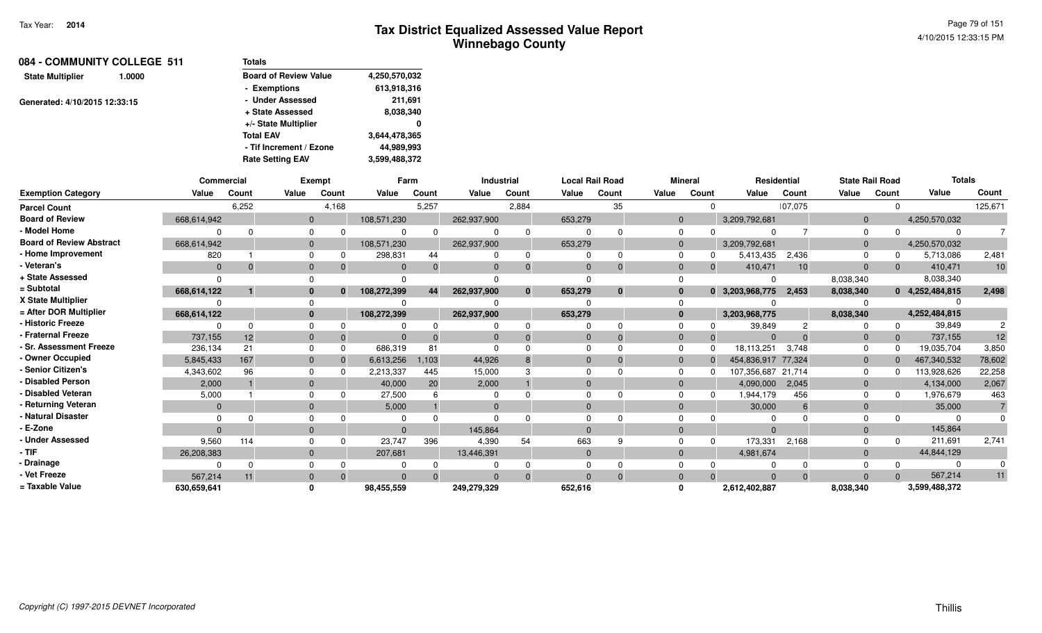| 084 - COMMUNITY COLLEGE 511       | <b>Totals</b>                |               |
|-----------------------------------|------------------------------|---------------|
| <b>State Multiplier</b><br>1.0000 | <b>Board of Review Value</b> | 4,250,570,032 |
|                                   | - Exemptions                 | 613,918,316   |
| Generated: 4/10/2015 12:33:15     | - Under Assessed             | 211,691       |
|                                   | + State Assessed             | 8,038,340     |
|                                   | +/- State Multiplier         | 0             |
|                                   | <b>Total EAV</b>             | 3,644,478,365 |
|                                   | - Tif Increment / Ezone      | 44,989,993    |
|                                   | <b>Rate Setting EAV</b>      | 3,599,488,372 |

|                                 | Commercial  |       |          | <b>Exempt</b> | Farm        |          | <b>Industrial</b> |              |                | <b>Local Rail Road</b> |                | <b>Mineral</b> | Residential        |          | <b>State Rail Road</b> |       | <b>Totals</b>   |         |
|---------------------------------|-------------|-------|----------|---------------|-------------|----------|-------------------|--------------|----------------|------------------------|----------------|----------------|--------------------|----------|------------------------|-------|-----------------|---------|
| <b>Exemption Category</b>       | Value       | Count | Value    | Count         | Value       | Count    | Value             | Count        | Value          | Count                  | Value          | Count          | Value              | Count    | Value                  | Count | Value           | Count   |
| <b>Parcel Count</b>             |             | 6,252 |          | 4,168         |             | 5,257    |                   | 2,884        |                | 35                     |                | $\Omega$       |                    | 107,075  |                        |       |                 | 125,671 |
| <b>Board of Review</b>          | 668,614,942 |       | $\Omega$ |               | 108,571,230 |          | 262,937,900       |              | 653,279        |                        | $\Omega$       |                | 3,209,792,681      |          | $\Omega$               |       | 4,250,570,032   |         |
| - Model Home                    |             |       |          |               |             |          |                   | റ            |                |                        |                |                |                    |          |                        |       | $\Omega$        |         |
| <b>Board of Review Abstract</b> | 668,614,942 |       | $\Omega$ |               | 108,571,230 |          | 262,937,900       |              | 653,279        |                        | -0             |                | 3,209,792,681      |          | $\Omega$               |       | 4,250,570,032   |         |
| - Home Improvement              | 820         |       |          |               | 298,831     | 44       |                   | 0            |                |                        |                |                | 5,413,435          | 2,436    |                        |       | 5,713,086       | 2,481   |
| · Veteran's                     |             |       |          | $\Omega$      |             |          | $\Omega$          | $\mathbf 0$  | $\Omega$       |                        |                | $\Omega$       | 410,471            | 10       | $\Omega$               |       | 410,471         | 10      |
| + State Assessed                |             |       |          |               |             |          |                   |              |                |                        |                |                |                    |          | 8,038,340              |       | 8,038,340       |         |
| = Subtotal                      | 668,614,122 |       |          | $\mathbf{0}$  | 108,272,399 | 44       | 262,937,900       | $\mathbf{0}$ | 653,279        | $\bf{0}$               |                |                | 0 3,203,968,775    | 2,453    | 8,038,340              |       | 0 4,252,484,815 | 2,498   |
| X State Multiplier              |             |       |          |               |             |          |                   |              |                |                        |                |                |                    |          |                        |       |                 |         |
| = After DOR Multiplier          | 668,614,122 |       | 0        |               | 108,272,399 |          | 262,937,900       |              | 653,279        |                        |                |                | 3,203,968,775      |          | 8,038,340              |       | 4,252,484,815   |         |
| - Historic Freeze               |             |       |          |               |             |          |                   |              |                |                        |                |                | 39,849             |          |                        |       | 39,849          |         |
| <b>Fraternal Freeze</b>         | 737,155     | 12    |          | $\Omega$      |             |          |                   | $\Omega$     | $\overline{0}$ |                        | $\overline{0}$ | $\Omega$       | $\Omega$           |          | $\mathbf 0$            |       | 737,155         | 12      |
| <b>Sr. Assessment Freeze</b>    | 236,134     | 21    |          | $\Omega$      | 686,319     | 81       |                   |              |                |                        |                |                | 18,113,251         | 3,748    | $\Omega$               |       | 19,035,704      | 3,850   |
| - Owner Occupied                | 5,845,433   | 167   | $\Omega$ | $\Omega$      | 6,613,256   | 1,103    | 44,926            |              | $\Omega$       |                        |                |                | 454,836,917 77,324 |          | $\Omega$               |       | 467,340,532     | 78,602  |
| Senior Citizen's                | 4,343,602   | 96    |          | $\Omega$      | 2,213,337   | 445      | 15,000            |              |                |                        |                |                | 107,356,687 21,714 |          | $\Omega$               |       | 113,928,626     | 22,258  |
| <b>Disabled Person</b>          | 2,000       |       | $\Omega$ |               | 40,000      | 20       | 2,000             |              | $\Omega$       |                        |                |                | 4,090,000          | 2,045    | $\Omega$               |       | 4,134,000       | 2,067   |
| <b>Disabled Veteran</b>         | 5,000       |       |          |               | 27,500      |          |                   |              |                |                        |                |                | 1,944,179          | 456      | $\Omega$               |       | 1,976,679       | 463     |
| Returning Veteran               | $\Omega$    |       | $\Omega$ |               | 5,000       |          | $\Omega$          |              | $\Omega$       |                        |                |                | 30,000             | 6        | $\Omega$               |       | 35,000          |         |
| <b>Natural Disaster</b>         |             |       |          |               |             |          |                   |              |                |                        |                |                |                    |          |                        |       |                 |         |
| E-Zone                          |             |       | $\Omega$ |               |             |          | 145.864           |              | $\cap$         |                        |                |                | $\Omega$           |          | $\Omega$               |       | 145,864         |         |
| <b>Under Assessed</b>           | 9,560       | 114   |          |               | 23,747      | 396      | 4,390             | 54           | 663            |                        |                | $\Omega$       | 173,331            | 2,168    |                        |       | 211,691         | 2,741   |
| · TIF                           | 26,208,383  |       | $\Omega$ |               | 207,681     |          | 13,446,391        |              | $\Omega$       |                        | $\Omega$       |                | 4,981,674          |          | $\Omega$               |       | 44,844,129      |         |
| Drainage                        |             |       |          |               |             |          |                   |              |                |                        |                |                |                    |          |                        |       | $\Omega$        |         |
| Vet Freeze                      | 567,214     | 11    | $\Omega$ | $\Omega$      |             | $\Omega$ | $\Omega$          | $\Omega$     | $\Omega$       | $\Omega$               | $\Omega$       | $\Omega$       | $\Omega$           | $\Omega$ | $\Omega$               |       | 567,214         | 11      |
| = Taxable Value                 | 630,659,641 |       |          |               | 98,455,559  |          | 249,279,329       |              | 652,616        |                        |                |                | 2,612,402,887      |          | 8,038,340              |       | 3,599,488,372   |         |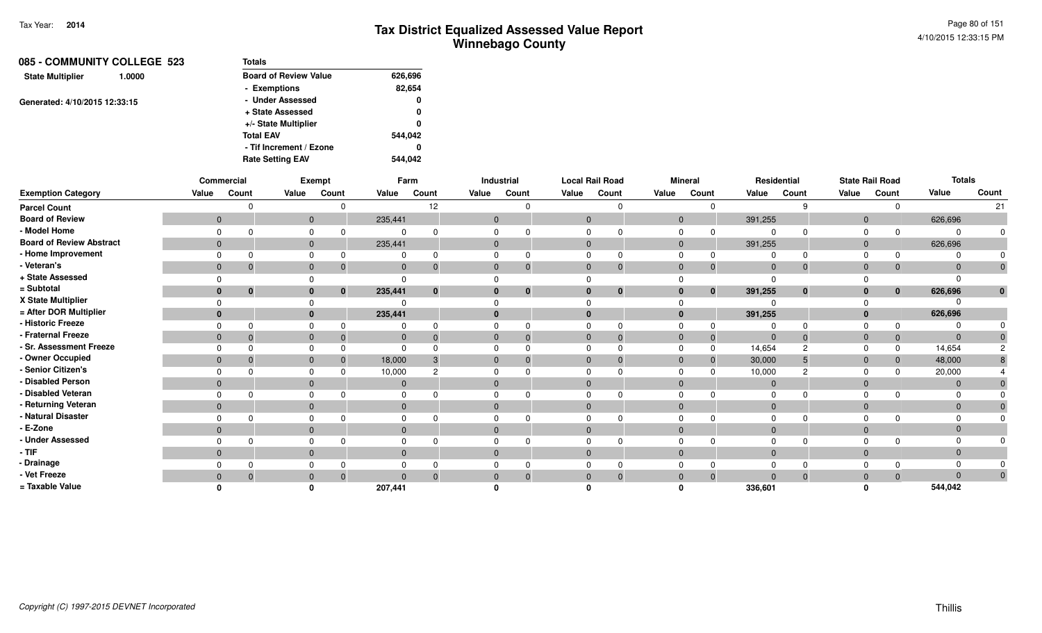| 085 - COMMUNITY COLLEGE 523       | <b>Totals</b>                |         |
|-----------------------------------|------------------------------|---------|
| <b>State Multiplier</b><br>1.0000 | <b>Board of Review Value</b> | 626,696 |
|                                   | - Exemptions                 | 82,654  |
| Generated: 4/10/2015 12:33:15     | - Under Assessed             | 0       |
|                                   | + State Assessed             | 0       |
|                                   | +/- State Multiplier         | 0       |
|                                   | <b>Total EAV</b>             | 544.042 |
|                                   | - Tif Increment / Ezone      | 0       |
|                                   | <b>Rate Setting EAV</b>      | 544.042 |

|                                 |              | Commercial   |          | Exempt                   |                | Farm         |              | Industrial   | <b>Local Rail Road</b> |          |              | <b>Mineral</b> |                | Residential |                | <b>State Rail Road</b> | <b>Totals</b> |       |
|---------------------------------|--------------|--------------|----------|--------------------------|----------------|--------------|--------------|--------------|------------------------|----------|--------------|----------------|----------------|-------------|----------------|------------------------|---------------|-------|
| <b>Exemption Category</b>       | Value        | Count        | Value    | Count                    | Value          | Count        | Value        | Count        | Value                  | Count    | Value        | Count          | Value          | Count       | Value          | Count                  | Value         | Count |
| <b>Parcel Count</b>             |              |              |          | $\Omega$                 |                | 12           |              | <sup>n</sup> |                        |          |              |                |                |             |                |                        |               | 21    |
| <b>Board of Review</b>          | $\mathbf{0}$ |              |          | $\overline{0}$           | 235,441        |              |              | $\mathbf{0}$ | $\mathbf{0}$           |          | $\mathbf{0}$ |                | 391,255        |             | $\overline{0}$ |                        | 626,696       |       |
| - Model Home                    |              |              |          | $\Omega$                 |                |              |              |              |                        |          |              |                |                |             |                | $\Omega$               |               |       |
| <b>Board of Review Abstract</b> | $\mathbf{0}$ |              |          | $\mathbf{0}$             | 235,441        |              | $\Omega$     |              | $\mathbf{0}$           |          | $\mathbf{0}$ |                | 391,255        |             | $\mathbf{0}$   |                        | 626,696       |       |
| - Home Improvement              |              |              |          |                          |                |              |              |              |                        |          |              |                |                |             |                | $\Omega$               |               |       |
| - Veteran's                     | $\mathbf 0$  |              |          | $\mathbf{0}$<br>0        | 0              |              | $\mathbf{0}$ | $\mathbf{0}$ | $\mathbf{0}$           |          | $\mathbf{0}$ | $\mathbf 0$    | $\overline{0}$ |             | $\overline{0}$ | $\mathbf{0}$           |               |       |
| + State Assessed                |              |              |          |                          |                |              |              |              |                        |          |              |                |                |             |                |                        |               |       |
| = Subtotal                      | $\mathbf{0}$ | $\mathbf{0}$ |          | $\bf{0}$<br>$\mathbf{0}$ | 235,441        | $\mathbf{0}$ | 0            | $\bf{0}$     | $\bf{0}$               | $\bf{0}$ | $\bf{0}$     | $\mathbf{0}$   | 391,255        | $\bf{0}$    | $\bf{0}$       | $\mathbf{0}$           | 626,696       |       |
| X State Multiplier              |              |              |          |                          |                |              |              |              |                        |          |              |                |                |             |                |                        |               |       |
| = After DOR Multiplier          | $\mathbf{0}$ |              |          | $\mathbf{0}$             | 235,441        |              | $\bf{0}$     |              |                        |          | $\bf{0}$     |                | 391,255        |             | $\mathbf{0}$   |                        | 626,696       |       |
| - Historic Freeze               |              |              | $\Omega$ |                          |                |              |              |              |                        |          | $\Omega$     |                |                |             |                | $\Omega$               |               |       |
| - Fraternal Freeze              | $\mathbf{0}$ |              |          | $\Omega$                 | $\Omega$       |              | $\Omega$     | $\mathbf{0}$ | $\Omega$               |          | $\Omega$     | $\overline{0}$ | $\Omega$       |             | $\Omega$       | $\mathbf 0$            | $\Omega$      |       |
| - Sr. Assessment Freeze         |              |              |          |                          |                |              |              |              |                        |          |              | $\Omega$       | 14,654         |             |                | 0                      | 14,654        |       |
| - Owner Occupied                | $\mathbf{0}$ |              |          | $\mathbf{0}$             | 18,000         |              | $\Omega$     | $\Omega$     | $\Omega$               |          | $\Omega$     | $\overline{0}$ | 30,000         |             | $\mathbf{0}$   | $\mathbf{0}$           | 48,000        |       |
| - Senior Citizen's              |              |              | $\Omega$ |                          | 10,000         |              |              |              |                        |          | $\Omega$     |                | 10,000         |             |                | $\Omega$               | 20,000        |       |
| - Disabled Person               | $\mathbf{0}$ |              |          | $\mathbf{0}$             | 0              |              | $\Omega$     |              | $\Omega$               |          | $\mathbf{0}$ |                | $\mathbf 0$    |             | $\overline{0}$ |                        |               |       |
| - Disabled Veteran              |              |              |          |                          |                |              |              |              |                        |          |              |                |                |             |                |                        |               |       |
| - Returning Veteran             | $\mathbf{0}$ |              |          | $\mathbf{0}$             | $\overline{0}$ |              | $\Omega$     |              | $\Omega$               |          | $\Omega$     |                | $\Omega$       |             | $\overline{0}$ |                        | $\Omega$      |       |
| - Natural Disaster              |              |              |          | 0                        |                |              |              |              |                        |          |              |                |                |             |                |                        |               |       |
| - E-Zone                        | $\mathbf{0}$ |              |          | $\Omega$                 |                |              | $\Omega$     |              | $\Omega$               |          | $\Omega$     |                | $\Omega$       |             | $\Omega$       |                        |               |       |
| - Under Assessed                |              |              | $\Omega$ |                          |                |              |              |              |                        |          |              |                |                |             |                |                        |               |       |
| - TIF                           | $\mathbf{0}$ |              |          | $\Omega$                 |                |              | $\Omega$     |              | $\Omega$               |          | $\Omega$     |                | $\Omega$       |             | $\Omega$       |                        | $\Omega$      |       |
| - Drainage                      |              |              |          |                          |                |              |              |              |                        |          |              |                |                |             |                |                        |               |       |
| - Vet Freeze                    | $\Omega$     |              |          | $\Omega$<br>$\Omega$     |                |              | $\Omega$     | $\Omega$     |                        |          | $\Omega$     | $\overline{0}$ |                |             | $\Omega$       | $\mathbf{0}$           |               | 0     |
| = Taxable Value                 |              |              |          |                          | 207,441        |              |              |              |                        |          |              |                | 336.601        |             |                |                        | 544,042       |       |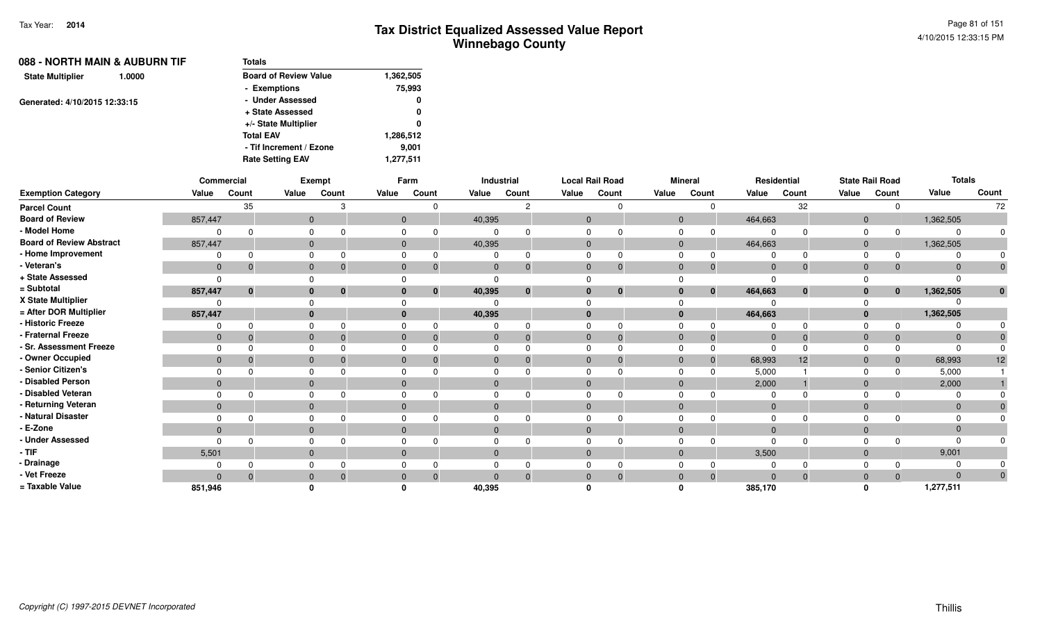| 088 - NORTH MAIN & AUBURN TIF     | Totals                       |           |
|-----------------------------------|------------------------------|-----------|
| <b>State Multiplier</b><br>1.0000 | <b>Board of Review Value</b> | 1,362,505 |
|                                   | - Exemptions                 | 75,993    |
| Generated: 4/10/2015 12:33:15     | - Under Assessed             | 0         |
|                                   | + State Assessed             | 0         |
|                                   | +/- State Multiplier         | 0         |
|                                   | <b>Total EAV</b>             | 1,286,512 |
|                                   | - Tif Increment / Ezone      | 9,001     |
|                                   | <b>Rate Setting EAV</b>      | 1,277,511 |

|                                 |                | Commercial |              | Exempt                       |              | Farm                          |              | Industrial |              | <b>Local Rail Road</b> |                | <b>Mineral</b>       |             | Residential  |                | <b>State Rail Road</b> | <b>Totals</b> |              |
|---------------------------------|----------------|------------|--------------|------------------------------|--------------|-------------------------------|--------------|------------|--------------|------------------------|----------------|----------------------|-------------|--------------|----------------|------------------------|---------------|--------------|
| <b>Exemption Category</b>       | Value          | Count      | Value        | Count                        | Value        | Count                         | Value        | Count      | Value        | Count                  | Value          | Count                | Value       | Count        | Value          | Count                  | Value         | Count        |
| <b>Parcel Count</b>             |                | 35         |              |                              |              |                               |              |            |              |                        |                | $\Omega$             |             | 32           |                | 0                      |               | 72           |
| <b>Board of Review</b>          | 857,447        |            | $\mathbf{0}$ |                              |              | $\mathbf{0}$                  | 40,395       |            | $\mathbf{0}$ |                        | $\overline{0}$ |                      | 464,663     |              | $\mathbf{0}$   |                        | 1,362,505     |              |
| - Model Home                    | $\Omega$       |            | 0            |                              | 0            |                               | 0            |            |              |                        | 0              | $\Omega$             | $\Omega$    | $\Omega$     | 0              | $\Omega$               |               | 0            |
| <b>Board of Review Abstract</b> | 857,447        |            | $\mathbf{0}$ |                              |              | $\mathbf{0}$                  | 40,395       |            | $\mathbf{0}$ |                        |                | $\mathbf{0}$         | 464,663     |              | $\overline{0}$ |                        | 1,362,505     |              |
| - Home Improvement              |                |            | $\Omega$     |                              |              |                               |              |            |              |                        | $\Omega$       |                      | 0           | $\Omega$     | $\Omega$       | $\Omega$               |               |              |
| - Veteran's                     | $\mathbf{0}$   | -0         | $\mathbf{0}$ | -0                           |              | $\mathbf 0$<br>$\overline{0}$ | $\mathbf 0$  |            | $\mathbf{0}$ |                        | $\mathbf 0$    | $\Omega$             | $\mathbf 0$ | $\mathbf{0}$ | $\mathbf{0}$   | 0                      | $\Omega$      | $\mathbf 0$  |
| + State Assessed                | $\Omega$       |            | $\Omega$     |                              |              |                               | $\Omega$     |            |              |                        |                |                      | $\Omega$    |              |                |                        |               |              |
| = Subtotal                      | 857,447        | $\bf{0}$   |              | $\mathbf{0}$<br>$\mathbf{0}$ | $\bf{0}$     | $\mathbf{0}$                  | 40,395       |            |              | $\bf{0}$               |                | $\bf{0}$<br>$\bf{0}$ | 464,663     | $\bf{0}$     | $\mathbf{0}$   | $\bf{0}$               | 1,362,505     | $\mathbf{0}$ |
| X State Multiplier              | $\Omega$       |            | $\Omega$     |                              |              |                               |              |            |              |                        |                |                      | $\Omega$    |              |                |                        |               |              |
| = After DOR Multiplier          | 857,447        |            | $\bf{0}$     |                              | $\bf{0}$     |                               | 40,395       |            | $\bf{0}$     |                        | $\bf{0}$       |                      | 464,663     |              | $\mathbf{0}$   |                        | 1,362,505     |              |
| - Historic Freeze               | 0              | $\Omega$   | $\mathbf 0$  |                              | 0            |                               | 0            |            | $\Omega$     |                        | $\Omega$       |                      | $\Omega$    | $\Omega$     | $\Omega$       |                        |               |              |
| - Fraternal Freeze              | $\mathbf{0}$   | - 0        | $\mathbf{0}$ | - 0                          |              | $\mathbf{0}$<br>$\Omega$      | $\mathbf 0$  |            | $\mathbf{0}$ |                        | $\mathbf 0$    | $\Omega$             | $\mathbf 0$ | $\Omega$     | $\mathbf 0$    | $\Omega$               | $\Omega$      |              |
| - Sr. Assessment Freeze         | $\Omega$       |            | 0            |                              | 0            |                               | 0            |            |              |                        | $\Omega$       |                      | $\Omega$    | $\Omega$     | $\Omega$       |                        |               |              |
| - Owner Occupied                | $\Omega$       |            | $\mathbf{0}$ |                              | $\Omega$     |                               | $\mathbf 0$  |            | $\Omega$     |                        | $\mathbf{0}$   |                      | 68,993      | 12           | $\mathbf{0}$   | $\Omega$               | 68,993        | 12           |
| - Senior Citizen's              | $\Omega$       |            | $\mathbf 0$  |                              | 0            |                               | 0            |            |              |                        | $\Omega$       |                      | 5,000       |              | $\Omega$       |                        | 5,000         |              |
| - Disabled Person               | $\Omega$       |            | $\mathbf{0}$ |                              | $\Omega$     |                               | $\mathbf{0}$ |            | $\Omega$     |                        | $\mathbf{0}$   |                      | 2,000       |              | $\mathbf{0}$   |                        | 2,000         |              |
| - Disabled Veteran              | $\Omega$       | $\Omega$   | 0            |                              | 0            |                               | 0            |            | $\Omega$     |                        | $\Omega$       |                      | $\Omega$    | $\Omega$     | $\Omega$       |                        |               |              |
| - Returning Veteran             | $\overline{0}$ |            | $\mathbf{0}$ |                              | $\mathbf{0}$ |                               | $\mathbf{0}$ |            | $\mathbf{0}$ |                        |                | $\mathbf{0}$         | $\mathbf 0$ |              | $\mathbf{0}$   |                        | $\Omega$      |              |
| - Natural Disaster              | $\Omega$       |            | $\mathbf 0$  |                              | 0            |                               | 0            |            |              |                        | $\mathbf 0$    |                      | $\Omega$    |              | $\Omega$       |                        |               |              |
| - E-Zone                        | $\Omega$       |            | $\mathbf{0}$ |                              | $\Omega$     |                               | $\mathbf{0}$ |            | $\Omega$     |                        | $\overline{0}$ |                      | $\Omega$    |              | $\mathbf{0}$   |                        |               |              |
| - Under Assessed                | $\Omega$       | $\Omega$   | $\Omega$     |                              | $\Omega$     |                               | 0            |            |              |                        | $\Omega$       |                      | $\Omega$    | $\Omega$     | $\Omega$       |                        |               |              |
| - TIF-                          | 5,501          |            | $\mathbf{0}$ |                              | $\mathbf{0}$ |                               | $\mathbf{0}$ |            | $\mathbf{0}$ |                        | $\mathbf{0}$   |                      | 3,500       |              | $\mathbf{0}$   |                        | 9,001         |              |
| - Drainage                      | $\Omega$       |            | $\mathbf 0$  |                              | 0            |                               | 0            |            |              |                        | $\Omega$       |                      | 0           |              | $\Omega$       |                        |               |              |
| - Vet Freeze                    | $\Omega$       | $\Omega$   | $\mathbf{0}$ |                              | $\mathbf 0$  | $\Omega$                      |              |            |              |                        | $\mathbf{0}$   | $\Omega$             | $\Omega$    | $\mathbf{0}$ | $\mathbf{0}$   | $\Omega$               | $\Omega$      | $\mathbf 0$  |
| = Taxable Value                 | 851,946        |            | $\mathbf{0}$ |                              |              |                               | 40,395       |            |              |                        |                |                      | 385,170     |              | $\Omega$       |                        | 1,277,511     |              |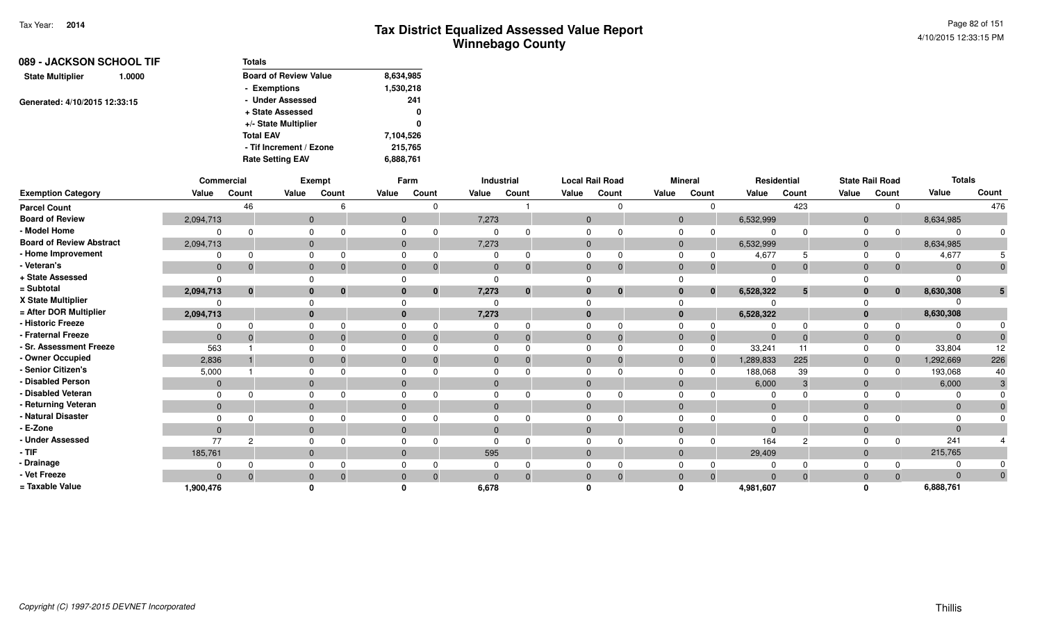| 089 - JACKSON SCHOOL TIF      |        | Totals                       |           |  |  |
|-------------------------------|--------|------------------------------|-----------|--|--|
| <b>State Multiplier</b>       | 1.0000 | <b>Board of Review Value</b> | 8,634,985 |  |  |
|                               |        | - Exemptions                 | 1,530,218 |  |  |
| Generated: 4/10/2015 12:33:15 |        | - Under Assessed             | 241       |  |  |
|                               |        | + State Assessed             | 0         |  |  |
|                               |        | +/- State Multiplier         | 0         |  |  |
|                               |        | <b>Total EAV</b>             | 7,104,526 |  |  |
|                               |        | - Tif Increment / Ezone      | 215,765   |  |  |
|                               |        | <b>Rate Setting EAV</b>      | 6,888,761 |  |  |

|                                 |                | Commercial   |          | <b>Exempt</b> |              | Farm         |       | Industrial   | <b>Local Rail Road</b> |          |              | <b>Mineral</b> |           | Residential |              | <b>State Rail Road</b> | <b>Totals</b> |       |
|---------------------------------|----------------|--------------|----------|---------------|--------------|--------------|-------|--------------|------------------------|----------|--------------|----------------|-----------|-------------|--------------|------------------------|---------------|-------|
| <b>Exemption Category</b>       | Value          | Count        | Value    | Count         | Value        | Count        | Value | Count        | Value                  | Count    | Value        | Count          | Value     | Count       | Value        | Count                  | Value         | Count |
| <b>Parcel Count</b>             |                | 46           |          |               |              | $\Omega$     |       |              |                        |          |              |                |           | 423         |              | $\Omega$               |               | 476   |
| <b>Board of Review</b>          | 2,094,713      |              | $\Omega$ |               |              | $\mathbf{0}$ | 7,273 |              | $\Omega$               |          | $\mathbf{0}$ |                | 6,532,999 |             | $\mathbf{0}$ |                        | 8,634,985     |       |
| - Model Home                    |                |              |          |               |              |              |       |              |                        |          |              |                |           |             |              |                        |               |       |
| <b>Board of Review Abstract</b> | 2,094,713      |              | $\Omega$ |               | $\mathbf{0}$ |              | 7,273 |              | $\Omega$               |          | $\mathbf{0}$ |                | 6,532,999 |             | $\mathbf{0}$ |                        | 8,634,985     |       |
| - Home Improvement              |                |              |          |               |              |              |       |              |                        |          |              |                | 4,677     |             |              |                        | 4,677         |       |
| - Veteran's                     | $\mathbf{0}$   | $\Omega$     | $\Omega$ |               | $\mathbf{0}$ | $\Omega$     |       | 0            | $\Omega$               | 0        | $\Omega$     | 0              | $\Omega$  | $\Omega$    | $\mathbf{0}$ | $\mathbf{0}$           |               |       |
| + State Assessed                | $\Omega$       |              |          |               |              |              |       |              |                        |          |              |                |           |             |              |                        |               |       |
| = Subtotal                      | 2,094,713      | $\mathbf{0}$ |          |               |              | $\mathbf{0}$ | 7,273 | $\mathbf{0}$ | $\mathbf{0}$           | $\bf{0}$ | $\bf{0}$     | $\mathbf{0}$   | 6,528,322 | 5           | $\bf{0}$     | $\mathbf{0}$           | 8,630,308     |       |
| X State Multiplier              |                |              |          |               |              |              |       |              |                        |          |              |                |           |             |              |                        |               |       |
| = After DOR Multiplier          | 2,094,713      |              |          |               |              |              | 7,273 |              | $\Omega$               |          | $\bf{0}$     |                | 6,528,322 |             | $\mathbf{0}$ |                        | 8,630,308     |       |
| - Historic Freeze               |                |              |          |               |              |              |       |              |                        |          |              |                |           |             |              |                        |               |       |
| - Fraternal Freeze              | $\Omega$       |              |          |               | $\Omega$     | $\Omega$     |       |              | $\Omega$               |          | $\Omega$     | 0              | $\Omega$  | $\Omega$    | $\Omega$     | $\mathbf{0}$           | $\Omega$      |       |
| - Sr. Assessment Freeze         | 563            |              |          |               |              |              |       |              |                        |          |              |                | 33,241    |             |              | $\Omega$               | 33,804        | 12    |
| - Owner Occupied                | 2,836          |              |          |               |              |              |       |              | $\Omega$               |          | $\Omega$     | $\mathbf 0$    | 1,289,833 | 225         | $\Omega$     | $\mathbf{0}$           | 1,292,669     | 226   |
| - Senior Citizen's              | 5,000          |              |          |               |              |              |       |              |                        |          |              |                | 188,068   | 39          |              | <sup>0</sup>           | 193,068       | 40    |
| <b>Disabled Person</b>          | $\Omega$       |              |          |               | $\Omega$     |              |       |              | $\Omega$               |          | $\Omega$     |                | 6,000     | 3           | $\Omega$     |                        | 6,000         |       |
| - Disabled Veteran              | 0              |              |          |               |              |              |       |              |                        |          |              |                |           |             |              |                        |               |       |
| - Returning Veteran             | $\overline{0}$ |              | $\Omega$ |               | $\mathbf{0}$ |              |       |              | $\Omega$               |          | $\Omega$     |                | $\Omega$  |             | $\Omega$     |                        | $\Omega$      |       |
| - Natural Disaster              | $\Omega$       |              |          |               |              |              |       |              |                        |          |              |                |           |             |              |                        |               |       |
| - E-Zone                        | $\Omega$       |              |          |               | $\Omega$     |              |       |              | $\Omega$               |          | $\Omega$     |                |           |             | $\Omega$     |                        |               |       |
| - Under Assessed                | 77             | 2            |          |               |              |              |       |              |                        |          |              |                | 164       | $\Omega$    |              | $\Omega$               | 241           |       |
| - TIF                           | 185,761        |              |          |               | $\Omega$     |              | 595   |              | $\Omega$               |          | $\Omega$     |                | 29,409    |             | $\Omega$     |                        | 215,765       |       |
| - Drainage                      |                |              |          |               |              |              |       |              |                        |          |              |                |           |             |              |                        |               |       |
| - Vet Freeze                    | $\Omega$       |              |          |               |              | $\Omega$     |       |              | $\Omega$               | $\Omega$ |              | $\Omega$       |           |             | $\Omega$     | $\Omega$               |               |       |
| = Taxable Value                 | 1,900,476      |              |          |               |              |              | 6,678 |              |                        |          |              |                | 4,981,607 |             |              |                        | 6,888,761     |       |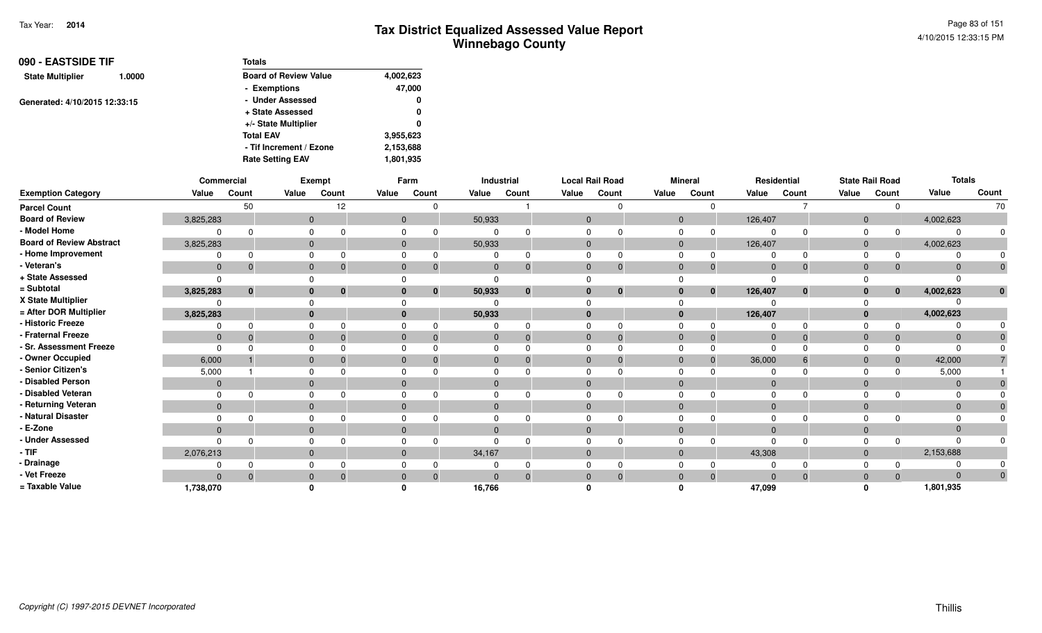| 090 - EASTSIDE TIF<br>1.0000  | <b>Totals</b>                |           |
|-------------------------------|------------------------------|-----------|
| <b>State Multiplier</b>       | <b>Board of Review Value</b> | 4,002,623 |
|                               | - Exemptions                 | 47,000    |
| Generated: 4/10/2015 12:33:15 | - Under Assessed             | 0         |
|                               | + State Assessed             | 0         |
|                               | +/- State Multiplier         | 0         |
|                               | <b>Total EAV</b>             | 3,955,623 |
|                               | - Tif Increment / Ezone      | 2,153,688 |
|                               | <b>Rate Setting EAV</b>      | 1,801,935 |

|                                 |                | Commercial  |              | Exempt   |                | Farm         |              | Industrial | <b>Local Rail Road</b> |          |                | <b>Mineral</b> |             | <b>Residential</b> |                | <b>State Rail Road</b> | <b>Totals</b> |       |
|---------------------------------|----------------|-------------|--------------|----------|----------------|--------------|--------------|------------|------------------------|----------|----------------|----------------|-------------|--------------------|----------------|------------------------|---------------|-------|
| <b>Exemption Category</b>       | Value          | Count       | Value        | Count    | Value          | Count        | Value        | Count      | Value                  | Count    | Value          | Count          | Value       | Count              | Value          | Count                  | Value         | Count |
| <b>Parcel Count</b>             |                | 50          |              | 12       |                | 0            |              |            |                        | O        |                | $\Omega$       |             |                    |                | $\Omega$               |               | 70    |
| <b>Board of Review</b>          | 3,825,283      |             | $\mathbf{0}$ |          | $\overline{0}$ |              | 50,933       |            | $\mathbf{0}$           |          | $\overline{0}$ |                | 126,407     |                    | $\overline{0}$ |                        | 4,002,623     |       |
| - Model Home                    | 0              | $\Omega$    |              |          |                |              |              |            |                        |          |                |                |             |                    | $\Omega$       |                        |               |       |
| <b>Board of Review Abstract</b> | 3,825,283      |             | $\mathbf{0}$ |          | $\mathbf{0}$   |              | 50,933       |            | $\Omega$               |          | $\Omega$       |                | 126,407     |                    | $\Omega$       |                        | 4,002,623     |       |
| - Home Improvement              |                |             |              |          |                |              |              |            |                        |          |                |                |             |                    |                |                        |               |       |
| - Veteran's                     | $\overline{0}$ | $\mathbf 0$ | $\mathbf{0}$ |          | $\Omega$       | 0            | $\mathbf{0}$ | 0          | $\Omega$               | $\Omega$ | $\Omega$       | $\mathbf 0$    | $\Omega$    |                    | $\Omega$       | $\mathbf{0}$           |               |       |
| + State Assessed                | $\Omega$       |             |              |          |                |              |              |            |                        |          |                |                |             |                    |                |                        |               |       |
| = Subtotal                      | 3,825,283      | $\bf{0}$    | $\bf{0}$     | $\bf{0}$ | $\bf{0}$       | $\mathbf{0}$ | 50,933       | $\bf{0}$   |                        | $\bf{0}$ | $\bf{0}$       | $\mathbf{0}$   | 126,407     | $\bf{0}$           | $\bf{0}$       | $\mathbf{0}$           | 4,002,623     |       |
| X State Multiplier              | $\Omega$       |             |              |          |                |              |              |            |                        |          |                |                |             |                    |                |                        |               |       |
| = After DOR Multiplier          | 3,825,283      |             | $\mathbf{0}$ |          | $\mathbf{0}$   |              | 50,933       |            |                        |          | $\mathbf{0}$   |                | 126,407     |                    | $\Omega$       |                        | 4,002,623     |       |
| - Historic Freeze               | 0              |             |              |          |                |              |              |            |                        |          |                |                |             |                    |                | $\Omega$               |               |       |
| - Fraternal Freeze              | $\mathbf 0$    | $\Omega$    | $\Omega$     |          | $\mathbf{0}$   |              | 0            | $\Omega$   | 0                      |          | $\Omega$       | $\overline{0}$ | $\mathbf 0$ |                    | $\Omega$       | $\mathbf{0}$           | $\Omega$      |       |
| - Sr. Assessment Freeze         | $\Omega$       |             | $\Omega$     |          |                |              |              |            |                        |          |                | $\Omega$       | 0           |                    |                | $\Omega$               |               |       |
| - Owner Occupied                | 6,000          |             | $\mathbf{0}$ |          | $\Omega$       |              |              |            |                        |          | $\Omega$       | $\Omega$       | 36,000      |                    | $\Omega$       | $\mathbf{0}$           | 42,000        |       |
| - Senior Citizen's              | 5,000          |             |              |          |                |              |              |            |                        |          |                |                |             |                    |                | <sup>n</sup>           | 5,000         |       |
| - Disabled Person               | $\mathbf{0}$   |             | $\mathbf{0}$ |          | $\mathbf{0}$   |              |              |            |                        |          | $\Omega$       |                |             |                    |                |                        |               |       |
| - Disabled Veteran              | $\Omega$       |             | $\Omega$     |          |                |              |              |            |                        |          |                |                |             |                    | $\Omega$       |                        |               |       |
| - Returning Veteran             | $\overline{0}$ |             | $\mathbf{0}$ |          | $\mathbf{0}$   |              | $\Omega$     |            | $\Omega$               |          | $\Omega$       |                | $\Omega$    |                    | $\Omega$       |                        | $\Omega$      |       |
| - Natural Disaster              |                |             |              |          |                |              |              |            |                        |          |                |                |             |                    |                |                        |               |       |
| - E-Zone                        | $\mathbf{0}$   |             | $\mathbf{0}$ |          | $\Omega$       |              |              |            |                        |          | $\Omega$       |                | $\Omega$    |                    | $\Omega$       |                        |               |       |
| - Under Assessed                | $\Omega$       | ∩           |              |          |                |              |              |            |                        |          |                |                |             |                    |                |                        |               |       |
| - TIF                           | 2,076,213      |             | $\Omega$     |          | $\Omega$       |              | 34,167       |            | $\Omega$               |          | $\Omega$       |                | 43,308      |                    | $\Omega$       |                        | 2,153,688     |       |
| - Drainage                      |                | $\Omega$    |              |          |                |              |              |            |                        |          |                |                |             |                    | $\Omega$       |                        |               |       |
| - Vet Freeze                    | $\mathbf{0}$   | $\Omega$    | $\mathbf{0}$ |          | $\mathbf{0}$   | $\Omega$     | $\Omega$     | $\Omega$   | $\mathbf{0}$           | $\Omega$ | $\Omega$       | $\overline{0}$ | $\Omega$    | $\Omega$           | $\Omega$       | $\Omega$               | $\Omega$      | 0     |
| = Taxable Value                 | 1,738,070      |             |              |          |                |              | 16,766       |            |                        |          |                |                | 47,099      |                    | ŋ              |                        | 1,801,935     |       |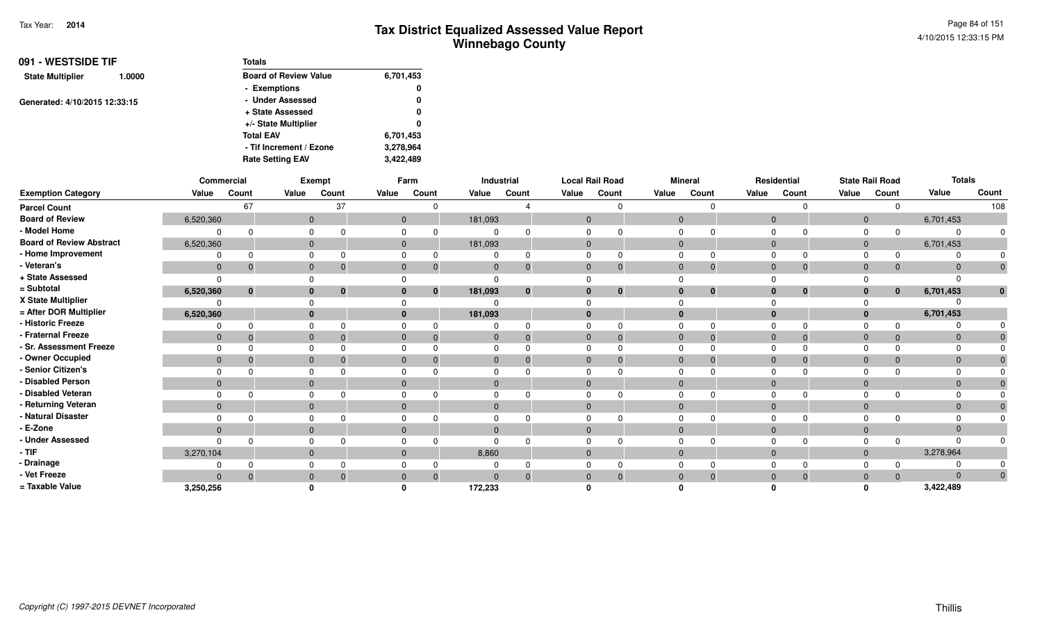| 091 - WESTSIDE TIF                | Totals                       |           |  |  |  |
|-----------------------------------|------------------------------|-----------|--|--|--|
| <b>State Multiplier</b><br>1.0000 | <b>Board of Review Value</b> | 6,701,453 |  |  |  |
|                                   | - Exemptions                 | 0         |  |  |  |
| Generated: 4/10/2015 12:33:15     | - Under Assessed             | 0         |  |  |  |
|                                   | + State Assessed             | 0         |  |  |  |
|                                   | +/- State Multiplier         | 0         |  |  |  |
|                                   | <b>Total EAV</b>             | 6,701,453 |  |  |  |
|                                   | - Tif Increment / Ezone      | 3,278,964 |  |  |  |
|                                   | <b>Rate Setting EAV</b>      | 3,422,489 |  |  |  |

|                                 |                | Commercial  |              | Exempt   |              | Farm     |              | Industrial   | <b>Local Rail Road</b> |          |                | <b>Mineral</b> |                | Residential  |                | <b>State Rail Road</b> | <b>Totals</b> |       |
|---------------------------------|----------------|-------------|--------------|----------|--------------|----------|--------------|--------------|------------------------|----------|----------------|----------------|----------------|--------------|----------------|------------------------|---------------|-------|
| <b>Exemption Category</b>       | Value          | Count       | Value        | Count    | Value        | Count    | Value        | Count        | Value                  | Count    | Value          | Count          | Value          | Count        | Value          | Count                  | Value         | Count |
| <b>Parcel Count</b>             |                | 67          |              | 37       |              |          |              |              |                        |          |                |                |                |              |                |                        |               | 108   |
| <b>Board of Review</b>          | 6,520,360      |             | $\mathbf{0}$ |          | $\mathbf{0}$ |          | 181,093      |              | $\mathbf{0}$           |          | $\mathbf{0}$   |                | $\Omega$       |              | $\overline{0}$ |                        | 6,701,453     |       |
| - Model Home                    |                |             | $\Omega$     |          |              |          |              |              |                        |          |                |                |                |              | $\Omega$       | 0                      |               |       |
| <b>Board of Review Abstract</b> | 6,520,360      |             | $\mathbf{0}$ |          | $\Omega$     |          | 181,093      |              | $\Omega$               |          | $\Omega$       |                | $\overline{0}$ |              | $\overline{0}$ |                        | 6,701,453     |       |
| - Home Improvement              |                |             |              |          |              |          |              |              |                        |          |                |                |                |              | $\Omega$       | 0                      |               |       |
| - Veteran's                     | $\mathbf 0$    | $\Omega$    | $\mathbf{0}$ |          | $\mathbf{0}$ |          | $\Omega$     | $\Omega$     | $\mathbf{0}$           | $\Omega$ | $\Omega$       | $\mathbf 0$    | $\overline{0}$ |              | $\overline{0}$ | $\mathbf{0}$           |               |       |
| + State Assessed                |                |             |              |          |              |          |              |              |                        |          |                |                |                |              |                |                        |               |       |
| = Subtotal                      | 6,520,360      | $\mathbf 0$ | $\mathbf{0}$ | $\bf{0}$ |              | $\bf{0}$ | 181,093      | $\mathbf{0}$ |                        | $\bf{0}$ | $\bf{0}$       | $\mathbf 0$    |                | $\mathbf{0}$ | $\mathbf{0}$   | $\mathbf{0}$           | 6,701,453     |       |
| X State Multiplier              |                |             |              |          |              |          |              |              |                        |          |                |                |                |              |                |                        |               |       |
| = After DOR Multiplier          | 6,520,360      |             | $\mathbf{0}$ |          |              |          | 181,093      |              |                        |          | $\mathbf{0}$   |                |                |              | $\mathbf{0}$   |                        | 6,701,453     |       |
| - Historic Freeze               |                |             | $\Omega$     |          |              |          |              |              |                        |          |                |                |                |              |                | 0                      |               |       |
| - Fraternal Freeze              | $\mathbf{0}$   | $\Omega$    | $\mathbf{0}$ |          | $\Omega$     |          | $\Omega$     | $\mathbf{0}$ | $\Omega$               |          | $\Omega$       | $\overline{0}$ | $\mathbf 0$    |              | $\Omega$       | $\mathbf{0}$           | $\Omega$      |       |
| - Sr. Assessment Freeze         |                |             | $\Omega$     |          |              |          |              |              |                        |          |                |                |                |              |                |                        |               |       |
| - Owner Occupied                | $\mathbf{0}$   |             | $\mathbf{0}$ |          | $\Omega$     |          |              | $\Omega$     | $\Omega$               |          | $\Omega$       | $\mathbf 0$    | $\Omega$       |              | $\Omega$       | $\mathbf{0}$           |               |       |
| - Senior Citizen's              |                |             |              |          |              |          |              |              |                        |          |                |                |                |              |                |                        |               |       |
| - Disabled Person               | $\Omega$       |             | $\mathbf{0}$ |          |              |          |              |              |                        |          | $\Omega$       |                |                |              | $\Omega$       |                        |               |       |
| - Disabled Veteran              |                |             | $\Omega$     |          |              |          |              |              |                        |          | $\Omega$       |                |                |              |                |                        |               |       |
| - Returning Veteran             | $\overline{0}$ |             | $\mathbf{0}$ |          | $\mathbf{0}$ |          | $\mathbf{0}$ |              | $\mathbf{0}$           |          | $\overline{0}$ |                | $\overline{0}$ |              | $\overline{0}$ |                        | $\Omega$      |       |
| - Natural Disaster              |                |             | $\Omega$     |          |              |          |              |              |                        |          |                |                |                |              |                |                        |               |       |
| - E-Zone                        | $\Omega$       |             | $\Omega$     |          | $\Omega$     |          |              |              |                        |          | $\Omega$       |                |                |              | $\Omega$       |                        |               |       |
| - Under Assessed                |                |             |              |          |              |          |              |              |                        |          |                |                |                |              |                |                        |               |       |
| $-$ TIF                         | 3,270,104      |             | $\mathbf{0}$ |          | $\Omega$     |          | 8,860        |              | $\Omega$               |          | $\Omega$       |                | $\overline{0}$ |              | $\overline{0}$ |                        | 3,278,964     |       |
| - Drainage                      |                |             |              |          |              |          |              |              |                        |          |                |                |                |              |                |                        |               |       |
| - Vet Freeze                    | $\Omega$       | $\Omega$    | $\mathbf{0}$ |          | $\Omega$     |          | $\Omega$     | $\Omega$     | $\Omega$               |          | $\Omega$       | $\Omega$       | $\Omega$       |              | $\Omega$       | $\Omega$               | $\Omega$      | 0     |
| = Taxable Value                 | 3,250,256      |             |              |          |              |          | 172,233      |              |                        |          |                |                |                |              |                |                        | 3,422,489     |       |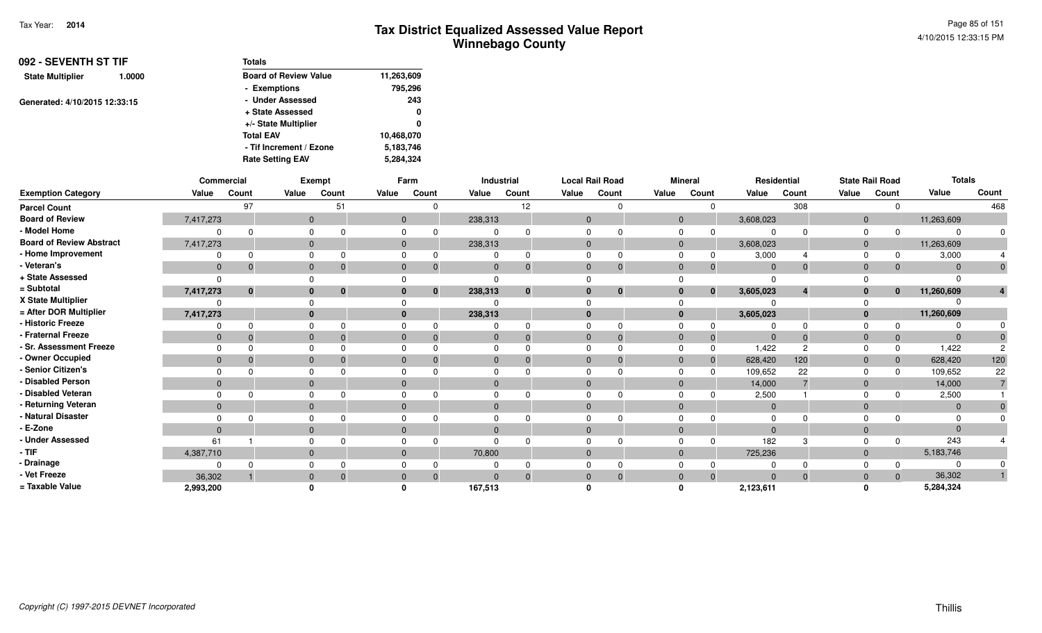| 092 - SEVENTH ST TIF<br>1.0000 | <b>Totals</b>                |            |
|--------------------------------|------------------------------|------------|
| <b>State Multiplier</b>        | <b>Board of Review Value</b> | 11,263,609 |
|                                | - Exemptions                 | 795,296    |
| Generated: 4/10/2015 12:33:15  | - Under Assessed             | 243        |
|                                | + State Assessed             | 0          |
|                                | +/- State Multiplier         | 0          |
|                                | <b>Total EAV</b>             | 10,468,070 |
|                                | - Tif Increment / Ezone      | 5,183,746  |
|                                | <b>Rate Setting EAV</b>      | 5,284,324  |

|                                 | Commercial   |              |              | Exempt                  |              | Farm         |              | Industrial   | <b>Local Rail Road</b> |          |              | <b>Mineral</b> |                | Residential   |                | <b>State Rail Road</b> | <b>Totals</b>  |       |
|---------------------------------|--------------|--------------|--------------|-------------------------|--------------|--------------|--------------|--------------|------------------------|----------|--------------|----------------|----------------|---------------|----------------|------------------------|----------------|-------|
| <b>Exemption Category</b>       | Value        | Count        | Value        | Count                   | Value        | Count        | Value        | Count        | Value                  | Count    | Value        | Count          | Value          | Count         | Value          | Count                  | Value          | Count |
| <b>Parcel Count</b>             |              | 97           |              | 51                      |              |              |              | 12           |                        |          |              |                |                | 308           |                |                        |                | 468   |
| <b>Board of Review</b>          | 7,417,273    |              | $\mathbf{0}$ |                         | $\mathbf{0}$ |              | 238,313      |              | $\mathbf{0}$           |          | $\mathbf{0}$ |                | 3,608,023      |               | $\overline{0}$ |                        | 11,263,609     |       |
| - Model Home                    | n            | $\Omega$     |              |                         |              |              |              |              |                        |          | 0            |                |                |               |                |                        | $\Omega$       |       |
| <b>Board of Review Abstract</b> | 7,417,273    |              | $\mathbf{0}$ |                         | $\Omega$     |              | 238,313      |              | $\Omega$               |          | $\mathbf{0}$ |                | 3,608,023      |               | $\overline{0}$ |                        | 11,263,609     |       |
| - Home Improvement              |              |              |              |                         |              |              |              |              |                        |          |              |                | 3,000          |               |                |                        | 3,000          |       |
| - Veteran's                     | $\mathbf{0}$ | $\Omega$     | $\mathbf{0}$ |                         | $\Omega$     |              |              | $\Omega$     | $\Omega$               |          | $\mathbf{0}$ | -0             | $\Omega$       | $\Omega$      | $\Omega$       | $\Omega$               | $\Omega$       |       |
| + State Assessed                | $\Omega$     |              |              |                         |              |              |              |              |                        |          |              |                |                |               |                |                        |                |       |
| = Subtotal                      | 7,417,273    | $\mathbf{0}$ | $\mathbf{0}$ | $\overline{\mathbf{0}}$ | $\bf{0}$     | $\mathbf{0}$ | 238,313      | $\mathbf{0}$ |                        | $\bf{0}$ | $\mathbf{0}$ | $\mathbf{0}$   | 3,605,023      |               | $\bf{0}$       | $\mathbf{0}$           | 11,260,609     |       |
| X State Multiplier              |              |              |              |                         |              |              |              |              |                        |          |              |                |                |               |                |                        |                |       |
| = After DOR Multiplier          | 7,417,273    |              | $\bf{0}$     |                         | $\bf{0}$     |              | 238,313      |              |                        |          | $\bf{0}$     |                | 3,605,023      |               | $\bf{0}$       |                        | 11,260,609     |       |
| - Historic Freeze               | 0            | <sup>0</sup> |              |                         |              |              |              |              |                        |          |              |                |                |               |                |                        |                |       |
| - Fraternal Freeze              | $\mathbf{0}$ | $\Omega$     | $\Omega$     |                         | $\Omega$     |              |              | $\Omega$     | $\Omega$               |          | $\Omega$     | $\overline{0}$ | $\overline{0}$ | $\Omega$      | $\Omega$       | $\mathbf{0}$           | $\Omega$       |       |
| - Sr. Assessment Freeze         | $\Omega$     |              | $\Omega$     |                         |              |              |              |              |                        |          |              | $\Omega$       | 1,422          | $\mathcal{P}$ |                |                        | 1,422          |       |
| - Owner Occupied                | $\mathbf{0}$ | $\Omega$     | $\mathbf{0}$ |                         | $\Omega$     |              |              |              |                        |          | $\Omega$     | $\mathbf{0}$   | 628,420        | 120           |                | $\Omega$               | 628,420        | 120   |
| - Senior Citizen's              | $\Omega$     |              |              |                         |              |              |              |              |                        |          |              | n              | 109,652        | 22            |                |                        | 109,652        | 22    |
| - Disabled Person               | $\mathbf{0}$ |              | $\mathbf{0}$ |                         | $\Omega$     |              |              |              |                        |          | $\Omega$     |                | 14,000         |               | $\Omega$       |                        | 14,000         |       |
| - Disabled Veteran              | $\Omega$     | n            | $\Omega$     |                         |              |              |              |              |                        |          | <sup>0</sup> |                | 2,500          |               |                |                        | 2,500          |       |
| - Returning Veteran             | $\mathbf{0}$ |              | $\mathbf{0}$ |                         | $\mathbf{0}$ |              | $\mathbf{0}$ |              | $\mathbf{0}$           |          | $\mathbf{0}$ |                | $\overline{0}$ |               | $\Omega$       |                        | $\overline{0}$ |       |
| - Natural Disaster              | 0            |              |              |                         |              |              |              |              |                        |          | <sup>0</sup> |                | $\Omega$       |               |                |                        | $\Omega$       |       |
| - E-Zone                        | $\Omega$     |              | $\Omega$     |                         | $\Omega$     |              |              |              |                        |          | $\Omega$     |                |                |               |                |                        | $\Omega$       |       |
| - Under Assessed                | 61           |              |              |                         |              |              |              |              |                        |          |              |                | 182            |               |                |                        | 243            |       |
| $-$ TIF                         | 4,387,710    |              | $\Omega$     |                         | $\Omega$     |              | 70,800       |              | $\mathbf{0}$           |          | $\Omega$     |                | 725,236        |               | $\Omega$       |                        | 5,183,746      |       |
| - Drainage                      |              |              |              |                         |              |              |              |              |                        |          |              |                |                |               |                |                        | 0              |       |
| - Vet Freeze                    | 36,302       |              | $\Omega$     |                         | $\Omega$     | $\Omega$     | $\Omega$     | $\Omega$     | $\Omega$               |          | $\Omega$     | $\Omega$       | $\Omega$       | $\Omega$      | $\Omega$       | $\Omega$               | 36,302         |       |
| = Taxable Value                 | 2,993,200    |              |              |                         |              |              | 167,513      |              |                        |          |              |                | 2,123,611      |               |                |                        | 5,284,324      |       |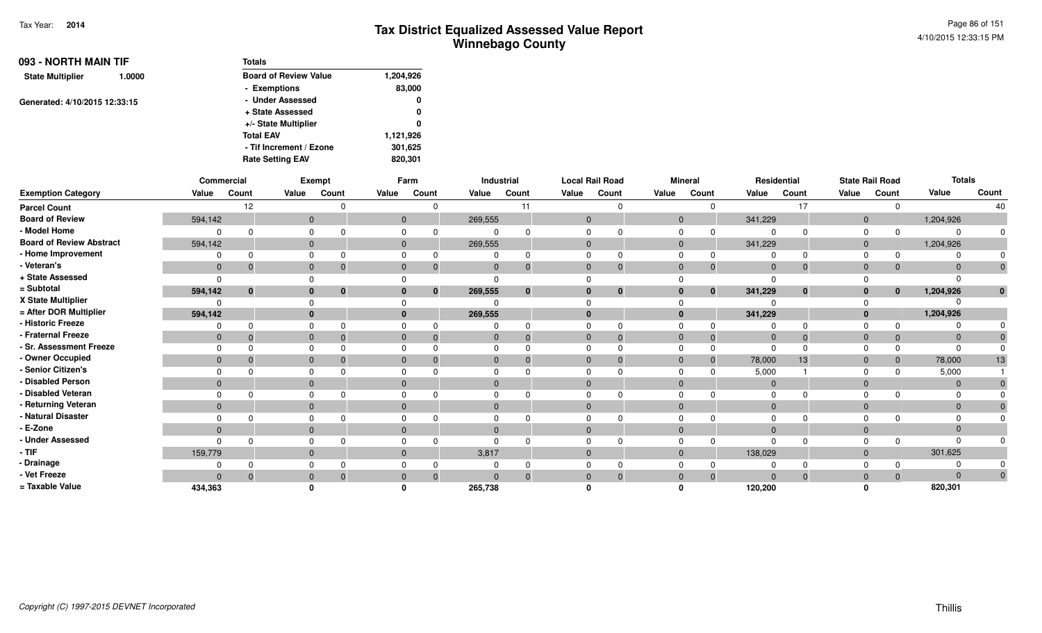| 093 - NORTH MAIN TIF<br><b>State Multiplier</b><br>1.0000<br>Generated: 4/10/2015 12:33:15 | <b>Totals</b> |                              |           |  |  |  |  |  |  |
|--------------------------------------------------------------------------------------------|---------------|------------------------------|-----------|--|--|--|--|--|--|
|                                                                                            |               | <b>Board of Review Value</b> | 1,204,926 |  |  |  |  |  |  |
|                                                                                            |               | - Exemptions                 | 83,000    |  |  |  |  |  |  |
|                                                                                            |               | - Under Assessed             | 0         |  |  |  |  |  |  |
|                                                                                            |               | + State Assessed             | 0         |  |  |  |  |  |  |
|                                                                                            |               | +/- State Multiplier         | 0         |  |  |  |  |  |  |
|                                                                                            |               | <b>Total EAV</b>             | 1,121,926 |  |  |  |  |  |  |
|                                                                                            |               | - Tif Increment / Ezone      | 301,625   |  |  |  |  |  |  |
|                                                                                            |               | <b>Rate Setting EAV</b>      | 820,301   |  |  |  |  |  |  |

|                                 |              | <b>Commercial</b> |              | Exempt |              | Farm         |              | Industrial |                | <b>Local Rail Road</b> |              | <b>Mineral</b>               |                | Residential  |                | <b>State Rail Road</b> | <b>Totals</b>  |                |
|---------------------------------|--------------|-------------------|--------------|--------|--------------|--------------|--------------|------------|----------------|------------------------|--------------|------------------------------|----------------|--------------|----------------|------------------------|----------------|----------------|
| <b>Exemption Category</b>       | Value        | Count             | Value        | Count  | Value        | Count        | Value        | Count      | Value          | Count                  | Value        | Count                        | Value          | Count        | Value          | Count                  | Value          | Count          |
| <b>Parcel Count</b>             |              | $12 \overline{ }$ |              |        |              |              |              | 11         |                | $\Omega$               |              | $\Omega$                     |                | 17           |                | $\Omega$               |                | 40             |
| <b>Board of Review</b>          | 594,142      |                   | $\mathbf 0$  |        |              | $\mathbf{0}$ | 269,555      |            | $\mathbf{0}$   |                        |              | $\overline{0}$               | 341,229        |              | $\overline{0}$ |                        | 1,204,926      |                |
| - Model Home                    |              |                   | 0            |        |              |              | $\mathbf 0$  |            | $\Omega$       |                        | $\mathbf 0$  | $\Omega$                     | $\Omega$       | $\Omega$     | $\Omega$       | $\Omega$               |                |                |
| <b>Board of Review Abstract</b> | 594,142      |                   | $\mathbf{0}$ |        |              | $\mathbf{0}$ | 269,555      |            | $\mathbf{0}$   |                        |              | $\mathbf{0}$                 | 341,229        |              | $\mathbf 0$    |                        | 1,204,926      |                |
| - Home Improvement              |              |                   | 0            |        |              |              |              |            |                |                        | $\Omega$     | $\Omega$                     |                | $\Omega$     |                | $\Omega$               |                |                |
| - Veteran's                     | $\mathbf{0}$ | $\mathbf 0$       | $\mathbf{0}$ |        | $\mathbf{0}$ |              | $\mathbf 0$  |            | $\mathbf 0$    | $\mathbf{0}$           |              | $\mathbf{0}$<br>$\mathbf 0$  | $\overline{0}$ | $\mathbf{0}$ | $\mathbf 0$    | 0                      | $\Omega$       | $\overline{0}$ |
| + State Assessed                | $\Omega$     |                   |              |        |              |              | $\Omega$     |            | $\Omega$       |                        | $\Omega$     |                              | $\Omega$       |              |                |                        |                |                |
| = Subtotal                      | 594,142      | 0                 | $\bf{0}$     |        |              |              | 269,555      | $\bf{0}$   |                | $\bf{0}$               |              | $\mathbf{0}$<br>$\mathbf{0}$ | 341,229        | $\mathbf{0}$ | $\mathbf{0}$   | $\bf{0}$               | 1,204,926      | $\mathbf{0}$   |
| X State Multiplier              | $\Omega$     |                   |              |        |              |              | $\Omega$     |            | $\Omega$       |                        |              |                              | $\Omega$       |              |                |                        |                |                |
| = After DOR Multiplier          | 594,142      |                   | $\bf{0}$     |        | $\bf{0}$     |              | 269,555      |            |                |                        |              | $\bf{0}$                     | 341,229        |              | $\mathbf 0$    |                        | 1,204,926      |                |
| - Historic Freeze               | 0            |                   | 0            |        |              |              | $\Omega$     |            | $\Omega$       | $\Omega$               | $\mathbf 0$  |                              | $\Omega$       | $\Omega$     | $\Omega$       |                        |                |                |
| - Fraternal Freeze              | $\mathbf{0}$ | $\Omega$          | $\mathbf{0}$ |        | $\mathbf{0}$ |              | $\mathbf{0}$ |            | $\mathbf{0}$   | $\Omega$               |              | $\mathbf{0}$<br>$\Omega$     | $\overline{0}$ | $\Omega$     | $\mathbf 0$    | $\Omega$               | $\Omega$       |                |
| - Sr. Assessment Freeze         | $\Omega$     |                   | 0            |        |              |              | $\Omega$     |            | $\Omega$       |                        | $\Omega$     |                              | $\Omega$       | $\Omega$     |                |                        |                |                |
| - Owner Occupied                | $\mathbf{0}$ |                   | $\mathbf{0}$ |        | $\mathbf 0$  |              | $\mathbf{0}$ |            | $\overline{0}$ | $\Omega$               |              | $\overline{0}$<br>$\Omega$   | 78,000         | 13           | $\mathbf{0}$   | $\Omega$               | 78,000         | 13             |
| - Senior Citizen's              | 0            |                   | 0            |        |              |              | 0            |            | $\Omega$       |                        | $\mathbf 0$  |                              | 5,000          |              | $\Omega$       |                        | 5,000          |                |
| - Disabled Person               | $\mathbf{0}$ |                   | $\mathbf 0$  |        | $\mathbf{0}$ |              | $\mathbf 0$  |            | $\mathbf 0$    |                        |              | $\mathbf{0}$                 | $\mathbf{0}$   |              | $\mathbf{0}$   |                        | $\overline{0}$ |                |
| - Disabled Veteran              | $\Omega$     |                   | 0            |        |              |              | $\Omega$     |            | $\Omega$       | $\Omega$               | $\mathbf 0$  |                              | $\Omega$       | $\Omega$     | $\Omega$       |                        |                |                |
| - Returning Veteran             | $\mathbf{0}$ |                   | $\mathbf{0}$ |        | $\Omega$     |              | $\mathbf{0}$ |            | $\mathbf{0}$   |                        |              | $\mathbf{0}$                 | $\mathbf{0}$   |              | $\mathbf{0}$   |                        | $\Omega$       |                |
| - Natural Disaster              |              |                   | 0            |        |              |              | $\Omega$     |            | U              |                        | $\mathbf 0$  |                              | $\Omega$       | $\Omega$     | $\Omega$       |                        |                |                |
| - E-Zone                        | $\Omega$     |                   | $\mathbf{0}$ |        | $\Omega$     |              | $\mathbf{0}$ |            | $\Omega$       |                        |              | $\mathbf{0}$                 | $\Omega$       |              | $\Omega$       |                        |                |                |
| - Under Assessed                | $\Omega$     |                   | 0            |        |              |              | $\Omega$     |            | $\Omega$       |                        | $\Omega$     |                              | $\Omega$       | $\Omega$     |                | $\Omega$               |                |                |
| - TIF                           | 159,779      |                   | $\mathbf{0}$ |        | $\mathbf 0$  |              | 3,817        |            | $\mathbf 0$    |                        |              | $\mathbf{0}$                 | 138,029        |              | $\mathbf 0$    |                        | 301,625        |                |
| - Drainage                      | 0            |                   | 0            |        |              |              | 0            |            | $\Omega$       | $\Omega$               |              | $\Omega$                     | $\Omega$       |              | 0              |                        |                |                |
| - Vet Freeze                    | $\Omega$     |                   | 0            |        |              |              | $\Omega$     |            | $\Omega$       | $\Omega$               | $\mathbf{0}$ | $\Omega$                     | $\Omega$       | $\mathbf{0}$ | $\mathbf 0$    | $\Omega$               | $\Omega$       | $\mathbf 0$    |
| = Taxable Value                 | 434,363      |                   |              |        |              |              | 265,738      |            |                |                        |              |                              | 120,200        |              |                |                        | 820,301        |                |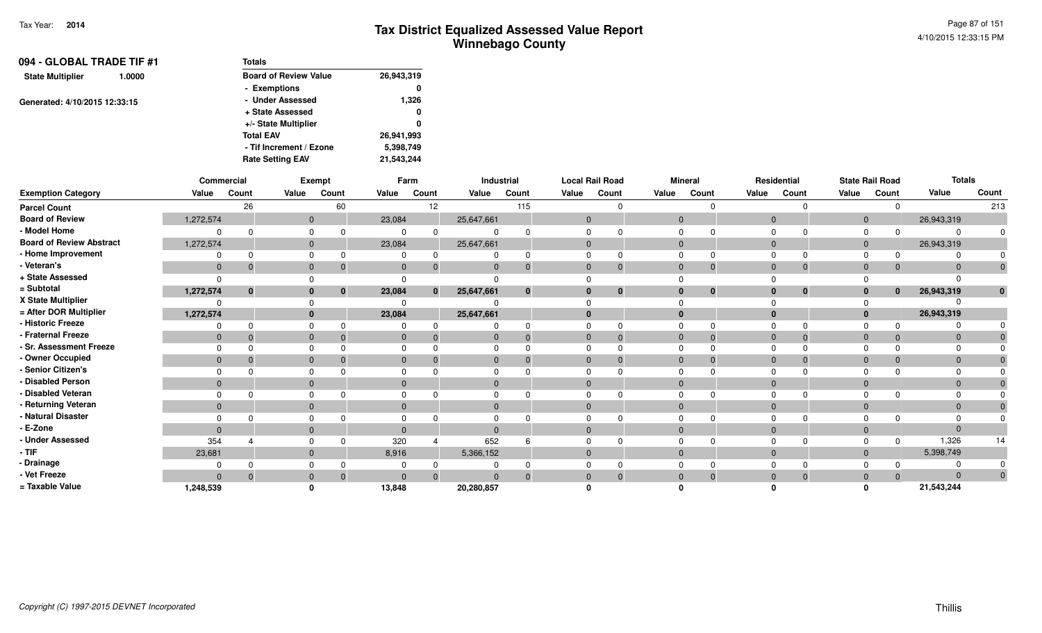| 094 - GLOBAL TRADE TIF #1         | <b>Totals</b>                |            |
|-----------------------------------|------------------------------|------------|
| <b>State Multiplier</b><br>1.0000 | <b>Board of Review Value</b> | 26,943,319 |
|                                   | - Exemptions                 | 0          |
| Generated: 4/10/2015 12:33:15     | - Under Assessed             | 1,326      |
|                                   | + State Assessed             | 0          |
|                                   | +/- State Multiplier         | 0          |
|                                   | <b>Total EAV</b>             | 26,941,993 |
|                                   | - Tif Increment / Ezone      | 5,398,749  |
|                                   | <b>Rate Setting EAV</b>      | 21,543,244 |

|                                 |                | Commercial   |                | Exempt   |                | Farm     |              | Industrial |              | <b>Local Rail Road</b> |                | <b>Mineral</b> |          | Residential                  |                | <b>State Rail Road</b> | <b>Totals</b> |              |
|---------------------------------|----------------|--------------|----------------|----------|----------------|----------|--------------|------------|--------------|------------------------|----------------|----------------|----------|------------------------------|----------------|------------------------|---------------|--------------|
| <b>Exemption Category</b>       | Value          | Count        | Value          | Count    | Value          | Count    | Value        | Count      | Value        | Count                  | Value          | Count          | Value    | Count                        | Value          | Count                  | Value         | Count        |
| <b>Parcel Count</b>             |                | 26           |                | 60       |                | 12       |              | 115        |              |                        |                | $\Omega$       |          | $\Omega$                     |                | $\Omega$               |               | 213          |
| <b>Board of Review</b>          | 1,272,574      |              | $\mathbf{0}$   |          | 23,084         |          | 25,647,661   |            | $\mathbf{0}$ |                        | $\overline{0}$ |                |          | $\mathbf 0$                  | $\mathbf{0}$   |                        | 26,943,319    |              |
| - Model Home                    | $\Omega$       |              | 0              |          | 0              |          | $\mathbf 0$  |            |              |                        | 0              |                |          | $\Omega$<br>$\Omega$         | 0              | $\Omega$               |               | 0            |
| <b>Board of Review Abstract</b> | 1,272,574      |              | $\overline{0}$ |          | 23,084         |          | 25,647,661   |            | $\mathbf{0}$ |                        | $\mathbf 0$    |                |          | $\mathbf{0}$                 | $\overline{0}$ |                        | 26,943,319    |              |
| - Home Improvement              | 0              |              | $\Omega$       |          | 0              |          |              |            |              |                        |                |                |          | $\Omega$<br>$\Omega$         | $\Omega$       | $\Omega$               |               |              |
| - Veteran's                     | $\mathbf{0}$   | -0           | $\mathbf{0}$   | -0       | $\mathbf{0}$   | -0       | $\mathbf{0}$ |            | $\mathbf{0}$ |                        | $\mathbf 0$    | $\Omega$       |          | $\mathbf 0$<br>$\mathbf{0}$  | $\mathbf 0$    | 0                      | $\Omega$      | $\mathbf 0$  |
| + State Assessed                | $\Omega$       |              | $\Omega$       |          | $\Omega$       |          |              |            |              |                        |                |                |          |                              |                |                        |               |              |
| = Subtotal                      | 1,272,574      | $\mathbf{0}$ | $\bf{0}$       | 0        | 23,084         |          | 25,647,661   |            |              | $\bf{0}$               |                | $\bf{0}$       |          | $\bf{0}$<br>$\bf{0}$         | $\mathbf{0}$   | $\bf{0}$               | 26,943,319    | $\mathbf{0}$ |
| X State Multiplier              | $\Omega$       |              | $\Omega$       |          | $\Omega$       |          |              |            |              |                        |                |                |          |                              |                |                        |               |              |
| = After DOR Multiplier          | 1,272,574      |              | $\mathbf{0}$   |          | 23,084         |          | 25,647,661   |            | $\bf{0}$     |                        | $\bf{0}$       |                |          | $\bf{0}$                     | $\mathbf{0}$   |                        | 26,943,319    |              |
| - Historic Freeze               | 0              | $\Omega$     | $\Omega$       |          | $\Omega$       |          | 0            |            | $\Omega$     |                        | $\Omega$       |                |          | $\Omega$<br>$\Omega$         | $\Omega$       |                        |               |              |
| - Fraternal Freeze              | $\mathbf{0}$   | - 0          | $\mathbf{0}$   | $\Omega$ | $\mathbf{0}$   | -0       | $\mathbf 0$  |            | $\mathbf{0}$ |                        | $\mathbf{0}$   | $\Omega$       |          | $\mathbf 0$<br>$\Omega$      | $\mathbf 0$    | $\Omega$               | $\Omega$      |              |
| - Sr. Assessment Freeze         | $\Omega$       |              | 0              |          | $\Omega$       |          | 0            |            |              |                        | $\Omega$       |                |          | $\Omega$<br>$\Omega$         | $\Omega$       |                        |               |              |
| - Owner Occupied                | $\Omega$       |              | $\mathbf{0}$   |          | $\Omega$       |          | $\mathbf{0}$ |            | $\Omega$     |                        | $\mathbf{0}$   |                | $\Omega$ | $\Omega$                     | $\mathbf 0$    |                        |               |              |
| - Senior Citizen's              | $\Omega$       |              | $\mathbf 0$    |          | 0              |          | 0            |            |              |                        | $\Omega$       |                | $\Omega$ |                              | $\Omega$       |                        |               |              |
| - Disabled Person               | $\Omega$       |              | $\mathbf{0}$   |          | $\Omega$       |          | $\mathbf{0}$ |            | $\Omega$     |                        | $\mathbf 0$    |                | $\Omega$ |                              | $\mathbf 0$    |                        |               |              |
| - Disabled Veteran              | $\Omega$       | $\Omega$     | 0              |          | 0              |          | 0            |            |              |                        | $\Omega$       |                |          | $\Omega$<br>$\Omega$         | $\Omega$       |                        |               |              |
| - Returning Veteran             | $\overline{0}$ |              | $\mathbf{0}$   |          | $\mathbf{0}$   |          | $\mathbf{0}$ |            | $\mathbf{0}$ |                        |                | $\mathbf{0}$   |          | $\mathbf{0}$                 | $\mathbf{0}$   |                        | $\Omega$      |              |
| - Natural Disaster              | $\Omega$       |              | 0              |          | 0              |          | 0            |            |              |                        | $\Omega$       |                | $\Omega$ |                              | 0              |                        |               |              |
| - E-Zone                        | $\Omega$       |              | $\mathbf{0}$   |          | $\overline{0}$ |          | $\mathbf{0}$ |            |              |                        | $\mathbf{0}$   |                | $\Omega$ |                              | $\mathbf 0$    |                        |               |              |
| - Under Assessed                | 354            |              | $\Omega$       |          | 320            |          | 652          |            |              |                        | $\Omega$       |                |          | $\Omega$<br>$\Omega$         | $\Omega$       | $\Omega$               | 1,326         | 14           |
| - TIF-                          | 23,681         |              | $\mathbf{0}$   |          | 8,916          |          | 5,366,152    |            | $\mathbf{0}$ |                        | $\mathbf{0}$   |                |          | $\mathbf 0$                  | $\mathbf{0}$   |                        | 5,398,749     |              |
| - Drainage                      | $\Omega$       |              | $\mathbf 0$    |          | 0              |          | 0            |            |              |                        | $\Omega$       |                | $\Omega$ | $\Omega$                     | $\Omega$       |                        |               |              |
| - Vet Freeze                    | $\Omega$       |              | $\mathbf{0}$   |          | $\Omega$       | $\Omega$ | $\Omega$     |            |              |                        |                | $\Omega$       |          | $\mathbf{0}$<br>$\mathbf{0}$ | $\mathbf 0$    | $\Omega$               | $\Omega$      | $\mathbf 0$  |
| = Taxable Value                 | 1,248,539      |              | $\mathbf{0}$   |          | 13,848         |          | 20,280,857   |            |              |                        |                |                |          |                              | $\Omega$       |                        | 21,543,244    |              |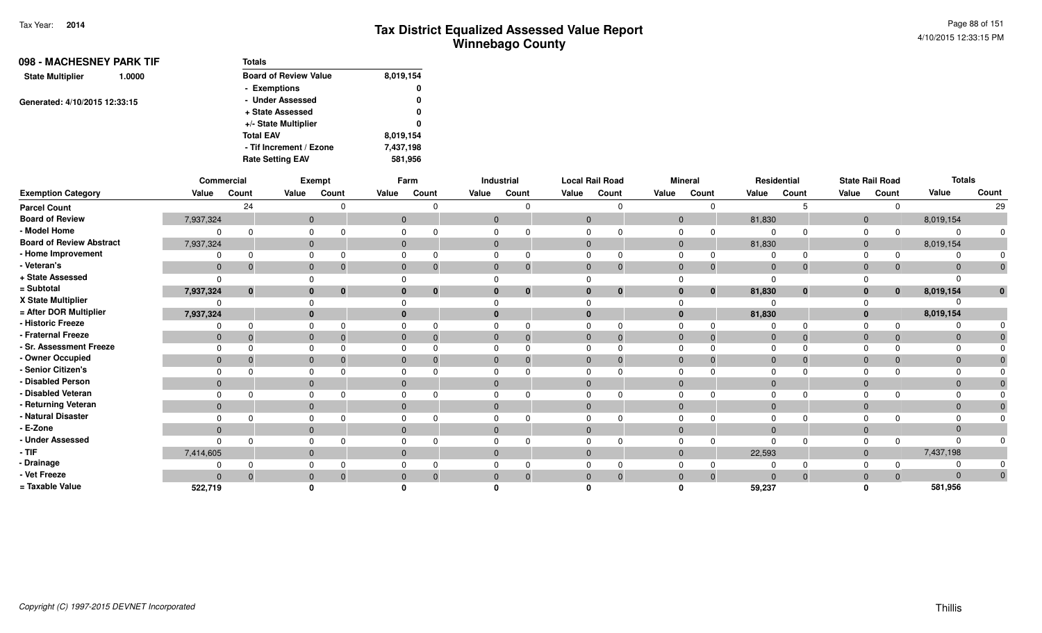| 098 - MACHESNEY PARK TIF<br><b>State Multiplier</b><br>1.0000 | <b>Totals</b>                |           |
|---------------------------------------------------------------|------------------------------|-----------|
|                                                               | <b>Board of Review Value</b> | 8,019,154 |
|                                                               | - Exemptions                 | 0         |
| Generated: 4/10/2015 12:33:15                                 | - Under Assessed             | 0         |
|                                                               | + State Assessed             | 0         |
|                                                               | +/- State Multiplier         | 0         |
|                                                               | <b>Total EAV</b>             | 8,019,154 |
|                                                               | - Tif Increment / Ezone      | 7,437,198 |
|                                                               | <b>Rate Setting EAV</b>      | 581,956   |

|                                 |                | Commercial |              | Exempt                   |              | Farm     |              | Industrial   | <b>Local Rail Road</b> |          |                | <b>Mineral</b> |                | Residential |                | <b>State Rail Road</b> | <b>Totals</b> |       |
|---------------------------------|----------------|------------|--------------|--------------------------|--------------|----------|--------------|--------------|------------------------|----------|----------------|----------------|----------------|-------------|----------------|------------------------|---------------|-------|
| <b>Exemption Category</b>       | Value          | Count      | Value        | Count                    | Value        | Count    | Value        | Count        | Value                  | Count    | Value          | Count          | Value          | Count       |                | Count                  | Value         | Count |
| <b>Parcel Count</b>             |                | 24         |              |                          |              |          |              | $\Omega$     |                        |          |                | ∩              |                |             |                |                        |               | 29    |
| <b>Board of Review</b>          | 7,937,324      |            |              | $\mathbf 0$              | $\Omega$     |          | $\mathbf{0}$ |              | $\Omega$               |          | $\Omega$       |                | 81,830         |             | $\overline{0}$ |                        | 8,019,154     |       |
| - Model Home                    |                |            | $\Omega$     |                          |              |          |              |              |                        |          |                |                |                |             | $\Omega$       | $\Omega$               |               |       |
| <b>Board of Review Abstract</b> | 7,937,324      |            |              | $\mathbf{0}$             | $\mathbf{0}$ |          | $\mathbf{0}$ |              | $\mathbf{0}$           |          | $\overline{0}$ |                | 81,830         |             | $\overline{0}$ |                        | 8,019,154     |       |
| - Home Improvement              |                |            |              |                          |              |          |              |              |                        |          |                |                |                |             | $\Omega$       | 0                      |               |       |
| - Veteran's                     | $\mathbf 0$    | $\Omega$   |              | $\mathbf 0$              | $\Omega$     |          | $\Omega$     | $\mathbf{0}$ | $\Omega$               | $\Omega$ | $\Omega$       | $\overline{0}$ | $\mathbf{0}$   |             | $\Omega$       | $\mathbf{0}$           | $\Omega$      |       |
| + State Assessed                |                |            |              |                          |              |          |              |              |                        |          |                |                |                |             |                |                        |               |       |
| = Subtotal                      | 7,937,324      | $\bf{0}$   |              | $\bf{0}$<br>$\mathbf{0}$ |              | $\bf{0}$ |              | $\bf{0}$     |                        | $\bf{0}$ | $\bf{0}$       | $\mathbf{0}$   | 81,830         | $\bf{0}$    | $\bf{0}$       | $\mathbf{0}$           | 8,019,154     |       |
| X State Multiplier              |                |            |              |                          |              |          |              |              |                        |          |                |                |                |             |                |                        |               |       |
| = After DOR Multiplier          | 7,937,324      |            |              | $\mathbf{0}$             |              |          |              |              |                        |          | $\mathbf{0}$   |                | 81,830         |             | $\mathbf{0}$   |                        | 8,019,154     |       |
| - Historic Freeze               |                |            | $\Omega$     |                          |              |          |              |              |                        |          |                |                |                |             |                | $\Omega$               |               |       |
| - Fraternal Freeze              | $\mathbf 0$    |            |              | $\mathbf{0}$             | $\Omega$     |          |              | $\Omega$     | $\Omega$               |          | $\Omega$       | $\overline{0}$ | $\mathbf 0$    |             | $\Omega$       | $\mathbf{0}$           | $\Omega$      |       |
| - Sr. Assessment Freeze         |                |            |              |                          |              |          |              |              |                        |          |                |                |                |             |                |                        |               |       |
| - Owner Occupied                | $\mathbf 0$    |            |              | $\mathbf{0}$             | $\Omega$     |          |              | $\Omega$     | $\Omega$               |          | $\Omega$       | $\mathbf 0$    | $\Omega$       |             | $\Omega$       | $\mathbf{0}$           |               |       |
| - Senior Citizen's              |                |            |              |                          |              |          |              |              |                        |          |                |                |                |             |                |                        |               |       |
| - Disabled Person               | $\Omega$       |            |              | $\mathbf{0}$             |              |          |              |              |                        |          | $\Omega$       |                | $\Omega$       |             | $\Omega$       |                        |               |       |
| - Disabled Veteran              |                |            | $\Omega$     |                          |              |          |              |              |                        |          |                |                |                |             | $\Omega$       |                        |               |       |
| - Returning Veteran             | $\overline{0}$ |            |              | $\mathbf{0}$             | $\mathbf{0}$ |          | $\mathbf{0}$ |              | $\Omega$               |          | $\mathbf{0}$   |                | $\overline{0}$ |             | $\Omega$       |                        |               |       |
| - Natural Disaster              |                |            |              |                          |              |          |              |              |                        |          |                |                |                |             |                |                        |               |       |
| - E-Zone                        | $\mathbf{0}$   |            |              | $\mathbf{0}$             |              |          |              |              |                        |          | $\Omega$       |                |                |             | $\Omega$       |                        |               |       |
| - Under Assessed                |                |            | $\Omega$     |                          |              |          |              |              |                        |          |                | ŋ              |                |             |                |                        |               |       |
| $-$ TIF                         | 7,414,605      |            |              | $\mathbf{0}$             | $\mathbf{0}$ |          | $\mathbf{0}$ |              | $\mathbf{0}$           |          | $\Omega$       |                | 22,593         |             | $\overline{0}$ |                        | 7,437,198     |       |
| - Drainage                      |                |            |              |                          |              |          |              |              |                        |          |                |                |                |             |                |                        |               |       |
| - Vet Freeze                    | $\Omega$       |            | $\mathbf{0}$ |                          |              |          |              | $\Omega$     |                        |          | $\Omega$       | $\Omega$       | $\Omega$       |             | $\Omega$       | $\mathbf{0}$           | $\Omega$      | 0     |
| = Taxable Value                 | 522,719        |            |              |                          |              |          |              |              |                        |          |                |                | 59,237         |             |                |                        | 581,956       |       |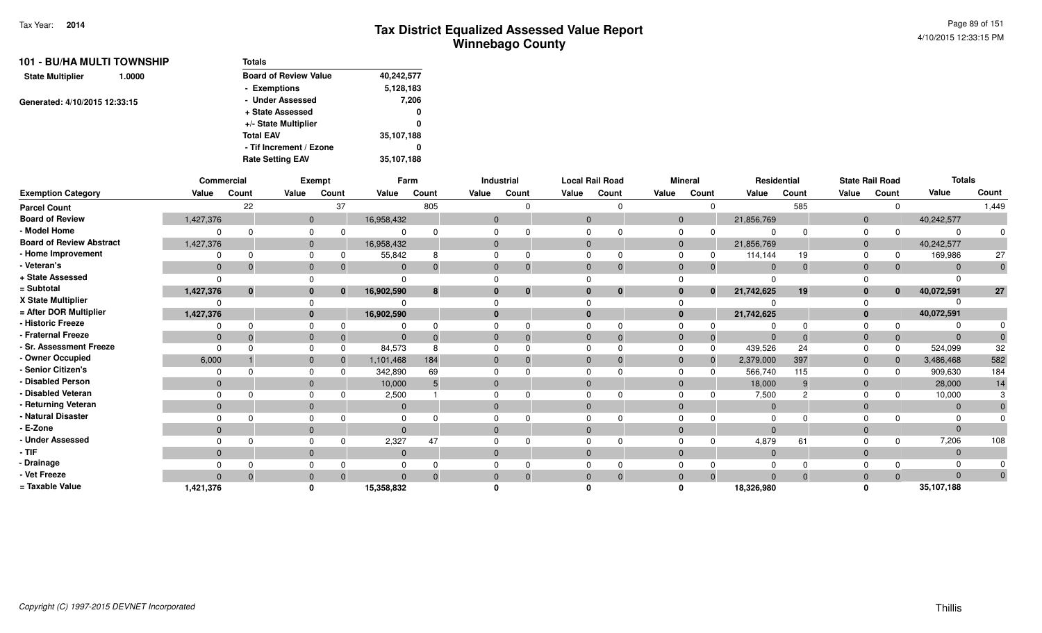| Totals                       |            |  |  |  |  |  |  |  |
|------------------------------|------------|--|--|--|--|--|--|--|
| <b>Board of Review Value</b> | 40,242,577 |  |  |  |  |  |  |  |
| - Exemptions                 | 5,128,183  |  |  |  |  |  |  |  |
| - Under Assessed             | 7,206      |  |  |  |  |  |  |  |
| + State Assessed             | 0          |  |  |  |  |  |  |  |
| +/- State Multiplier         | 0          |  |  |  |  |  |  |  |
| <b>Total EAV</b>             | 35,107,188 |  |  |  |  |  |  |  |
| - Tif Increment / Ezone      | 0          |  |  |  |  |  |  |  |
| <b>Rate Setting EAV</b>      | 35,107,188 |  |  |  |  |  |  |  |
|                              |            |  |  |  |  |  |  |  |

|                                 |                | Commercial   |              | Exempt       |              | Farm     |              | Industrial | <b>Local Rail Road</b> |              |             | <b>Mineral</b> | Residential |       |                | <b>State Rail Road</b> | <b>Totals</b> |       |
|---------------------------------|----------------|--------------|--------------|--------------|--------------|----------|--------------|------------|------------------------|--------------|-------------|----------------|-------------|-------|----------------|------------------------|---------------|-------|
| <b>Exemption Category</b>       | Value          | Count        | Value        | Count        | Value        | Count    | Value        | Count      | Value                  | Count        | Value       | Count          | Value       | Count | Value          | Count                  | Value         | Count |
| <b>Parcel Count</b>             |                | 22           |              | 37           |              | 805      |              |            |                        |              |             | $\Omega$       |             | 585   |                | $\Omega$               |               | 1,449 |
| <b>Board of Review</b>          | 1,427,376      |              | $\mathbf{0}$ |              | 16,958,432   |          | $\mathbf{0}$ |            | $\mathbf{0}$           |              | $\mathbf 0$ |                | 21,856,769  |       | $\overline{0}$ |                        | 40,242,577    |       |
| - Model Home                    |                | $\Omega$     | 0            |              | $\Omega$     |          |              |            |                        |              |             |                |             |       | $\Omega$       |                        |               |       |
| <b>Board of Review Abstract</b> | 1,427,376      |              | $\mathbf{0}$ |              | 16,958,432   |          |              |            | $\Omega$               |              | $\Omega$    |                | 21,856,769  |       | $\overline{0}$ |                        | 40,242,577    |       |
| - Home Improvement              |                | $\Omega$     |              |              | 55,842       | 8        |              |            |                        |              |             |                | 114,144     | 19    | $\Omega$       | 0                      | 169,986       | 27    |
| - Veteran's                     | $\mathbf 0$    | $\Omega$     | $\mathbf{0}$ |              | $\Omega$     |          |              |            | $\Omega$               | $\Omega$     | $\Omega$    | -0             | $\Omega$    |       | $\Omega$       | $\mathbf{0}$           |               | 0     |
| + State Assessed                |                |              |              |              | $\Omega$     |          |              |            |                        |              |             |                |             |       |                |                        |               |       |
| = Subtotal                      | 1,427,376      | $\bf{0}$     | $\bf{0}$     | $\bf{0}$     | 16,902,590   | 8        |              | $\bf{0}$   | $\bf{0}$               | $\mathbf{0}$ | $\bf{0}$    | $\mathbf{0}$   | 21,742,625  | 19    | $\mathbf{0}$   | $\mathbf{0}$           | 40,072,591    | 27    |
| X State Multiplier              |                |              |              |              |              |          |              |            |                        |              |             |                |             |       |                |                        |               |       |
| = After DOR Multiplier          | 1,427,376      |              |              | $\mathbf{0}$ | 16,902,590   |          |              |            | $\bf{0}$               |              | $\bf{0}$    |                | 21,742,625  |       | $\Omega$       |                        | 40,072,591    |       |
| - Historic Freeze               |                | $\Omega$     | 0            |              |              |          |              |            |                        |              |             |                |             |       |                |                        |               |       |
| - Fraternal Freeze              | $\overline{0}$ | $\Omega$     | $\mathbf{0}$ |              | $\Omega$     |          |              |            | 0                      | $\Omega$     |             | $\overline{0}$ | $\Omega$    |       | $\Omega$       | $\mathbf 0$            |               |       |
| - Sr. Assessment Freeze         | $\Omega$       | <sup>n</sup> | $\Omega$     |              | 84,573       | 8        |              |            |                        |              |             | $\Omega$       | 439,526     | 24    | $\Omega$       | 0                      | 524,099       | 32    |
| - Owner Occupied                | 6,000          |              | $\mathbf{0}$ |              | 1,101,468    | 184      |              |            | $\Omega$               |              | $\Omega$    | $\overline{0}$ | 2,379,000   | 397   | $\Omega$       | $\mathbf{0}$           | 3,486,468     | 582   |
| - Senior Citizen's              | $\Omega$       |              |              |              | 342,890      | 69       |              |            |                        |              |             | $\Omega$       | 566,740     | 115   | $\Omega$       | $\Omega$               | 909,630       | 184   |
| - Disabled Person               | $\mathbf{0}$   |              | $\mathbf{0}$ |              | 10,000       |          |              |            |                        |              | $\Omega$    |                | 18,000      | 9     | $\Omega$       |                        | 28,000        | 14    |
| - Disabled Veteran              | $\Omega$       | $\Omega$     | $\Omega$     |              | 2,500        |          |              |            |                        |              | $\Omega$    |                | 7,500       |       | $\Omega$       |                        | 10,000        |       |
| - Returning Veteran             | $\mathbf{0}$   |              | $\mathbf{0}$ |              | $\mathbf{0}$ |          |              |            | $\Omega$               |              | $\Omega$    |                | $\Omega$    |       | $\Omega$       |                        | $\Omega$      |       |
| - Natural Disaster              |                |              |              |              | $\Omega$     |          |              |            |                        |              |             |                |             |       |                |                        |               |       |
| - E-Zone                        | $\mathbf{0}$   |              | $\mathbf{0}$ |              | $\Omega$     |          |              |            | $\Omega$               |              | $\Omega$    |                | $\Omega$    |       | $\Omega$       |                        |               |       |
| - Under Assessed                |                | n            |              |              | 2,327        | 47       |              |            |                        |              |             |                | 4,879       | 61    |                | $\Omega$               | 7,206         | 108   |
| $-$ TIF                         | $\mathbf{0}$   |              | $\mathbf{0}$ |              | $\mathbf{0}$ |          |              |            | $\Omega$               |              | $\Omega$    |                | $\Omega$    |       | $\Omega$       |                        |               |       |
| - Drainage                      |                | $\Omega$     |              |              | $\Omega$     |          |              |            |                        |              |             |                |             |       |                |                        |               |       |
| - Vet Freeze                    | $\Omega$       | $\Omega$     | $\mathbf{0}$ |              | $\Omega$     | $\Omega$ |              | $\Omega$   | $\mathbf{0}$           | $\Omega$     | $\Omega$    | $\overline{0}$ | $\Omega$    |       | $\Omega$       | $\Omega$               | $\Omega$      | 0     |
| = Taxable Value                 | 1,421,376      |              | $\Omega$     |              | 15,358,832   |          |              |            |                        |              |             |                | 18,326,980  |       | O              |                        | 35,107,188    |       |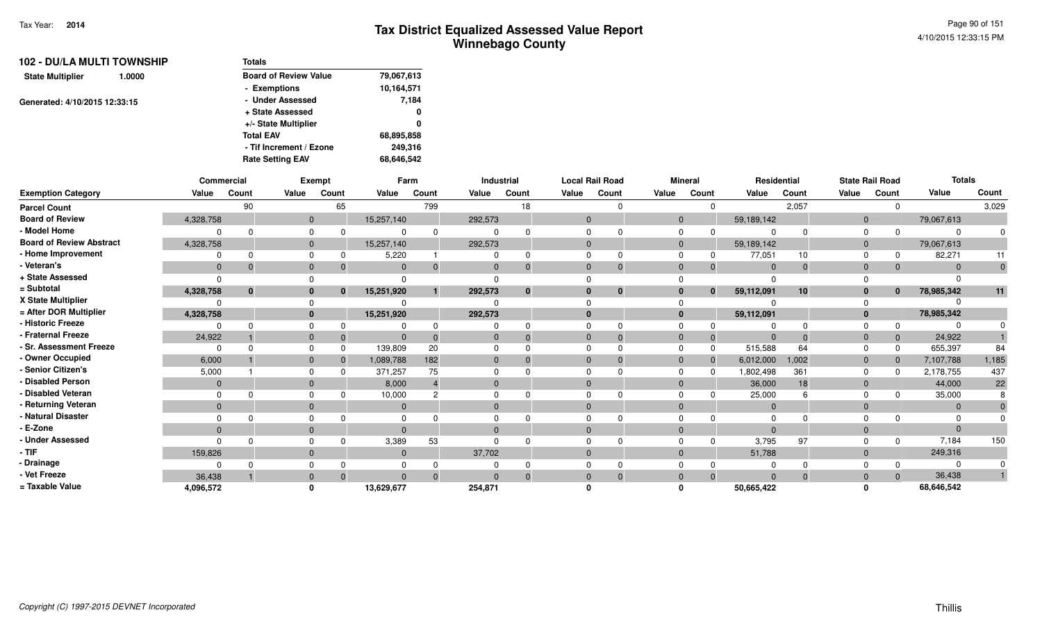| Totals                       |            |
|------------------------------|------------|
| <b>Board of Review Value</b> | 79,067,613 |
| - Exemptions                 | 10,164,571 |
| - Under Assessed             | 7,184      |
| + State Assessed             | 0          |
| +/- State Multiplier         | 0          |
| <b>Total EAV</b>             | 68,895,858 |
| - Tif Increment / Ezone      | 249.316    |
| <b>Rate Setting EAV</b>      | 68,646,542 |
|                              |            |

|                                 |              | Commercial   |              | <b>Exempt</b> |                | Farm     |              | Industrial   |                | <b>Local Rail Road</b> |       | <b>Mineral</b> |              |              | Residential |              | <b>State Rail Road</b> | <b>Totals</b> |       |
|---------------------------------|--------------|--------------|--------------|---------------|----------------|----------|--------------|--------------|----------------|------------------------|-------|----------------|--------------|--------------|-------------|--------------|------------------------|---------------|-------|
| <b>Exemption Category</b>       | Value        | Count        | Value        | Count         | Value          | Count    | Value        | Count        | Value          | Count                  | Value | Count          |              | Value        | Count       | Value        | Count                  | Value         | Count |
| <b>Parcel Count</b>             |              | 90           |              | 65            |                | 799      |              | 18           |                |                        |       |                | $\Omega$     |              | 2,057       |              |                        |               | 3,029 |
| <b>Board of Review</b>          | 4,328,758    |              |              | $\mathbf{0}$  | 15,257,140     |          | 292,573      |              | $\Omega$       |                        |       | $\mathbf{0}$   |              | 59,189,142   |             | $\Omega$     |                        | 79,067,613    |       |
| - Model Home                    | $\Omega$     | $\cap$       |              | 0             |                | $\Omega$ | <sup>0</sup> |              |                |                        |       | $\Omega$       |              |              |             |              |                        |               |       |
| <b>Board of Review Abstract</b> | 4,328,758    |              |              | $\mathbf{0}$  | 15,257,140     |          | 292,573      |              | $\Omega$       |                        |       | $\mathbf{0}$   |              | 59,189,142   |             |              |                        | 79,067,613    |       |
| - Home Improvement              | $\Omega$     |              |              | $\mathbf{0}$  | 5,220          |          | $\Omega$     | 0            | $\Omega$       |                        |       | $\Omega$       |              | 77,051       | 10          |              |                        | 82,271        | 11    |
| - Veteran's                     | $\mathbf{0}$ |              |              | $\mathbf{0}$  | $\overline{0}$ | $\Omega$ | $\mathbf{0}$ | $\Omega$     | $\mathbf{0}$   |                        |       | $\mathbf{0}$   |              | $\mathbf{0}$ | $\Omega$    |              |                        |               |       |
| + State Assessed                | $\Omega$     |              |              |               |                |          |              |              |                |                        |       |                |              |              |             |              |                        |               |       |
| = Subtotal                      | 4,328,758    | $\mathbf{0}$ |              | $\bf{0}$      | 15,251,920     |          | 292,573      | $\mathbf{0}$ | $\bf{0}$       | $\bf{0}$               |       | $\bf{0}$       | $\mathbf{0}$ | 59,112,091   | 10          |              | $\bf{0}$               | 78,985,342    | 11    |
| X State Multiplier              | $\Omega$     |              |              |               |                |          |              |              |                |                        |       |                |              |              |             |              |                        |               |       |
| = After DOR Multiplier          | 4,328,758    |              |              | $\mathbf{0}$  | 15,251,920     |          | 292,573      |              | $\bf{0}$       |                        |       | $\mathbf{0}$   |              | 59,112,091   |             |              |                        | 78,985,342    |       |
| - Historic Freeze               | <sup>0</sup> |              |              | 0             |                | $\Omega$ |              |              |                |                        |       | $\Omega$       |              |              |             |              |                        |               |       |
| - Fraternal Freeze              | 24,922       |              |              | $\mathbf 0$   | $\overline{0}$ | $\Omega$ | $\mathbf{0}$ | $\Omega$     | $\mathbf{0}$   |                        |       | $\mathbf{0}$   |              | $\Omega$     |             |              |                        | 24,922        |       |
| - Sr. Assessment Freeze         | $\Omega$     |              |              | $\Omega$      | 139,809        | 20       | $\Omega$     |              | $\Omega$       |                        |       | $\Omega$       |              | 515,588      | 64          |              |                        | 655,397       | 84    |
| - Owner Occupied                | 6,000        |              |              | $\mathbf{0}$  | 1,089,788      | 182      | $\mathbf{0}$ |              | $\mathbf{0}$   |                        |       | $\mathbf{0}$   |              | 6,012,000    | 1,002       | $\mathbf{0}$ |                        | 7,107,788     | 1,185 |
| - Senior Citizen's              | 5,000        |              |              | 0             | 371,257        | 75       |              |              |                |                        |       | $\Omega$       |              | ,802,498     | 361         |              |                        | 2,178,755     | 437   |
| - Disabled Person               | $\mathbf{0}$ |              |              | $\mathbf{0}$  | 8,000          |          | $\mathbf{0}$ |              | $\Omega$       |                        |       | $\mathbf{0}$   |              | 36,000       | 18          |              |                        | 44,000        | 22    |
| - Disabled Veteran              | $\Omega$     |              |              | 0             | 10,000         | 2        | $\Omega$     |              |                |                        |       | $\Omega$       |              | 25,000       |             |              |                        | 35,000        |       |
| - Returning Veteran             | $\mathbf{0}$ |              |              | $\mathbf{0}$  | $\mathbf 0$    |          | $\mathbf{0}$ |              | $\mathbf{0}$   |                        |       | $\Omega$       |              | $\mathbf{0}$ |             |              |                        |               |       |
| - Natural Disaster              | $\Omega$     |              |              | 0             |                |          |              |              |                |                        |       |                |              |              |             |              |                        |               |       |
| - E-Zone                        | $\mathbf{0}$ |              | $\mathbf{0}$ |               | $\Omega$       |          | $\mathbf{0}$ |              | $\Omega$       |                        |       | $\Omega$       |              | $\Omega$     |             |              |                        |               |       |
| - Under Assessed                | $\Omega$     |              |              | 0             | 3,389          | 53       | $\Omega$     |              |                |                        |       | $\Omega$       |              | 3,795        | 97          |              |                        | 7,184         | 150   |
| $-$ TIF                         | 159,826      |              |              | $\mathbf{0}$  | $\overline{0}$ |          | 37,702       |              | $\mathbf{0}$   |                        |       | $\mathbf{0}$   |              | 51,788       |             |              |                        | 249,316       |       |
| - Drainage                      | $\Omega$     |              |              | 0             | 0              |          |              |              |                |                        |       |                |              |              |             |              |                        |               |       |
| - Vet Freeze                    | 36,438       |              | $\mathbf{0}$ |               | $\Omega$       | $\Omega$ | $\Omega$     | $\Omega$     | $\overline{0}$ |                        |       | $\mathbf{0}$   |              | $\Omega$     |             |              |                        | 36,438        |       |
| = Taxable Value                 | 4,096,572    |              | 0            |               | 13,629,677     |          | 254,871      |              |                |                        |       | n              |              | 50,665,422   |             |              |                        | 68,646,542    |       |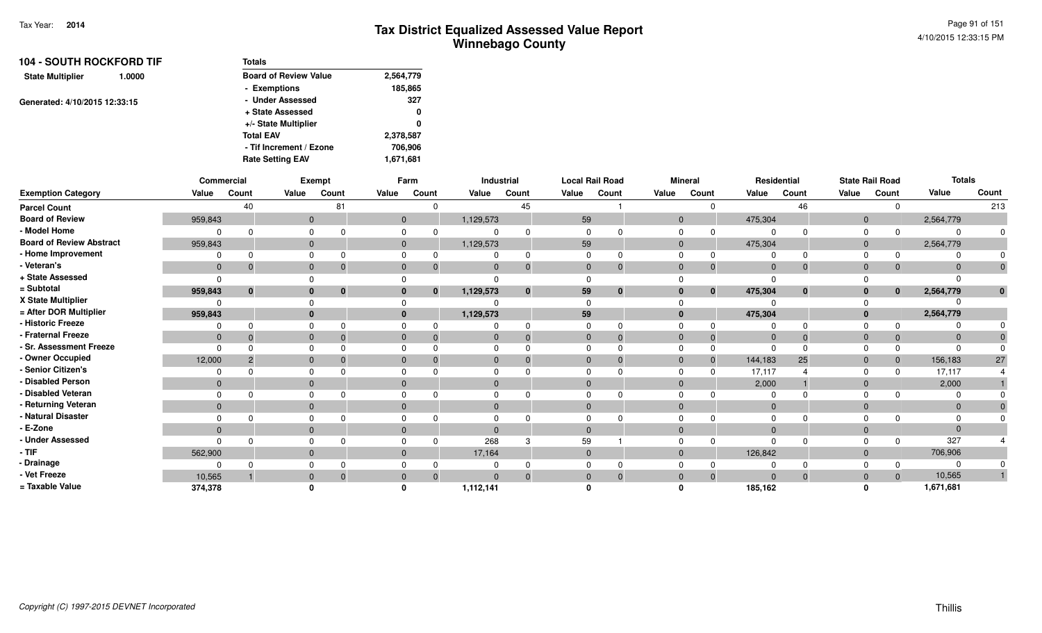| <b>104 - SOUTH ROCKFORD TIF</b>   | <b>Totals</b>                |           |
|-----------------------------------|------------------------------|-----------|
| <b>State Multiplier</b><br>1.0000 | <b>Board of Review Value</b> | 2,564,779 |
|                                   | - Exemptions                 | 185,865   |
| Generated: 4/10/2015 12:33:15     | - Under Assessed             | 327       |
|                                   | + State Assessed             | 0         |
|                                   | +/- State Multiplier         | 0         |
|                                   | <b>Total EAV</b>             | 2,378,587 |
|                                   | - Tif Increment / Ezone      | 706,906   |
|                                   | <b>Rate Setting EAV</b>      | 1,671,681 |

|                                 |              | Commercial |              | <b>Exempt</b>        |                | Farm                     |              | Industrial |              | <b>Local Rail Road</b> |       | <b>Mineral</b>              |         | Residential                 |              | <b>State Rail Road</b>   | <b>Totals</b> |              |
|---------------------------------|--------------|------------|--------------|----------------------|----------------|--------------------------|--------------|------------|--------------|------------------------|-------|-----------------------------|---------|-----------------------------|--------------|--------------------------|---------------|--------------|
| <b>Exemption Category</b>       | Value        | Count      | Value        | Count                | Value          | Count                    | Value        | Count      | Value        | Count                  | Value | Count                       | Value   | Count                       | Value        | Count                    | Value         | Count        |
| <b>Parcel Count</b>             |              | 40         |              | 81                   |                | $\Omega$                 |              | 45         |              |                        |       | $\Omega$                    |         | 46                          |              | $\mathbf 0$              |               | 213          |
| <b>Board of Review</b>          | 959,843      |            |              | $\mathbf{0}$         |                | $\mathbf{0}$             | 1,129,573    |            | 59           |                        |       | $\mathbf{0}$                | 475,304 |                             |              | $\mathbf 0$              | 2,564,779     |              |
| - Model Home                    |              |            |              |                      |                | $\Omega$                 | 0            |            | $\Omega$     |                        |       | $\mathbf 0$<br>$\Omega$     |         | $\Omega$<br>$\Omega$        | $\Omega$     | $\Omega$                 |               |              |
| <b>Board of Review Abstract</b> | 959,843      |            |              | $\mathbf{0}$         |                | $\overline{0}$           | 1,129,573    |            | 59           |                        |       | $\mathbf{0}$                | 475,304 |                             |              | $\mathbf{0}$             | 2,564,779     |              |
| - Home Improvement              |              |            |              | 0                    | $\Omega$       |                          | 0            |            | $\Omega$     | $\Omega$               |       | $\Omega$<br>$\Omega$        |         | $\Omega$<br>$\Omega$        | $\Omega$     | <sup>0</sup>             |               |              |
| - Veteran's                     | $\mathbf{0}$ |            |              | $\mathbf{0}$         | $\mathbf{0}$   | $\Omega$                 | $\mathbf{0}$ | $\Omega$   | $\mathbf{0}$ | $\Omega$               |       | $\mathbf{0}$<br>$\Omega$    |         | $\overline{0}$<br>$\Omega$  | $\mathbf{0}$ | $\Omega$                 |               | $\mathbf{0}$ |
| + State Assessed                |              |            |              |                      |                |                          |              |            | $\Omega$     |                        |       |                             |         |                             |              |                          |               |              |
| = Subtotal                      | 959,843      |            |              | $\bf{0}$<br>$\Omega$ |                | $\mathbf{0}$<br>$\bf{0}$ | 1,129,573    | $\bf{0}$   | 59           | $\bf{0}$               |       | $\bf{0}$<br>$\bf{0}$        | 475,304 | $\bf{0}$                    |              | $\bf{0}$<br>$\mathbf{0}$ | 2,564,779     | $\mathbf{0}$ |
| X State Multiplier              |              |            |              |                      |                |                          |              |            | $\Omega$     |                        |       |                             |         |                             |              |                          |               |              |
| = After DOR Multiplier          | 959,843      |            |              | $\bf{0}$             |                | $\mathbf{0}$             | 1,129,573    |            | 59           |                        |       | $\bf{0}$                    | 475,304 |                             |              | $\mathbf{0}$             | 2,564,779     |              |
| - Historic Freeze               |              |            |              |                      |                |                          | 0            |            | $\Omega$     | $\Omega$               |       | $\Omega$<br>0               |         | $\Omega$<br>$\Omega$        |              |                          |               |              |
| - Fraternal Freeze              | $\mathbf{0}$ |            |              | $\mathbf 0$          | $\overline{0}$ |                          | $\mathbf 0$  | $\Omega$   | $\mathbf{0}$ | $\Omega$               |       | $\overline{0}$<br>$\Omega$  |         | $\overline{0}$<br>$\Omega$  | $\mathbf{0}$ | $\Omega$                 | $\Omega$      |              |
| - Sr. Assessment Freeze         | 0            |            |              | 0                    | $\Omega$       |                          | $\Omega$     |            | $\Omega$     |                        |       | $\mathbf 0$                 |         | $\Omega$<br>$\Omega$        | $\Omega$     |                          |               |              |
| - Owner Occupied                | 12,000       |            | $\mathbf{0}$ |                      | $\mathbf 0$    |                          | $\mathbf 0$  |            | $\mathbf{0}$ | $\Omega$               |       | $\mathbf{0}$<br>$\Omega$    | 144,183 | 25                          | $\mathbf 0$  | $\mathbf{0}$             | 156,183       | 27           |
| - Senior Citizen's              |              |            |              |                      |                |                          | $\Omega$     |            | $\Omega$     |                        |       | $\mathbf 0$<br><sup>n</sup> | 17,117  |                             | $\Omega$     |                          | 17,117        |              |
| <b>Disabled Person</b>          | $\mathbf{0}$ |            |              | $\mathbf{0}$         | $\Omega$       |                          | $\mathbf 0$  |            | $\mathbf{0}$ |                        |       | $\mathbf{0}$                |         | 2,000                       | $\mathbf 0$  |                          | 2,000         |              |
| - Disabled Veteran              |              |            |              | 0                    | $\Omega$       |                          | $\Omega$     |            | $\Omega$     | $\Omega$               |       | $\mathbf 0$                 |         | $\Omega$                    | $\Omega$     |                          |               |              |
| - Returning Veteran             | $\mathbf{0}$ |            |              | $\mathbf{0}$         | $\mathbf 0$    |                          | $\mathbf 0$  |            | $\mathbf 0$  |                        |       | $\mathbf{0}$                |         | $\mathbf{0}$                | $\mathbf 0$  |                          | $\Omega$      |              |
| - Natural Disaster              |              |            |              | 0                    | $\Omega$       |                          | $\Omega$     |            | $\Omega$     | $\Omega$               |       | $\Omega$                    |         | $\Omega$<br><sup>n</sup>    |              | 0                        |               |              |
| - E-Zone                        | $\mathbf{0}$ |            |              | $\mathbf{0}$         | $\mathbf{0}$   |                          | $\mathbf{0}$ |            | $\Omega$     |                        |       | $\mathbf{0}$                |         | $\Omega$                    | $\mathbf 0$  |                          | $\Omega$      |              |
| - Under Assessed                | O            |            |              |                      | $\Omega$       |                          | 268          |            | 59           |                        |       | $\Omega$<br>$\Omega$        |         | $\Omega$<br>$\Omega$        | $\Omega$     | $\Omega$                 | 327           |              |
| - TIF                           | 562,900      |            |              | $\mathbf{0}$         | $\mathbf 0$    |                          | 17,164       |            | $\mathbf{0}$ |                        |       | $\mathbf{0}$                | 126,842 |                             |              | $\mathbf 0$              | 706,906       |              |
| - Drainage                      |              |            |              | 0                    |                |                          | 0            |            | $\Omega$     |                        |       | $\Omega$                    |         | $\Omega$                    |              |                          |               |              |
| - Vet Freeze                    | 10,565       |            |              |                      | $\overline{0}$ |                          | $\Omega$     |            | $\mathbf{0}$ | $\mathbf 0$            |       | $\overline{0}$<br>$\Omega$  |         | $\mathbf{0}$<br>$\mathbf 0$ | $\mathbf 0$  | $\Omega$                 | 10,565        |              |
| = Taxable Value                 | 374,378      |            |              |                      |                |                          | 1,112,141    |            |              |                        |       | ŋ                           | 185,162 |                             |              |                          | 1,671,681     |              |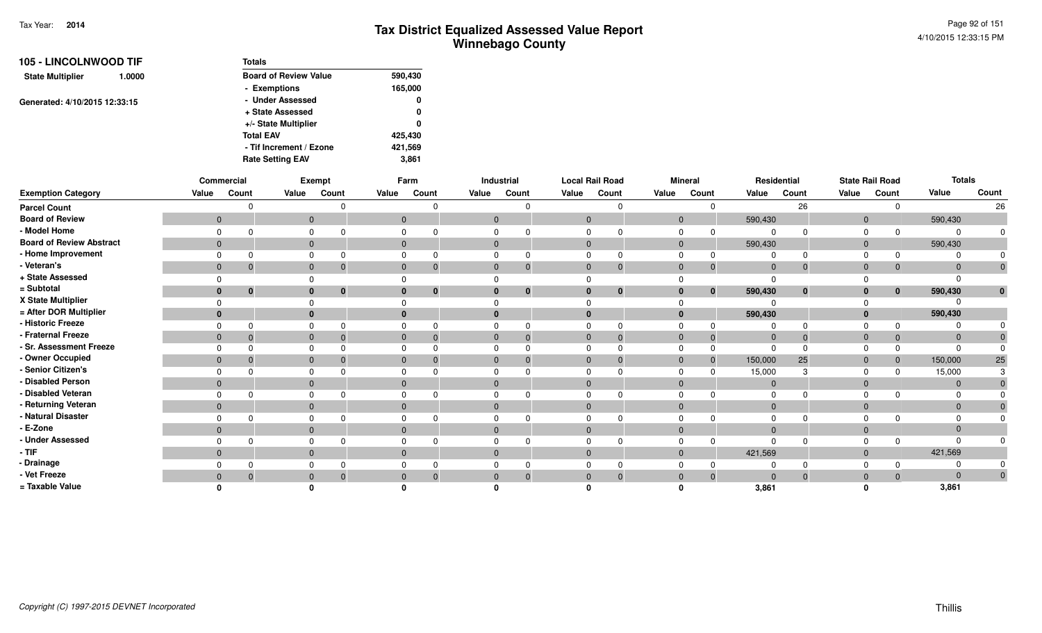| <b>105 - LINCOLNWOOD TIF</b>      | <b>Totals</b>                |         |
|-----------------------------------|------------------------------|---------|
| <b>State Multiplier</b><br>1.0000 | <b>Board of Review Value</b> | 590,430 |
|                                   | - Exemptions                 | 165,000 |
| Generated: 4/10/2015 12:33:15     | - Under Assessed             | 0       |
|                                   | + State Assessed             | 0       |
|                                   | +/- State Multiplier         | 0       |
|                                   | <b>Total EAV</b>             | 425,430 |
|                                   | - Tif Increment / Ezone      | 421,569 |
|                                   | <b>Rate Setting EAV</b>      | 3,861   |

|                                 |                | Commercial   |              | Exempt |              | Farm         |              | Industrial     | <b>Local Rail Road</b> |          |                | <b>Mineral</b> |                | Residential  |                | <b>State Rail Road</b> | <b>Totals</b>  |              |
|---------------------------------|----------------|--------------|--------------|--------|--------------|--------------|--------------|----------------|------------------------|----------|----------------|----------------|----------------|--------------|----------------|------------------------|----------------|--------------|
| <b>Exemption Category</b>       | Value          | Count        | Value        | Count  | Value        | Count        | Value        | Count          | Value                  | Count    | Value          | Count          | Value          | Count        | Value          | Count                  | Value          | Count        |
| <b>Parcel Count</b>             |                | $\Omega$     |              |        |              | n            |              | $\cap$         |                        | ∩        |                | n              |                | 26           |                |                        |                | 26           |
| <b>Board of Review</b>          | $\overline{0}$ |              | $\mathbf{0}$ |        | $\mathbf{0}$ |              | $\mathbf{0}$ |                | $\mathbf{0}$           |          | $\overline{0}$ |                | 590,430        |              | $\overline{0}$ |                        | 590,430        |              |
| - Model Home                    | $\Omega$       | ∩            | $\Omega$     |        |              |              |              |                |                        |          | $\Omega$       | 0              | $\Omega$       |              |                |                        | $\Omega$       |              |
| <b>Board of Review Abstract</b> | $\overline{0}$ |              | $\mathbf{0}$ |        | $\mathbf{0}$ |              | $\mathbf{0}$ |                | $\mathbf{0}$           |          | $\mathbf{0}$   |                | 590,430        |              | $\Omega$       |                        | 590,430        |              |
| - Home Improvement              | $\Omega$       | $\Omega$     | $\Omega$     |        |              |              |              | $\Omega$       |                        |          | $\Omega$       |                |                | $\Omega$     |                |                        | $\Omega$       |              |
| - Veteran's                     | $\mathbf{0}$   | $\mathbf 0$  | $\mathbf{0}$ | 0      | $\mathbf{0}$ | $\mathbf 0$  | $\mathbf{0}$ | $\mathbf{0}$   | $\mathbf{0}$           | $\Omega$ | $\mathbf{0}$   | $\overline{0}$ | $\overline{0}$ | $\mathbf{0}$ | $\mathbf{0}$   | $\mathbf{0}$           | $\mathbf{0}$   |              |
| + State Assessed                |                |              |              |        |              |              |              |                |                        |          |                |                | $\Omega$       |              |                |                        | $\Omega$       |              |
| = Subtotal                      | $\bf{0}$       | $\mathbf{0}$ | $\bf{0}$     | 0      | $\bf{0}$     | $\mathbf{0}$ |              | $\bf{0}$       |                        | $\bf{0}$ | $\bf{0}$       | $\bf{0}$       | 590,430        | $\bf{0}$     |                | $\mathbf{0}$           | 590,430        | $\mathbf{0}$ |
| X State Multiplier              | $\Omega$       |              |              |        |              |              |              |                |                        |          |                |                |                |              |                |                        |                |              |
| = After DOR Multiplier          | $\bf{0}$       |              | $\bf{0}$     |        | $\bf{0}$     |              |              |                |                        |          | $\bf{0}$       |                | 590,430        |              |                |                        | 590,430        |              |
| - Historic Freeze               | $\Omega$       | $\Omega$     | $\Omega$     |        |              |              |              | $\Omega$       |                        |          | $\Omega$       |                |                | $\Omega$     |                |                        | $\Omega$       |              |
| - Fraternal Freeze              | $\overline{0}$ | $\mathbf{0}$ | $\mathbf{0}$ |        | $\mathbf{0}$ |              | $\mathbf{0}$ | $\overline{0}$ | $\mathbf{0}$           |          | $\mathbf{0}$   | $\overline{0}$ | $\overline{0}$ | $\Omega$     | $\Omega$       | $\mathbf{0}$           | $\mathbf 0$    |              |
| - Sr. Assessment Freeze         | $\Omega$       | $\Omega$     |              |        |              |              |              |                |                        |          |                | 0              | $\Omega$       |              |                |                        | $\Omega$       |              |
| - Owner Occupied                | $\overline{0}$ | $\mathbf{0}$ | $\mathbf{0}$ |        | $\mathbf{0}$ |              | $\Omega$     | $\Omega$       | $\mathbf{0}$           |          | $\mathbf{0}$   | $\overline{0}$ | 150,000        | 25           | $\Omega$       | $\mathbf{0}$           | 150,000        | 25           |
| - Senior Citizen's              | $\Omega$       | ∩            |              |        |              |              |              |                |                        |          | $\Omega$       |                | 15,000         |              |                |                        | 15,000         |              |
| - Disabled Person               | $\mathbf{0}$   |              | $\mathbf{0}$ |        | $\Omega$     |              | $\Omega$     |                | $\Omega$               |          | $\Omega$       |                | $\overline{0}$ |              | $\Omega$       |                        | $\mathbf{0}$   |              |
| - Disabled Veteran              | $\Omega$       | ∩            |              |        |              |              |              |                |                        |          |                |                |                |              |                |                        | 0              |              |
| - Returning Veteran             | $\overline{0}$ |              | $\mathbf{0}$ |        | $\mathbf{0}$ |              | $\Omega$     |                | $\Omega$               |          | $\Omega$       |                | $\Omega$       |              | $\Omega$       |                        | $\Omega$       |              |
| - Natural Disaster              | $\Omega$       | ∩            | $\Omega$     |        |              |              |              |                |                        |          | <sup>n</sup>   |                |                |              |                |                        | $\Omega$       |              |
| - E-Zone                        | $\overline{0}$ |              | $\mathbf{0}$ |        | $\Omega$     |              | $\Omega$     |                |                        |          | $\Omega$       |                | $\Omega$       |              | $\Omega$       |                        | $\mathbf{0}$   |              |
| - Under Assessed                | $\Omega$       | $\Omega$     | $\Omega$     |        |              |              |              | $\Omega$       |                        |          | $\Omega$       |                | $\Omega$       | $\Omega$     |                |                        | $\Omega$       |              |
| $-TIF$                          | $\mathbf{0}$   |              | $\mathbf{0}$ |        | $\mathbf{0}$ |              | $\Omega$     |                | $\mathbf{0}$           |          | $\mathbf{0}$   |                | 421,569        |              | $\Omega$       |                        | 421,569        |              |
| - Drainage                      |                |              |              |        |              |              |              |                |                        |          |                |                |                |              |                |                        | $\Omega$       |              |
| - Vet Freeze                    | $\overline{0}$ | $\mathbf{0}$ | $\mathbf{0}$ |        | $\Omega$     |              |              | $\Omega$       |                        |          | $\Omega$       | $\Omega$       | $\Omega$       | $\Omega$     |                |                        | $\overline{0}$ |              |
| = Taxable Value                 |                |              |              |        |              |              |              |                |                        |          |                |                | 3,861          |              |                |                        | 3,861          |              |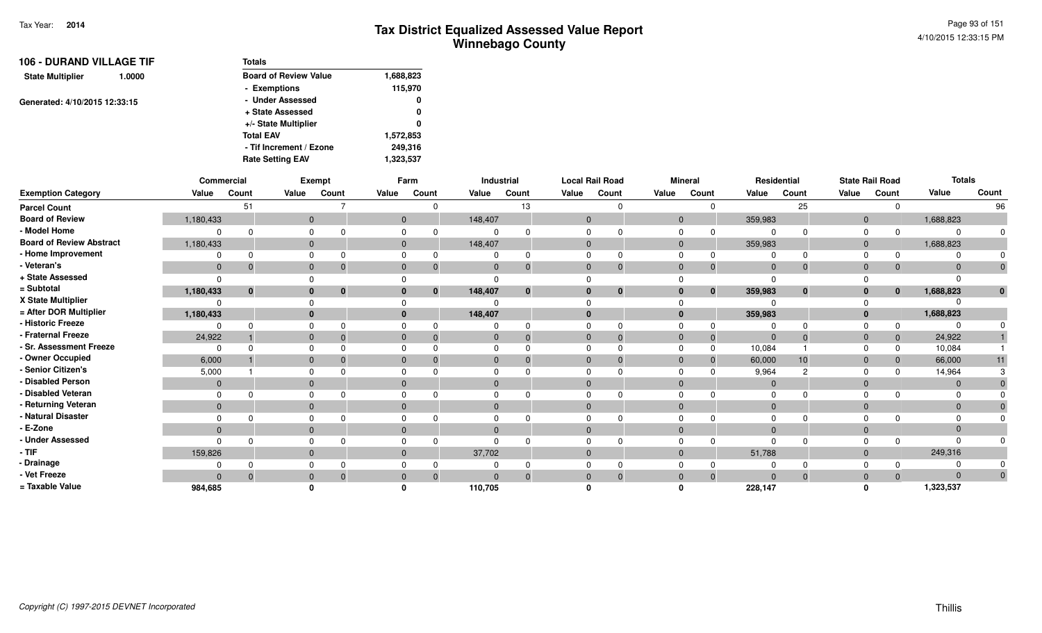| <b>106 - DURAND VILLAGE TIF</b>   | <b>Totals</b>                |           |
|-----------------------------------|------------------------------|-----------|
| <b>State Multiplier</b><br>1.0000 | <b>Board of Review Value</b> | 1,688,823 |
|                                   | - Exemptions                 | 115,970   |
| Generated: 4/10/2015 12:33:15     | - Under Assessed             | 0         |
|                                   | + State Assessed             | 0         |
|                                   | +/- State Multiplier         | 0         |
|                                   | <b>Total EAV</b>             | 1,572,853 |
|                                   | - Tif Increment / Ezone      | 249,316   |
|                                   | <b>Rate Setting EAV</b>      | 1,323,537 |

|                                 |              | Commercial   |          | Exempt                       |              | Farm                 |              | Industrial |                | <b>Local Rail Road</b> |                | <b>Mineral</b>           |                | Residential    |              | <b>State Rail Road</b> | <b>Totals</b> |              |
|---------------------------------|--------------|--------------|----------|------------------------------|--------------|----------------------|--------------|------------|----------------|------------------------|----------------|--------------------------|----------------|----------------|--------------|------------------------|---------------|--------------|
| <b>Exemption Category</b>       | Value        | Count        | Value    | Count                        | Value        | Count                | Value        | Count      | Value          | Count                  | Value          | Count                    | Value          | Count          | Value        | Count                  | Value         | Count        |
| <b>Parcel Count</b>             |              | 51           |          |                              |              |                      |              | 13         |                |                        |                | $\Omega$                 |                | 25             |              | $\Omega$               |               | 96           |
| <b>Board of Review</b>          | 1,180,433    |              |          | $\mathbf 0$                  |              | $\mathbf{0}$         | 148,407      |            | $\mathbf{0}$   |                        |                | $\mathbf 0$              | 359,983        |                | $\mathbf{0}$ |                        | 1,688,823     |              |
| - Model Home                    | $\Omega$     |              |          | 0                            |              | 0                    |              |            |                |                        | $\Omega$       | $\Omega$                 | $\Omega$       | $\Omega$       | $\Omega$     | $\Omega$               |               | $\Omega$     |
| <b>Board of Review Abstract</b> | 1,180,433    |              |          | $\mathbf{0}$                 |              | $\mathbf{0}$         | 148,407      |            | $\mathbf{0}$   |                        |                | $\overline{0}$           | 359,983        |                | $\mathbf{0}$ |                        | 1,688,823     |              |
| - Home Improvement              |              |              |          | 0                            |              | 0                    |              |            | $\Omega$       |                        | 0              | $\Omega$                 | $\Omega$       | $\Omega$       | $\Omega$     | $\Omega$               |               |              |
| - Veteran's                     | $\mathbf 0$  | $\mathbf 0$  |          | $\mathbf 0$                  |              | $\mathbf{0}$<br>0    | $\mathbf 0$  |            | $\Omega$       | $\Omega$               | $\mathbf 0$    | 0                        | $\mathbf{0}$   | $\mathbf{0}$   | $\mathbf 0$  | 0                      | $\Omega$      | $\mathbf 0$  |
| + State Assessed                | $\Omega$     |              | $\Omega$ |                              |              |                      |              |            |                |                        |                |                          | $\Omega$       |                |              |                        |               |              |
| = Subtotal                      | 1,180,433    | $\mathbf{0}$ |          | $\mathbf{0}$<br>$\mathbf{0}$ |              | $\bf{0}$<br>$\bf{0}$ | 148,407      | $\Omega$   | $\Omega$       | $\bf{0}$               |                | $\mathbf{0}$<br>$\bf{0}$ | 359,983        | $\mathbf{0}$   | $\mathbf{0}$ | $\bf{0}$               | 1,688,823     | $\mathbf{0}$ |
| X State Multiplier              | 0            |              |          | $\Omega$                     |              |                      |              |            |                |                        |                |                          | $\Omega$       |                |              |                        |               |              |
| = After DOR Multiplier          | 1,180,433    |              |          | $\mathbf{0}$                 |              | $\bf{0}$             | 148,407      |            | $\mathbf{0}$   |                        |                | $\mathbf{0}$             | 359,983        |                | $\mathbf{0}$ |                        | 1,688,823     |              |
| - Historic Freeze               | $\Omega$     |              |          | 0                            |              | 0                    |              |            | $\Omega$       |                        | $\Omega$       |                          | $\Omega$       | $\Omega$       | $\Omega$     | 0                      |               |              |
| - Fraternal Freeze              | 24,922       |              |          | $\mathbf{0}$<br>- 0          |              | $\mathbf{0}$<br>0    | $\mathbf{0}$ |            | $\overline{0}$ | $\Omega$               | $\mathbf 0$    | $\Omega$                 | $\overline{0}$ | $\Omega$       | $\mathbf{0}$ | $\mathbf 0$            | 24,922        |              |
| - Sr. Assessment Freeze         | $\Omega$     |              |          | $\mathbf 0$                  |              | 0                    | $\Omega$     |            | $\Omega$       |                        | $\mathbf 0$    | $\Omega$                 | 10,084         |                | $\Omega$     | $\Omega$               | 10,084        |              |
| - Owner Occupied                | 6,000        |              |          | $\mathbf{0}$                 | $\Omega$     |                      | $\mathbf{0}$ |            | $\Omega$       |                        | $\overline{0}$ | $\Omega$                 | 60,000         | 10             | $\mathbf 0$  | $\Omega$               | 66,000        | 11           |
| - Senior Citizen's              | 5,000        |              |          | 0                            |              | 0                    | $\Omega$     |            | $\Omega$       |                        | $\Omega$       |                          | 9,964          | $\overline{2}$ | $\Omega$     | <sup>0</sup>           | 14,964        |              |
| - Disabled Person               | $\mathbf{0}$ |              |          | $\mathbf{0}$                 | $\mathbf{0}$ |                      | $\mathbf{0}$ |            | $\mathbf{0}$   |                        | $\mathbf{0}$   |                          | $\mathbf{0}$   |                | $\mathbf{0}$ |                        | $\Omega$      |              |
| - Disabled Veteran              | $\Omega$     |              | 0        |                              |              | 0                    | $\mathbf 0$  |            | $\Omega$       |                        | $\Omega$       |                          | $\Omega$       | $\Omega$       | $\Omega$     |                        |               |              |
| - Returning Veteran             | $\mathbf{0}$ |              |          | $\mathbf{0}$                 |              | $\mathbf{0}$         | $\mathbf{0}$ |            | $\mathbf{0}$   |                        |                | $\mathbf{0}$             | $\mathbf{0}$   |                | $\mathbf{0}$ |                        | $\Omega$      |              |
| - Natural Disaster              | $\Omega$     |              |          | $\mathbf 0$                  |              | 0                    | 0            |            | $\Omega$       |                        | $\Omega$       |                          | $\Omega$       |                | $\Omega$     |                        |               |              |
| - E-Zone                        | $\mathbf{0}$ |              |          | $\mathbf{0}$                 | $\Omega$     |                      | $\mathbf{0}$ |            |                |                        | $\mathbf{0}$   |                          | $\Omega$       |                | $\mathbf{0}$ |                        |               |              |
| - Under Assessed                | $\Omega$     |              |          | 0                            |              |                      | $\Omega$     |            |                |                        | $\Omega$       |                          | $\Omega$       | $\Omega$       | $\Omega$     | $\Omega$               |               |              |
| - TIF                           | 159,826      |              |          | $\mathbf{0}$                 |              | $\mathbf{0}$         | 37,702       |            | $\mathbf{0}$   |                        | $\mathbf{0}$   |                          | 51,788         |                | $\mathbf{0}$ |                        | 249,316       |              |
| - Drainage                      | 0            |              |          | 0                            |              | 0                    |              |            |                |                        | $\Omega$       |                          | 0              |                | $\Omega$     |                        |               |              |
| - Vet Freeze                    | $\Omega$     | $\Omega$     |          | $\mathbf{0}$                 |              | $\Omega$             |              |            |                | $\Omega$               | $\mathbf{0}$   | $\Omega$                 | $\Omega$       | $\Omega$       | $\mathbf 0$  | $\Omega$               | $\Omega$      | $\Omega$     |
| = Taxable Value                 | 984,685      |              |          |                              |              |                      | 110,705      |            |                |                        |                |                          | 228,147        |                |              |                        | 1,323,537     |              |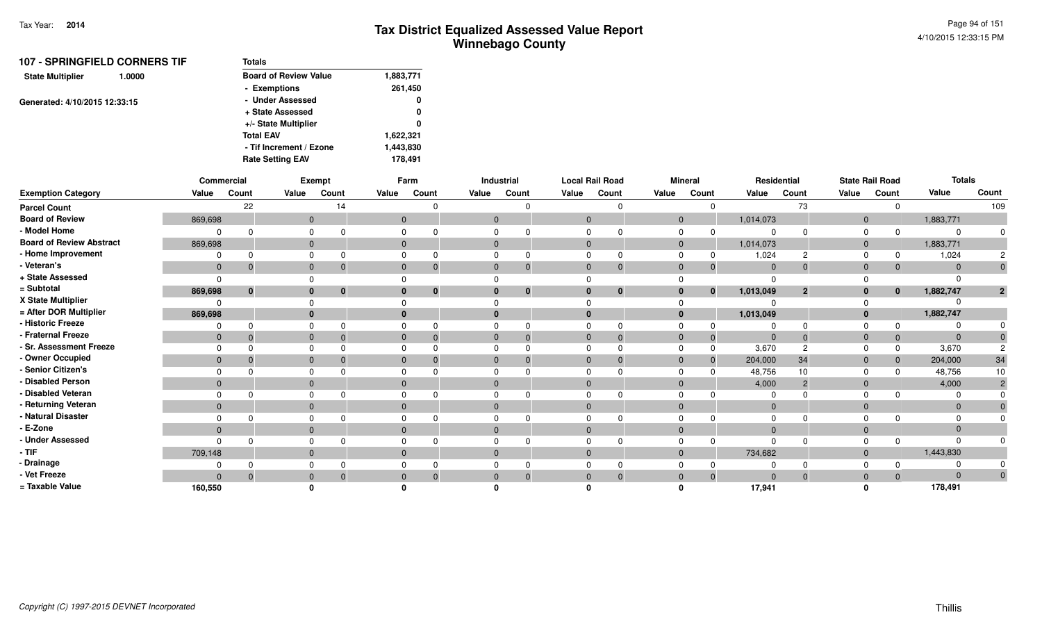| <b>107 - SPRINGFIELD CORNERS TIF</b> | <b>Totals</b>                |           |
|--------------------------------------|------------------------------|-----------|
| <b>State Multiplier</b><br>1.0000    | <b>Board of Review Value</b> | 1,883,771 |
|                                      | - Exemptions                 | 261,450   |
| Generated: 4/10/2015 12:33:15        | - Under Assessed             | 0         |
|                                      | + State Assessed             | 0         |
|                                      | +/- State Multiplier         | 0         |
|                                      | <b>Total EAV</b>             | 1,622,321 |
|                                      | - Tif Increment / Ezone      | 1,443,830 |
|                                      | <b>Rate Setting EAV</b>      | 178.491   |

|                                 |              | Commercial   |              | Exempt   |                | Farm                         |                | <b>Industrial</b> | <b>Local Rail Road</b> |              |                | <b>Mineral</b> |             | Residential             |                | <b>State Rail Road</b> | <b>Totals</b> |              |
|---------------------------------|--------------|--------------|--------------|----------|----------------|------------------------------|----------------|-------------------|------------------------|--------------|----------------|----------------|-------------|-------------------------|----------------|------------------------|---------------|--------------|
| <b>Exemption Category</b>       | Value        | Count        | Value        | Count    | Value          | Count                        | Value          | Count             | Value                  | Count        | Value          | Count          | Value       | Count                   | Value          | Count                  | Value         | Count        |
| <b>Parcel Count</b>             |              | 22           |              | 14       |                | $\Omega$                     |                | $\Omega$          |                        | 0            |                | $\Omega$       |             | 73                      |                | $\Omega$               |               | 109          |
| <b>Board of Review</b>          | 869,698      |              | $\mathbf 0$  |          | $\overline{0}$ |                              | $\mathbf{0}$   |                   | $\overline{0}$         |              | $\overline{0}$ |                | 1,014,073   |                         | $\overline{0}$ |                        | 1,883,771     |              |
| - Model Home                    | 0            | $\Omega$     | 0            |          | $\Omega$       |                              |                |                   |                        |              | $\Omega$       | 0              |             |                         | $\Omega$       |                        |               |              |
| <b>Board of Review Abstract</b> | 869,698      |              | $\mathbf 0$  |          | $\mathbf{0}$   |                              | $\overline{0}$ |                   | $\mathbf{0}$           |              | $\mathbf{0}$   |                | 1,014,073   |                         | $\overline{0}$ |                        | 1,883,771     |              |
| - Home Improvement              |              | $\Omega$     |              |          | $\Omega$       |                              |                |                   |                        |              |                |                | 1,024       |                         | $\Omega$       |                        | 1,024         |              |
| - Veteran's                     | $\mathbf 0$  | $\mathbf{0}$ | $\mathbf 0$  |          | $\mathbf{0}$   | 0                            |                |                   | $\mathbf{0}$           | $\mathbf 0$  | $\Omega$       | $\mathbf 0$    | $\Omega$    |                         | $\Omega$       | $\mathbf{0}$           | $\Omega$      |              |
| + State Assessed                | $\Omega$     |              |              |          |                |                              |                |                   |                        |              |                |                | $\Omega$    |                         |                |                        |               |              |
| = Subtotal                      | 869,698      | $\mathbf{0}$ | $\bf{0}$     | $\bf{0}$ |                | $\mathbf{0}$<br>$\mathbf{0}$ |                | $\mathbf{0}$      | $\bf{0}$               | $\mathbf{0}$ | 0              | $\mathbf{0}$   | 1,013,049   | $\overline{\mathbf{2}}$ | 0              | $\mathbf{0}$           | 1,882,747     | $\mathbf{2}$ |
| X State Multiplier              | $\Omega$     |              |              |          | $\Omega$       |                              |                |                   |                        |              |                |                |             |                         |                |                        |               |              |
| = After DOR Multiplier          | 869,698      |              | $\bf{0}$     |          | $\bf{0}$       |                              |                |                   |                        |              | $\bf{0}$       |                | 1,013,049   |                         |                |                        | 1,882,747     |              |
| - Historic Freeze               | $\Omega$     | $\Omega$     | <sup>n</sup> |          | $\Omega$       |                              |                |                   |                        |              |                |                |             |                         | $\Omega$       | $\Omega$               |               |              |
| - Fraternal Freeze              | $\mathbf 0$  | $\Omega$     | $\mathbf{0}$ |          | $\mathbf{0}$   |                              |                |                   | $\mathbf{0}$           | $\Omega$     | $\Omega$       | $\overline{0}$ | $\mathbf 0$ |                         | $\Omega$       | $\mathbf 0$            | $\Omega$      |              |
| - Sr. Assessment Freeze         | $\Omega$     | $\Omega$     |              |          | $\Omega$       |                              |                |                   |                        |              |                | $\Omega$       | 3,670       | റ                       | $\Omega$       | $\Omega$               | 3,670         |              |
| - Owner Occupied                | $\mathbf 0$  | $\Omega$     | $\mathbf{0}$ |          | $\mathbf{0}$   |                              |                |                   | $\Omega$               |              | $\Omega$       | -0             | 204,000     | 34                      | $\Omega$       | $\mathbf{0}$           | 204,000       | 34           |
| - Senior Citizen's              | $\Omega$     |              |              |          | $\Omega$       |                              |                |                   |                        |              |                |                | 48,756      | 10                      | $\cap$         | $\Omega$               | 48,756        | 10           |
| - Disabled Person               | $\mathbf 0$  |              | $\mathbf{0}$ |          | $\Omega$       |                              |                |                   | $\Omega$               |              | $\Omega$       |                | 4,000       | 2                       | $\Omega$       |                        | 4,000         |              |
| - Disabled Veteran              | $\Omega$     | $\Omega$     | U            |          | $\Omega$       |                              |                |                   |                        |              |                |                |             |                         | $\Omega$       |                        |               |              |
| - Returning Veteran             | $\mathbf{0}$ |              | $\mathbf{0}$ |          | $\overline{0}$ |                              |                |                   | $\Omega$               |              | $\Omega$       |                | $\Omega$    |                         | $\Omega$       |                        | $\Omega$      |              |
| - Natural Disaster              | $\Omega$     | <sup>n</sup> |              |          | $\Omega$       |                              |                |                   |                        |              |                |                |             |                         |                |                        |               |              |
| - E-Zone                        | $\mathbf{0}$ |              | $\mathbf 0$  |          | $\Omega$       |                              |                |                   |                        |              | $\Omega$       |                |             |                         | $\Omega$       |                        | $\Omega$      |              |
| - Under Assessed                | $\Omega$     | $\Omega$     | $\Omega$     |          | $\Omega$       |                              |                |                   |                        |              |                | $\Omega$       | n           |                         |                |                        |               |              |
| - TIF                           | 709,148      |              | $\mathbf{0}$ |          | $\mathbf{0}$   |                              |                |                   | $\mathbf{0}$           |              | $\Omega$       |                | 734,682     |                         | $\overline{0}$ |                        | 1,443,830     |              |
| - Drainage                      |              |              |              |          | $\Omega$       |                              |                |                   |                        |              |                | $\Omega$       |             |                         | $\Omega$       |                        |               |              |
| - Vet Freeze                    | $\Omega$     | $\Omega$     | $\mathbf{0}$ |          | $\mathbf{0}$   | $\Omega$                     |                |                   | 0                      | $\Omega$     |                | $\Omega$       | $\Omega$    |                         | $\Omega$       | $\mathbf{0}$           | $\Omega$      | 0            |
| = Taxable Value                 | 160,550      |              |              |          |                |                              |                |                   |                        |              |                |                | 17,941      |                         |                |                        | 178,491       |              |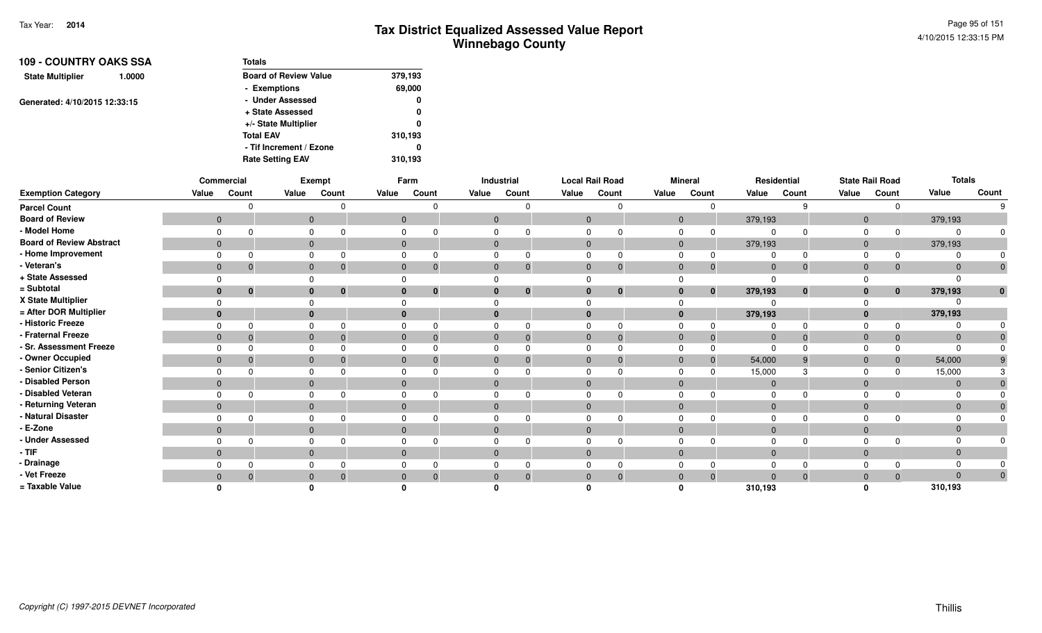| <b>109 - COUNTRY OAKS SSA</b><br>1.0000 | <b>Totals</b>                |         |
|-----------------------------------------|------------------------------|---------|
| <b>State Multiplier</b>                 | <b>Board of Review Value</b> | 379,193 |
|                                         | - Exemptions                 | 69,000  |
| Generated: 4/10/2015 12:33:15           | - Under Assessed             | 0       |
|                                         | + State Assessed             | 0       |
|                                         | +/- State Multiplier         | 0       |
|                                         | <b>Total EAV</b>             | 310,193 |
|                                         | - Tif Increment / Ezone      | 0       |
|                                         | <b>Rate Setting EAV</b>      | 310.193 |

|                                 |                | Commercial |                | Exempt            |              | Farm                             |              | Industrial |              | <b>Local Rail Road</b> |                | <b>Mineral</b> |                | Residential  |                | <b>State Rail Road</b> | <b>Totals</b> |              |
|---------------------------------|----------------|------------|----------------|-------------------|--------------|----------------------------------|--------------|------------|--------------|------------------------|----------------|----------------|----------------|--------------|----------------|------------------------|---------------|--------------|
| <b>Exemption Category</b>       | Value          | Count      | Value          | Count             | Value        | Count                            | Value        | Count      | Value        | Count                  | Value          | Count          | Value          | Count        | Value          | Count                  | Value         | Count        |
| <b>Parcel Count</b>             |                |            |                |                   |              |                                  |              |            |              |                        |                | $\Omega$       |                | g            |                | O                      |               | 9            |
| <b>Board of Review</b>          | $\mathbf{0}$   |            | $\overline{0}$ |                   | $\mathbf 0$  |                                  | $\mathbf 0$  |            | $\mathbf{0}$ |                        | $\overline{0}$ |                | 379,193        |              | $\overline{0}$ |                        | 379,193       |              |
| - Model Home                    |                |            |                | 0                 | 0            |                                  | 0            |            |              |                        | 0              |                | $\mathbf 0$    | $\Omega$     | $\Omega$       |                        |               | $\Omega$     |
| <b>Board of Review Abstract</b> | $\mathbf{0}$   |            | $\overline{0}$ |                   |              | $\overline{0}$                   | $\mathbf 0$  |            | $\mathbf{0}$ |                        | $\mathbf 0$    |                | 379,193        |              | $\mathbf 0$    |                        | 379,193       |              |
| - Home Improvement              |                |            |                | 0                 | $\Omega$     |                                  | 0            |            |              |                        | 0              |                | 0              | $\Omega$     |                |                        |               |              |
| - Veteran's                     | $\mathbf{0}$   | C          |                | $\mathbf{0}$      |              | $\mathbf{0}$<br>- 0              | $\mathbf{0}$ | -0         | $\mathbf 0$  |                        | $\mathbf{0}$   | $\mathbf 0$    | $\mathbf 0$    | $\mathbf 0$  | $\mathbf{0}$   | 0                      |               | $\pmb{0}$    |
| + State Assessed                |                |            | $\Omega$       |                   | $\Omega$     |                                  | 0            |            |              |                        |                |                | $\Omega$       |              |                |                        |               |              |
| = Subtotal                      | $\bf{0}$       | 0          |                | $\mathbf{0}$<br>0 |              | $\mathbf{0}$<br>$\bf{0}$         | $\mathbf{0}$ | 0          | $\bf{0}$     |                        | $\bf{0}$       | $\bf{0}$       | 379,193        | $\mathbf{0}$ | $\mathbf{0}$   | $\bf{0}$               | 379,193       | $\mathbf{0}$ |
| X State Multiplier              |                |            |                |                   | $\Omega$     |                                  |              |            |              |                        |                |                | $\Omega$       |              |                |                        |               |              |
| = After DOR Multiplier          |                |            |                | $\mathbf{0}$      |              | $\mathbf{0}$                     | $\bf{0}$     |            |              |                        |                |                | 379,193        |              | $\mathbf 0$    |                        | 379,193       |              |
| - Historic Freeze               |                |            | $\Omega$       |                   | $\Omega$     | $\Omega$                         | $\Omega$     |            | 0            |                        | $\Omega$       |                | $\Omega$       | $\Omega$     | $\Omega$       |                        |               |              |
| - Fraternal Freeze              | $\mathbf{0}$   |            |                | $\mathbf{0}$      |              | $\overline{0}$<br>-0             | $\mathbf 0$  |            | $\mathbf{0}$ |                        | $\mathbf{0}$   |                | $\overline{0}$ | $\mathbf{0}$ | $\mathbf 0$    |                        |               | $\mathbf{0}$ |
| - Sr. Assessment Freeze         |                |            | 0              |                   | 0            |                                  | $\mathbf 0$  |            |              |                        | 0              |                | $\Omega$       |              |                |                        |               | $\mathbf 0$  |
| - Owner Occupied                | $\overline{0}$ |            |                | $\mathbf 0$       |              | $\overline{0}$<br>-0             | $\mathbf{0}$ |            | $\mathbf{0}$ |                        | $\mathbf{0}$   | $\mathbf 0$    | 54,000         | 9            | $\overline{0}$ | $\mathbf{0}$           | 54,000        |              |
| - Senior Citizen's              |                |            |                | $\mathbf 0$       | $\Omega$     |                                  | $\mathbf 0$  |            |              |                        | 0              |                | 15,000         | 3            | $\Omega$       | 0                      | 15,000        |              |
| - Disabled Person               | $\mathbf{0}$   |            |                | $\mathbf 0$       |              | $\overline{0}$                   | $\mathbf 0$  |            | $\mathbf{0}$ |                        | $\mathbf 0$    |                | $\overline{0}$ |              | $\mathbf{0}$   |                        |               | $\mathbf{0}$ |
| - Disabled Veteran              |                |            | 0              |                   | $\Omega$     |                                  | $\mathbf 0$  |            |              |                        |                |                | $\Omega$       | $\Omega$     |                |                        |               | $\Omega$     |
| - Returning Veteran             | $\mathbf{0}$   |            |                | $\mathbf 0$       |              | $\overline{0}$                   | $\mathbf 0$  |            | $\mathbf{0}$ |                        | $\overline{0}$ |                | $\overline{0}$ |              | $\mathbf 0$    |                        |               | $\mathbf{0}$ |
| - Natural Disaster              |                |            |                | 0                 | $\Omega$     |                                  | 0            |            |              |                        | 0              |                | $\Omega$       | $\Omega$     | 0              |                        |               | $\Omega$     |
| - E-Zone                        | $\mathbf{0}$   |            | $\overline{0}$ |                   |              | $\overline{0}$                   | $\mathbf 0$  |            | $\Omega$     |                        | $\mathbf 0$    |                | $\mathbf{0}$   |              | $\mathbf 0$    |                        |               |              |
| - Under Assessed                |                |            | 0              |                   | 0            | $\cap$                           | 0            |            |              |                        | 0              |                | $\Omega$       | $\Omega$     | $\Omega$       |                        |               | $\Omega$     |
| $-$ TIF                         | $\mathbf{0}$   |            |                | $\mathbf{0}$      | $\mathbf{0}$ |                                  | $\mathbf 0$  |            | $\mathbf{0}$ |                        | $\overline{0}$ |                | $\overline{0}$ |              | $\overline{0}$ |                        |               |              |
| - Drainage                      |                |            | 0              |                   | 0            |                                  | 0            |            |              |                        |                |                | $\mathbf 0$    | 0            |                |                        |               | $\mathbf 0$  |
| - Vet Freeze                    | $\mathbf{0}$   | 0          |                | $\mathbf{0}$      |              | $\overline{0}$<br>$\overline{0}$ | $\mathbf 0$  | $\Omega$   | $\mathbf{0}$ | 0                      | $\mathbf{0}$   | $\Omega$       | $\mathbf{0}$   | $\mathbf{0}$ | $\mathbf 0$    | 0                      |               | $\mathbf 0$  |
| = Taxable Value                 |                |            |                |                   |              |                                  |              |            |              |                        |                |                | 310.193        |              |                |                        | 310,193       |              |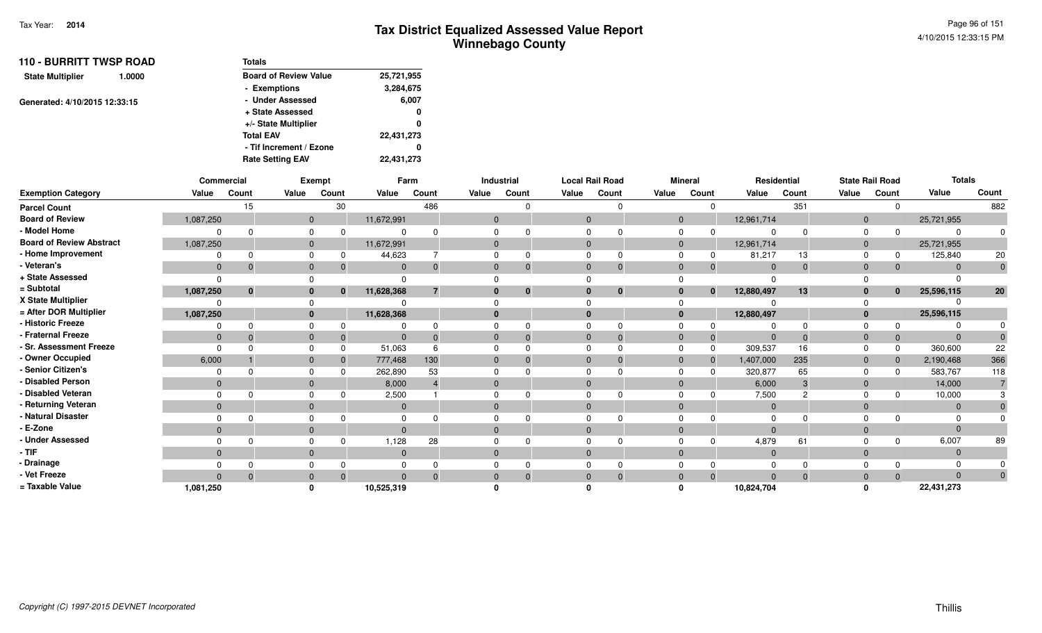| <b>110 - BURRITT TWSP ROAD</b>    | <b>Totals</b>                |            |
|-----------------------------------|------------------------------|------------|
| <b>State Multiplier</b><br>1.0000 | <b>Board of Review Value</b> | 25,721,955 |
|                                   | - Exemptions                 | 3,284,675  |
| Generated: 4/10/2015 12:33:15     | - Under Assessed             | 6,007      |
|                                   | + State Assessed             | 0          |
|                                   | +/- State Multiplier         | 0          |
|                                   | <b>Total EAV</b>             | 22,431,273 |
|                                   | - Tif Increment / Ezone      | o          |
|                                   | <b>Rate Setting EAV</b>      | 22,431,273 |

|                                 |              | Commercial |          | <b>Exempt</b> |              | Farm           |                | Industrial   |              | <b>Local Rail Road</b> |       | <b>Mineral</b> |              | Residential    |             |              | <b>State Rail Road</b> | <b>Totals</b> |                |
|---------------------------------|--------------|------------|----------|---------------|--------------|----------------|----------------|--------------|--------------|------------------------|-------|----------------|--------------|----------------|-------------|--------------|------------------------|---------------|----------------|
| <b>Exemption Category</b>       | Value        | Count      | Value    | Count         | Value        | Count          | Value          | Count        | Value        | Count                  | Value | Count          |              | Value          | Count       | Value        | Count                  | Value         | Count          |
| <b>Parcel Count</b>             |              | 15         |          | 30            |              | 486            |                |              |              | $\Omega$               |       |                | $\Omega$     |                | 351         |              | $\mathbf 0$            |               | 882            |
| <b>Board of Review</b>          | 1,087,250    |            |          | $\mathbf{0}$  | 11,672,991   |                | $\mathbf{0}$   |              | $\mathbf 0$  |                        |       | $\mathbf{0}$   |              | 12,961,714     |             | $\mathbf 0$  |                        | 25,721,955    |                |
| - Model Home                    |              |            |          | 0             |              |                |                |              | $\Omega$     |                        |       | $\mathbf 0$    | $\Omega$     | $\Omega$       | $\Omega$    | 0            | $\Omega$               |               |                |
| <b>Board of Review Abstract</b> | 1,087,250    |            |          | $\mathbf{0}$  | 11,672,991   |                | $\overline{0}$ |              | $\mathbf{0}$ |                        |       | $\mathbf{0}$   |              | 12,961,714     |             | $\mathbf 0$  |                        | 25,721,955    |                |
| - Home Improvement              | 0            |            |          | 0             | 44,623       |                | $\Omega$       |              | $\Omega$     | $\Omega$               |       | $\Omega$       | 0            | 81,217         | 13          | $\Omega$     | 0                      | 125,840       | 20             |
| - Veteran's                     | $\mathbf{0}$ |            |          | $\mathbf 0$   | $\mathbf{0}$ |                | $\mathbf 0$    |              | $\mathbf 0$  | $\Omega$               |       | $\mathbf{0}$   | $\Omega$     | $\mathbf{0}$   | $\mathbf 0$ | $\mathbf 0$  | $\Omega$               | $\Omega$      | $\mathbf 0$    |
| + State Assessed                | $\Omega$     |            |          |               |              |                |                |              |              |                        |       |                |              |                |             |              |                        |               |                |
| = Subtotal                      | 1,087,250    | $\bf{0}$   |          | $\mathbf{0}$  | 11,628,368   | $\overline{7}$ | 0              | $\mathbf{0}$ | $\mathbf{0}$ | $\mathbf 0$            |       | $\bf{0}$       | $\mathbf{0}$ | 12,880,497     | 13          | $\bf{0}$     | $\bf{0}$               | 25,596,115    | 20             |
| X State Multiplier              |              |            |          |               |              |                |                |              |              |                        |       | $\Omega$       |              |                |             |              |                        |               |                |
| = After DOR Multiplier          | 1,087,250    |            |          | $\mathbf{0}$  | 11,628,368   |                | $\mathbf{0}$   |              | $\bf{0}$     |                        |       | $\bf{0}$       |              | 12,880,497     |             | $\mathbf{0}$ |                        | 25,596,115    |                |
| - Historic Freeze               |              |            |          | 0             |              |                |                |              | $\Omega$     | $\Omega$               |       | $\Omega$       | 0            | $\Omega$       | $\Omega$    | $\Omega$     | <sup>0</sup>           |               |                |
| - Fraternal Freeze              | $\mathbf{0}$ |            |          | $\mathbf 0$   | $\mathbf 0$  |                | $\mathbf 0$    |              | $\mathbf{0}$ | $\Omega$               |       | $\mathbf{0}$   | $\Omega$     | $\mathbf{0}$   | $\Omega$    | $\mathbf 0$  | $\Omega$               |               |                |
| - Sr. Assessment Freeze         | $\Omega$     |            |          | $\Omega$      | 51,063       |                | $\Omega$       |              | $\Omega$     | $\Omega$               |       | $\Omega$       | $\Omega$     | 309,537        | 16          | $\Omega$     | $\Omega$               | 360,600       | 22             |
| - Owner Occupied                | 6,000        |            |          | $\mathbf{0}$  | 777,468      | 130            | $\mathbf 0$    |              | $\mathbf{0}$ | $\Omega$               |       | $\mathbf{0}$   | $\Omega$     | 1,407,000      | 235         | $\mathbf 0$  | $\mathbf 0$            | 2,190,468     | 366            |
| - Senior Citizen's              | 0            |            |          | 0             | 262,890      | 53             | $\mathbf 0$    |              | $\Omega$     |                        |       | $\mathbf 0$    |              | 320,877        | 65          | 0            | $\Omega$               | 583,767       | 118            |
| - Disabled Person               | $\mathbf{0}$ |            |          | $\mathbf{0}$  | 8,000        |                | $\mathbf{0}$   |              | $\Omega$     |                        |       | $\mathbf{0}$   |              | 6,000          | 3           | $\mathbf 0$  |                        | 14,000        | $\overline{7}$ |
| - Disabled Veteran              |              |            |          | 0             | 2,500        |                | $\Omega$       |              | $\Omega$     | $\Omega$               |       | $\Omega$       |              | 7,500          | 2           | $\Omega$     |                        | 10,000        |                |
| - Returning Veteran             | $\mathbf{0}$ |            |          | $\mathbf{0}$  | $\mathbf 0$  |                | $\mathbf{0}$   |              | $\Omega$     |                        |       | $\mathbf{0}$   |              | $\overline{0}$ |             | $\mathbf 0$  |                        | $\Omega$      |                |
| - Natural Disaster              |              |            |          | 0             |              |                |                |              |              |                        |       | 0              |              |                |             |              |                        |               |                |
| - E-Zone                        | $\Omega$     |            |          | $\mathbf{0}$  | $\Omega$     |                | $\mathbf{0}$   |              | $\Omega$     |                        |       | $\mathbf{0}$   |              | $\overline{0}$ |             | $\mathbf{0}$ |                        |               |                |
| - Under Assessed                |              |            |          | 0             | 1,128        | 28             |                |              |              |                        |       | $\Omega$       |              | 4,879          | 61          |              | <sup>0</sup>           | 6,007         | 89             |
| $-$ TIF                         | $\mathbf{0}$ |            |          | $\mathbf{0}$  | $\mathbf 0$  |                | $\mathbf{0}$   |              | $\mathbf{0}$ |                        |       | $\mathbf{0}$   |              | $\mathbf{0}$   |             | $\mathbf 0$  |                        | $\Omega$      |                |
| - Drainage                      |              |            |          | 0             |              |                | $\mathbf 0$    |              | $\Omega$     |                        |       | $\mathbf 0$    |              | $\Omega$       | $\Omega$    |              |                        |               |                |
| - Vet Freeze                    | $\Omega$     | $\Omega$   |          | $\mathbf{0}$  | $\mathbf{0}$ |                | $\mathbf{0}$   |              | $\mathbf{0}$ | $\Omega$               |       | $\mathbf{0}$   | $\Omega$     | $\mathbf{0}$   | $\Omega$    | $\mathbf{0}$ | $\Omega$               | $\Omega$      | $\mathbf{0}$   |
| = Taxable Value                 | 1,081,250    |            | $\Omega$ |               | 10,525,319   |                |                |              |              |                        |       | $\Omega$       |              | 10,824,704     |             |              |                        | 22,431,273    |                |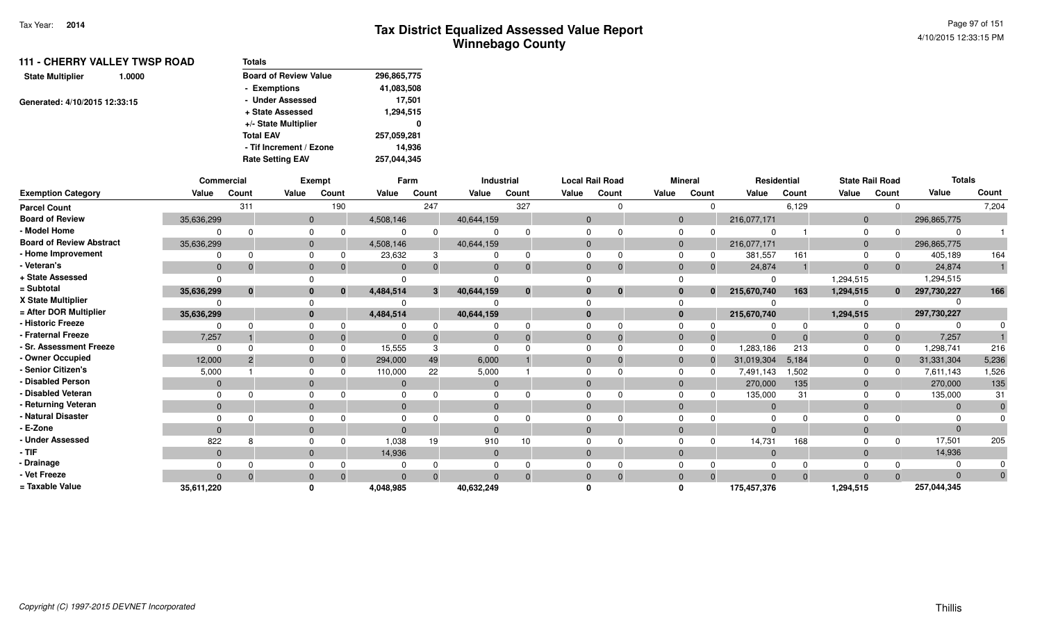| <b>111 - CHERRY VALLEY TWSP ROAD</b> | <b>Totals</b>                |             |
|--------------------------------------|------------------------------|-------------|
| <b>State Multiplier</b><br>1.0000    | <b>Board of Review Value</b> | 296,865,775 |
|                                      | - Exemptions                 | 41,083,508  |
| Generated: 4/10/2015 12:33:15        | - Under Assessed             | 17.501      |
|                                      | + State Assessed             | 1,294,515   |
|                                      | +/- State Multiplier         | 0           |
|                                      | <b>Total EAV</b>             | 257,059,281 |
|                                      | - Tif Increment / Ezone      | 14.936      |
|                                      | <b>Rate Setting EAV</b>      | 257.044.345 |

|                                 | Commercial   |          |              | Exempt                       |           | Farm  |              | Industrial   |          | <b>Local Rail Road</b> |                | <b>Mineral</b> | Residential |       |                | <b>State Rail Road</b> | <b>Totals</b> |       |
|---------------------------------|--------------|----------|--------------|------------------------------|-----------|-------|--------------|--------------|----------|------------------------|----------------|----------------|-------------|-------|----------------|------------------------|---------------|-------|
| <b>Exemption Category</b>       | Value        | Count    | Value        | Count                        | Value     | Count | Value        | Count        | Value    | Count                  | Value          | Count          | Value       | Count | Value          | Count                  | Value         | Count |
| <b>Parcel Count</b>             |              | 311      |              | 190                          |           | 247   |              | 327          |          |                        |                | $\Omega$       |             | 6,129 |                | $\Omega$               |               | 7,204 |
| <b>Board of Review</b>          | 35,636,299   |          |              | $\mathbf{0}$                 | 4,508,146 |       | 40,644,159   |              | $\Omega$ |                        | $\overline{0}$ |                | 216,077,171 |       | $\overline{0}$ |                        | 296,865,775   |       |
| - Model Home                    |              |          | $\Omega$     |                              |           |       |              |              |          |                        | $\Omega$       |                |             |       | $\Omega$       |                        |               |       |
| <b>Board of Review Abstract</b> | 35,636,299   |          | $\Omega$     |                              | 4,508,146 |       | 40,644,159   |              |          |                        | $\Omega$       |                | 216,077,171 |       | $\overline{0}$ |                        | 296,865,775   |       |
| - Home Improvement              |              |          | $\Omega$     |                              | 23,632    |       |              | $\Omega$     |          |                        |                | 0              | 381,557     | 161   | $\Omega$       |                        | 405,189       | 164   |
| - Veteran's                     | $\mathbf{0}$ |          | $\mathbf{0}$ |                              |           |       | $\Omega$     | $\Omega$     |          |                        | $\Omega$       | $\mathbf 0$    | 24,874      |       | $\Omega$       | $\mathbf{0}$           | 24,874        |       |
| + State Assessed                |              |          |              |                              |           |       |              |              |          |                        |                |                |             |       | 1,294,515      |                        | 1,294,515     |       |
| = Subtotal                      | 35,636,299   | $\bf{0}$ |              | $\mathbf{0}$<br>$\mathbf{0}$ | 4,484,514 | 3     | 40,644,159   | $\mathbf{0}$ |          | $\bf{0}$               | $\bf{0}$       | $\mathbf{0}$   | 215,670,740 | 163   | 1,294,515      | $\mathbf{0}$           | 297,730,227   | 166   |
| X State Multiplier              |              |          |              |                              |           |       |              |              |          |                        |                |                |             |       |                |                        |               |       |
| = After DOR Multiplier          | 35,636,299   |          |              | $\mathbf{0}$                 | 4,484,514 |       | 40,644,159   |              |          |                        | $\mathbf{0}$   |                | 215,670,740 |       | 1,294,515      |                        | 297,730,227   |       |
| - Historic Freeze               |              |          | $\Omega$     |                              |           |       |              |              |          |                        |                |                |             |       |                | $\Omega$               |               |       |
| - Fraternal Freeze              | 7,257        |          | $\mathbf{0}$ |                              |           |       |              | $\Omega$     |          |                        | $\Omega$       | $\mathbf 0$    |             |       | - 0            | $\mathbf{0}$           | 7,257         |       |
| - Sr. Assessment Freeze         |              |          | $\Omega$     |                              | 15,555    |       |              |              |          |                        | $\Omega$       | $\Omega$       | 1,283,186   | 213   | $\Omega$       | $\Omega$               | 1,298,741     | 216   |
| - Owner Occupied                | 12,000       |          | $\Omega$     |                              | 294,000   | 49    | 6,000        |              |          |                        | $\Omega$       | $\Omega$       | 31,019,304  | 5,184 | $\overline{0}$ | $\Omega$               | 31,331,304    | 5,236 |
| Senior Citizen's                | 5,000        |          | $\Omega$     |                              | 110,000   | 22    | 5,000        |              |          |                        | $\Omega$       | <sup>0</sup>   | 7,491,143   | 1,502 | $\Omega$       | <sup>0</sup>           | 7,611,143     | 1,526 |
| - Disabled Person               | $\Omega$     |          | $\Omega$     |                              |           |       | $\Omega$     |              |          |                        | $\Omega$       |                | 270,000     | 135   | $\Omega$       |                        | 270,000       | 135   |
| - Disabled Veteran              |              |          | $\Omega$     |                              |           |       |              |              |          |                        |                |                | 135,000     | 31    | $\Omega$       | 0                      | 135,000       | 31    |
| - Returning Veteran             | $\mathbf{0}$ |          | $\Omega$     |                              | $\Omega$  |       | $\Omega$     |              | $\Omega$ |                        | $\Omega$       |                | $\Omega$    |       | $\Omega$       |                        | $\Omega$      |       |
| - Natural Disaster              |              |          |              |                              |           |       |              |              |          |                        |                |                |             |       |                |                        |               |       |
| - E-Zone                        | $\Omega$     |          | $\Omega$     |                              |           |       | $\Omega$     |              |          |                        | $\Omega$       |                |             |       | $\Omega$       |                        |               |       |
| <b>Under Assessed</b>           | 822          |          | $\Omega$     |                              | 1,038     | 19    | 910          | 10           |          |                        |                | ŋ              | 14,731      | 168   |                | $\Omega$               | 17,501        | 205   |
| - TIF-                          | $\Omega$     |          | $\Omega$     |                              | 14,936    |       | $\mathbf{0}$ |              | $\Omega$ |                        | $\Omega$       |                | $\Omega$    |       | $\Omega$       |                        | 14,936        |       |
| - Drainage                      |              |          |              |                              |           |       |              |              |          |                        |                |                |             |       |                |                        |               |       |
| - Vet Freeze                    |              |          | $\Omega$     |                              |           |       |              | $\Omega$     |          |                        | $\Omega$       | $\Omega$       |             |       |                | $\Omega$               | $\Omega$      | 0     |
| = Taxable Value                 | 35,611,220   |          |              |                              | 4,048,985 |       | 40,632,249   |              |          |                        |                |                | 175,457,376 |       | 1,294,515      |                        | 257,044,345   |       |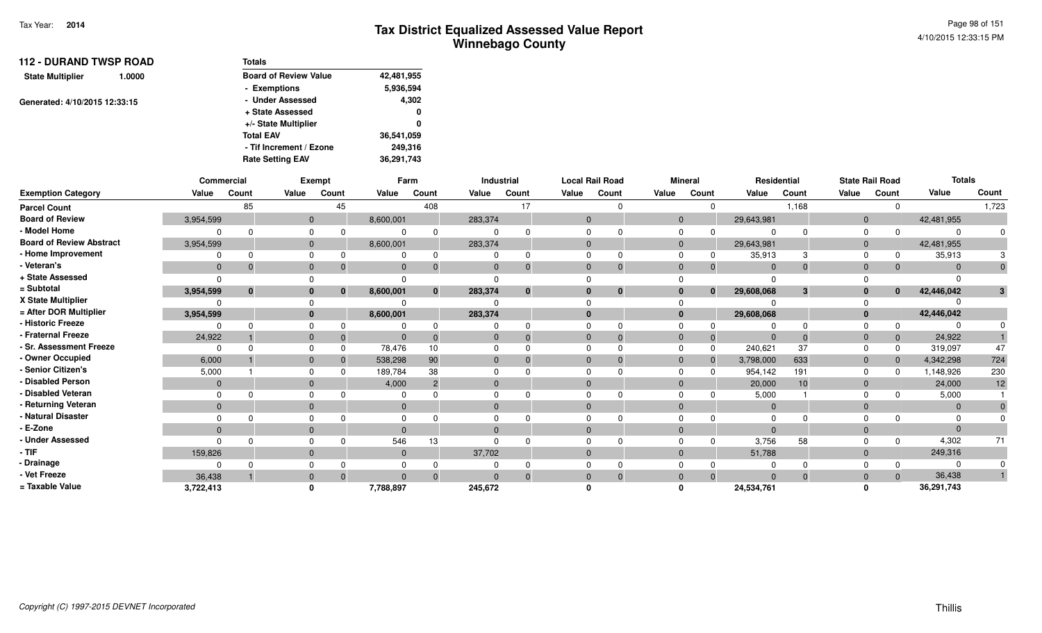| <b>112 - DURAND TWSP ROAD</b>     | <b>Totals</b>                |            |
|-----------------------------------|------------------------------|------------|
| <b>State Multiplier</b><br>1.0000 | <b>Board of Review Value</b> | 42,481,955 |
|                                   | - Exemptions                 | 5,936,594  |
| Generated: 4/10/2015 12:33:15     | - Under Assessed             | 4,302      |
|                                   | + State Assessed             | 0          |
|                                   | +/- State Multiplier         | 0          |
|                                   | <b>Total EAV</b>             | 36,541,059 |
|                                   | - Tif Increment / Ezone      | 249.316    |
|                                   | <b>Rate Setting EAV</b>      | 36,291,743 |

|                                 | Commercial   |              |          | Exempt   |              | Farm            |          | Industrial   |              | <b>Local Rail Road</b> |              | <b>Mineral</b> |                | Residential |                | <b>State Rail Road</b> | <b>Totals</b> |       |
|---------------------------------|--------------|--------------|----------|----------|--------------|-----------------|----------|--------------|--------------|------------------------|--------------|----------------|----------------|-------------|----------------|------------------------|---------------|-------|
| <b>Exemption Category</b>       | Value        | Count        | Value    | Count    | Value        | Count           | Value    | Count        | Value        | Count                  | Value        | Count          | Value          | Count       | Value          | Count                  | Value         | Count |
| <b>Parcel Count</b>             |              | 85           |          | 45       |              | 408             |          | 17           |              | $\cap$                 |              |                |                | 1,168       |                | $\Omega$               |               | 1,723 |
| <b>Board of Review</b>          | 3,954,599    |              | $\Omega$ |          | 8,600,001    |                 | 283,374  |              | $\Omega$     |                        | $\mathbf{0}$ |                | 29,643,981     |             | $\mathbf{0}$   |                        | 42,481,955    |       |
| - Model Home                    |              |              |          |          |              | $\Omega$        |          |              |              |                        | $\Omega$     |                |                |             | $\Omega$       |                        |               |       |
| <b>Board of Review Abstract</b> | 3,954,599    |              |          |          | 8,600,001    |                 | 283,374  |              | $\Omega$     |                        | $\Omega$     |                | 29,643,981     |             | $\Omega$       |                        | 42,481,955    |       |
| - Home Improvement              |              | ŋ            |          |          |              | $\Omega$        |          | 0            | $\Omega$     | O                      |              |                | 35,913         |             | $\Omega$       |                        | 35,913        |       |
| - Veteran's                     | $\mathbf{0}$ | $\Omega$     | $\Omega$ |          | $\mathbf{0}$ | $\Omega$        |          | 0            | $\Omega$     |                        | $\Omega$     | $\Omega$       | $\Omega$       | $\Omega$    | $\Omega$       | $\mathbf{0}$           |               |       |
| + State Assessed                | $\Omega$     |              |          |          |              |                 |          |              |              |                        |              |                |                |             |                |                        |               |       |
| = Subtotal                      | 3,954,599    | $\mathbf{0}$ |          | $\bf{0}$ | 8,600,001    | $\mathbf{0}$    | 283,374  | $\mathbf{0}$ | $\mathbf{0}$ | $\bf{0}$               | 0            | $\bf{0}$       | 29,608,068     | 3           | $\bf{0}$       | $\mathbf{0}$           | 42,446,042    | 3     |
| X State Multiplier              |              |              |          |          |              |                 |          |              |              |                        |              |                |                |             |                |                        |               |       |
| = After DOR Multiplier          | 3,954,599    |              |          |          | 8,600,001    |                 | 283,374  |              | $\Omega$     |                        | $\bf{0}$     |                | 29,608,068     |             | $\mathbf{0}$   |                        | 42,446,042    |       |
| - Historic Freeze               |              |              |          |          |              |                 |          |              |              |                        |              |                |                |             |                | $\Omega$               |               |       |
| - Fraternal Freeze              | 24,922       |              |          |          |              |                 |          |              | $\Omega$     | $\Omega$               | $\Omega$     | 0              |                |             | $\Omega$       | $\mathbf{0}$           | 24,922        |       |
| - Sr. Assessment Freeze         | $\Omega$     |              |          |          | 78,476       | 10 <sup>1</sup> |          |              | $\Omega$     |                        |              | $\Omega$       | 240,621        | 37          |                | 0                      | 319,097       | 47    |
| - Owner Occupied                | 6,000        |              |          |          | 538,298      | 90              |          |              | $\Omega$     |                        | $\Omega$     | $\mathbf{0}$   | 3,798,000      | 633         | $\mathbf{0}$   | $\mathbf{0}$           | 4,342,298     | 724   |
| - Senior Citizen's              | 5,000        |              |          |          | 189,784      | 38              |          |              |              |                        |              |                | 954,142        | 191         | $\Omega$       | <sup>0</sup>           | 1,148,926     | 230   |
| - Disabled Person               | $\mathbf{0}$ |              |          |          | 4,000        | $\overline{2}$  |          |              | $\Omega$     |                        | $\Omega$     |                | 20,000         | 10          | $\overline{0}$ |                        | 24,000        | 12    |
| - Disabled Veteran              | $\Omega$     |              |          |          |              |                 |          |              | $\Omega$     |                        |              |                | 5,000          |             |                |                        | 5,000         |       |
| - Returning Veteran             | $\mathbf{0}$ |              | $\Omega$ |          | $\mathbf{0}$ |                 | $\Omega$ |              | $\Omega$     |                        | $\Omega$     |                | $\overline{0}$ |             | $\Omega$       |                        | $\Omega$      |       |
| - Natural Disaster              |              |              |          |          |              |                 |          |              |              |                        |              |                |                |             |                |                        |               |       |
| - E-Zone                        | $\Omega$     |              |          |          | $\Omega$     |                 |          |              | $\Omega$     |                        | $\Omega$     |                | $\Omega$       |             | $\Omega$       |                        |               |       |
| - Under Assessed                | $\cap$       |              |          |          | 546          | 13              |          |              |              |                        |              |                | 3,756          | 58          |                | $\Omega$               | 4,302         | 71    |
| - TIF                           | 159,826      |              | $\Omega$ |          | $\mathbf{0}$ |                 | 37,702   |              | $\Omega$     |                        | $\Omega$     |                | 51,788         |             | $\Omega$       |                        | 249,316       |       |
| · Drainage                      |              |              |          |          |              |                 |          |              |              |                        |              |                |                |             |                | 0                      |               |       |
| - Vet Freeze                    | 36.438       |              | $\Omega$ |          | $\Omega$     | $\Omega$        |          | $\Omega$     | $\Omega$     |                        | $\Omega$     | $\Omega$       | $\Omega$       |             | $\Omega$       | $\Omega$               | 36,438        |       |
| = Taxable Value                 | 3,722,413    |              |          |          | 7,788,897    |                 | 245,672  |              |              |                        |              |                | 24,534,761     |             |                |                        | 36,291,743    |       |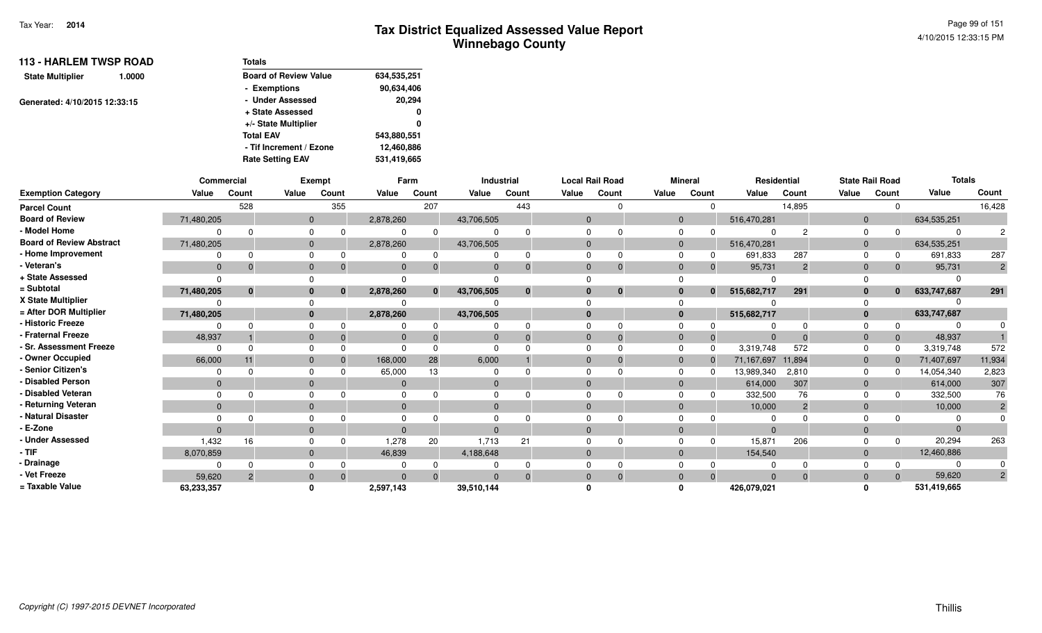| <b>113 - HARLEM TWSP ROAD</b>     | <b>Totals</b>                |             |
|-----------------------------------|------------------------------|-------------|
| <b>State Multiplier</b><br>1.0000 | <b>Board of Review Value</b> | 634,535,251 |
|                                   | - Exemptions                 | 90,634,406  |
| Generated: 4/10/2015 12:33:15     | - Under Assessed             | 20,294      |
|                                   | + State Assessed             | 0           |
|                                   | +/- State Multiplier         | 0           |
|                                   | <b>Total EAV</b>             | 543,880,551 |
|                                   | - Tif Increment / Ezone      | 12,460,886  |
|                                   | <b>Rate Setting EAV</b>      | 531,419,665 |

|                                 | Commercial |               |                | <b>Exempt</b> |           | Farm         |            | Industrial  |             | <b>Local Rail Road</b> |                | <b>Mineral</b> | Residential |                | <b>State Rail Road</b> |              | <b>Totals</b> |                |
|---------------------------------|------------|---------------|----------------|---------------|-----------|--------------|------------|-------------|-------------|------------------------|----------------|----------------|-------------|----------------|------------------------|--------------|---------------|----------------|
| <b>Exemption Category</b>       | Value      | Count         | Value          | Count         | Value     | Count        | Value      | Count       | Value       | Count                  | Value          | Count          | Value       | Count          | Value                  | Count        | Value         | Count          |
| <b>Parcel Count</b>             |            | 528           |                | 355           |           | 207          |            | 443         |             |                        |                | $\Omega$       |             | 14,895         |                        |              |               | 16,428         |
| <b>Board of Review</b>          | 71,480,205 |               | $\overline{0}$ |               | 2,878,260 |              | 43,706,505 |             | $\Omega$    |                        | $\overline{0}$ |                | 516,470,281 |                | $\Omega$               |              | 634,535,251   |                |
| - Model Home                    |            |               |                |               |           |              |            |             |             |                        |                |                |             |                | $\Omega$               |              | $\Omega$      |                |
| <b>Board of Review Abstract</b> | 71,480,205 |               | 0              |               | 2,878,260 |              | 43,706,505 |             | $\Omega$    |                        | $\overline{0}$ |                | 516,470,281 |                | $\Omega$               |              | 634,535,251   |                |
| - Home Improvement              |            |               |                | $\Omega$      |           |              |            | $\Omega$    |             |                        |                |                | 691,833     | 287            | $\Omega$               |              | 691,833       | 287            |
| Veteran's                       |            |               |                | $\Omega$      |           |              | $\Omega$   | $\mathbf 0$ | $\Omega$    |                        |                | $\overline{0}$ | 95,731      | $\overline{2}$ | $\Omega$               |              | 95,731        | $\overline{2}$ |
| + State Assessed                |            |               |                |               |           |              |            |             |             |                        |                |                |             |                |                        |              |               |                |
| = Subtotal                      | 71,480,205 | $\mathbf{0}$  |                | $\mathbf{0}$  | 2,878,260 | $\mathbf{0}$ | 43,706,505 | $\bf{0}$    | $\Omega$    | $\bf{0}$               |                | $\mathbf{0}$   | 515,682,717 | 291            | $\bf{0}$               | $\mathbf{0}$ | 633,747,687   | 291            |
| X State Multiplier              |            |               |                |               |           |              |            |             |             |                        |                |                |             |                |                        |              |               |                |
| = After DOR Multiplier          | 71,480,205 |               | 0              |               | 2,878,260 |              | 43,706,505 |             | $\bf{0}$    |                        | $\bf{0}$       |                | 515,682,717 |                | $\mathbf{0}$           |              | 633,747,687   |                |
| - Historic Freeze               |            |               |                |               |           |              |            |             |             |                        |                |                |             |                |                        |              |               |                |
| <b>Fraternal Freeze</b>         | 48,937     |               |                | $\Omega$      |           |              |            | 0           | $\mathbf 0$ |                        | $\mathbf 0$    | $\mathbf 0$    | $\Omega$    |                | $\mathbf 0$            |              | 48,937        |                |
| <b>Sr. Assessment Freeze</b>    |            |               |                |               |           |              |            |             |             |                        |                | $\Omega$       | 3,319,748   | 572            | $\Omega$               |              | 3,319,748     | 572            |
| - Owner Occupied                | 66,000     |               |                | $\Omega$      | 168,000   | 28           | 6,000      |             | $\Omega$    |                        |                |                | 71,167,697  | 11,894         | $\Omega$               |              | 71,407,697    | 11,934         |
| Senior Citizen's                |            |               |                |               | 65,000    | 13           |            |             |             |                        |                |                | 13,989,340  | 2,810          | $\Omega$               |              | 14,054,340    | 2,823          |
| <b>Disabled Person</b>          | $\Omega$   |               |                |               |           |              | $\Omega$   |             |             |                        |                |                | 614,000     | 307            | $\Omega$               |              | 614,000       | 307            |
| <b>Disabled Veteran</b>         |            |               |                |               |           |              | $\Omega$   |             |             |                        |                |                | 332,500     | 76             |                        |              | 332,500       | 76             |
| Returning Veteran               | $\Omega$   |               | $\Omega$       |               | $\Omega$  |              | $\Omega$   |             | $\Omega$    |                        |                |                | 10,000      | $\overline{2}$ | $\Omega$               |              | 10,000        |                |
| <b>Natural Disaster</b>         |            |               |                |               |           |              |            |             |             |                        |                |                |             |                |                        |              |               |                |
| E-Zone                          | $\Omega$   |               |                |               |           |              | $\Omega$   |             | $\Omega$    |                        |                |                | $\Omega$    |                | $\Omega$               |              | $\Omega$      |                |
| <b>Under Assessed</b>           | 1,432      | 16            |                |               | 1,278     | 20           | 1,713      | 21          |             |                        |                | <sup>0</sup>   | 15,871      | 206            |                        |              | 20,294        | 263            |
| - TIF                           | 8,070,859  |               | $\Omega$       |               | 46,839    |              | 4,188,648  |             | $\Omega$    |                        |                |                | 154,540     |                | $\mathbf{0}$           |              | 12,460,886    |                |
| · Drainage                      |            |               |                |               |           |              |            |             |             |                        |                |                |             |                |                        |              | $\Omega$      |                |
| Vet Freeze                      | 59,620     | $\mathcal{P}$ | $\Omega$       | $\Omega$      | $\Omega$  | $\Omega$     | $\Omega$   | $\Omega$    | $\Omega$    | $\Omega$               | $\Omega$       | $\Omega$       | $\Omega$    | $\Omega$       | $\Omega$               |              | 59,620        | $\overline{2}$ |
| = Taxable Value                 | 63,233,357 |               |                |               | 2,597,143 |              | 39,510,144 |             |             |                        |                |                | 426,079,021 |                |                        |              | 531,419,665   |                |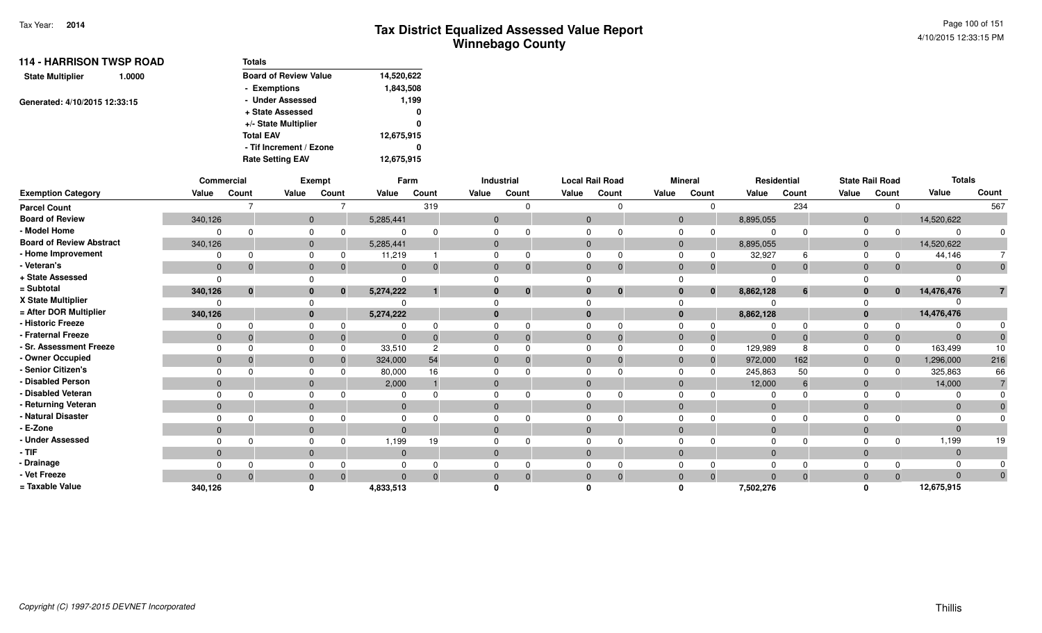| <b>114 - HARRISON TWSP ROAD</b>   | Totals                       |            |
|-----------------------------------|------------------------------|------------|
| <b>State Multiplier</b><br>1.0000 | <b>Board of Review Value</b> | 14,520,622 |
|                                   | - Exemptions                 | 1,843,508  |
| Generated: 4/10/2015 12:33:15     | - Under Assessed             | 1,199      |
|                                   | + State Assessed             | 0          |
|                                   | +/- State Multiplier         | 0          |
|                                   | <b>Total EAV</b>             | 12,675,915 |
|                                   | - Tif Increment / Ezone      | 0          |
|                                   | <b>Rate Setting EAV</b>      | 12,675,915 |

|                                 |              | Commercial   |       | <b>Exempt</b> |              | Farm           |              | Industrial |                | <b>Local Rail Road</b> |                | <b>Mineral</b> |                | Residential |              | <b>State Rail Road</b> | <b>Totals</b> |              |
|---------------------------------|--------------|--------------|-------|---------------|--------------|----------------|--------------|------------|----------------|------------------------|----------------|----------------|----------------|-------------|--------------|------------------------|---------------|--------------|
| <b>Exemption Category</b>       | Value        | Count        | Value | Count         | Value        | Count          | Value        | Count      | Value          | Count                  | Value          | Count          | Value          | Count       | Value        | Count                  | Value         | Count        |
| <b>Parcel Count</b>             |              |              |       |               |              | 319            |              |            |                | $\Omega$               |                | $\Omega$       |                | 234         |              | $\mathbf 0$            |               | 567          |
| <b>Board of Review</b>          | 340,126      |              |       | $\mathbf{0}$  | 5,285,441    |                | $\mathbf{0}$ |            | $\mathbf{0}$   |                        | $\mathbf{0}$   |                | 8,895,055      |             | $\mathbf{0}$ |                        | 14,520,622    |              |
| - Model Home                    |              |              |       | 0             |              |                |              |            | $\Omega$       |                        | $\mathbf 0$    | $\Omega$       | $\Omega$       | $\Omega$    | $\Omega$     | $\Omega$               |               |              |
| <b>Board of Review Abstract</b> | 340,126      |              |       | $\mathbf{0}$  | 5,285,441    |                | $\mathbf 0$  |            | $\overline{0}$ |                        | $\mathbf{0}$   |                | 8,895,055      |             | $\mathbf{0}$ |                        | 14,520,622    |              |
| - Home Improvement              |              |              |       | 0             | 11,219       |                | $\Omega$     |            | 0              | $\Omega$               | $\Omega$       | $\Omega$       | 32,927         | 6           | $\Omega$     | $\Omega$               | 44,146        |              |
| - Veteran's                     | $\mathbf{0}$ |              |       | $\mathbf{0}$  | $\mathbf{0}$ |                | $\mathbf{0}$ |            | $\mathbf{0}$   | $\Omega$               | $\mathbf{0}$   | $\Omega$       | $\overline{0}$ | $\Omega$    | $\mathbf{0}$ | $\Omega$               | $\Omega$      | $\mathbf{0}$ |
| + State Assessed                | $\Omega$     |              |       |               | ŋ            |                |              |            |                |                        | $\Omega$       |                | $\Omega$       |             |              |                        |               |              |
| = Subtotal                      | 340,126      | $\mathbf{0}$ |       | $\mathbf{0}$  | 5,274,222    |                | $\bf{0}$     | $\bf{0}$   | $\bf{0}$       | $\mathbf 0$            | $\bf{0}$       | $\mathbf{0}$   | 8,862,128      | 6           | $\mathbf{0}$ | $\bf{0}$               | 14,476,476    |              |
| X State Multiplier              | 0            |              |       |               |              |                |              |            |                |                        |                |                |                |             |              |                        |               |              |
| = After DOR Multiplier          | 340,126      |              |       | $\mathbf{0}$  | 5,274,222    |                | $\mathbf{0}$ |            | $\bf{0}$       |                        | $\mathbf{0}$   |                | 8,862,128      |             | $\bf{0}$     |                        | 14,476,476    |              |
| - Historic Freeze               |              |              |       | 0             |              |                | 0            |            | $\Omega$       |                        | $\Omega$       |                | $\Omega$       | $\Omega$    | 0            |                        |               |              |
| - Fraternal Freeze              | $\mathbf{0}$ | - 0          |       | $\mathbf{0}$  | $\mathbf{0}$ |                | $\mathbf{0}$ |            | $\overline{0}$ | $\Omega$               | $\overline{0}$ | $\Omega$       | $\overline{0}$ | $\Omega$    | $\mathbf{0}$ | $\Omega$               | $\Omega$      |              |
| - Sr. Assessment Freeze         | $\Omega$     |              |       | 0             | 33,510       | $\overline{c}$ | $\Omega$     |            | $\Omega$       |                        | $\Omega$       | $\Omega$       | 129,989        | 8           | $\Omega$     | $\Omega$               | 163,499       | 10           |
| - Owner Occupied                | $\mathbf{0}$ |              |       | $\mathbf{0}$  | 324,000      | 54             | $\mathbf 0$  |            | $\overline{0}$ | $\Omega$               | $\overline{0}$ | $\mathbf{0}$   | 972,000        | 162         | $\mathbf 0$  | $\mathbf{0}$           | 1,296,000     | 216          |
| - Senior Citizen's              |              |              |       | 0             | 80,000       | 16             | 0            |            | $\Omega$       |                        | $\mathbf 0$    | $\Omega$       | 245,863        | 50          | $\Omega$     | $\Omega$               | 325,863       | 66           |
| - Disabled Person               | $\Omega$     |              |       | $\mathbf{0}$  | 2,000        |                | $\mathbf{0}$ |            | $\Omega$       |                        | $\mathbf{0}$   |                | 12,000         | 6           | $\mathbf 0$  |                        | 14,000        |              |
| - Disabled Veteran              | $\Omega$     |              |       | 0             |              |                | $\Omega$     |            | $\Omega$       | $\Omega$               | $\mathbf 0$    |                | $\Omega$       |             | $\Omega$     |                        |               |              |
| - Returning Veteran             | $\mathbf{0}$ |              |       | $\mathbf{0}$  | $\mathbf{0}$ |                | $\mathbf{0}$ |            | $\mathbf{0}$   |                        | $\mathbf{0}$   |                | $\overline{0}$ |             | $\mathbf{0}$ |                        | $\Omega$      |              |
| - Natural Disaster              |              |              |       | 0             |              |                | $\Omega$     |            | $\Omega$       |                        | $\Omega$       |                | $\Omega$       | $\Omega$    | 0            |                        |               |              |
| - E-Zone                        | $\mathbf{0}$ |              |       | $\mathbf 0$   | $\mathbf 0$  |                | $\mathbf{0}$ |            | $\mathbf{0}$   |                        | $\mathbf{0}$   |                | $\Omega$       |             | $\mathbf 0$  |                        | $\Omega$      |              |
| - Under Assessed                |              |              |       | 0             | 1,199        | 19             | 0            |            | $\Omega$       | $\Omega$               | $\Omega$       |                | $\Omega$       | $\Omega$    | $\Omega$     | $\Omega$               | 1,199         | 19           |
| $-TIF$                          | $\mathbf{0}$ |              |       | $\mathbf{0}$  | $\mathbf 0$  |                | $\mathbf{0}$ |            | $\mathbf{0}$   |                        | $\mathbf{0}$   |                | $\mathbf{0}$   |             | $\mathbf 0$  |                        | $\Omega$      |              |
| - Drainage                      |              |              |       | 0             |              |                | 0            |            | $\Omega$       |                        | $\Omega$       |                | $\Omega$       |             | $\Omega$     |                        |               |              |
| - Vet Freeze                    | $\Omega$     |              |       | $\mathbf{0}$  | $\Omega$     |                | $\mathbf{0}$ |            | $\mathbf{0}$   | $\Omega$               | $\mathbf{0}$   | $\Omega$       | $\mathbf{0}$   | $\mathbf 0$ | $\mathbf 0$  | $\Omega$               | $\Omega$      |              |
| = Taxable Value                 | 340,126      |              |       | O             | 4,833,513    |                |              |            |                |                        | n              |                | 7,502,276      |             |              |                        | 12,675,915    |              |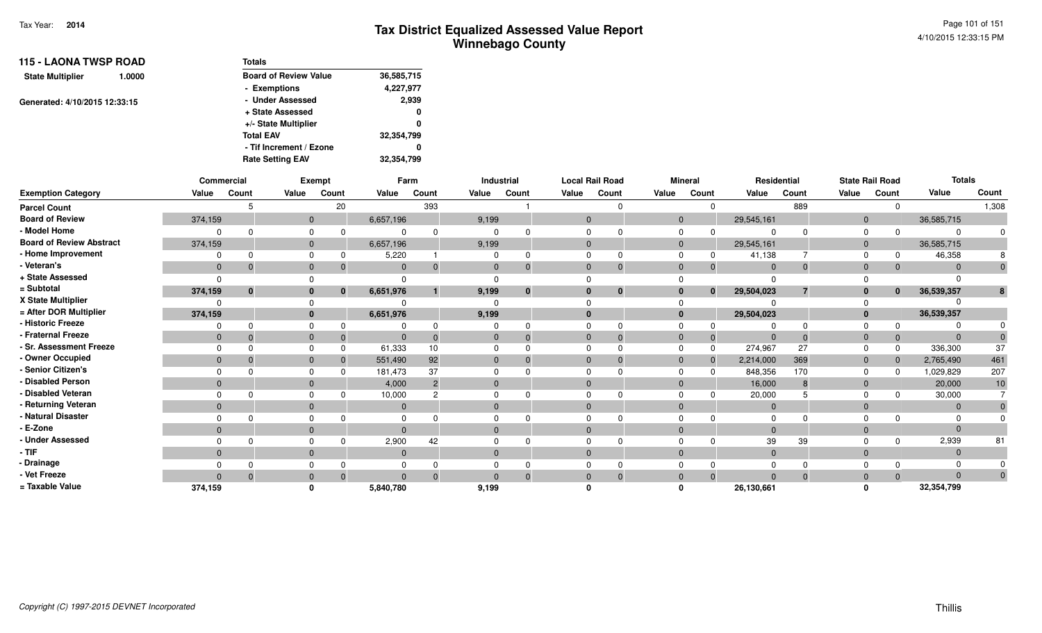| <b>115 - LAONA TWSP ROAD</b>      | <b>Totals</b>                |            |
|-----------------------------------|------------------------------|------------|
| <b>State Multiplier</b><br>1.0000 | <b>Board of Review Value</b> | 36,585,715 |
|                                   | - Exemptions                 | 4,227,977  |
| Generated: 4/10/2015 12:33:15     | - Under Assessed             | 2,939      |
|                                   | + State Assessed             | 0          |
|                                   | +/- State Multiplier         | 0          |
|                                   | <b>Total EAV</b>             | 32,354,799 |
|                                   | - Tif Increment / Ezone      | 0          |
|                                   | <b>Rate Setting EAV</b>      | 32,354,799 |

|                                 |              | Commercial   |              | Exempt       |              | Farm           |              | Industrial   |              | <b>Local Rail Road</b> |                | <b>Mineral</b> | Residential    |                |                | <b>State Rail Road</b> | <b>Totals</b> |          |
|---------------------------------|--------------|--------------|--------------|--------------|--------------|----------------|--------------|--------------|--------------|------------------------|----------------|----------------|----------------|----------------|----------------|------------------------|---------------|----------|
| <b>Exemption Category</b>       | Value        | Count        | Value        | Count        | Value        | Count          | Value        | Count        | Value        | Count                  | Value          | Count          | Value          | Count          | Value          | Count                  | Value         | Count    |
| <b>Parcel Count</b>             |              |              |              | 20           |              | 393            |              |              |              |                        |                |                |                | 889            |                | $\Omega$               |               | 1,308    |
| <b>Board of Review</b>          | 374,159      |              | $\mathbf{0}$ |              | 6,657,196    |                | 9,199        |              | $\Omega$     |                        | $\mathbf{0}$   |                | 29,545,161     |                | $\overline{0}$ |                        | 36,585,715    |          |
| - Model Home                    |              |              |              |              |              |                |              |              |              |                        | $\Omega$       |                |                |                | $\Omega$       |                        |               |          |
| <b>Board of Review Abstract</b> | 374,159      |              | $\mathbf{0}$ |              | 6,657,196    |                | 9,199        |              | $\Omega$     |                        | $\mathbf{0}$   |                | 29,545,161     |                | $\overline{0}$ |                        | 36,585,715    |          |
| - Home Improvement              |              |              |              |              | 5,220        |                |              | 0            |              |                        |                |                | 41,138         |                | $\Omega$       |                        | 46,358        |          |
| - Veteran's                     | $\mathbf{0}$ |              | $\Omega$     |              | $\mathbf 0$  |                | $\Omega$     | $\Omega$     | $\mathbf{0}$ |                        | $\overline{0}$ | 0              | $\Omega$       | $\Omega$       | $\overline{0}$ | $\mathbf{0}$           |               |          |
| + State Assessed                | $\Omega$     |              |              |              |              |                |              |              |              |                        |                |                |                |                |                |                        |               |          |
| = Subtotal                      | 374,159      | $\mathbf{0}$ | 0            | $\mathbf{0}$ | 6,651,976    |                | 9,199        | $\mathbf{0}$ | $\bf{0}$     | $\mathbf{0}$           | $\bf{0}$       | $\mathbf{0}$   | 29,504,023     | $\overline{7}$ | $\bf{0}$       | $\mathbf{0}$           | 36,539,357    |          |
| X State Multiplier              |              |              |              |              |              |                |              |              |              |                        |                |                |                |                |                |                        |               |          |
| = After DOR Multiplier          | 374.159      |              | $\bf{0}$     |              | 6,651,976    |                | 9,199        |              | $\mathbf{0}$ |                        | $\mathbf{0}$   |                | 29,504,023     |                | $\mathbf{0}$   |                        | 36,539,357    |          |
| - Historic Freeze               |              |              |              |              |              |                |              |              |              |                        |                |                |                |                |                | $\Omega$               |               |          |
| - Fraternal Freeze              | $\mathbf{0}$ |              | $\Omega$     |              | $\mathbf{0}$ |                | 0            | $\Omega$     | $\Omega$     | -0                     | $\Omega$       | $\mathbf{0}$   | $\overline{0}$ |                | -0             | $\mathbf 0$            | $\Omega$      |          |
| - Sr. Assessment Freeze         | $\Omega$     |              |              |              | 61,333       | 10             |              |              |              |                        | $\Omega$       | $\Omega$       | 274,967        | 27             | $\Omega$       | $\Omega$               | 336,300       | 37       |
| - Owner Occupied                | $\Omega$     |              | $\Omega$     |              | 551,490      | 92             | $\Omega$     | $\Omega$     | $\Omega$     |                        | $\Omega$       | $\Omega$       | 2,214,000      | 369            | $\overline{0}$ | $\Omega$               | 2,765,490     | 461      |
| - Senior Citizen's              |              |              |              |              | 181,473      | 37             |              |              |              |                        |                |                | 848,356        | 170            | $\Omega$       | <sup>n</sup>           | 1,029,829     | 207      |
| - Disabled Person               | $\Omega$     |              | $\Omega$     |              | 4,000        | $\overline{2}$ |              |              |              |                        | $\Omega$       |                | 16,000         | 8              | $\Omega$       |                        | 20,000        | 10       |
| - Disabled Veteran              | $\Omega$     |              |              |              | 10,000       | $\Omega$       |              |              |              |                        | $\Omega$       |                | 20,000         |                | $\Omega$       |                        | 30,000        |          |
| - Returning Veteran             | $\mathbf{0}$ |              | $\Omega$     |              | $\mathbf{0}$ |                | $\Omega$     |              | $\Omega$     |                        | $\mathbf{0}$   |                | $\overline{0}$ |                | $\overline{0}$ |                        | $\Omega$      |          |
| - Natural Disaster              |              |              |              |              |              |                |              |              |              |                        |                |                |                |                | $\Omega$       |                        |               |          |
| - E-Zone                        | $\Omega$     |              | $\Omega$     |              |              |                |              |              | $\Omega$     |                        | $\Omega$       |                |                |                | $\Omega$       |                        |               |          |
| - Under Assessed                |              |              |              |              | 2,900        | 42             |              |              |              |                        |                |                | 39             | 39             |                | $\Omega$               | 2,939         | 81       |
| - TIF-                          | $\mathbf{0}$ |              | $\Omega$     |              | $\mathbf{0}$ |                | $\mathbf{0}$ |              | $\Omega$     |                        | $\mathbf{0}$   |                | $\overline{0}$ |                | $\overline{0}$ |                        | $\Omega$      |          |
| - Drainage                      |              |              |              |              |              |                |              |              |              |                        |                |                |                |                |                |                        |               |          |
| - Vet Freeze                    | $\Omega$     |              |              |              | $\Omega$     |                |              | $\Omega$     |              |                        | $\Omega$       | $\Omega$       |                |                | $\Omega$       | $\Omega$               | $\Omega$      | $\Omega$ |
| = Taxable Value                 | 374,159      |              |              |              | 5,840,780    |                | 9,199        |              |              |                        |                |                | 26,130,661     |                |                |                        | 32,354,799    |          |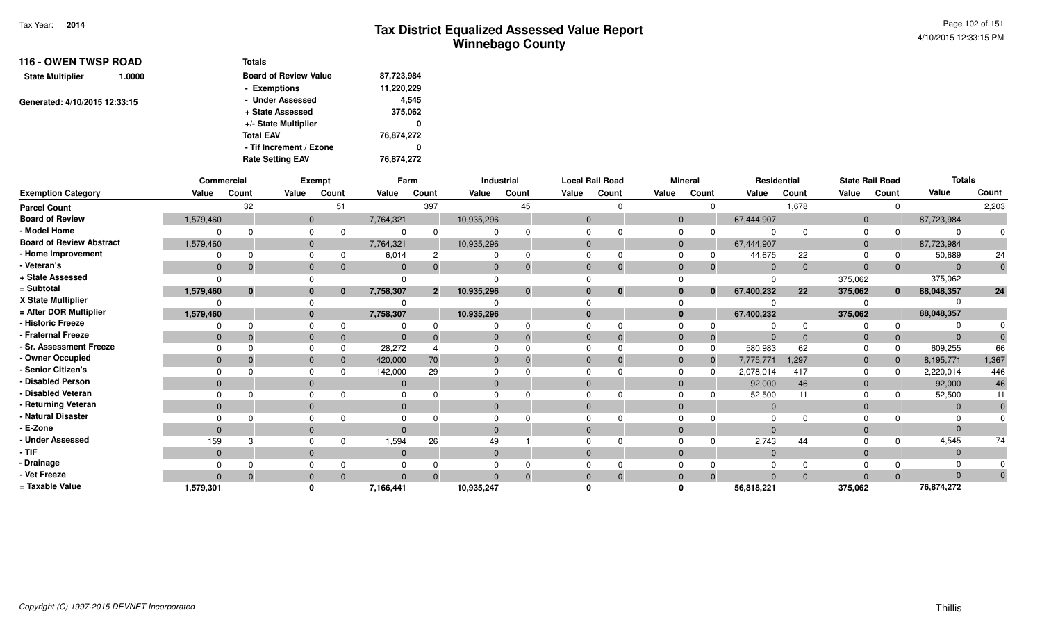| <b>116 - OWEN TWSP ROAD</b><br>1.0000 | Totals                       |            |
|---------------------------------------|------------------------------|------------|
| <b>State Multiplier</b>               | <b>Board of Review Value</b> | 87,723,984 |
|                                       | - Exemptions                 | 11,220,229 |
| Generated: 4/10/2015 12:33:15         | - Under Assessed             | 4.545      |
|                                       | + State Assessed             | 375,062    |
|                                       | +/- State Multiplier         | 0          |
|                                       | <b>Total EAV</b>             | 76,874,272 |
|                                       | - Tif Increment / Ezone      | 0          |
|                                       | <b>Rate Setting EAV</b>      | 76.874.272 |

|                                 |                | Commercial |              | Exempt   |              | Farm           |                | Industrial   |              | <b>Local Rail Road</b> |              | <b>Mineral</b> | Residential |       |                | <b>State Rail Road</b> | <b>Totals</b> |          |
|---------------------------------|----------------|------------|--------------|----------|--------------|----------------|----------------|--------------|--------------|------------------------|--------------|----------------|-------------|-------|----------------|------------------------|---------------|----------|
| <b>Exemption Category</b>       | Value          | Count      | Value        | Count    | Value        | Count          | Value          | Count        | Value        | Count                  | Value        | Count          | Value       | Count | Value          | Count                  | Value         | Count    |
| <b>Parcel Count</b>             |                | 32         |              | 51       |              | 397            |                | 45           |              |                        |              | $\Omega$       |             | 1,678 |                | $\Omega$               |               | 2,203    |
| <b>Board of Review</b>          | 1,579,460      |            | $\mathbf{0}$ |          | 7,764,321    |                | 10,935,296     |              | $\mathbf{0}$ |                        | $\mathbf{0}$ |                | 67,444,907  |       | $\overline{0}$ |                        | 87,723,984    |          |
| - Model Home                    |                | $\Omega$   |              |          | $\Omega$     |                |                |              |              |                        |              |                |             |       | $\Omega$       |                        |               |          |
| <b>Board of Review Abstract</b> | 1,579,460      |            | $\mathbf{0}$ |          | 7,764,321    |                | 10,935,296     |              | $\Omega$     |                        | $\Omega$     |                | 67,444,907  |       | $\Omega$       |                        | 87,723,984    |          |
| - Home Improvement              |                | $\Omega$   |              |          | 6,014        | $\overline{c}$ |                | <sup>0</sup> |              |                        |              |                | 44,675      | 22    | $\Omega$       |                        | 50,689        | 24       |
| - Veteran's                     | $\overline{0}$ | $\Omega$   | $\mathbf{0}$ |          | $\mathbf{0}$ |                |                |              | $\Omega$     | $\Omega$               | $\Omega$     | -0             | $\Omega$    |       | $\Omega$       | $\mathbf 0$            |               | 0        |
| + State Assessed                | $\Omega$       |            |              |          | $\Omega$     |                |                |              |              |                        |              |                |             |       | 375,062        |                        | 375,062       |          |
| = Subtotal                      | 1,579,460      | $\bf{0}$   | $\bf{0}$     | $\bf{0}$ | 7,758,307    | 2 <sup>1</sup> | 10,935,296     | $\bf{0}$     |              | $\mathbf{0}$           |              | $\mathbf{0}$   | 67,400,232  | 22    | 375,062        | $\mathbf{0}$           | 88,048,357    | 24       |
| X State Multiplier              |                |            |              |          |              |                |                |              |              |                        |              |                |             |       |                |                        |               |          |
| = After DOR Multiplier          | 1,579,460      |            | $\bf{0}$     |          | 7,758,307    |                | 10,935,296     |              | $\Omega$     |                        | $\mathbf{0}$ |                | 67,400,232  |       | 375,062        |                        | 88,048,357    |          |
| - Historic Freeze               | 0              | $\Omega$   |              |          |              |                |                |              |              |                        |              |                |             |       |                | $\Omega$               |               |          |
| - Fraternal Freeze              | $\mathbf 0$    | $\Omega$   | $\mathbf 0$  |          | $\Omega$     |                |                |              | 0            | $\Omega$               |              | $\overline{0}$ | $\Omega$    |       | 0              | $\mathbf{0}$           |               |          |
| - Sr. Assessment Freeze         | $\Omega$       |            | $\Omega$     |          | 28,272       |                |                |              |              |                        | $\Omega$     | $\Omega$       | 580,983     | 62    | $\Omega$       | $\Omega$               | 609,255       | 66       |
| - Owner Occupied                | $\overline{0}$ | $\Omega$   | $\Omega$     |          | 420,000      | 70             |                |              | $\Omega$     |                        | $\Omega$     | $\mathbf 0$    | 7,775,771   | 1,297 | $\Omega$       | $\mathbf{0}$           | 8,195,771     | 1,367    |
| - Senior Citizen's              | $\Omega$       |            |              |          | 142,000      | 29             |                |              |              |                        |              | $\Omega$       | 2,078,014   | 417   | $\Omega$       | $\Omega$               | 2,220,014     | 446      |
| - Disabled Person               | $\Omega$       |            | $\mathbf{0}$ |          | $\mathbf{0}$ |                |                |              |              |                        | $\Omega$     |                | 92,000      | 46    | $\overline{0}$ |                        | 92,000        | 46       |
| - Disabled Veteran              | $\Omega$       | $\Omega$   | $\Omega$     |          | $\Omega$     |                |                |              |              |                        |              |                | 52,500      | 11    | $\Omega$       |                        | 52,500        | 11       |
| - Returning Veteran             | $\mathbf{0}$   |            | $\mathbf 0$  |          | $\mathbf{0}$ |                | $\overline{0}$ |              | $\mathbf{0}$ |                        | $\Omega$     |                | $\Omega$    |       | $\Omega$       |                        | $\Omega$      |          |
| - Natural Disaster              |                |            |              |          |              |                |                |              |              |                        |              |                | 0           |       |                |                        |               |          |
| - E-Zone                        | $\Omega$       |            | $\Omega$     |          | $\Omega$     |                |                |              |              |                        |              |                |             |       |                |                        |               |          |
| - Under Assessed                | 159            | 3          |              |          | 1,594        | 26             | 49             |              |              |                        |              |                | 2,743       | 44    |                | $\Omega$               | 4,545         | 74       |
| $-$ TIF                         | $\mathbf{0}$   |            | $\mathbf 0$  |          | $\Omega$     |                |                |              | $\Omega$     |                        | $\Omega$     |                | $\Omega$    |       | $\Omega$       |                        |               |          |
| - Drainage                      |                |            |              |          |              |                |                |              |              |                        |              |                |             |       |                |                        |               |          |
| - Vet Freeze                    | $\Omega$       | $\Omega$   | $\Omega$     |          | $\Omega$     | $\Omega$       |                |              | $\Omega$     | $\Omega$               | $\Omega$     | $\Omega$       | $\Omega$    |       | $\Omega$       | $\Omega$               |               | $\Omega$ |
| = Taxable Value                 | 1,579,301      |            |              |          | 7,166,441    |                | 10,935,247     |              |              |                        |              |                | 56,818,221  |       | 375,062        |                        | 76,874,272    |          |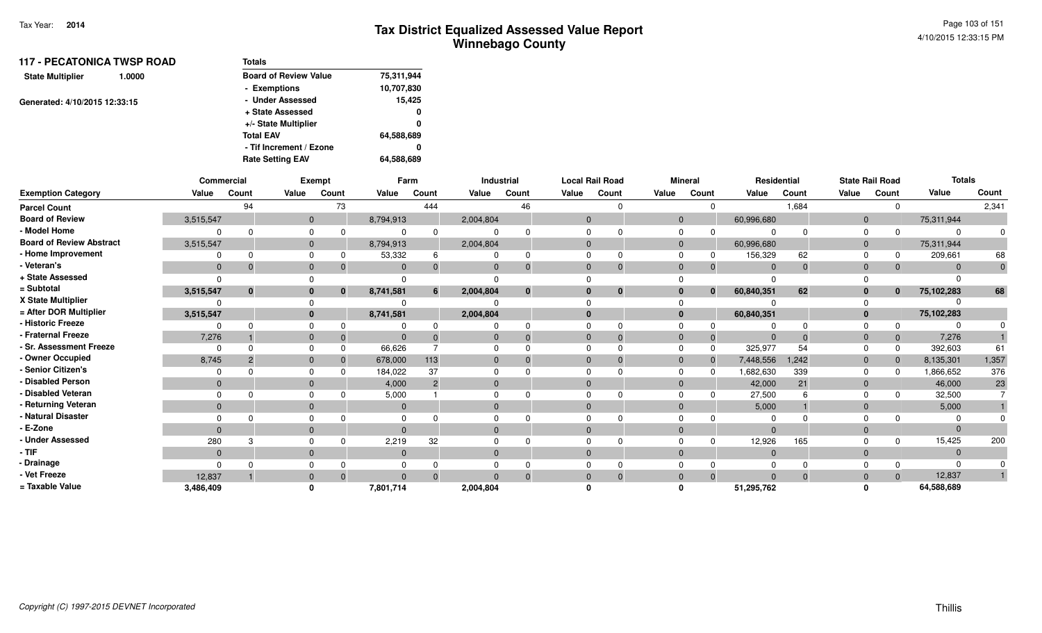| <b>117 - PECATONICA TWSP ROAD</b><br>1.0000 |  | <b>Totals</b>                |            |
|---------------------------------------------|--|------------------------------|------------|
| <b>State Multiplier</b>                     |  | <b>Board of Review Value</b> | 75,311,944 |
|                                             |  | - Exemptions                 | 10,707,830 |
| Generated: 4/10/2015 12:33:15               |  | - Under Assessed             | 15,425     |
|                                             |  | + State Assessed             | 0          |
|                                             |  | +/- State Multiplier         | 0          |
|                                             |  | <b>Total EAV</b>             | 64,588,689 |
|                                             |  | - Tif Increment / Ezone      | o          |
|                                             |  | <b>Rate Setting EAV</b>      | 64,588,689 |
|                                             |  |                              |            |

|                                 |              | Commercial   |              | <b>Exempt</b> |              | Farm           |              | Industrial |              | <b>Local Rail Road</b> |       | <b>Mineral</b> |                            | Residential |                | <b>State Rail Road</b> | <b>Totals</b> |                |
|---------------------------------|--------------|--------------|--------------|---------------|--------------|----------------|--------------|------------|--------------|------------------------|-------|----------------|----------------------------|-------------|----------------|------------------------|---------------|----------------|
| <b>Exemption Category</b>       | Value        | Count        | Value        | Count         | Value        | Count          | Value        | Count      | Value        | Count                  | Value | Count          | Value                      | Count       | Value          | Count                  | Value         | Count          |
| <b>Parcel Count</b>             |              | 94           |              | 73            |              | 444            |              | 46         |              | ∩                      |       |                | $\Omega$                   | 1,684       |                | $\Omega$               |               | 2,341          |
| <b>Board of Review</b>          | 3,515,547    |              | $\mathbf{0}$ |               | 8,794,913    |                | 2,004,804    |            | $\mathbf{0}$ |                        |       | $\mathbf{0}$   | 60,996,680                 |             | $\overline{0}$ |                        | 75,311,944    |                |
| - Model Home                    |              |              | $\mathbf 0$  | $\Omega$      |              |                |              |            | $\Omega$     |                        |       |                |                            |             |                |                        |               |                |
| <b>Board of Review Abstract</b> | 3,515,547    |              | $\mathbf{0}$ |               | 8,794,913    |                | 2,004,804    |            | $\Omega$     |                        |       | $\mathbf{0}$   | 60,996,680                 |             | $\overline{0}$ |                        | 75,311,944    |                |
| - Home Improvement              |              |              | $\Omega$     | 0             | 53,332       | 6              |              |            | $\Omega$     |                        |       |                | 156,329                    | 62          |                | 0                      | 209,661       | 68             |
| - Veteran's                     | $\mathbf{0}$ |              | $\mathbf 0$  | 0             | $\mathbf{0}$ | $\Omega$       | $\mathbf{0}$ |            | $\Omega$     | $\mathbf 0$            |       | $\Omega$       | $\Omega$                   |             | $\Omega$       | $\Omega$               | $\Omega$      | $\overline{0}$ |
| + State Assessed                |              |              |              |               |              |                |              |            |              |                        |       |                |                            |             |                |                        |               |                |
| = Subtotal                      | 3,515,547    | $\mathbf{0}$ | $\mathbf{0}$ | $\bf{0}$      | 8,741,581    | 6              | 2,004,804    | $\bf{0}$   | $\bf{0}$     | $\bf{0}$               |       | 0              | 60,840,351<br>$\mathbf{0}$ | 62          |                | $\bf{0}$               | 75,102,283    | 68             |
| X State Multiplier              |              |              | $\Omega$     |               |              |                |              |            |              |                        |       |                |                            |             |                |                        |               |                |
| = After DOR Multiplier          | 3,515,547    |              | $\mathbf{0}$ |               | 8,741,581    |                | 2,004,804    |            | $\mathbf{0}$ |                        |       | $\mathbf{0}$   | 60,840,351                 |             | $\mathbf{0}$   |                        | 75,102,283    |                |
| - Historic Freeze               |              |              | $\Omega$     | $\Omega$      |              |                |              |            | $\Omega$     |                        |       |                |                            |             |                |                        |               |                |
| - Fraternal Freeze              | 7,276        |              | $\mathbf 0$  | $\mathbf{0}$  | $\Omega$     |                | $\mathbf{0}$ |            | $\Omega$     |                        |       | $\mathbf{0}$   |                            |             | 0              | $\mathbf{0}$           | 7,276         |                |
| - Sr. Assessment Freeze         | 0            |              | $\Omega$     | $\Omega$      | 66,626       |                | $\Omega$     |            | $\Omega$     |                        |       |                | 325,977                    | 54          |                | 0                      | 392,603       | 61             |
| - Owner Occupied                | 8,745        |              | $\mathbf 0$  | $\Omega$      | 678,000      | 113            | $\mathbf 0$  |            | $\mathbf{0}$ | $\Omega$               |       | $\mathbf{0}$   | 7,448,556                  | 1,242       | $\overline{0}$ | $\mathbf 0$            | 8,135,301     | 1,357          |
| - Senior Citizen's              |              |              | $\mathbf 0$  |               | 184,022      | 37             |              |            | $\Omega$     |                        |       |                | 1,682,630                  | 339         |                | $\Omega$               | 1,866,652     | 376            |
| - Disabled Person               | $\mathbf 0$  |              | $\mathbf 0$  |               | 4,000        | $\overline{2}$ | $\mathbf{0}$ |            | $\Omega$     |                        |       | $\Omega$       | 42,000                     | 21          | $\mathbf{0}$   |                        | 46,000        | 23             |
| - Disabled Veteran              |              |              | $\Omega$     |               | 5,000        |                | $\Omega$     |            | $\Omega$     |                        |       |                | 27,500                     |             | $\Omega$       |                        | 32,500        |                |
| - Returning Veteran             | $\mathbf{0}$ |              | $\mathbf{0}$ |               | $\Omega$     |                | $\Omega$     |            | $\Omega$     |                        |       | $\Omega$       | 5,000                      |             | $\Omega$       |                        | 5,000         |                |
| - Natural Disaster              |              |              | $\Omega$     |               |              |                |              |            |              |                        |       |                |                            |             |                |                        |               |                |
| - E-Zone                        | $\Omega$     |              | $\mathbf{0}$ |               | $\Omega$     |                | $\mathbf{0}$ |            | $\Omega$     |                        |       | $\Omega$       |                            |             | $\Omega$       |                        |               |                |
| - Under Assessed                | 280          |              | $\Omega$     |               | 2,219        | 32             |              |            | $\Omega$     |                        |       |                | 12,926                     | 165         |                | n                      | 15,425        | 200            |
| - TIF                           | $\mathbf{0}$ |              | $\mathbf{0}$ |               | $\mathbf{0}$ |                | $\mathbf{0}$ |            | $\Omega$     |                        |       | $\Omega$       |                            |             | $\Omega$       |                        |               |                |
| · Drainage                      |              |              | $\Omega$     |               |              |                |              |            |              |                        |       |                |                            |             |                |                        |               |                |
| - Vet Freeze                    | 12,837       |              | $\mathbf{0}$ | $\Omega$      | $\Omega$     | $\Omega$       | $\Omega$     |            | $\Omega$     | $\Omega$               |       | $\mathbf{0}$   | $\Omega$<br>$\Omega$       |             | $\mathbf{0}$   | $\Omega$               | 12,837        |                |
| = Taxable Value                 | 3,486,409    |              | $\Omega$     |               | 7,801,714    |                | 2,004,804    |            |              |                        |       |                | 51,295,762                 |             |                |                        | 64,588,689    |                |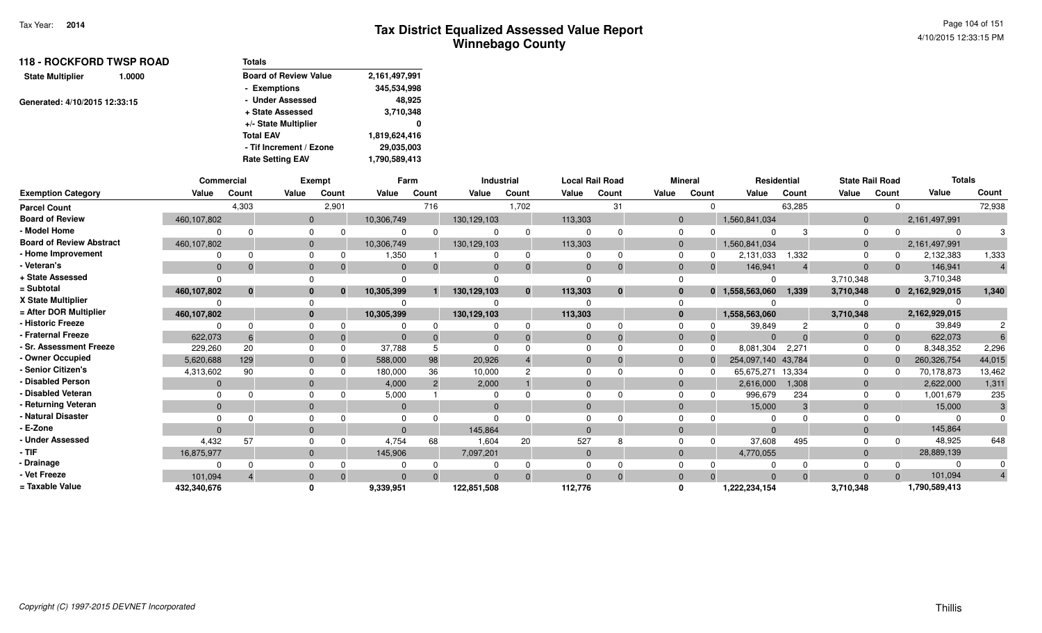| <b>118 - ROCKFORD TWSP ROAD</b>   | <b>Totals</b>                |               |
|-----------------------------------|------------------------------|---------------|
| <b>State Multiplier</b><br>1.0000 | <b>Board of Review Value</b> | 2,161,497,991 |
|                                   | - Exemptions                 | 345,534,998   |
| Generated: 4/10/2015 12:33:15     | - Under Assessed             | 48,925        |
|                                   | + State Assessed             | 3,710,348     |
|                                   | +/- State Multiplier         | 0             |
|                                   | <b>Total EAV</b>             | 1,819,624,416 |
|                                   | - Tif Increment / Ezone      | 29,035,003    |
|                                   | <b>Rate Setting EAV</b>      | 1,790,589,413 |

|                                 | Commercial  |          |          | Exempt   |              | Farm           |             | <b>Industrial</b> |              | <b>Local Rail Road</b> |              | <b>Mineral</b> | <b>Residential</b> |          | <b>State Rail Road</b> |       | <b>Totals</b>   |        |
|---------------------------------|-------------|----------|----------|----------|--------------|----------------|-------------|-------------------|--------------|------------------------|--------------|----------------|--------------------|----------|------------------------|-------|-----------------|--------|
| <b>Exemption Category</b>       | Value       | Count    | Value    | Count    | Value        | Count          | Value       | Count             | Value        | Count                  | Value        | Count          | Value              | Count    | Value                  | Count | Value           | Count  |
| <b>Parcel Count</b>             |             | 4,303    |          | 2,901    |              | 716            |             | 1,702             |              | 31                     |              |                |                    | 63,285   |                        |       |                 | 72,938 |
| <b>Board of Review</b>          | 460,107,802 |          | $\Omega$ |          | 10,306,749   |                | 130,129,103 |                   | 113,303      |                        | $\Omega$     |                | 1,560,841,034      |          | $\Omega$               |       | 2,161,497,991   |        |
| - Model Home                    |             |          |          |          |              | $\Omega$       |             | $\Omega$          |              |                        |              |                | $\Omega$           |          | $\Omega$               |       | $\Omega$        |        |
| <b>Board of Review Abstract</b> | 460,107,802 |          |          |          | 10,306,749   |                | 130,129,103 |                   | 113,303      |                        |              |                | 1,560,841,034      |          | $\Omega$               |       | 2,161,497,991   |        |
| - Home Improvement              |             |          |          |          | 1,350        |                |             | 0                 |              | ŋ                      |              |                | 2,131,033          | 1,332    |                        |       | 2,132,383       | 1,333  |
| - Veteran's                     | $\Omega$    |          |          |          | $\Omega$     | $\Omega$       |             |                   | $\Omega$     | $\Omega$               |              | $\Omega$       | 146,941            |          | $\Omega$               |       | 146,941         |        |
| + State Assessed                |             |          |          |          |              |                |             |                   | $\Omega$     |                        |              |                | $\Omega$           |          | 3,710,348              |       | 3,710,348       |        |
| = Subtotal                      | 460,107,802 | $\bf{0}$ |          | $\Omega$ | 10,305,399   |                | 130,129,103 | $\mathbf{0}$      | 113,303      | $\bf{0}$               |              |                | 0 1,558,563,060    | 1,339    | 3,710,348              |       | 0 2,162,929,015 | 1,340  |
| X State Multiplier              |             |          |          |          |              |                |             |                   |              |                        |              |                |                    |          |                        |       |                 |        |
| = After DOR Multiplier          | 460,107,802 |          |          |          | 10,305,399   |                | 130,129,103 |                   | 113,303      |                        | $\mathbf{0}$ |                | 1,558,563,060      |          | 3,710,348              |       | 2,162,929,015   |        |
| - Historic Freeze               |             |          |          |          |              |                |             |                   |              |                        |              |                | 39,849             |          |                        |       | 39,849          |        |
| <b>Fraternal Freeze</b>         | 622,073     |          |          |          |              |                |             |                   | $\Omega$     |                        |              |                | $\Omega$           |          | $\Omega$               |       | 622,073         |        |
| - Sr. Assessment Freeze         | 229,260     | 20       |          |          | 37.788       |                |             |                   | $\Omega$     |                        |              |                | 8,081,304          | 2,271    |                        |       | 8,348,352       | 2,296  |
| - Owner Occupied                | 5,620,688   | 129      |          |          | 588,000      | 98             | 20,926      |                   | $\Omega$     |                        | $\Omega$     |                | 254,097,140 43,784 |          | $\Omega$               |       | 260,326,754     | 44,015 |
| - Senior Citizen's              | 4,313,602   | 90       |          |          | 180,000      | 36             | 10,000      |                   | $\Omega$     |                        |              |                | 65,675,271         | 13,334   | $\Omega$               |       | 70,178,873      | 13,462 |
| <b>Disabled Person</b>          | $\Omega$    |          |          |          | 4,000        | $\overline{2}$ | 2,000       |                   | $\Omega$     |                        |              |                | 2,616,000          | 1,308    | $\Omega$               |       | 2,622,000       | 1,311  |
| <b>Disabled Veteran</b>         |             |          |          |          | 5,000        |                |             |                   | $\Omega$     |                        |              |                | 996,679            | 234      |                        |       | 1,001,679       | 235    |
| - Returning Veteran             | $\Omega$    |          |          |          | $\mathbf{0}$ |                | $\Omega$    |                   | $\Omega$     |                        |              |                | 15,000             | 3        | $\Omega$               |       | 15,000          |        |
| <b>Natural Disaster</b>         |             |          |          |          |              |                |             |                   |              |                        |              |                |                    |          |                        |       |                 |        |
| - E-Zone                        | $\Omega$    |          |          |          | $\Omega$     |                | 145,864     |                   | $\Omega$     |                        |              |                | $\Omega$           |          | $\Omega$               |       | 145,864         |        |
| - Under Assessed                | 4,432       | 57       |          |          | 4,754        | 68             | 1,604       | 20                | 527          |                        |              |                | 37,608             | 495      |                        |       | 48,925          | 648    |
| - TIF                           | 16,875,977  |          |          |          | 145,906      |                | 7,097,201   |                   | $\mathbf{0}$ |                        |              |                | 4,770,055          |          | $\overline{0}$         |       | 28,889,139      |        |
| <b>Drainage</b>                 |             |          |          |          |              |                |             |                   |              |                        |              |                |                    |          |                        |       | 0               |        |
| Vet Freeze                      | 101.094     |          |          |          | $\Omega$     | $\Omega$       |             |                   | $\Omega$     | $\Omega$               |              |                | $\Omega$           | $\Omega$ | $\Omega$               |       | 101,094         |        |
| = Taxable Value                 | 432,340,676 |          |          |          | 9,339,951    |                | 122,851,508 |                   | 112,776      |                        |              |                | 1,222,234,154      |          | 3,710,348              |       | 1,790,589,413   |        |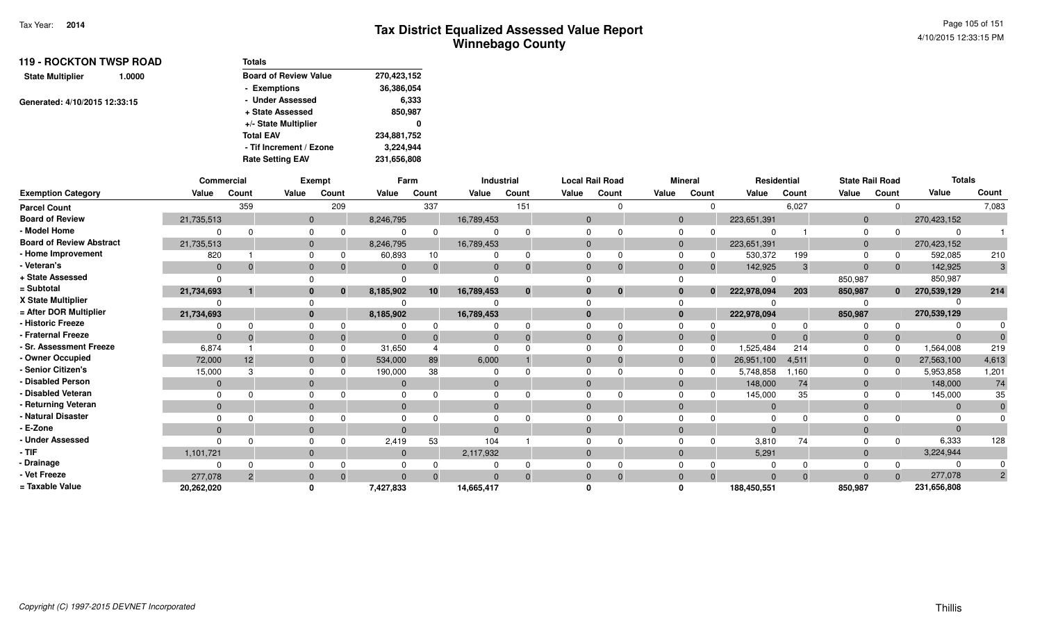| <b>119 - ROCKTON TWSP ROAD</b><br>1.0000 | <b>Totals</b>                |             |
|------------------------------------------|------------------------------|-------------|
| <b>State Multiplier</b>                  | <b>Board of Review Value</b> | 270,423,152 |
|                                          | - Exemptions                 | 36,386,054  |
| Generated: 4/10/2015 12:33:15            | - Under Assessed             | 6,333       |
|                                          | + State Assessed             | 850,987     |
|                                          | +/- State Multiplier         | 0           |
|                                          | <b>Total EAV</b>             | 234,881,752 |
|                                          | - Tif Increment / Ezone      | 3,224,944   |
|                                          | <b>Rate Setting EAV</b>      | 231,656,808 |

|                                 | <b>Commercial</b> |       |          | <b>Exempt</b> |              | Farm            |            | <b>Industrial</b> | <b>Local Rail Road</b> |          |          | <b>Mineral</b> | Residential    |          |                | <b>State Rail Road</b> | <b>Totals</b> |                |
|---------------------------------|-------------------|-------|----------|---------------|--------------|-----------------|------------|-------------------|------------------------|----------|----------|----------------|----------------|----------|----------------|------------------------|---------------|----------------|
| <b>Exemption Category</b>       | Value             | Count | Value    | Count         | Value        | Count           | Value      | Count             | Value                  | Count    | Value    | Count          | Value          | Count    | Value          | Count                  | Value         | Count          |
| <b>Parcel Count</b>             |                   | 359   |          | 209           |              | 337             |            | 151               |                        | $\Omega$ |          |                |                | 6,027    |                |                        |               | 7,083          |
| <b>Board of Review</b>          | 21,735,513        |       | $\Omega$ |               | 8,246,795    |                 | 16,789,453 |                   | $\Omega$               |          | $\Omega$ |                | 223,651,391    |          | $\mathbf{0}$   |                        | 270,423,152   |                |
| - Model Home                    |                   |       |          |               |              | $\Omega$        |            |                   |                        |          |          |                |                |          |                |                        |               |                |
| <b>Board of Review Abstract</b> | 21,735,513        |       |          |               | 8,246,795    |                 | 16,789,453 |                   | $\Omega$               |          | 0        |                | 223,651,391    |          | $\Omega$       |                        | 270,423,152   |                |
| - Home Improvement              | 820               |       |          | 0             | 60,893       | 10              |            |                   | $\Omega$               | 0        |          |                | 530,372        | 199      |                |                        | 592,085       | 210            |
| Veteran's                       | $\Omega$          |       |          |               | $\mathbf{0}$ | $\Omega$        |            |                   | $\Omega$               | $\Omega$ |          |                | 142,925        | 3        | $\Omega$       | $\mathbf{0}$           | 142,925       | 3              |
| + State Assessed                |                   |       |          |               |              |                 |            |                   |                        |          |          |                |                |          | 850,987        |                        | 850,987       |                |
| = Subtotal                      | 21,734,693        |       |          | $\mathbf{0}$  | 8,185,902    | 10 <sup>1</sup> | 16,789,453 | $\bf{0}$          | $\bf{0}$               | $\bf{0}$ |          | $\bf{0}$       | 222,978,094    | 203      | 850,987        | $\mathbf{0}$           | 270,539,129   | 214            |
| X State Multiplier              |                   |       |          |               |              |                 |            |                   |                        |          |          |                |                |          |                |                        |               |                |
| = After DOR Multiplier          | 21,734,693        |       |          |               | 8,185,902    |                 | 16,789,453 |                   | $\bf{0}$               |          | 0        |                | 222,978,094    |          | 850,987        |                        | 270,539,129   |                |
| - Historic Freeze               |                   |       |          |               |              |                 |            |                   |                        |          |          |                |                |          |                |                        |               |                |
| <b>Fraternal Freeze</b>         |                   |       |          |               | $\Omega$     | $\Omega$        |            |                   | $\Omega$               | $\Omega$ | $\Omega$ |                |                |          | $\overline{0}$ | $\mathbf{0}$           | $\Omega$      |                |
| <b>Sr. Assessment Freeze</b>    | 6,874             |       |          | $\Omega$      | 31,650       |                 |            |                   | $\Omega$               |          |          |                | 1,525,484      | 214      |                |                        | 1,564,008     | 219            |
| - Owner Occupied                | 72,000            | 12    |          |               | 534,000      | 89              | 6,000      |                   | $\Omega$               | $\Omega$ |          |                | 26,951,100     | 4,511    | $\overline{0}$ |                        | 27,563,100    | 4,613          |
| <b>Senior Citizen's</b>         | 15,000            |       |          |               | 190,000      | 38              |            |                   |                        |          |          |                | 5,748,858      | 1.160    |                |                        | 5,953,858     | 1,201          |
| <b>Disabled Person</b>          |                   |       |          |               | $\mathbf{0}$ |                 |            |                   | $\Omega$               |          |          |                | 148,000        | 74       | $\Omega$       |                        | 148,000       | 74             |
| <b>Disabled Veteran</b>         |                   |       |          |               |              |                 |            |                   | $\Omega$               |          |          |                | 145,000        | 35       |                |                        | 145,000       | 35             |
| Returning Veteran               | $\Omega$          |       | $\Omega$ |               | $\mathbf{0}$ |                 | $\Omega$   |                   | $\mathbf{0}$           |          |          |                | $\overline{0}$ |          | $\Omega$       |                        | $\Omega$      |                |
| <b>Natural Disaster</b>         |                   |       |          |               |              |                 |            |                   |                        |          |          |                | -0             |          |                |                        |               |                |
| E-Zone                          |                   |       |          |               | $\Omega$     |                 |            |                   | $\Omega$               |          |          |                | $\Omega$       |          |                |                        |               |                |
| <b>Under Assessed</b>           |                   |       |          |               | 2,419        | 53              | 104        |                   |                        |          |          |                | 3,810          | 74       |                |                        | 6,333         | 128            |
| · TIF                           | 1,101,721         |       |          |               | $\mathbf{0}$ |                 | 2,117,932  |                   | $\Omega$               |          | $\Omega$ |                | 5,291          |          | $\Omega$       |                        | 3,224,944     |                |
| Drainage                        |                   |       |          |               |              |                 |            |                   |                        |          |          |                |                |          |                |                        |               |                |
| Vet Freeze                      | 277,078           |       |          |               | $\Omega$     | $\Omega$        |            |                   | $\Omega$               |          |          |                | $\Omega$       | $\Omega$ |                | $\Omega$               | 277,078       | $\overline{2}$ |
| = Taxable Value                 | 20,262,020        |       |          |               | 7,427,833    |                 | 14,665,417 |                   |                        |          |          |                | 188,450,551    |          | 850,987        |                        | 231,656,808   |                |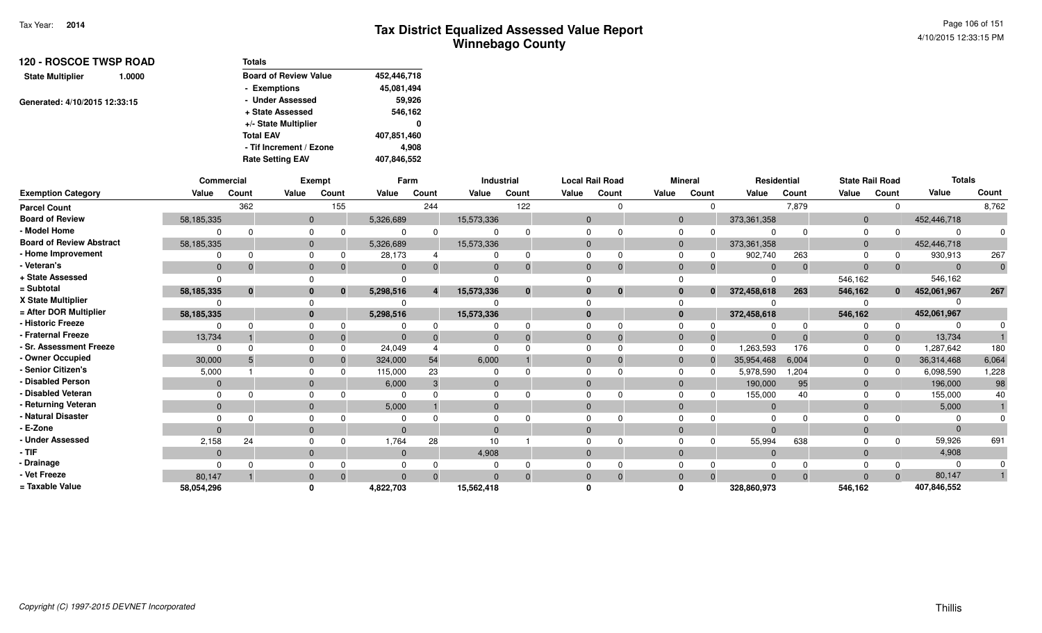| <b>120 - ROSCOE TWSP ROAD</b>     | Totals                       |             |
|-----------------------------------|------------------------------|-------------|
| <b>State Multiplier</b><br>1.0000 | <b>Board of Review Value</b> | 452,446,718 |
|                                   | - Exemptions                 | 45,081,494  |
| Generated: 4/10/2015 12:33:15     | - Under Assessed             | 59,926      |
|                                   | + State Assessed             | 546,162     |
|                                   | +/- State Multiplier         | 0           |
|                                   | <b>Total EAV</b>             | 407,851,460 |
|                                   | - Tif Increment / Ezone      | 4,908       |
|                                   | <b>Rate Setting EAV</b>      | 407,846,552 |

|                                 |                | Commercial |              | <b>Exempt</b> |                | Farm  |                | Industrial |              | <b>Local Rail Road</b> |                | <b>Mineral</b>           |                | Residential  | <b>State Rail Road</b> |              | <b>Totals</b> |              |
|---------------------------------|----------------|------------|--------------|---------------|----------------|-------|----------------|------------|--------------|------------------------|----------------|--------------------------|----------------|--------------|------------------------|--------------|---------------|--------------|
| <b>Exemption Category</b>       | Value          | Count      | Value        | Count         | Value          | Count | Value          | Count      | Value        | Count                  | Value          | Count                    | Value          | Count        | Value                  | Count        | Value         | Count        |
| <b>Parcel Count</b>             |                | 362        |              | 155           |                | 244   |                | 122        |              | $\Omega$               |                | $\Omega$                 |                | 7,879        |                        | $\Omega$     |               | 8,762        |
| <b>Board of Review</b>          | 58,185,335     |            | $\mathbf{0}$ |               | 5,326,689      |       | 15,573,336     |            | $\mathbf{0}$ |                        |                | $\mathbf{0}$             | 373,361,358    |              | $\mathbf 0$            |              | 452,446,718   |              |
| - Model Home                    |                |            |              |               |                |       | $\Omega$       |            | $\Omega$     |                        | $\mathbf 0$    | $\Omega$                 | ∩              | $\Omega$     | $\Omega$               | $\Omega$     |               |              |
| <b>Board of Review Abstract</b> | 58,185,335     |            | $\mathbf{0}$ |               | 5,326,689      |       | 15,573,336     |            | $\mathbf{0}$ |                        |                | $\mathbf{0}$             | 373, 361, 358  |              | $\mathbf{0}$           |              | 452,446,718   |              |
| - Home Improvement              |                |            | 0            |               | 28,173         |       | $\Omega$       | $\Omega$   | $\Omega$     | 0                      | $\mathbf 0$    | 0                        | 902,740        | 263          | $\Omega$               | 0            | 930,913       | 267          |
| - Veteran's                     | $\Omega$       |            | $\mathbf{0}$ |               | $\Omega$       |       | $\Omega$       | $\Omega$   | $\Omega$     | $\Omega$               |                | $\mathbf{0}$<br>$\Omega$ | $\Omega$       | $\mathbf{0}$ | $\Omega$               | $\Omega$     | $\Omega$      | $\mathbf{0}$ |
| + State Assessed                |                |            |              |               |                |       |                |            | ∩            |                        | $\Omega$       |                          |                |              | 546,162                |              | 546,162       |              |
| = Subtotal                      | 58,185,335     |            | $\bf{0}$     |               | 5,298,516      |       | 15,573,336     | $\bf{0}$   | $\bf{0}$     | $\mathbf{0}$           |                | $\bf{0}$<br>$\bf{0}$     | 372,458,618    | 263          | 546,162                | $\bf{0}$     | 452,061,967   | 267          |
| X State Multiplier              |                |            |              |               |                |       |                |            |              |                        | $\Omega$       |                          |                |              |                        |              |               |              |
| = After DOR Multiplier          | 58, 185, 335   |            | $\mathbf{0}$ |               | 5,298,516      |       | 15,573,336     |            | $\bf{0}$     |                        |                | $\mathbf{0}$             | 372,458,618    |              | 546,162                |              | 452,061,967   |              |
| - Historic Freeze               |                |            |              |               |                |       |                |            | $\Omega$     | $\Omega$               | $\mathbf 0$    | 0                        |                | $\Omega$     |                        | $\Omega$     |               |              |
| - Fraternal Freeze              | 13,734         |            | $\mathbf{0}$ |               | $\Omega$       |       | $\overline{0}$ |            | $\mathbf{0}$ | $\Omega$               | $\mathbf 0$    | $\Omega$                 | $\Omega$       | $\Omega$     | $\mathbf 0$            | $\mathbf{0}$ | 13,734        |              |
| - Sr. Assessment Freeze         | 0              |            | $\Omega$     |               | 24,049         |       | $\Omega$       |            | $\Omega$     | $\Omega$               | $\Omega$       | $\Omega$                 | 1,263,593      | 176          | $\Omega$               | $\Omega$     | 1,287,642     | 180          |
| - Owner Occupied                | 30,000         |            | $\mathbf{0}$ |               | 324,000        | 54    | 6,000          |            | $\mathbf{0}$ | $\Omega$               |                | $\mathbf{0}$<br>$\Omega$ | 35,954,468     | 6,004        | $\mathbf 0$            | $\Omega$     | 36,314,468    | 6,064        |
| - Senior Citizen's              | 5,000          |            | $\Omega$     |               | 115,000        | 23    | $\Omega$       |            | $\Omega$     |                        | $\Omega$       | <sup>0</sup>             | 5,978,590      | ,204         | 0                      | <sup>0</sup> | 6,098,590     | 1,228        |
| <b>Disabled Person</b>          | $\overline{0}$ |            | $\mathbf{0}$ |               | 6,000          |       | $\mathbf{0}$   |            | $\Omega$     |                        |                | $\mathbf{0}$             | 190,000        | 95           | $\mathbf{0}$           |              | 196,000       | 98           |
| Disabled Veteran                |                |            |              |               | $\Omega$       |       | $\Omega$       |            | $\Omega$     |                        | $\mathbf 0$    |                          | 155,000        | 40           | $\Omega$               | $\Omega$     | 155,000       | 40           |
| - Returning Veteran             | $\mathbf{0}$   |            | $\mathbf{0}$ |               | 5,000          |       | $\overline{0}$ |            | $\mathbf{0}$ |                        |                | $\mathbf{0}$             | $\mathbf{0}$   |              | $\mathbf 0$            |              | 5,000         |              |
| - Natural Disaster              |                |            |              |               | $\Omega$       |       | $\Omega$       |            | $\Omega$     |                        | $\Omega$       |                          |                |              |                        |              |               |              |
| - E-Zone                        |                |            | $\mathbf{0}$ |               | $\overline{0}$ |       | $\mathbf{0}$   |            | $\Omega$     |                        | $\overline{0}$ |                          | $\Omega$       |              | $\mathbf 0$            |              |               |              |
| <b>Under Assessed</b>           | 2,158          | 24         |              |               | 1,764          | 28    | 10             |            | $\Omega$     | $\Omega$               | $\Omega$       | $\Omega$                 | 55,994         | 638          |                        | $\Omega$     | 59,926        | 691          |
| - TIF-                          | $\mathbf{0}$   |            | $\mathbf{0}$ |               | $\mathbf 0$    |       | 4,908          |            | $\mathbf 0$  |                        |                | $\mathbf{0}$             | $\overline{0}$ |              | $\mathbf 0$            |              | 4,908         |              |
| - Drainage                      |                |            |              |               |                |       |                |            | $\Omega$     |                        | $\Omega$       |                          |                |              |                        |              |               |              |
| - Vet Freeze                    | 80,147         |            |              |               |                |       | $\Omega$       |            | $\Omega$     | $\Omega$               | $\mathbf{0}$   | $\Omega$                 | $\Omega$       | $\Omega$     | $\Omega$               | $\Omega$     | 80,147        |              |
| = Taxable Value                 | 58,054,296     |            |              |               | 4,822,703      |       | 15,562,418     |            |              |                        | O              |                          | 328,860,973    |              | 546,162                |              | 407,846,552   |              |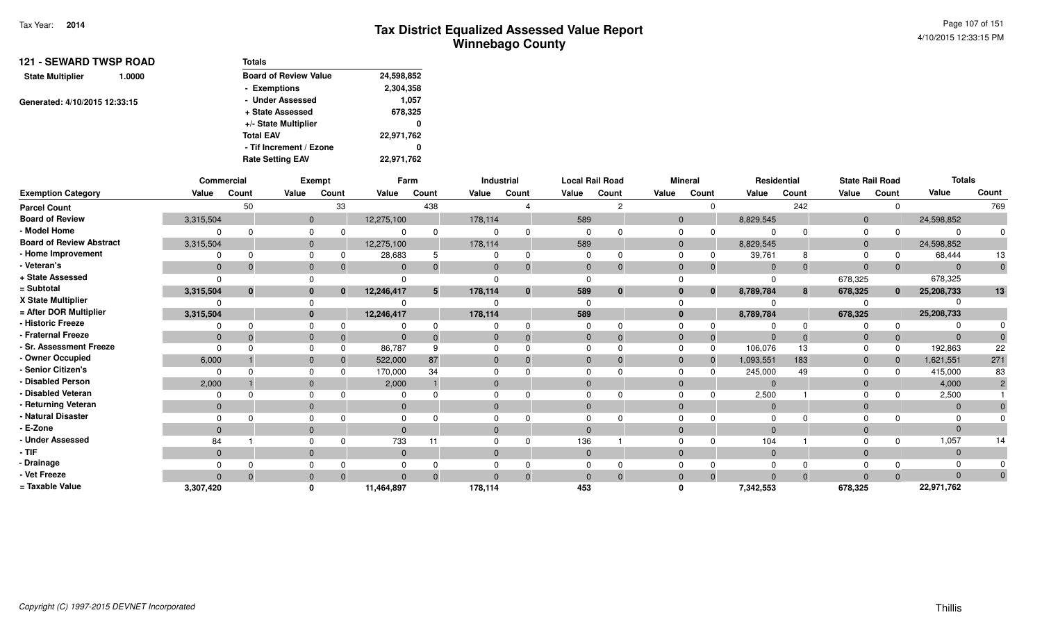Page 107 of 1514/10/2015 12:33:15 PM

| <b>121 - SEWARD TWSP ROAD</b><br>1.0000 | Totals                       |            |  |  |  |  |
|-----------------------------------------|------------------------------|------------|--|--|--|--|
| <b>State Multiplier</b>                 | <b>Board of Review Value</b> | 24,598,852 |  |  |  |  |
|                                         | - Exemptions                 | 2,304,358  |  |  |  |  |
| Generated: 4/10/2015 12:33:15           | - Under Assessed             | 1,057      |  |  |  |  |
|                                         | + State Assessed             | 678,325    |  |  |  |  |
|                                         | +/- State Multiplier         | 0          |  |  |  |  |
|                                         | <b>Total EAV</b>             | 22,971,762 |  |  |  |  |
|                                         | - Tif Increment / Ezone      | 0          |  |  |  |  |
|                                         | <b>Rate Setting EAV</b>      | 22,971,762 |  |  |  |  |

|                                 |              | Commercial   |                | Exempt       |            | Farm     |                | <b>Industrial</b> | <b>Local Rail Road</b> |              |              | <b>Mineral</b>    |                | Residential  | <b>State Rail Road</b> |              | <b>Totals</b> |                |
|---------------------------------|--------------|--------------|----------------|--------------|------------|----------|----------------|-------------------|------------------------|--------------|--------------|-------------------|----------------|--------------|------------------------|--------------|---------------|----------------|
| <b>Exemption Category</b>       | Value        | Count        | Value          | Count        | Value      | Count    | Value          | Count             | Value                  | Count        | Value        | Count             | Value          | Count        | Value                  | Count        | Value         | Count          |
| <b>Parcel Count</b>             |              | 50           |                | 33           |            | 438      |                |                   |                        | 2            |              | $\Omega$          |                | 242          |                        | $\Omega$     |               | 769            |
| <b>Board of Review</b>          | 3,315,504    |              | $\overline{0}$ |              | 12,275,100 |          | 178,114        |                   | 589                    |              |              | $\mathbf{0}$      | 8,829,545      |              | $\mathbf{0}$           |              | 24,598,852    |                |
| - Model Home                    |              |              |                |              |            | 0        |                |                   |                        |              | 0            | $\Omega$          |                | <sup>n</sup> | 0                      | $\Omega$     | $\Omega$      | 0              |
| <b>Board of Review Abstract</b> | 3,315,504    |              | $\mathbf{0}$   |              | 12,275,100 |          | 178,114        |                   | 589                    |              |              | $\mathbf{0}$      | 8,829,545      |              | $\mathbf{0}$           |              | 24,598,852    |                |
| - Home Improvement              |              |              |                |              | 28,683     | 5        | $\Omega$       | 0                 | $\Omega$               | 0            | $\Omega$     | 0                 | 39,761         | 8            | $\Omega$               | 0            | 68,444        | 13             |
| - Veteran's                     | $\mathbf{0}$ |              | $\mathbf{0}$   |              | $\Omega$   | $\Omega$ | $\mathbf{0}$   | $\Omega$          | $\Omega$               | $\mathbf{0}$ | $\mathbf{0}$ |                   | $\Omega$       | $\Omega$     | $\mathbf{0}$           | $\Omega$     | $\Omega$      | $\mathbf 0$    |
| + State Assessed                |              |              |                |              |            |          |                |                   |                        |              |              |                   |                |              | 678,325                |              | 678,325       |                |
| = Subtotal                      | 3,315,504    | $\mathbf{0}$ |                | $\mathbf{0}$ | 12,246,417 | 5        | 178,114        | $\mathbf{0}$      | 589                    | $\mathbf 0$  |              | $\mathbf{0}$<br>0 | 8,789,784      | 8            | 678,325                | $\bf{0}$     | 25,208,733    | 13             |
| X State Multiplier              |              |              |                |              |            |          |                |                   |                        |              |              |                   |                |              |                        |              |               |                |
| = After DOR Multiplier          | 3,315,504    |              | 0              |              | 12,246,417 |          | 178,114        |                   | 589                    |              |              | $\mathbf{0}$      | 8,789,784      |              | 678,325                |              | 25,208,733    |                |
| - Historic Freeze               |              |              |                |              |            |          |                |                   |                        |              | $\Omega$     |                   |                | <sup>0</sup> |                        | <sup>0</sup> |               |                |
| <b>Fraternal Freeze</b>         | $\mathbf{0}$ |              | $\mathbf{0}$   |              | $\Omega$   |          | $\overline{0}$ |                   | $\mathbf{0}$           | $\Omega$     | $\mathbf{0}$ |                   | $\mathbf{0}$   | $\Omega$     | $\mathbf 0$            |              | $\Omega$      |                |
| <b>Sr. Assessment Freeze</b>    |              |              |                |              | 86,787     | 9        |                |                   |                        |              | $\Omega$     | $\Omega$          | 106,076        | 13           | $\Omega$               | $\Omega$     | 192,863       | 22             |
| - Owner Occupied                | 6,000        |              | $\mathbf{0}$   |              | 522,000    | 87       | $\mathbf{0}$   |                   | $\Omega$               | $\Omega$     | $\mathbf{0}$ | $\Omega$          | 1,093,551      | 183          | $\mathbf{0}$           | $\mathbf 0$  | 1,621,551     | 271            |
| Senior Citizen's                |              |              |                |              | 170,000    | 34       |                |                   |                        |              |              |                   | 245,000        | 49           |                        |              | 415,000       | 83             |
| <b>Disabled Person</b>          | 2,000        |              | $\mathbf{0}$   |              | 2,000      |          | $\mathbf{0}$   |                   | $\Omega$               |              | $\mathbf{0}$ |                   | $\Omega$       |              | $\mathbf 0$            |              | 4,000         | $\overline{2}$ |
| <b>Disabled Veteran</b>         |              |              |                |              |            |          |                |                   |                        |              |              |                   | 2,500          |              |                        |              | 2,500         |                |
| Returning Veteran               | $\mathbf{0}$ |              | $\Omega$       |              | $\Omega$   |          | $\mathbf{0}$   |                   | $\Omega$               |              | $\mathbf{0}$ |                   | $\mathbf 0$    |              | $\mathbf{0}$           |              | $\Omega$      |                |
| - Natural Disaster              |              |              |                |              |            |          |                |                   |                        |              |              |                   |                |              |                        |              |               |                |
| E-Zone                          | $\Omega$     |              | $\Omega$       |              | $\Omega$   |          | $\Omega$       |                   | $\Omega$               |              | $\mathbf{0}$ |                   | $\Omega$       |              | $\mathbf{0}$           |              | $\Omega$      |                |
| <b>Under Assessed</b>           | 84           |              |                |              | 733        |          |                |                   | 136                    |              |              |                   | 104            |              |                        | $\Omega$     | 1,057         | 14             |
| - TIF                           | $\Omega$     |              | $\Omega$       |              | $\Omega$   |          | $\mathbf{0}$   |                   | $\Omega$               |              | $\mathbf{0}$ |                   | $\overline{0}$ |              | $\mathbf{0}$           |              | $\Omega$      |                |
| · Drainage                      |              |              |                |              |            |          |                |                   |                        |              |              |                   |                |              |                        |              |               |                |
| Vet Freeze                      | $\Omega$     | $\Omega$     | $\mathbf{0}$   | $\Omega$     | $\Omega$   | $\Omega$ | $\Omega$       | $\Omega$          | $\Omega$               | $\Omega$     | $\mathbf{0}$ | $\Omega$          | $\mathbf{0}$   | $\Omega$     | $\Omega$               | $\Omega$     | $\Omega$      | $\Omega$       |
| = Taxable Value                 | 3,307,420    |              |                |              | 11,464,897 |          | 178,114        |                   | 453                    |              |              |                   | 7,342,553      |              | 678,325                |              | 22,971,762    |                |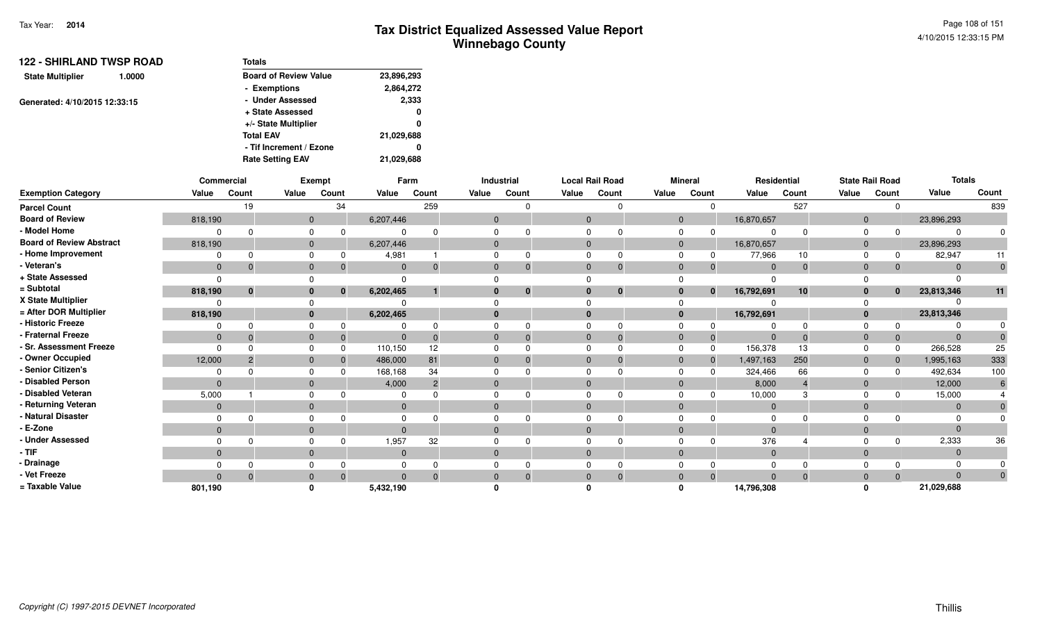Page 108 of 1514/10/2015 12:33:15 PM

| <b>122 - SHIRLAND TWSP ROAD</b>   | <b>Totals</b>                |            |  |  |
|-----------------------------------|------------------------------|------------|--|--|
| <b>State Multiplier</b><br>1.0000 | <b>Board of Review Value</b> | 23,896,293 |  |  |
|                                   | - Exemptions                 | 2,864,272  |  |  |
| Generated: 4/10/2015 12:33:15     | - Under Assessed             | 2,333      |  |  |
|                                   | + State Assessed             | 0          |  |  |
|                                   | +/- State Multiplier         | 0          |  |  |
|                                   | <b>Total EAV</b>             | 21,029,688 |  |  |
|                                   | - Tif Increment / Ezone      | 0          |  |  |
|                                   | <b>Rate Setting EAV</b>      | 21,029,688 |  |  |

|                                 |              | Commercial   |              | Exempt   |              | Farm  |              | <b>Industrial</b> |              | <b>Local Rail Road</b> |                | <b>Mineral</b>       |             | Residential  |              | <b>State Rail Road</b> | <b>Totals</b> |              |
|---------------------------------|--------------|--------------|--------------|----------|--------------|-------|--------------|-------------------|--------------|------------------------|----------------|----------------------|-------------|--------------|--------------|------------------------|---------------|--------------|
| <b>Exemption Category</b>       | Value        | Count        | Value        | Count    | Value        | Count | Value        | Count             | Value        | Count                  | Value          | Count                | Value       | Count        | Value        | Count                  | Value         | Count        |
| <b>Parcel Count</b>             |              | 19           |              | 34       |              | 259   |              |                   |              |                        |                | O                    |             | 527          |              | $\Omega$               |               | 839          |
| <b>Board of Review</b>          | 818,190      |              | $\mathbf{0}$ |          | 6,207,446    |       | $\mathbf{0}$ |                   | $\mathbf{0}$ |                        |                | $\mathbf{0}$         | 16,870,657  |              | $\mathbf{0}$ |                        | 23,896,293    |              |
| - Model Home                    |              |              | $\Omega$     |          |              |       |              |                   |              |                        |                |                      |             | <sup>0</sup> | $\Omega$     | $\Omega$               | ∩             | $\Omega$     |
| <b>Board of Review Abstract</b> | 818,190      |              | $\mathbf{0}$ |          | 6,207,446    |       | $\mathbf{0}$ |                   | $\mathbf{0}$ |                        | $\mathbf 0$    |                      | 16,870,657  |              | $\mathbf 0$  |                        | 23,896,293    |              |
| - Home Improvement              |              |              | $\Omega$     |          | 4,981        |       | $\Omega$     |                   |              |                        |                |                      | 77,966      | 10           | $\Omega$     | 0                      | 82,947        | 11           |
| Veteran's                       | $\mathbf{0}$ |              | $\mathbf 0$  |          | $\Omega$     |       | $\mathbf{0}$ |                   | $\mathbf{0}$ | $\Omega$               | $\mathbf{0}$   |                      | $\Omega$    | $\mathbf 0$  | $\mathbf 0$  | $\Omega$               | $\Omega$      | $\mathbf{0}$ |
| + State Assessed                | $\Omega$     |              |              |          | $\Omega$     |       |              |                   |              |                        |                |                      |             |              |              |                        |               |              |
| = Subtotal                      | 818,190      | $\mathbf{0}$ | $\bf{0}$     | $\bf{0}$ | 6,202,465    |       | $\bf{0}$     | $\bf{0}$          | $\bf{0}$     | $\bf{0}$               |                | $\bf{0}$<br>$\bf{0}$ | 16,792,691  | 10           | $\mathbf{0}$ | $\mathbf{0}$           | 23,813,346    | 11           |
| X State Multiplier              |              |              |              |          |              |       |              |                   |              |                        |                |                      |             |              |              |                        |               |              |
| = After DOR Multiplier          | 818,190      |              | $\mathbf{0}$ |          | 6,202,465    |       | $\mathbf{0}$ |                   | $\bf{0}$     |                        |                | $\mathbf{0}$         | 16,792,691  |              | $\mathbf{0}$ |                        | 23,813,346    |              |
| - Historic Freeze               |              |              | $\Omega$     |          |              |       |              |                   |              |                        |                |                      |             | $\Omega$     |              |                        |               |              |
| <b>Fraternal Freeze</b>         | $\mathbf{0}$ |              | $\mathbf{0}$ |          | $\Omega$     |       | $\mathbf{0}$ |                   | $\mathbf 0$  |                        | $\overline{0}$ |                      | $\Omega$    | $\Omega$     | $\mathbf{0}$ | $\Omega$               | $\Omega$      |              |
| <b>Sr. Assessment Freeze</b>    | $\Omega$     |              | $\Omega$     |          | 110,150      | 12    | $\Omega$     |                   | $\Omega$     |                        | $\Omega$       |                      | 156,378     | 13           | $\Omega$     | $\Omega$               | 266,528       | 25           |
| - Owner Occupied                | 12,000       |              | $\mathbf{0}$ |          | 486,000      | 81    | $\mathbf{0}$ |                   | $\Omega$     |                        | $\mathbf{0}$   |                      | 1,497,163   | 250          | $\mathbf 0$  | $\Omega$               | 1,995,163     | 333          |
| Senior Citizen's                |              |              | $\Omega$     |          | 168,168      | 34    |              |                   |              |                        |                |                      | 324,466     | 66           | 0            | $\Omega$               | 492,634       | 100          |
| <b>Disabled Person</b>          | $\Omega$     |              | $\mathbf{0}$ |          | 4,000        | 2     | $\mathbf{0}$ |                   |              |                        | $\mathbf{0}$   |                      | 8,000       |              | $\mathbf 0$  |                        | 12,000        | 6            |
| - Disabled Veteran              | 5,000        |              | $\Omega$     |          | 0            |       | $\Omega$     |                   |              |                        | $\Omega$       |                      | 10,000      | 3            | $\Omega$     | $\Omega$               | 15,000        |              |
| Returning Veteran               | $\mathbf{0}$ |              | $\mathbf{0}$ |          | $\mathbf{0}$ |       | $\mathbf{0}$ |                   | $\mathbf{0}$ |                        | $\mathbf{0}$   |                      | $\mathbf 0$ |              | $\mathbf 0$  |                        | $\mathbf{0}$  | $\Omega$     |
| <b>Natural Disaster</b>         |              |              |              |          |              |       |              |                   |              |                        |                |                      |             |              |              |                        |               |              |
| E-Zone                          | $\Omega$     |              | $\mathbf{0}$ |          | $\Omega$     |       | $\Omega$     |                   |              |                        | $\Omega$       |                      |             |              | $\Omega$     |                        | $\Omega$      |              |
| <b>Under Assessed</b>           |              |              | $\Omega$     |          | 1,957        | 32    | $\Omega$     |                   |              |                        |                |                      | 376         |              |              | $\Omega$               | 2,333         | 36           |
| · TIF                           | $\mathbf{0}$ |              | $\mathbf{0}$ |          | $\mathbf{0}$ |       | $\mathbf{0}$ |                   | $\mathbf{0}$ |                        | $\mathbf{0}$   |                      | $\mathbf 0$ |              | $\mathbf 0$  |                        | $\Omega$      |              |
| <b>Drainage</b>                 |              |              |              |          |              |       |              |                   |              |                        |                |                      |             |              |              |                        |               |              |
| Vet Freeze                      | $\Omega$     |              | $\Omega$     |          | $\Omega$     |       | $\mathbf{0}$ |                   |              |                        | $\Omega$       |                      | $\Omega$    | $\Omega$     | $\mathbf 0$  | $\Omega$               | $\Omega$      | $\Omega$     |
| = Taxable Value                 | 801,190      |              |              |          | 5,432,190    |       |              |                   |              |                        |                |                      | 14,796,308  |              |              |                        | 21,029,688    |              |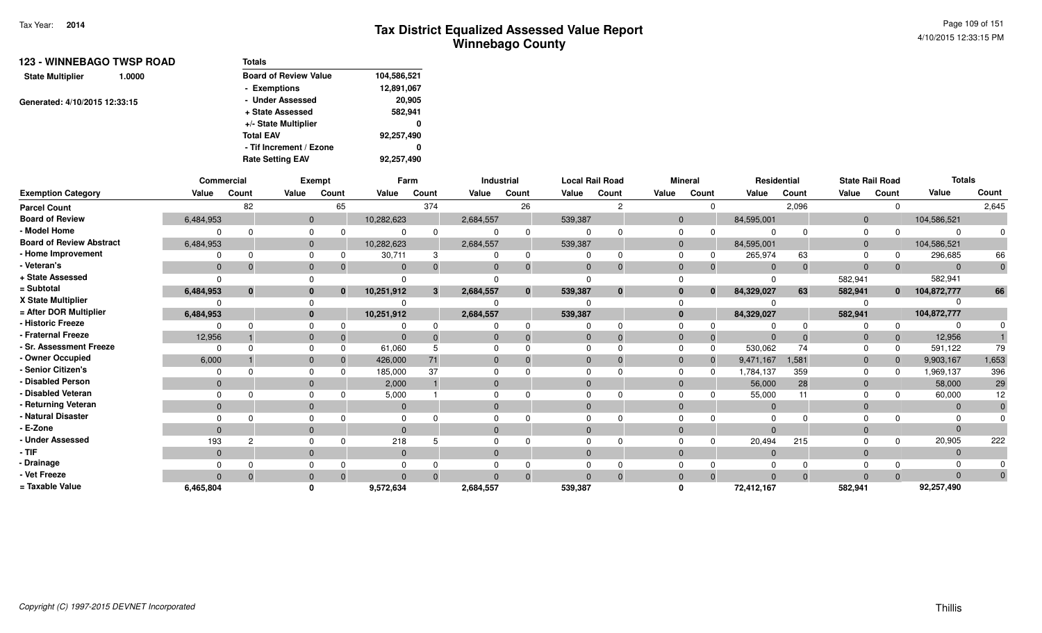| <b>123 - WINNEBAGO TWSP ROAD</b>  | Totals                       |             |  |  |  |
|-----------------------------------|------------------------------|-------------|--|--|--|
| <b>State Multiplier</b><br>1.0000 | <b>Board of Review Value</b> | 104,586,521 |  |  |  |
|                                   | - Exemptions                 | 12,891,067  |  |  |  |
| Generated: 4/10/2015 12:33:15     | - Under Assessed             | 20.905      |  |  |  |
|                                   | + State Assessed             | 582,941     |  |  |  |
|                                   | +/- State Multiplier         | 0           |  |  |  |
|                                   | <b>Total EAV</b>             | 92,257,490  |  |  |  |
|                                   | - Tif Increment / Ezone      | 0           |  |  |  |
|                                   | <b>Rate Setting EAV</b>      | 92.257.490  |  |  |  |

|                                 |                | Commercial     |              | <b>Exempt</b>  |              | Farm  |                | Industrial   | <b>Local Rail Road</b> |              |              | <b>Mineral</b> |              | Residential |                | <b>State Rail Road</b> | <b>Totals</b> |              |
|---------------------------------|----------------|----------------|--------------|----------------|--------------|-------|----------------|--------------|------------------------|--------------|--------------|----------------|--------------|-------------|----------------|------------------------|---------------|--------------|
| <b>Exemption Category</b>       | Value          | Count          | Value        | Count          | Value        | Count | Value          | Count        | Value                  | Count        | Value        | Count          | Value        | Count       | Value          | Count                  | Value         | Count        |
| <b>Parcel Count</b>             |                | 82             |              | 65             |              | 374   |                | 26           |                        | 2            |              |                |              | 2,096       |                | $\Omega$               |               | 2,645        |
| <b>Board of Review</b>          | 6,484,953      |                |              | $\overline{0}$ | 10,282,623   |       | 2,684,557      |              | 539,387                |              |              | $\Omega$       | 84,595,001   |             | $\overline{0}$ |                        | 104,586,521   |              |
| - Model Home                    |                | $\Omega$       | $\Omega$     | $\Omega$       |              |       |                | $\Omega$     |                        |              |              |                |              |             |                |                        |               |              |
| <b>Board of Review Abstract</b> | 6,484,953      |                | $\mathbf{0}$ |                | 10,282,623   |       | 2,684,557      |              | 539,387                |              | $\Omega$     |                | 84,595,001   |             | $\Omega$       |                        | 104,586,521   |              |
| - Home Improvement              | $\Omega$       | $\Omega$       | $\Omega$     | 0              | 30,711       | 3     | $\Omega$       |              | $\Omega$               | ŋ            |              |                | 265,974      | 63          |                | 0                      | 296,685       | 66           |
| - Veteran's                     | $\overline{0}$ | $\Omega$       | $\mathbf 0$  | $\Omega$       | $\mathbf{0}$ |       | $\mathbf{0}$   |              | $\Omega$               | $\Omega$     | $\Omega$     |                | $\mathbf{0}$ | $\Omega$    | $\Omega$       | $\Omega$               | $\Omega$      |              |
| + State Assessed                |                |                |              |                |              |       |                |              | <sup>n</sup>           |              |              |                |              |             | 582,941        |                        | 582,941       |              |
| = Subtotal                      | 6,484,953      | $\bf{0}$       | $\mathbf{0}$ | $\bf{0}$       | 10,251,912   | 3     | 2,684,557      | $\mathbf{0}$ | 539,387                | $\mathbf{0}$ |              | $\mathbf{0}$   | 84,329,027   | 63          | 582,941        | $\mathbf{0}$           | 104,872,777   | 66           |
| X State Multiplier              |                |                | $\Omega$     |                |              |       |                |              |                        |              |              |                |              |             |                |                        |               |              |
| = After DOR Multiplier          | 6,484,953      |                |              | $\mathbf{0}$   | 10,251,912   |       | 2,684,557      |              | 539,387                |              |              |                | 84,329,027   |             | 582,941        |                        | 104,872,777   |              |
| - Historic Freeze               |                |                | $\Omega$     | 0              |              |       |                |              |                        |              |              |                |              |             |                | $\Omega$               |               |              |
| - Fraternal Freeze              | 12,956         |                | $\mathbf{0}$ | $\mathbf{0}$   |              |       | $\Omega$       |              | $\Omega$               |              |              |                |              |             |                | $\mathbf 0$            | 12,956        |              |
| - Sr. Assessment Freeze         | $\Omega$       | $\Omega$       | $\Omega$     | $\Omega$       | 61,060       |       | $\Omega$       |              | $\Omega$               |              |              |                | 530,062      | 74          |                | $\Omega$               | 591,122       | 79           |
| - Owner Occupied                | 6,000          |                | $\mathbf{0}$ | $\Omega$       | 426,000      | 71    | $\mathbf{0}$   |              | $\Omega$               |              |              |                | 9,471,167    | 1,581       | $\Omega$       | $\mathbf 0$            | 9,903,167     | 1,653        |
| - Senior Citizen's              | 0              |                | $\Omega$     |                | 185,000      | 37    |                |              | $\Omega$               |              |              |                | 1,784,137    | 359         |                | $\Omega$               | 1,969,137     | 396          |
| - Disabled Person               | $\overline{0}$ |                | $\mathbf{0}$ |                | 2,000        |       | $\mathbf{0}$   |              | $\Omega$               |              |              |                | 56,000       | 28          | $\mathbf{0}$   |                        | 58,000        | 29           |
| - Disabled Veteran              | $\Omega$       |                | $\Omega$     |                | 5,000        |       | $\Omega$       |              | $\Omega$               |              |              |                | 55,000       | 11          |                |                        | 60,000        | 12           |
| - Returning Veteran             | $\overline{0}$ |                | $\mathbf{0}$ |                | $\mathbf{0}$ |       | $\overline{0}$ |              | $\mathbf{0}$           |              | $\mathbf{0}$ |                | $\mathbf{0}$ |             | $\mathbf{0}$   |                        | $\mathbf{0}$  |              |
| - Natural Disaster              |                |                | $\Omega$     |                |              |       |                |              |                        |              |              |                |              |             |                |                        |               |              |
| - E-Zone                        | $\overline{0}$ |                | $\mathbf{0}$ |                | $\Omega$     |       | $\Omega$       |              | $\Omega$               |              |              |                |              |             |                |                        |               |              |
| - Under Assessed                | 193            | $\overline{c}$ | $\Omega$     |                | 218          |       | $\Omega$       |              |                        |              |              |                | 20,494       | 215         |                | <sup>n</sup>           | 20,905        | 222          |
| - TIF                           | $\mathbf{0}$   |                | $\mathbf{0}$ |                | $\mathbf{0}$ |       | $\mathbf{0}$   |              | $\Omega$               |              | $\Omega$     |                | $\mathbf{0}$ |             | $\Omega$       |                        | 0             |              |
| - Drainage                      |                |                | $\Omega$     |                |              |       |                |              |                        |              |              |                |              |             |                |                        |               |              |
| - Vet Freeze                    |                | $\Omega$       | $\mathbf{0}$ | $\Omega$       | $\Omega$     |       | $\Omega$       |              | $\Omega$               |              |              |                |              |             |                | $\Omega$               |               | $\mathbf{0}$ |
| = Taxable Value                 | 6,465,804      |                | $\Omega$     |                | 9,572,634    |       | 2,684,557      |              | 539,387                |              |              |                | 72,412,167   |             | 582,941        |                        | 92,257,490    |              |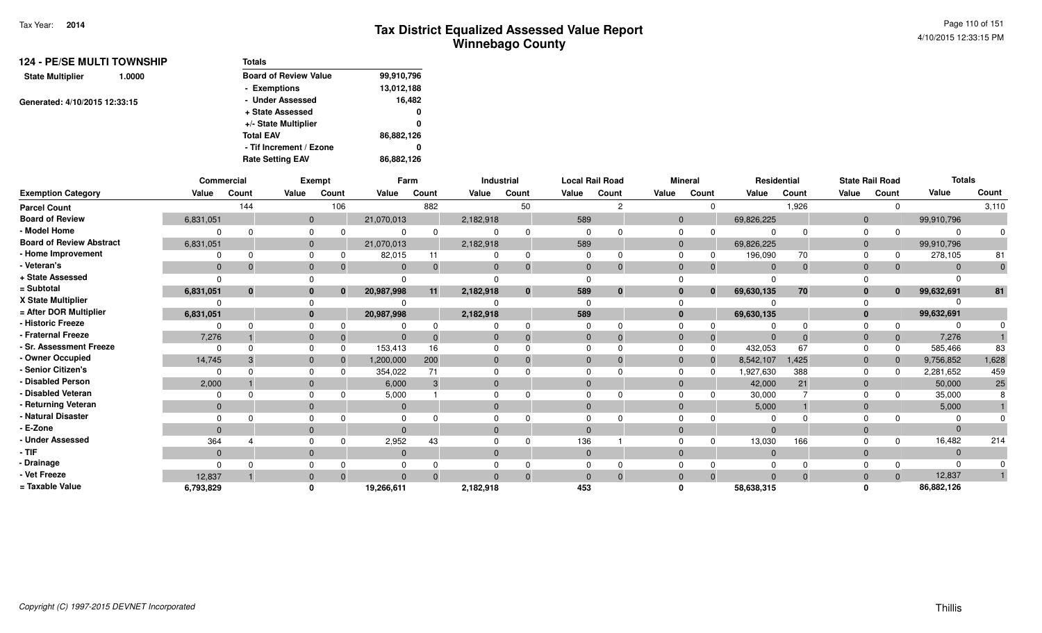| <b>Totals</b>                |            |
|------------------------------|------------|
| <b>Board of Review Value</b> | 99,910,796 |
| - Exemptions                 | 13,012,188 |
| - Under Assessed             | 16,482     |
| + State Assessed             | 0          |
| +/- State Multiplier         | 0          |
| <b>Total EAV</b>             | 86,882,126 |
| - Tif Increment / Ezone      | 0          |
| <b>Rate Setting EAV</b>      | 86,882,126 |
|                              |            |

|                                 | Commercial   |          |                | Exempt       |            | Farm  |           | Industrial   |          | <b>Local Rail Road</b> |              | <b>Mineral</b> | Residential |          |                | <b>State Rail Road</b> | <b>Totals</b> |       |
|---------------------------------|--------------|----------|----------------|--------------|------------|-------|-----------|--------------|----------|------------------------|--------------|----------------|-------------|----------|----------------|------------------------|---------------|-------|
| <b>Exemption Category</b>       | Value        | Count    | Value          | Count        | Value      | Count | Value     | Count        | Value    | Count                  | Value        | Count          | Value       | Count    | Value          | Count                  | Value         | Count |
| <b>Parcel Count</b>             |              | 144      |                | 106          |            | 882   |           | 50           |          |                        |              |                |             | 1,926    |                |                        |               | 3,110 |
| <b>Board of Review</b>          | 6,831,051    |          | $\mathbf{0}$   |              | 21,070,013 |       | 2,182,918 |              | 589      |                        | $\mathbf{0}$ |                | 69,826,225  |          | $\Omega$       |                        | 99,910,796    |       |
| - Model Home                    |              |          | $\Omega$       |              |            |       |           | <sup>n</sup> |          |                        | $\Omega$     |                |             |          |                |                        | $\Omega$      |       |
| <b>Board of Review Abstract</b> | 6,831,051    |          | $\mathbf{0}$   |              | 21,070,013 |       | 2,182,918 |              | 589      |                        | $\mathbf{0}$ |                | 69,826,225  |          | $\overline{0}$ |                        | 99,910,796    |       |
| - Home Improvement              |              |          | $\Omega$       |              | 82,015     | 11    |           | 0            |          |                        | 0            |                | 196,090     | 70       |                |                        | 278,105       | 81    |
| - Veteran's                     | $\mathbf{0}$ |          | $\mathbf{0}$   |              | $\Omega$   |       | $\Omega$  | $\mathbf 0$  | $\Omega$ |                        | $\Omega$     |                | $\Omega$    | $\Omega$ | $\Omega$       |                        | $\Omega$      |       |
| + State Assessed                |              |          |                |              |            |       |           |              |          |                        |              |                |             |          |                |                        |               |       |
| = Subtotal                      | 6,831,051    | $\bf{0}$ | $\bf{0}$       | $\mathbf{0}$ | 20,987,998 | 11    | 2,182,918 | $\mathbf 0$  | 589      | $\bf{0}$               | $\bf{0}$     | $\bf{0}$       | 69,630,135  | 70       |                | $\bf{0}$               | 99,632,691    | 81    |
| X State Multiplier              |              |          |                |              |            |       |           |              |          |                        |              |                |             |          |                |                        |               |       |
| = After DOR Multiplier          | 6,831,051    |          | $\mathbf{0}$   |              | 20,987,998 |       | 2,182,918 |              | 589      |                        | $\bf{0}$     |                | 69,630,135  |          |                |                        | 99,632,691    |       |
| - Historic Freeze               |              |          | $\Omega$       |              |            |       |           | <sup>n</sup> |          |                        |              |                |             |          |                |                        |               |       |
| - Fraternal Freeze              | 7,276        |          | $\mathbf{0}$   |              |            |       |           | $\Omega$     | $\Omega$ |                        | $\Omega$     | 0              |             |          |                |                        | 7,276         |       |
| - Sr. Assessment Freeze         |              |          | $\Omega$       | $\Omega$     | 153,413    | 16    |           |              |          |                        |              |                | 432,053     | 67       |                |                        | 585,466       | 83    |
| - Owner Occupied                | 14,745       |          | $\overline{0}$ |              | 1,200,000  | 200   | $\Omega$  | $\Omega$     | $\Omega$ |                        | $\Omega$     | $\Omega$       | 8,542,107   | 1,425    | $\Omega$       |                        | 9,756,852     | 1,628 |
| - Senior Citizen's              |              |          |                |              | 354,022    | 71    |           |              |          |                        |              |                | 1,927,630   | 388      |                |                        | 2,281,652     | 459   |
| <b>Disabled Person</b>          | 2,000        |          | $\Omega$       |              | 6,000      |       | $\Omega$  |              | $\Omega$ |                        | $\Omega$     |                | 42,000      | 21       | $\Omega$       |                        | 50,000        | 25    |
| Disabled Veteran                |              |          | $\Omega$       |              | 5,000      |       | ŋ         |              |          |                        |              |                | 30,000      |          |                |                        | 35,000        |       |
| - Returning Veteran             | $\mathbf{0}$ |          | $\Omega$       |              | $\Omega$   |       | $\Omega$  |              | $\Omega$ |                        | $\Omega$     |                | 5,000       |          | $\Omega$       |                        | 5,000         |       |
| - Natural Disaster              |              |          |                |              |            |       |           |              |          |                        |              |                |             |          |                |                        |               |       |
| · E-Zone                        | $\Omega$     |          | $\Omega$       |              |            |       | $\Omega$  |              | $\Omega$ |                        | $\Omega$     |                | $\Omega$    |          | $\Omega$       |                        | $\Omega$      |       |
| <b>Under Assessed</b>           | 364          |          | $\Omega$       |              | 2,952      | 43    |           |              | 136      |                        |              |                | 13,030      | 166      |                |                        | 16,482        | 214   |
| $-$ TIF                         | $\Omega$     |          | $\Omega$       |              |            |       | $\Omega$  |              | $\Omega$ |                        | $\Omega$     |                | $\mathbf 0$ |          | $\Omega$       |                        | $\Omega$      |       |
| - Drainage                      |              |          |                |              |            |       |           |              |          |                        |              |                | 0           |          |                |                        | $\Omega$      |       |
| - Vet Freeze                    | 12,837       |          | $\mathbf{0}$   | $\Omega$     | $\Omega$   |       | $\Omega$  | $\Omega$     | $\Omega$ | $\Omega$               | $\Omega$     | $\Omega$       | $\Omega$    | $\Omega$ | $\Omega$       | $\Omega$               | 12,837        |       |
| = Taxable Value                 | 6,793,829    |          | $\mathbf{0}$   |              | 19,266,611 |       | 2,182,918 |              | 453      |                        |              |                | 58,638,315  |          |                |                        | 86,882,126    |       |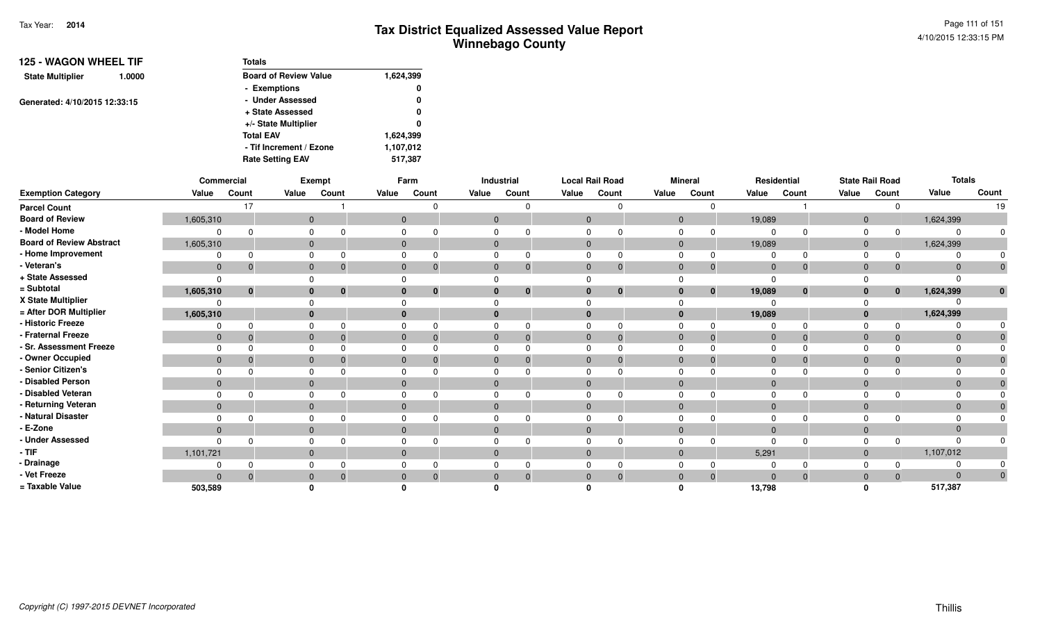| <b>125 - WAGON WHEEL TIF</b>  |                         | <b>Totals</b>                |           |
|-------------------------------|-------------------------|------------------------------|-----------|
| <b>State Multiplier</b>       | 1.0000                  | <b>Board of Review Value</b> | 1,624,399 |
|                               |                         | - Exemptions                 | 0         |
| Generated: 4/10/2015 12:33:15 |                         | - Under Assessed             | 0         |
|                               |                         | + State Assessed             | 0         |
|                               |                         | +/- State Multiplier         | 0         |
|                               |                         | <b>Total EAV</b>             | 1,624,399 |
|                               |                         | - Tif Increment / Ezone      | 1,107,012 |
|                               | <b>Rate Setting EAV</b> | 517,387                      |           |

|                                 |              | Commercial |              | Exempt   |                | Farm           |                | Industrial   |                | <b>Local Rail Road</b> |                | <b>Mineral</b>               |              | Residential |              | <b>State Rail Road</b> | <b>Totals</b>  |              |
|---------------------------------|--------------|------------|--------------|----------|----------------|----------------|----------------|--------------|----------------|------------------------|----------------|------------------------------|--------------|-------------|--------------|------------------------|----------------|--------------|
| <b>Exemption Category</b>       | Value        | Count      | Value        | Count    | Value          | Count          | Value          | Count        | Value          | Count                  | Value          | Count                        | Value        | Count       | Value        | Count                  | Value          | Count        |
| <b>Parcel Count</b>             |              | 17         |              |          |                |                |                | $\Omega$     |                | 0                      |                |                              |              |             |              |                        |                | 19           |
| <b>Board of Review</b>          | 1,605,310    |            | $\mathbf 0$  |          | $\mathbf 0$    |                | $\overline{0}$ |              | $\mathbf{0}$   |                        |                | $\mathbf 0$                  | 19,089       |             | $\mathbf{0}$ |                        | 1,624,399      |              |
| - Model Home                    | 0            |            |              |          |                |                | 0              |              | 0              | $\Omega$               |                |                              |              |             | $\mathbf 0$  |                        |                | U            |
| <b>Board of Review Abstract</b> | 1,605,310    |            | $\mathbf{0}$ |          | $\overline{0}$ |                | $\mathbf{0}$   |              | $\mathbf{0}$   |                        | $\overline{0}$ |                              | 19,089       |             | $\mathbf{0}$ |                        | 1,624,399      |              |
| - Home Improvement              |              |            |              |          |                |                | $\Omega$       |              |                | $\Omega$               |                |                              |              |             |              |                        |                |              |
| - Veteran's                     | $\mathbf 0$  | 0          | $\mathbf{0}$ |          | $\mathbf 0$    | $\overline{0}$ | $\mathbf{0}$   | $\mathbf{0}$ | $\mathbf{0}$   | $\mathbf{0}$           | $\mathbf 0$    | 0                            | $\mathbf 0$  | $\Omega$    | $\mathbf{0}$ |                        | $\Omega$       | $\mathbf 0$  |
| + State Assessed                | $\Omega$     |            |              |          |                |                | $\Omega$       |              |                |                        |                |                              |              |             |              |                        |                |              |
| = Subtotal                      | 1,605,310    |            |              | $\Omega$ |                | $\bf{0}$       | $\mathbf{0}$   | $\bf{0}$     | $\mathbf{0}$   | $\bf{0}$               |                | $\mathbf{0}$<br>$\mathbf{0}$ | 19,089       | $\bf{0}$    | $\mathbf{0}$ | $\mathbf{0}$           | 1,624,399      | $\mathbf 0$  |
| X State Multiplier              | $\Omega$     |            |              |          |                |                |                |              |                |                        |                |                              |              |             |              |                        |                |              |
| = After DOR Multiplier          | 1,605,310    |            | $\bf{0}$     |          | $\bf{0}$       |                | $\mathbf{0}$   |              | $\mathbf{0}$   |                        | $\bf{0}$       |                              | 19,089       |             | $\mathbf{0}$ |                        | 1,624,399      |              |
| - Historic Freeze               | 0            |            | 0            |          | $\Omega$       |                | $\Omega$       | $\Omega$     | $\Omega$       | $\Omega$               |                |                              |              |             | $\Omega$     |                        |                |              |
| - Fraternal Freeze              | $\mathbf 0$  | - 0        | $\mathbf{0}$ |          | $\mathbf 0$    | $\Omega$       | $\mathbf{0}$   | $\Omega$     | $\mathbf{0}$   | $\mathbf{0}$           | $\mathbf{0}$   | $\Omega$                     | $\mathbf 0$  |             | $\mathbf{0}$ |                        | $\overline{0}$ |              |
| - Sr. Assessment Freeze         | $\Omega$     |            | 0            |          | $\Omega$       |                | $\mathbf 0$    |              | $\Omega$       | $\Omega$               | $\Omega$       |                              |              |             | $\Omega$     |                        |                |              |
| - Owner Occupied                | $\mathbf 0$  |            | $\mathbf 0$  |          | $\overline{0}$ |                | $\mathbf{0}$   |              | $\mathbf{0}$   | $\Omega$               | $\mathbf 0$    |                              | $\Omega$     |             | $\mathbf{0}$ |                        |                |              |
| - Senior Citizen's              |              |            | 0            |          | $\Omega$       |                | $\mathbf 0$    |              | $\Omega$       |                        | $\Omega$       |                              |              |             |              |                        |                |              |
| - Disabled Person               | $\Omega$     |            | $\mathbf{0}$ |          | $\overline{0}$ |                | $\mathbf{0}$   |              | $\Omega$       |                        | $\mathbf{0}$   |                              | $\Omega$     |             | $\mathbf{0}$ |                        |                |              |
| - Disabled Veteran              | $\Omega$     |            | 0            |          | $\Omega$       |                | $\mathbf 0$    |              | $\Omega$       | $\Omega$               | $\Omega$       |                              |              |             | $\Omega$     |                        |                |              |
| - Returning Veteran             | $\mathbf{0}$ |            | $\mathbf{0}$ |          | $\overline{0}$ |                | $\mathbf{0}$   |              | $\overline{0}$ |                        | $\mathbf{0}$   |                              | $\mathbf{0}$ |             | $\mathbf{0}$ |                        | $\mathbf{0}$   | $\Omega$     |
| - Natural Disaster              |              |            |              |          | $\Omega$       |                | $\mathbf 0$    |              | 0              | <sup>n</sup>           |                | 0                            |              |             |              |                        |                |              |
| - E-Zone                        | $\mathbf{0}$ |            | $\mathbf{0}$ |          | $\Omega$       |                | $\mathbf{0}$   |              | $\Omega$       |                        | $\mathbf{0}$   |                              |              |             | $\mathbf 0$  |                        |                |              |
| - Under Assessed                | $\Omega$     |            |              |          |                |                | $\Omega$       |              |                | $\Omega$               |                |                              |              |             | $\Omega$     |                        |                |              |
| - TIF                           | 1,101,721    |            | $\mathbf{0}$ |          | $\mathbf 0$    |                | $\mathbf{0}$   |              | $\overline{0}$ |                        |                | $\mathbf{0}$                 | 5,291        |             | $\mathbf{0}$ |                        | 1,107,012      |              |
| - Drainage                      | 0            |            | 0            |          | $\Omega$       |                | $\Omega$       |              | $\Omega$       | $\Omega$               |                |                              |              |             |              |                        |                |              |
| - Vet Freeze                    | $\Omega$     |            |              |          |                | $\Omega$       | $\mathbf{0}$   | $\Omega$     | $\mathbf{0}$   | $\mathbf{0}$           | $\mathbf{0}$   | $\Omega$                     | $\Omega$     |             | $\mathbf 0$  |                        | $\Omega$       | $\mathbf{0}$ |
| = Taxable Value                 | 503,589      |            |              |          |                |                |                |              |                |                        |                |                              | 13,798       |             |              |                        | 517,387        |              |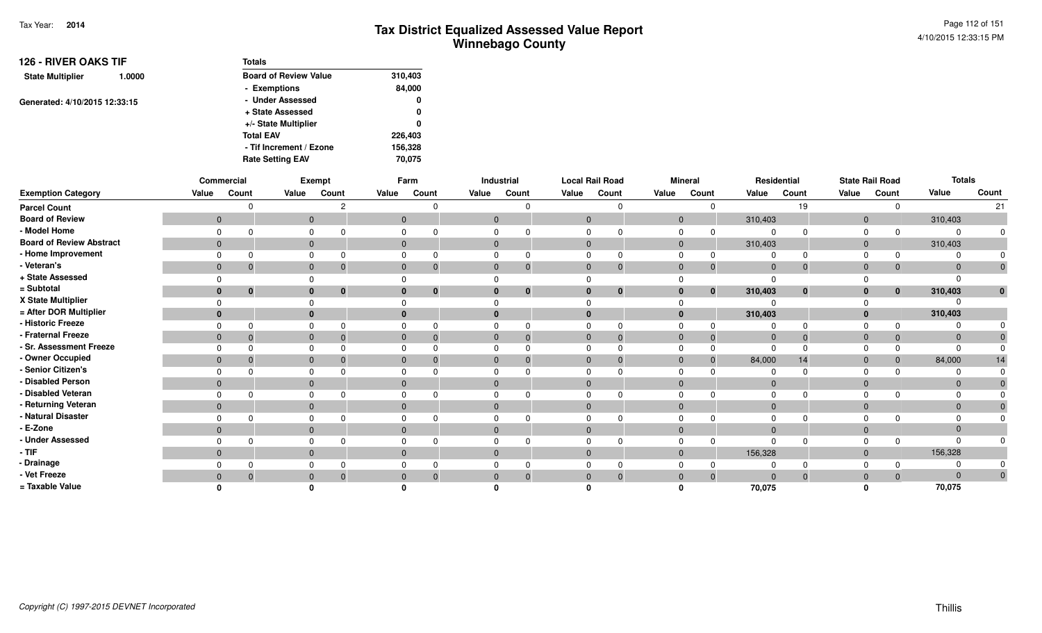| <b>126 - RIVER OAKS TIF</b>       | <b>Totals</b>                |         |
|-----------------------------------|------------------------------|---------|
| <b>State Multiplier</b><br>1.0000 | <b>Board of Review Value</b> | 310,403 |
|                                   | - Exemptions                 | 84,000  |
| Generated: 4/10/2015 12:33:15     | - Under Assessed             | 0       |
|                                   | + State Assessed             | 0       |
|                                   | +/- State Multiplier         | 0       |
|                                   | <b>Total EAV</b>             | 226,403 |
|                                   | - Tif Increment / Ezone      | 156,328 |
|                                   | <b>Rate Setting EAV</b>      | 70.075  |

|                                 |                | Commercial   |              | Exempt   |              | Farm                         |              | Industrial  | <b>Local Rail Road</b> |          |                | <b>Mineral</b> |                | Residential |                | <b>State Rail Road</b> | <b>Totals</b>  |              |
|---------------------------------|----------------|--------------|--------------|----------|--------------|------------------------------|--------------|-------------|------------------------|----------|----------------|----------------|----------------|-------------|----------------|------------------------|----------------|--------------|
| <b>Exemption Category</b>       | Value          | Count        | Value        | Count    | Value        | Count                        | Value        | Count       | Value                  | Count    | Value          | Count          | Value          | Count       | Value          | Count                  | Value          | Count        |
| <b>Parcel Count</b>             |                | $\Omega$     |              | c        |              | U                            |              |             |                        | $\Omega$ |                | $\Omega$       |                | 19          |                |                        |                | 21           |
| <b>Board of Review</b>          | $\mathbf{0}$   |              | $\mathbf 0$  |          |              | $\overline{0}$               | $\mathbf{0}$ |             | $\Omega$               |          | $\overline{0}$ |                | 310,403        |             | $\overline{0}$ |                        | 310,403        |              |
| - Model Home                    | $\Omega$       | $\Omega$     |              | 0        | $\Omega$     | ŋ                            |              |             |                        |          | $\Omega$       | $\Omega$       | 0              |             | $\Omega$       |                        | $\Omega$       |              |
| <b>Board of Review Abstract</b> | $\overline{0}$ |              | $\mathbf 0$  |          |              | $\overline{0}$               | $\mathbf{0}$ |             | $\Omega$               |          | $\overline{0}$ |                | 310,403        |             | $\overline{0}$ |                        | 310,403        |              |
| - Home Improvement              | $\Omega$       | $\Omega$     |              | 0        | $\Omega$     |                              |              |             |                        |          | $\Omega$       |                |                |             |                |                        | $\Omega$       |              |
| - Veteran's                     | $\mathbf{0}$   | $\mathbf{0}$ | $\mathbf{0}$ | $\bf{0}$ |              | $\mathbf{0}$<br>$\mathbf{0}$ | $\mathbf{0}$ | $\mathbf 0$ | $\mathbf{0}$           | 0        | $\Omega$       | $\overline{0}$ | $\overline{0}$ | $\Omega$    | $\overline{0}$ | $\mathbf 0$            | $\mathbf{0}$   |              |
| + State Assessed                |                |              |              |          |              |                              |              |             |                        |          |                |                |                |             |                |                        | $\Omega$       |              |
| = Subtotal                      | $\bf{0}$       | $\bf{0}$     | $\bf{0}$     | 0        | $\mathbf{0}$ | $\bf{0}$                     |              | $\bf{0}$    |                        | $\bf{0}$ | $\bf{0}$       | $\bf{0}$       | 310,403        | $\bf{0}$    | 0              | $\mathbf{0}$           | 310,403        | $\mathbf{0}$ |
| X State Multiplier              |                |              |              |          | $\Omega$     |                              |              |             |                        |          |                |                |                |             |                |                        | $\Omega$       |              |
| = After DOR Multiplier          | 0              |              |              |          | $\bf{0}$     |                              |              |             |                        |          | $\bf{0}$       |                | 310,403        |             | $\bf{0}$       |                        | 310,403        |              |
| - Historic Freeze               | $\Omega$       | $\Omega$     |              | U        | $\Omega$     | ŋ                            |              |             |                        |          |                | $\Omega$       |                |             |                |                        | $\Omega$       |              |
| - Fraternal Freeze              | $\overline{0}$ | $\mathbf{0}$ | $\mathbf 0$  |          | $\mathbf{0}$ |                              | $\mathbf{0}$ | $\Omega$    | $\mathbf{0}$           | $\Omega$ | $\mathbf{0}$   | $\overline{0}$ | $\overline{0}$ | $\Omega$    | $\overline{0}$ | $\overline{0}$         | $\mathbf 0$    |              |
| - Sr. Assessment Freeze         |                | $\Omega$     |              |          | $\Omega$     |                              |              |             |                        |          |                | $\Omega$       |                |             |                |                        | $\Omega$       |              |
| - Owner Occupied                | $\overline{0}$ | $\Omega$     | $\mathbf 0$  |          | $\mathbf{0}$ |                              | 0            | $\Omega$    | $\Omega$               |          | $\Omega$       | $\mathbf 0$    | 84,000         | 14          | $\Omega$       | $\Omega$               | 84,000         | 14           |
| - Senior Citizen's              |                | $\Omega$     | $\Omega$     |          | $\Omega$     |                              |              |             |                        |          | $\Omega$       |                |                |             |                |                        | $\Omega$       |              |
| - Disabled Person               | $\overline{0}$ |              | $\mathbf{0}$ |          | $\mathbf{0}$ |                              | $\Omega$     |             | $\Omega$               |          | $\mathbf{0}$   |                | $\overline{0}$ |             | $\overline{0}$ |                        | $\mathbf{0}$   |              |
| - Disabled Veteran              | $\Omega$       | $\Omega$     |              |          | $\Omega$     |                              |              |             |                        |          |                |                |                |             |                |                        | $\Omega$       |              |
| - Returning Veteran             | $\overline{0}$ |              | $\mathbf{0}$ |          |              | $\overline{0}$               | $\Omega$     |             | $\Omega$               |          | $\Omega$       |                | $\Omega$       |             | $\Omega$       |                        | $\overline{0}$ |              |
| - Natural Disaster              |                | $\Omega$     |              | 0        | $\Omega$     |                              |              |             |                        |          | $\Omega$       |                |                |             |                |                        | $\Omega$       |              |
| - E-Zone                        | $\overline{0}$ |              | $\mathbf{0}$ |          | $\Omega$     |                              |              |             |                        |          | $\Omega$       |                | $\Omega$       |             | $\Omega$       |                        | $\mathbf{0}$   |              |
| - Under Assessed                |                | $\Omega$     |              | 0        | $\Omega$     | n                            |              |             |                        |          | $\Omega$       | $\Omega$       |                |             |                |                        | $\Omega$       |              |
| $-TIF$                          | $\overline{0}$ |              | $\mathbf{0}$ |          |              | $\overline{0}$               |              |             | $\mathbf{0}$           |          | $\mathbf{0}$   |                | 156,328        |             | $\Omega$       |                        | 156,328        |              |
| - Drainage                      |                |              |              |          | 0            |                              |              |             |                        |          |                |                |                |             |                |                        | $\Omega$       |              |
| - Vet Freeze                    | $\overline{0}$ | $\Omega$     | $\mathbf{0}$ |          | $\Omega$     |                              |              | $\Omega$    |                        | $\Omega$ | $\Omega$       | $\overline{0}$ | $\Omega$       | $\Omega$    |                |                        | $\Omega$       |              |
| = Taxable Value                 |                |              |              |          |              |                              |              |             |                        |          |                |                | 70,075         |             |                |                        | 70,075         |              |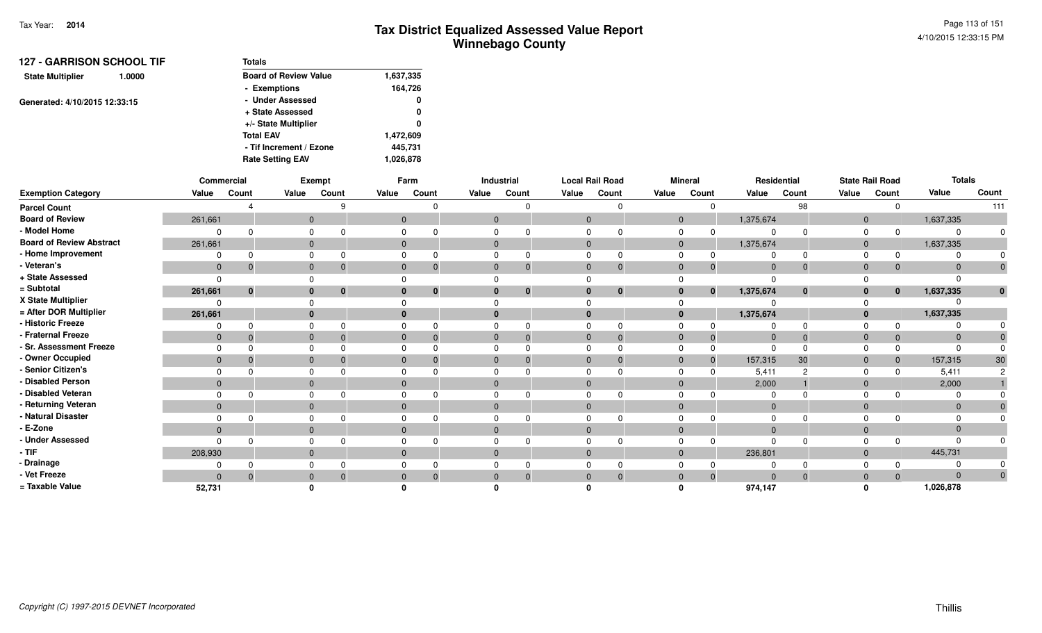| <b>127 - GARRISON SCHOOL TIF</b>  | Totals                       |           |  |  |
|-----------------------------------|------------------------------|-----------|--|--|
| <b>State Multiplier</b><br>1.0000 | <b>Board of Review Value</b> | 1,637,335 |  |  |
|                                   | - Exemptions                 | 164,726   |  |  |
| Generated: 4/10/2015 12:33:15     | - Under Assessed             | 0         |  |  |
|                                   | + State Assessed             | 0         |  |  |
|                                   | +/- State Multiplier         | 0         |  |  |
|                                   | <b>Total EAV</b>             | 1,472,609 |  |  |
|                                   | - Tif Increment / Ezone      | 445,731   |  |  |
|                                   | <b>Rate Setting EAV</b>      | 1,026,878 |  |  |

|                                 |                | Commercial   |          | <b>Exempt</b> |              | Farm         |              | Industrial   | <b>Local Rail Road</b> |              |             | <b>Mineral</b> | Residential    |              |                | <b>State Rail Road</b> | <b>Totals</b>  |              |
|---------------------------------|----------------|--------------|----------|---------------|--------------|--------------|--------------|--------------|------------------------|--------------|-------------|----------------|----------------|--------------|----------------|------------------------|----------------|--------------|
| <b>Exemption Category</b>       | Value          | Count        | Value    | Count         | Value        | Count        | Value        | Count        | Value                  | Count        | Value       | Count          | Value          | Count        | Value          | Count                  | Value          | Count        |
| <b>Parcel Count</b>             |                |              |          | $\Omega$      |              | $\Omega$     |              | O            |                        | $\Omega$     |             |                |                | 98           |                |                        |                | 111          |
| <b>Board of Review</b>          | 261,661        |              |          | $\mathbf{0}$  | $\mathbf{0}$ |              | $\mathbf{0}$ |              | $\overline{0}$         |              | $\mathbf 0$ |                | 1,375,674      |              | $\mathbf 0$    |                        | 1,637,335      |              |
| - Model Home                    |                |              |          |               |              |              |              |              |                        |              |             |                | $\Omega$       |              |                |                        | $\Omega$       |              |
| <b>Board of Review Abstract</b> | 261,661        |              |          | $\mathbf{0}$  | $\mathbf{0}$ |              | $\mathbf{0}$ |              | $\mathbf{0}$           |              | $\mathbf 0$ |                | 1,375,674      |              | $\overline{0}$ |                        | 1,637,335      |              |
| - Home Improvement              |                |              |          |               |              |              |              |              |                        |              |             |                |                |              |                |                        |                |              |
| - Veteran's                     | $\mathbf{0}$   |              |          | $\mathbf{0}$  | $\mathbf{0}$ | $\Omega$     |              | 0            | $\mathbf{0}$           | $\mathbf 0$  | $\Omega$    |                | $\overline{0}$ | $\mathbf{0}$ | $\overline{0}$ |                        | $\mathbf{0}$   |              |
| + State Assessed                | $\Omega$       |              |          |               |              |              |              |              |                        |              |             |                | $\Omega$       |              |                |                        | $\Omega$       |              |
| = Subtotal                      | 261,661        | $\mathbf{0}$ |          | $\bf{0}$<br>0 |              | $\mathbf{0}$ |              | $\mathbf{0}$ | $\bf{0}$               | $\mathbf{0}$ |             | $\mathbf{0}$   | 1,375,674      | $\mathbf{0}$ | $\mathbf{0}$   | $\mathbf{0}$           | 1,637,335      | $\mathbf{0}$ |
| X State Multiplier              |                |              |          |               |              |              |              |              |                        |              |             |                |                |              |                |                        |                |              |
| = After DOR Multiplier          | 261,661        |              | $\bf{0}$ |               |              |              |              |              | $\mathbf{0}$           |              |             |                | 1,375,674      |              | $\Omega$       |                        | 1,637,335      |              |
| - Historic Freeze               |                |              |          |               |              | $\Omega$     |              |              | $\Omega$               | $\Omega$     |             |                | $\Omega$       |              |                |                        | $\Omega$       |              |
| - Fraternal Freeze              | $\mathbf{0}$   |              | $\Omega$ |               | $\mathbf{0}$ | $\Omega$     |              |              | $\overline{0}$         | $\Omega$     | $\Omega$    |                | $\overline{0}$ | $\Omega$     | $\Omega$       |                        | $\overline{0}$ |              |
| - Sr. Assessment Freeze         |                |              |          |               |              |              |              |              |                        |              |             |                | $\Omega$       |              |                |                        | $\Omega$       |              |
| - Owner Occupied                | $\mathbf{0}$   |              | $\Omega$ |               |              |              |              |              | $\Omega$               | $\Omega$     | $\Omega$    |                | 157,315        | 30           | $\Omega$       |                        | 157,315        | 30           |
| - Senior Citizen's              |                |              |          |               |              |              |              |              |                        |              |             |                | 5,411          |              |                |                        | 5,411          |              |
| - Disabled Person               | $\mathbf{0}$   |              |          | $\Omega$      | 0            |              |              |              | $\Omega$               |              | $\Omega$    |                | 2,000          |              | $\Omega$       |                        | 2,000          |              |
| - Disabled Veteran              |                |              |          |               |              |              |              |              |                        |              |             |                | $\Omega$       |              |                |                        | $\Omega$       |              |
| - Returning Veteran             | $\overline{0}$ |              |          | $\Omega$      | $\mathbf{0}$ |              | $\Omega$     |              | $\Omega$               |              | $\Omega$    |                | $\overline{0}$ |              | $\Omega$       |                        | $\Omega$       |              |
| - Natural Disaster              |                |              |          |               |              |              |              |              | $\Omega$               |              |             |                | $\Omega$       |              |                |                        | $\Omega$       |              |
| - E-Zone                        | $\mathbf{0}$   |              |          | $\Omega$      |              |              |              |              | $\Omega$               |              |             |                | $\Omega$       |              |                |                        | $\mathbf{0}$   |              |
| - Under Assessed                |                |              |          |               |              |              |              |              |                        | ∩            |             |                | $\Omega$       |              |                |                        | $\Omega$       |              |
| - TIF-                          | 208,930        |              |          | $\Omega$      | $\mathbf{0}$ |              |              |              | $\overline{0}$         |              | $\Omega$    |                | 236,801        |              | $\Omega$       |                        | 445,731        |              |
| - Drainage                      |                |              |          |               |              |              |              |              |                        |              |             |                |                |              |                |                        | $\Omega$       |              |
| - Vet Freeze                    | $\Omega$       |              |          |               |              |              |              | 0            | $\Omega$               | $\Omega$     |             |                | $\Omega$       | $\Omega$     |                |                        | $\Omega$       |              |
| = Taxable Value                 | 52,731         |              |          |               |              |              |              |              |                        |              |             |                | 974,147        |              |                |                        | 1,026,878      |              |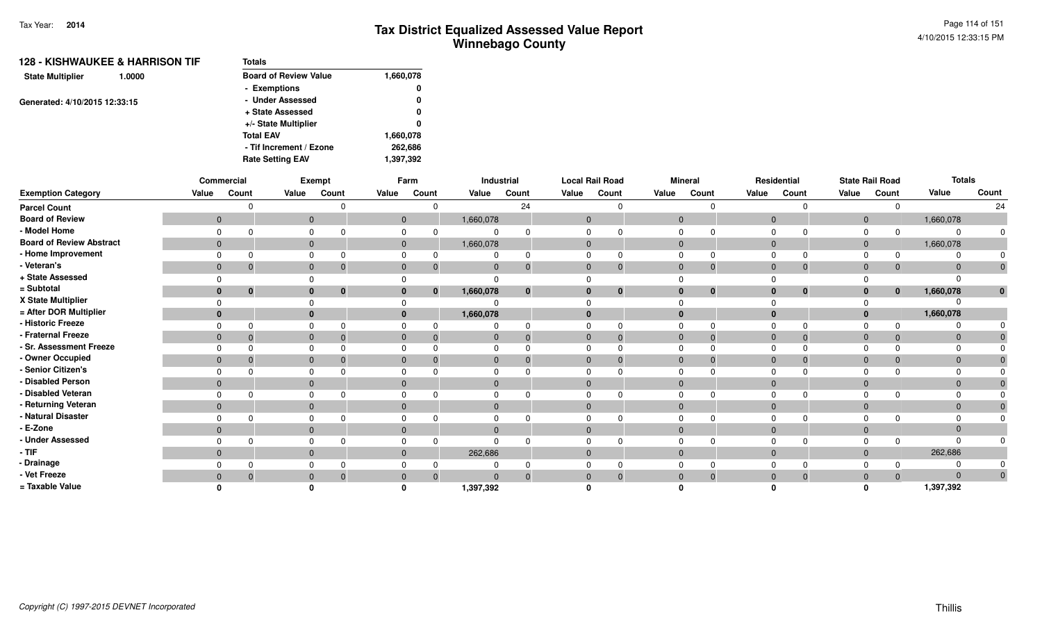|                               | 128 - KISHWAUKEE & HARRISON TIF | <b>Totals</b>                |           |  |  |  |
|-------------------------------|---------------------------------|------------------------------|-----------|--|--|--|
| <b>State Multiplier</b>       | 1.0000                          | <b>Board of Review Value</b> | 1,660,078 |  |  |  |
|                               |                                 | - Exemptions                 | 0         |  |  |  |
| Generated: 4/10/2015 12:33:15 |                                 | - Under Assessed             | 0         |  |  |  |
|                               |                                 | + State Assessed             | 0         |  |  |  |
|                               |                                 | +/- State Multiplier         | 0         |  |  |  |
|                               |                                 | <b>Total EAV</b>             | 1,660,078 |  |  |  |
|                               |                                 | - Tif Increment / Ezone      | 262,686   |  |  |  |
|                               |                                 | <b>Rate Setting EAV</b>      | 1,397,392 |  |  |  |
|                               |                                 |                              |           |  |  |  |

|                                 |                | Commercial     |              | Exempt       |                | Farm         |              | Industrial |              | <b>Local Rail Road</b> |                | <b>Mineral</b> |                | Residential  |              | <b>State Rail Road</b> | <b>Totals</b> |              |
|---------------------------------|----------------|----------------|--------------|--------------|----------------|--------------|--------------|------------|--------------|------------------------|----------------|----------------|----------------|--------------|--------------|------------------------|---------------|--------------|
| <b>Exemption Category</b>       | Value          | Count          | Value        | Count        | Value          | Count        | Value        | Count      | Value        | Count                  | Value          | Count          | Value          | Count        | Value        | Count                  | Value         | Count        |
| <b>Parcel Count</b>             |                |                |              |              |                |              |              | 24         |              |                        |                | $\Omega$       |                | $\Omega$     |              | $\Omega$               |               | 24           |
| <b>Board of Review</b>          | $\overline{0}$ |                | $\mathbf{0}$ |              | $\mathbf{0}$   |              | 1,660,078    |            | $\mathbf{0}$ |                        | $\mathbf 0$    |                | $\mathbf 0$    |              | $\mathbf{0}$ |                        | 1,660,078     |              |
| - Model Home                    | $\Omega$       |                | 0            |              | 0              |              | 0            |            |              |                        | 0              |                | $\Omega$       | $\Omega$     | $\Omega$     | $\Omega$               |               |              |
| <b>Board of Review Abstract</b> | $\overline{0}$ |                | $\mathbf{0}$ |              | $\mathbf 0$    |              | 1,660,078    |            | $\mathbf{0}$ |                        | $\overline{0}$ |                | $\mathbf{0}$   |              | $\mathbf{0}$ |                        | 1,660,078     |              |
| - Home Improvement              | $\Omega$       |                | 0            |              | 0              |              |              |            | $\Omega$     |                        | $\Omega$       |                | $\Omega$       | $\Omega$     | $\Omega$     | $\Omega$               |               |              |
| - Veteran's                     | $\mathbf{0}$   | 0              | $\mathbf{0}$ | -0           | $\mathbf 0$    | -0           | $\mathbf{0}$ |            | $\mathbf{0}$ |                        | $\mathbf{0}$   | $\Omega$       | $\mathbf 0$    | $\mathbf{0}$ | $\mathbf{0}$ | $\Omega$               | $\Omega$      | $\mathbf{0}$ |
| + State Assessed                | $\Omega$       |                | $\Omega$     |              |                |              | 0            |            |              |                        |                |                | $\Omega$       |              |              |                        |               |              |
| = Subtotal                      | $\mathbf{0}$   | $\mathbf{0}$   | $\mathbf{0}$ | $\mathbf{0}$ | $\mathbf{0}$   | $\mathbf{0}$ | 1,660,078    |            | $\bf{0}$     | $\bf{0}$               | $\mathbf{0}$   | $\bf{0}$       | $\mathbf{0}$   | $\bf{0}$     | $\mathbf{0}$ | $\bf{0}$               | 1,660,078     | $\mathbf{0}$ |
| X State Multiplier              | $\Omega$       |                | $\Omega$     |              |                |              |              |            |              |                        |                |                |                |              |              |                        |               |              |
| = After DOR Multiplier          | $\mathbf{0}$   |                | $\mathbf{0}$ |              | $\mathbf{0}$   |              | 1,660,078    |            | $\bf{0}$     |                        | $\mathbf{0}$   |                | $\mathbf{0}$   |              | $\mathbf{0}$ |                        | 1,660,078     |              |
| - Historic Freeze               | $\Omega$       |                | $\mathbf 0$  |              | 0              |              | 0            |            |              |                        | 0              |                | $\Omega$       | $\Omega$     | 0            | <sup>0</sup>           |               |              |
| - Fraternal Freeze              | $\overline{0}$ | $\overline{0}$ | $\mathbf{0}$ | $\Omega$     | $\overline{0}$ | -0           | $\mathbf{0}$ |            | $\mathbf{0}$ |                        | $\mathbf{0}$   | $\Omega$       | $\overline{0}$ | $\Omega$     | $\mathbf{0}$ | $\Omega$               | $\Omega$      |              |
| - Sr. Assessment Freeze         | $\Omega$       |                | $\mathbf 0$  |              | 0              |              | 0            |            |              |                        | $\mathbf 0$    |                | $\mathbf 0$    | $\Omega$     | $\Omega$     |                        |               |              |
| - Owner Occupied                | $\mathbf{0}$   | -0             | $\mathbf{0}$ |              | $\mathbf{0}$   |              | $\mathbf{0}$ |            | $\mathbf{0}$ |                        | $\mathbf 0$    |                | $\mathbf{0}$   | $\Omega$     | $\mathbf 0$  |                        |               |              |
| - Senior Citizen's              | $\Omega$       |                | $\Omega$     |              | 0              |              | 0            |            |              |                        | $\Omega$       |                | $\Omega$       |              | $\Omega$     |                        |               |              |
| - Disabled Person               | $\Omega$       |                | $\mathbf{0}$ |              | $\mathbf{0}$   |              | $\mathbf{0}$ |            | $\mathbf{0}$ |                        | $\overline{0}$ |                | $\mathbf{0}$   |              | $\mathbf 0$  |                        |               |              |
| - Disabled Veteran              | $\Omega$       | $\Omega$       | $\mathbf 0$  |              | 0              |              | 0            |            | $\Omega$     |                        | $\mathbf 0$    |                | $\Omega$       | $\Omega$     | $\Omega$     |                        |               |              |
| - Returning Veteran             | $\overline{0}$ |                | $\mathbf{0}$ |              | $\mathbf{0}$   |              | $\mathbf{0}$ |            | $\mathbf{0}$ |                        | $\mathbf{0}$   |                | $\mathbf{0}$   |              | $\mathbf{0}$ |                        | $\Omega$      |              |
| - Natural Disaster              | $\Omega$       |                | $\mathbf 0$  |              | $\Omega$       |              | 0            |            | $\Omega$     |                        | $\Omega$       |                | $\Omega$       | $\Omega$     | $\Omega$     |                        |               |              |
| - E-Zone                        | $\overline{0}$ |                | $\mathbf{0}$ |              | $\Omega$       |              | $\mathbf 0$  |            | $\Omega$     |                        | $\mathbf{0}$   |                | $\Omega$       |              | $\mathbf 0$  |                        |               |              |
| - Under Assessed                | $\Omega$       |                | $\mathbf 0$  |              | 0              |              | 0            |            |              |                        | $\Omega$       |                | $\Omega$       | $\Omega$     | $\Omega$     | $\Omega$               |               |              |
| - TIF                           | $\overline{0}$ |                | $\mathbf{0}$ |              | $\mathbf{0}$   |              | 262,686      |            | $\mathbf{0}$ |                        | $\mathbf{0}$   |                | $\mathbf 0$    |              | $\mathbf{0}$ |                        | 262,686       |              |
| - Drainage                      | $\Omega$       |                | $\mathbf 0$  |              | $\Omega$       |              | 0            |            |              |                        | $\Omega$       |                | $\Omega$       | $\Omega$     | $\Omega$     |                        |               |              |
| - Vet Freeze                    | $\mathbf{0}$   | -0             | $\mathbf{0}$ |              | $\mathbf 0$    | $\Omega$     | $\Omega$     |            |              |                        | $\mathbf 0$    | $\Omega$       | $\mathbf{0}$   | $\mathbf{0}$ | $\mathbf 0$  | $\Omega$               | $\Omega$      | $\mathbf 0$  |
| = Taxable Value                 |                |                | 0            |              |                |              | 1,397,392    |            |              |                        |                |                |                |              | $\Omega$     |                        | 1,397,392     |              |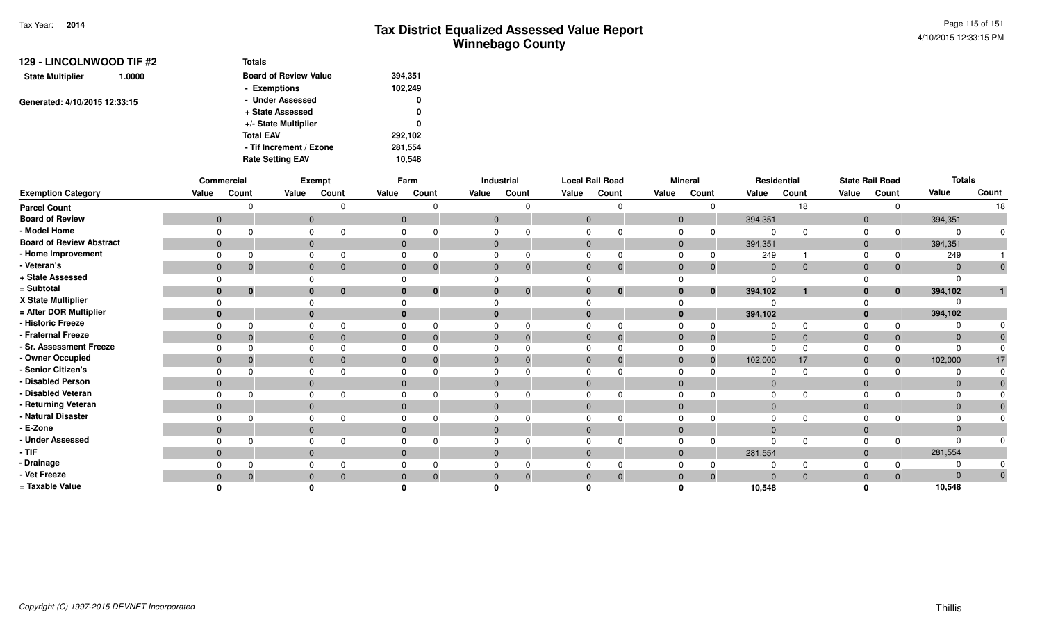| 129 - LINCOLNWOOD TIF #2          | <b>Totals</b>                |         |
|-----------------------------------|------------------------------|---------|
| <b>State Multiplier</b><br>1.0000 | <b>Board of Review Value</b> | 394,351 |
|                                   | - Exemptions                 | 102,249 |
| Generated: 4/10/2015 12:33:15     | - Under Assessed             | 0       |
|                                   | + State Assessed             | 0       |
|                                   | +/- State Multiplier         | 0       |
|                                   | <b>Total EAV</b>             | 292,102 |
|                                   | - Tif Increment / Ezone      | 281,554 |
|                                   | <b>Rate Setting EAV</b>      | 10.548  |

|                                 |                | Commercial  |              | <b>Exempt</b> |              | Farm     |                | Industrial | <b>Local Rail Road</b> |                | <b>Mineral</b> |          | Residential    |              |                | <b>State Rail Road</b> | <b>Totals</b>  |       |
|---------------------------------|----------------|-------------|--------------|---------------|--------------|----------|----------------|------------|------------------------|----------------|----------------|----------|----------------|--------------|----------------|------------------------|----------------|-------|
| <b>Exemption Category</b>       | Value          | Count       | Value        | Count         | Value        | Count    | Value          | Count      | Value                  | Count          | Value          | Count    | Value          | Count        | Value          | Count                  | Value          | Count |
| <b>Parcel Count</b>             |                |             |              |               |              |          |                |            |                        |                |                |          |                | 18           |                |                        |                | 18    |
| <b>Board of Review</b>          | $\mathbf{0}$   |             | $\mathbf 0$  |               | $\mathbf{0}$ |          | $\overline{0}$ |            | $\Omega$               |                | $\Omega$       |          | 394,351        |              | $\Omega$       |                        | 394,351        |       |
| - Model Home                    |                |             |              |               |              |          |                |            |                        |                |                |          | $\Omega$       | $\Omega$     |                |                        | $\Omega$       |       |
| <b>Board of Review Abstract</b> | $\mathbf{0}$   |             | $\mathbf{0}$ |               | $\mathbf{0}$ |          | $\mathbf{0}$   |            | $\overline{0}$         |                | $\mathbf 0$    |          | 394,351        |              | $\overline{0}$ |                        | 394,351        |       |
| - Home Improvement              |                |             |              |               |              |          |                |            | $\Omega$               |                |                |          | 249            |              |                |                        | 249            |       |
| - Veteran's                     | $\mathbf 0$    | $\mathbf 0$ | $\mathbf{0}$ | 0             | $\mathbf 0$  | $\Omega$ | $\mathbf{0}$   | 0          | $\overline{0}$         | $\overline{0}$ | $\Omega$       | 0        | $\overline{0}$ | $\mathbf{0}$ | $\Omega$       |                        | $\overline{0}$ |       |
| + State Assessed                |                |             |              |               |              |          |                |            |                        |                |                |          | $\Omega$       |              |                |                        | $\Omega$       |       |
| = Subtotal                      | $\mathbf{0}$   | $\bf{0}$    | $\bf{0}$     | $\mathbf{0}$  |              | $\bf{0}$ |                | $\bf{0}$   | $\bf{0}$               | $\mathbf{0}$   |                | $\bf{0}$ | 394,102        |              | $\mathbf{0}$   | $\mathbf{0}$           | 394,102        |       |
| X State Multiplier              |                |             |              |               |              |          |                |            |                        |                |                |          | റ              |              |                |                        |                |       |
| = After DOR Multiplier          | $\bf{0}$       |             | $\bf{0}$     |               |              |          |                |            | $\Omega$               |                |                |          | 394,102        |              |                |                        | 394,102        |       |
| - Historic Freeze               |                |             |              |               |              |          |                |            | $\Omega$               | O              |                |          | $\Omega$       |              |                |                        | $\Omega$       |       |
| - Fraternal Freeze              | $\mathbf{0}$   |             | $\Omega$     |               | $\Omega$     | $\Omega$ |                |            | $\Omega$               | $\Omega$       | $\Omega$       |          | $\overline{0}$ | $\Omega$     | $\Omega$       |                        | $\overline{0}$ |       |
| - Sr. Assessment Freeze         |                |             |              |               |              |          |                |            |                        |                |                |          | $\Omega$       |              |                |                        | $\Omega$       |       |
| - Owner Occupied                | $\mathbf 0$    |             | $\Omega$     |               |              |          |                |            | $\Omega$               | 0              |                |          | 102,000        | 17           |                |                        | 102,000        | 17    |
| - Senior Citizen's              |                |             |              |               |              |          |                |            |                        |                |                |          |                |              |                |                        |                |       |
| - Disabled Person               | $\mathbf{0}$   |             | $\mathbf{0}$ |               | $\mathbf{0}$ |          |                |            | $\Omega$               |                | $\mathbf 0$    |          | $\overline{0}$ |              | $\overline{0}$ |                        | $\mathbf{0}$   |       |
| - Disabled Veteran              |                |             |              |               |              |          |                |            |                        |                |                |          | $\Omega$       |              |                |                        | $\Omega$       |       |
| - Returning Veteran             | $\overline{0}$ |             | $\Omega$     |               | $\Omega$     |          | $\Omega$       |            | $\Omega$               |                | $\Omega$       |          | $\overline{0}$ |              | $\Omega$       |                        | $\Omega$       |       |
| - Natural Disaster              |                |             |              |               |              |          |                |            | $\Omega$               |                |                |          | $\Omega$       |              |                |                        | $\Omega$       |       |
| - E-Zone                        | $\overline{0}$ |             | $\Omega$     |               |              |          |                |            | $\Omega$               |                | $\Omega$       |          | $\Omega$       |              | $\Omega$       |                        | $\mathbf{0}$   |       |
| - Under Assessed                |                |             |              |               |              | $\Omega$ |                |            | $\Omega$               | $\Omega$       |                |          | $\Omega$       | $\Omega$     |                |                        | $\Omega$       |       |
| - TIF-                          | $\mathbf{0}$   |             | $\Omega$     |               | $\mathbf{0}$ |          |                |            | $\mathbf{0}$           |                | $\Omega$       |          | 281,554        |              | $\Omega$       |                        | 281,554        |       |
| - Drainage                      |                |             |              |               |              |          |                |            | $\Omega$               |                |                |          |                |              |                |                        | $\Omega$       |       |
| - Vet Freeze                    | $\Omega$       |             |              |               |              | $\Omega$ |                | 0          | $\Omega$               | $\Omega$       |                |          | $\Omega$       | $\Omega$     |                |                        | $\mathbf{0}$   |       |
| = Taxable Value                 |                |             |              |               |              |          |                |            |                        |                |                |          | 10,548         |              |                |                        | 10,548         |       |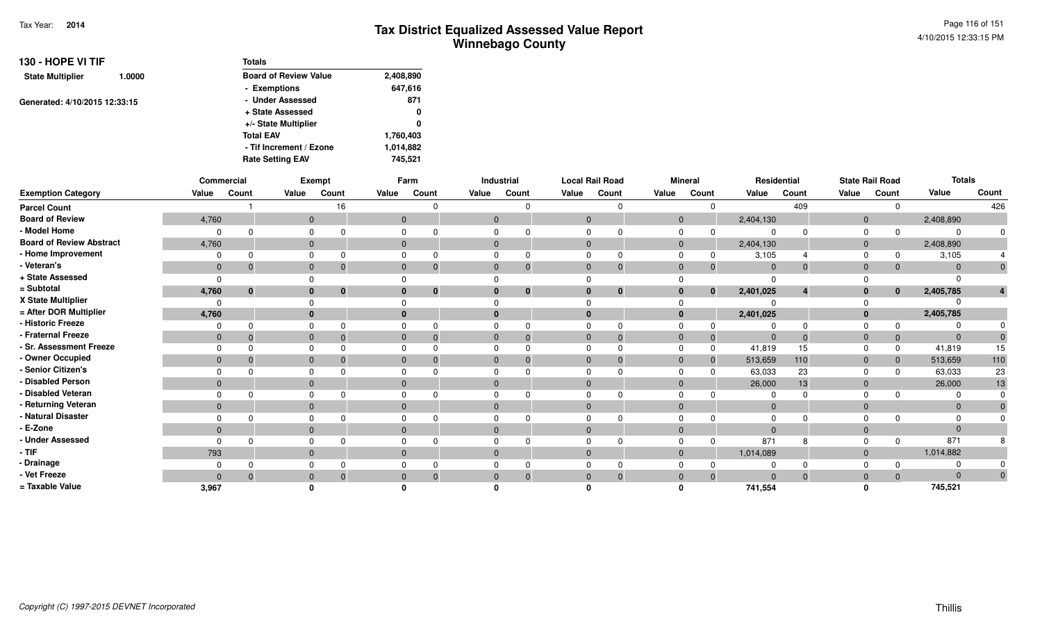| 130 - HOPE VI TIF             |        | <b>Totals</b>                |           |
|-------------------------------|--------|------------------------------|-----------|
| <b>State Multiplier</b>       | 1.0000 | <b>Board of Review Value</b> | 2,408,890 |
|                               |        | - Exemptions                 | 647,616   |
| Generated: 4/10/2015 12:33:15 |        | - Under Assessed             | 871       |
|                               |        | + State Assessed             | 0         |
|                               |        | +/- State Multiplier         | 0         |
|                               |        | <b>Total EAV</b>             | 1,760,403 |
|                               |        | - Tif Increment / Ezone      | 1,014,882 |
|                               |        | <b>Rate Setting EAV</b>      | 745.521   |

|                                 |                | Commercial |          | Exempt                   |              | Farm     |                | Industrial | <b>Local Rail Road</b> |                |              | <b>Mineral</b> |                | Residential |                | <b>State Rail Road</b> | <b>Totals</b>  |       |
|---------------------------------|----------------|------------|----------|--------------------------|--------------|----------|----------------|------------|------------------------|----------------|--------------|----------------|----------------|-------------|----------------|------------------------|----------------|-------|
| <b>Exemption Category</b>       | Value          | Count      | Value    | Count                    | Value        | Count    | Value          | Count      | Value                  | Count          | Value        | Count          | Value          | Count       | Value          | Count                  | Value          | Count |
| <b>Parcel Count</b>             |                |            |          | 16                       |              | $\Omega$ |                |            |                        |                |              |                |                | 409         |                |                        |                | 426   |
| <b>Board of Review</b>          | 4,760          |            |          | $\mathbf{0}$             | $\mathbf{0}$ |          | $\overline{0}$ |            | $\overline{0}$         |                | $\mathbf{0}$ |                | 2,404,130      |             | $\mathbf 0$    |                        | 2,408,890      |       |
| - Model Home                    |                |            |          |                          |              |          |                |            |                        |                |              |                |                |             |                |                        | $\Omega$       |       |
| <b>Board of Review Abstract</b> | 4,760          |            |          | $\Omega$                 | $\mathbf{0}$ |          | $\Omega$       |            | $\Omega$               |                | $\mathbf{0}$ |                | 2,404,130      |             | $\overline{0}$ |                        | 2,408,890      |       |
| - Home Improvement              |                |            |          |                          |              |          |                |            |                        |                |              |                | 3,105          |             |                |                        | 3,105          |       |
| - Veteran's                     | $\mathbf 0$    |            |          | $\Omega$                 | $\mathbf{0}$ | $\Omega$ |                | 0          | $\Omega$               | 0              | $\Omega$     |                | $\Omega$       | $\Omega$    | $\Omega$       |                        | $\mathbf{0}$   |       |
| + State Assessed                | $\Omega$       |            |          |                          |              |          |                |            |                        |                |              |                | $\Omega$       |             |                |                        |                |       |
| = Subtotal                      | 4,760          | $\bf{0}$   |          | $\mathbf{0}$<br>$\bf{0}$ |              | $\bf{0}$ |                | $\bf{0}$   | $\bf{0}$               | $\mathbf{0}$   |              | $\bf{0}$       | 2,401,025      |             | $\mathbf{0}$   | $\bf{0}$               | 2,405,785      |       |
| X State Multiplier              | $\Omega$       |            |          |                          |              |          |                |            |                        |                |              |                |                |             |                |                        |                |       |
| = After DOR Multiplier          | 4,760          |            | $\bf{0}$ |                          |              |          |                |            | $\Omega$               |                |              |                | 2,401,025      |             |                |                        | 2,405,785      |       |
| - Historic Freeze               |                |            |          |                          |              |          |                |            |                        | O              |              |                |                |             |                |                        |                |       |
| - Fraternal Freeze              | $\overline{0}$ |            | $\Omega$ |                          | $\Omega$     | $\Omega$ |                |            | $\Omega$               | $\Omega$       | $\Omega$     | $\Omega$       | $\overline{0}$ | $\Omega$    | $\Omega$       |                        | $\overline{0}$ |       |
| - Sr. Assessment Freeze         |                |            |          |                          |              |          |                |            |                        |                |              |                | 41,819         | 15          |                |                        | 41,819         | 15    |
| - Owner Occupied                | $\mathbf 0$    |            | $\Omega$ |                          |              |          |                |            | $\Omega$               |                | 0            |                | 513,659        | 110         | $\Omega$       |                        | 513,659        | 110   |
| - Senior Citizen's              |                |            |          |                          |              |          |                |            |                        |                |              |                | 63,033         | 23          |                |                        | 63,033         | 23    |
| - Disabled Person               | $\mathbf{0}$   |            |          | $\Omega$                 | $\Omega$     |          |                |            | $\Omega$               |                | $\Omega$     |                | 26,000         | 13          | $\Omega$       |                        | 26,000         | 13    |
| - Disabled Veteran              |                |            |          |                          |              |          |                |            |                        |                |              |                |                |             |                |                        |                |       |
| - Returning Veteran             | $\mathbf{0}$   |            |          | $\Omega$                 | $\mathbf{0}$ |          | $\Omega$       |            | $\Omega$               |                | $\Omega$     |                | $\overline{0}$ |             | $\Omega$       |                        | $\mathbf{0}$   |       |
| - Natural Disaster              |                |            |          |                          |              |          |                |            |                        |                |              |                | $\Omega$       |             |                |                        | $\Omega$       |       |
| - E-Zone                        | $\mathbf{0}$   |            |          | $\Omega$                 | $\Omega$     |          |                |            | $\Omega$               |                | $\Omega$     |                | $\Omega$       |             | $\Omega$       |                        | $\mathbf{0}$   |       |
| - Under Assessed                |                |            |          |                          |              |          |                |            |                        |                |              |                | 871            | 8           |                |                        | 871            |       |
| - TIF                           | 793            |            |          | $\Omega$                 | $\mathbf{0}$ |          |                |            | $\Omega$               |                | $\Omega$     |                | 1,014,089      |             | $\Omega$       |                        | 1,014,882      |       |
| - Drainage                      |                |            |          |                          |              |          |                |            |                        |                |              |                |                |             |                |                        | $\Omega$       |       |
| - Vet Freeze                    | $\Omega$       |            | $\Omega$ |                          |              | $\Omega$ |                | 0          | $\Omega$               | $\overline{0}$ |              | $\Omega$       | $\Omega$       | $\Omega$    |                |                        | $\Omega$       |       |
| = Taxable Value                 | 3,967          |            |          |                          |              |          |                |            |                        |                |              |                | 741.554        |             |                |                        | 745,521        |       |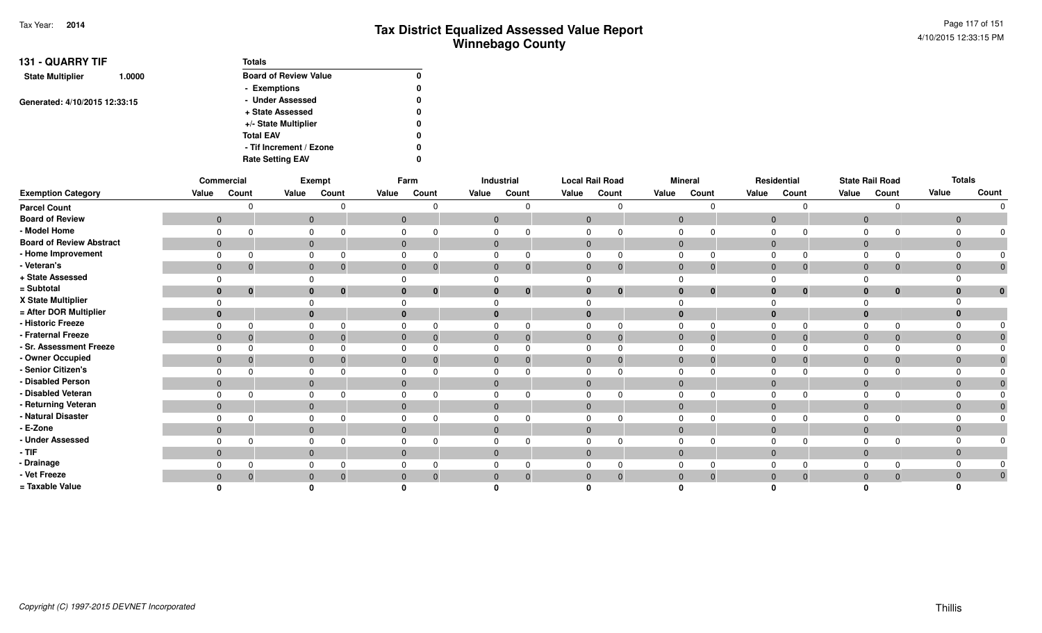| <b>131 - QUARRY TIF</b>       |        | <b>Totals</b>                |   |
|-------------------------------|--------|------------------------------|---|
| <b>State Multiplier</b>       | 1.0000 | <b>Board of Review Value</b> | 0 |
|                               |        | - Exemptions                 | 0 |
|                               |        | - Under Assessed             | 0 |
| Generated: 4/10/2015 12:33:15 |        | + State Assessed             | 0 |
|                               |        | +/- State Multiplier         | 0 |
|                               |        | <b>Total EAV</b>             | 0 |
|                               |        | - Tif Increment / Ezone      | 0 |
|                               |        | <b>Rate Setting EAV</b>      | 0 |

|                                 |                | Commercial                     |          | Exempt                         |       | Farm                        |              | Industrial |              | <b>Local Rail Road</b> |                | <b>Mineral</b> |                | Residential                  |                | <b>State Rail Road</b> |                | <b>Totals</b> |
|---------------------------------|----------------|--------------------------------|----------|--------------------------------|-------|-----------------------------|--------------|------------|--------------|------------------------|----------------|----------------|----------------|------------------------------|----------------|------------------------|----------------|---------------|
| <b>Exemption Category</b>       | Value          | Count                          | Value    | Count                          | Value | Count                       | Value        | Count      | Value        | Count                  | Value          | Count          | Value          | Count                        | Value          | Count                  | Value          | Count         |
| <b>Parcel Count</b>             |                |                                |          |                                |       |                             |              |            |              |                        |                |                |                | $\Omega$                     |                | $\Omega$               |                | $\Omega$      |
| <b>Board of Review</b>          | $\overline{0}$ |                                |          | $\mathbf 0$                    |       | $\mathbf{0}$                | $\mathbf 0$  |            | $\mathbf{0}$ |                        | $\mathbf 0$    |                | $\overline{0}$ |                              | $\mathbf{0}$   |                        | $\overline{0}$ |               |
| - Model Home                    | $\Omega$       |                                | 0        |                                |       | $\mathbf 0$                 | 0            |            |              |                        | 0              |                | $\Omega$       | $\Omega$                     | $\Omega$       | $\Omega$               |                |               |
| <b>Board of Review Abstract</b> |                | $\overline{0}$                 |          | $\mathbf{0}$                   |       | $\mathbf{0}$                | $\mathbf{0}$ |            | $\mathbf{0}$ |                        | $\mathbf{0}$   |                |                | $\mathbf{0}$                 | $\overline{0}$ |                        | $\mathbf{0}$   |               |
| - Home Improvement              | $\Omega$       |                                | 0        |                                |       | $\mathbf 0$                 | 0            |            |              |                        | 0              |                | $\mathbf 0$    | $\Omega$                     | $\mathbf 0$    | $\Omega$               |                |               |
| - Veteran's                     |                | $\mathbf{0}$<br>$\overline{0}$ |          | $\mathbf{0}$<br>$\overline{0}$ |       | $\mathbf{0}$<br>- 0         | $\mathbf{0}$ | -0         | $\mathbf{0}$ |                        | $\mathbf{0}$   | $\mathbf{0}$   |                | $\mathbf{0}$<br>$\mathbf 0$  | $\mathbf{0}$   | $\mathbf 0$            | $\mathbf 0$    | $\pmb{0}$     |
| + State Assessed                |                |                                | 0        |                                |       | $\mathbf 0$                 | 0            |            |              |                        |                |                |                |                              | $\Omega$       |                        |                |               |
| = Subtotal                      |                | $\mathbf{0}$<br>0              |          | $\mathbf{0}$<br>0              |       | $\mathbf{0}$<br>$\bf{0}$    | $\bf{0}$     | 0          | $\bf{0}$     | 0                      | $\bf{0}$       | $\bf{0}$       |                | $\bf{0}$<br>$\bf{0}$         | $\mathbf{0}$   | $\bf{0}$               | 0              | $\bf{0}$      |
| X State Multiplier              |                |                                | $\Omega$ |                                |       | 0                           |              |            |              |                        |                |                | ∩              |                              |                |                        |                |               |
| = After DOR Multiplier          | $\bf{0}$       |                                |          | $\mathbf{0}$                   |       | $\mathbf{0}$                | $\bf{0}$     |            | $\bf{0}$     |                        | $\bf{0}$       |                | $\mathbf{0}$   |                              | $\mathbf 0$    |                        | $\bf{0}$       |               |
| - Historic Freeze               | $\Omega$       |                                | $\Omega$ | $\Omega$                       |       | $\mathbf 0$<br>$\Omega$     | $\mathbf 0$  |            | $\Omega$     |                        | $\Omega$       |                | $\Omega$       | $\Omega$                     | $\Omega$       | $\Omega$               |                |               |
| - Fraternal Freeze              |                | $\overline{0}$<br>-0           |          | $\mathbf 0$<br>$\overline{0}$  |       | $\mathbf{0}$<br>$\mathbf 0$ | $\mathbf{0}$ |            | $\mathbf{0}$ |                        | $\overline{0}$ |                |                | $\mathbf{0}$<br>$\mathbf{0}$ | $\mathbf{0}$   | $\mathbf{0}$           | $\Omega$       |               |
| - Sr. Assessment Freeze         | $\Omega$       |                                | 0        |                                |       | $\mathbf 0$<br>$\Omega$     | 0            |            | 0            |                        | $\mathbf 0$    |                | $\mathbf 0$    | $\Omega$                     | $\mathbf 0$    |                        |                |               |
| - Owner Occupied                | $\overline{0}$ | -0                             |          | $\mathbf{0}$                   |       | $\mathbf{0}$<br>-0          | $\mathbf{0}$ |            | $\mathbf{0}$ |                        | $\mathbf{0}$   |                | $\mathbf{0}$   | $\mathbf{0}$                 | $\overline{0}$ | $\mathbf 0$            | $\mathbf 0$    |               |
| - Senior Citizen's              | $\Omega$       |                                | 0        |                                |       | $\mathbf 0$<br>$\Omega$     | $\mathbf 0$  |            | $\Omega$     |                        | $\mathbf 0$    |                | $\Omega$       | $\Omega$                     | $\Omega$       | $\Omega$               |                |               |
| - Disabled Person               |                | $\mathbf{0}$                   |          | $\overline{0}$                 |       | $\mathbf{0}$                | $\mathbf{0}$ |            | $\mathbf{0}$ |                        | $\mathbf 0$    |                | $\mathbf 0$    |                              | $\mathbf{0}$   |                        | $\mathbf{0}$   |               |
| - Disabled Veteran              | $\Omega$       |                                | 0        |                                |       | $\Omega$                    | $\Omega$     |            |              |                        | $\Omega$       |                | $\Omega$       | $\Omega$                     | $\Omega$       |                        |                |               |
| - Returning Veteran             | $\overline{0}$ |                                |          | $\mathbf 0$                    |       | $\mathbf{0}$                | $\mathbf{0}$ |            | $\mathbf{0}$ |                        | $\mathbf 0$    |                | $\mathbf{0}$   |                              | $\mathbf{0}$   |                        | $\Omega$       |               |
| - Natural Disaster              | $\Omega$       |                                | 0        |                                |       | $\mathbf 0$                 | 0            |            |              |                        | 0              |                | $\Omega$       | $\Omega$                     | $\Omega$       | n                      |                |               |
| - E-Zone                        | $\overline{0}$ |                                |          | $\mathbf{0}$                   |       | $\mathbf{0}$                | $\mathbf{0}$ |            | $\mathbf{0}$ |                        | $\mathbf{0}$   |                | $\mathbf{0}$   |                              | $\overline{0}$ |                        | $\Omega$       |               |
| - Under Assessed                | $\Omega$       |                                | $\Omega$ |                                |       | $\Omega$                    | $\Omega$     |            |              |                        | 0              |                | 0              | $\Omega$                     | $\Omega$       |                        |                |               |
| $-$ TIF                         |                | $\mathbf{0}$                   |          | $\mathbf 0$                    |       | $\mathbf{0}$                | $\mathbf{0}$ |            | $\mathbf{0}$ |                        | $\mathbf 0$    |                | $\mathbf{0}$   |                              | $\mathbf{0}$   |                        |                |               |
| - Drainage                      | $\Omega$       |                                | $\Omega$ |                                |       | $\mathbf 0$                 | 0            |            |              |                        | $\Omega$       |                | $\Omega$       | $\Omega$                     | $\Omega$       | $\Omega$               |                |               |
| - Vet Freeze                    |                | $\mathbf{0}$                   |          | $\mathbf{0}$                   |       | $\mathbf{0}$<br>-0          | $\mathbf{0}$ |            | $\mathbf{0}$ |                        | $\mathbf{0}$   |                | $\mathbf{0}$   | $\mathbf{0}$                 | $\mathbf{0}$   | $\mathbf 0$            | $\Omega$       | $\mathbf{0}$  |
| = Taxable Value                 |                |                                |          |                                |       |                             |              |            |              |                        |                |                |                |                              |                |                        |                |               |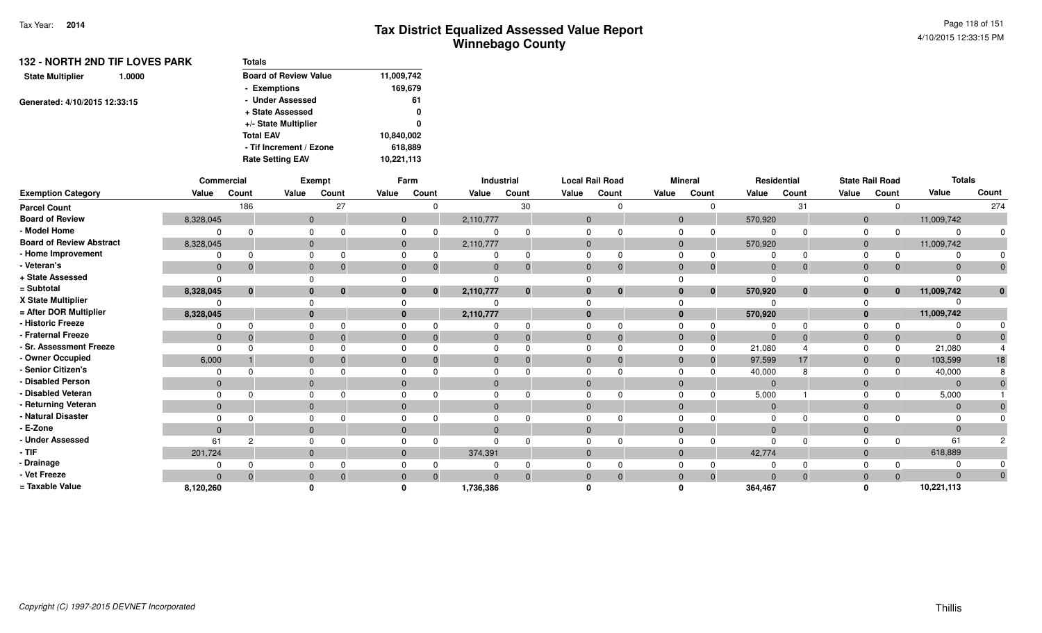| 132 - NORTH 2ND TIF LOVES PARK<br>1.0000 | <b>Totals</b>                |            |
|------------------------------------------|------------------------------|------------|
| <b>State Multiplier</b>                  | <b>Board of Review Value</b> | 11,009,742 |
|                                          | - Exemptions                 | 169,679    |
| Generated: 4/10/2015 12:33:15            | - Under Assessed             | 61         |
|                                          | + State Assessed             | 0          |
|                                          | +/- State Multiplier         | 0          |
|                                          | <b>Total EAV</b>             | 10,840,002 |
|                                          | - Tif Increment / Ezone      | 618,889    |
|                                          | <b>Rate Setting EAV</b>      | 10,221,113 |

|                                 | Commercial   |             |              | Exempt                   |             | Farm           |              | Industrial   | <b>Local Rail Road</b> |              |              | <b>Mineral</b> |                | Residential |             | <b>State Rail Road</b> | <b>Totals</b>  |       |
|---------------------------------|--------------|-------------|--------------|--------------------------|-------------|----------------|--------------|--------------|------------------------|--------------|--------------|----------------|----------------|-------------|-------------|------------------------|----------------|-------|
| <b>Exemption Category</b>       | Value        | Count       | Value        | Count                    | Value       | Count          | Value        | Count        | Value                  | Count        | Value        | Count          | Value          | Count       | Value       | Count                  | Value          | Count |
| <b>Parcel Count</b>             |              | 186         |              | 27                       |             |                |              | 30           |                        |              |              |                |                | 31          |             |                        |                | 274   |
| <b>Board of Review</b>          | 8,328,045    |             |              | $\overline{0}$           |             | $\overline{0}$ | 2,110,777    |              | $\mathbf{0}$           |              | $\mathbf{0}$ |                | 570,920        |             | $\mathbf 0$ |                        | 11,009,742     |       |
| - Model Home                    |              |             | $\Omega$     |                          |             |                |              |              |                        |              |              |                |                |             |             |                        | $\Omega$       |       |
| <b>Board of Review Abstract</b> | 8,328,045    |             | $\Omega$     |                          | $\Omega$    |                | 2,110,777    |              | $\Omega$               |              | $\Omega$     |                | 570,920        |             | $\Omega$    |                        | 11,009,742     |       |
| - Home Improvement              |              |             | $\Omega$     |                          |             |                |              | <sup>0</sup> |                        |              |              |                |                |             |             |                        |                |       |
| - Veteran's                     | $\mathbf{0}$ |             | $\mathbf{0}$ |                          |             |                | $\Omega$     | $\Omega$     | $\mathbf{0}$           |              | $\Omega$     | $\Omega$       | $\mathbf 0$    | $\Omega$    | $\Omega$    |                        | $\Omega$       |       |
| + State Assessed                |              |             |              |                          |             |                |              |              |                        |              |              |                | $\Omega$       |             |             |                        |                |       |
| = Subtotal                      | 8,328,045    | $\mathbf 0$ |              | $\bf{0}$<br>$\mathbf{0}$ |             | $\mathbf{0}$   | 2,110,777    | $\mathbf 0$  | $\bf{0}$               | $\mathbf{0}$ | $\bf{0}$     | $\bf{0}$       | 570,920        | $\bf{0}$    |             | $\mathbf{0}$           | 11,009,742     |       |
| X State Multiplier              |              |             |              |                          |             |                |              |              |                        |              |              |                |                |             |             |                        |                |       |
| = After DOR Multiplier          | 8,328,045    |             |              | $\mathbf{0}$             |             |                | 2,110,777    |              | $\mathbf{0}$           |              | $\mathbf{0}$ |                | 570,920        |             | $\Omega$    |                        | 11,009,742     |       |
| - Historic Freeze               |              |             | $\Omega$     |                          |             |                |              | 0            |                        |              |              |                |                |             |             |                        | $\Omega$       |       |
| - Fraternal Freeze              | $\mathbf{0}$ |             | $\mathbf{0}$ |                          |             |                | $\mathbf{0}$ | $\Omega$     | $\Omega$               | -0           | $\Omega$     | $\overline{0}$ | $\overline{0}$ | $\Omega$    | $\Omega$    | 0                      | $\mathbf{0}$   |       |
| - Sr. Assessment Freeze         |              |             | $\Omega$     |                          |             |                |              |              |                        |              |              | $\Omega$       | 21,080         |             |             | 0                      | 21,080         |       |
| - Owner Occupied                | 6,000        |             |              | $\overline{0}$           |             |                | $\Omega$     | $\Omega$     | $\Omega$               |              | $\Omega$     |                | 97,599         | 17          |             |                        | 103,599        | 18    |
| - Senior Citizen's              |              |             |              |                          |             |                |              |              |                        |              |              |                | 40,000         |             |             |                        | 40,000         |       |
| - Disabled Person               | $\mathbf{0}$ |             | $\mathbf{0}$ |                          |             |                | $\Omega$     |              |                        |              | $\Omega$     |                | $\Omega$       |             |             |                        | $\overline{0}$ |       |
| - Disabled Veteran              |              |             | $\Omega$     |                          |             |                |              |              |                        |              | 0            |                | 5,000          |             |             |                        | 5,000          |       |
| - Returning Veteran             | $\mathbf{0}$ |             |              | $\mathbf{0}$             | $\mathbf 0$ |                | $\mathbf{0}$ |              | $\Omega$               |              | $\Omega$     |                | $\overline{0}$ |             | $\Omega$    |                        | $\mathbf 0$    |       |
| - Natural Disaster              |              |             | $\Omega$     |                          |             |                |              |              |                        |              |              |                | $\Omega$       |             |             |                        | $\Omega$       |       |
| - E-Zone                        | $\Omega$     |             | $\Omega$     |                          |             |                | $\Omega$     |              | $\Omega$               |              | $\Omega$     |                | $\Omega$       |             |             |                        | $\Omega$       |       |
| <b>Under Assessed</b>           | 61           | 2           | $\Omega$     |                          |             |                |              |              |                        |              |              |                |                |             |             |                        | 61             |       |
| $-$ TIF                         | 201,724      |             | $\Omega$     |                          | $\Omega$    |                | 374,391      |              | $\Omega$               |              | $\Omega$     |                | 42,774         |             | $\Omega$    |                        | 618,889        |       |
| - Drainage                      |              |             |              |                          |             |                |              |              |                        |              |              |                |                |             |             |                        |                |       |
| - Vet Freeze                    | $\Omega$     |             | $\mathbf{0}$ |                          | $\Omega$    |                | $\Omega$     | $\Omega$     | $\Omega$               |              | $\Omega$     | $\Omega$       | $\Omega$       | $\Omega$    | $\Omega$    |                        | $\Omega$       |       |
| = Taxable Value                 | 8,120,260    |             |              |                          |             |                | 1,736,386    |              |                        |              |              |                | 364,467        |             |             |                        | 10,221,113     |       |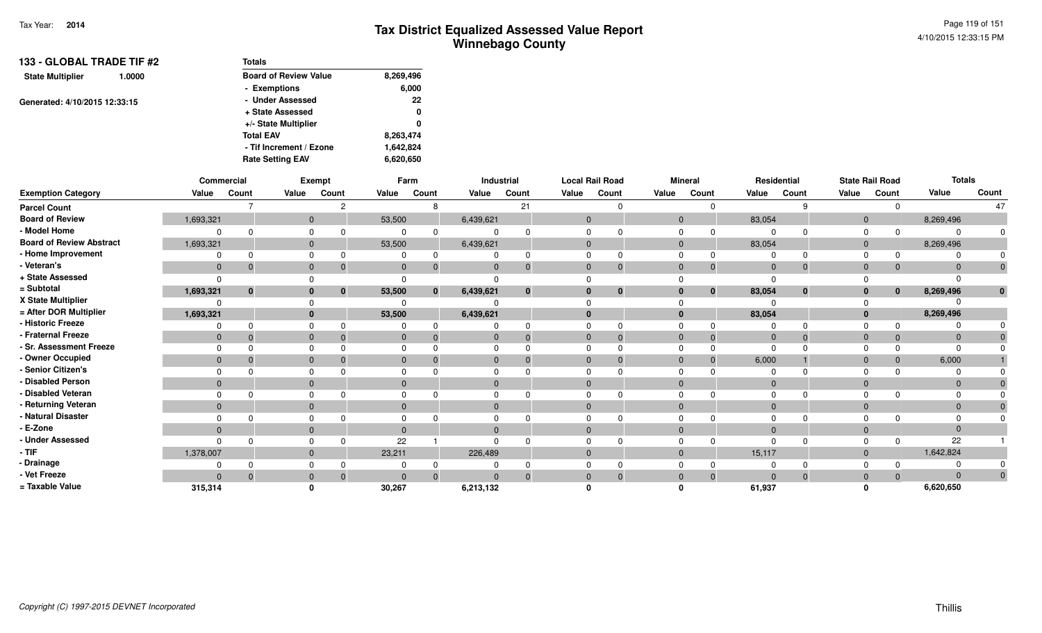| 133 - GLOBAL TRADE TIF #2         | <b>Totals</b>                |           |
|-----------------------------------|------------------------------|-----------|
| <b>State Multiplier</b><br>1.0000 | <b>Board of Review Value</b> | 8,269,496 |
|                                   | - Exemptions                 | 6,000     |
| Generated: 4/10/2015 12:33:15     | - Under Assessed             | 22        |
|                                   | + State Assessed             | 0         |
|                                   | +/- State Multiplier         | 0         |
|                                   | <b>Total EAV</b>             | 8,263,474 |
|                                   | - Tif Increment / Ezone      | 1,642,824 |
|                                   | <b>Rate Setting EAV</b>      | 6,620,650 |

|                                 |              | Commercial  |                | <b>Exempt</b> |             | Farm         |              | Industrial   |              | <b>Local Rail Road</b> |              | <b>Mineral</b> |                | Residential |              | <b>State Rail Road</b> | <b>Totals</b> |       |
|---------------------------------|--------------|-------------|----------------|---------------|-------------|--------------|--------------|--------------|--------------|------------------------|--------------|----------------|----------------|-------------|--------------|------------------------|---------------|-------|
| <b>Exemption Category</b>       | Value        | Count       | Value          | Count         | Value       | Count        | Value        | Count        | Value        | Count                  | Value        | Count          | Value          | Count       | Value        | Count                  | Value         | Count |
| <b>Parcel Count</b>             |              |             |                | ∘             |             |              |              | 21           |              |                        |              |                |                |             |              |                        |               |       |
| <b>Board of Review</b>          | 1,693,321    |             | $\overline{0}$ |               | 53,500      |              | 6,439,621    |              | $\Omega$     |                        | $\mathbf{0}$ |                | 83,054         |             | $\mathbf{0}$ |                        | 8,269,496     |       |
| - Model Home                    |              |             | $\Omega$       |               |             |              |              |              |              |                        |              |                |                |             |              |                        | $\Omega$      |       |
| <b>Board of Review Abstract</b> | 1,693,321    |             | $\mathbf{0}$   |               | 53,500      |              | 6,439,621    |              | $\Omega$     |                        | $\mathbf{0}$ |                | 83,054         |             | $\mathbf 0$  |                        | 8,269,496     |       |
| - Home Improvement              |              |             | $\Omega$       |               |             |              |              | 0            |              |                        |              |                |                |             |              |                        | $\Omega$      |       |
| - Veteran's                     | $\mathbf 0$  |             | $\mathbf{0}$   |               | $\mathbf 0$ |              | $\Omega$     | $\mathbf{0}$ | $\mathbf{0}$ | $\Omega$               | $\Omega$     | 0              | $\Omega$       | $\Omega$    | $\Omega$     |                        | $\Omega$      |       |
| + State Assessed                |              |             |                |               |             |              |              |              |              |                        |              |                |                |             |              |                        |               |       |
| = Subtotal                      | 1,693,321    | $\mathbf 0$ | $\bf{0}$       | $\mathbf{0}$  | 53,500      | $\mathbf{0}$ | 6,439,621    | $\mathbf 0$  | $\bf{0}$     | $\mathbf{0}$           | $\bf{0}$     | $\mathbf{0}$   | 83,054         | $\bf{0}$    |              | $\mathbf{0}$           | 8,269,496     |       |
| X State Multiplier              |              |             |                |               |             |              |              |              |              |                        |              |                |                |             |              |                        |               |       |
| = After DOR Multiplier          | 1,693,321    |             | $\mathbf{0}$   |               | 53,500      |              | 6,439,621    |              | $\mathbf{0}$ |                        | $\bf{0}$     |                | 83,054         |             |              |                        | 8,269,496     |       |
| - Historic Freeze               |              |             | $\Omega$       |               |             |              |              |              |              |                        |              |                |                |             |              |                        |               |       |
| - Fraternal Freeze              | $\mathbf{0}$ |             | $\mathbf{0}$   |               | 0           |              | 0            | $\mathbf{0}$ | $\Omega$     | 0                      | $\Omega$     | 0              | $\overline{0}$ | $\Omega$    | $\Omega$     |                        | $\mathbf{0}$  |       |
| - Sr. Assessment Freeze         |              |             | $\Omega$       |               |             |              |              |              |              |                        |              |                | $\Omega$       |             |              |                        | $\Omega$      |       |
| - Owner Occupied                | $\mathbf{0}$ |             | $\Omega$       |               |             |              | $\Omega$     | $\Omega$     | $\Omega$     |                        | $\Omega$     |                | 6,000          |             |              |                        | 6,000         |       |
| - Senior Citizen's              |              |             |                |               |             |              |              |              |              |                        |              |                |                |             |              |                        |               |       |
| - Disabled Person               | $\Omega$     |             | $\mathbf{0}$   |               |             |              | $\Omega$     |              | $\Omega$     |                        | $\Omega$     |                | $\Omega$       |             |              |                        | $\Omega$      |       |
| - Disabled Veteran              |              |             | $\Omega$       |               |             |              |              |              |              |                        |              |                | $\Omega$       |             |              |                        | $\Omega$      |       |
| - Returning Veteran             | $\mathbf{0}$ |             | $\mathbf{0}$   |               | $\Omega$    |              | $\mathbf{0}$ |              | $\Omega$     |                        | $\Omega$     |                | $\Omega$       |             | $\Omega$     |                        | $\Omega$      |       |
| - Natural Disaster              |              |             |                |               |             |              |              |              |              |                        |              |                | $\Omega$       |             |              |                        | $\Omega$      |       |
| - E-Zone                        | $\Omega$     |             | $\Omega$       |               |             |              | $\Omega$     |              | $\Omega$     |                        | $\Omega$     |                | $\Omega$       |             |              |                        | $\Omega$      |       |
| - Under Assessed                |              |             | $\Omega$       |               | 22          |              | U            | ∩            |              |                        |              |                | $\Omega$       |             |              |                        | 22            |       |
| $-$ TIF                         | 1,378,007    |             | $\mathbf{0}$   |               | 23,211      |              | 226,489      |              | $\Omega$     |                        | $\Omega$     |                | 15,117         |             | $\Omega$     |                        | 1,642,824     |       |
| - Drainage                      |              |             |                |               |             |              |              |              |              |                        |              |                |                |             |              |                        |               |       |
| - Vet Freeze                    | $\Omega$     |             | $\Omega$       |               |             |              | $\Omega$     | $\Omega$     |              |                        |              |                | $\Omega$       | $\Omega$    |              |                        | $\Omega$      |       |
| = Taxable Value                 | 315,314      |             |                |               | 30,267      |              | 6,213,132    |              |              |                        |              |                | 61,937         |             |              |                        | 6,620,650     |       |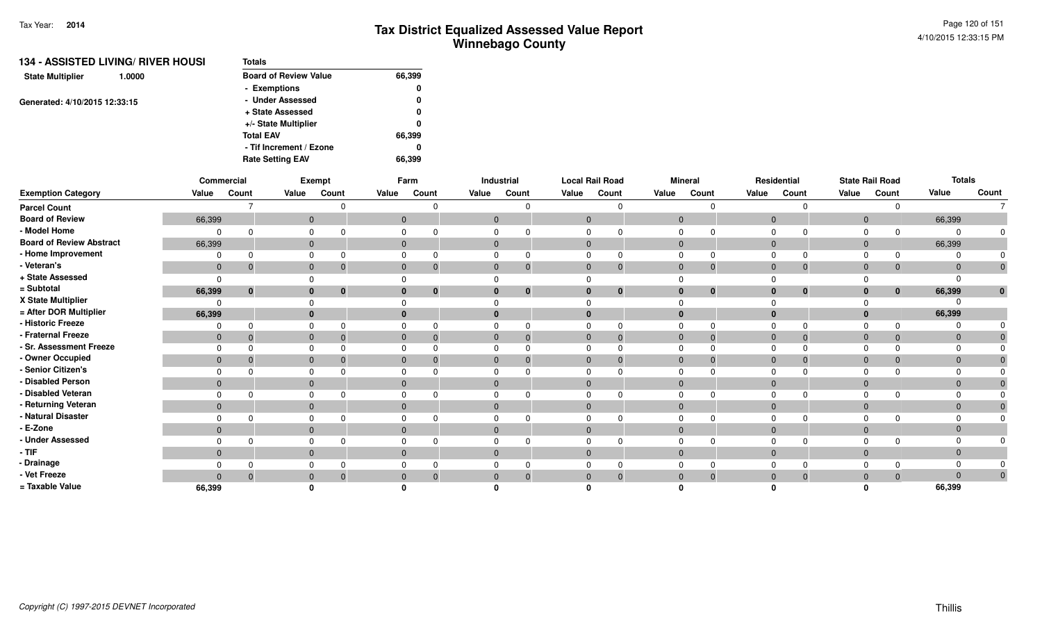| <b>134 - ASSISTED LIVING/ RIVER HOUSI</b> | <b>Totals</b>                |        |
|-------------------------------------------|------------------------------|--------|
| <b>State Multiplier</b><br>1.0000         | <b>Board of Review Value</b> | 66,399 |
|                                           | - Exemptions                 | 0      |
| Generated: 4/10/2015 12:33:15             | - Under Assessed             | 0      |
|                                           | + State Assessed             | 0      |
|                                           | +/- State Multiplier         | 0      |
|                                           | <b>Total EAV</b>             | 66,399 |
|                                           | - Tif Increment / Ezone      | 0      |
|                                           | <b>Rate Setting EAV</b>      | 66.399 |

|                                 |                | Commercial  |       | Exempt                       |              | Farm     |              | Industrial |                | <b>Local Rail Road</b> |                | <b>Mineral</b> |                | Residential  |                | <b>State Rail Road</b> | <b>Totals</b>  |                |
|---------------------------------|----------------|-------------|-------|------------------------------|--------------|----------|--------------|------------|----------------|------------------------|----------------|----------------|----------------|--------------|----------------|------------------------|----------------|----------------|
| <b>Exemption Category</b>       | Value          | Count       | Value | Count                        | Value        | Count    | Value        | Count      | Value          | Count                  | Value          | Count          | Value          | Count        | Value          | Count                  | Value          | Count          |
| <b>Parcel Count</b>             |                |             |       |                              |              |          |              |            |                |                        |                | $\Omega$       |                | $\Omega$     |                | $\Omega$               |                | $\overline{7}$ |
| <b>Board of Review</b>          | 66,399         |             |       | $\mathbf{0}$                 | $\mathbf 0$  |          | $\mathbf{0}$ |            | $\mathbf{0}$   |                        | $\overline{0}$ |                | $\mathbf 0$    |              | $\overline{0}$ |                        | 66,399         |                |
| - Model Home                    | 0              |             |       | 0                            | 0            |          |              |            | $\Omega$       |                        | $\mathbf 0$    |                | $\Omega$       | $\Omega$     | $\Omega$       | $\Omega$               |                |                |
| <b>Board of Review Abstract</b> | 66,399         |             |       | $\mathbf{0}$                 | $\mathbf{0}$ |          | $\mathbf{0}$ |            | $\mathbf{0}$   |                        | $\mathbf{0}$   |                | $\overline{0}$ |              | $\overline{0}$ |                        | 66,399         |                |
| - Home Improvement              | $\Omega$       |             |       | $\mathbf 0$                  |              |          | 0            |            |                |                        | 0              |                | $\Omega$       | $\Omega$     |                | $\Omega$               |                |                |
| - Veteran's                     | $\mathbf 0$    | - 0         |       | $\mathbf 0$<br>-0            | $\mathbf{0}$ | -0       | $\mathbf 0$  |            | $\mathbf{0}$   | $\mathbf{0}$           | $\mathbf{0}$   | $\mathbf{0}$   | $\mathbf 0$    | $\mathbf{0}$ | $\mathbf 0$    | 0                      | $\Omega$       | $\mathbf 0$    |
| + State Assessed                | $\Omega$       |             |       | $\Omega$                     |              |          |              |            |                |                        | $\Omega$       |                | $\Omega$       |              |                |                        |                |                |
| = Subtotal                      | 66,399         | $\mathbf 0$ |       | $\mathbf{0}$<br>$\mathbf{0}$ | $\bf{0}$     | $\bf{0}$ | $\bf{0}$     |            | $\bf{0}$       | $\bf{0}$               | $\bf{0}$       | $\mathbf{0}$   | $\mathbf{0}$   | $\mathbf{0}$ | $\mathbf{0}$   | $\bf{0}$               | 66,399         | $\mathbf{0}$   |
| X State Multiplier              | $\Omega$       |             |       |                              |              |          |              |            |                |                        |                |                | $\Omega$       |              |                |                        |                |                |
| = After DOR Multiplier          | 66,399         |             |       | $\mathbf{0}$                 |              |          | $\bf{0}$     |            | $\bf{0}$       |                        | $\bf{0}$       |                | $\mathbf{0}$   |              | $\mathbf{0}$   |                        | 66,399         |                |
| - Historic Freeze               | $\Omega$       | $\Omega$    | 0     |                              | 0            |          | $\Omega$     |            | $\Omega$       |                        | $\Omega$       | $\Omega$       | $\Omega$       | $\Omega$     | $\Omega$       | $\Omega$               |                |                |
| - Fraternal Freeze              | $\overline{0}$ | -0          |       | $\mathbf{0}$<br>-0           | $\mathbf{0}$ |          | $\mathbf{0}$ |            | $\overline{0}$ | $\Omega$               | $\overline{0}$ | $\Omega$       | $\overline{0}$ | $\Omega$     | $\mathbf 0$    | $\Omega$               | $\Omega$       |                |
| - Sr. Assessment Freeze         | $\Omega$       |             |       | $\Omega$                     | 0            |          |              |            | $\Omega$       |                        | $\Omega$       |                | $\Omega$       | $\Omega$     |                |                        |                |                |
| - Owner Occupied                | $\mathbf 0$    | 0           |       | $\mathbf{0}$                 | $\mathbf{0}$ |          | $\mathbf{0}$ |            | $\mathbf{0}$   |                        | $\mathbf 0$    | 0              | $\mathbf 0$    | $\Omega$     | $\mathbf{0}$   | $\Omega$               |                |                |
| - Senior Citizen's              | $\Omega$       |             |       | $\mathbf 0$                  | 0            |          | $\mathbf 0$  |            | $\Omega$       |                        | $\Omega$       |                | $\Omega$       | $\Omega$     | $\Omega$       |                        |                |                |
| - Disabled Person               | $\mathbf{0}$   |             |       | $\mathbf{0}$                 | $\mathbf{0}$ |          | $\mathbf 0$  |            | $\mathbf{0}$   |                        | $\mathbf 0$    |                | $\mathbf{0}$   |              | $\overline{0}$ |                        | $\overline{0}$ |                |
| - Disabled Veteran              | 0              |             | 0     |                              | 0            |          | 0            |            | $\Omega$       |                        | $\mathbf 0$    |                | $\Omega$       | $\Omega$     | $\Omega$       |                        |                |                |
| - Returning Veteran             | $\mathbf{0}$   |             |       | $\mathbf{0}$                 | $\mathbf{0}$ |          | $\mathbf 0$  |            | $\mathbf 0$    |                        | $\mathbf 0$    |                | $\overline{0}$ |              | $\overline{0}$ |                        | $\Omega$       |                |
| - Natural Disaster              | $\Omega$       |             |       | 0                            | 0            |          | 0            |            | $\Omega$       |                        | $\mathbf 0$    |                | $\mathbf 0$    | $\Omega$     | $\mathbf 0$    |                        |                |                |
| - E-Zone                        | $\mathbf{0}$   |             |       | $\mathbf{0}$                 | $\Omega$     |          | $\mathbf 0$  |            | $\mathbf{0}$   |                        | $\mathbf 0$    |                | $\mathbf{0}$   |              | $\Omega$       |                        |                |                |
| - Under Assessed                | $\Omega$       | $\Omega$    | 0     |                              | 0            |          | 0            |            | $\Omega$       | $\Omega$               | $\mathbf 0$    | $\Omega$       | $\mathbf 0$    | $\Omega$     | 0              | $\Omega$               |                | 0              |
| $-TIF$                          | $\mathbf{0}$   |             |       | $\mathbf{0}$                 | $\mathbf{0}$ |          | $\mathbf 0$  |            | $\mathbf 0$    |                        | $\mathbf{0}$   |                | $\mathbf 0$    |              | $\overline{0}$ |                        | $\Omega$       |                |
| - Drainage                      | $\Omega$       |             |       | 0                            | 0            |          | 0            |            |                |                        | $\mathbf 0$    |                | $\Omega$       | $\Omega$     | $\Omega$       |                        |                |                |
| - Vet Freeze                    | $\mathbf{0}$   | $\Omega$    |       | $\mathbf{0}$                 | $\mathbf{0}$ | $\Omega$ | $\mathbf{0}$ |            | $\mathbf{0}$   | $\Omega$               | $\mathbf 0$    | $\Omega$       | $\mathbf 0$    | $\mathbf 0$  | $\mathbf{0}$   | $\Omega$               | $\Omega$       | $\pmb{0}$      |
| = Taxable Value                 | 66,399         |             |       |                              |              |          |              |            |                |                        |                |                |                |              |                |                        | 66,399         |                |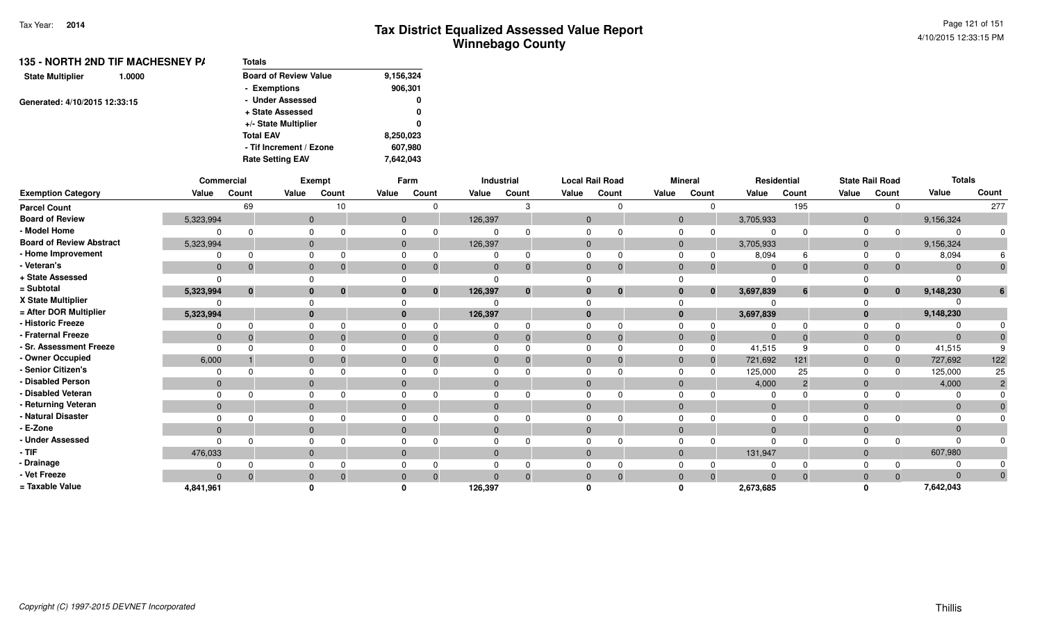| 135 - NORTH 2ND TIF MACHESNEY P/<br>1.0000 | <b>Totals</b>                |           |
|--------------------------------------------|------------------------------|-----------|
| <b>State Multiplier</b>                    | <b>Board of Review Value</b> | 9,156,324 |
|                                            | - Exemptions                 | 906,301   |
| Generated: 4/10/2015 12:33:15              | - Under Assessed             | 0         |
|                                            | + State Assessed             | 0         |
|                                            | +/- State Multiplier         | 0         |
|                                            | <b>Total EAV</b>             | 8,250,023 |
|                                            | - Tif Increment / Ezone      | 607,980   |
|                                            | <b>Rate Setting EAV</b>      | 7,642,043 |
|                                            |                              |           |

|                                 |              | Commercial   |              | Exempt                       |          | Farm              |              | Industrial |              | <b>Local Rail Road</b> |              | <b>Mineral</b> |                       | Residential                    |       | <b>State Rail Road</b>       | <b>Totals</b> |                |
|---------------------------------|--------------|--------------|--------------|------------------------------|----------|-------------------|--------------|------------|--------------|------------------------|--------------|----------------|-----------------------|--------------------------------|-------|------------------------------|---------------|----------------|
| <b>Exemption Category</b>       | Value        | Count        | Value        | Count                        | Value    | Count             | Value        | Count      | Value        | Count                  | Value        | Count          | Value                 | Count                          | Value | Count                        | Value         | Count          |
| <b>Parcel Count</b>             |              | 69           |              | 10                           |          |                   |              |            |              |                        |              |                | $\Omega$              | 195                            |       | 0                            |               | 277            |
| <b>Board of Review</b>          | 5,323,994    |              |              | $\mathbf 0$                  |          | $\mathbf{0}$      | 126,397      |            | $\mathbf 0$  |                        | $\mathbf{0}$ |                | 3,705,933             |                                |       | $\mathbf{0}$                 | 9,156,324     |                |
| - Model Home                    | $\Omega$     |              | 0            |                              |          | 0                 | 0            |            |              |                        | $\mathbf 0$  |                | 0                     | $\Omega$<br>$\Omega$           |       | 0<br>$\Omega$                |               | $\Omega$       |
| <b>Board of Review Abstract</b> | 5,323,994    |              |              | $\mathbf{0}$                 |          | $\mathbf{0}$      | 126,397      |            | $\mathbf{0}$ |                        | $\mathbf{0}$ |                | 3,705,933             |                                |       | $\overline{0}$               | 9,156,324     |                |
| - Home Improvement              | $\Omega$     |              | $\Omega$     |                              |          |                   |              |            |              |                        | $\Omega$     |                | $\Omega$              | 8,094<br>6                     |       | $\Omega$                     | 8,094         |                |
| - Veteran's                     | $\mathbf 0$  | - 0          |              | $\mathbf 0$                  |          | $\mathbf{0}$<br>0 | $\mathbf 0$  |            | $\Omega$     | $\Omega$               | $\mathbf 0$  |                | $\mathbf 0$           | $\overline{0}$<br>$\mathbf{0}$ |       | $\mathbf{0}$<br>$\Omega$     | $\Omega$      |                |
| + State Assessed                | $\Omega$     |              | $\Omega$     |                              |          |                   |              |            |              |                        |              |                |                       | $\Omega$                       |       |                              |               |                |
| = Subtotal                      | 5,323,994    | $\mathbf{0}$ |              | $\mathbf{0}$<br>$\mathbf{0}$ |          | $\mathbf{0}$      | 126,397      |            |              | $\bf{0}$               | $\bf{0}$     |                | 3,697,839<br>$\bf{0}$ | $6\phantom{1}6$                |       | $\bf{0}$<br>$\mathbf{0}$     | 9,148,230     | 6              |
| X State Multiplier              | 0            |              |              |                              |          |                   |              |            |              |                        |              |                |                       |                                |       |                              |               |                |
| = After DOR Multiplier          | 5,323,994    |              |              | $\mathbf{0}$                 |          | $\bf{0}$          | 126,397      |            | $\Omega$     |                        | $\mathbf{0}$ |                | 3,697,839             |                                |       | $\mathbf{0}$                 | 9,148,230     |                |
| - Historic Freeze               | $\Omega$     |              | $\Omega$     |                              |          | 0                 | $\Omega$     |            | $\Omega$     |                        | $\Omega$     |                |                       | $\Omega$<br>$\Omega$           |       | $\Omega$                     |               |                |
| - Fraternal Freeze              | $\mathbf 0$  | $\Omega$     |              | $\mathbf{0}$<br>- 0          |          | $\mathbf{0}$<br>0 | $\mathbf 0$  |            | $\mathbf 0$  | $\Omega$               | $\mathbf 0$  |                | $\mathbf{0}$          | $\overline{0}$<br>$\Omega$     |       | $\mathbf{0}$<br>$\mathbf{0}$ | $\Omega$      |                |
| - Sr. Assessment Freeze         | $\Omega$     |              | 0            |                              |          | 0                 | $\Omega$     |            | $\Omega$     |                        | $\Omega$     |                | 41,515<br>$\Omega$    | 9                              |       | $\Omega$<br>$\Omega$         | 41,515        |                |
| - Owner Occupied                | 6,000        |              | $\mathbf{0}$ |                              | $\Omega$ |                   | $\mathbf{0}$ |            | $\Omega$     |                        | $\mathbf 0$  |                | 721,692<br>$\Omega$   | 121                            |       | $\mathbf 0$<br>$\Omega$      | 727,692       | 122            |
| - Senior Citizen's              | $\Omega$     |              |              | 0                            |          | $\Omega$          | 0            |            |              |                        | $\Omega$     |                | 125,000<br>$\Omega$   | 25                             |       | $\Omega$<br>$\Omega$         | 125,000       | 25             |
| - Disabled Person               | $\mathbf{0}$ |              |              | $\mathbf 0$                  | $\Omega$ |                   | $\mathbf 0$  |            | $\Omega$     |                        | $\mathbf 0$  |                |                       | 4,000<br>$\overline{2}$        |       | $\mathbf 0$                  | 4,000         | $\overline{2}$ |
| - Disabled Veteran              | $\Omega$     |              | 0            |                              |          | 0                 | 0            |            | $\Omega$     |                        | $\Omega$     |                |                       | $\Omega$                       |       | $\Omega$                     |               |                |
| - Returning Veteran             | $\mathbf{0}$ |              |              | $\mathbf{0}$                 |          | $\mathbf{0}$      | $\mathbf{0}$ |            | $\mathbf{0}$ |                        | $\mathbf{0}$ |                |                       | $\overline{0}$                 |       | $\mathbf{0}$                 | $\Omega$      |                |
| - Natural Disaster              | $\Omega$     |              |              | 0                            |          |                   |              |            |              |                        | $\Omega$     |                |                       | $\Omega$                       |       | $\Omega$                     |               |                |
| - E-Zone                        | $\mathbf{0}$ |              |              | $\mathbf{0}$                 | $\Omega$ |                   | $\mathbf{0}$ |            | $\Omega$     |                        | $\mathbf{0}$ |                |                       | $\Omega$                       |       | $\mathbf 0$                  |               |                |
| - Under Assessed                | $\Omega$     |              | $\Omega$     |                              |          |                   |              |            |              |                        | $\Omega$     |                |                       | $\Omega$<br>$\Omega$           |       | $\Omega$                     |               |                |
| - TIF-                          | 476,033      |              |              | $\mathbf{0}$                 |          | $\mathbf{0}$      | $\mathbf{0}$ |            | $\mathbf{0}$ |                        | $\mathbf{0}$ |                | 131,947               |                                |       | $\mathbf{0}$                 | 607,980       |                |
| - Drainage                      | $\Omega$     |              |              | 0                            |          | 0                 |              |            |              |                        | $\Omega$     |                |                       | 0                              |       | $\Omega$                     |               |                |
| - Vet Freeze                    | $\Omega$     | $\Omega$     | $\mathbf{0}$ |                              |          | $\Omega$          |              |            |              | $\Omega$               | $\mathbf{0}$ |                | $\Omega$              | $\Omega$<br>$\Omega$           |       | $\mathbf 0$<br>$\Omega$      | $\Omega$      | $\mathbf{0}$   |
| = Taxable Value                 | 4.841.961    |              |              |                              |          |                   | 126,397      |            |              |                        | n            |                | 2,673,685             |                                |       |                              | 7,642,043     |                |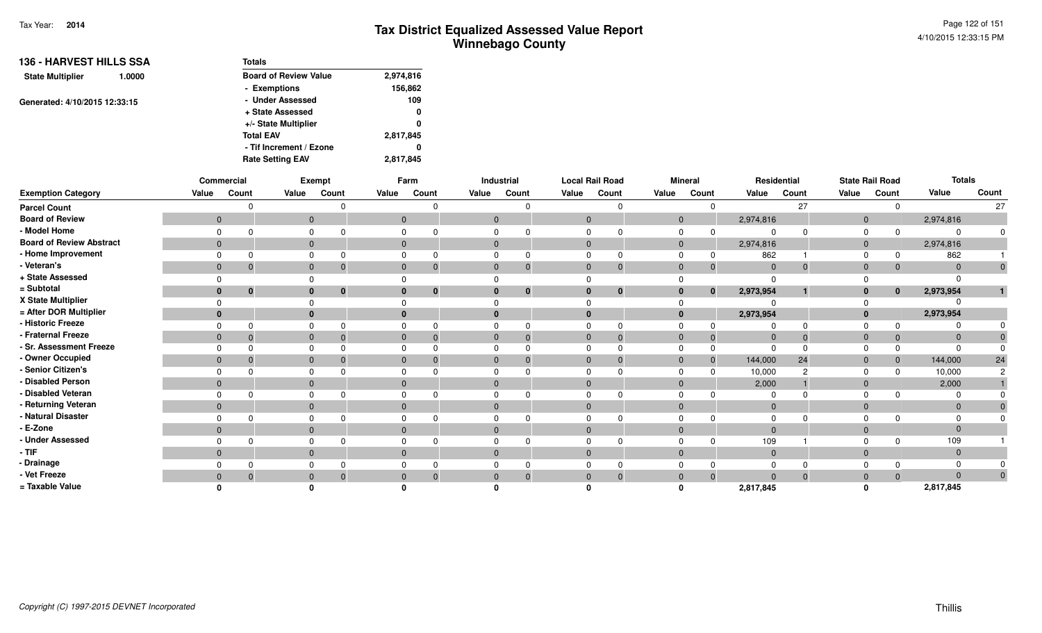| <b>136 - HARVEST HILLS SSA</b><br>1.0000 | <b>Totals</b>                |           |  |  |
|------------------------------------------|------------------------------|-----------|--|--|
| <b>State Multiplier</b>                  | <b>Board of Review Value</b> | 2,974,816 |  |  |
|                                          | - Exemptions                 | 156,862   |  |  |
| Generated: 4/10/2015 12:33:15            | - Under Assessed             | 109       |  |  |
|                                          | + State Assessed             | 0         |  |  |
|                                          | +/- State Multiplier         | 0         |  |  |
|                                          | <b>Total EAV</b>             | 2,817,845 |  |  |
|                                          | - Tif Increment / Ezone      | 0         |  |  |
|                                          | <b>Rate Setting EAV</b>      | 2,817,845 |  |  |

|                                 |              | Commercial |       | Exempt                   |          | Farm                         |                | Industrial              | <b>Local Rail Road</b> |             |       | <b>Mineral</b> |              | Residential |              | <b>State Rail Road</b> | <b>Totals</b> |              |
|---------------------------------|--------------|------------|-------|--------------------------|----------|------------------------------|----------------|-------------------------|------------------------|-------------|-------|----------------|--------------|-------------|--------------|------------------------|---------------|--------------|
| <b>Exemption Category</b>       | Value        | Count      | Value | Count                    | Value    | Count                        | Value          | Count                   | Value                  | Count       | Value | Count          | Value        | Count       | Value        | Count                  | Value         | Count        |
| <b>Parcel Count</b>             |              |            |       |                          |          |                              |                | ŋ                       |                        | n           |       |                |              | 27          |              | $\Omega$               |               | 27           |
| <b>Board of Review</b>          | $\mathbf{0}$ |            |       | $\mathbf{0}$             |          | $\mathbf{0}$                 | $\overline{0}$ |                         | $\Omega$               |             |       | $\mathbf{0}$   | 2,974,816    |             | $\mathbf{0}$ |                        | 2,974,816     |              |
| - Model Home                    |              |            |       | $\Omega$                 | $\Omega$ |                              | 0              |                         |                        |             |       |                |              |             |              |                        |               |              |
| <b>Board of Review Abstract</b> | $\mathbf{0}$ |            |       | $\mathbf{0}$             |          | $\mathbf 0$                  | $\mathbf 0$    |                         | $\mathbf{0}$           |             |       | $\mathbf{0}$   | 2,974,816    |             | $\mathbf{0}$ |                        | 2,974,816     |              |
| - Home Improvement              |              |            |       |                          |          |                              |                |                         |                        |             |       |                | 862          |             |              |                        | 862           |              |
| - Veteran's                     | $\mathbf 0$  |            |       | $\mathbf{0}$             |          | $\mathbf{0}$<br>$\mathbf 0$  | $\mathbf{0}$   | $\mathbf 0$             | $\mathbf{0}$           | $\mathbf 0$ |       | $\mathbf 0$    | $\mathbf{0}$ |             | $\mathbf 0$  |                        |               |              |
| + State Assessed                |              |            |       |                          |          |                              |                |                         |                        |             |       |                |              |             |              |                        |               |              |
| = Subtotal                      | $\mathbf{0}$ | $\bf{0}$   |       | $\mathbf{0}$<br>$\bf{0}$ |          | $\mathbf{0}$<br>$\mathbf{0}$ | $\bf{0}$       | $\overline{\mathbf{0}}$ | $\bf{0}$               | $\mathbf 0$ |       | $\bf{0}$<br>0  | 2,973,954    |             | 0            | $\mathbf{0}$           | 2,973,954     |              |
| X State Multiplier              |              |            |       |                          | $\Omega$ |                              |                |                         |                        |             |       |                |              |             |              |                        |               |              |
| = After DOR Multiplier          | $\Omega$     |            |       | $\mathbf{0}$             |          | $\mathbf{0}$                 | $\bf{0}$       |                         |                        |             |       |                | 2,973,954    |             |              |                        | 2,973,954     |              |
| <b>Historic Freeze</b>          |              |            |       | $\Omega$                 | $\Omega$ |                              | $\Omega$       |                         |                        |             |       |                |              |             |              |                        |               |              |
| Fraternal Freeze                | $\mathbf{0}$ |            |       | $\Omega$                 | $\Omega$ |                              | $\mathbf{0}$   |                         | $\Omega$               |             |       |                |              |             |              |                        |               |              |
| - Sr. Assessment Freeze         |              |            |       |                          |          |                              |                |                         |                        |             |       |                |              |             |              |                        |               |              |
| - Owner Occupied                | $\mathbf{0}$ |            |       | $\mathbf{0}$             | $\Omega$ |                              | $\mathbf{0}$   |                         | $\Omega$               |             |       |                | 144,000      | 24          |              |                        | 144,000       | 24           |
| Senior Citizen's                |              |            |       |                          | $\Omega$ |                              |                |                         |                        |             |       |                | 10,000       |             |              |                        | 10,000        |              |
| <b>Disabled Person</b>          | $\mathbf{0}$ |            |       | $\mathbf{0}$             |          | $\mathbf{0}$                 | $\mathbf{0}$   |                         | $\Omega$               |             |       | $\Omega$       | 2,000        |             | 0            |                        | 2,000         |              |
| Disabled Veteran                |              |            |       | $\Omega$                 | $\Omega$ |                              |                |                         |                        |             |       |                |              |             |              |                        |               |              |
| Returning Veteran               | $\mathbf{0}$ |            |       | $\mathbf{0}$             |          | $\mathbf{0}$                 | $\mathbf{0}$   |                         | $\Omega$               |             |       | $\Omega$       | $\Omega$     |             | $\Omega$     |                        |               |              |
| Natural Disaster                |              |            |       | $\Omega$                 | $\Omega$ |                              | $\Omega$       |                         |                        |             |       |                |              |             |              |                        |               |              |
| · E-Zone                        | $\Omega$     |            |       | $\mathbf{0}$             |          | $\Omega$                     | $\Omega$       |                         | $\Omega$               |             |       | $\Omega$       |              |             |              |                        |               |              |
| <b>Under Assessed</b>           |              |            |       | $\Omega$                 | $\Omega$ |                              | $\Omega$       |                         |                        |             |       |                | 109          |             |              |                        | 109           |              |
| - TIF                           | $\mathbf 0$  |            |       | $\mathbf{0}$             |          | $\mathbf{0}$                 | $\mathbf{0}$   |                         | $\Omega$               |             |       | $\Omega$       | $\Omega$     |             |              |                        |               |              |
| - Drainage                      |              |            |       |                          |          |                              |                |                         |                        |             |       |                |              |             |              |                        |               |              |
| - Vet Freeze                    | $\Omega$     |            |       | $\mathbf{0}$             | $\Omega$ | 0                            | $\Omega$       |                         |                        | 0           |       |                |              |             |              |                        |               | $\mathbf{0}$ |
| = Taxable Value                 |              |            |       |                          |          |                              |                |                         |                        |             |       |                | 2,817,845    |             |              |                        | 2,817,845     |              |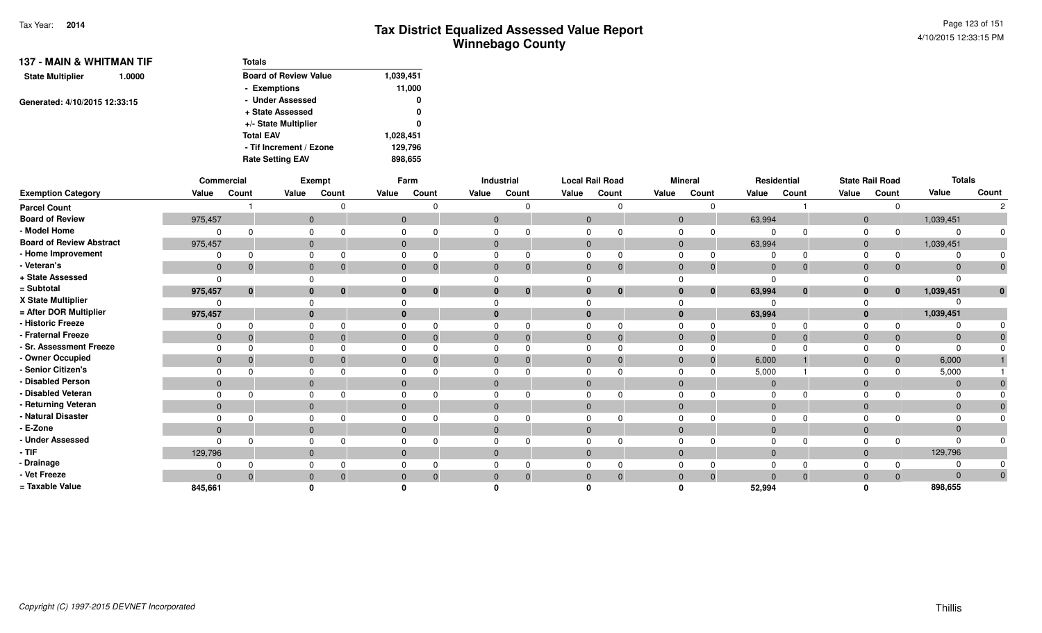| <b>137 - MAIN &amp; WHITMAN TIF</b><br><b>State Multiplier</b><br>1.0000<br>Generated: 4/10/2015 12:33:15 | <b>Totals</b>                |           |
|-----------------------------------------------------------------------------------------------------------|------------------------------|-----------|
|                                                                                                           | <b>Board of Review Value</b> | 1,039,451 |
|                                                                                                           | - Exemptions                 | 11,000    |
|                                                                                                           | - Under Assessed             | 0         |
|                                                                                                           | + State Assessed             | 0         |
|                                                                                                           | +/- State Multiplier         | 0         |
|                                                                                                           | <b>Total EAV</b>             | 1,028,451 |
|                                                                                                           | - Tif Increment / Ezone      | 129,796   |
|                                                                                                           | <b>Rate Setting EAV</b>      | 898,655   |

|                                 |                | Commercial   |              | Exempt   |              | Farm     |                | <b>Industrial</b> | <b>Local Rail Road</b> |              |              | <b>Mineral</b> |              | Residential |                | <b>State Rail Road</b> | <b>Totals</b>  |       |
|---------------------------------|----------------|--------------|--------------|----------|--------------|----------|----------------|-------------------|------------------------|--------------|--------------|----------------|--------------|-------------|----------------|------------------------|----------------|-------|
| <b>Exemption Category</b>       | Value          | Count        | Value        | Count    | Value        | Count    | Value          | Count             | Value                  | Count        | Value        | Count          | Value        | Count       | Value          | Count                  | Value          | Count |
| <b>Parcel Count</b>             |                |              |              |          |              | 0        |                |                   |                        | $\Omega$     |              | $\Omega$       |              |             |                | $\Omega$               |                |       |
| <b>Board of Review</b>          | 975,457        |              | $\mathbf{0}$ |          | $\mathbf{0}$ |          | $\overline{0}$ |                   | $\mathbf{0}$           |              | $\mathbf{0}$ |                | 63,994       |             | $\overline{0}$ |                        | 1,039,451      |       |
| - Model Home                    |                | $\Omega$     |              |          | $\Omega$     |          |                |                   |                        |              |              |                |              |             | $\Omega$       |                        |                |       |
| <b>Board of Review Abstract</b> | 975,457        |              | $\mathbf{0}$ |          | $\mathbf{0}$ |          | $\overline{0}$ |                   | $\mathbf{0}$           |              | $\mathbf{0}$ |                | 63,994       |             | $\overline{0}$ |                        | 1,039,451      |       |
| - Home Improvement              |                | $\Omega$     |              |          |              |          |                |                   |                        |              |              |                |              |             | $\Omega$       | $\Omega$               |                |       |
| - Veteran's                     | $\mathbf{0}$   | $\mathbf{0}$ | $\mathbf 0$  | 0        | $\mathbf{0}$ | 0        | $\overline{0}$ |                   | $\mathbf{0}$           | $\mathbf{0}$ | $\mathbf{0}$ | $\mathbf 0$    | $\mathbf{0}$ | $\Omega$    | $\Omega$       | $\mathbf 0$            | $\Omega$       |       |
| + State Assessed                | $\Omega$       |              |              |          | $\Omega$     |          |                |                   |                        |              |              |                | $\Omega$     |             |                |                        |                |       |
| = Subtotal                      | 975,457        | $\bf{0}$     | $\bf{0}$     | $\bf{0}$ | $\mathbf{0}$ | $\bf{0}$ |                | $\mathbf{0}$      | $\bf{0}$               | $\mathbf{0}$ |              | $\mathbf{0}$   | 63,994       | $\bf{0}$    | 0              | $\mathbf{0}$           | 1,039,451      | U     |
| X State Multiplier              |                |              |              |          | $\Omega$     |          |                |                   |                        |              |              |                |              |             |                |                        |                |       |
| = After DOR Multiplier          | 975,457        |              | $\bf{0}$     |          | $\mathbf{0}$ |          |                |                   | $\bf{0}$               |              | $\bf{0}$     |                | 63,994       |             |                |                        | 1,039,451      |       |
| - Historic Freeze               | $\Omega$       | $\Omega$     |              |          | $\Omega$     |          |                |                   | n                      | $\Omega$     |              |                |              |             | $\Omega$       |                        |                |       |
| - Fraternal Freeze              | $\overline{0}$ | $\Omega$     | $\mathbf{0}$ |          | $\Omega$     |          |                |                   | 0                      | $\Omega$     | $\Omega$     | $\mathbf 0$    | $\mathbf{0}$ |             | $\Omega$       | $\mathbf 0$            | $\overline{0}$ |       |
| - Sr. Assessment Freeze         |                |              |              |          | $\Omega$     |          |                |                   |                        |              |              |                | 0            |             |                | $\Omega$               |                |       |
| - Owner Occupied                | $\mathbf{0}$   | $\mathbf{0}$ | $\mathbf{0}$ |          | $\mathbf{0}$ |          |                |                   | $\mathbf 0$            | $\Omega$     | $\Omega$     | $\mathbf 0$    | 6,000        |             | $\Omega$       | $\mathbf{0}$           | 6,000          |       |
| - Senior Citizen's              |                |              |              |          | $\Omega$     |          |                |                   |                        |              |              |                | 5,000        |             |                | $\Omega$               | 5,000          |       |
| - Disabled Person               | $\mathbf{0}$   |              | $\mathbf{0}$ |          | $\mathbf{0}$ |          |                |                   | $\Omega$               |              |              |                | $\Omega$     |             | $\Omega$       |                        |                |       |
| - Disabled Veteran              |                | $\Omega$     | 0            |          | $\Omega$     |          |                |                   |                        |              |              |                |              |             | $\Omega$       |                        |                |       |
| - Returning Veteran             | $\mathbf{0}$   |              | $\mathbf{0}$ |          | $\mathbf{0}$ |          |                |                   | $\Omega$               |              | $\Omega$     |                | $\Omega$     |             | $\Omega$       |                        | $\Omega$       |       |
| - Natural Disaster              |                |              |              |          | $\Omega$     |          |                |                   |                        |              |              |                |              |             |                |                        |                |       |
| - E-Zone                        | $\mathbf{0}$   |              | $\mathbf{0}$ |          | $\mathbf{0}$ |          |                |                   | $\Omega$               |              | $\Omega$     |                | $\Omega$     |             | $\Omega$       |                        | $\Omega$       |       |
| - Under Assessed                | $\Omega$       | $\Omega$     |              |          | $\Omega$     | ∩        |                |                   |                        | <sup>n</sup> |              |                |              |             |                | $\Omega$               |                |       |
| - TIF                           | 129,796        |              | $\mathbf{0}$ |          | $\mathbf{0}$ |          | $\overline{0}$ |                   | $\mathbf{0}$           |              | $\Omega$     |                | $\mathbf 0$  |             | $\Omega$       |                        | 129,796        |       |
| - Drainage                      |                | $\Omega$     |              |          | $\Omega$     |          |                |                   |                        |              |              |                | $\Omega$     |             |                | $\Omega$               |                |       |
| - Vet Freeze                    | $\Omega$       | $\Omega$     | $\mathbf{0}$ |          | $\mathbf{0}$ | $\Omega$ |                |                   | $\overline{0}$         | $\Omega$     | $\Omega$     | $\Omega$       | $\Omega$     |             | $\Omega$       | $\mathbf{0}$           | $\Omega$       | 0     |
| = Taxable Value                 | 845,661        |              |              |          |              |          |                |                   |                        |              |              |                | 52,994       |             |                |                        | 898,655        |       |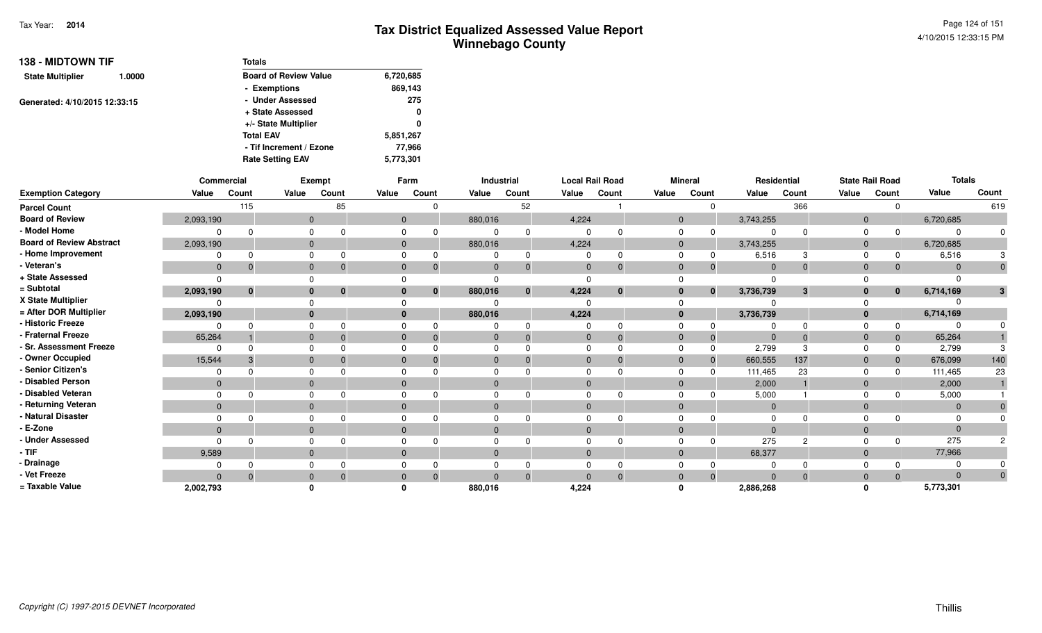|                         | <b>138 - MIDTOWN TIF</b><br>1.0000<br>Generated: 4/10/2015 12:33:15 | <b>Totals</b>                |           |
|-------------------------|---------------------------------------------------------------------|------------------------------|-----------|
| <b>State Multiplier</b> |                                                                     | <b>Board of Review Value</b> | 6,720,685 |
|                         |                                                                     | - Exemptions                 | 869,143   |
|                         |                                                                     | - Under Assessed             | 275       |
|                         |                                                                     | + State Assessed             | 0         |
|                         |                                                                     | +/- State Multiplier         | 0         |
|                         |                                                                     | <b>Total EAV</b>             | 5,851,267 |
|                         |                                                                     | - Tif Increment / Ezone      | 77,966    |
|                         |                                                                     | <b>Rate Setting EAV</b>      | 5,773,301 |

|                                 | Commercial   |          |              | Exempt                       |             | Farm           |              | Industrial     |              | <b>Local Rail Road</b> |                | <b>Mineral</b> |                | Residential   |                | <b>State Rail Road</b> | <b>Totals</b>  |       |
|---------------------------------|--------------|----------|--------------|------------------------------|-------------|----------------|--------------|----------------|--------------|------------------------|----------------|----------------|----------------|---------------|----------------|------------------------|----------------|-------|
| <b>Exemption Category</b>       | Value        | Count    | Value        | Count                        | Value       | Count          | Value        | Count          | Value        | Count                  | Value          | Count          | Value          | Count         | Value          | Count                  | Value          | Count |
| <b>Parcel Count</b>             |              | 115      |              | 85                           |             |                |              | 52             |              |                        |                |                |                | 366           |                |                        |                | 619   |
| <b>Board of Review</b>          | 2,093,190    |          |              | $\mathbf{0}$                 |             | $\overline{0}$ | 880,016      |                | 4,224        |                        | $\mathbf{0}$   |                | 3,743,255      |               | $\overline{0}$ |                        | 6,720,685      |       |
| - Model Home                    |              |          | $\Omega$     |                              |             |                |              | $\Omega$       |              |                        |                |                |                |               |                |                        | $\Omega$       |       |
| <b>Board of Review Abstract</b> | 2,093,190    |          | $\Omega$     |                              | $\Omega$    |                | 880,016      |                | 4,224        |                        | $\overline{0}$ |                | 3,743,255      |               | $\Omega$       |                        | 6,720,685      |       |
| - Home Improvement              |              |          |              |                              |             |                |              | 0              |              |                        |                |                | 6,516          |               |                |                        | 6,516          |       |
| - Veteran's                     | $\mathbf{0}$ |          | $\Omega$     |                              |             |                | $\Omega$     | $\mathbf{0}$   | $\mathbf{0}$ |                        | $\Omega$       |                | $\Omega$       | $\Omega$      | $\Omega$       |                        | $\Omega$       |       |
| + State Assessed                |              |          |              |                              |             |                |              |                |              |                        |                |                | $\Omega$       |               |                |                        |                |       |
| = Subtotal                      | 2,093,190    | $\bf{0}$ |              | $\mathbf{0}$<br>$\mathbf{0}$ |             | $\mathbf{0}$   | 880,016      | $\mathbf{0}$   | 4,224        | $\mathbf{0}$           | $\bf{0}$       | $\mathbf{0}$   | 3,736,739      | 3             |                | 0                      | 6,714,169      |       |
| X State Multiplier              |              |          |              |                              |             |                |              |                |              |                        |                |                |                |               |                |                        |                |       |
| = After DOR Multiplier          | 2,093,190    |          |              | $\mathbf{0}$                 |             |                | 880,016      |                | 4,224        |                        | $\mathbf{0}$   |                | 3,736,739      |               |                |                        | 6,714,169      |       |
| - Historic Freeze               |              |          | $\Omega$     |                              |             |                |              | 0              |              |                        |                |                |                |               |                |                        |                |       |
| - Fraternal Freeze              | 65,264       |          | $\Omega$     |                              |             |                | $\mathbf{0}$ | $\overline{0}$ | $\mathbf{0}$ | $\overline{0}$         | $\Omega$       | -0             | $\overline{0}$ | $\Omega$      | $\Omega$       | 0                      | 65,264         |       |
| - Sr. Assessment Freeze         |              |          | $\Omega$     |                              |             |                |              |                |              |                        |                |                | 2,799          |               |                |                        | 2,799          |       |
| - Owner Occupied                | 15,544       |          | $\Omega$     |                              |             |                | $\Omega$     | $\Omega$       | $\Omega$     |                        | $\Omega$       | 0              | 660,555        | 137           | $\Omega$       |                        | 676,099        | 140   |
| - Senior Citizen's              |              |          |              |                              |             |                |              |                |              |                        |                |                | 111,465        | 23            |                |                        | 111,465        | 23    |
| Disabled Person                 | $\mathbf{0}$ |          | $\Omega$     |                              |             |                | $\Omega$     |                |              |                        | $\Omega$       |                | 2,000          |               |                |                        | 2,000          |       |
| - Disabled Veteran              |              |          | $\Omega$     |                              |             |                |              |                |              |                        |                |                | 5,000          |               |                |                        | 5,000          |       |
| - Returning Veteran             | $\mathbf{0}$ |          |              | $\mathbf{0}$                 |             |                | $\mathbf{0}$ |                | $\Omega$     |                        | $\Omega$       |                | $\overline{0}$ |               | $\Omega$       |                        | $\overline{0}$ |       |
| - Natural Disaster              |              |          | $\Omega$     |                              |             |                |              |                |              |                        |                |                | $\Omega$       |               |                |                        | $\Omega$       |       |
| - E-Zone                        | $\Omega$     |          | $\mathbf{0}$ |                              |             |                | $\Omega$     |                | $\Omega$     |                        | $\Omega$       |                | $\Omega$       |               |                |                        | $\Omega$       |       |
| <b>Under Assessed</b>           |              |          | $\Omega$     |                              |             |                |              |                |              |                        |                |                | 275            | $\mathcal{P}$ |                |                        | 275            |       |
| $-$ TIF                         | 9,589        |          |              | $\mathbf{0}$                 | $\mathbf 0$ |                | $\mathbf{0}$ |                | $\Omega$     |                        | $\Omega$       |                | 68,377         |               | $\Omega$       |                        | 77,966         |       |
| - Drainage                      |              |          |              |                              |             |                |              | 0              |              |                        |                |                |                |               |                |                        |                |       |
| - Vet Freeze                    | $\Omega$     |          | $\mathbf{0}$ |                              |             |                | $\Omega$     | $\Omega$       | $\Omega$     |                        |                |                | $\cap$         | $\Omega$      |                |                        | $\Omega$       |       |
| = Taxable Value                 | 2,002,793    |          |              |                              |             |                | 880,016      |                | 4,224        |                        |                |                | 2,886,268      |               |                |                        | 5,773,301      |       |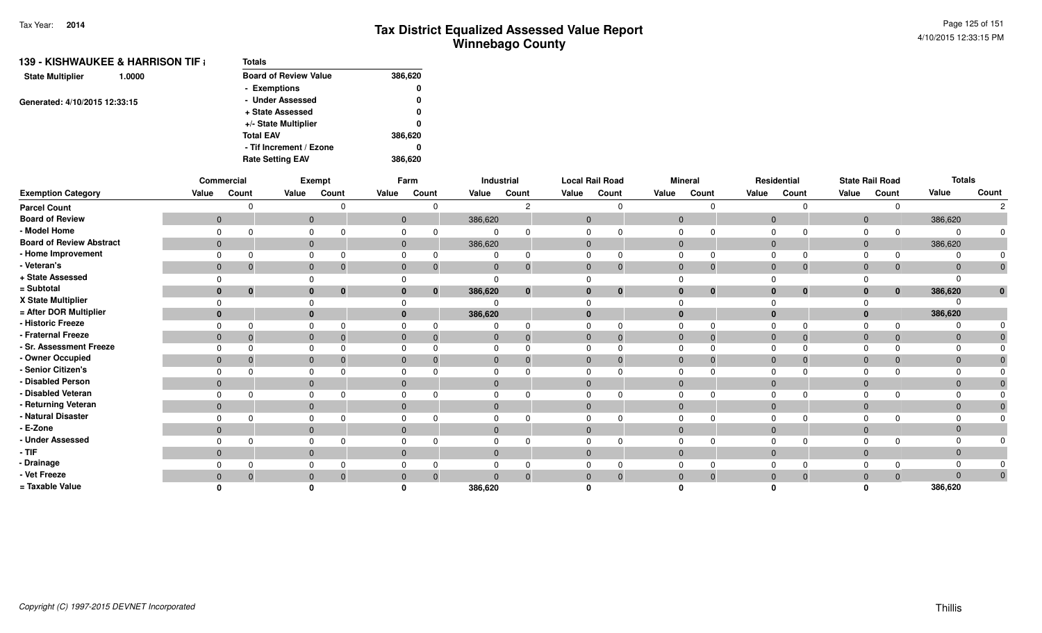| 139 - KISHWAUKEE & HARRISON TIF † | <b>Totals</b>                |         |
|-----------------------------------|------------------------------|---------|
| <b>State Multiplier</b><br>1.0000 | <b>Board of Review Value</b> | 386,620 |
|                                   | - Exemptions                 | 0       |
| Generated: 4/10/2015 12:33:15     | - Under Assessed             | 0       |
|                                   | + State Assessed             | 0       |
|                                   | +/- State Multiplier         | 0       |
|                                   | <b>Total EAV</b>             | 386,620 |
|                                   | - Tif Increment / Ezone      | 0       |
|                                   | <b>Rate Setting EAV</b>      | 386.620 |

|                                 |              | Commercial   |       | Exempt   |       | Farm                     |              | Industrial   |                | <b>Local Rail Road</b> |              | <b>Mineral</b> |                | Residential |                | <b>State Rail Road</b> | <b>Totals</b>  |       |
|---------------------------------|--------------|--------------|-------|----------|-------|--------------------------|--------------|--------------|----------------|------------------------|--------------|----------------|----------------|-------------|----------------|------------------------|----------------|-------|
| <b>Exemption Category</b>       | Value        | Count        | Value | Count    | Value | Count                    | Value        | Count        | Value          | Count                  | Value        | Count          | Value          | Count       | Value          | Count                  | Value          | Count |
| <b>Parcel Count</b>             |              |              |       |          |       | $\Omega$                 |              | C.           |                |                        |              | $\Omega$       |                |             |                |                        |                |       |
| <b>Board of Review</b>          | $\mathbf{0}$ |              |       | 0        |       | $\overline{0}$           | 386,620      |              | $\overline{0}$ |                        | $\mathbf{0}$ |                | $\overline{0}$ |             | $\overline{0}$ |                        | 386,620        |       |
| - Model Home                    |              |              |       |          |       | $\Omega$                 |              |              |                |                        |              |                |                |             |                |                        | $\Omega$       |       |
| <b>Board of Review Abstract</b> | $\mathbf{0}$ |              |       |          |       | $\overline{0}$           | 386,620      |              | $\mathbf{0}$   |                        | $\mathbf{0}$ |                | $\mathbf 0$    |             | $\Omega$       |                        | 386,620        |       |
| - Home Improvement              |              |              |       |          |       | 0                        |              | 0            |                |                        |              |                |                |             |                | $\Omega$               |                |       |
| - Veteran's                     | $\mathbf{0}$ |              |       |          |       | $\Omega$<br>$\Omega$     | $\Omega$     | $\mathbf 0$  | $\mathbf{0}$   | $\mathbf 0$            | $\mathbf{0}$ | $\mathbf 0$    | $\Omega$       |             | $\Omega$       | $\mathbf{0}$           | $\overline{0}$ |       |
| + State Assessed                |              |              |       |          |       |                          |              |              |                |                        |              |                |                |             |                |                        |                |       |
| = Subtotal                      | 0            | $\mathbf{0}$ |       | $\bf{0}$ |       | $\mathbf{0}$<br>0        | 386,620      | $\mathbf{0}$ | $\bf{0}$       | $\mathbf{0}$           | $\bf{0}$     | $\mathbf{0}$   | $\bf{0}$       | $\bf{0}$    |                | $\mathbf{0}$           | 386,620        |       |
| X State Multiplier              |              |              |       |          |       |                          |              |              |                |                        |              |                |                |             |                |                        |                |       |
| = After DOR Multiplier          | $\bf{0}$     |              |       |          |       | $\mathbf{0}$             | 386,620      |              | $\bf{0}$       |                        | $\bf{0}$     |                | $\bf{0}$       |             |                |                        | 386,620        |       |
| - Historic Freeze               |              |              |       |          |       |                          |              |              |                |                        |              |                |                |             |                |                        |                |       |
| Fraternal Freeze                | $\mathbf{0}$ |              |       |          |       | $\mathbf{0}$<br>$\Omega$ | 0            | $\mathbf{0}$ | $\mathbf{0}$   | -0                     | $\Omega$     | $\overline{0}$ | $\mathbf 0$    |             | 0              | $\mathbf{0}$           | $\overline{0}$ |       |
| - Sr. Assessment Freeze         |              |              |       |          |       |                          |              |              | $\Omega$       |                        |              |                |                |             |                | $\Omega$               | $\Omega$       |       |
| - Owner Occupied                | $\mathbf{0}$ |              |       |          |       | $\Omega$<br>$\Omega$     |              | 0            | $\Omega$       |                        | $\Omega$     | $\overline{0}$ | $\Omega$       |             |                | $\Omega$               | $\Omega$       |       |
| - Senior Citizen's              |              |              |       |          |       |                          |              |              |                |                        |              |                |                |             |                |                        |                |       |
| Disabled Person                 | $\Omega$     |              |       |          |       | $\Omega$                 |              |              | $\Omega$       |                        | $\Omega$     |                |                |             |                |                        | $\Omega$       |       |
| - Disabled Veteran              |              |              |       |          |       | O<br><sup>n</sup>        |              |              | $\Omega$       |                        | $\Omega$     |                |                |             | $\Omega$       |                        |                |       |
| - Returning Veteran             | $\mathbf 0$  |              | 0     |          |       | $\mathbf{0}$             | $\mathbf{0}$ |              | $\mathbf{0}$   |                        | $\mathbf 0$  |                | $\overline{0}$ |             | $\Omega$       |                        | $\overline{0}$ |       |
| - Natural Disaster              |              |              |       |          |       |                          |              |              | $\Omega$       |                        | <sup>0</sup> |                |                |             |                |                        | $\Omega$       |       |
| ⋅ E-Zone                        | $\mathbf{0}$ |              |       |          |       | $\Omega$                 |              |              | $\Omega$       |                        | $\Omega$     |                |                |             |                |                        | $\Omega$       |       |
| - Under Assessed                |              |              |       |          |       |                          |              |              |                |                        |              |                |                |             |                |                        |                |       |
| · TIF                           | $\mathbf 0$  |              | 0     |          |       | $\mathbf{0}$             | $\mathbf{0}$ |              | $\mathbf{0}$   |                        | $\mathbf 0$  |                | $\overline{0}$ |             | $\Omega$       |                        | $\overline{0}$ |       |
| · Drainage                      |              |              |       |          |       |                          |              |              |                |                        |              |                |                |             |                | $\Omega$               |                |       |
| - Vet Freeze                    | $\mathbf{0}$ |              |       |          |       | $\mathbf{0}$<br>$\Omega$ |              | $\Omega$     | $\Omega$       |                        | $\Omega$     | $\overline{0}$ |                |             |                | $\mathbf{0}$           | $\Omega$       |       |
| = Taxable Value                 |              |              |       |          |       |                          | 386,620      |              |                |                        |              |                |                |             |                |                        | 386,620        |       |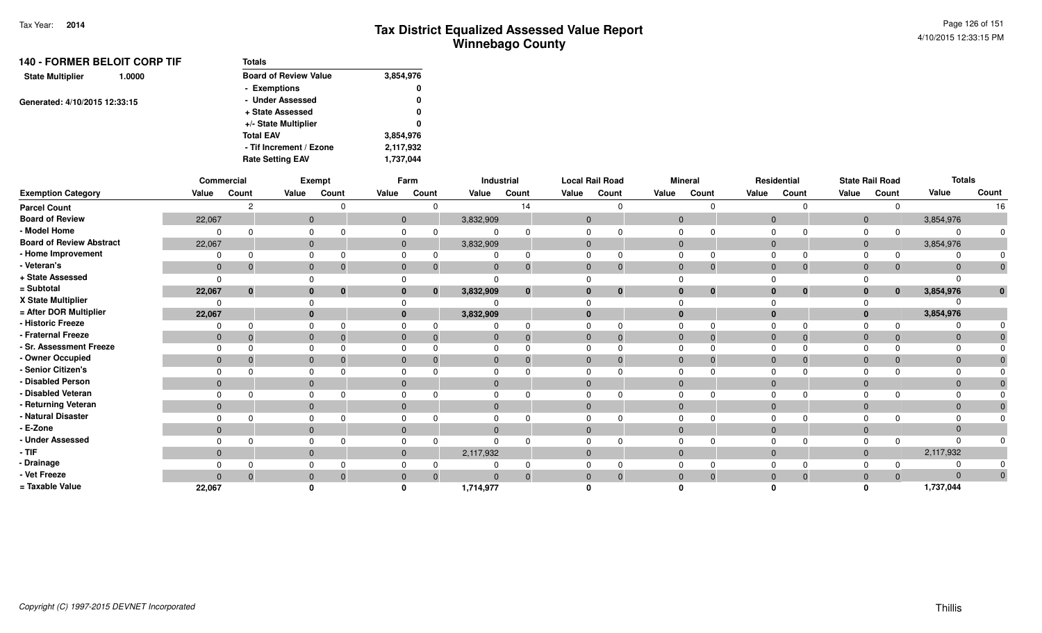| <b>140 - FORMER BELOIT CORP TIF</b> | Totals                       |           |
|-------------------------------------|------------------------------|-----------|
| <b>State Multiplier</b><br>1.0000   | <b>Board of Review Value</b> | 3,854,976 |
|                                     | - Exemptions                 | 0         |
| Generated: 4/10/2015 12:33:15       | - Under Assessed             | 0         |
|                                     | + State Assessed             | 0         |
|                                     | +/- State Multiplier         | 0         |
|                                     | <b>Total EAV</b>             | 3,854,976 |
|                                     | - Tif Increment / Ezone      | 2,117,932 |
|                                     | <b>Rate Setting EAV</b>      | 1,737,044 |

|                                 |              | Commercial  |              | Exempt                       |              | Farm         |              | Industrial |                | <b>Local Rail Road</b> |                | <b>Mineral</b> |              | Residential                 |              | <b>State Rail Road</b> | <b>Totals</b> |              |
|---------------------------------|--------------|-------------|--------------|------------------------------|--------------|--------------|--------------|------------|----------------|------------------------|----------------|----------------|--------------|-----------------------------|--------------|------------------------|---------------|--------------|
| <b>Exemption Category</b>       | Value        | Count       | Value        | Count                        | Value        | Count        | Value        | Count      | Value          | Count                  | Value          | Count          | Value        | Count                       | Value        | Count                  | Value         | Count        |
| <b>Parcel Count</b>             |              |             |              |                              |              |              |              | 14         |                |                        |                | $\Omega$       |              | $\Omega$                    |              | 0                      |               | 16           |
| <b>Board of Review</b>          | 22,067       |             |              | $\mathbf{0}$                 |              | $\mathbf{0}$ | 3,832,909    |            | $\mathbf 0$    |                        | $\mathbf 0$    |                |              | $\mathbf 0$                 | $\mathbf{0}$ |                        | 3,854,976     |              |
| - Model Home                    | $\Omega$     |             | 0            |                              |              | 0            | $\mathbf 0$  |            | $\Omega$       |                        | 0              |                |              | $\mathbf 0$<br>$\Omega$     | 0            | $\mathbf 0$            |               | 0            |
| <b>Board of Review Abstract</b> | 22,067       |             |              | $\mathbf{0}$                 |              | $\mathbf{0}$ | 3,832,909    |            | $\mathbf 0$    |                        | $\mathbf{0}$   |                |              | $\overline{0}$              | $\mathbf{0}$ |                        | 3,854,976     |              |
| - Home Improvement              | 0            |             | 0            |                              |              |              |              |            |                |                        | $\Omega$       |                |              | $\Omega$                    | $\Omega$     | $\Omega$               |               |              |
| - Veteran's                     | $\mathbf{0}$ | -0          |              | $\mathbf{0}$<br>$\Omega$     | $\mathbf{0}$ | 0            | $\mathbf{0}$ |            | $\mathbf{0}$   | $\Omega$               | $\mathbf{0}$   | $\Omega$       |              | $\mathbf 0$<br>$\mathbf{0}$ | $\mathbf{0}$ | $\Omega$               | $\Omega$      | $\mathbf{0}$ |
| + State Assessed                | $\Omega$     |             | 0            |                              |              |              | $\Omega$     |            |                |                        | $\Omega$       |                |              |                             |              |                        |               |              |
| = Subtotal                      | 22,067       | $\mathbf 0$ |              | $\mathbf{0}$<br>$\mathbf{0}$ | $\bf{0}$     |              | 3,832,909    |            |                | $\bf{0}$               | $\bf{0}$       | $\bf{0}$       |              | $\bf{0}$<br>$\bf{0}$        | $\mathbf{0}$ | $\bf{0}$               | 3,854,976     | $\mathbf{0}$ |
| X State Multiplier              | $\Omega$     |             |              |                              |              |              |              |            |                |                        |                |                |              |                             |              |                        |               |              |
| = After DOR Multiplier          | 22,067       |             |              | $\mathbf{0}$                 |              | $\bf{0}$     | 3,832,909    |            |                |                        | $\mathbf{0}$   |                |              | $\bf{0}$                    | $\mathbf{0}$ |                        | 3,854,976     |              |
| - Historic Freeze               | $\Omega$     | ∩           | 0            |                              | 0            |              |              |            | $\Omega$       |                        | $\Omega$       |                | $\Omega$     | $\Omega$                    | $\Omega$     |                        |               |              |
| - Fraternal Freeze              | $\mathbf 0$  | -0          |              | $\mathbf{0}$<br>$\Omega$     | $\Omega$     |              | $\mathbf{0}$ |            | $\mathbf{0}$   | $\Omega$               | $\mathbf 0$    | $\Omega$       |              | $\mathbf 0$<br>$\Omega$     | $\mathbf{0}$ | $\Omega$               | $\Omega$      |              |
| - Sr. Assessment Freeze         | $\Omega$     |             |              | 0                            | 0            |              |              |            |                |                        | $\Omega$       |                | $\Omega$     | $\Omega$                    | 0            |                        |               |              |
| - Owner Occupied                | $\mathbf 0$  | 0           | $\mathbf{0}$ |                              | $\mathbf 0$  |              | $\mathbf{0}$ |            | $\mathbf 0$    |                        | $\overline{0}$ |                | $\mathbf{0}$ | $\Omega$                    | $\mathbf 0$  |                        |               |              |
| - Senior Citizen's              | $\Omega$     |             |              | $\mathbf 0$                  | 0            |              | 0            |            |                |                        | $\Omega$       |                |              | $\Omega$                    | $\Omega$     |                        |               |              |
| - Disabled Person               | $\mathbf{0}$ |             |              | $\mathbf{0}$                 | $\mathbf{0}$ |              | $\mathbf 0$  |            | $\mathbf{0}$   |                        | $\mathbf 0$    |                |              | $\mathbf{0}$                | $\mathbf 0$  |                        | $\Omega$      |              |
| - Disabled Veteran              | $\Omega$     |             | 0            |                              | 0            |              | 0            |            | $\Omega$       |                        | 0              |                |              | $\Omega$<br>$\Omega$        | 0            |                        |               |              |
| - Returning Veteran             | $\mathbf{0}$ |             |              | $\mathbf{0}$                 | $\Omega$     |              | $\mathbf{0}$ |            | $\mathbf{0}$   |                        | $\mathbf{0}$   |                |              | $\mathbf{0}$                | $\mathbf 0$  |                        | $\Omega$      |              |
| - Natural Disaster              | 0            |             |              | 0                            | $\Omega$     |              | 0            |            | $\Omega$       |                        | 0              |                |              | $\Omega$<br>$\Omega$        | $\Omega$     |                        |               |              |
| - E-Zone                        | $\mathbf{0}$ |             |              | $\mathbf{0}$                 | $\mathbf{0}$ |              | $\mathbf{0}$ |            | $\mathbf{0}$   |                        | $\mathbf{0}$   |                | $\mathbf{0}$ |                             | $\mathbf 0$  |                        |               |              |
| - Under Assessed                | $\Omega$     | ∩           | $\Omega$     |                              | 0            |              | $\Omega$     |            | $\Omega$       |                        | $\Omega$       | $\Omega$       |              | $\Omega$<br>$\Omega$        | $\Omega$     | $\Omega$               |               |              |
| - TIF                           | $\mathbf{0}$ |             |              | $\mathbf{0}$                 | $\Omega$     |              | 2,117,932    |            | $\Omega$       |                        | $\mathbf 0$    |                |              | $\mathbf 0$                 | $\mathbf{0}$ |                        | 2,117,932     |              |
| - Drainage                      | $\Omega$     |             | $\Omega$     |                              |              | 0            | 0            |            | $\Omega$       |                        | $\Omega$       |                |              | $\Omega$<br>$\Omega$        | 0            |                        |               |              |
| - Vet Freeze                    | $\mathbf{0}$ |             |              | $\mathbf{0}$                 | $\mathbf{0}$ |              | $\Omega$     |            | $\overline{0}$ | $\Omega$               | $\mathbf{0}$   | $\Omega$       | $\mathbf{0}$ | $\mathbf{0}$                | $\mathbf 0$  | $\Omega$               | $\Omega$      | $\mathbf 0$  |
| = Taxable Value                 | 22,067       |             |              |                              |              |              | 1,714,977    |            |                |                        |                |                |              |                             | $\Omega$     |                        | 1,737,044     |              |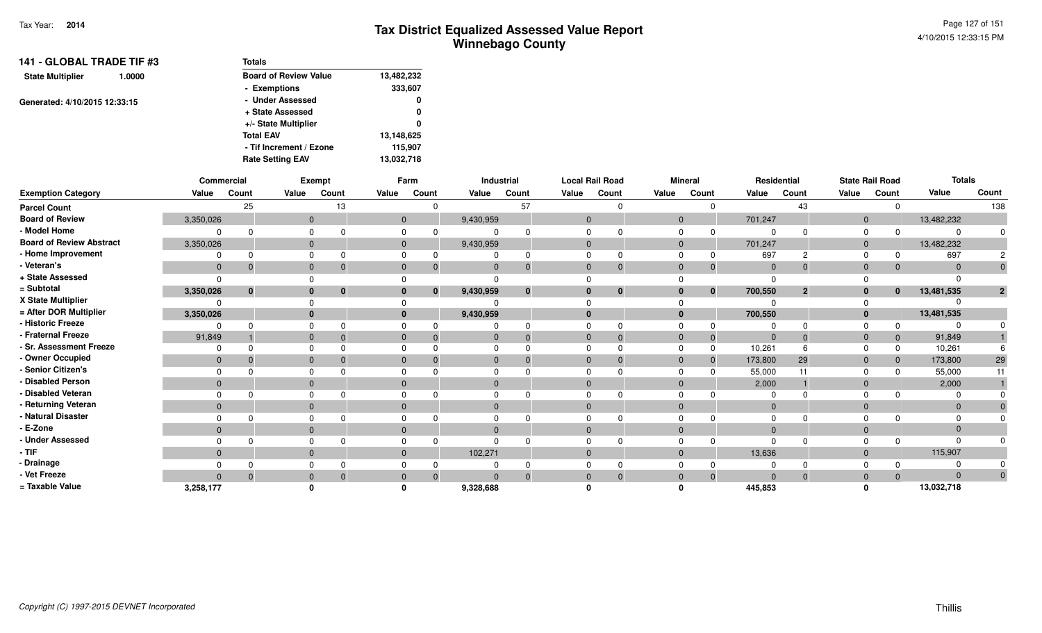| 141 - GLOBAL TRADE TIF #3<br>1.0000 | <b>Totals</b>                |            |  |  |  |  |  |
|-------------------------------------|------------------------------|------------|--|--|--|--|--|
| <b>State Multiplier</b>             | <b>Board of Review Value</b> | 13,482,232 |  |  |  |  |  |
|                                     | - Exemptions                 | 333,607    |  |  |  |  |  |
| Generated: 4/10/2015 12:33:15       | - Under Assessed             |            |  |  |  |  |  |
|                                     | + State Assessed             | 0          |  |  |  |  |  |
|                                     | +/- State Multiplier         | 0          |  |  |  |  |  |
|                                     | <b>Total EAV</b>             | 13,148,625 |  |  |  |  |  |
|                                     | - Tif Increment / Ezone      | 115,907    |  |  |  |  |  |
|                                     | <b>Rate Setting EAV</b>      | 13,032,718 |  |  |  |  |  |

|                                 |              | Commercial |              | Exempt   |       | Farm                     |           | Industrial   |                | <b>Local Rail Road</b> |              | <b>Mineral</b> |                | Residential    |                | <b>State Rail Road</b> | <b>Totals</b> |                |
|---------------------------------|--------------|------------|--------------|----------|-------|--------------------------|-----------|--------------|----------------|------------------------|--------------|----------------|----------------|----------------|----------------|------------------------|---------------|----------------|
| <b>Exemption Category</b>       | Value        | Count      | Value        | Count    | Value | Count                    | Value     | Count        | Value          | Count                  | Value        | Count          | Value          | Count          | Value          | Count                  | Value         | Count          |
| <b>Parcel Count</b>             |              | 25         |              | 13       |       | $\Omega$                 |           | 57           |                |                        |              |                |                | 43             |                | <sup>0</sup>           |               | 138            |
| <b>Board of Review</b>          | 3,350,026    |            | $\mathbf{0}$ |          |       | $\overline{0}$           | 9,430,959 |              | $\overline{0}$ |                        | $\mathbf{0}$ |                | 701,247        |                | $\mathbf{0}$   |                        | 13,482,232    |                |
| - Model Home                    |              |            |              |          |       |                          |           |              |                |                        |              |                |                |                | $\Omega$       |                        |               |                |
| <b>Board of Review Abstract</b> | 3,350,026    |            | $\mathbf{0}$ |          |       | $\mathbf{0}$             | 9,430,959 |              | $\Omega$       |                        | $\mathbf{0}$ |                | 701,247        |                | $\mathbf 0$    |                        | 13,482,232    |                |
| - Home Improvement              |              | ŋ          |              |          |       |                          |           |              |                |                        |              |                | 697            | 2              | $\Omega$       |                        | 697           |                |
| - Veteran's                     | $\mathbf{0}$ | $\Omega$   | $\Omega$     |          |       | $\Omega$<br>$\Omega$     |           | $\Omega$     | $\Omega$       | $\Omega$               | $\Omega$     | 0              | $\overline{0}$ | $\Omega$       | $\overline{0}$ | $\mathbf{0}$           |               |                |
| + State Assessed                | $\Omega$     |            |              |          |       |                          |           |              |                |                        |              |                |                |                |                |                        |               |                |
| = Subtotal                      | 3,350,026    | $\bf{0}$   |              | $\bf{0}$ |       | $\mathbf{0}$             | 9,430,959 | $\mathbf{0}$ | $\mathbf{0}$   | $\mathbf{0}$           | $\bf{0}$     | $\mathbf 0$    | 700,550        | $\overline{2}$ | $\mathbf{0}$   | $\mathbf{0}$           | 13,481,535    | $\overline{2}$ |
| X State Multiplier              |              |            |              |          |       |                          |           |              |                |                        |              |                |                |                |                |                        |               |                |
| = After DOR Multiplier          | 3,350,026    |            |              |          |       | $\mathbf{0}$             | 9,430,959 |              | $\mathbf{0}$   |                        | $\bf{0}$     |                | 700,550        |                | $\mathbf{0}$   |                        | 13,481,535    |                |
| - Historic Freeze               |              |            |              |          |       |                          |           |              |                |                        |              |                |                |                |                | 0                      |               |                |
| - Fraternal Freeze              | 91,849       |            |              |          |       | $\mathbf{0}$<br>$\Omega$ | 0         | $\Omega$     | $\Omega$       | $\Omega$               | $\Omega$     | $\mathbf 0$    | $\overline{0}$ | $\Omega$       | $\overline{0}$ | $\overline{0}$         | 91,849        |                |
| - Sr. Assessment Freeze         |              |            |              |          |       |                          |           |              |                |                        |              | $\Omega$       | 10,261         |                |                | $\Omega$               | 10,261        |                |
| - Owner Occupied                | $\mathbf{0}$ |            |              |          |       | $\Omega$                 |           |              | $\Omega$       |                        | $\Omega$     | 0              | 173,800        | 29             | $\Omega$       | $\mathbf{0}$           | 173,800       | 29             |
| - Senior Citizen's              | $\Omega$     |            |              |          |       |                          |           |              |                |                        |              |                | 55,000         |                |                | $\Omega$               | 55,000        |                |
| - Disabled Person               | $\Omega$     |            |              |          |       | $\Omega$                 |           |              | $\Omega$       |                        | $\Omega$     |                | 2,000          |                | $\Omega$       |                        | 2,000         |                |
| - Disabled Veteran              | $\Omega$     |            |              |          |       |                          |           |              |                |                        |              |                |                |                |                |                        |               |                |
| - Returning Veteran             | $\mathbf{0}$ |            | $\Omega$     |          |       | $\Omega$                 |           |              | $\Omega$       |                        | $\Omega$     |                | $\Omega$       |                | $\Omega$       |                        | $\Omega$      |                |
| <b>Natural Disaster</b>         |              |            |              |          |       |                          |           |              |                |                        |              |                |                |                |                |                        |               |                |
| - E-Zone                        | $\Omega$     |            |              |          |       | $\Omega$                 |           |              | $\Omega$       |                        | $\Omega$     |                |                |                | $\Omega$       |                        |               |                |
| - Under Assessed                |              |            |              |          |       | $\Omega$                 |           |              |                |                        |              |                |                |                |                |                        |               |                |
| - TIF                           | $\mathbf{0}$ |            | 0            |          |       | $\mathbf{0}$             | 102,271   |              | $\Omega$       |                        | $\Omega$     |                | 13,636         |                | $\Omega$       |                        | 115,907       |                |
| - Drainage                      |              |            |              |          |       |                          |           |              |                |                        |              |                |                |                |                |                        |               |                |
| - Vet Freeze                    | $\Omega$     |            |              |          |       | 0<br>$\Omega$            |           |              | $\Omega$       |                        |              | $\Omega$       | $\Omega$       |                | $\Omega$       | $\Omega$               | $\Omega$      | 0              |
| = Taxable Value                 | 3,258,177    |            |              |          |       |                          | 9,328,688 |              |                |                        |              |                | 445.853        |                |                |                        | 13,032,718    |                |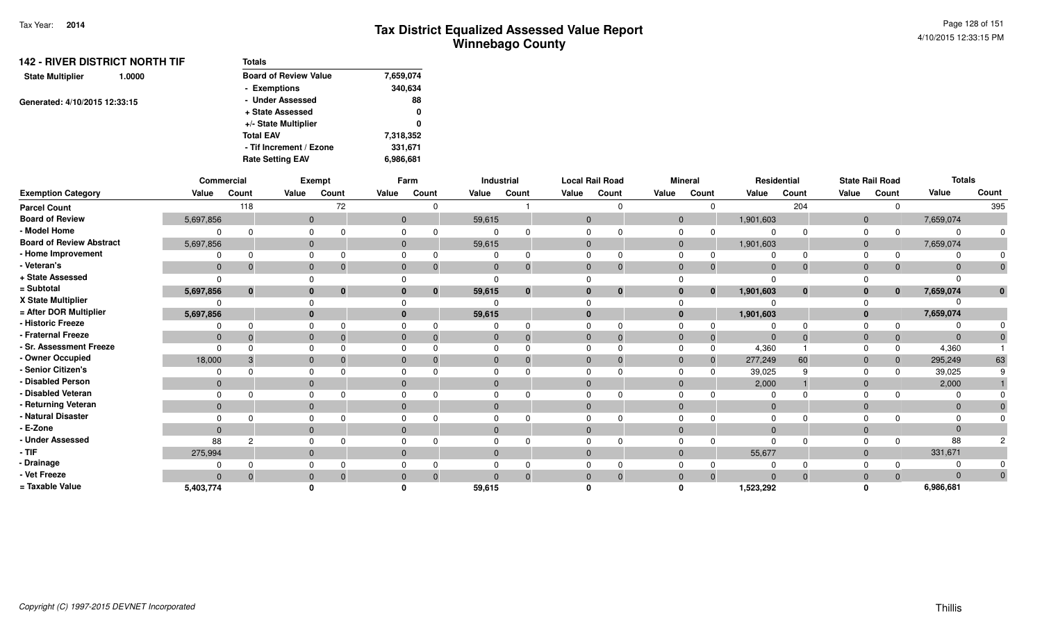| <b>142 - RIVER DISTRICT NORTH TIF</b> | Totals                       |           |
|---------------------------------------|------------------------------|-----------|
| <b>State Multiplier</b><br>1.0000     | <b>Board of Review Value</b> | 7,659,074 |
|                                       | - Exemptions                 | 340,634   |
| Generated: 4/10/2015 12:33:15         | - Under Assessed             | 88        |
|                                       | + State Assessed             | 0         |
|                                       | +/- State Multiplier         | 0         |
|                                       | <b>Total EAV</b>             | 7,318,352 |
|                                       | - Tif Increment / Ezone      | 331,671   |
|                                       | <b>Rate Setting EAV</b>      | 6,986,681 |

|                                 |                | Commercial  |              | Exempt                       |                | Farm         |              | Industrial     | <b>Local Rail Road</b> |              |                | <b>Mineral</b> |                | Residential |             | <b>State Rail Road</b> | <b>Totals</b>  |       |
|---------------------------------|----------------|-------------|--------------|------------------------------|----------------|--------------|--------------|----------------|------------------------|--------------|----------------|----------------|----------------|-------------|-------------|------------------------|----------------|-------|
| <b>Exemption Category</b>       | Value          | Count       | Value        | Count                        | Value          | Count        | Value        | Count          | Value                  | Count        | Value          | Count          | Value          | Count       | Value       | Count                  | Value          | Count |
| <b>Parcel Count</b>             |                | 118         |              | 72                           |                |              |              |                |                        |              |                |                |                | 204         |             |                        |                | 395   |
| <b>Board of Review</b>          | 5,697,856      |             |              | $\mathbf{0}$                 | $\overline{0}$ |              | 59,615       |                | $\mathbf{0}$           |              | $\mathbf{0}$   |                | 1,901,603      |             | $\mathbf 0$ |                        | 7,659,074      |       |
| - Model Home                    |                |             | $\Omega$     |                              |                |              |              |                |                        |              |                |                |                |             |             |                        | $\Omega$       |       |
| <b>Board of Review Abstract</b> | 5,697,856      |             | $\Omega$     |                              | $\Omega$       |              | 59,615       |                | $\Omega$               |              | $\overline{0}$ |                | 1,901,603      |             | $\Omega$    |                        | 7,659,074      |       |
| - Home Improvement              |                |             |              |                              |                |              |              |                |                        |              |                |                |                |             |             |                        |                |       |
| - Veteran's                     | $\mathbf{0}$   |             | $\Omega$     |                              |                |              | $\Omega$     | $\mathbf{0}$   | $\Omega$               |              | $\Omega$       | 0              | $\Omega$       | $\mathbf 0$ | $\Omega$    |                        | $\Omega$       |       |
| + State Assessed                |                |             |              |                              |                |              |              |                |                        |              |                |                | $\Omega$       |             |             |                        |                |       |
| = Subtotal                      | 5,697,856      | $\mathbf 0$ |              | $\mathbf{0}$<br>$\mathbf{0}$ |                | $\mathbf{0}$ | 59,615       | $\mathbf{0}$   | $\mathbf{0}$           | $\mathbf{0}$ | $\bf{0}$       | $\mathbf{0}$   | 1,901,603      | $\bf{0}$    |             | $\mathbf{0}$           | 7,659,074      |       |
| X State Multiplier              |                |             |              |                              |                |              |              |                |                        |              |                |                |                |             |             |                        |                |       |
| = After DOR Multiplier          | 5,697,856      |             |              | $\mathbf{0}$                 |                |              | 59,615       |                | $\mathbf{0}$           |              | $\mathbf{0}$   |                | 1,901,603      |             |             |                        | 7,659,074      |       |
| - Historic Freeze               |                |             | $\Omega$     |                              |                |              |              |                |                        |              |                |                |                |             |             |                        |                |       |
| - Fraternal Freeze              | $\mathbf{0}$   |             | $\Omega$     |                              |                |              | $\mathbf{0}$ | $\overline{0}$ | $\Omega$               | -0           | $\Omega$       | -0             | $\overline{0}$ | $\Omega$    | $\Omega$    |                        | $\mathbf{0}$   |       |
| - Sr. Assessment Freeze         |                |             | $\Omega$     |                              |                |              |              |                |                        |              |                |                | 4,360          |             |             |                        | 4,360          |       |
| - Owner Occupied                | 18,000         |             | $\Omega$     |                              |                |              | $\Omega$     | $\Omega$       | $\Omega$               |              | $\Omega$       | $\Omega$       | 277,249        | 60          |             |                        | 295,249        | 63    |
| - Senior Citizen's              |                |             |              |                              |                |              |              |                |                        |              |                |                | 39,025         |             |             |                        | 39,025         |       |
| - Disabled Person               | $\overline{0}$ |             | $\Omega$     |                              |                |              | $\Omega$     |                | $\Omega$               |              | $\Omega$       |                | 2,000          |             |             |                        | 2,000          |       |
| - Disabled Veteran              |                |             | $\Omega$     |                              |                |              |              |                |                        |              |                |                |                |             |             |                        |                |       |
| - Returning Veteran             | $\mathbf{0}$   |             |              | $\mathbf{0}$                 |                |              | $\mathbf{0}$ |                | $\Omega$               |              | $\Omega$       |                | $\overline{0}$ |             | $\Omega$    |                        | $\overline{0}$ |       |
| - Natural Disaster              |                |             | $\Omega$     |                              |                |              |              |                |                        |              |                |                | $\Omega$       |             |             |                        | $\Omega$       |       |
| - E-Zone                        | $\Omega$       |             | $\mathbf{0}$ |                              |                |              | $\Omega$     |                | $\Omega$               |              | $\Omega$       |                | $\Omega$       |             |             |                        | $\Omega$       |       |
| - Under Assessed                | 88             | 2           | $\Omega$     |                              |                |              |              |                |                        |              |                |                | $\Omega$       |             |             |                        | 88             |       |
| $-$ TIF                         | 275,994        |             | $\mathbf{0}$ |                              | $\mathbf 0$    |              | $\mathbf{0}$ |                | $\Omega$               |              | $\Omega$       |                | 55,677         |             | $\Omega$    |                        | 331,671        |       |
| - Drainage                      |                |             |              |                              |                |              |              |                |                        |              |                |                |                |             |             |                        |                |       |
| - Vet Freeze                    | $\Omega$       |             | $\mathbf{0}$ |                              |                |              | $\Omega$     | $\Omega$       |                        |              | $\Omega$       |                | $\Omega$       | $\Omega$    |             |                        | $\Omega$       |       |
| = Taxable Value                 | 5,403,774      |             |              |                              |                |              | 59,615       |                |                        |              |                |                | 1,523,292      |             |             |                        | 6,986,681      |       |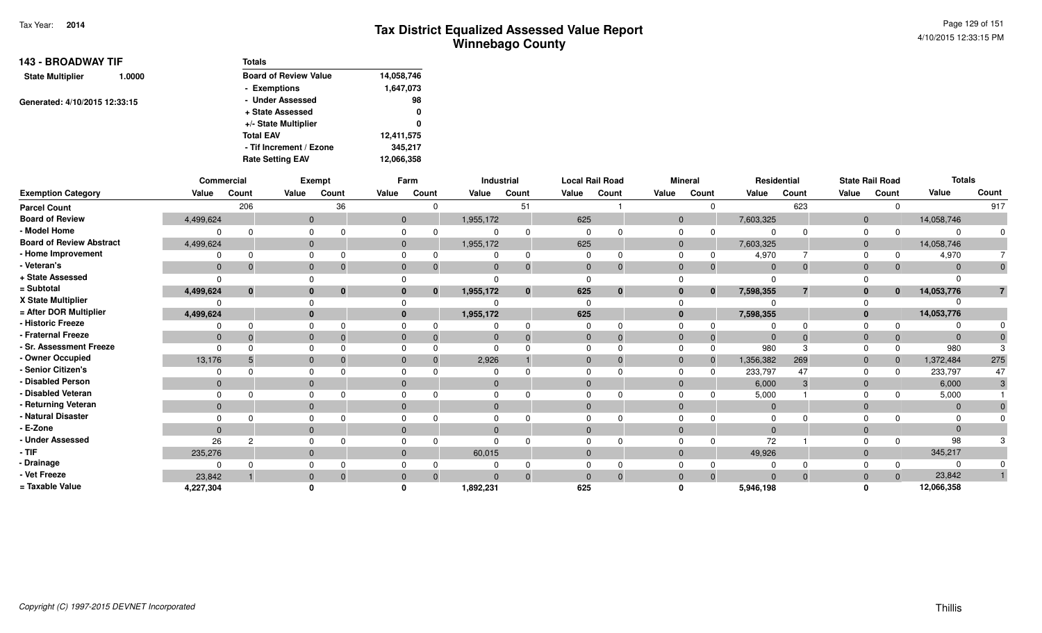| <b>143 - BROADWAY TIF</b>     |        | <b>Totals</b>                |            |
|-------------------------------|--------|------------------------------|------------|
| <b>State Multiplier</b>       | 1.0000 | <b>Board of Review Value</b> | 14,058,746 |
|                               |        | - Exemptions                 | 1,647,073  |
| Generated: 4/10/2015 12:33:15 |        | - Under Assessed             | 98         |
|                               |        | + State Assessed             | 0          |
|                               |        | +/- State Multiplier         | 0          |
|                               |        | <b>Total EAV</b>             | 12,411,575 |
|                               |        | - Tif Increment / Ezone      | 345,217    |
|                               |        | <b>Rate Setting EAV</b>      | 12,066,358 |

|                                 |              | Commercial   |              | <b>Exempt</b> |       | Farm                       |           | Industrial   |                | <b>Local Rail Road</b> |                | <b>Mineral</b> |                | Residential    |                | <b>State Rail Road</b> | <b>Totals</b> |       |
|---------------------------------|--------------|--------------|--------------|---------------|-------|----------------------------|-----------|--------------|----------------|------------------------|----------------|----------------|----------------|----------------|----------------|------------------------|---------------|-------|
| <b>Exemption Category</b>       | Value        | Count        | Value        | Count         | Value | Count                      | Value     | Count        | Value          | Count                  | Value          | Count          | Value          | Count          | Value          | Count                  | Value         | Count |
| <b>Parcel Count</b>             |              | 206          |              | 36            |       | $\Omega$                   |           | 51           |                |                        |                |                |                | 623            |                |                        |               | 917   |
| <b>Board of Review</b>          | 4,499,624    |              | $\mathbf{0}$ |               |       | $\overline{0}$             | 1,955,172 |              | 625            |                        | $\overline{0}$ |                | 7,603,325      |                | $\mathbf{0}$   |                        | 14,058,746    |       |
| - Model Home                    |              |              |              |               |       | ŋ                          |           |              | $\Omega$       |                        |                |                |                |                |                |                        | $\Omega$      |       |
| <b>Board of Review Abstract</b> | 4,499,624    |              |              |               |       | $\mathbf{0}$               | 1,955,172 |              | 625            |                        | $\mathbf 0$    |                | 7,603,325      |                | $\overline{0}$ |                        | 14,058,746    |       |
| - Home Improvement              |              |              |              |               |       |                            |           |              |                |                        |                |                | 4,970          |                | $\Omega$       |                        | 4,970         |       |
| - Veteran's                     | $\mathbf{0}$ | $\Omega$     |              |               |       | $\Omega$<br>$\Omega$       |           |              | $\mathbf{0}$   | 0                      | $\Omega$       | 0              | $\overline{0}$ | $\Omega$       | $\Omega$       |                        | $\Omega$      |       |
| + State Assessed                | $\Omega$     |              |              |               |       |                            |           |              | $\Omega$       |                        |                |                |                |                |                |                        |               |       |
| = Subtotal                      | 4,499,624    | $\mathbf{0}$ |              | $\bf{0}$      |       | $\mathbf{0}$<br>0          | 1,955,172 | $\mathbf{0}$ | 625            | $\mathbf{0}$           |                | $\mathbf{0}$   | 7,598,355      | $\overline{7}$ | $\bf{0}$       | $\mathbf{0}$           | 14,053,776    |       |
| X State Multiplier              |              |              |              |               |       |                            |           |              | $\Omega$       |                        |                |                |                |                |                |                        |               |       |
| = After DOR Multiplier          | 4,499,624    |              |              |               |       | $\bf{0}$                   | 1,955,172 |              | 625            |                        | $\Omega$       |                | 7,598,355      |                | $\mathbf{0}$   |                        | 14,053,776    |       |
| - Historic Freeze               |              |              |              |               |       |                            |           |              | $\Omega$       |                        |                |                |                |                |                |                        |               |       |
| - Fraternal Freeze              | $\mathbf{0}$ |              |              |               |       | 0<br>$\Omega$              |           |              | $\overline{0}$ | $\Omega$               | $\mathbf 0$    | $\Omega$       | -0             | $\Omega$       | $\mathbf{0}$   |                        | $\mathbf{0}$  |       |
| - Sr. Assessment Freeze         | $\Omega$     |              |              |               |       |                            |           |              | $\Omega$       |                        |                |                | 980            |                |                |                        | 980           |       |
| - Owner Occupied                | 13,176       |              |              |               |       | $\Omega$<br>$\Omega$       | 2,926     |              | $\Omega$       | $\Omega$               |                | $\Omega$       | 1,356,382      | 269            | $\Omega$       |                        | 1,372,484     | 275   |
| - Senior Citizen's              |              |              |              |               |       |                            |           |              | $\Omega$       |                        |                |                | 233,797        | 47             |                |                        | 233,797       | 47    |
| - Disabled Person               | $\Omega$     |              |              |               |       | $\Omega$                   |           |              | $\Omega$       |                        |                |                | 6,000          | 3              | $\Omega$       |                        | 6,000         |       |
| - Disabled Veteran              | $\Omega$     |              |              |               |       |                            |           |              | $\Omega$       |                        |                |                | 5,000          |                |                |                        | 5,000         |       |
| - Returning Veteran             | $\mathbf{0}$ |              | $\Omega$     |               |       | $\mathbf{0}$               | $\Omega$  |              | $\mathbf{0}$   |                        |                |                | $\overline{0}$ |                | $\Omega$       |                        | $\mathbf{0}$  |       |
| - Natural Disaster              |              |              |              |               |       |                            |           |              | <sup>0</sup>   |                        |                |                | $\Omega$       |                |                |                        | $\Omega$      |       |
| - E-Zone                        | $\Omega$     |              |              |               |       | $\Omega$                   |           |              | $\Omega$       |                        |                |                | $\Omega$       |                | $\Omega$       |                        | $\Omega$      |       |
| <b>Under Assessed</b>           | 26           | 2            |              |               |       |                            |           |              |                |                        |                |                | 72             |                |                |                        | 98            |       |
| - TIF                           | 235,276      |              |              |               |       | $\mathbf{0}$               | 60,015    |              | $\mathbf{0}$   |                        |                |                | 49,926         |                | $\Omega$       |                        | 345,217       |       |
| - Drainage                      |              |              |              |               |       |                            |           |              | 0              |                        |                |                |                |                |                |                        |               |       |
| - Vet Freeze                    | 23,842       |              |              |               |       | $\overline{0}$<br>$\Omega$ |           |              | $\Omega$       | $\Omega$               |                | $\Omega$       | $\Omega$       | $\Omega$       |                |                        | 23,842        |       |
| = Taxable Value                 | 4,227,304    |              |              |               |       |                            | 1,892,231 |              | 625            |                        |                |                | 5,946,198      |                |                |                        | 12,066,358    |       |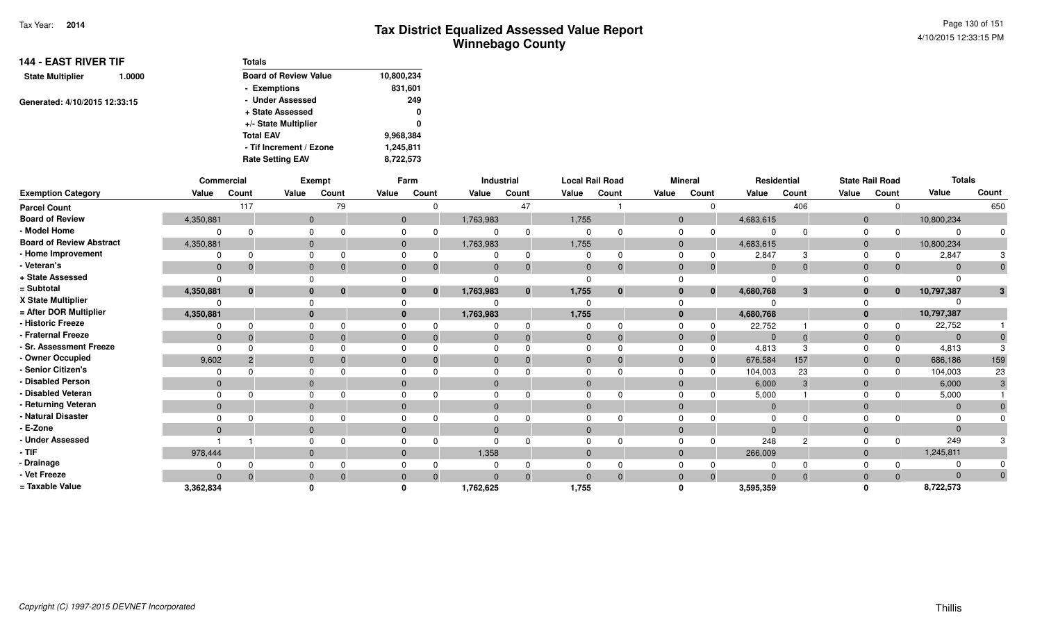| <b>144 - EAST RIVER TIF</b>   |        | <b>Totals</b>                |            |
|-------------------------------|--------|------------------------------|------------|
| <b>State Multiplier</b>       | 1.0000 | <b>Board of Review Value</b> | 10,800,234 |
|                               |        | - Exemptions                 | 831,601    |
| Generated: 4/10/2015 12:33:15 |        | - Under Assessed             | 249        |
|                               |        | + State Assessed             | 0          |
|                               |        | +/- State Multiplier         | 0          |
|                               |        | <b>Total EAV</b>             | 9,968,384  |
|                               |        | - Tif Increment / Ezone      | 1,245,811  |
|                               |        | <b>Rate Setting EAV</b>      | 8,722,573  |

|                                 |                | Commercial   |              | Exempt      |              | Farm                         |              | Industrial |                | <b>Local Rail Road</b> |                | <b>Mineral</b> |                | Residential    |              | <b>State Rail Road</b> | <b>Totals</b>  |              |
|---------------------------------|----------------|--------------|--------------|-------------|--------------|------------------------------|--------------|------------|----------------|------------------------|----------------|----------------|----------------|----------------|--------------|------------------------|----------------|--------------|
| <b>Exemption Category</b>       | Value          | Count        | Value        | Count       | Value        | Count                        | Value        | Count      | Value          | Count                  | Value          | Count          | Value          | Count          | Value        | Count                  | Value          | Count        |
| <b>Parcel Count</b>             |                | 117          |              | 79          |              |                              |              | 47         |                |                        |                | $\Omega$       |                | 406            |              | $\Omega$               |                | 650          |
| <b>Board of Review</b>          | 4,350,881      |              | $\mathbf{0}$ |             |              | $\mathbf 0$                  | 1,763,983    |            | 1,755          |                        | $\overline{0}$ |                | 4,683,615      |                | $\mathbf{0}$ |                        | 10,800,234     |              |
| - Model Home                    | $\Omega$       |              | 0            |             |              | 0                            | 0            |            |                |                        | $\mathbf 0$    |                | $\Omega$       | $\Omega$       | 0            | $\Omega$               |                |              |
| <b>Board of Review Abstract</b> | 4,350,881      |              | $\mathbf{0}$ |             |              | $\mathbf{0}$                 | 1,763,983    |            | 1,755          |                        |                | $\mathbf{0}$   | 4,683,615      |                | $\mathbf{0}$ |                        | 10,800,234     |              |
| - Home Improvement              | $\Omega$       |              | $\Omega$     |             | $\Omega$     |                              |              |            |                |                        | $\Omega$       | $\Omega$       | 2,847          | 3              | $\Omega$     | $\Omega$               | 2,847          |              |
| - Veteran's                     | $\mathbf{0}$   | -0           | $\mathbf{0}$ | -0          |              | $\mathbf 0$<br>-0            | $\mathbf 0$  |            | $\mathbf{0}$   |                        | $\mathbf 0$    | $\Omega$       | $\overline{0}$ | $\mathbf{0}$   | $\mathbf 0$  | $\Omega$               | $\Omega$       | $\mathbf{0}$ |
| + State Assessed                | $\Omega$       |              | $\Omega$     |             |              |                              | $\Omega$     |            | $\Omega$       |                        |                |                | $\Omega$       |                |              |                        |                |              |
| = Subtotal                      | 4,350,881      | $\mathbf{0}$ | $\mathbf{0}$ | $\mathbf 0$ |              | $\mathbf{0}$<br>$\mathbf{0}$ | 1,763,983    |            | 1,755          | $\bf{0}$               |                | $\bf{0}$<br>0  | 4,680,768      | 3              | $\mathbf{0}$ | $\bf{0}$               | 10,797,387     | 3            |
| X State Multiplier              | $\Omega$       |              | $\Omega$     |             |              |                              |              |            | $\Omega$       |                        |                |                | ŋ              |                |              |                        |                |              |
| = After DOR Multiplier          | 4,350,881      |              | $\mathbf{0}$ |             |              | $\bf{0}$                     | 1,763,983    |            | 1,755          |                        | $\bf{0}$       |                | 4,680,768      |                | $\mathbf{0}$ |                        | 10,797,387     |              |
| - Historic Freeze               | 0              | $\Omega$     | $\Omega$     |             |              | 0                            | 0            |            | 0              |                        | $\Omega$       |                | 22,752         |                | $\Omega$     | 0                      | 22,752         |              |
| - Fraternal Freeze              | $\mathbf{0}$   | - 0          | $\mathbf{0}$ | - റ         |              | $\mathbf{0}$<br>-0           | $\mathbf 0$  |            | $\overline{0}$ |                        | $\mathbf{0}$   | $\mathbf 0$    | $\mathbf 0$    | $\Omega$       | $\mathbf{0}$ | $\mathbf{0}$           | $\overline{0}$ |              |
| - Sr. Assessment Freeze         | $\Omega$       |              | 0            |             |              | 0                            | 0            |            | $\Omega$       |                        | $\Omega$       |                | 4,813          | 3              | $\Omega$     | $\Omega$               | 4,813          |              |
| - Owner Occupied                | 9,602          | -2           | $\mathbf{0}$ |             | $\Omega$     |                              | $\mathbf{0}$ |            | $\Omega$       |                        | $\mathbf{0}$   |                | 676,584        | 157            | $\mathbf{0}$ | $\Omega$               | 686,186        | 159          |
| - Senior Citizen's              | $\Omega$       |              | $\mathbf 0$  |             |              | 0                            | 0            |            |                |                        | $\Omega$       |                | 104,003        | 23             | $\Omega$     | <sup>n</sup>           | 104,003        | 23           |
| - Disabled Person               | $\Omega$       |              | $\mathbf{0}$ |             | $\Omega$     |                              | $\mathbf{0}$ |            | $\Omega$       |                        | $\mathbf 0$    |                | 6,000          | 3              | $\mathbf{0}$ |                        | 6,000          |              |
| - Disabled Veteran              | $\Omega$       | $\cap$       | 0            |             |              | 0                            | 0            |            |                |                        | $\Omega$       |                | 5,000          |                | $\Omega$     | $\Omega$               | 5,000          |              |
| - Returning Veteran             | $\overline{0}$ |              | $\mathbf{0}$ |             | $\mathbf{0}$ |                              | $\mathbf{0}$ |            | $\mathbf{0}$   |                        |                | $\mathbf{0}$   | $\mathbf 0$    |                | $\mathbf{0}$ |                        | $\Omega$       |              |
| - Natural Disaster              | $\Omega$       |              | 0            |             |              | 0                            | 0            |            |                |                        | $\Omega$       |                | $\Omega$       |                | $\Omega$     |                        |                |              |
| - E-Zone                        | $\Omega$       |              | $\mathbf{0}$ |             |              | $\Omega$                     | $\mathbf{0}$ |            |                |                        | $\mathbf 0$    |                | $\Omega$       |                | $\mathbf{0}$ |                        | $\Omega$       |              |
| - Under Assessed                |                |              | $\Omega$     |             |              |                              | 0            |            |                |                        | $\Omega$       |                | 248            | $\overline{c}$ | $\Omega$     | $\Omega$               | 249            |              |
| - TIF-                          | 978,444        |              | $\mathbf{0}$ |             | $\mathbf{0}$ |                              | 1,358        |            | $\mathbf{0}$   |                        | $\mathbf{0}$   |                | 266,009        |                | $\mathbf{0}$ |                        | 1,245,811      |              |
| - Drainage                      | $\Omega$       |              | $\mathbf 0$  |             |              | 0                            | 0            |            |                |                        | $\Omega$       |                | 0              |                | $\Omega$     |                        |                |              |
| - Vet Freeze                    | $\Omega$       |              | $\mathbf{0}$ |             | $\Omega$     | $\Omega$                     | $\Omega$     |            |                |                        | $\mathbf 0$    | $\Omega$       | $\Omega$       | $\Omega$       | $\mathbf{0}$ | $\Omega$               | $\Omega$       |              |
| = Taxable Value                 | 3,362,834      |              | 0            |             |              |                              | 1,762,625    |            | 1,755          |                        | 0              |                | 3,595,359      |                | $\Omega$     |                        | 8,722,573      |              |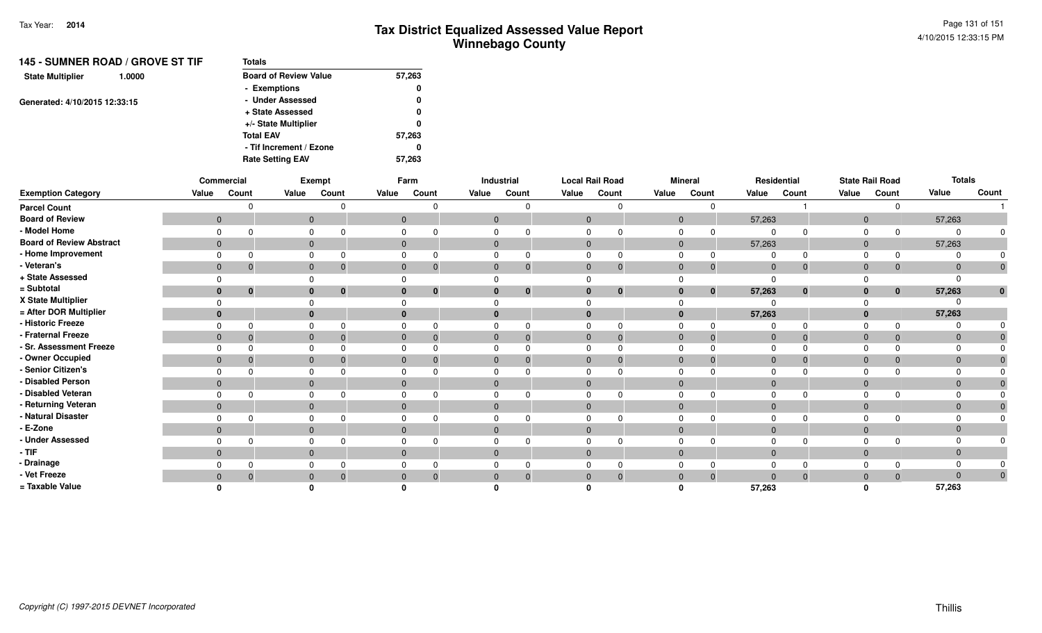| <b>145 - SUMNER ROAD / GROVE ST TIF</b> | <b>Totals</b>                |        |
|-----------------------------------------|------------------------------|--------|
| <b>State Multiplier</b><br>1.0000       | <b>Board of Review Value</b> | 57,263 |
|                                         | - Exemptions                 | 0      |
| Generated: 4/10/2015 12:33:15           | - Under Assessed             | 0      |
|                                         | + State Assessed             | 0      |
|                                         | +/- State Multiplier         | 0      |
|                                         | <b>Total EAV</b>             | 57,263 |
|                                         | - Tif Increment / Ezone      | 0      |
|                                         | <b>Rate Setting EAV</b>      | 57.263 |

|                                 |                | Commercial     |          | Exempt                   |              | Farm         |              | <b>Industrial</b> |              | <b>Local Rail Road</b> |                | <b>Mineral</b> |                | Residential  |                | <b>State Rail Road</b> | <b>Totals</b> |                  |
|---------------------------------|----------------|----------------|----------|--------------------------|--------------|--------------|--------------|-------------------|--------------|------------------------|----------------|----------------|----------------|--------------|----------------|------------------------|---------------|------------------|
| <b>Exemption Category</b>       | Value          | Count          | Value    | Count                    | Value        | Count        | Value        | Count             | Value        | Count                  | Value          | Count          | Value          | Count        | Value          | Count                  | Value         | Count            |
| <b>Parcel Count</b>             |                |                |          |                          |              |              |              |                   |              |                        |                | $\Omega$       |                |              |                | n                      |               |                  |
| <b>Board of Review</b>          | $\overline{0}$ |                |          | $\mathbf{0}$             | $\mathbf 0$  |              | $\mathbf 0$  |                   | $\mathbf 0$  |                        | $\overline{0}$ |                | 57,263         |              | $\mathbf{0}$   |                        | 57,263        |                  |
| - Model Home                    | 0              |                | 0        |                          |              | 0            | 0            |                   | $\Omega$     |                        | $\Omega$       | $\Omega$       | $\Omega$       | $\Omega$     | $\Omega$       | $\Omega$               |               |                  |
| <b>Board of Review Abstract</b> | $\mathbf{0}$   |                |          | $\mathbf{0}$             |              | $\mathbf{0}$ | $\mathbf{0}$ |                   | $\mathbf{0}$ |                        | $\mathbf{0}$   |                | 57,263         |              | $\mathbf{0}$   |                        | 57,263        |                  |
| - Home Improvement              | $\Omega$       |                | $\Omega$ |                          |              |              | 0            |                   | $\Omega$     |                        | $\Omega$       | $\Omega$       | 0              | $\Omega$     | $\Omega$       | $\Omega$               |               |                  |
| - Veteran's                     | $\mathbf{0}$   | $\overline{0}$ |          | $\mathbf{0}$<br>-0       | $\mathbf 0$  |              | $\mathbf 0$  |                   | $\mathbf 0$  | $\mathbf{0}$           | $\mathbf{0}$   | $\mathbf 0$    | $\mathbf 0$    | $\mathbf 0$  | $\mathbf{0}$   | $\mathbf 0$            |               | $\boldsymbol{0}$ |
| + State Assessed                | $\Omega$       |                | 0        |                          |              |              |              |                   |              |                        | $\Omega$       |                | $\Omega$       |              |                |                        |               |                  |
| = Subtotal                      | $\mathbf{0}$   | $\bf{0}$       |          | $\mathbf{0}$<br>0        | $\bf{0}$     | 0            | $\bf{0}$     |                   | $\bf{0}$     | $\bf{0}$               | $\bf{0}$       | $\mathbf 0$    | 57,263         | $\bf{0}$     | $\mathbf{0}$   | $\bf{0}$               | 57,263        | $\mathbf{0}$     |
| X State Multiplier              | $\Omega$       |                |          |                          |              |              |              |                   |              |                        |                |                | $\Omega$       |              |                |                        |               |                  |
| = After DOR Multiplier          | $\mathbf{0}$   |                |          | $\mathbf{0}$             |              |              | $\bf{0}$     |                   |              |                        |                |                | 57,263         |              | $\mathbf 0$    |                        | 57,263        |                  |
| - Historic Freeze               | $\Omega$       | $\Omega$       | 0        |                          |              | 0            |              |                   | $\Omega$     |                        | $\Omega$       | 0              | $\Omega$       | $\Omega$     | $\Omega$       | $\Omega$               |               |                  |
| - Fraternal Freeze              | $\overline{0}$ | $\overline{0}$ |          | $\mathbf{0}$             | $\mathbf{0}$ |              | $\mathbf 0$  |                   | $\mathbf 0$  |                        | $\mathbf 0$    | $\Omega$       | $\overline{0}$ | $\mathbf{0}$ | $\overline{0}$ |                        | $\Omega$      |                  |
| - Sr. Assessment Freeze         | $\Omega$       |                |          | $\mathbf 0$              | 0            |              | 0            |                   |              |                        | 0              |                | $\mathbf 0$    | $\Omega$     |                |                        |               |                  |
| - Owner Occupied                | $\mathbf{0}$   | -0             |          | $\mathbf{0}$             | $\mathbf{0}$ |              | $\mathbf{0}$ |                   | $\mathbf 0$  |                        | $\mathbf 0$    | $\Omega$       | $\mathbf 0$    | $\mathbf{0}$ | $\mathbf{0}$   | $\Omega$               | $\Omega$      |                  |
| - Senior Citizen's              | $\Omega$       |                | 0        |                          | 0            |              | $\Omega$     |                   | $\Omega$     |                        | $\Omega$       |                | $\Omega$       | $\Omega$     | $\Omega$       |                        |               |                  |
| - Disabled Person               | $\mathbf{0}$   |                |          | $\mathbf{0}$             | $\mathbf{0}$ |              | $\mathbf 0$  |                   | $\Omega$     |                        | $\mathbf 0$    |                | $\overline{0}$ |              | $\overline{0}$ |                        | $\Omega$      |                  |
| - Disabled Veteran              | $\Omega$       |                | 0        |                          | $\Omega$     |              |              |                   |              |                        | $\Omega$       |                | $\Omega$       | $\Omega$     |                |                        |               |                  |
| - Returning Veteran             | $\mathbf{0}$   |                |          | $\mathbf{0}$             | $\mathbf{0}$ |              | $\mathbf 0$  |                   | $\mathbf{0}$ |                        | $\mathbf{0}$   |                | $\overline{0}$ |              | $\mathbf{0}$   |                        | $\Omega$      |                  |
| - Natural Disaster              | $\Omega$       |                |          | 0                        | 0            |              |              |                   | 0            |                        | $\mathbf 0$    |                | $\Omega$       | $\Omega$     | 0              |                        |               |                  |
| - E-Zone                        | $\mathbf{0}$   |                |          | $\mathbf{0}$             | $\mathbf{0}$ |              | $\mathbf{0}$ |                   | $\mathbf{0}$ |                        | $\overline{0}$ |                | $\mathbf{0}$   |              | $\overline{0}$ |                        |               |                  |
| - Under Assessed                | $\Omega$       |                | 0        |                          | 0            |              |              |                   | $\Omega$     |                        | $\mathbf 0$    |                | $\Omega$       | $\Omega$     | $\Omega$       |                        |               |                  |
| $-$ TIF                         | $\mathbf{0}$   |                |          | $\mathbf{0}$             | $\mathbf{0}$ |              | $\mathbf 0$  |                   | $\mathbf{0}$ |                        | $\mathbf{0}$   |                | $\overline{0}$ |              | $\overline{0}$ |                        |               |                  |
| - Drainage                      | $\Omega$       |                | 0        |                          | 0            |              |              |                   |              |                        | 0              |                | $\mathbf 0$    | $\Omega$     | 0              |                        |               |                  |
| - Vet Freeze                    | $\mathbf{0}$   | - 0            |          | $\mathbf{0}$<br>$\Omega$ | $\mathbf{0}$ | -0           | $\mathbf 0$  |                   | $\mathbf{0}$ | $\mathbf{0}$           | $\mathbf{0}$   | $\Omega$       | $\mathbf{0}$   | $\mathbf{0}$ | $\mathbf{0}$   | $\Omega$               |               | $\mathbf 0$      |
| = Taxable Value                 |                |                |          |                          |              |              |              |                   |              |                        |                |                | 57.263         |              | $\Omega$       |                        | 57,263        |                  |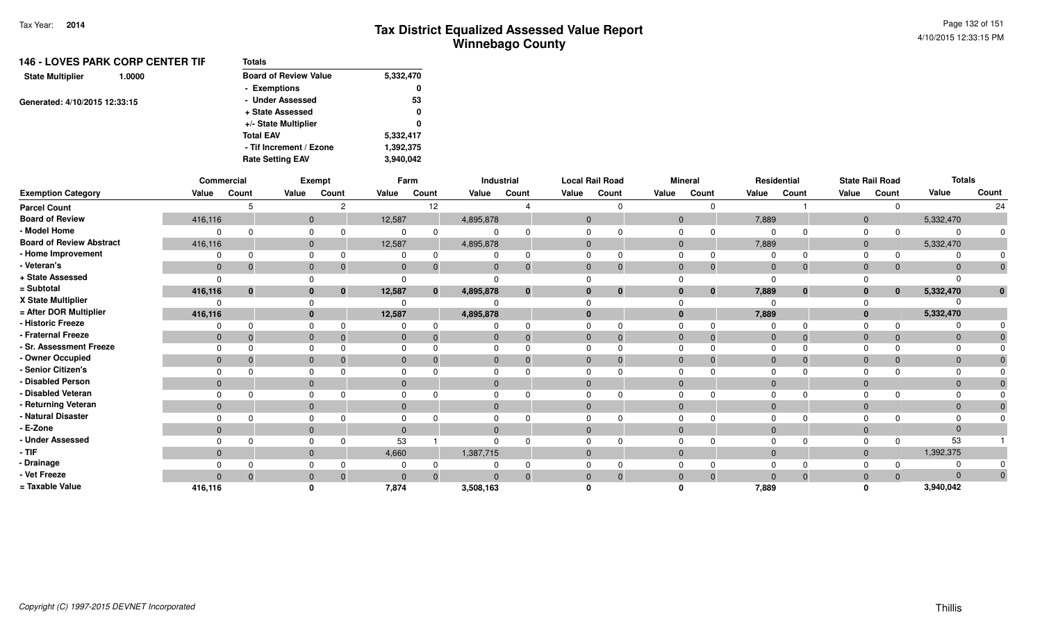|                               | <b>146 - LOVES PARK CORP CENTER TIF</b> | <b>Totals</b>                |           |
|-------------------------------|-----------------------------------------|------------------------------|-----------|
| <b>State Multiplier</b>       | 1.0000                                  | <b>Board of Review Value</b> | 5,332,470 |
|                               |                                         | - Exemptions                 | 0         |
| Generated: 4/10/2015 12:33:15 |                                         | - Under Assessed             | 53        |
|                               |                                         | + State Assessed             | 0         |
|                               |                                         | +/- State Multiplier         | 0         |
|                               |                                         | <b>Total EAV</b>             | 5.332,417 |
|                               |                                         | - Tif Increment / Ezone      | 1,392,375 |
|                               |                                         | <b>Rate Setting EAV</b>      | 3,940,042 |
|                               |                                         |                              |           |

|                                 |                | Commercial   |                | Exempt      |              | Farm         |              | Industrial |              | <b>Local Rail Road</b> |                | <b>Mineral</b> |              | Residential  |              | <b>State Rail Road</b> | <b>Totals</b> |              |
|---------------------------------|----------------|--------------|----------------|-------------|--------------|--------------|--------------|------------|--------------|------------------------|----------------|----------------|--------------|--------------|--------------|------------------------|---------------|--------------|
| <b>Exemption Category</b>       | Value          | Count        | Value          | Count       | Value        | Count        | Value        | Count      | Value        | Count                  | Value          | Count          | Value        | Count        | Value        | Count                  | Value         | Count        |
| <b>Parcel Count</b>             |                |              |                |             |              | 12           |              |            |              |                        |                | $\Omega$       |              |              |              | $\Omega$               |               | 24           |
| <b>Board of Review</b>          | 416,116        |              | $\overline{0}$ |             | 12,587       |              | 4,895,878    |            | $\mathbf{0}$ |                        | $\overline{0}$ |                | 7,889        |              | $\mathbf{0}$ |                        | 5,332,470     |              |
| - Model Home                    | $\Omega$       |              | 0              |             | $\Omega$     |              | 0            |            |              |                        |                |                | $\Omega$     | $\Omega$     | 0            | $\Omega$               |               | 0            |
| <b>Board of Review Abstract</b> | 416,116        |              | $\overline{0}$ |             | 12,587       |              | 4,895,878    |            | $\mathbf{0}$ |                        | $\mathbf{0}$   |                | 7,889        |              | $\mathbf{0}$ |                        | 5,332,470     |              |
| - Home Improvement              |                |              | 0              |             | 0            |              |              |            |              |                        | $\Omega$       |                | 0            | $\Omega$     | $\Omega$     | 0                      |               |              |
| - Veteran's                     | $\overline{0}$ | -0           | $\mathbf{0}$   |             | $\mathbf{0}$ | -0           | $\mathbf{0}$ |            | $\mathbf{0}$ |                        | $\mathbf{0}$   | $\Omega$       | $\mathbf{0}$ | $\mathbf 0$  | $\mathbf{0}$ | $\Omega$               | $\Omega$      | $\mathbf 0$  |
| + State Assessed                | $\Omega$       |              | $\Omega$       |             | $\Omega$     |              |              |            |              |                        |                |                | $\Omega$     |              |              |                        |               |              |
| = Subtotal                      | 416,116        | $\mathbf{0}$ | $\mathbf{0}$   | $\mathbf 0$ | 12,587       | $\mathbf{0}$ | 4,895,878    |            |              | $\mathbf{0}$           | 0              | $\bf{0}$       | 7,889        | $\mathbf{0}$ | $\mathbf{0}$ | $\bf{0}$               | 5,332,470     | $\mathbf{0}$ |
| X State Multiplier              | $\Omega$       |              | $\Omega$       |             | $\Omega$     |              |              |            |              |                        |                |                | $\Omega$     |              |              |                        |               |              |
| = After DOR Multiplier          | 416,116        |              | $\mathbf{0}$   |             | 12,587       |              | 4,895,878    |            | $\bf{0}$     |                        | $\bf{0}$       |                | 7,889        |              | $\mathbf{0}$ |                        | 5,332,470     |              |
| - Historic Freeze               | 0              |              | $\Omega$       |             | 0            |              | 0            |            |              |                        | 0              |                | $\Omega$     | $\Omega$     | $\Omega$     |                        |               |              |
| - Fraternal Freeze              | $\mathbf{0}$   | - 0          | $\mathbf{0}$   | $\Omega$    | $\mathbf{0}$ | -0           | $\mathbf 0$  |            | $\mathbf{0}$ |                        | $\mathbf 0$    | $\Omega$       | $\mathbf 0$  | $\mathbf{0}$ | $\mathbf 0$  | $\Omega$               | $\Omega$      |              |
| - Sr. Assessment Freeze         | $\Omega$       |              | $\mathbf 0$    |             | $\Omega$     |              | 0            |            |              |                        | $\Omega$       |                | $\Omega$     | $\Omega$     | $\Omega$     |                        |               |              |
| - Owner Occupied                | $\Omega$       |              | $\mathbf{0}$   |             | $\Omega$     |              | $\mathbf{0}$ |            | $\Omega$     |                        | $\mathbf{0}$   |                | $\mathbf{0}$ | $\Omega$     | $\mathbf 0$  |                        | $\Omega$      |              |
| - Senior Citizen's              | $\Omega$       |              | $\mathbf 0$    |             | 0            |              | 0            |            |              |                        | $\Omega$       |                | $\Omega$     | $\Omega$     | $\Omega$     |                        |               |              |
| - Disabled Person               | $\Omega$       |              | $\mathbf{0}$   |             | $\Omega$     |              | $\mathbf{0}$ |            | $\Omega$     |                        | $\mathbf{0}$   |                | $\Omega$     |              | $\mathbf 0$  |                        |               |              |
| - Disabled Veteran              | $\Omega$       | $\Omega$     | $\mathbf 0$    |             | 0            |              | 0            |            | $\Omega$     |                        | $\Omega$       |                | $\Omega$     | $\Omega$     | $\Omega$     |                        |               |              |
| - Returning Veteran             | $\overline{0}$ |              | $\mathbf{0}$   |             | $\mathbf{0}$ |              | $\mathbf{0}$ |            | $\mathbf{0}$ |                        | $\overline{0}$ |                | $\mathbf{0}$ |              | $\mathbf{0}$ |                        | $\Omega$      |              |
| - Natural Disaster              | $\Omega$       |              | $\mathbf 0$    |             | $\Omega$     |              | 0            |            | 0            |                        | $\Omega$       |                | $\Omega$     |              | $\Omega$     |                        |               |              |
| - E-Zone                        | $\Omega$       |              | $\overline{0}$ |             | $\Omega$     |              | $\mathbf{0}$ |            |              |                        | $\overline{0}$ |                | $\Omega$     |              | $\mathbf 0$  |                        | $\Omega$      |              |
| - Under Assessed                | $\Omega$       |              | $\Omega$       |             | 53           |              | 0            |            |              |                        | $\Omega$       |                | $\Omega$     | $\Omega$     | $\Omega$     | $\Omega$               | 53            |              |
| - TIF                           | $\Omega$       |              | $\overline{0}$ |             | 4,660        |              | 1,387,715    |            | $\Omega$     |                        | $\mathbf{0}$   |                | $\mathbf{0}$ |              | $\mathbf{0}$ |                        | 1,392,375     |              |
| - Drainage                      | $\Omega$       |              | $\Omega$       |             | $\Omega$     |              | 0            |            |              |                        | $\Omega$       |                | $\Omega$     |              | $\Omega$     |                        |               |              |
| - Vet Freeze                    | $\Omega$       | $\Omega$     | $\mathbf{0}$   |             | $\Omega$     | $\Omega$     | $\Omega$     |            | $\Omega$     | $\Omega$               | $\mathbf{0}$   | $\Omega$       | $\Omega$     | $\Omega$     | $\mathbf 0$  | $\Omega$               | $\Omega$      | $\mathbf{0}$ |
| = Taxable Value                 | 416,116        |              | $\mathbf{0}$   |             | 7,874        |              | 3,508,163    |            |              |                        |                |                | 7,889        |              | $\Omega$     |                        | 3,940,042     |              |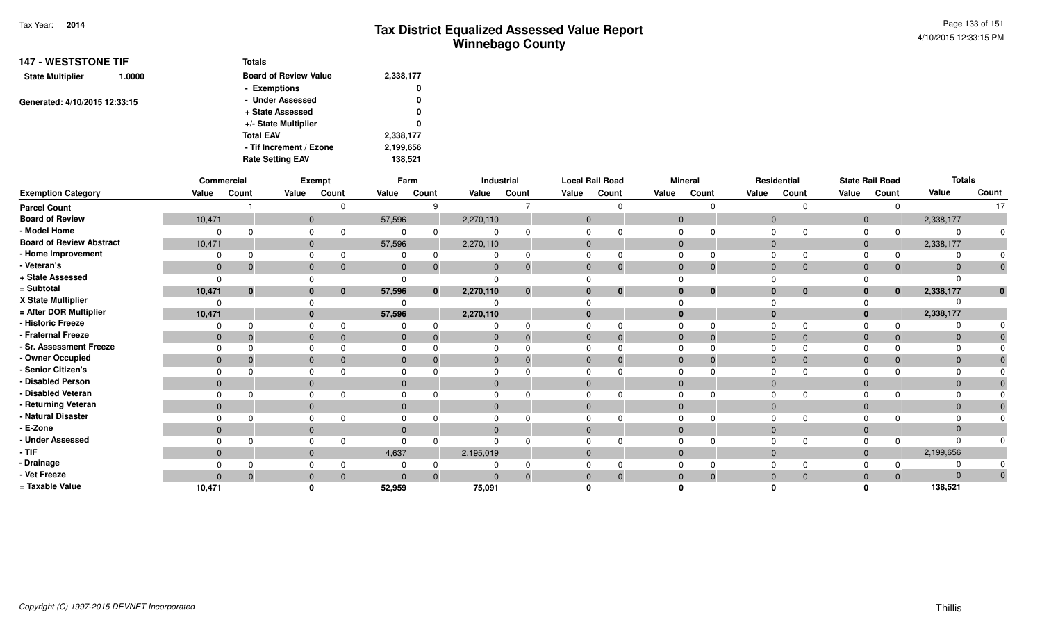| <b>147 - WESTSTONE TIF</b>    |        | Totals                       |           |
|-------------------------------|--------|------------------------------|-----------|
| <b>State Multiplier</b>       | 1.0000 | <b>Board of Review Value</b> | 2,338,177 |
|                               |        | - Exemptions                 | 0         |
| Generated: 4/10/2015 12:33:15 |        | - Under Assessed             | 0         |
|                               |        | + State Assessed             | 0         |
|                               |        | +/- State Multiplier         | 0         |
|                               |        | <b>Total EAV</b>             | 2,338,177 |
|                               |        | - Tif Increment / Ezone      | 2,199,656 |
|                               |        | <b>Rate Setting EAV</b>      | 138,521   |

|                                 |                | Commercial |              | Exempt   |              | Farm         |              | Industrial   |                | <b>Local Rail Road</b> |              | <b>Mineral</b> |                | Residential          |                | <b>State Rail Road</b> | <b>Totals</b> |              |
|---------------------------------|----------------|------------|--------------|----------|--------------|--------------|--------------|--------------|----------------|------------------------|--------------|----------------|----------------|----------------------|----------------|------------------------|---------------|--------------|
| <b>Exemption Category</b>       | Value          | Count      | Value        | Count    | Value        | Count        | Value        | Count        | Value          | Count                  | Value        | Count          | Value          | Count                | Value          | Count                  | Value         | Count        |
| <b>Parcel Count</b>             |                |            |              |          |              | ୍ର           |              |              |                |                        |              |                |                | $\Omega$             |                | $\Omega$               |               | 17           |
| <b>Board of Review</b>          | 10,471         |            | $\mathbf 0$  |          | 57,596       |              | 2,270,110    |              | $\mathbf{0}$   |                        | $\mathbf{0}$ |                | $\mathbf 0$    |                      | $\overline{0}$ |                        | 2,338,177     |              |
| - Model Home                    |                |            | 0            |          | $\Omega$     |              | 0            |              |                |                        |              |                |                | 0                    | 0              | $\Omega$               |               | 0            |
| <b>Board of Review Abstract</b> | 10,471         |            | $\mathbf 0$  |          | 57,596       |              | 2,270,110    |              | $\mathbf{0}$   |                        | $\mathbf 0$  |                | $\mathbf{0}$   |                      | $\mathbf{0}$   |                        | 2,338,177     |              |
| - Home Improvement              |                |            | 0            |          | 0            | $\Omega$     | 0            |              |                |                        |              |                | 0              | $\Omega$             | 0              | $\Omega$               |               |              |
| - Veteran's                     | $\mathbf{0}$   | -0         | $\mathbf 0$  |          | $\mathbf{0}$ | -0           | $\mathbf{0}$ |              | $\mathbf{0}$   |                        | $\mathbf{0}$ | 0              | $\overline{0}$ | $\mathbf 0$          | $\mathbf 0$    | $\Omega$               | $\Omega$      | $\mathbf 0$  |
| + State Assessed                | $\Omega$       |            | $\Omega$     |          | $\Omega$     |              |              |              |                |                        |              |                |                |                      |                |                        |               |              |
| = Subtotal                      | 10,471         | $\bf{0}$   | $\mathbf{0}$ | 0        | 57,596       | $\mathbf{0}$ | 2,270,110    | $\mathbf{0}$ |                | $\mathbf{0}$           | $\mathbf{0}$ | $\bf{0}$       |                | $\bf{0}$<br>$\bf{0}$ | $\mathbf{0}$   | $\bf{0}$               | 2,338,177     | $\mathbf{0}$ |
| X State Multiplier              | $\Omega$       |            | $\Omega$     |          | $\Omega$     |              | $\Omega$     |              |                |                        |              |                |                |                      |                |                        |               |              |
| = After DOR Multiplier          | 10,471         |            | $\mathbf{0}$ |          | 57,596       |              | 2,270,110    |              | $\bf{0}$       |                        | $\mathbf{0}$ |                | $\bf{0}$       |                      | $\mathbf{0}$   |                        | 2,338,177     |              |
| - Historic Freeze               | $\Omega$       |            | $\Omega$     |          | $\Omega$     |              | 0            |              |                |                        |              |                | $\Omega$       | $\Omega$             | $\Omega$       | 0                      |               |              |
| - Fraternal Freeze              | $\mathbf{0}$   | -0         | $\mathbf{0}$ | -0       | $\mathbf{0}$ | - 0          | $\mathbf 0$  | $\Omega$     | $\mathbf{0}$   |                        | $\mathbf 0$  | $\Omega$       | $\mathbf 0$    | $\mathbf{0}$         | $\mathbf 0$    | $\Omega$               | $\mathbf{0}$  |              |
| - Sr. Assessment Freeze         | $\Omega$       |            | $\Omega$     |          | $\mathbf 0$  |              | $\mathbf 0$  |              |                |                        | $\Omega$     |                | $\Omega$       | $\Omega$             | $\Omega$       |                        |               |              |
| - Owner Occupied                | $\mathbf{0}$   |            | $\mathbf 0$  |          | $\mathbf{0}$ |              | $\mathbf{0}$ |              | $\Omega$       |                        | $\mathbf{0}$ |                | $\overline{0}$ | $\Omega$             | $\mathbf{0}$   | $\Omega$               | $\Omega$      |              |
| - Senior Citizen's              | $\Omega$       |            | 0            |          | 0            |              | 0            |              |                |                        | $\Omega$     |                | $\Omega$       | $\Omega$             | $\Omega$       |                        |               |              |
| - Disabled Person               | $\mathbf{0}$   |            | $\mathbf{0}$ |          | $\mathbf{0}$ |              | $\mathbf{0}$ |              | $\Omega$       |                        | $\mathbf{0}$ |                | $\mathbf{0}$   |                      | $\mathbf{0}$   |                        |               |              |
| - Disabled Veteran              | $\Omega$       |            | $\Omega$     |          | $\Omega$     |              | $\Omega$     |              | 0              |                        | $\Omega$     |                | $\Omega$       | $\Omega$             | $\Omega$       | n                      |               |              |
| - Returning Veteran             | $\overline{0}$ |            | $\mathbf{0}$ |          | $\mathbf{0}$ |              | $\mathbf{0}$ |              | $\overline{0}$ |                        | $\mathbf{0}$ |                | $\mathbf{0}$   |                      | $\mathbf{0}$   |                        | $\Omega$      |              |
| - Natural Disaster              | $\Omega$       |            | $\Omega$     |          | $\Omega$     |              | $\mathbf{0}$ |              |                |                        | $\mathbf 0$  |                | $\Omega$       |                      | $\Omega$       |                        |               |              |
| - E-Zone                        | $\mathbf{0}$   |            | $\mathbf{0}$ |          | $\mathbf{0}$ |              | $\mathbf{0}$ |              |                |                        | $\mathbf{0}$ |                | $\Omega$       |                      | $\mathbf{0}$   |                        |               |              |
| - Under Assessed                | $\Omega$       |            | $\Omega$     |          | $\Omega$     | $\Omega$     | $\Omega$     |              |                |                        | $\Omega$     |                | $\Omega$       | $\Omega$             | $\Omega$       | $\Omega$               |               |              |
| $-$ TIF                         | $\mathbf{0}$   |            | $\mathbf 0$  |          | 4,637        |              | 2,195,019    |              | $\Omega$       |                        | $\mathbf 0$  |                | $\mathbf{0}$   |                      | $\mathbf{0}$   |                        | 2,199,656     |              |
| - Drainage                      | $\Omega$       |            | $\Omega$     |          | 0            |              | $\Omega$     |              |                |                        | $\Omega$     |                | $\Omega$       | $\Omega$             | $\Omega$       |                        |               |              |
| - Vet Freeze                    | $\Omega$       |            | $\mathbf 0$  | $\Omega$ | $\Omega$     | $\Omega$     | $\Omega$     |              | $\Omega$       |                        | $\mathbf{0}$ | $\Omega$       | $\mathbf 0$    | $\Omega$             | $\overline{0}$ | $\Omega$               | $\Omega$      | $\mathbf{0}$ |
| = Taxable Value                 | 10,471         |            | <sup>0</sup> |          | 52,959       |              | 75,091       |              |                |                        |              |                |                |                      | $\Omega$       |                        | 138,521       |              |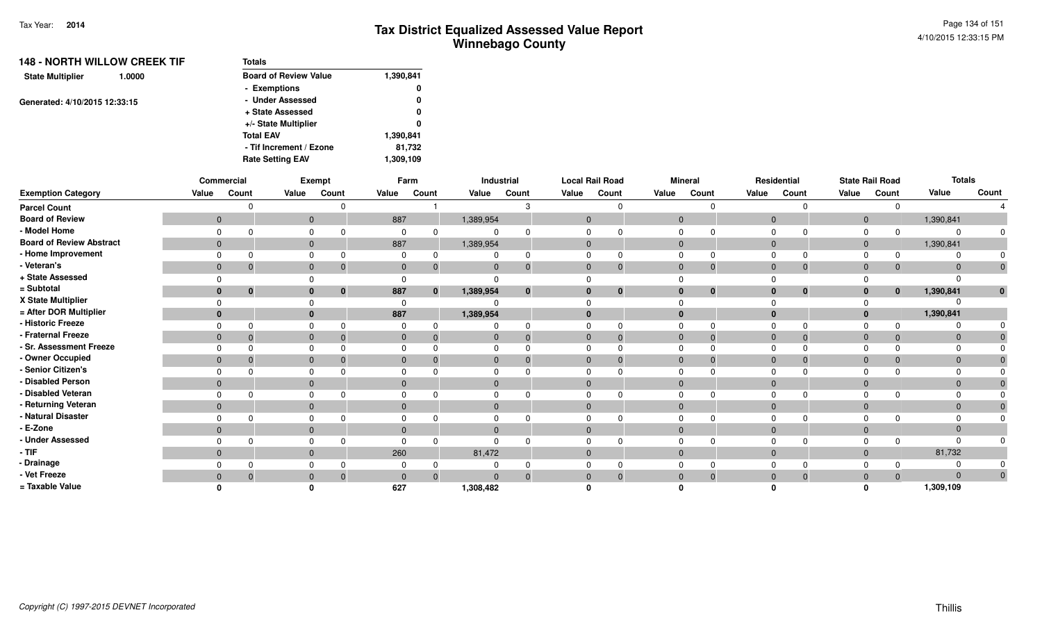| <b>148 - NORTH WILLOW CREEK TIF</b> | <b>Totals</b>                |           |
|-------------------------------------|------------------------------|-----------|
| <b>State Multiplier</b><br>1.0000   | <b>Board of Review Value</b> | 1,390,841 |
|                                     | - Exemptions                 | 0         |
| Generated: 4/10/2015 12:33:15       | - Under Assessed             | 0         |
|                                     | + State Assessed             | 0         |
|                                     | +/- State Multiplier         | 0         |
|                                     | <b>Total EAV</b>             | 1,390,841 |
|                                     | - Tif Increment / Ezone      | 81,732    |
|                                     | <b>Rate Setting EAV</b>      | 1,309,109 |

|                                 |                | Commercial     |              | Exempt       |                | Farm     |              | Industrial   |                | <b>Local Rail Road</b> |                | <b>Mineral</b> |                | Residential    |              | <b>State Rail Road</b> | <b>Totals</b> |              |
|---------------------------------|----------------|----------------|--------------|--------------|----------------|----------|--------------|--------------|----------------|------------------------|----------------|----------------|----------------|----------------|--------------|------------------------|---------------|--------------|
| <b>Exemption Category</b>       | Value          | Count          | Value        | Count        | Value          | Count    | Value        | Count        | Value          | Count                  | Value          | Count          | Value          | Count          | Value        | Count                  | Value         | Count        |
| <b>Parcel Count</b>             |                |                |              |              |                |          |              |              |                |                        |                | $\Omega$       |                | <sup>0</sup>   |              |                        |               |              |
| <b>Board of Review</b>          | $\mathbf{0}$   |                | $\mathbf 0$  |              | 887            |          | 1,389,954    |              | $\mathbf 0$    |                        | $\overline{0}$ |                | $\overline{0}$ |                | $\mathbf 0$  |                        | 1,390,841     |              |
| - Model Home                    | $\Omega$       |                | 0            |              | 0              |          | 0            |              | 0              |                        | 0              |                |                | $\Omega$       |              |                        |               | 0            |
| <b>Board of Review Abstract</b> | $\overline{0}$ |                | $\mathbf 0$  |              | 887            |          | 1,389,954    |              | $\mathbf{0}$   |                        | $\mathbf{0}$   |                | $\mathbf{0}$   |                | $\mathbf{0}$ |                        | 1,390,841     |              |
| - Home Improvement              | $\Omega$       |                | 0            |              | 0              |          |              |              |                |                        | $\mathbf 0$    | $\Omega$       |                | 0              |              |                        |               | $\Omega$     |
| - Veteran's                     | $\overline{0}$ | $\mathbf 0$    | $\mathbf 0$  | 0            | $\mathbf{0}$   | 0        | $\mathbf{0}$ |              | $\overline{0}$ | $\Omega$               | $\mathbf{0}$   | $\Omega$       | $\overline{0}$ | $\overline{0}$ | $\mathbf{0}$ | $\Omega$               |               | $\mathbf 0$  |
| + State Assessed                | $\Omega$       |                | 0            |              | $\Omega$       |          |              |              |                |                        |                |                |                |                |              |                        |               |              |
| = Subtotal                      | $\mathbf{0}$   | $\mathbf{0}$   | $\mathbf{0}$ | $\mathbf{0}$ | 887            | $\bf{0}$ | 1,389,954    | $\mathbf{0}$ |                | $\mathbf 0$            | $\mathbf{0}$   | $\mathbf{0}$   | $\mathbf{0}$   | $\bf{0}$       | $\mathbf{0}$ | $\mathbf{0}$           | 1,390,841     | $\mathbf{0}$ |
| X State Multiplier              | $\Omega$       |                | $\Omega$     |              | $\Omega$       |          |              |              |                |                        |                |                |                |                |              |                        |               |              |
| = After DOR Multiplier          | $\mathbf{0}$   |                | $\mathbf{0}$ |              | 887            |          | 1,389,954    |              | $\mathbf{0}$   |                        | $\mathbf{0}$   |                | $\bf{0}$       |                | $\mathbf{0}$ |                        | 1,390,841     |              |
| - Historic Freeze               | $\Omega$       |                | 0            |              | 0              |          | 0            |              | $\Omega$       |                        | $\Omega$       | 0              | 0              | $\Omega$       |              |                        |               |              |
| - Fraternal Freeze              | $\mathbf{0}$   | $\overline{0}$ | $\mathbf{0}$ | -0           | $\mathbf{0}$   | -0       | $\mathbf{0}$ |              | $\mathbf 0$    | $\mathbf 0$            | $\overline{0}$ | $\overline{0}$ | $\mathbf{0}$   | $\mathbf{0}$   | $\mathbf 0$  |                        |               | $\mathbf{0}$ |
| - Sr. Assessment Freeze         | $\Omega$       |                | $\mathbf 0$  |              | $\Omega$       |          | $\Omega$     |              | $\Omega$       |                        | $\mathbf 0$    |                | $\Omega$       | $\Omega$       | $\Omega$     |                        |               | $\Omega$     |
| - Owner Occupied                | $\mathbf{0}$   | 0              | $\mathbf 0$  |              | $\Omega$       |          | $\mathbf{0}$ |              | $\mathbf{0}$   |                        | $\mathbf{0}$   | $\Omega$       | $\overline{0}$ | $\Omega$       | $\mathbf{0}$ |                        |               |              |
| - Senior Citizen's              | 0              |                | $\mathbf 0$  |              | 0              |          | $\Omega$     |              | $\Omega$       |                        | $\mathbf 0$    |                | $\Omega$       |                |              |                        |               |              |
| - Disabled Person               | $\Omega$       |                | $\mathbf{0}$ |              | $\mathbf{0}$   |          | $\mathbf{0}$ |              | $\Omega$       |                        | $\mathbf{0}$   |                | $\Omega$       |                | $\mathbf{0}$ |                        |               | $\mathbf{0}$ |
| - Disabled Veteran              | $\Omega$       | $\Omega$       | $\mathbf 0$  |              | 0              |          | $\Omega$     |              | $\Omega$       |                        | $\Omega$       |                | $\Omega$       | 0              |              |                        |               | $\Omega$     |
| - Returning Veteran             | $\overline{0}$ |                | $\mathbf{0}$ |              | $\mathbf{0}$   |          | $\mathbf{0}$ |              | $\mathbf{0}$   |                        | $\mathbf{0}$   |                | $\overline{0}$ |                | $\mathbf 0$  |                        |               | $\mathbf 0$  |
| - Natural Disaster              | 0              |                | $\mathbf 0$  |              | 0              |          | $\Omega$     |              | $\Omega$       |                        | $\Omega$       |                | $\Omega$       |                |              |                        |               | $\Omega$     |
| - E-Zone                        | $\mathbf{0}$   |                | $\mathbf{0}$ |              | $\overline{0}$ |          | $\mathbf 0$  |              |                |                        | $\mathbf{0}$   |                | $\Omega$       |                | $\mathbf{0}$ |                        |               |              |
| - Under Assessed                | $\Omega$       |                | 0            |              | 0              |          | $\Omega$     |              | $\Omega$       |                        | 0              |                |                | $\Omega$       |              |                        |               | $\Omega$     |
| - TIF                           | $\overline{0}$ |                | $\mathbf 0$  |              | 260            |          | 81,472       |              | $\mathbf{0}$   |                        | $\mathbf{0}$   |                | $\mathbf{0}$   |                | $\mathbf{0}$ |                        | 81,732        |              |
| - Drainage                      | $\Omega$       |                | $\mathbf 0$  |              | $\Omega$       |          |              |              | $\Omega$       |                        | $\Omega$       |                |                |                |              |                        |               | $\mathbf 0$  |
| - Vet Freeze                    | $\overline{0}$ | $\overline{0}$ | $\mathbf 0$  | - 0          | $\mathbf{0}$   | $\Omega$ | $\Omega$     |              | $\mathbf{0}$   | $\Omega$               | $\mathbf{0}$   | $\Omega$       | $\overline{0}$ | $\mathbf{0}$   | $\mathbf 0$  | $\Omega$               |               | $\mathbf 0$  |
| = Taxable Value                 | n              |                | O            |              | 627            |          | 1,308,482    |              |                |                        |                |                |                |                |              |                        | 1,309,109     |              |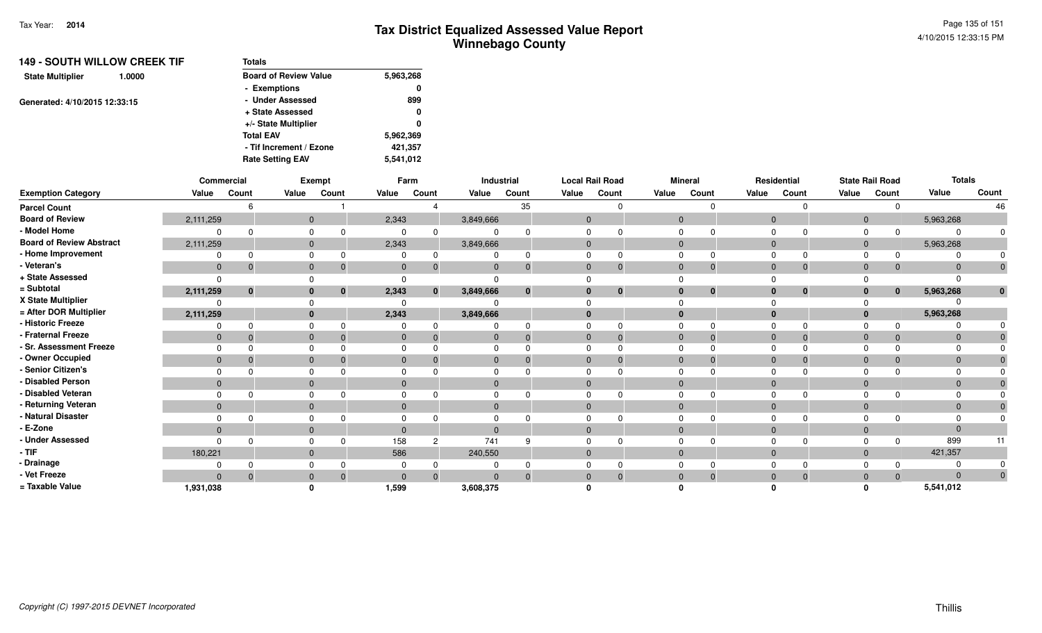| <b>149 - SOUTH WILLOW CREEK TIF</b> | <b>Totals</b>                |           |
|-------------------------------------|------------------------------|-----------|
| <b>State Multiplier</b><br>1.0000   | <b>Board of Review Value</b> | 5.963,268 |
|                                     | - Exemptions                 | 0         |
| Generated: 4/10/2015 12:33:15       | - Under Assessed             | 899       |
|                                     | + State Assessed             | 0         |
|                                     | +/- State Multiplier         | 0         |
|                                     | <b>Total EAV</b>             | 5.962,369 |
|                                     | - Tif Increment / Ezone      | 421,357   |
|                                     | <b>Rate Setting EAV</b>      | 5,541,012 |

|                                 |              | Commercial |                | Exempt       |             | Farm         |              | Industrial |              | <b>Local Rail Road</b> |                | <b>Mineral</b> |                | Residential  |                | <b>State Rail Road</b> | <b>Totals</b> |              |
|---------------------------------|--------------|------------|----------------|--------------|-------------|--------------|--------------|------------|--------------|------------------------|----------------|----------------|----------------|--------------|----------------|------------------------|---------------|--------------|
| <b>Exemption Category</b>       | Value        | Count      | Value          | Count        | Value       | Count        | Value        | Count      | Value        | Count                  | Value          | Count          | Value          | Count        | Value          | Count                  | Value         | Count        |
| <b>Parcel Count</b>             |              |            |                |              |             |              |              | 35         |              | $\Omega$               |                | $\Omega$       |                | $\Omega$     |                | $\Omega$               |               | 46           |
| <b>Board of Review</b>          | 2,111,259    |            | $\mathbf{0}$   |              | 2,343       |              | 3,849,666    |            | $\mathbf 0$  |                        | $\mathbf{0}$   |                | $\overline{0}$ |              | $\overline{0}$ |                        | 5,963,268     |              |
| - Model Home                    |              |            |                |              | 0           |              | $\Omega$     |            | $\Omega$     |                        | $\mathbf 0$    |                | $\Omega$       | $\Omega$     | $\mathbf 0$    | $\Omega$               |               | 0            |
| <b>Board of Review Abstract</b> | 2,111,259    |            | $\mathbf{0}$   |              | 2,343       |              | 3,849,666    |            | $\mathbf{0}$ |                        | $\mathbf{0}$   |                | $\mathbf{0}$   |              | $\mathbf 0$    |                        | 5,963,268     |              |
| - Home Improvement              |              |            |                |              |             |              |              |            | $\Omega$     | $\Omega$               | 0              |                |                | $\Omega$     |                | <sup>0</sup>           |               |              |
| - Veteran's                     | $\mathbf{0}$ |            | $\mathbf{0}$   |              | $\mathbf 0$ |              | $\mathbf 0$  | $\bf{0}$   | $\mathbf 0$  | $\mathbf{0}$           | $\mathbf{0}$   | 0              | $\overline{0}$ | $\mathbf{0}$ | $\mathbf 0$    | 0                      | $\Omega$      | $\mathbf 0$  |
| + State Assessed                |              |            |                |              |             |              |              |            |              |                        |                |                |                |              |                |                        |               |              |
| = Subtotal                      | 2,111,259    | $\Omega$   | $\bf{0}$       | $\mathbf{0}$ | 2,343       | $\mathbf{0}$ | 3,849,666    | $\bf{0}$   | $\bf{0}$     | $\bf{0}$               | $\bf{0}$       | $\bf{0}$       | $\mathbf{0}$   | $\bf{0}$     | $\mathbf{0}$   | $\bf{0}$               | 5,963,268     | $\mathbf{0}$ |
| X State Multiplier              |              |            |                |              | $\Omega$    |              |              |            |              |                        |                |                |                |              |                |                        |               |              |
| = After DOR Multiplier          | 2,111,259    |            | $\bf{0}$       |              | 2,343       |              | 3,849,666    |            | $\bf{0}$     |                        | $\mathbf{0}$   |                | $\bf{0}$       |              | $\mathbf{0}$   |                        | 5,963,268     |              |
| - Historic Freeze               |              |            |                |              |             |              | 0            |            | $\Omega$     | $\Omega$               | 0              | $\Omega$       | $\Omega$       | $\Omega$     |                |                        |               |              |
| - Fraternal Freeze              | $\mathbf{0}$ |            | $\mathbf{0}$   |              | $\mathbf 0$ |              | $\mathbf 0$  | $\Omega$   | $\mathbf 0$  | $\Omega$               | $\overline{0}$ | $\Omega$       | $\mathbf{0}$   | $\Omega$     | $\mathbf{0}$   | $\Omega$               | $\Omega$      |              |
| - Sr. Assessment Freeze         |              |            | $\Omega$       |              | $\Omega$    |              | $\Omega$     |            | $\Omega$     | $\Omega$               | $\mathbf 0$    |                | $\Omega$       | $\Omega$     | $\Omega$       |                        |               |              |
| - Owner Occupied                | $\Omega$     |            | $\mathbf{0}$   |              | $\Omega$    |              | $\mathbf{0}$ |            | $\mathbf{0}$ | $\Omega$               | $\mathbf{0}$   |                | $\mathbf{0}$   | $\Omega$     | $\mathbf 0$    |                        |               |              |
| - Senior Citizen's              |              |            |                |              |             |              | $\Omega$     |            | $\Omega$     |                        | $\Omega$       |                |                |              |                |                        |               |              |
| - Disabled Person               | $\Omega$     |            | $\overline{0}$ |              | $\mathbf 0$ |              | $\mathbf{0}$ |            | $\mathbf{0}$ |                        | $\mathbf 0$    |                | $\Omega$       |              | $\mathbf 0$    |                        |               |              |
| - Disabled Veteran              |              |            | $\Omega$       |              | $\Omega$    |              | $\Omega$     |            | $\Omega$     | $\Omega$               | $\mathbf 0$    |                | $\Omega$       | $\Omega$     |                |                        |               |              |
| - Returning Veteran             | $\mathbf{0}$ |            | $\mathbf{0}$   |              | $\mathbf 0$ |              | $\mathbf 0$  |            | $\mathbf{0}$ |                        | $\mathbf{0}$   |                | $\overline{0}$ |              | $\mathbf 0$    |                        | $\Omega$      |              |
| - Natural Disaster              |              |            |                |              |             |              | $\Omega$     |            | $\Omega$     |                        | $\mathbf 0$    |                |                |              |                |                        |               |              |
| - E-Zone                        | $\Omega$     |            | $\mathbf 0$    |              | $\Omega$    |              | $\Omega$     |            | $\Omega$     |                        | $\mathbf 0$    |                | $\Omega$       |              | $\mathbf 0$    |                        |               |              |
| - Under Assessed                |              |            |                |              | 158         |              | 741          |            | $\Omega$     | $\Omega$               | 0              |                |                | <sup>0</sup> |                |                        | 899           | 11           |
| $-$ TIF                         | 180,221      |            | $\mathbf{0}$   |              | 586         |              | 240,550      |            | $\mathbf{0}$ |                        | $\mathbf{0}$   |                | $\mathbf{0}$   |              | $\mathbf{0}$   |                        | 421,357       |              |
| - Drainage                      |              |            | 0              |              | 0           |              |              |            | $\mathbf 0$  | $\Omega$               | $\mathbf 0$    | $\Omega$       |                | $\Omega$     |                |                        |               |              |
| - Vet Freeze                    | $\Omega$     |            | $\mathbf{0}$   |              | $\Omega$    | $\Omega$     | $\mathbf{0}$ | $\Omega$   | $\mathbf{0}$ | $\mathbf{0}$           | $\mathbf 0$    | $\Omega$       | $\overline{0}$ | $\mathbf{0}$ | $\mathbf 0$    | $\Omega$               | $\Omega$      | $\mathbf 0$  |
| = Taxable Value                 | 1,931,038    |            |                |              | 1,599       |              | 3,608,375    |            |              |                        | $\Omega$       |                |                |              |                |                        | 5,541,012     |              |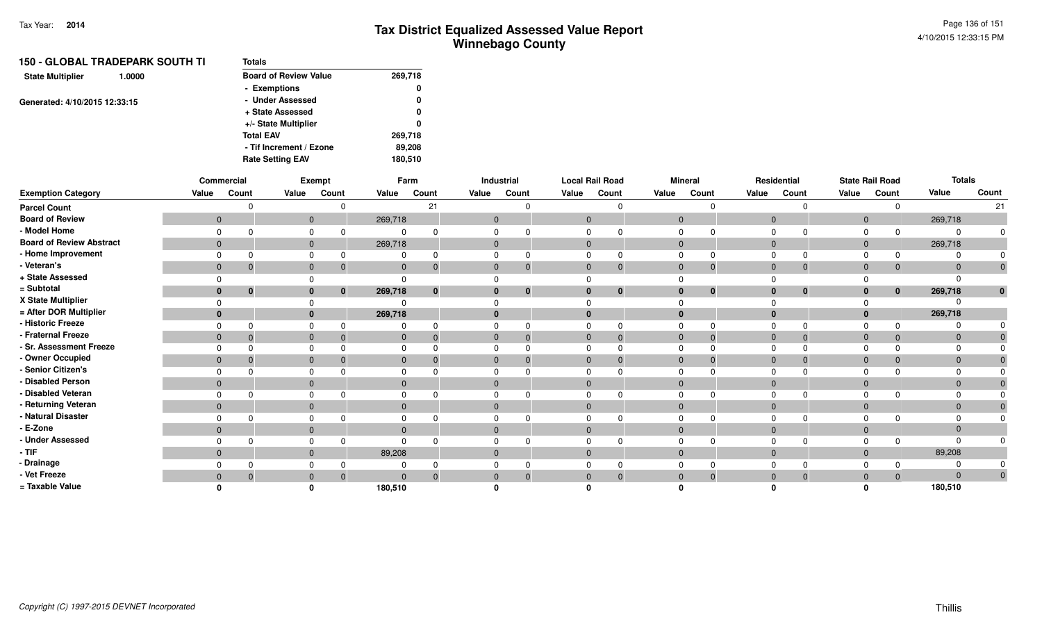|                               | <b>150 - GLOBAL TRADEPARK SOUTH TI</b> | <b>Totals</b>                |         |
|-------------------------------|----------------------------------------|------------------------------|---------|
| <b>State Multiplier</b>       | 1.0000                                 | <b>Board of Review Value</b> | 269,718 |
|                               |                                        | - Exemptions                 | 0       |
| Generated: 4/10/2015 12:33:15 |                                        | - Under Assessed             | 0       |
|                               |                                        | + State Assessed             | 0       |
|                               |                                        | +/- State Multiplier         | 0       |
|                               |                                        | <b>Total EAV</b>             | 269,718 |
|                               |                                        | - Tif Increment / Ezone      | 89,208  |
|                               |                                        | <b>Rate Setting EAV</b>      | 180,510 |
|                               |                                        |                              |         |

|                                 |                | <b>Commercial</b> |              | Exempt   |              | Farm  |              | <b>Industrial</b> |                | <b>Local Rail Road</b> |                | <b>Mineral</b> |             | Residential                  |                | <b>State Rail Road</b> | <b>Totals</b> |              |
|---------------------------------|----------------|-------------------|--------------|----------|--------------|-------|--------------|-------------------|----------------|------------------------|----------------|----------------|-------------|------------------------------|----------------|------------------------|---------------|--------------|
| <b>Exemption Category</b>       | Value          | Count             | Value        | Count    | Value        | Count | Value        | Count             | Value          | Count                  | Value          | Count          | Value       | Count                        | Value          | Count                  | Value         | Count        |
| <b>Parcel Count</b>             |                |                   |              |          |              | 21    |              |                   |                |                        |                | $\Omega$       |             | $\Omega$                     |                | $\Omega$               |               | 21           |
| <b>Board of Review</b>          | $\mathbf{0}$   |                   | $\mathbf 0$  |          | 269,718      |       | $\mathbf 0$  |                   | $\mathbf 0$    |                        | $\overline{0}$ |                | $\mathbf 0$ |                              | $\mathbf{0}$   |                        | 269,718       |              |
| - Model Home                    | $\Omega$       |                   | $\Omega$     |          | $\Omega$     |       | 0            |                   | $\Omega$       |                        | $\Omega$       |                | $\Omega$    | $\Omega$                     | $\Omega$       | $\Omega$               |               |              |
| <b>Board of Review Abstract</b> | $\mathbf{0}$   |                   | $\mathbf 0$  |          | 269,718      |       | $\mathbf{0}$ |                   | $\mathbf 0$    |                        | $\mathbf 0$    |                |             | $\mathbf 0$                  | $\mathbf{0}$   |                        | 269,718       |              |
| - Home Improvement              | $\Omega$       |                   | $\Omega$     |          | 0            |       | 0            |                   | $\Omega$       |                        | $\Omega$       |                | $\Omega$    | $\Omega$                     |                | $\Omega$               |               |              |
| - Veteran's                     | $\mathbf{0}$   | $\overline{0}$    | $\mathbf{0}$ | -0       | $\mathbf{0}$ | -0    | $\mathbf{0}$ |                   | $\mathbf{0}$   | $\mathbf 0$            | $\mathbf{0}$   | $\mathbf{0}$   |             | $\mathbf 0$<br>$\mathbf 0$   | $\mathbf{0}$   | 0                      | $\Omega$      | $\mathbf 0$  |
| + State Assessed                | $\Omega$       |                   | 0            |          | $\Omega$     |       |              |                   | $\Omega$       |                        | $\Omega$       |                | $\Omega$    |                              |                |                        |               |              |
| = Subtotal                      | $\mathbf{0}$   | $\mathbf 0$       | $\mathbf{0}$ | 0        | 269,718      | 0     | $\bf{0}$     |                   | $\bf{0}$       | $\bf{0}$               | $\bf{0}$       | $\bf{0}$       |             | $\mathbf{0}$<br>$\bf{0}$     | $\mathbf{0}$   | $\bf{0}$               | 269,718       | $\mathbf{0}$ |
| X State Multiplier              | 0              |                   |              |          | $\Omega$     |       |              |                   |                |                        |                |                | $\Omega$    |                              |                |                        |               |              |
| = After DOR Multiplier          | $\mathbf{0}$   |                   | $\mathbf{0}$ |          | 269,718      |       |              |                   |                |                        | $\bf{0}$       |                |             | $\mathbf{0}$                 | $\mathbf{0}$   |                        | 269,718       |              |
| - Historic Freeze               | $\Omega$       | $\Omega$          | 0            |          | 0            |       | $\Omega$     |                   | $\Omega$       |                        | $\Omega$       |                | $\Omega$    | $\Omega$                     | $\Omega$       |                        |               |              |
| - Fraternal Freeze              | $\overline{0}$ | $\overline{0}$    | $\mathbf{0}$ | $\Omega$ | $\mathbf{0}$ |       | $\mathbf{0}$ |                   | $\overline{0}$ | $\Omega$               | $\overline{0}$ | $\Omega$       |             | $\mathbf{0}$<br>$\Omega$     | $\mathbf{0}$   | $\Omega$               | $\Omega$      |              |
| - Sr. Assessment Freeze         | $\Omega$       |                   | 0            |          | 0            |       |              |                   |                |                        | 0              |                | $\mathbf 0$ |                              |                |                        |               |              |
| - Owner Occupied                | $\mathbf{0}$   | 0                 | $\mathbf{0}$ |          | $\mathbf{0}$ |       | $\mathbf 0$  |                   | $\mathbf{0}$   | 0                      | $\mathbf 0$    | 0              |             | $\mathbf{0}$<br>$\mathbf{0}$ | $\mathbf 0$    | $\Omega$               |               |              |
| - Senior Citizen's              | $\Omega$       |                   | 0            |          | 0            |       | 0            |                   | $\Omega$       |                        | $\Omega$       |                | $\Omega$    | $\Omega$                     | $\Omega$       |                        |               |              |
| - Disabled Person               | $\mathbf 0$    |                   | $\mathbf 0$  |          | $\mathbf{0}$ |       | $\mathbf 0$  |                   | $\mathbf 0$    |                        | $\mathbf 0$    |                |             | $\mathbf 0$                  | $\overline{0}$ |                        | $\Omega$      |              |
| - Disabled Veteran              | $\Omega$       |                   | 0            |          | 0            |       | 0            |                   | $\Omega$       |                        | $\mathbf 0$    |                | $\Omega$    | $\Omega$                     | 0              |                        |               |              |
| - Returning Veteran             | $\mathbf{0}$   |                   | $\mathbf{0}$ |          | $\Omega$     |       | $\mathbf{0}$ |                   | $\mathbf 0$    |                        | $\mathbf{0}$   |                |             | $\mathbf 0$                  | $\mathbf{0}$   |                        | $\Omega$      |              |
| - Natural Disaster              | $\Omega$       |                   | $\mathbf 0$  |          | 0            |       | 0            |                   | $\Omega$       |                        | $\mathbf 0$    |                | $\Omega$    | $\Omega$                     | $\Omega$       |                        |               |              |
| - E-Zone                        | $\mathbf{0}$   |                   | $\mathbf{0}$ |          | $\mathbf{0}$ |       | $\mathbf{0}$ |                   | $\mathbf 0$    |                        | $\mathbf 0$    |                |             | $\mathbf{0}$                 | $\mathbf 0$    |                        | $\Omega$      |              |
| - Under Assessed                | $\Omega$       | $\Omega$          | $\Omega$     |          | $\Omega$     |       | 0            |                   | $\Omega$       | $\Omega$               | $\Omega$       | $\Omega$       | $\Omega$    | $\Omega$                     | $\Omega$       | $\Omega$               |               |              |
| - TIF                           | $\mathbf{0}$   |                   | $\mathbf{0}$ |          | 89,208       |       | $\mathbf{0}$ |                   | $\Omega$       |                        | $\mathbf{0}$   |                |             | $\mathbf 0$                  | $\mathbf{0}$   |                        | 89,208        |              |
| - Drainage                      | $\Omega$       |                   | $\mathbf 0$  |          | 0            |       | 0            |                   | $\Omega$       |                        | $\mathbf 0$    |                | $\Omega$    | $\Omega$                     | 0              |                        |               |              |
| - Vet Freeze                    | $\mathbf 0$    | $\overline{0}$    | $\mathbf{0}$ |          | $\Omega$     |       | $\mathbf 0$  |                   | $\mathbf{0}$   | $\Omega$               | $\mathbf{0}$   | $\Omega$       |             | $\mathbf 0$<br>$\mathbf{0}$  | $\mathbf 0$    | $\Omega$               | $\Omega$      | $\mathbf 0$  |
| = Taxable Value                 | n              |                   |              |          | 180,510      |       |              |                   |                |                        |                |                |             |                              |                |                        | 180,510       |              |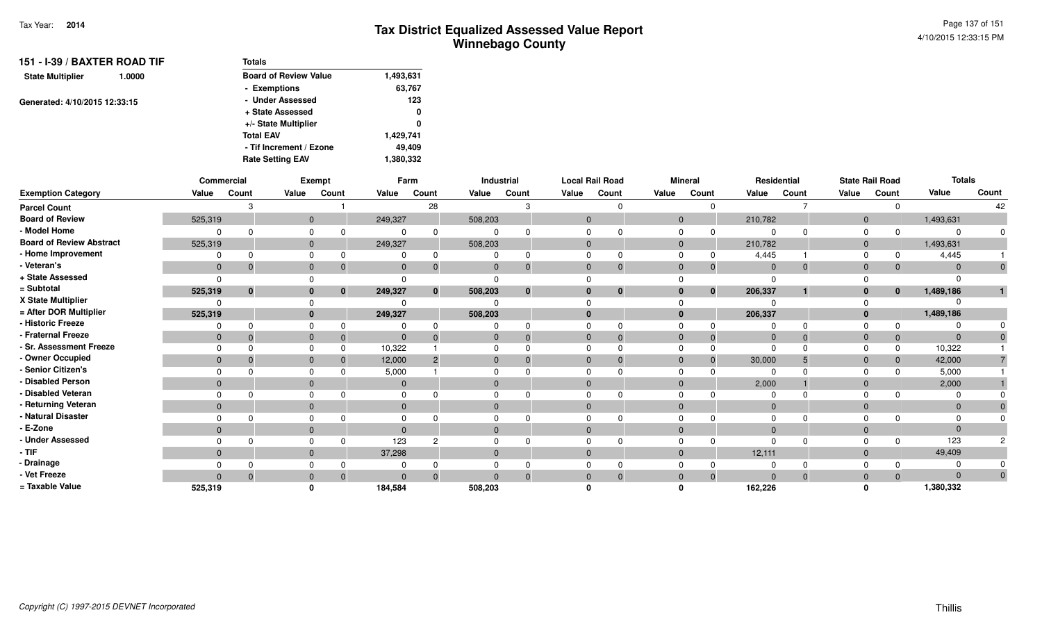| <b>Totals</b>                |           |
|------------------------------|-----------|
| <b>Board of Review Value</b> | 1,493,631 |
| - Exemptions                 | 63,767    |
| - Under Assessed             | 123       |
| + State Assessed             | 0         |
| +/- State Multiplier         | 0         |
| <b>Total EAV</b>             | 1,429,741 |
| - Tif Increment / Ezone      | 49.409    |
| <b>Rate Setting EAV</b>      | 1,380,332 |
|                              |           |

|                                 | Commercial   |             |              | <b>Exempt</b> |              | Farm           |          | Industrial   |              | <b>Local Rail Road</b> |              | <b>Mineral</b> |                | Residential |                | <b>State Rail Road</b> | <b>Totals</b> |       |
|---------------------------------|--------------|-------------|--------------|---------------|--------------|----------------|----------|--------------|--------------|------------------------|--------------|----------------|----------------|-------------|----------------|------------------------|---------------|-------|
| <b>Exemption Category</b>       | Value        | Count       | Value        | Count         | Value        | Count          | Value    | Count        | Value        | Count                  | Value        | Count          | Value          | Count       | Value          | Count                  | Value         | Count |
| <b>Parcel Count</b>             |              |             |              |               |              | 28             |          | Я            |              |                        |              |                |                |             |                |                        |               | 42    |
| <b>Board of Review</b>          | 525,319      |             | $\mathbf{0}$ |               | 249,327      |                | 508,203  |              | $\Omega$     |                        | $\mathbf{0}$ |                | 210,782        |             | $\mathbf{0}$   |                        | 1,493,631     |       |
| - Model Home                    |              |             |              |               |              | $\Omega$       |          |              |              |                        |              |                |                |             | $\Omega$       |                        |               |       |
| <b>Board of Review Abstract</b> | 525,319      |             | $\mathbf{0}$ |               | 249,327      |                | 508,203  |              | $\Omega$     |                        | $\mathbf{0}$ |                | 210,782        |             | $\mathbf{0}$   |                        | 1,493,631     |       |
| - Home Improvement              |              | ŋ           |              |               |              | $\Omega$       |          | $\Omega$     |              |                        |              |                | 4,445          |             | $\Omega$       |                        | 4,445         |       |
| - Veteran's                     | $\mathbf{0}$ | $\mathbf 0$ | $\mathbf{0}$ |               | $\mathbf{0}$ | $\Omega$       |          | 0            | $\Omega$     | $\mathbf 0$            | $\Omega$     | 0              | $\overline{0}$ | $\Omega$    | $\mathbf{0}$   | $\mathbf{0}$           |               |       |
| + State Assessed                | $\Omega$     |             |              |               |              |                |          |              |              |                        |              |                |                |             |                |                        |               |       |
| = Subtotal                      | 525,319      | $\bf{0}$    |              | $\bf{0}$      | 249,327      | $\mathbf{0}$   | 508,203  | $\mathbf{0}$ | $\mathbf{0}$ | $\bf{0}$               | $\bf{0}$     | $\mathbf 0$    | 206,337        |             | $\bf{0}$       | $\mathbf{0}$           | 1,489,186     |       |
| X State Multiplier              |              |             |              |               |              |                |          |              |              |                        |              |                |                |             |                |                        |               |       |
| = After DOR Multiplier          | 525,319      |             |              |               | 249,327      |                | 508,203  |              | $\mathbf{0}$ |                        | $\bf{0}$     |                | 206,337        |             | $\mathbf{0}$   |                        | 1,489,186     |       |
| - Historic Freeze               |              |             |              |               |              |                |          |              |              |                        |              |                |                |             |                | $\Omega$               |               |       |
| - Fraternal Freeze              | $\mathbf{0}$ |             | $\mathbf{0}$ |               | $\mathbf{0}$ | $\Omega$       |          |              | $\mathbf{0}$ | $\Omega$               | $\mathbf{0}$ | -0             | $\overline{0}$ | $\Omega$    | $\overline{0}$ | $\mathbf{0}$           | $\Omega$      |       |
| - Sr. Assessment Freeze         | $\Omega$     |             |              |               | 10,322       |                |          |              | $\Omega$     |                        |              |                | $\Omega$       |             |                | 0                      | 10,322        |       |
| - Owner Occupied                | $\mathbf{0}$ | $\Omega$    |              |               | 12,000       | $\overline{2}$ |          |              | $\Omega$     |                        | $\Omega$     | $\Omega$       | 30,000         |             | $\Omega$       | $\mathbf 0$            | 42,000        |       |
| - Senior Citizen's              | $\Omega$     |             |              |               | 5,000        |                |          |              |              |                        |              |                |                |             |                | $\Omega$               | 5,000         |       |
| <b>Disabled Person</b>          | $\mathbf{0}$ |             | $\Omega$     |               | $\mathbf{0}$ |                |          |              | $\Omega$     |                        | $\Omega$     |                | 2,000          |             | $\Omega$       |                        | 2,000         |       |
| - Disabled Veteran              | $\Omega$     | n           |              |               | $\Omega$     |                |          |              | $\Omega$     |                        |              |                |                |             |                |                        |               |       |
| - Returning Veteran             | $\mathbf{0}$ |             | $\Omega$     |               | $\Omega$     |                | $\Omega$ |              | $\Omega$     |                        | $\Omega$     |                | $\Omega$       |             | $\Omega$       |                        | $\Omega$      |       |
| - Natural Disaster              |              |             |              |               |              |                |          |              |              |                        |              |                |                |             |                |                        |               |       |
| - E-Zone                        | $\mathbf{0}$ |             | $\Omega$     |               | $\Omega$     |                |          |              | $\Omega$     |                        | $\Omega$     |                | $\Omega$       |             | $\Omega$       |                        |               |       |
| - Under Assessed                | $\Omega$     |             |              |               | 123          |                |          |              |              |                        |              |                |                |             |                |                        | 123           |       |
| - TIF                           | $\Omega$     |             | $\Omega$     |               | 37,298       |                |          |              | $\Omega$     |                        | $\Omega$     |                | 12,111         |             | $\Omega$       |                        | 49,409        |       |
| Drainage                        |              |             |              |               |              |                |          |              |              |                        |              |                |                |             |                |                        |               |       |
| - Vet Freeze                    | $\Omega$     | $\Omega$    | $\Omega$     |               | $\Omega$     | $\Omega$       |          | $\Omega$     | $\Omega$     | $\Omega$               | $\Omega$     | $\mathbf{0}$   | $\Omega$       | $\Omega$    | $\Omega$       | $\Omega$               | $\Omega$      | 0     |
| = Taxable Value                 | 525,319      |             |              |               | 184,584      |                | 508,203  |              |              |                        |              |                | 162,226        |             |                |                        | 1,380,332     |       |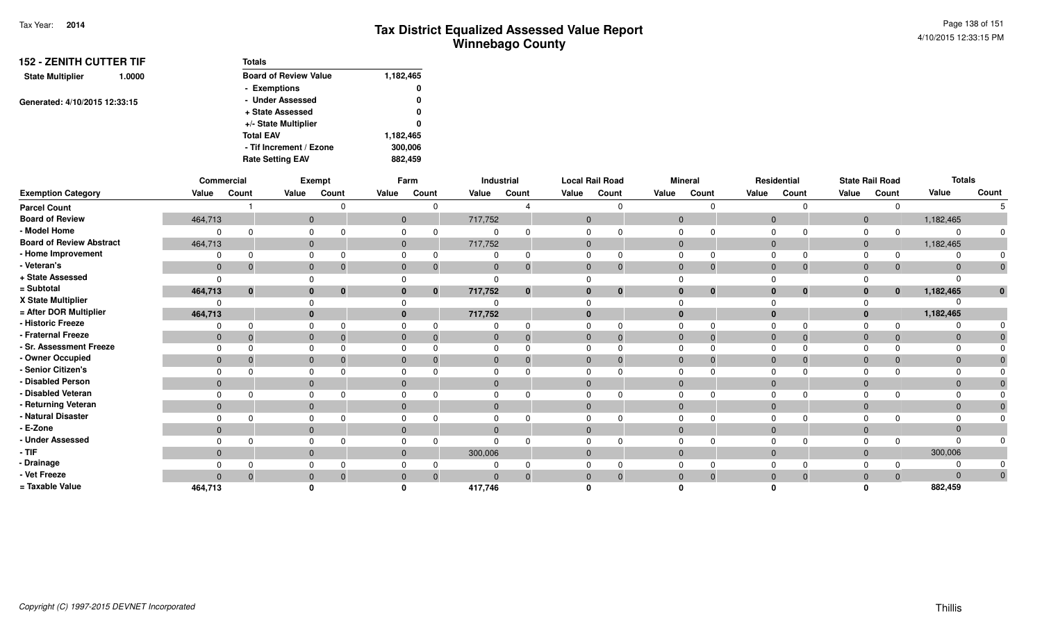| <b>152 - ZENITH CUTTER TIF</b>    | <b>Totals</b>                |           |
|-----------------------------------|------------------------------|-----------|
| <b>State Multiplier</b><br>1.0000 | <b>Board of Review Value</b> | 1,182,465 |
|                                   | - Exemptions                 | 0         |
| Generated: 4/10/2015 12:33:15     | - Under Assessed             | 0         |
|                                   | + State Assessed             | 0         |
|                                   | +/- State Multiplier         | 0         |
|                                   | <b>Total EAV</b>             | 1,182,465 |
|                                   | - Tif Increment / Ezone      | 300,006   |
|                                   | <b>Rate Setting EAV</b>      | 882.459   |

|                                 |              | Commercial   |          | <b>Exempt</b>            |              | Farm           |              | Industrial | <b>Local Rail Road</b> |                |          | <b>Mineral</b> |                | Residential  |                | <b>State Rail Road</b> | <b>Totals</b>  |              |
|---------------------------------|--------------|--------------|----------|--------------------------|--------------|----------------|--------------|------------|------------------------|----------------|----------|----------------|----------------|--------------|----------------|------------------------|----------------|--------------|
| <b>Exemption Category</b>       | Value        | Count        | Value    | Count                    | Value        | Count          | Value        | Count      | Value                  | Count          | Value    | Count          | Value          | Count        | Value          | Count                  | Value          | Count        |
| <b>Parcel Count</b>             |              |              |          |                          |              | $\Omega$       |              |            |                        |                |          |                |                |              |                |                        |                |              |
| <b>Board of Review</b>          | 464,713      |              |          | $\Omega$                 |              | $\overline{0}$ | 717,752      |            | $\Omega$               |                | $\Omega$ |                | $\overline{0}$ |              | $\Omega$       |                        | 1,182,465      |              |
| - Model Home                    |              |              |          |                          |              |                |              |            |                        |                |          |                |                |              |                |                        | $\Omega$       |              |
| <b>Board of Review Abstract</b> | 464,713      |              |          | $\Omega$                 |              | $\mathbf{0}$   | 717,752      |            | $\overline{0}$         |                | $\Omega$ |                | $\overline{0}$ |              | $\overline{0}$ |                        | 1,182,465      |              |
| - Home Improvement              |              |              |          |                          |              |                |              |            | 0                      |                |          |                | $\Omega$       |              |                |                        |                |              |
| - Veteran's                     | $\mathbf{0}$ | $\mathbf 0$  |          | $\mathbf{0}$<br>$\Omega$ | $\mathbf{0}$ | $\Omega$       | $\mathbf{0}$ | $\Omega$   | $\mathbf{0}$           | 0              | $\Omega$ |                | $\overline{0}$ | $\Omega$     | $\overline{0}$ |                        | $\Omega$       |              |
| + State Assessed                | $\Omega$     |              |          |                          |              |                |              |            |                        |                |          |                |                |              |                |                        | $\Omega$       |              |
| = Subtotal                      | 464,713      | $\mathbf{0}$ |          | $\mathbf{0}$<br>$\bf{0}$ |              | $\mathbf{0}$   | 717,752      | $\bf{0}$   | $\bf{0}$               | $\mathbf{0}$   |          | $\bf{0}$       | $\Omega$       | $\bf{0}$     | $\mathbf{0}$   | $\mathbf{0}$           | 1,182,465      | $\mathbf{0}$ |
| X State Multiplier              |              |              |          |                          |              |                |              |            |                        |                |          |                |                |              |                |                        |                |              |
| = After DOR Multiplier          | 464,713      |              | $\bf{0}$ |                          |              |                | 717,752      |            | $\Omega$               |                |          |                | $\Omega$       |              | $\Omega$       |                        | 1,182,465      |              |
| - Historic Freeze               |              |              |          |                          |              |                |              |            | $\Omega$               | 0              |          |                | $\Omega$       |              |                |                        | $\Omega$       |              |
| - Fraternal Freeze              | $\mathbf{0}$ |              |          | $\Omega$                 | $\Omega$     | $\Omega$       | 0            |            | $\Omega$               | $\Omega$       | $\Omega$ |                | $\overline{0}$ | $\Omega$     | $\Omega$       |                        | $\Omega$       |              |
| - Sr. Assessment Freeze         |              |              |          |                          |              |                |              |            |                        |                |          |                | $\Omega$       |              |                |                        | $\Omega$       |              |
| - Owner Occupied                | $\mathbf{0}$ |              | $\Omega$ |                          |              |                |              |            | $\Omega$               | $\Omega$       |          |                | $\overline{0}$ | $\Omega$     |                |                        | $\Omega$       |              |
| - Senior Citizen's              |              |              |          |                          |              |                |              |            |                        |                |          |                | $\cap$         |              |                |                        | $\Omega$       |              |
| - Disabled Person               | $\mathbf{0}$ |              |          | $\Omega$                 | $\Omega$     |                |              |            | $\Omega$               |                |          |                | $\Omega$       |              | $\Omega$       |                        | $\Omega$       |              |
| - Disabled Veteran              |              |              |          |                          |              |                |              |            | $\Omega$               |                |          |                | $\Omega$       |              |                |                        | $\Omega$       |              |
| - Returning Veteran             | $\mathbf{0}$ |              |          | $\Omega$                 | $\Omega$     |                | $\Omega$     |            | $\Omega$               |                | $\Omega$ |                | $\overline{0}$ |              | $\Omega$       |                        | $\Omega$       |              |
| - Natural Disaster              |              |              |          |                          |              |                |              |            | $\Omega$               |                |          |                | $\Omega$       |              |                |                        | $\Omega$       |              |
| - E-Zone                        | $\mathbf{0}$ |              |          | $\Omega$                 |              |                |              |            | $\Omega$               |                |          |                | $\overline{0}$ |              |                |                        | $\mathbf{0}$   |              |
| - Under Assessed                |              |              |          |                          |              | $\Omega$       |              |            |                        | ∩              |          |                | $\Omega$       |              |                |                        | $\Omega$       |              |
| - TIF-                          | $\mathbf{0}$ |              |          | $\Omega$                 | $\mathbf{0}$ |                | 300,006      |            | $\mathbf{0}$           |                | $\Omega$ |                | $\overline{0}$ |              | $\Omega$       |                        | 300,006        |              |
| - Drainage                      |              |              |          |                          |              |                |              |            |                        |                |          |                |                |              |                |                        | $\Omega$       |              |
| - Vet Freeze                    | $\Omega$     |              |          |                          | 0            | $\Omega$       |              |            | $\mathbf{0}$           | $\overline{0}$ |          |                | $\overline{0}$ | $\mathbf{0}$ |                |                        | $\overline{0}$ |              |
| = Taxable Value                 | 464,713      |              |          |                          |              |                | 417,746      |            |                        |                |          |                |                |              |                |                        | 882,459        |              |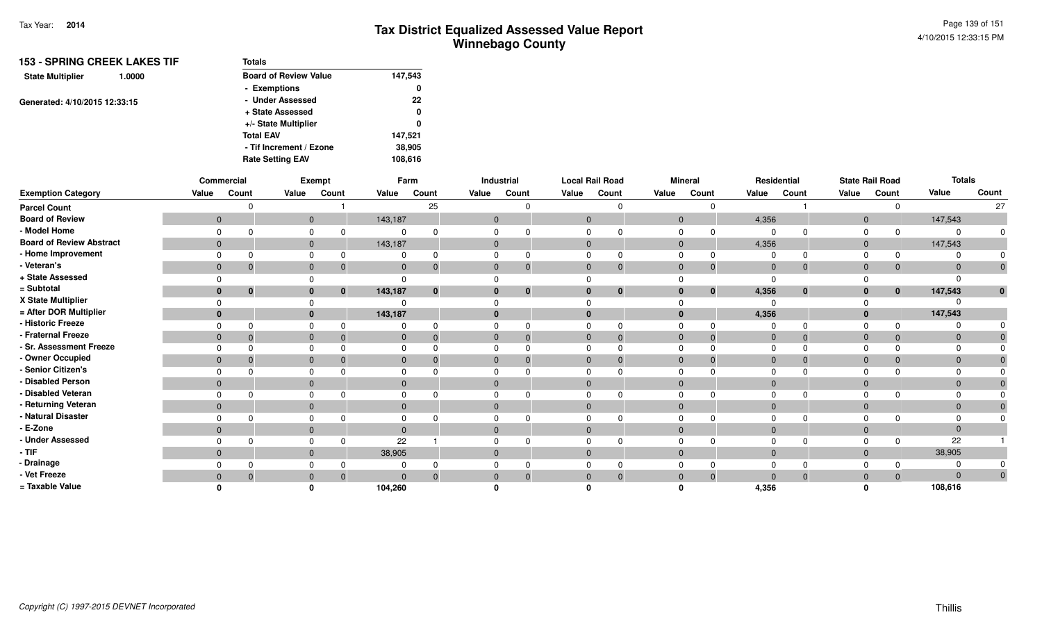| Totals                       |         |
|------------------------------|---------|
| <b>Board of Review Value</b> | 147,543 |
| - Exemptions                 | 0       |
| - Under Assessed             | 22      |
| + State Assessed             | 0       |
| +/- State Multiplier         | 0       |
| <b>Total EAV</b>             | 147.521 |
| - Tif Increment / Ezone      | 38,905  |
| <b>Rate Setting EAV</b>      | 108,616 |
|                              |         |

|                                 |              | Commercial |              | Exempt       |                | Farm         |                | Industrial     |              | <b>Local Rail Road</b> |                | <b>Mineral</b> |                | Residential  |                | <b>State Rail Road</b> |              | <b>Totals</b> |
|---------------------------------|--------------|------------|--------------|--------------|----------------|--------------|----------------|----------------|--------------|------------------------|----------------|----------------|----------------|--------------|----------------|------------------------|--------------|---------------|
| <b>Exemption Category</b>       | Value        | Count      | Value        | Count        | Value          | Count        | Value          | Count          | Value        | Count                  | Value          | Count          | Value          | Count        | Value          | Count                  | Value        | Count         |
| <b>Parcel Count</b>             |              |            |              |              |                | 25           |                |                |              | $\Omega$               |                | $\Omega$       |                |              |                | <sup>0</sup>           |              | 27            |
| <b>Board of Review</b>          | $\mathbf{0}$ |            |              | $\mathbf{0}$ | 143,187        |              | $\overline{0}$ |                | $\mathbf{0}$ |                        | $\overline{0}$ |                | 4,356          |              | $\overline{0}$ |                        | 147,543      |               |
| - Model Home                    |              |            |              | 0            | $\Omega$       |              | $\Omega$       |                | $\Omega$     | $\Omega$               | $\Omega$       | $\Omega$       | $\Omega$       | $\Omega$     | 0              | $\Omega$               |              | $\Omega$      |
| <b>Board of Review Abstract</b> | $\mathbf{0}$ |            | $\mathbf{0}$ |              | 143,187        |              | $\mathbf{0}$   |                | $\mathbf 0$  |                        | $\mathbf{0}$   |                | 4,356          |              | $\mathbf 0$    |                        | 147,543      |               |
| - Home Improvement              |              |            |              |              |                |              | $\Omega$       |                | $\Omega$     | $\Omega$               | $\Omega$       | $\Omega$       |                | $\Omega$     |                | $\Omega$               |              |               |
| - Veteran's                     | $\mathbf{0}$ |            | $\mathbf{0}$ |              | $\mathbf{0}$   | $\Omega$     | $\mathbf{0}$   | $\overline{0}$ | $\mathbf 0$  | $\mathbf 0$            | $\mathbf{0}$   | $\mathbf 0$    | $\overline{0}$ | $\mathbf 0$  | $\mathbf 0$    | 0                      | $\Omega$     | $\mathbf 0$   |
| + State Assessed                |              |            |              |              | $\mathbf 0$    |              | $\Omega$       |                | $\Omega$     |                        | $\Omega$       |                | $\Omega$       |              |                |                        |              |               |
| = Subtotal                      | $\bf{0}$     |            |              | $\mathbf{0}$ | 143,187        | $\mathbf{0}$ | $\bf{0}$       | $\bf{0}$       | $\mathbf{0}$ | $\mathbf{0}$           | $\bf{0}$       | $\bf{0}$       | 4,356          | $\bf{0}$     | $\mathbf{0}$   | $\bf{0}$               | 147,543      | $\mathbf{0}$  |
| X State Multiplier              |              |            |              |              | $\Omega$       |              |                |                | $\Omega$     |                        |                |                | $\Omega$       |              |                |                        |              |               |
| = After DOR Multiplier          | $\bf{0}$     |            |              |              | 143,187        |              | $\bf{0}$       |                | $\bf{0}$     |                        | $\mathbf{0}$   |                | 4,356          |              | $\mathbf 0$    |                        | 147,543      |               |
| - Historic Freeze               |              |            | 0            |              | $\Omega$       |              | $\Omega$       |                | $\Omega$     | $\Omega$               | $\Omega$       |                | $\Omega$       | $\Omega$     | $\Omega$       |                        |              |               |
| - Fraternal Freeze              | $\mathbf{0}$ |            | $\mathbf 0$  |              | $\overline{0}$ |              | $\overline{0}$ | $\Omega$       | $\mathbf{0}$ | $\Omega$               | $\overline{0}$ | $\Omega$       | $\overline{0}$ | $\Omega$     | $\mathbf{0}$   | $\Omega$               | $\Omega$     |               |
| - Sr. Assessment Freeze         |              |            |              |              |                |              | 0              |                | $\Omega$     |                        | $\mathbf 0$    |                | $\Omega$       |              |                |                        |              |               |
| - Owner Occupied                | $\mathbf{0}$ |            | $\mathbf 0$  |              | $\mathbf{0}$   |              | $\mathbf 0$    |                | $\mathbf{0}$ | $\mathbf{0}$           | $\mathbf{0}$   | $\Omega$       | $\overline{0}$ | $\Omega$     | $\mathbf{0}$   |                        |              |               |
| - Senior Citizen's              |              |            | 0            |              |                |              | $\Omega$       |                | $\Omega$     |                        | $\Omega$       |                | $\Omega$       |              | $\Omega$       |                        |              |               |
| - Disabled Person               | $\mathbf{0}$ |            | $\mathbf{0}$ |              | $\mathbf{0}$   |              | $\mathbf{0}$   |                | $\mathbf 0$  |                        | $\mathbf{0}$   |                | $\mathbf{0}$   |              | $\mathbf{0}$   |                        | $\Omega$     |               |
| - Disabled Veteran              |              |            | 0            |              | $\Omega$       |              | 0              |                | $\Omega$     | $\Omega$               | $\mathbf 0$    |                | 0              | $\Omega$     | 0              |                        |              |               |
| - Returning Veteran             | $\mathbf 0$  |            | $\mathbf{0}$ |              | $\mathbf{0}$   |              | $\mathbf{0}$   |                | $\mathbf 0$  |                        | $\overline{0}$ |                | $\mathbf{0}$   |              | $\mathbf 0$    |                        |              |               |
| - Natural Disaster              |              |            |              | 0            | $\Omega$       |              | $\Omega$       |                | $\Omega$     | $\Omega$               | $\mathbf 0$    |                | $\Omega$       | $\Omega$     | 0              |                        |              |               |
| - E-Zone                        | $\mathbf{0}$ |            | $\mathbf{0}$ |              | $\mathbf{0}$   |              | $\mathbf 0$    |                | $\mathbf{0}$ |                        | $\mathbf 0$    |                | $\Omega$       |              | $\mathbf 0$    |                        | $\mathbf{0}$ |               |
| - Under Assessed                |              |            | 0            |              | 22             |              | $\Omega$       |                | $\Omega$     | $\Omega$               | $\mathbf 0$    | <sup>n</sup>   | $\Omega$       | 0            | $\Omega$       | $\Omega$               | 22           |               |
| $-$ TIF                         | $\Omega$     |            | $\Omega$     |              | 38,905         |              | $\mathbf 0$    |                | $\mathbf 0$  |                        | $\mathbf{0}$   |                | $\mathbf{0}$   |              | $\mathbf{0}$   |                        | 38,905       |               |
| - Drainage                      |              |            |              | 0            | 0              |              | $\Omega$       |                | $\Omega$     | $\Omega$               | $\mathbf 0$    |                | $\Omega$       |              | 0              |                        |              |               |
| - Vet Freeze                    | $\mathbf{0}$ |            | $\mathbf{0}$ |              | $\overline{0}$ |              | $\mathbf{0}$   |                | $\mathbf 0$  | $\mathbf{0}$           | $\mathbf 0$    | $\Omega$       | $\overline{0}$ | $\mathbf{0}$ | $\mathbf 0$    | $\Omega$               | $\Omega$     | $\mathbf 0$   |
| = Taxable Value                 |              |            |              |              | 104,260        |              |                |                |              |                        | ŋ              |                | 4,356          |              |                |                        | 108,616      |               |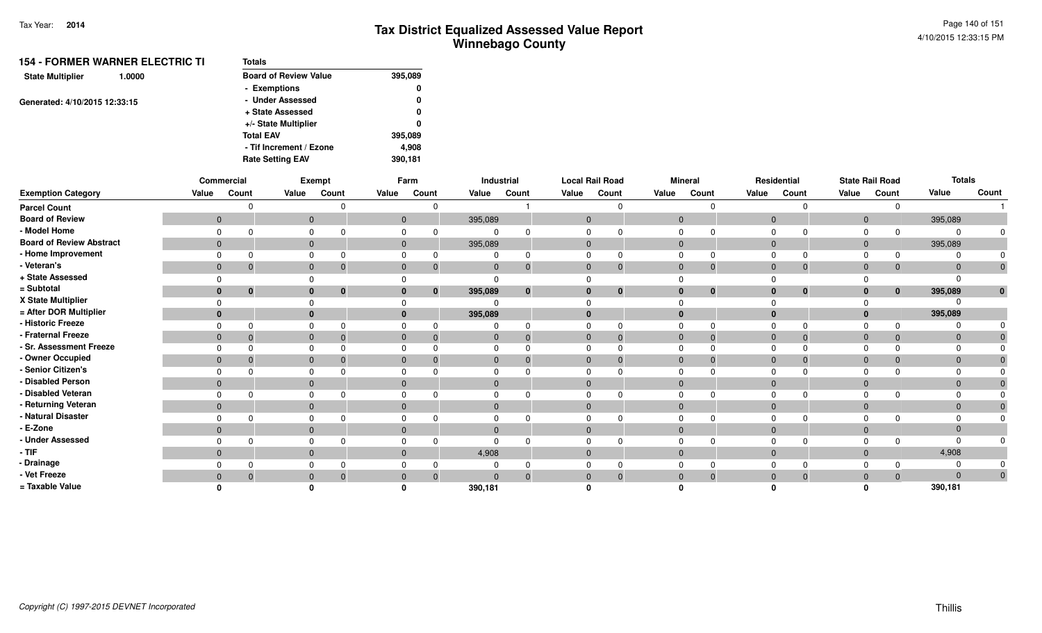| <b>Board of Review Value</b><br><b>State Multiplier</b><br>1.0000<br>- Exemptions |         |
|-----------------------------------------------------------------------------------|---------|
|                                                                                   | 395,089 |
|                                                                                   | 0       |
| - Under Assessed<br>Generated: 4/10/2015 12:33:15                                 | 0       |
| + State Assessed                                                                  | 0       |
| +/- State Multiplier                                                              | 0       |
| <b>Total EAV</b>                                                                  | 395,089 |
| - Tif Increment / Ezone                                                           | 4,908   |
| <b>Rate Setting EAV</b>                                                           | 390,181 |

|                                 |              | Commercial |              | Exempt |                | Farm           |              | Industrial   |              | <b>Local Rail Road</b> |                | <b>Mineral</b> |                | Residential              |                | <b>State Rail Road</b> | <b>Totals</b> |              |
|---------------------------------|--------------|------------|--------------|--------|----------------|----------------|--------------|--------------|--------------|------------------------|----------------|----------------|----------------|--------------------------|----------------|------------------------|---------------|--------------|
| <b>Exemption Category</b>       | Value        | Count      | Value        | Count  | Value          | Count          | Value        | Count        | Value        | Count                  | Value          | Count          | Value          | Count                    | Value          | Count                  | Value         | Count        |
| <b>Parcel Count</b>             |              |            |              |        |                |                |              |              |              | $\Omega$               |                | <sup>n</sup>   |                | $\Omega$                 |                | n                      |               |              |
| <b>Board of Review</b>          | $\mathbf{0}$ |            | $\mathbf{0}$ |        |                | $\overline{0}$ | 395,089      |              | $\mathbf{0}$ |                        | $\mathbf{0}$   |                | $\mathbf{0}$   |                          | $\overline{0}$ |                        | 395,089       |              |
| - Model Home                    |              |            |              |        | $\Omega$       |                | $\Omega$     |              | $\Omega$     | $\Omega$               | 0              |                | $\Omega$       | $\Omega$                 | $\Omega$       | $\Omega$               |               |              |
| <b>Board of Review Abstract</b> | $\mathbf{0}$ |            | $\mathbf{0}$ |        |                | $\overline{0}$ | 395,089      |              | $\mathbf{0}$ |                        | $\overline{0}$ |                | $\overline{0}$ |                          | $\mathbf{0}$   |                        | 395,089       |              |
| - Home Improvement              |              |            |              |        |                |                |              |              | $\Omega$     | $\Omega$               | $\Omega$       |                |                | $\Omega$                 |                | $\Omega$               |               |              |
| - Veteran's                     | $\mathbf 0$  |            | $\mathbf{0}$ |        | $\mathbf 0$    | $\mathbf 0$    | $\mathbf 0$  | $\mathbf{0}$ | $\mathbf 0$  | $\mathbf{0}$           | $\mathbf 0$    | $\mathbf 0$    | $\overline{0}$ | $\mathbf{0}$             | $\mathbf 0$    | 0                      | $\Omega$      | $\mathbf 0$  |
| + State Assessed                |              |            |              |        |                |                | $\Omega$     |              | $\Omega$     |                        | $\Omega$       |                |                |                          |                |                        |               |              |
| = Subtotal                      |              |            | $\bf{0}$     |        | $\bf{0}$       | $\bf{0}$       | 395,089      | $\bf{0}$     | $\bf{0}$     | $\mathbf{0}$           | $\bf{0}$       | $\mathbf{0}$   |                | $\bf{0}$<br>$\mathbf{0}$ | $\mathbf{0}$   | $\bf{0}$               | 395,089       | $\mathbf{0}$ |
| X State Multiplier              |              |            |              |        |                |                | $\Omega$     |              | $\Omega$     |                        |                |                |                |                          |                |                        |               |              |
| = After DOR Multiplier          | $\bf{0}$     |            | $\bf{0}$     |        | $\bf{0}$       |                | 395,089      |              | $\bf{0}$     |                        | $\mathbf{0}$   |                | $\bf{0}$       |                          | $\bf{0}$       |                        | 395,089       |              |
| - Historic Freeze               |              |            | 0            |        | $\Omega$       |                | $\Omega$     |              | $\Omega$     | $\Omega$               | $\mathbf 0$    | $\Omega$       | $\Omega$       | $\Omega$                 |                |                        |               |              |
| - Fraternal Freeze              | $\mathbf{0}$ |            | $\mathbf 0$  |        | $\overline{0}$ | $\Omega$       | $\mathbf 0$  | $\Omega$     | $\mathbf{0}$ | $\Omega$               | $\mathbf{0}$   | $\Omega$       | $\mathbf{0}$   | $\mathbf{0}$             | $\mathbf{0}$   | $\Omega$               | $\Omega$      |              |
| - Sr. Assessment Freeze         |              |            | 0            |        | $\Omega$       |                | $\Omega$     |              | $\Omega$     | $\Omega$               | $\Omega$       |                | $\Omega$       | 0                        |                |                        |               |              |
| - Owner Occupied                | $\mathbf 0$  |            | $\mathbf 0$  |        | $\mathbf{0}$   |                | $\mathbf 0$  |              | $\mathbf{0}$ | $\Omega$               | $\mathbf{0}$   | $\Omega$       | $\overline{0}$ | $\Omega$                 | $\mathbf{0}$   |                        |               |              |
| - Senior Citizen's              |              |            | $\Omega$     |        | 0              |                | $\Omega$     |              | $\Omega$     | $\Omega$               | $\mathbf 0$    |                | $\Omega$       | <sup>n</sup>             | $\Omega$       |                        |               |              |
| - Disabled Person               | $\mathbf{0}$ |            | $\mathbf{0}$ |        | $\mathbf 0$    |                | $\mathbf{0}$ |              | $\mathbf 0$  |                        | $\mathbf 0$    |                | $\overline{0}$ |                          | $\mathbf 0$    |                        | $\Omega$      |              |
| - Disabled Veteran              | 0            |            | 0            |        | $\Omega$       |                | $\mathbf 0$  |              | $\Omega$     | $\Omega$               | $\mathbf 0$    | <sup>n</sup>   | $\Omega$       | $\Omega$                 | $\Omega$       |                        |               |              |
| - Returning Veteran             | $\mathbf{0}$ |            | $\mathbf{0}$ |        | $\mathbf{0}$   |                | $\mathbf{0}$ |              | $\mathbf{0}$ |                        | $\mathbf{0}$   |                | $\overline{0}$ |                          | $\mathbf{0}$   |                        | $\Omega$      |              |
| - Natural Disaster              |              |            |              |        | $\Omega$       |                | $\mathbf 0$  |              | $\Omega$     | $\Omega$               | $\mathbf 0$    |                | $\Omega$       | <sup>n</sup>             | $\Omega$       |                        |               |              |
| - E-Zone                        | $\Omega$     |            | $\mathbf{0}$ |        | $\Omega$       |                | $\mathbf{0}$ |              | $\mathbf{0}$ |                        | $\mathbf 0$    |                | $\Omega$       |                          | $\mathbf 0$    |                        |               |              |
| - Under Assessed                |              |            |              |        |                |                | $\Omega$     |              | $\Omega$     | $\Omega$               | $\Omega$       |                | $\Omega$       | $\Omega$                 |                |                        |               |              |
| - TIF-                          | $\mathbf{0}$ |            | $\mathbf{0}$ |        | $\mathbf 0$    |                | 4,908        |              | $\mathbf 0$  |                        | $\overline{0}$ |                | $\mathbf{0}$   |                          | $\mathbf{0}$   |                        | 4,908         |              |
| - Drainage                      |              |            | 0            |        | $\Omega$       |                |              |              | $\Omega$     | $\Omega$               | $\mathbf 0$    |                | $\Omega$       | $\Omega$                 |                |                        |               |              |
| - Vet Freeze                    |              |            | $\mathbf{0}$ |        |                | $\Omega$       | $\Omega$     |              | $\mathbf{0}$ | $\mathbf{0}$           | $\mathbf{0}$   | $\Omega$       | $\overline{0}$ | $\overline{0}$           | $\mathbf 0$    | $\Omega$               | $\Omega$      | $\mathbf 0$  |
| = Taxable Value                 |              |            |              |        |                |                | 390,181      |              |              |                        |                |                |                |                          |                |                        | 390,181       |              |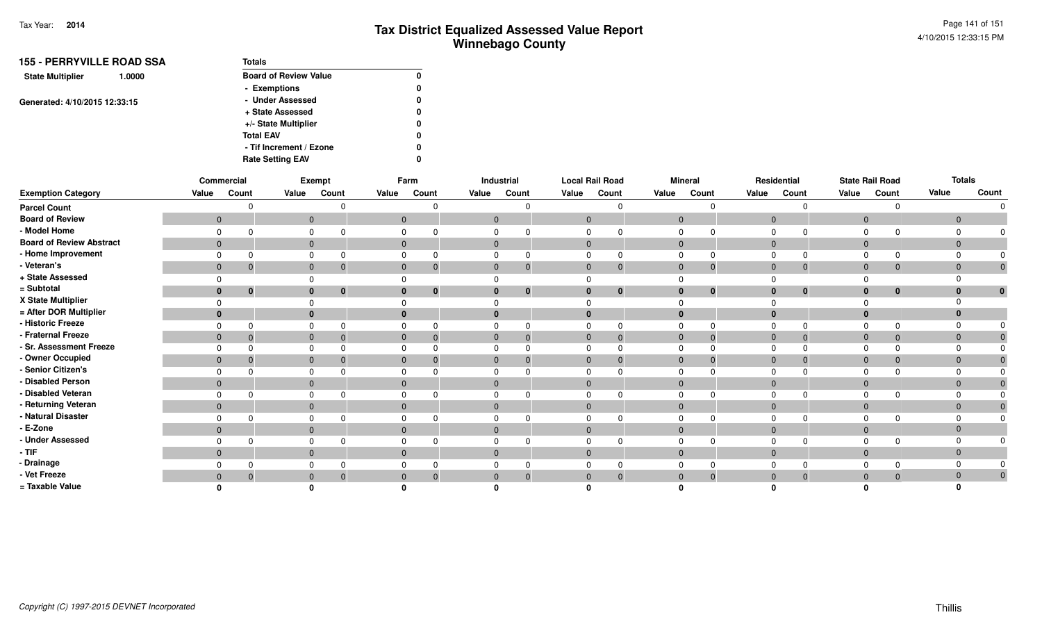| <b>155 - PERRYVILLE ROAD SSA</b>  | Totals                       |              |
|-----------------------------------|------------------------------|--------------|
| <b>State Multiplier</b><br>1.0000 | <b>Board of Review Value</b> | 0            |
|                                   | - Exemptions                 | 0            |
| Generated: 4/10/2015 12:33:15     | - Under Assessed             | 0            |
|                                   | + State Assessed             | $\mathbf{0}$ |
|                                   | +/- State Multiplier         | 0            |
|                                   | <b>Total EAV</b>             | 0            |
|                                   | - Tif Increment / Ezone      | 0            |
|                                   | <b>Rate Setting EAV</b>      | 0            |

|                                 |                | Commercial     | Exempt<br>Farm |                      |             | Industrial                       |              | <b>Local Rail Road</b>       |              |          | <b>Mineral</b> |                | Residential    |              | <b>State Rail Road</b> | <b>Totals</b>  |                |              |
|---------------------------------|----------------|----------------|----------------|----------------------|-------------|----------------------------------|--------------|------------------------------|--------------|----------|----------------|----------------|----------------|--------------|------------------------|----------------|----------------|--------------|
| <b>Exemption Category</b>       | Value          | Count          | Value          | Count                | Value       | Count                            | Value        | Count                        | Value        | Count    | Value          | Count          | Value          | Count        | Value                  | Count          | Value          | Count        |
| <b>Parcel Count</b>             |                | n              |                |                      |             |                                  |              | $\Omega$                     |              |          |                |                |                |              |                        |                |                |              |
| <b>Board of Review</b>          | $\overline{0}$ |                |                | $\mathbf{0}$         |             | $\mathbf 0$                      |              | $\overline{0}$               | $\mathbf{0}$ |          | $\mathbf{0}$   |                | $\overline{0}$ |              | $\overline{0}$         |                | $\mathbf{0}$   |              |
| - Model Home                    | $\Omega$       | n              | $\Omega$       |                      |             |                                  |              |                              |              |          |                |                |                |              |                        |                | $\Omega$       |              |
| <b>Board of Review Abstract</b> | $\overline{0}$ |                |                | $\mathbf{0}$         |             | $\mathbf{0}$                     |              | $\mathbf{0}$                 | $\mathbf{0}$ |          | $\mathbf{0}$   |                | $\overline{0}$ |              | $\overline{0}$         |                | $\overline{0}$ |              |
| - Home Improvement              | $\Omega$       |                |                |                      |             |                                  |              |                              |              |          | 0              |                | $\Omega$       |              |                        |                | $\Omega$       |              |
| - Veteran's                     | $\mathbf{0}$   | $\overline{0}$ |                | $\mathbf{0}$<br>0    |             | $\mathbf{0}$<br>$\boldsymbol{0}$ |              | $\mathbf{0}$<br>$\mathbf 0$  | $\mathbf{0}$ | 0        | $\mathbf{0}$   | $\overline{0}$ | $\overline{0}$ | $\mathbf{0}$ | $\overline{0}$         | $\mathbf 0$    | $\mathbf 0$    |              |
| + State Assessed                |                |                |                |                      |             |                                  |              |                              |              |          |                |                |                |              |                        |                | $\Omega$       |              |
| = Subtotal                      | $\bf{0}$       | $\mathbf{0}$   |                | $\bf{0}$<br>$\bf{0}$ |             | $\bf{0}$<br>$\bf{0}$             |              | $\mathbf{0}$                 | $\bf{0}$     | $\bf{0}$ | $\bf{0}$       | $\bf{0}$       | $\bf{0}$       | $\bf{0}$     | $\bf{0}$               | 0              | $\bf{0}$       | $\mathbf{0}$ |
| X State Multiplier              |                |                |                |                      |             |                                  |              |                              |              |          |                |                |                |              |                        |                | $\Omega$       |              |
| = After DOR Multiplier          | $\bf{0}$       |                | $\bf{0}$       |                      | 0           |                                  |              |                              |              |          | $\bf{0}$       |                |                |              |                        |                | $\mathbf 0$    |              |
| - Historic Freeze               | $\Omega$       | $\Omega$       | $\Omega$       |                      |             |                                  |              | $\Omega$                     |              |          |                |                |                |              |                        |                | $\Omega$       |              |
| - Fraternal Freeze              | $\overline{0}$ | $\overline{0}$ |                | $\mathbf{0}$         |             | $\mathbf 0$                      |              | $\mathbf{0}$<br>$\mathbf{0}$ | $\mathbf{0}$ | $\Omega$ | $\mathbf{0}$   | $\overline{0}$ | $\overline{0}$ | $\Omega$     | $\overline{0}$         | $\overline{0}$ | $\overline{0}$ |              |
| - Sr. Assessment Freeze         | $\Omega$       | $\Omega$       |                |                      |             |                                  |              |                              |              |          | <sup>0</sup>   |                | $\Omega$       |              |                        |                | $\Omega$       |              |
| - Owner Occupied                | $\mathbf{0}$   | $\mathbf 0$    |                | $\mathbf{0}$         |             | $\mathbf{0}$                     |              | $\mathbf 0$                  | $\mathbf{0}$ |          | $\mathbf{0}$   | $\mathbf 0$    | $\overline{0}$ | $\Omega$     | $\overline{0}$         |                | $\mathbf 0$    |              |
| - Senior Citizen's              | $\Omega$       | <sup>n</sup>   |                | $\Omega$             |             |                                  |              |                              |              |          | $\Omega$       |                | $\Omega$       |              |                        |                | $\Omega$       |              |
| - Disabled Person               | $\mathbf{0}$   |                |                | $\mathbf{0}$         |             | $\mathbf 0$                      |              | $\mathbf{0}$                 | $\mathbf 0$  |          | $\mathbf{0}$   |                | $\overline{0}$ |              | $\overline{0}$         |                | $\mathbf 0$    |              |
| - Disabled Veteran              | $\Omega$       |                |                |                      |             |                                  |              |                              |              |          |                |                |                |              |                        |                | $\Omega$       |              |
| - Returning Veteran             | $\mathbf{0}$   |                |                | $\mathbf{0}$         |             | $\mathbf{0}$                     | $\mathbf{0}$ |                              | $\mathbf{0}$ |          | $\mathbf{0}$   |                | $\overline{0}$ |              | $\Omega$               |                | $\mathbf{0}$   |              |
| - Natural Disaster              | $\Omega$       | $\Omega$       | $\Omega$       |                      | $\Omega$    |                                  |              |                              |              |          | $\Omega$       |                | $\Omega$       |              |                        |                | $\Omega$       |              |
| - E-Zone                        | $\mathbf{0}$   |                |                | $\overline{0}$       |             | $\mathbf{0}$                     |              | $\mathbf{0}$                 | $\mathbf{0}$ |          | $\mathbf{0}$   |                | $\mathbf{0}$   |              | $\Omega$               |                | $\overline{0}$ |              |
| - Under Assessed                | $\Omega$       |                |                |                      |             |                                  |              |                              |              |          | <sup>0</sup>   |                | $\Omega$       |              |                        |                | $\Omega$       |              |
| - TIF                           | $\overline{0}$ |                |                | $\mathbf{0}$         |             | $\mathbf{0}$                     |              | $\mathbf{0}$                 | $\mathbf{0}$ |          | $\mathbf{0}$   |                | $\overline{0}$ |              | $\Omega$               |                | $\overline{0}$ |              |
| - Drainage                      | $\Omega$       | $\Omega$       | $\Omega$       |                      |             |                                  |              | $\Omega$                     |              |          |                |                |                |              |                        |                | $\Omega$       |              |
| - Vet Freeze                    | $\overline{0}$ | $\mathbf{0}$   | $\mathbf 0$    |                      | $\mathbf 0$ |                                  |              | $\Omega$                     | $\Omega$     |          | $\Omega$       | $\Omega$       |                | $\Omega$     | $\Omega$               |                | $\mathbf{0}$   |              |
| = Taxable Value                 |                |                |                |                      |             |                                  |              |                              |              |          |                |                |                |              |                        |                |                |              |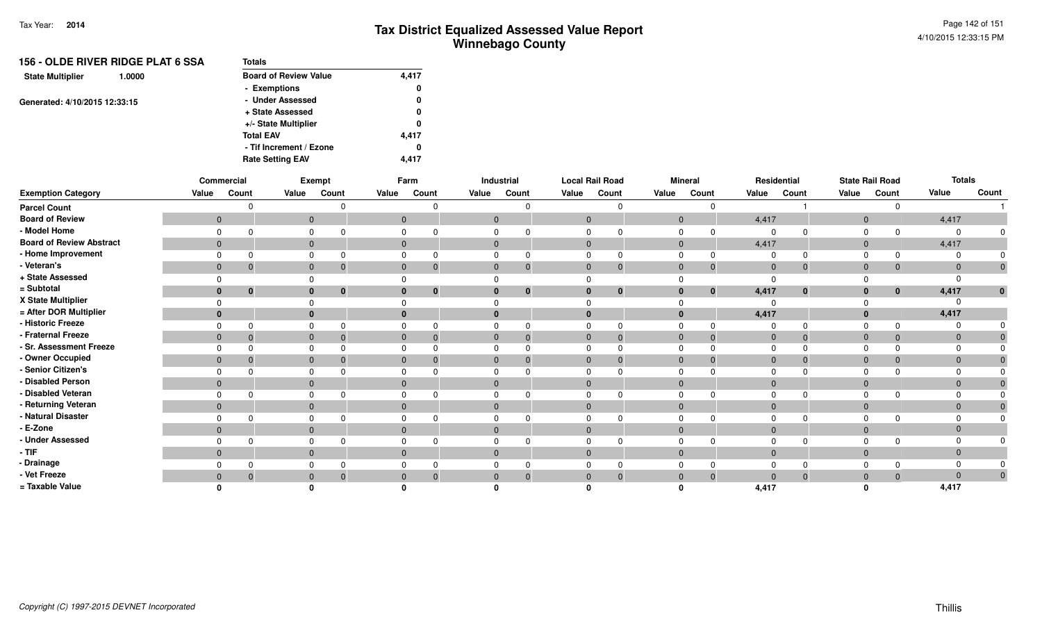| <b>Totals</b>                |       |
|------------------------------|-------|
| <b>Board of Review Value</b> | 4,417 |
| - Exemptions                 | 0     |
| - Under Assessed             | 0     |
| + State Assessed             | 0     |
| +/- State Multiplier         | 0     |
| <b>Total EAV</b>             | 4.417 |
| - Tif Increment / Ezone      | 0     |
| <b>Rate Setting EAV</b>      | 4.417 |
|                              |       |

|                                 | Commercial<br>Exempt |                |                | Farm<br>Industrial |              | <b>Local Rail Road</b> |              |             | <b>Mineral</b> |                | Residential    |                | <b>State Rail Road</b> | <b>Totals</b> |                |              |                |                |
|---------------------------------|----------------------|----------------|----------------|--------------------|--------------|------------------------|--------------|-------------|----------------|----------------|----------------|----------------|------------------------|---------------|----------------|--------------|----------------|----------------|
| <b>Exemption Category</b>       | Value                | Count          | Value          | Count              | Value        | Count                  | Value        | Count       | Value          | Count          | Value          | Count          | Value                  | Count         | Value          | Count        | Value          | Count          |
| <b>Parcel Count</b>             |                      | $\Omega$       |                |                    |              | U                      |              |             |                | $\Omega$       |                | $\Omega$       |                        |               |                | $\Omega$     |                |                |
| <b>Board of Review</b>          | $\overline{0}$       |                | $\overline{0}$ |                    |              | $\overline{0}$         | $\mathbf{0}$ |             | $\mathbf{0}$   |                | $\overline{0}$ |                | 4,417                  |               | $\overline{0}$ |              | 4,417          |                |
| - Model Home                    | $\Omega$             | ∩              | $\Omega$       |                    | 0            |                        |              |             |                |                | $\Omega$       | $\Omega$       | $\Omega$               |               | $\Omega$       | $\Omega$     |                |                |
| <b>Board of Review Abstract</b> | $\overline{0}$       |                | $\mathbf{0}$   |                    | $\mathbf{0}$ |                        | $\mathbf{0}$ |             | $\mathbf{0}$   |                | $\Omega$       |                | 4,417                  |               | $\overline{0}$ |              | 4,417          |                |
| - Home Improvement              | $\Omega$             | $\Omega$       | $\Omega$       |                    | O            |                        |              | $\Omega$    |                | O              | $\Omega$       | $\Omega$       | $\Omega$               |               | $\Omega$       | $\Omega$     |                |                |
| - Veteran's                     | $\mathbf{0}$         | $\mathbf 0$    | $\overline{0}$ | $\boldsymbol{0}$   | $\mathbf{0}$ | $\mathbf 0$            | $\mathbf{0}$ | $\mathbf 0$ | $\overline{0}$ | $\overline{0}$ | $\mathbf{0}$   | $\overline{0}$ | $\mathbf{0}$           | $\Omega$      | $\overline{0}$ | $\mathbf 0$  | $\overline{0}$ |                |
| + State Assessed                | $\Omega$             |                |                |                    |              |                        |              |             |                |                |                |                | $\Omega$               |               |                |              |                |                |
| = Subtotal                      | $\bf{0}$             | $\mathbf{0}$   | $\mathbf{0}$   | $\bf{0}$           | $\bf{0}$     | $\mathbf{0}$           | 0            | $\bf{0}$    | $\bf{0}$       | $\mathbf{0}$   | $\bf{0}$       | $\bf{0}$       | 4,417                  | $\bf{0}$      | $\mathbf{0}$   | $\mathbf{0}$ | 4,417          | $\mathbf{0}$   |
| X State Multiplier              | $\Omega$             |                |                |                    |              |                        |              |             |                |                |                |                |                        |               |                |              |                |                |
| = After DOR Multiplier          | $\bf{0}$             |                | $\mathbf{0}$   |                    | $\bf{0}$     |                        |              |             |                |                | $\bf{0}$       |                | 4,417                  |               |                |              | 4,417          |                |
| - Historic Freeze               | $\Omega$             | $\Omega$       | $\Omega$       |                    | $\Omega$     |                        |              |             |                | 0              | $\Omega$       | $\Omega$       | $\Omega$               |               | $\Omega$       | $\Omega$     |                |                |
| - Fraternal Freeze              | $\overline{0}$       | $\overline{0}$ | $\mathbf{0}$   |                    | $\mathbf{0}$ |                        | $\mathbf{0}$ | $\Omega$    | $\mathbf{0}$   | $\Omega$       | $\Omega$       | $\overline{0}$ | $\overline{0}$         |               | $\overline{0}$ | $\mathbf 0$  | $\Omega$       |                |
| - Sr. Assessment Freeze         | $\Omega$             | $\Omega$       |                |                    |              |                        |              |             |                |                |                |                | 0                      |               |                | $\Omega$     |                |                |
| - Owner Occupied                | $\mathbf{0}$         | $\mathbf{0}$   | $\mathbf{0}$   |                    | $\mathbf{0}$ |                        | $\mathbf{0}$ | $\Omega$    | $\mathbf{0}$   | $\Omega$       | $\Omega$       | $\mathbf 0$    | $\mathbf 0$            |               | $\overline{0}$ | $\mathbf{0}$ | $\Omega$       |                |
| - Senior Citizen's              | $\Omega$             |                | $\Omega$       |                    |              |                        |              |             |                |                | $\Omega$       |                |                        |               |                |              |                |                |
| - Disabled Person               | $\mathbf{0}$         |                | $\mathbf{0}$   |                    | $\Omega$     |                        | $\Omega$     |             | $\Omega$       |                | $\Omega$       |                | $\Omega$               |               | $\overline{0}$ |              | $\Omega$       |                |
| - Disabled Veteran              | 0                    |                |                |                    |              |                        |              |             |                |                |                |                |                        |               |                |              |                |                |
| - Returning Veteran             | $\overline{0}$       |                | $\mathbf{0}$   |                    | $\mathbf{0}$ |                        | $\Omega$     |             | $\Omega$       |                | $\Omega$       |                | $\Omega$               |               | $\overline{0}$ |              | $\Omega$       |                |
| - Natural Disaster              | $\Omega$             |                | $\Omega$       |                    | $\Omega$     |                        |              |             |                |                | $\Omega$       |                |                        |               | $\Omega$       |              |                |                |
| - E-Zone                        | $\overline{0}$       |                | $\mathbf{0}$   |                    | $\Omega$     |                        |              |             |                |                | $\Omega$       |                | $\Omega$               |               | $\Omega$       |              | $\overline{0}$ |                |
| - Under Assessed                | $\Omega$             | $\Omega$       | $\Omega$       |                    | $\Omega$     |                        |              |             |                | $\Omega$       |                | n              |                        |               |                | <sup>n</sup> |                |                |
| - TIF                           | $\mathbf{0}$         |                | $\mathbf{0}$   |                    | $\mathbf{0}$ |                        | 0            |             | $\mathbf{0}$   |                | $\Omega$       |                | $\overline{0}$         |               | $\Omega$       |              | $\mathbf{0}$   |                |
| - Drainage                      | $\Omega$             |                |                |                    |              |                        |              |             |                |                |                |                |                        |               |                | $\Omega$     |                |                |
| - Vet Freeze                    | $\mathbf{0}$         | $\mathbf{0}$   | $\mathbf{0}$   |                    | $\Omega$     |                        |              | $\Omega$    |                | 0              | $\Omega$       | $\overline{0}$ | $\Omega$               |               | $\Omega$       | $\Omega$     | $\Omega$       | $\overline{0}$ |
| = Taxable Value                 |                      |                |                |                    |              |                        |              |             |                |                |                |                | 4,417                  |               |                |              | 4,417          |                |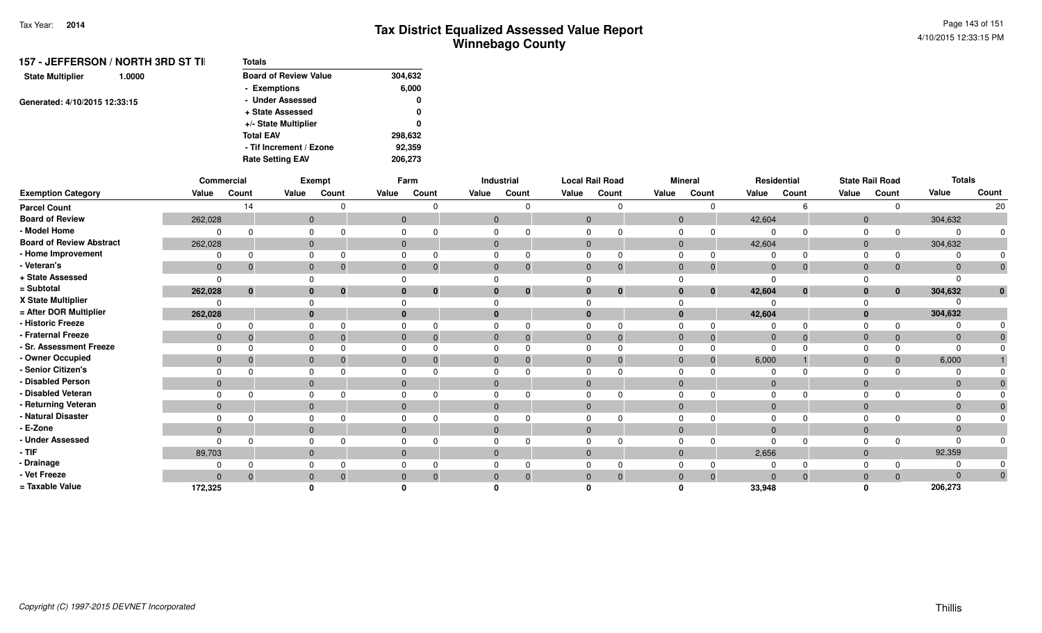| Totals                       |         |
|------------------------------|---------|
| <b>Board of Review Value</b> | 304,632 |
| - Exemptions                 | 6,000   |
| - Under Assessed             | 0       |
| + State Assessed             | 0       |
| +/- State Multiplier         | 0       |
| <b>Total EAV</b>             | 298,632 |
| - Tif Increment / Ezone      | 92,359  |
| <b>Rate Setting EAV</b>      | 206,273 |
|                              |         |

|                                 |              | Commercial |          | Exempt                      |                | Farm         |              | Industrial   | <b>Local Rail Road</b> |          |             | <b>Mineral</b> | Residential    |              |                | <b>State Rail Road</b> | <b>Totals</b>  |              |
|---------------------------------|--------------|------------|----------|-----------------------------|----------------|--------------|--------------|--------------|------------------------|----------|-------------|----------------|----------------|--------------|----------------|------------------------|----------------|--------------|
| <b>Exemption Category</b>       | Value        | Count      | Value    | Count                       | Value          | Count        | Value        | Count        | Value                  | Count    | Value       | Count          | Value          | Count        | Value          | Count                  | Value          | Count        |
| <b>Parcel Count</b>             |              | 14         |          |                             |                |              |              |              |                        | $\cap$   |             |                |                |              |                |                        |                | 20           |
| <b>Board of Review</b>          | 262,028      |            |          | $\overline{0}$              | $\mathbf{0}$   |              | $\mathbf{0}$ |              | $\Omega$               |          | $\Omega$    |                | 42,604         |              | $\Omega$       |                        | 304,632        |              |
| - Model Home                    |              |            |          | $\Omega$                    |                |              |              |              |                        |          |             |                | $\Omega$       |              |                |                        | $\Omega$       |              |
| <b>Board of Review Abstract</b> | 262,028      |            |          | $\mathbf{0}$                | $\overline{0}$ |              | $\mathbf{0}$ |              | $\mathbf{0}$           |          | $\Omega$    |                | 42,604         |              | $\overline{0}$ |                        | 304,632        |              |
| - Home Improvement              |              |            | $\Omega$ |                             |                |              |              |              | $\Omega$               |          |             |                | $\Omega$       |              |                |                        |                |              |
| - Veteran's                     | $\mathbf 0$  |            |          | $\mathbf{0}$<br>$\mathbf 0$ | $\overline{0}$ |              | 0            | $\mathbf 0$  | $\mathbf{0}$           |          | $\mathbf 0$ | $\mathbf 0$    | $\overline{0}$ | $\mathbf{0}$ | $\overline{0}$ | 0                      | $\mathbf 0$    |              |
| + State Assessed                |              |            |          |                             |                |              |              |              |                        |          |             |                | $\Omega$       |              |                |                        | $\Omega$       |              |
| = Subtotal                      | 262,028      | $\bf{0}$   |          | $\mathbf{0}$<br>$\mathbf 0$ |                | $\mathbf{0}$ | $\bf{0}$     | $\mathbf{0}$ | $\bf{0}$               | $\bf{0}$ | 0           | $\bf{0}$       | 42,604         | $\bf{0}$     |                | $\mathbf{0}$           | 304,632        | $\mathbf{0}$ |
| X State Multiplier              |              |            |          |                             |                |              |              |              |                        |          |             |                |                |              |                |                        | <sup>0</sup>   |              |
| = After DOR Multiplier          | 262,028      |            |          | $\mathbf{0}$                |                |              |              |              |                        |          |             |                | 42,604         |              |                |                        | 304,632        |              |
| - Historic Freeze               |              |            | $\Omega$ |                             |                |              |              |              |                        | O        |             |                | $\Omega$       |              |                |                        | $\Omega$       |              |
| - Fraternal Freeze              | $\mathbf{0}$ |            |          | $\Omega$                    | $\Omega$       |              | $\Omega$     | $\mathbf{0}$ | $\Omega$               |          | $\Omega$    |                | $\overline{0}$ | $\Omega$     | $\Omega$       |                        | $\overline{0}$ |              |
| - Sr. Assessment Freeze         |              |            |          |                             |                |              |              |              |                        |          |             |                | $\Omega$       |              |                |                        | $\Omega$       |              |
| - Owner Occupied                | $\mathbf{0}$ |            |          | $\Omega$                    |                |              | 0            | $\Omega$     | $\Omega$               |          | $\Omega$    |                | 6,000          |              | $\Omega$       |                        | 6,000          |              |
| - Senior Citizen's              |              |            |          |                             |                |              |              |              |                        |          |             |                |                |              |                |                        | <sup>0</sup>   |              |
| - Disabled Person               | $\mathbf{0}$ |            |          | $\mathbf{0}$                |                |              | $\Omega$     |              | $\Omega$               |          | $\Omega$    |                | $\mathbf 0$    |              | $\Omega$       |                        | $\mathbf{0}$   |              |
| - Disabled Veteran              |              |            | $\Omega$ |                             |                |              |              |              |                        |          |             |                | $\Omega$       |              |                |                        | $\mathbf 0$    |              |
| - Returning Veteran             | $\mathbf{0}$ |            |          | $\mathbf{0}$                | $\Omega$       |              | $\Omega$     |              | $\Omega$               |          | $\Omega$    |                | $\overline{0}$ |              | $\Omega$       |                        | $\mathbf{0}$   |              |
| - Natural Disaster              |              |            |          | $\Omega$                    |                |              |              |              |                        |          |             |                | $\Omega$       |              |                |                        | $\Omega$       |              |
| - E-Zone                        | $\Omega$     |            |          | $\Omega$                    |                |              | $\Omega$     |              | $\Omega$               |          | $\Omega$    |                | $\Omega$       |              |                |                        | $\mathbf{0}$   |              |
| - Under Assessed                |              |            | $\Omega$ |                             |                |              |              |              |                        |          |             |                | $\Omega$       | $\Omega$     |                |                        | $\Omega$       |              |
| - TIF                           | 89,703       |            |          | $\overline{0}$              |                |              | $\Omega$     |              | $\mathbf{0}$           |          | $\Omega$    |                | 2,656          |              | $\Omega$       |                        | 92,359         |              |
| - Drainage                      |              |            |          |                             |                |              |              |              |                        |          |             |                |                |              |                |                        | $\Omega$       |              |
| - Vet Freeze                    | $\Omega$     |            |          | $\Omega$                    |                |              |              | $\Omega$     | $\Omega$               | $\Omega$ |             |                | $\Omega$       | $\Omega$     |                |                        | $\Omega$       |              |
| = Taxable Value                 | 172,325      |            |          |                             |                |              |              |              |                        |          |             |                | 33,948         |              |                |                        | 206,273        |              |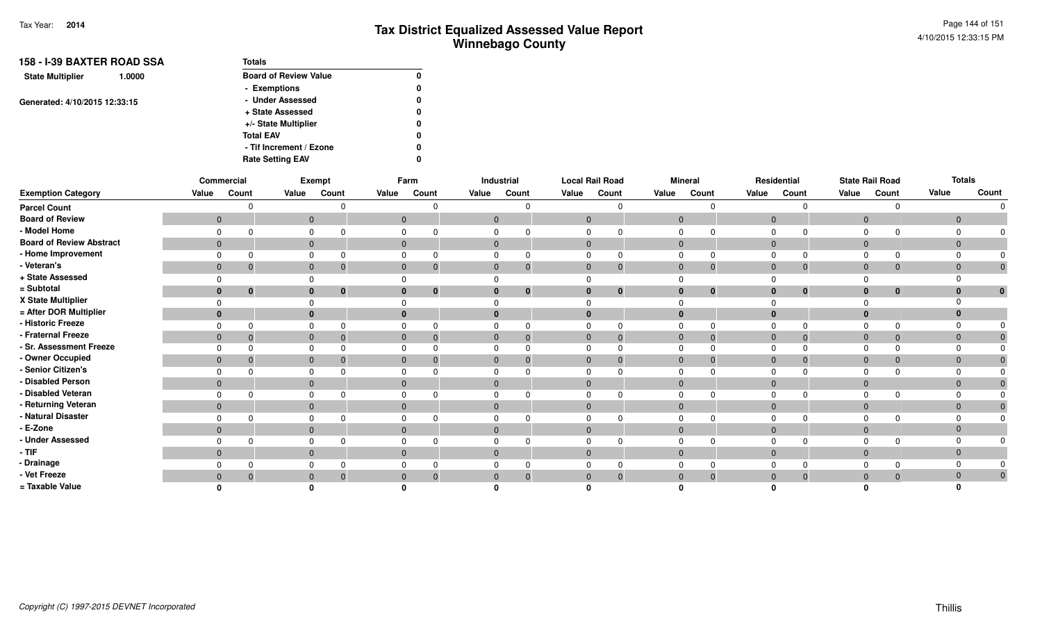| 158 - I-39 BAXTER ROAD SSA        | <b>Totals</b>                |              |
|-----------------------------------|------------------------------|--------------|
| <b>State Multiplier</b><br>1.0000 | <b>Board of Review Value</b> | $\mathbf{0}$ |
|                                   | - Exemptions                 | 0            |
| Generated: 4/10/2015 12:33:15     | - Under Assessed             | 0            |
|                                   | + State Assessed             | 0            |
|                                   | +/- State Multiplier         | 0            |
|                                   | <b>Total EAV</b>             | 0            |
|                                   | - Tif Increment / Ezone      | 0            |
|                                   | <b>Rate Setting EAV</b>      | 0            |

|                                 | Commercial     |                |                | Exempt   |              | Farm             |                | Industrial   | <b>Local Rail Road</b> |             |              | <b>Mineral</b> |                | Residential  |                | <b>State Rail Road</b> | <b>Totals</b>  |              |
|---------------------------------|----------------|----------------|----------------|----------|--------------|------------------|----------------|--------------|------------------------|-------------|--------------|----------------|----------------|--------------|----------------|------------------------|----------------|--------------|
| <b>Exemption Category</b>       | Value          | Count          | Value          | Count    | Value        | Count            | Value          | Count        | Value                  | Count       | Value        | Count          | Value          | Count        | Value          | Count                  | Value          | Count        |
| <b>Parcel Count</b>             |                | <sup>n</sup>   |                |          |              |                  |                | $\Omega$     |                        | U           |              |                |                |              |                |                        |                |              |
| <b>Board of Review</b>          | $\overline{0}$ |                | $\mathbf{0}$   |          | $\mathbf 0$  |                  | $\overline{0}$ |              | $\mathbf{0}$           |             | $\mathbf{0}$ |                | $\overline{0}$ |              | $\overline{0}$ |                        | $\mathbf{0}$   |              |
| - Model Home                    | $\mathbf 0$    |                |                |          |              |                  |                |              |                        |             |              |                |                |              |                |                        | $\Omega$       |              |
| <b>Board of Review Abstract</b> | $\overline{0}$ |                | $\mathbf{0}$   |          | $\mathbf 0$  |                  | $\mathbf{0}$   |              | $\mathbf 0$            |             | $\mathbf{0}$ |                | $\overline{0}$ |              | $\overline{0}$ |                        | $\overline{0}$ |              |
| - Home Improvement              | $\Omega$       | $\Omega$       |                |          |              |                  |                |              |                        |             | $\Omega$     |                | $\Omega$       |              |                |                        | $\Omega$       |              |
| - Veteran's                     | $\overline{0}$ | $\overline{0}$ | $\mathbf{0}$   |          | $\mathbf{0}$ | $\boldsymbol{0}$ | $\mathbf{0}$   | $\mathbf 0$  | $\mathbf 0$            | $\mathbf 0$ | $\mathbf{0}$ | $\mathbf 0$    | $\overline{0}$ | $\mathbf{0}$ | $\mathbf{0}$   | $\mathbf{0}$           | $\mathbf{0}$   |              |
| + State Assessed                |                |                |                |          |              |                  |                |              |                        |             |              |                |                |              |                |                        | $\Omega$       |              |
| = Subtotal                      | $\bf{0}$       | $\mathbf{0}$   | $\mathbf{0}$   | $\bf{0}$ | $\bf{0}$     | $\mathbf{0}$     |                | $\mathbf{0}$ | $\bf{0}$               | $\bf{0}$    | $\bf{0}$     | $\bf{0}$       | $\bf{0}$       | $\bf{0}$     | $\bf{0}$       | 0                      | $\bf{0}$       | $\mathbf{0}$ |
| X State Multiplier              | $\Omega$       |                |                |          |              |                  |                |              |                        |             |              |                |                |              |                |                        | $\Omega$       |              |
| = After DOR Multiplier          | $\bf{0}$       |                | $\mathbf 0$    |          | $\bf{0}$     |                  |                |              |                        |             | $\bf{0}$     |                |                |              |                |                        | $\bf{0}$       |              |
| - Historic Freeze               | $\Omega$       | $\Omega$       | $\Omega$       |          |              |                  |                | $\Omega$     |                        |             | $\Omega$     |                |                |              |                |                        | $\Omega$       |              |
| - Fraternal Freeze              | $\overline{0}$ | $\mathbf{0}$   | $\mathbf{0}$   |          | $\mathbf 0$  |                  | $\mathbf{0}$   | $\mathbf 0$  | $\mathbf{0}$           | 0           | $\mathbf{0}$ | $\overline{0}$ | $\overline{0}$ | $\Omega$     | $\overline{0}$ | $\mathbf 0$            | $\mathbf 0$    |              |
| - Sr. Assessment Freeze         | $\Omega$       | $\Omega$       |                |          |              |                  |                |              |                        |             | 0            |                | $\Omega$       |              |                |                        | $\Omega$       |              |
| - Owner Occupied                | $\overline{0}$ | $\mathbf{0}$   | $\mathbf{0}$   |          | $\mathbf{0}$ |                  | $\mathbf{0}$   | $\mathbf{0}$ | $\mathbf 0$            |             | $\mathbf{0}$ | $\mathbf 0$    | $\overline{0}$ | $\Omega$     | $\overline{0}$ |                        | $\mathbf 0$    |              |
| - Senior Citizen's              | $\Omega$       |                | $\Omega$       |          |              |                  |                |              |                        |             | $\Omega$     |                |                |              |                |                        | $\Omega$       |              |
| - Disabled Person               | $\overline{0}$ |                | $\mathbf{0}$   |          | $\mathbf{0}$ |                  | $\mathbf 0$    |              | $\mathbf 0$            |             | $\mathbf 0$  |                | $\overline{0}$ |              | $\Omega$       |                        | $\mathbf 0$    |              |
| - Disabled Veteran              | $\Omega$       |                |                |          |              |                  |                |              |                        |             |              |                |                |              |                |                        | $\Omega$       |              |
| - Returning Veteran             | $\overline{0}$ |                | $\overline{0}$ |          | $\Omega$     |                  | $\Omega$       |              | $\Omega$               |             | $\Omega$     |                | $\Omega$       |              | $\Omega$       |                        | $\Omega$       |              |
| - Natural Disaster              | $\Omega$       |                | $\Omega$       |          |              |                  |                |              |                        |             | $\Omega$     |                |                |              |                |                        | $\Omega$       |              |
| - E-Zone                        | $\overline{0}$ |                | $\overline{0}$ |          | $\Omega$     |                  | $\Omega$       |              | $\Omega$               |             | $\mathbf{0}$ |                | $\Omega$       |              | $\Omega$       |                        | $\mathbf 0$    |              |
| - Under Assessed                | $\Omega$       | ∩              |                |          |              |                  |                |              |                        |             |              |                |                |              |                |                        | $\Omega$       |              |
| $-$ TIF                         | $\overline{0}$ |                | $\mathbf{0}$   |          | $\mathbf{0}$ |                  | $\Omega$       |              | $\mathbf{0}$           |             | $\Omega$     |                | $\Omega$       |              | $\Omega$       |                        | $\overline{0}$ |              |
| - Drainage                      | $\Omega$       | 0              |                |          |              |                  |                | 0            |                        |             |              |                |                |              |                |                        | $\Omega$       |              |
| - Vet Freeze                    | $\mathbf{0}$   | $\overline{0}$ | $\mathbf{0}$   |          | $\Omega$     | $\Omega$         |                | $\Omega$     | $\Omega$               |             | $\Omega$     | $\overline{0}$ | $\Omega$       | $\Omega$     | $\Omega$       |                        | $\mathbf{0}$   |              |
| = Taxable Value                 |                |                |                |          |              |                  |                |              |                        |             |              |                |                |              |                |                        |                |              |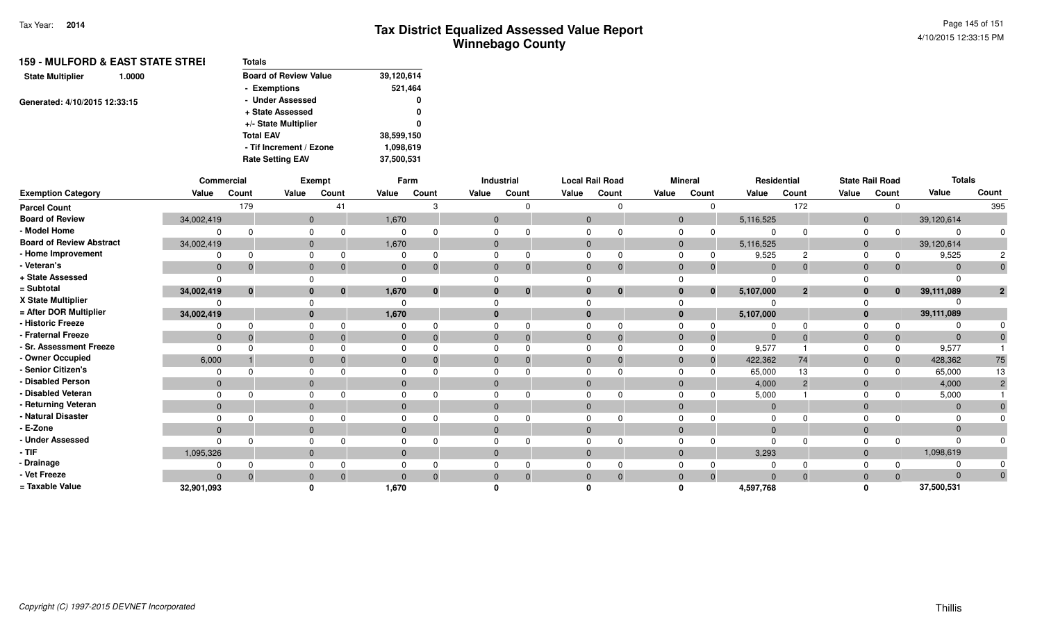|                               | 159 - MULFORD & EAST STATE STREI | Totals                       |            |
|-------------------------------|----------------------------------|------------------------------|------------|
| <b>State Multiplier</b>       | 1.0000                           | <b>Board of Review Value</b> | 39,120,614 |
|                               |                                  | - Exemptions                 | 521,464    |
| Generated: 4/10/2015 12:33:15 |                                  | - Under Assessed             | 0          |
|                               |                                  | + State Assessed             | 0          |
|                               |                                  | +/- State Multiplier         | 0          |
|                               |                                  | <b>Total EAV</b>             | 38,599,150 |
|                               |                                  | - Tif Increment / Ezone      | 1,098,619  |
|                               |                                  | <b>Rate Setting EAV</b>      | 37,500,531 |
|                               |                                  |                              |            |

|                                 |                | Commercial   |              | Exempt   |              | Farm         |       | Industrial   | <b>Local Rail Road</b> |          |              | <b>Mineral</b> |                | Residential    |                | <b>State Rail Road</b> | <b>Totals</b>  |       |
|---------------------------------|----------------|--------------|--------------|----------|--------------|--------------|-------|--------------|------------------------|----------|--------------|----------------|----------------|----------------|----------------|------------------------|----------------|-------|
| <b>Exemption Category</b>       | Value          | Count        | Value        | Count    | Value        | Count        | Value | Count        | Value                  | Count    | Value        | Count          | Value          | Count          | Value          | Count                  | Value          | Count |
| <b>Parcel Count</b>             |                | 179          |              | 41       |              |              |       | n            |                        |          |              |                |                | 172            |                |                        |                | 395   |
| <b>Board of Review</b>          | 34,002,419     |              | $\mathbf{0}$ |          | 1,670        |              |       | $\mathbf{0}$ | $\mathbf{0}$           |          | $\mathbf{0}$ |                | 5,116,525      |                | $\overline{0}$ |                        | 39,120,614     |       |
| - Model Home                    |                | $\Omega$     |              |          | 0            |              |       |              |                        |          | 0            |                |                |                |                |                        | $\Omega$       |       |
| <b>Board of Review Abstract</b> | 34,002,419     |              | $\mathbf{0}$ |          | 1,670        |              |       | $\Omega$     | $\Omega$               |          | $\mathbf{0}$ |                | 5,116,525      |                | $\overline{0}$ |                        | 39,120,614     |       |
| - Home Improvement              |                |              |              |          |              |              |       |              |                        |          |              |                | 9,525          |                |                |                        | 9,525          |       |
| - Veteran's                     | $\mathbf{0}$   | $\Omega$     | $\mathbf{0}$ |          | $\mathbf{0}$ |              |       | $\Omega$     | $\Omega$               |          | $\mathbf{0}$ | -0             | $\Omega$       | $\Omega$       | $\Omega$       | $\Omega$               | $\Omega$       |       |
| + State Assessed                |                |              |              |          |              |              |       |              |                        |          |              |                |                |                |                |                        |                |       |
| = Subtotal                      | 34,002,419     | $\mathbf{0}$ | $\mathbf{0}$ | $\bf{0}$ | 1,670        | $\mathbf{0}$ |       | $\mathbf{0}$ |                        | $\bf{0}$ | $\mathbf{0}$ | $\mathbf{0}$   | 5,107,000      | $\overline{2}$ |                | $\mathbf{0}$           | 39,111,089     |       |
| X State Multiplier              | O              |              |              |          |              |              |       |              |                        |          | $\Omega$     |                |                |                |                |                        |                |       |
| = After DOR Multiplier          | 34,002,419     |              | $\bf{0}$     |          | 1,670        |              |       |              | $\Omega$               |          | $\bf{0}$     |                | 5,107,000      |                | $\bf{0}$       |                        | 39,111,089     |       |
| - Historic Freeze               | 0              | <sup>0</sup> |              |          |              |              |       |              |                        |          |              |                |                |                |                |                        |                |       |
| - Fraternal Freeze              | $\overline{0}$ | $\Omega$     | $\Omega$     |          | $\mathbf{0}$ |              |       | $\Omega$     | $\Omega$               |          | $\Omega$     | $\overline{0}$ | $\overline{0}$ | $\Omega$       | $\Omega$       | $\mathbf{0}$           | $\Omega$       |       |
| - Sr. Assessment Freeze         | $\Omega$       |              | $\Omega$     |          |              |              |       |              |                        |          |              | $\Omega$       | 9,577          |                |                |                        | 9,577          |       |
| - Owner Occupied                | 6,000          |              | $\mathbf{0}$ |          | $\Omega$     |              |       | $\Omega$     |                        |          | $\Omega$     | $\Omega$       | 422,362        | 74             |                |                        | 428,362        | 75    |
| - Senior Citizen's              | $\Omega$       |              |              |          |              |              |       |              |                        |          | <sup>0</sup> |                | 65,000         | 13             |                |                        | 65,000         | 13    |
| - Disabled Person               | $\mathbf{0}$   |              | $\mathbf{0}$ |          | $\Omega$     |              |       |              |                        |          | $\Omega$     |                | 4,000          | $\overline{2}$ | $\Omega$       |                        | 4,000          |       |
| - Disabled Veteran              | $\Omega$       | n            | $\Omega$     |          |              |              |       |              |                        |          | $\Omega$     |                | 5,000          |                |                |                        | 5,000          |       |
| - Returning Veteran             | $\overline{0}$ |              | $\mathbf{0}$ |          | $\mathbf{0}$ |              |       | $\mathbf{0}$ | $\mathbf{0}$           |          | $\mathbf{0}$ |                | $\overline{0}$ |                | $\Omega$       |                        | $\overline{0}$ |       |
| - Natural Disaster              | $\Omega$       |              |              |          |              |              |       |              |                        |          | <sup>0</sup> |                | - 0            |                |                |                        | $\Omega$       |       |
| - E-Zone                        | $\Omega$       |              | $\Omega$     |          | $\Omega$     |              |       |              |                        |          | $\Omega$     |                |                |                |                |                        | $\Omega$       |       |
| - Under Assessed                | $\Omega$       | <sup>n</sup> |              |          |              |              |       |              |                        |          |              |                |                |                |                |                        | $\Omega$       |       |
| $-$ TIF                         | 1,095,326      |              | $\mathbf{0}$ |          | $\Omega$     |              |       | $\Omega$     | $\mathbf{0}$           |          | $\Omega$     |                | 3,293          |                | $\Omega$       |                        | 1,098,619      |       |
| - Drainage                      |                |              |              |          |              |              |       |              |                        |          |              |                |                |                |                |                        | $\Omega$       |       |
| - Vet Freeze                    | $\Omega$       | $\Omega$     | $\mathbf{0}$ |          | $\Omega$     | $\Omega$     |       | $\Omega$     | $\Omega$               |          | $\Omega$     | $\overline{0}$ | $\Omega$       | $\Omega$       | $\Omega$       |                        | $\Omega$       |       |
| = Taxable Value                 | 32,901,093     |              |              |          | 1,670        |              |       |              |                        |          |              |                | 4,597,768      |                |                |                        | 37,500,531     |       |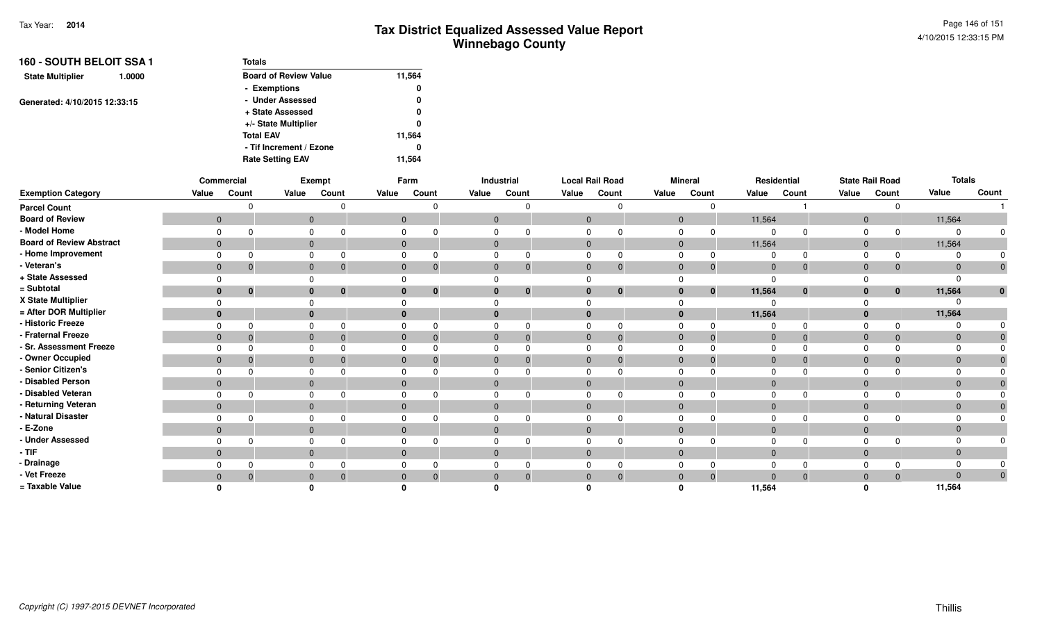| 160 - SOUTH BELOIT SSA 1<br>1.0000 | <b>Totals</b>                |        |
|------------------------------------|------------------------------|--------|
| <b>State Multiplier</b>            | <b>Board of Review Value</b> | 11,564 |
|                                    | - Exemptions                 | 0      |
| Generated: 4/10/2015 12:33:15      | - Under Assessed             | 0      |
|                                    | + State Assessed             | 0      |
|                                    | +/- State Multiplier         | 0      |
|                                    | <b>Total EAV</b>             | 11,564 |
|                                    | - Tif Increment / Ezone      | 0      |
|                                    | <b>Rate Setting EAV</b>      | 11.564 |

|                                 |              | Commercial   |       | Exempt                      |              | Farm           |              | Industrial     | <b>Local Rail Road</b> |              |              | <b>Mineral</b> |                | Residential |                | <b>State Rail Road</b> | <b>Totals</b> |              |
|---------------------------------|--------------|--------------|-------|-----------------------------|--------------|----------------|--------------|----------------|------------------------|--------------|--------------|----------------|----------------|-------------|----------------|------------------------|---------------|--------------|
| <b>Exemption Category</b>       | Value        | Count        | Value | Count                       | Value        | Count          | Value        | Count          | Value                  | Count        | Value        | Count          | Value          | Count       | Value          | Count                  | Value         | Count        |
| <b>Parcel Count</b>             |              |              |       | $\Omega$                    |              |                |              | 0              |                        |              |              | ∩              |                |             |                | $\Omega$               |               |              |
| <b>Board of Review</b>          | $\mathbf{0}$ |              |       | $\overline{0}$              |              | $\overline{0}$ |              | $\overline{0}$ | $\mathbf{0}$           |              | $\mathbf{0}$ |                | 11,564         |             | $\overline{0}$ |                        | 11,564        |              |
| - Model Home                    |              |              |       | 0                           |              |                |              |                |                        |              |              |                |                |             | 0              | $\Omega$               |               |              |
| <b>Board of Review Abstract</b> | $\mathbf{0}$ |              |       | $\mathbf{0}$                | 0            |                | $\mathbf{0}$ |                | $\mathbf{0}$           |              | $\mathbf{0}$ |                | 11,564         |             | $\overline{0}$ |                        | 11,564        |              |
| - Home Improvement              |              |              |       |                             |              |                |              |                |                        |              |              |                |                |             |                | $\Omega$               |               |              |
| - Veteran's                     | $\mathbf 0$  |              |       | $\mathbf{0}$<br>$\mathbf 0$ | $\mathbf{0}$ |                | 0            | $\overline{0}$ | $\mathbf{0}$           |              | $\mathbf{0}$ | $\overline{0}$ | $\mathbf 0$    |             | $\overline{0}$ | $\mathbf 0$            | $\mathbf 0$   |              |
| + State Assessed                |              |              |       |                             |              |                |              |                |                        |              |              |                | $\Omega$       |             |                |                        |               |              |
| = Subtotal                      | $\mathbf{0}$ | $\mathbf{0}$ |       | $\bf{0}$<br>$\mathbf{0}$    |              | $\mathbf{0}$   | $\bf{0}$     | $\bf{0}$       | $\bf{0}$               | $\mathbf{0}$ | $\mathbf{0}$ | $\mathbf{0}$   | 11,564         | $\bf{0}$    | $\bf{0}$       | $\mathbf{0}$           | 11,564        | U.           |
| X State Multiplier              |              |              |       |                             |              |                |              |                |                        |              |              |                |                |             |                |                        |               |              |
| = After DOR Multiplier          | $\mathbf{0}$ |              |       | $\mathbf{0}$                |              |                | $\bf{0}$     |                |                        |              | $\bf{0}$     |                | 11,564         |             | $\mathbf{0}$   |                        | 11,564        |              |
| - Historic Freeze               |              |              |       | $\Omega$                    |              |                |              | $\Omega$       |                        |              | $\Omega$     |                |                |             | $\Omega$       |                        |               |              |
| - Fraternal Freeze              | $\mathbf{0}$ |              |       | $\Omega$                    |              |                | $\Omega$     | $\overline{0}$ | $\overline{0}$         |              | $\mathbf{0}$ | $\overline{0}$ | $\overline{0}$ |             | $\overline{0}$ | $\mathbf 0$            | $\Omega$      |              |
| - Sr. Assessment Freeze         |              |              |       |                             |              |                |              |                |                        |              |              |                |                |             |                |                        |               |              |
| - Owner Occupied                | $\mathbf 0$  |              |       | $\mathbf{0}$                |              |                | $\Omega$     | $\Omega$       | $\mathbf{0}$           |              | $\Omega$     | 0              | $\overline{0}$ |             | $\Omega$       | $\mathbf{0}$           | $\Omega$      |              |
| - Senior Citizen's              |              |              |       |                             |              |                |              |                |                        |              |              |                |                |             |                |                        |               |              |
| - Disabled Person               | $\mathbf{0}$ |              |       | $\mathbf{0}$                |              |                | $\Omega$     |                | $\overline{0}$         |              | $\mathbf{0}$ |                | $\Omega$       |             | $\overline{0}$ |                        | $\Omega$      |              |
| - Disabled Veteran              |              |              |       | $\Omega$                    |              |                |              |                |                        |              |              |                |                |             |                |                        |               |              |
| - Returning Veteran             | $\mathbf{0}$ |              |       | $\overline{0}$              | $\mathbf{0}$ |                | $\mathbf{0}$ |                | $\mathbf{0}$           |              | $\mathbf{0}$ |                | $\overline{0}$ |             | $\overline{0}$ |                        | $\Omega$      |              |
| - Natural Disaster              |              |              |       | $\Omega$                    |              |                |              |                |                        |              |              |                |                |             |                |                        |               |              |
| - E-Zone                        | $\mathbf{0}$ |              |       | $\mathbf{0}$                |              |                | $\Omega$     |                | $\Omega$               |              | $\Omega$     |                | $\Omega$       |             | $\Omega$       |                        |               |              |
| - Under Assessed                |              |              |       | $\Omega$                    |              |                |              |                |                        |              |              |                |                |             | $\Omega$       | <sup>n</sup>           |               |              |
| $-$ TIF                         | $\mathbf{0}$ |              |       | $\mathbf{0}$                | $\Omega$     |                |              | $\mathbf{0}$   | $\Omega$               |              | $\mathbf{0}$ |                | $\overline{0}$ |             | $\overline{0}$ |                        | $\Omega$      |              |
| - Drainage                      |              |              |       | 0                           |              |                |              | 0              |                        |              |              |                |                |             |                |                        |               |              |
| - Vet Freeze                    | $\mathbf{0}$ |              |       | $\mathbf{0}$<br>0           |              |                | $\Omega$     | $\Omega$       | $\Omega$               | 0            | $\Omega$     | $\overline{0}$ | $\Omega$       |             | $\Omega$       | $\Omega$               | $\Omega$      | $\mathbf{0}$ |
| = Taxable Value                 |              |              |       |                             |              |                |              |                |                        |              |              |                | 11,564         |             |                |                        | 11,564        |              |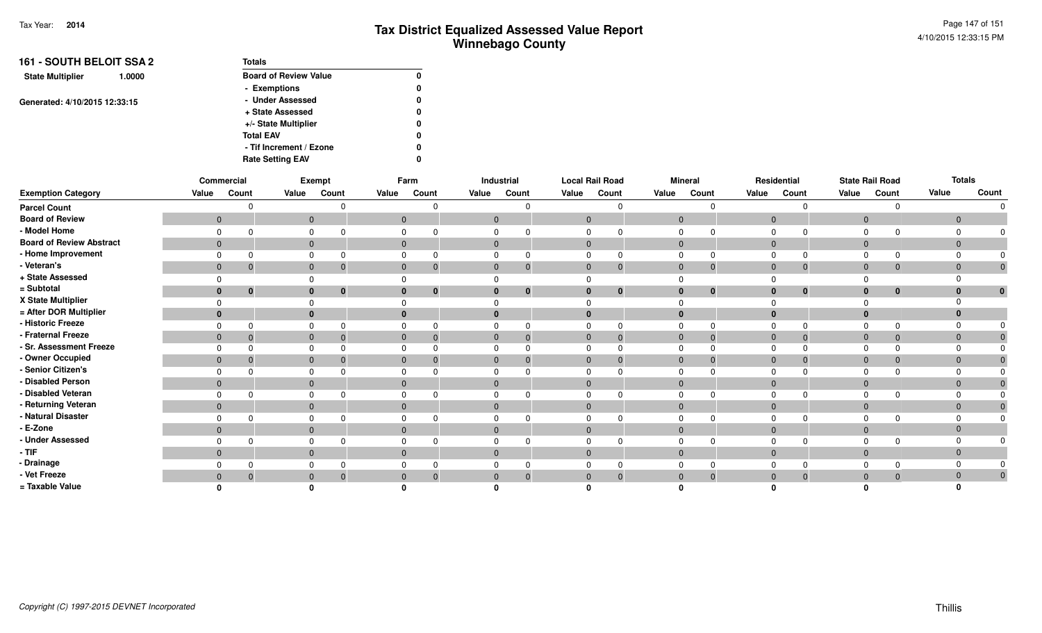| <b>161 - SOUTH BELOIT SSA 2</b>   | <b>Totals</b>                |   |
|-----------------------------------|------------------------------|---|
| <b>State Multiplier</b><br>1.0000 | <b>Board of Review Value</b> | 0 |
|                                   | - Exemptions                 | 0 |
| Generated: 4/10/2015 12:33:15     | - Under Assessed             | 0 |
|                                   | + State Assessed             | 0 |
|                                   | +/- State Multiplier         | 0 |
|                                   | <b>Total EAV</b>             | 0 |
|                                   | - Tif Increment / Ezone      | 0 |
|                                   | <b>Rate Setting EAV</b>      | 0 |

|                                 |       | Commercial                     |       | Exempt                   |              | Farm                           |                | Industrial |                | <b>Local Rail Road</b> |                | <b>Mineral</b> |                | Residential                  |                | <b>State Rail Road</b> |                | <b>Totals</b> |
|---------------------------------|-------|--------------------------------|-------|--------------------------|--------------|--------------------------------|----------------|------------|----------------|------------------------|----------------|----------------|----------------|------------------------------|----------------|------------------------|----------------|---------------|
| <b>Exemption Category</b>       | Value | Count                          | Value | Count                    | Value        | Count                          | Value          | Count      | Value          | Count                  | Value          | Count          | Value          | Count                        | Value          | Count                  | Value          | Count         |
| <b>Parcel Count</b>             |       |                                |       |                          |              |                                |                |            |                |                        |                | $\Omega$       |                | $\Omega$                     |                | <sup>n</sup>           |                | $\Omega$      |
| <b>Board of Review</b>          |       | $\mathbf{0}$                   |       | $\mathbf{0}$             |              | $\mathbf 0$                    | $\mathbf 0$    |            | $\mathbf{0}$   |                        | $\overline{0}$ |                | $\overline{0}$ |                              | $\overline{0}$ |                        | $\overline{0}$ |               |
| - Model Home                    |       | $\Omega$                       |       | 0                        | $\mathbf 0$  |                                | 0              |            | $\Omega$       |                        | $\mathbf 0$    |                | $\mathbf 0$    | $\Omega$                     | $\Omega$       |                        |                |               |
| <b>Board of Review Abstract</b> |       | $\overline{0}$                 |       | $\mathbf{0}$             |              | $\mathbf 0$                    | $\overline{0}$ |            | $\mathbf{0}$   |                        | $\overline{0}$ |                |                | $\mathbf 0$                  | $\overline{0}$ |                        | $\mathbf{0}$   |               |
| - Home Improvement              |       | $\Omega$                       |       | 0                        |              | 0                              | 0              |            | $\Omega$       |                        | $\mathbf 0$    |                | $\Omega$       | $\Omega$                     | $\Omega$       | $\Omega$               |                |               |
| - Veteran's                     |       | $\mathbf{0}$<br>$\overline{0}$ |       | $\mathbf{0}$<br>- 0      |              | $\mathbf{0}$<br>$\overline{0}$ | $\mathbf{0}$   |            | $\mathbf{0}$   | $\mathbf 0$            | $\mathbf{0}$   | $\mathbf{0}$   |                | $\mathbf{0}$<br>$\mathbf 0$  | $\mathbf{0}$   | $\mathbf 0$            | $\mathbf 0$    | $\mathbf 0$   |
| + State Assessed                |       | $\Omega$                       |       | $\Omega$                 | $\Omega$     |                                |                |            |                |                        |                |                | $\Omega$       |                              |                |                        |                |               |
| = Subtotal                      |       | $\bf{0}$<br>$\mathbf 0$        |       | $\bf{0}$<br>$\mathbf{0}$ |              | $\bf{0}$<br>0                  | $\bf{0}$       |            | $\bf{0}$       | $\bf{0}$               | $\bf{0}$       | $\bf{0}$       |                | $\bf{0}$<br>$\bf{0}$         | $\bf{0}$       | $\mathbf 0$            | $\bf{0}$       | $\bf{0}$      |
| X State Multiplier              |       | $\Omega$                       |       | $\Omega$                 |              |                                |                |            |                |                        |                |                |                |                              |                |                        |                |               |
| = After DOR Multiplier          |       | $\mathbf{0}$                   |       | $\bf{0}$                 | $\bf{0}$     |                                | $\bf{0}$       |            | $\bf{0}$       |                        | $\bf{0}$       |                |                | $\bf{0}$                     | $\bf{0}$       |                        |                |               |
| - Historic Freeze               |       | $\Omega$<br>$\Omega$           |       | $\mathbf 0$<br>$\Omega$  |              | $\mathbf 0$                    | 0              |            | $\Omega$       |                        | $\Omega$       | $\Omega$       | $\Omega$       | $\Omega$                     | $\Omega$       | $\Omega$               |                |               |
| - Fraternal Freeze              |       | $\mathbf{0}$<br>$\overline{0}$ |       | $\mathbf{0}$<br>$\Omega$ |              | $\mathbf{0}$<br>$\Omega$       | $\mathbf 0$    |            | $\overline{0}$ |                        | $\overline{0}$ | $\Omega$       | $\overline{0}$ | $\Omega$                     | $\overline{0}$ | $\Omega$               | $\mathbf{0}$   |               |
| - Sr. Assessment Freeze         |       | $\Omega$<br>$\Omega$           |       | 0                        |              | 0                              | 0              |            | $\Omega$       |                        | $\mathbf 0$    |                | $\Omega$       | $\Omega$                     | $\Omega$       |                        |                |               |
| - Owner Occupied                |       | $\mathbf{0}$<br>$\overline{0}$ |       | $\mathbf{0}$             |              | $\mathbf{0}$<br>-0             | $\mathbf 0$    |            | $\mathbf{0}$   |                        | $\overline{0}$ |                |                | $\mathbf 0$<br>$\mathbf{0}$  | $\overline{0}$ | 0                      | $\Omega$       |               |
| - Senior Citizen's              |       | $\Omega$<br>$\Omega$           |       | 0                        | $\Omega$     |                                | 0              |            | $\Omega$       |                        | $\mathbf 0$    |                | $\Omega$       | $\Omega$                     | $\Omega$       |                        |                |               |
| - Disabled Person               |       | $\mathbf{0}$                   |       | $\mathbf{0}$             | $\mathbf{0}$ |                                | $\mathbf{0}$   |            | $\mathbf{0}$   |                        | $\overline{0}$ |                |                | $\mathbf 0$                  | $\mathbf{0}$   |                        | $\mathbf{0}$   |               |
| - Disabled Veteran              |       | $\Omega$                       |       | $\mathbf 0$              |              | 0                              | 0              |            |                |                        | $\Omega$       |                | $\Omega$       |                              | 0              |                        |                |               |
| - Returning Veteran             |       | $\mathbf{0}$                   |       | $\mathbf{0}$             |              | $\mathbf{0}$                   | $\mathbf 0$    |            | $\mathbf{0}$   |                        | $\mathbf{0}$   |                |                | $\mathbf 0$                  | $\overline{0}$ |                        |                |               |
| - Natural Disaster              |       | $\Omega$<br>$\cap$             |       | 0                        | $\mathbf 0$  |                                | 0              |            | $\Omega$       |                        | $\Omega$       |                | $\Omega$       | $\Omega$                     | $\Omega$       |                        |                |               |
| - E-Zone                        |       | $\overline{0}$                 |       | $\mathbf{0}$             | $\mathbf{0}$ |                                | $\mathbf{0}$   |            | $\mathbf{0}$   |                        | $\mathbf{0}$   |                |                | $\mathbf{0}$                 | $\mathbf{0}$   |                        | $\Omega$       |               |
| - Under Assessed                |       | $\Omega$                       |       | 0                        | $\Omega$     |                                | 0              |            | $\Omega$       |                        | 0              |                | $\Omega$       | $\Omega$                     | $\Omega$       |                        |                |               |
| $-$ TIF                         |       | $\mathbf{0}$                   |       | $\mathbf{0}$             |              | $\mathbf{0}$                   | $\mathbf 0$    |            | $\mathbf 0$    |                        | $\mathbf{0}$   |                |                | $\mathbf 0$                  | $\mathbf{0}$   |                        | $\Omega$       |               |
| - Drainage                      |       | $\Omega$<br>0                  |       | 0                        |              | 0                              | 0              |            |                |                        | $\Omega$       |                | $\Omega$       | 0                            | $\Omega$       | $\Omega$               |                |               |
| - Vet Freeze                    |       | $\overline{0}$<br>-0           |       | $\mathbf{0}$             | $\mathbf{0}$ | $\Omega$                       | $\mathbf 0$    |            | $\mathbf 0$    |                        | $\Omega$       |                |                | $\mathbf{0}$<br>$\mathbf{0}$ | $\mathbf{0}$   | $\Omega$               | $\mathbf{0}$   | $\mathbf{0}$  |
| = Taxable Value                 |       |                                |       |                          |              |                                |                |            |                |                        |                |                |                |                              |                |                        |                |               |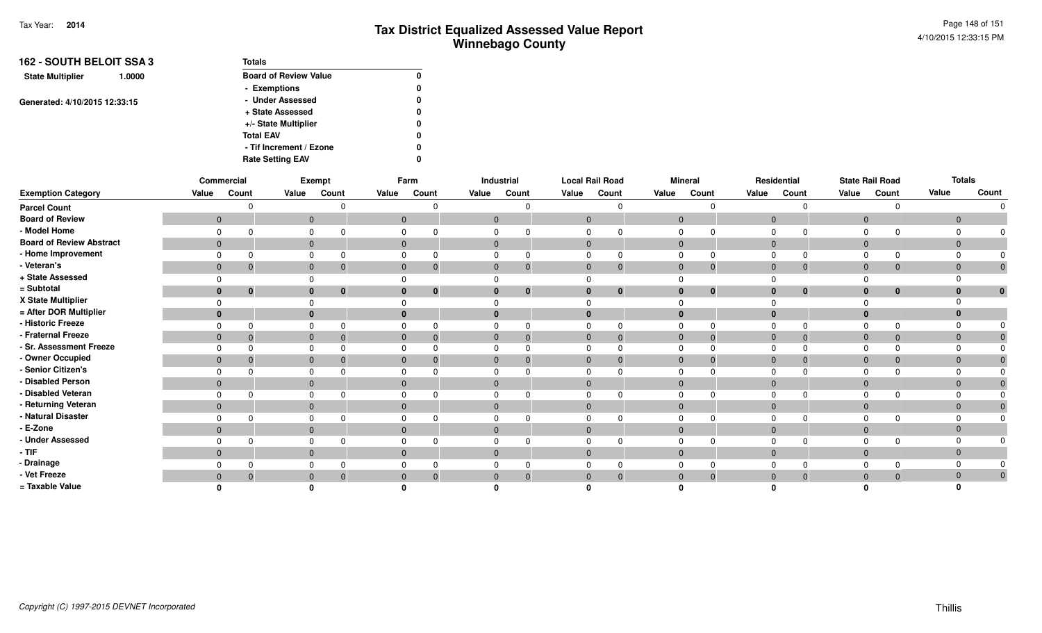| 162 - SOUTH BELOIT SSA 3          | <b>Totals</b>                |   |
|-----------------------------------|------------------------------|---|
| <b>State Multiplier</b><br>1.0000 | <b>Board of Review Value</b> | 0 |
|                                   | - Exemptions                 | 0 |
| Generated: 4/10/2015 12:33:15     | - Under Assessed             | 0 |
|                                   | + State Assessed             | 0 |
|                                   | +/- State Multiplier         | 0 |
|                                   | <b>Total EAV</b>             | 0 |
|                                   | - Tif Increment / Ezone      | 0 |
|                                   | <b>Rate Setting EAV</b>      | 0 |

|                                 |       | Commercial                     |       | Exempt                   |              | Farm                           |                | Industrial |                | <b>Local Rail Road</b> |                | <b>Mineral</b> |                | Residential                    |                | <b>State Rail Road</b> |                | <b>Totals</b> |
|---------------------------------|-------|--------------------------------|-------|--------------------------|--------------|--------------------------------|----------------|------------|----------------|------------------------|----------------|----------------|----------------|--------------------------------|----------------|------------------------|----------------|---------------|
| <b>Exemption Category</b>       | Value | Count                          | Value | Count                    | Value        | Count                          | Value          | Count      | Value          | Count                  | Value          | Count          | Value          | Count                          | Value          | Count                  | Value          | Count         |
| <b>Parcel Count</b>             |       |                                |       |                          |              |                                |                |            |                |                        |                | $\Omega$       |                | $\Omega$                       |                | <sup>n</sup>           |                | $\Omega$      |
| <b>Board of Review</b>          |       | $\mathbf{0}$                   |       | $\mathbf{0}$             |              | $\mathbf{0}$                   | $\mathbf 0$    |            | $\mathbf{0}$   |                        | $\overline{0}$ |                | $\overline{0}$ |                                | $\overline{0}$ |                        | $\overline{0}$ |               |
| - Model Home                    |       | $\Omega$                       |       | 0                        | 0            |                                | 0              |            | $\Omega$       |                        | $\mathbf 0$    |                | $\mathbf 0$    | $\Omega$                       | $\Omega$       |                        |                |               |
| <b>Board of Review Abstract</b> |       | $\overline{0}$                 |       | $\mathbf{0}$             |              | $\mathbf{0}$                   | $\overline{0}$ |            | $\mathbf{0}$   |                        | $\overline{0}$ |                |                | $\mathbf 0$                    | $\overline{0}$ |                        | $\mathbf{0}$   |               |
| - Home Improvement              |       | $\Omega$                       |       | 0                        |              | 0                              | 0              |            | $\Omega$       |                        | $\mathbf 0$    |                | $\Omega$       | $\Omega$                       | $\Omega$       | $\Omega$               |                |               |
| - Veteran's                     |       | $\mathbf{0}$<br>$\overline{0}$ |       | $\mathbf{0}$<br>- 0      |              | $\mathbf{0}$<br>$\overline{0}$ | $\mathbf{0}$   |            | $\mathbf{0}$   | $\mathbf 0$            | $\mathbf{0}$   | $\mathbf{0}$   |                | $\mathbf{0}$<br>$\mathbf 0$    | $\mathbf{0}$   | $\mathbf 0$            | $\mathbf 0$    | $\mathbf 0$   |
| + State Assessed                |       | $\Omega$                       |       | $\Omega$                 | $\Omega$     |                                |                |            |                |                        |                |                | $\Omega$       |                                |                |                        |                |               |
| = Subtotal                      |       | $\bf{0}$<br>$\mathbf{0}$       |       | $\bf{0}$<br>$\mathbf{0}$ |              | $\bf{0}$<br>0                  | $\bf{0}$       |            | $\bf{0}$       | $\bf{0}$               | $\bf{0}$       | $\bf{0}$       |                | $\bf{0}$<br>$\bf{0}$           | $\bf{0}$       | $\mathbf 0$            | $\bf{0}$       | $\bf{0}$      |
| X State Multiplier              |       | $\Omega$                       |       | $\Omega$                 |              |                                |                |            |                |                        |                |                |                |                                |                |                        |                |               |
| = After DOR Multiplier          |       | $\mathbf{0}$                   |       | $\bf{0}$                 | $\bf{0}$     |                                | $\bf{0}$       |            | $\bf{0}$       |                        | $\bf{0}$       |                |                | $\bf{0}$                       | $\mathbf 0$    |                        |                |               |
| - Historic Freeze               |       | $\Omega$<br>$\Omega$           |       | $\mathbf 0$<br>$\Omega$  |              | $\mathbf 0$                    | 0              |            | $\Omega$       |                        | $\Omega$       | $\Omega$       | $\Omega$       | $\Omega$                       | $\Omega$       | $\Omega$               |                |               |
| - Fraternal Freeze              |       | $\mathbf{0}$<br>$\overline{0}$ |       | $\mathbf{0}$<br>$\Omega$ |              | $\mathbf{0}$<br>$\Omega$       | $\mathbf{0}$   |            | $\overline{0}$ |                        | $\overline{0}$ | $\Omega$       | $\overline{0}$ | $\Omega$                       | $\overline{0}$ | $\Omega$               | $\mathbf{0}$   |               |
| - Sr. Assessment Freeze         |       | $\Omega$<br>$\Omega$           |       | 0                        |              | 0                              | 0              |            | $\Omega$       |                        | $\mathbf 0$    |                | $\Omega$       | $\Omega$                       | $\Omega$       |                        |                |               |
| - Owner Occupied                |       | $\mathbf{0}$<br>$\overline{0}$ |       | $\mathbf{0}$             |              | $\mathbf 0$<br>$\overline{0}$  | $\mathbf 0$    |            | $\mathbf{0}$   |                        | $\overline{0}$ |                |                | $\mathbf 0$<br>$\mathbf{0}$    | $\overline{0}$ | 0                      | $\Omega$       |               |
| - Senior Citizen's              |       | $\Omega$<br>$\Omega$           |       | 0                        | $\Omega$     |                                | 0              |            | $\Omega$       |                        | $\mathbf 0$    |                | $\Omega$       | $\Omega$                       | $\Omega$       |                        |                |               |
| - Disabled Person               |       | $\mathbf{0}$                   |       | $\mathbf{0}$             | $\mathbf{0}$ |                                | $\mathbf{0}$   |            | $\mathbf{0}$   |                        | $\overline{0}$ |                |                | $\mathbf 0$                    | $\mathbf{0}$   |                        | $\mathbf{0}$   |               |
| - Disabled Veteran              |       | $\Omega$                       |       | $\mathbf 0$              |              | 0                              | 0              |            |                |                        | $\Omega$       |                | $\Omega$       |                                | 0              |                        |                |               |
| - Returning Veteran             |       | $\mathbf{0}$                   |       | $\mathbf{0}$             |              | $\mathbf 0$                    | $\mathbf 0$    |            | $\mathbf{0}$   |                        | $\mathbf 0$    |                |                | $\mathbf 0$                    | $\overline{0}$ |                        |                |               |
| - Natural Disaster              |       | $\Omega$<br>$\cap$             |       | 0                        | $\mathbf 0$  |                                | 0              |            | $\Omega$       |                        | $\Omega$       |                | $\Omega$       | $\Omega$                       | $\Omega$       |                        |                |               |
| - E-Zone                        |       | $\overline{0}$                 |       | $\mathbf{0}$             | $\mathbf{0}$ |                                | $\mathbf{0}$   |            | $\mathbf{0}$   |                        | $\mathbf{0}$   |                |                | $\mathbf{0}$                   | $\mathbf{0}$   |                        | $\Omega$       |               |
| - Under Assessed                |       | $\Omega$                       |       | 0                        | $\Omega$     |                                | 0              |            | $\Omega$       |                        | 0              |                | $\Omega$       | $\Omega$                       | $\Omega$       |                        |                |               |
| $-$ TIF                         |       | $\mathbf{0}$                   |       | $\mathbf{0}$             |              | $\mathbf{0}$                   | $\mathbf 0$    |            | $\mathbf 0$    |                        | $\mathbf{0}$   |                |                | $\mathbf 0$                    | $\mathbf{0}$   |                        | $\Omega$       |               |
| - Drainage                      |       | $\Omega$<br>0                  |       | 0                        |              | 0                              | 0              |            |                |                        | $\Omega$       |                | $\Omega$       | 0                              | $\Omega$       | $\Omega$               |                |               |
| - Vet Freeze                    |       | $\overline{0}$<br>-0           |       | $\mathbf 0$              | $\mathbf{0}$ | $\Omega$                       | $\mathbf 0$    |            | $\mathbf 0$    |                        | $\Omega$       |                |                | $\overline{0}$<br>$\mathbf{0}$ | $\mathbf{0}$   | $\Omega$               | $\mathbf{0}$   | $\mathbf{0}$  |
| = Taxable Value                 |       |                                |       |                          |              |                                |                |            |                |                        |                |                |                |                                |                |                        |                |               |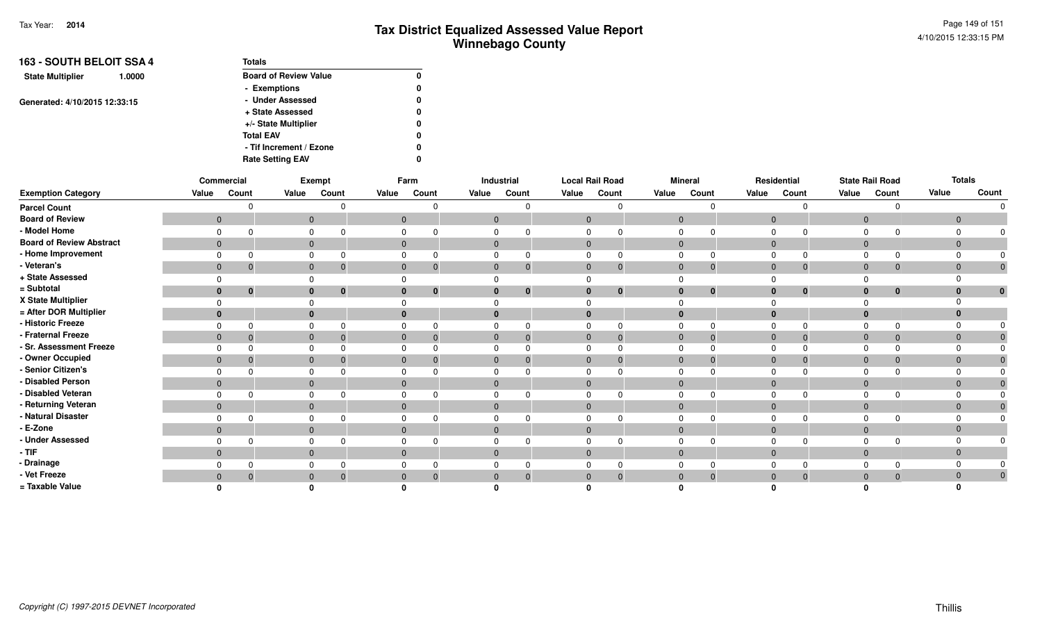| 163 - SOUTH BELOIT SSA 4          | <b>Totals</b>                |   |
|-----------------------------------|------------------------------|---|
| <b>State Multiplier</b><br>1.0000 | <b>Board of Review Value</b> | 0 |
|                                   | - Exemptions                 | 0 |
| Generated: 4/10/2015 12:33:15     | - Under Assessed             | 0 |
|                                   | + State Assessed             | 0 |
|                                   | +/- State Multiplier         | 0 |
|                                   | <b>Total EAV</b>             | 0 |
|                                   | - Tif Increment / Ezone      | 0 |
|                                   | <b>Rate Setting EAV</b>      | 0 |

|                                 |       | Commercial                     |       | Exempt                   |              | Farm                           |                | Industrial |                | <b>Local Rail Road</b> |                | <b>Mineral</b> |                | Residential                    |                | <b>State Rail Road</b> |                | <b>Totals</b> |
|---------------------------------|-------|--------------------------------|-------|--------------------------|--------------|--------------------------------|----------------|------------|----------------|------------------------|----------------|----------------|----------------|--------------------------------|----------------|------------------------|----------------|---------------|
| <b>Exemption Category</b>       | Value | Count                          | Value | Count                    | Value        | Count                          | Value          | Count      | Value          | Count                  | Value          | Count          | Value          | Count                          | Value          | Count                  | Value          | Count         |
| <b>Parcel Count</b>             |       |                                |       |                          |              |                                |                |            |                |                        |                | $\Omega$       |                | $\Omega$                       |                | <sup>n</sup>           |                | $\Omega$      |
| <b>Board of Review</b>          |       | $\mathbf{0}$                   |       | $\mathbf{0}$             |              | $\mathbf 0$                    | $\mathbf 0$    |            | $\mathbf{0}$   |                        | $\overline{0}$ |                | $\overline{0}$ |                                | $\overline{0}$ |                        | $\overline{0}$ |               |
| - Model Home                    |       | $\Omega$                       |       | 0                        | $\mathbf 0$  |                                | 0              |            | $\Omega$       |                        | $\mathbf 0$    |                | $\mathbf 0$    | $\Omega$                       | $\Omega$       |                        |                |               |
| <b>Board of Review Abstract</b> |       | $\overline{0}$                 |       | $\mathbf{0}$             |              | $\mathbf 0$                    | $\overline{0}$ |            | $\mathbf{0}$   |                        | $\overline{0}$ |                |                | $\mathbf 0$                    | $\overline{0}$ |                        | $\mathbf{0}$   |               |
| - Home Improvement              |       | $\Omega$                       |       | 0                        |              | 0                              | 0              |            | $\Omega$       |                        | $\mathbf 0$    |                | $\Omega$       | $\Omega$                       | $\Omega$       | $\Omega$               |                |               |
| - Veteran's                     |       | $\mathbf{0}$<br>$\overline{0}$ |       | $\mathbf{0}$<br>- 0      |              | $\mathbf{0}$<br>$\overline{0}$ | $\mathbf{0}$   |            | $\mathbf{0}$   | $\mathbf 0$            | $\mathbf{0}$   | $\mathbf{0}$   |                | $\mathbf{0}$<br>$\mathbf 0$    | $\mathbf{0}$   | $\mathbf 0$            | $\mathbf 0$    | $\mathbf 0$   |
| + State Assessed                |       | $\Omega$                       |       | $\Omega$                 | $\Omega$     |                                |                |            |                |                        |                |                | $\Omega$       |                                |                |                        |                |               |
| = Subtotal                      |       | $\bf{0}$<br>$\mathbf 0$        |       | $\bf{0}$<br>$\mathbf{0}$ |              | $\bf{0}$<br>0                  | $\bf{0}$       |            | $\bf{0}$       | $\bf{0}$               | $\bf{0}$       | $\bf{0}$       |                | $\bf{0}$<br>$\bf{0}$           | $\mathbf{0}$   | $\mathbf{0}$           | $\bf{0}$       | $\bf{0}$      |
| X State Multiplier              |       | $\Omega$                       |       | $\Omega$                 |              |                                |                |            |                |                        |                |                |                |                                |                |                        |                |               |
| = After DOR Multiplier          |       | $\mathbf{0}$                   |       | $\bf{0}$                 | $\bf{0}$     |                                | $\bf{0}$       |            | $\bf{0}$       |                        | $\bf{0}$       |                |                | $\bf{0}$                       | $\mathbf 0$    |                        |                |               |
| - Historic Freeze               |       | $\Omega$<br>$\Omega$           |       | $\mathbf 0$<br>$\Omega$  |              | $\mathbf 0$                    | 0              |            | $\Omega$       |                        | $\Omega$       | $\Omega$       | $\Omega$       | $\Omega$                       | $\Omega$       | $\Omega$               |                |               |
| - Fraternal Freeze              |       | $\mathbf{0}$<br>$\overline{0}$ |       | $\mathbf{0}$<br>$\Omega$ |              | $\mathbf{0}$<br>$\Omega$       | $\mathbf{0}$   |            | $\overline{0}$ |                        | $\overline{0}$ | $\Omega$       | $\overline{0}$ | $\Omega$                       | $\overline{0}$ | $\Omega$               | $\mathbf{0}$   |               |
| - Sr. Assessment Freeze         |       | $\Omega$<br>$\Omega$           |       | 0                        |              | 0                              | 0              |            | $\Omega$       |                        | $\mathbf 0$    |                | $\Omega$       | $\Omega$                       | $\Omega$       |                        |                |               |
| - Owner Occupied                |       | $\mathbf{0}$<br>$\overline{0}$ |       | $\mathbf{0}$             |              | $\mathbf 0$<br>$\overline{0}$  | $\mathbf 0$    |            | $\mathbf{0}$   |                        | $\overline{0}$ |                |                | $\mathbf 0$<br>$\mathbf{0}$    | $\overline{0}$ | 0                      | $\Omega$       |               |
| - Senior Citizen's              |       | $\Omega$<br>$\Omega$           |       | 0                        | $\Omega$     |                                | 0              |            | $\Omega$       |                        | $\mathbf 0$    |                | $\Omega$       | $\Omega$                       | $\Omega$       |                        |                |               |
| - Disabled Person               |       | $\mathbf{0}$                   |       | $\mathbf{0}$             | $\mathbf{0}$ |                                | $\mathbf{0}$   |            | $\mathbf{0}$   |                        | $\overline{0}$ |                |                | $\mathbf 0$                    | $\mathbf{0}$   |                        | $\mathbf{0}$   |               |
| - Disabled Veteran              |       | $\Omega$                       |       | $\mathbf 0$              |              | 0                              | 0              |            |                |                        | $\Omega$       |                | $\Omega$       |                                | 0              |                        |                |               |
| - Returning Veteran             |       | $\mathbf{0}$                   |       | $\mathbf{0}$             |              | $\mathbf 0$                    | $\mathbf 0$    |            | $\mathbf{0}$   |                        | $\mathbf 0$    |                |                | $\mathbf 0$                    | $\overline{0}$ |                        |                |               |
| - Natural Disaster              |       | $\Omega$<br>$\cap$             |       | 0                        | $\mathbf 0$  |                                | 0              |            | $\Omega$       |                        | $\Omega$       |                | $\Omega$       | $\Omega$                       | $\Omega$       |                        |                |               |
| - E-Zone                        |       | $\overline{0}$                 |       | $\mathbf{0}$             | $\mathbf{0}$ |                                | $\mathbf{0}$   |            | $\mathbf{0}$   |                        | $\mathbf{0}$   |                |                | $\mathbf{0}$                   | $\mathbf{0}$   |                        | $\Omega$       |               |
| - Under Assessed                |       | $\Omega$                       |       | 0                        | $\Omega$     |                                | 0              |            | $\Omega$       |                        | 0              |                | $\Omega$       | $\Omega$                       | $\Omega$       |                        |                |               |
| $-$ TIF                         |       | $\mathbf{0}$                   |       | $\mathbf{0}$             |              | $\mathbf{0}$                   | $\mathbf 0$    |            | $\mathbf 0$    |                        | $\mathbf{0}$   |                |                | $\mathbf 0$                    | $\mathbf{0}$   |                        | $\Omega$       |               |
| - Drainage                      |       | $\Omega$<br>0                  |       | 0                        |              | 0                              | 0              |            |                |                        | $\Omega$       |                | $\Omega$       | 0                              | $\Omega$       | $\Omega$               |                |               |
| - Vet Freeze                    |       | $\overline{0}$<br>-0           |       | $\mathbf{0}$             | $\mathbf{0}$ | $\Omega$                       | $\mathbf 0$    |            | $\mathbf 0$    |                        | $\Omega$       |                |                | $\overline{0}$<br>$\mathbf{0}$ | $\mathbf{0}$   | $\Omega$               | $\mathbf{0}$   | $\mathbf{0}$  |
| = Taxable Value                 |       |                                |       |                          |              |                                |                |            |                |                        |                |                |                |                                |                |                        |                |               |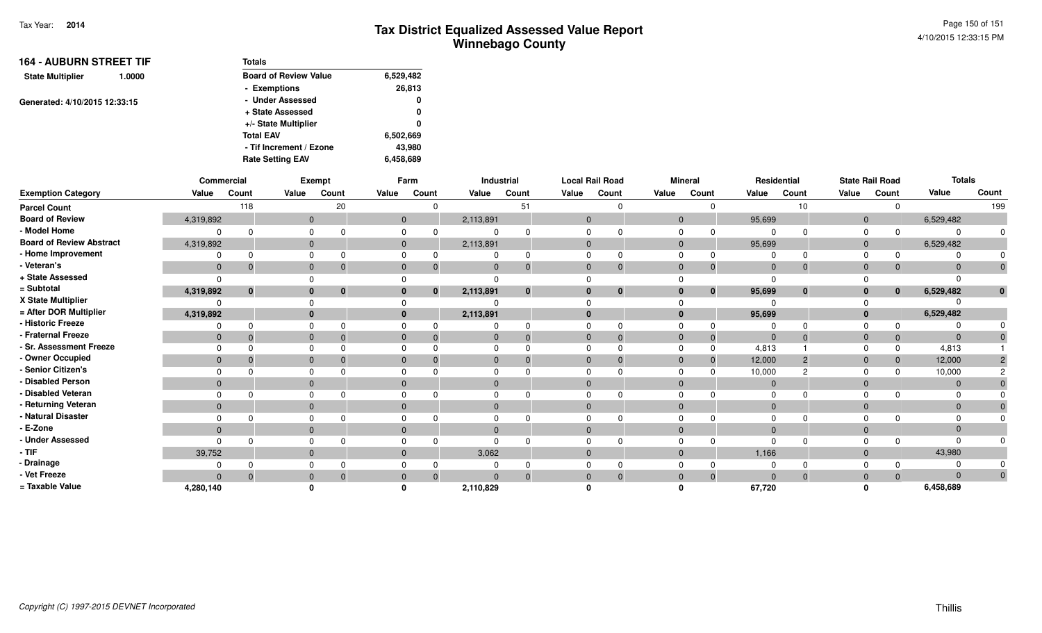| <b>164 - AUBURN STREET TIF</b>    | <b>Totals</b>                |           |
|-----------------------------------|------------------------------|-----------|
| <b>State Multiplier</b><br>1.0000 | <b>Board of Review Value</b> | 6,529,482 |
|                                   | - Exemptions                 | 26,813    |
| Generated: 4/10/2015 12:33:15     | - Under Assessed             | 0         |
|                                   | + State Assessed             | 0         |
|                                   | +/- State Multiplier         | 0         |
|                                   | <b>Total EAV</b>             | 6,502,669 |
|                                   | - Tif Increment / Ezone      | 43,980    |
|                                   | <b>Rate Setting EAV</b>      | 6,458,689 |

|                                 |              | Commercial |       | Exempt       |       | Farm                     |           | Industrial   |              | <b>Local Rail Road</b> | <b>Mineral</b> |              | Residential    |          |                | <b>State Rail Road</b> | <b>Totals</b> |       |
|---------------------------------|--------------|------------|-------|--------------|-------|--------------------------|-----------|--------------|--------------|------------------------|----------------|--------------|----------------|----------|----------------|------------------------|---------------|-------|
| <b>Exemption Category</b>       | Value        | Count      | Value | Count        | Value | Count                    | Value     | Count        | Value        | Count                  | Value          | Count        | Value          | Count    | Value          | Count                  | Value         | Count |
| <b>Parcel Count</b>             |              | 118        |       | 20           |       | $\Omega$                 |           | 51           |              |                        |                |              |                | 10       |                |                        |               | 199   |
| <b>Board of Review</b>          | 4,319,892    |            |       | $\mathbf{0}$ |       | $\overline{0}$           | 2,113,891 |              | $\mathbf{0}$ |                        | $\mathbf 0$    |              | 95,699         |          | $\overline{0}$ |                        | 6,529,482     |       |
| - Model Home                    |              |            |       |              |       |                          |           |              |              |                        |                |              |                |          |                |                        | $\Omega$      |       |
| <b>Board of Review Abstract</b> | 4,319,892    |            |       | $\Omega$     |       | $\Omega$                 | 2,113,891 |              | $\mathbf{0}$ |                        | $\Omega$       |              | 95,699         |          | $\mathbf{0}$   |                        | 6,529,482     |       |
| - Home Improvement              |              |            |       |              |       |                          |           |              |              |                        |                |              |                |          |                |                        |               |       |
| - Veteran's                     | $\Omega$     |            |       |              |       | $\Omega$<br>$\Omega$     | $\Omega$  |              | $\mathbf{0}$ | 0                      | $\Omega$       | $\mathbf{0}$ | $\overline{0}$ | $\Omega$ | $\Omega$       |                        | $\mathbf{0}$  |       |
| + State Assessed                |              |            |       |              |       |                          |           |              |              |                        |                |              | $\Omega$       |          |                |                        |               |       |
| = Subtotal                      | 4,319,892    | $\bf{0}$   |       | $\mathbf{0}$ |       | $\mathbf{0}$<br>$\bf{0}$ | 2,113,891 | $\mathbf{0}$ | $\bf{0}$     | $\mathbf 0$            |                | $\mathbf{0}$ | 95,699         | $\bf{0}$ | $\bf{0}$       | $\mathbf{0}$           | 6,529,482     |       |
| X State Multiplier              |              |            |       |              |       |                          |           |              |              |                        |                |              |                |          |                |                        |               |       |
| = After DOR Multiplier          | 4,319,892    |            |       |              |       | $\mathbf{0}$             | 2,113,891 |              | $\bf{0}$     |                        |                |              | 95,699         |          | $\Omega$       |                        | 6,529,482     |       |
| - Historic Freeze               |              |            |       |              |       |                          |           |              |              |                        |                |              |                |          |                |                        |               |       |
| Fraternal Freeze                | $\mathbf{0}$ |            |       |              |       | 0<br>$\Omega$            | $\Omega$  | -0           | $\mathbf{0}$ | $\Omega$               |                | $\mathbf{0}$ | $\overline{0}$ | $\Omega$ | $\Omega$       |                        | $\mathbf{0}$  |       |
| <b>Sr. Assessment Freeze</b>    |              |            |       |              |       |                          |           |              | 0            |                        |                | $\Omega$     | 4,813          |          |                |                        | 4,813         |       |
| - Owner Occupied                | $\mathbf{0}$ |            |       |              |       | $\Omega$                 | $\Omega$  |              | $\Omega$     |                        |                | $\Omega$     | 12,000         | 2        | $\Omega$       |                        | 12,000        |       |
| <b>Senior Citizen's</b>         |              |            |       |              |       |                          |           |              |              |                        |                |              | 10,000         |          |                |                        | 10,000        |       |
| <b>Disabled Person</b>          | $\Omega$     |            |       |              |       | $\Omega$                 |           |              | $\Omega$     |                        |                |              | $\overline{0}$ |          | $\Omega$       |                        | $\mathbf{0}$  |       |
| Disabled Veteran                |              |            |       |              |       |                          |           |              |              |                        |                |              | $\Omega$       |          |                |                        | $\Omega$      |       |
| · Returning Veteran             | $\mathbf{0}$ |            |       | $\mathbf{0}$ |       | $\mathbf{0}$             | $\Omega$  |              | $\mathbf{0}$ |                        |                |              | $\overline{0}$ |          | $\Omega$       |                        | $\mathbf{0}$  |       |
| Natural Disaster                |              |            |       |              |       |                          |           |              |              |                        |                |              | $\Omega$       |          |                |                        | $\Omega$      |       |
| E-Zone                          | $\Omega$     |            |       |              |       | $\Omega$                 | $\Omega$  |              | $\Omega$     |                        |                |              | $\overline{0}$ |          | $\Omega$       |                        | $\Omega$      |       |
| <b>Under Assessed</b>           |              |            |       |              |       |                          |           |              |              |                        |                |              | $\Omega$       |          |                |                        | $\Omega$      |       |
| - TIF                           | 39,752       |            |       | 0            |       | $\mathbf{0}$             | 3,062     |              | $\mathbf{0}$ |                        |                |              | 1,166          |          | $\Omega$       |                        | 43,980        |       |
| - Drainage                      |              |            |       |              |       |                          |           |              | 0            |                        |                |              | $\Omega$       |          |                |                        | $\Omega$      |       |
| - Vet Freeze                    | $\Omega$     |            |       |              |       | $\mathbf{0}$<br>$\Omega$ |           |              | $\Omega$     |                        |                | $\Omega$     | $\Omega$       | $\Omega$ |                |                        | $\Omega$      |       |
| = Taxable Value                 | 4,280,140    |            |       |              |       |                          | 2,110,829 |              |              |                        |                |              | 67,720         |          |                |                        | 6,458,689     |       |